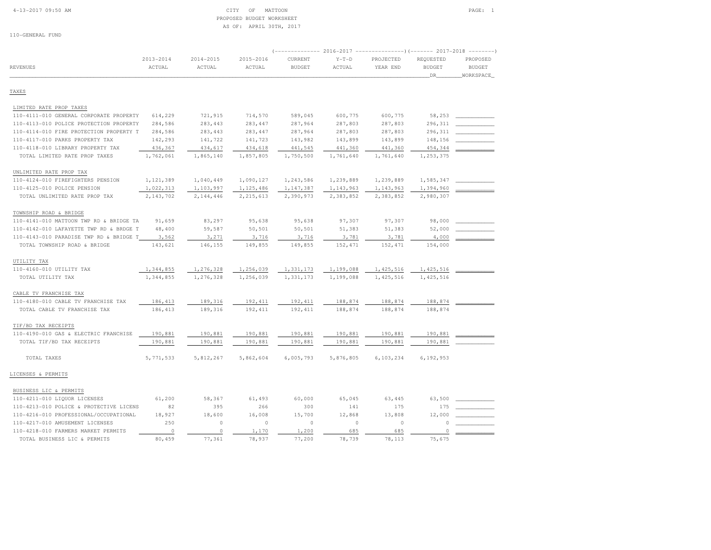#### 4-13-2017 09:50 AM CITY OF MATTOON PAGE: 1 PROPOSED BUDGET WORKSHEETAS OF: APRIL 30TH, 2017

110-GENERAL FUND

| <b>REVENUES</b>                         | $2013 - 2014$<br>ACTUAL | $2014 - 2015$<br>ACTUAL | 2015-2016<br>ACTUAL | <b>CURRENT</b><br><b>BUDGET</b> | $Y-T-D$<br>ACTUAL | (-------------- 2016-2017 ----------------) (------- 2017-2018 --------)<br>PROJECTED<br>YEAR END | REQUESTED<br><b>BUDGET</b><br>DR | PROPOSED<br><b>BUDGET</b><br>WORKSPACE |
|-----------------------------------------|-------------------------|-------------------------|---------------------|---------------------------------|-------------------|---------------------------------------------------------------------------------------------------|----------------------------------|----------------------------------------|
| TAXES                                   |                         |                         |                     |                                 |                   |                                                                                                   |                                  |                                        |
| LIMITED RATE PROP TAXES                 |                         |                         |                     |                                 |                   |                                                                                                   |                                  |                                        |
| 110-4111-010 GENERAL CORPORATE PROPERTY | 614,229                 | 721,915                 | 714,570             | 589,045                         | 600,775           | 600,775                                                                                           | 58,253                           |                                        |
| 110-4113-010 POLICE PROTECTION PROPERTY | 284,586                 | 283, 443                | 283,447             | 287,964                         | 287,803           | 287,803                                                                                           | 296,311                          |                                        |
| 110-4114-010 FIRE PROTECTION PROPERTY T | 284,586                 | 283, 443                | 283,447             | 287,964                         | 287,803           | 287,803                                                                                           | 296,311                          |                                        |
| 110-4117-010 PARKS PROPERTY TAX         | 142,293                 | 141,722                 | 141,723             | 143,982                         | 143,899           | 143,899                                                                                           | 148,156                          |                                        |
| 110-4118-010 LIBRARY PROPERTY TAX       | 436,367                 | 434,617                 | 434,618             | 441,545                         | 441,360           | 441,360                                                                                           | 454,344                          |                                        |
| TOTAL LIMITED RATE PROP TAXES           | 1,762,061               | 1,865,140               | 1,857,805           | 1,750,500                       | 1,761,640         | 1,761,640                                                                                         | 1,253,375                        |                                        |
| UNLIMITED RATE PROP TAX                 |                         |                         |                     |                                 |                   |                                                                                                   |                                  |                                        |
| 110-4124-010 FIREFIGHTERS PENSION       | 1,121,389               | 1,040,449               | 1,090,127           | 1,243,586                       | 1,239,889         | 1,239,889                                                                                         | 1,585,347                        |                                        |
| 110-4125-010 POLICE PENSION             | 1,022,313               | 1,103,997               | 1,125,486           | 1,147,387                       | 1, 143, 963       | 1,143,963                                                                                         | 1,394,960                        |                                        |
| TOTAL UNLIMITED RATE PROP TAX           | 2,143,702               | 2,144,446               | 2, 215, 613         | 2,390,973                       | 2,383,852         | 2,383,852                                                                                         | 2,980,307                        |                                        |
| TOWNSHIP ROAD & BRIDGE                  |                         |                         |                     |                                 |                   |                                                                                                   |                                  |                                        |
| 110-4141-010 MATTOON TWP RD & BRIDGE TA | 91,659                  | 83,297                  | 95,638              | 95,638                          | 97,307            | 97,307                                                                                            | 98,000                           |                                        |
| 110-4142-010 LAFAYETTE TWP RD & BRDGE T | 48,400                  | 59,587                  | 50,501              | 50,501                          | 51,383            | 51,383                                                                                            | 52,000                           |                                        |
| 110-4143-010 PARADISE TWP RD & BRIDGE T | 3,562                   | 3,271                   | 3,716               | 3,716                           | 3,781             | 3,781                                                                                             | 4,000                            |                                        |
| TOTAL TOWNSHIP ROAD & BRIDGE            | 143,621                 | 146,155                 | 149,855             | 149,855                         | 152,471           | 152,471                                                                                           | 154,000                          |                                        |
| UTILITY TAX                             |                         |                         |                     |                                 |                   |                                                                                                   |                                  |                                        |
| 110-4160-010 UTILITY TAX                | 1,344,855               | 1,276,328               | 1,256,039           | 1,331,173                       | 1,199,088         | 1, 425, 516                                                                                       | 1, 425, 516                      |                                        |
| TOTAL UTILITY TAX                       | 1,344,855               | 1,276,328               | 1,256,039           | 1,331,173                       | 1,199,088         | 1,425,516                                                                                         | 1,425,516                        |                                        |
| CABLE TV FRANCHISE TAX                  |                         |                         |                     |                                 |                   |                                                                                                   |                                  |                                        |
| 110-4180-010 CABLE TV FRANCHISE TAX     | 186, 413                | 189,316                 | 192,411             | 192, 411                        | 188,874           | 188,874                                                                                           | 188,874                          |                                        |
| TOTAL CABLE TV FRANCHISE TAX            | 186, 413                | 189,316                 | 192,411             | 192,411                         | 188,874           | 188,874                                                                                           | 188,874                          |                                        |
| TIF/BD TAX RECEIPTS                     |                         |                         |                     |                                 |                   |                                                                                                   |                                  |                                        |
| 110-4190-010 GAS & ELECTRIC FRANCHISE   | 190,881                 | 190,881                 | 190,881             | 190,881                         | 190,881           | 190,881                                                                                           | 190,881                          |                                        |
| TOTAL TIF/BD TAX RECEIPTS               | 190,881                 | 190,881                 | 190,881             | 190,881                         | 190,881           | 190,881                                                                                           | 190,881                          |                                        |
| TOTAL TAXES                             | 5, 771, 533             | 5,812,267               | 5,862,604           | 6,005,793                       | 5,876,805         | 6,103,234                                                                                         | 6,192,953                        |                                        |
| LICENSES & PERMITS                      |                         |                         |                     |                                 |                   |                                                                                                   |                                  |                                        |
| BUSINESS LIC & PERMITS                  |                         |                         |                     |                                 |                   |                                                                                                   |                                  |                                        |
| 110-4211-010 LIQUOR LICENSES            | 61,200                  | 58,367                  | 61,493              | 60,000                          | 65,045            | 63,445                                                                                            | 63,500                           |                                        |
| 110-4213-010 POLICE & PROTECTIVE LICENS | 82                      | 395                     | 266                 | 300                             | 141               | 175                                                                                               | 175                              |                                        |
| 110-4216-010 PROFESSIONAL/OCCUPATIONAL  | 18,927                  | 18,600                  | 16,008              | 15,700                          | 12,868            | 13,808                                                                                            | 12,000                           |                                        |
| 110-4217-010 AMUSEMENT LICENSES         | 250                     | $\circ$                 | $\circ$             | $\circ$                         | $\circ$           | $\circ$                                                                                           | $\Omega$                         |                                        |
| 110-4218-010 FARMERS MARKET PERMITS     | $\circ$                 | $\circ$                 | 1,170               | 1,200                           | 685               | 685                                                                                               | $\circ$                          |                                        |
| TOTAL BUSINESS LIC & PERMITS            | 80,459                  | 77,361                  | 78,937              | 77,200                          | 78,739            | 78,113                                                                                            | 75,675                           |                                        |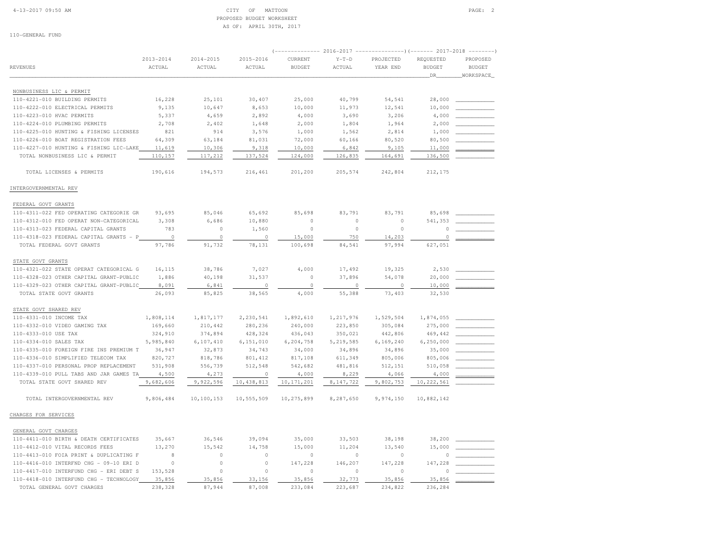#### 4-13-2017 09:50 AM CITY OF MATTOON PAGE: 2 PROPOSED BUDGET WORKSHEETAS OF: APRIL 30TH, 2017

110-GENERAL FUND

|                                         |               |               |               | (------------- 2016-2017 ----------------) (------- 2017-2018 --------) |             |           |               |               |
|-----------------------------------------|---------------|---------------|---------------|-------------------------------------------------------------------------|-------------|-----------|---------------|---------------|
|                                         | $2013 - 2014$ | $2014 - 2015$ | $2015 - 2016$ | CURRENT                                                                 | $Y-T-D$     | PROJECTED | REQUESTED     | PROPOSED      |
| REVENUES                                | ACTUAL        | ACTUAL        | ACTUAL        | <b>BUDGET</b>                                                           | ACTUAL      | YEAR END  | <b>BUDGET</b> | <b>BUDGET</b> |
|                                         |               |               |               |                                                                         |             |           | _DR_          | WORKSPACE     |
| NONBUSINESS LIC & PERMIT                |               |               |               |                                                                         |             |           |               |               |
| 110-4221-010 BUILDING PERMITS           | 16,228        | 25,101        | 30,407        | 25,000                                                                  | 40,799      | 54,541    | 28,000        |               |
| 110-4222-010 ELECTRICAL PERMITS         | 9,135         | 10,647        | 8,653         | 10,000                                                                  | 11,973      | 12,541    | 10,000        |               |
| 110-4223-010 HVAC PERMITS               | 5,337         | 4,659         | 2,892         | 4,000                                                                   | 3,690       | 3,206     | 4,000         |               |
| 110-4224-010 PLUMBING PERMITS           | 2,708         | 2,402         | 1,648         | 2,000                                                                   | 1,804       | 1,964     | 2,000         |               |
| 110-4225-010 HUNTING & FISHING LICENSES | 821           | 914           | 3,576         | 1,000                                                                   | 1,562       | 2,814     | 1,000         |               |
| 110-4226-010 BOAT REGISTRATION FEES     | 64,309        | 63,184        | 81,031        | 72,000                                                                  | 60,166      | 80,520    | 80,500        |               |
| 110-4227-010 HUNTING & FISHING LIC-LAKE | 11,619        | 10,306        | 9,318         | 10,000                                                                  | 6,842       | 9,105     | 11,000        |               |
| TOTAL NONBUSINESS LIC & PERMIT          | 110,157       | 117,212       | 137,524       | 124,000                                                                 | 126,835     | 164,691   | 136,500       |               |
| TOTAL LICENSES & PERMITS                | 190,616       | 194,573       | 216,461       | 201,200                                                                 | 205,574     | 242,804   | 212, 175      |               |
| INTERGOVERNMENTAL REV                   |               |               |               |                                                                         |             |           |               |               |
| FEDERAL GOVT GRANTS                     |               |               |               |                                                                         |             |           |               |               |
| 110-4311-022 FED OPERATING CATEGORIE GR | 93,695        | 85,046        | 65,692        | 85,698                                                                  | 83,791      | 83,791    | 85,698        |               |
| 110-4312-010 FED OPERAT NON-CATEGORICAL | 3,308         | 6,686         | 10,880        | $\circ$                                                                 | $\Omega$    | $\circ$   | 541,353       |               |
| 110-4313-023 FEDERAL CAPITAL GRANTS     | 783           | $\Omega$      | 1,560         | $\Omega$                                                                | $\circ$     | $\circ$   | $\Omega$      |               |
| 110-4318-023 FEDERAL CAPITAL GRANTS - P | $\circ$       | $\circ$       | $\circ$       | 15,000                                                                  | 750         | 14,203    | 0             |               |
| TOTAL FEDERAL GOVT GRANTS               | 97,786        | 91,732        | 78,131        | 100,698                                                                 | 84,541      | 97,994    | 627,051       |               |
| STATE GOVT GRANTS                       |               |               |               |                                                                         |             |           |               |               |
| 110-4321-022 STATE OPERAT CATEGORICAL G | 16,115        | 38,786        | 7,027         | 4,000                                                                   | 17,492      | 19,325    | 2,530         |               |
| 110-4328-023 OTHER CAPITAL GRANT-PUBLIC | 1,886         | 40,198        | 31,537        | $\circ$                                                                 | 37,896      | 54,078    | 20,000        |               |
| 110-4329-023 OTHER CAPITAL GRANT-PUBLIC | 8,091         | 6,841         | $\circ$       | $\circ$                                                                 | $\circ$     | $\circ$   | 10,000        |               |
| TOTAL STATE GOVT GRANTS                 | 26,093        | 85,825        | 38,565        | 4,000                                                                   | 55,388      | 73,403    | 32,530        |               |
| STATE GOVT SHARED REV                   |               |               |               |                                                                         |             |           |               |               |
| 110-4331-010 INCOME TAX                 | 1,808,114     | 1,817,177     | 2,230,541     | 1,892,610                                                               | 1,217,976   | 1,529,504 | 1,874,055     |               |
| 110-4332-010 VIDEO GAMING TAX           | 169,660       | 210,442       | 280,236       | 240,000                                                                 | 223,850     | 305,084   | 275,000       |               |
| 110-4333-010 USE TAX                    | 324,910       | 374,894       | 428,324       | 436,043                                                                 | 350,021     | 442,806   | 469,442       |               |
| 110-4334-010 SALES TAX                  | 5,985,840     | 6,107,410     | 6,151,010     | 6,204,758                                                               | 5, 219, 585 | 6,169,240 | 6, 250, 000   |               |
| 110-4335-010 FOREIGN FIRE INS PREMIUM T | 36,947        | 32,873        | 34,743        | 34,000                                                                  | 34,896      | 34,896    | 35,000        |               |
| 110-4336-010 SIMPLIFIED TELECOM TAX     | 820,727       | 818,786       | 801,412       | 817,108                                                                 | 611,349     | 805,006   | 805,006       |               |
| 110-4337-010 PERSONAL PROP REPLACEMENT  | 531,908       | 556,739       | 512,548       | 542,682                                                                 | 481,816     | 512,151   | 510,058       |               |
| 110-4339-010 PULL TABS AND JAR GAMES TA | 4,500         | 4,273         | $\circ$       | 4,000                                                                   | 8,229       | 4,066     | 4,000         |               |
| TOTAL STATE GOVT SHARED REV             | 9,682,606     | 9,922,596     | 10, 438, 813  | 10, 171, 201                                                            | 8, 147, 722 | 9,802,753 | 10, 222, 561  |               |
| TOTAL INTERGOVERNMENTAL REV             | 9,806,484     | 10,100,153    | 10,555,509    | 10,275,899                                                              | 8,287,650   | 9,974,150 | 10,882,142    |               |
| CHARGES FOR SERVICES                    |               |               |               |                                                                         |             |           |               |               |
| GENERAL GOVT CHARGES                    |               |               |               |                                                                         |             |           |               |               |
| 110-4411-010 BIRTH & DEATH CERTIFICATES | 35,667        | 36,546        | 39,094        | 35,000                                                                  | 33,503      | 38,198    | 38,200        |               |
| 110-4412-010 VITAL RECORDS FEES         | 13,270        | 15,542        | 14,758        | 15,000                                                                  | 11,204      | 13,540    | 15,000        |               |
| 110-4413-010 FOIA PRINT & DUPLICATING F | 8             | $\circ$       | $\circ$       | $\circ$                                                                 | $\circ$     | $\circ$   | $\Omega$      |               |
| 110-4416-010 INTERFND CHG - 09-10 ERI D | $\Omega$      | $\Omega$      | $\circ$       | 147,228                                                                 | 146,207     | 147,228   | 147,228       |               |
| 110-4417-010 INTERFUND CHG - ERI DEBT S | 153,528       | $\mathbb O$   | $\circ$       | $\mathbb O$                                                             | $\circ$     | $\circ$   |               |               |
| 110-4418-010 INTERFUND CHG - TECHNOLOGY | 35,856        | 35,856        | 33,156        | 35,856                                                                  | 32,773      | 35,856    | 35,856        |               |
| TOTAL GENERAL GOVT CHARGES              | 238,328       | 87,944        | 87,008        | 233,084                                                                 | 223,687     | 234,822   | 236,284       |               |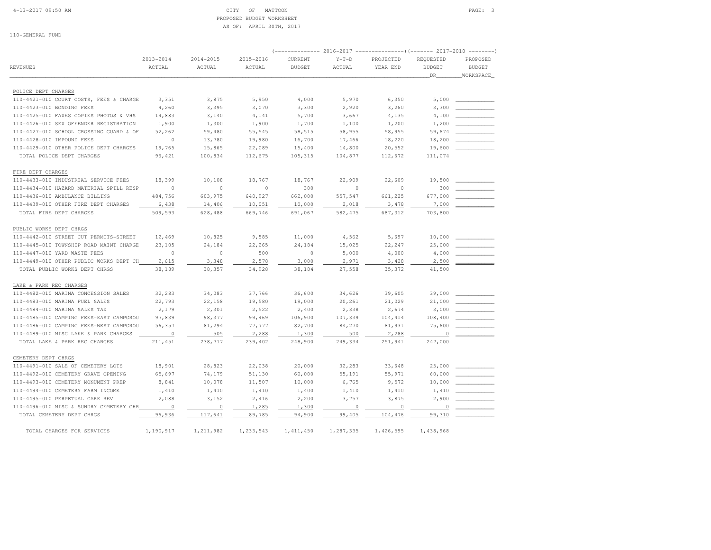### 4-13-2017 09:50 AM CITY OF MATTOON PAGE: 3 PROPOSED BUDGET WORKSHEETAS OF: APRIL 30TH, 2017

110-GENERAL FUND

|                                         |           |           |           |               |          | (-------------- 2016-2017 ---------------------- 2017-2018 --------- |                      |                            |
|-----------------------------------------|-----------|-----------|-----------|---------------|----------|----------------------------------------------------------------------|----------------------|----------------------------|
|                                         | 2013-2014 | 2014-2015 | 2015-2016 | CURRENT       | $Y-T-D$  | PROJECTED                                                            | REQUESTED            | PROPOSED                   |
| <b>REVENUES</b>                         | ACTUAL    | ACTUAL    | ACTUAL    | <b>BUDGET</b> | ACTUAL   | YEAR END                                                             | <b>BUDGET</b><br>DR. | <b>BUDGET</b><br>WORKSPACE |
|                                         |           |           |           |               |          |                                                                      |                      |                            |
| POLICE DEPT CHARGES                     |           |           |           |               |          |                                                                      |                      |                            |
| 110-4421-010 COURT COSTS, FEES & CHARGE | 3,351     | 3,875     | 5,950     | 4,000         | 5,970    | 6,350                                                                | 5,000                |                            |
| 110-4423-010 BONDING FEES               | 4,260     | 3,395     | 3,070     | 3,300         | 2,920    | 3,260                                                                | 3,300                |                            |
| 110-4425-010 FAXES COPIES PHOTOS & VHS  | 14,883    | 3,140     | 4,141     | 5,700         | 3,667    | 4,135                                                                | 4,100                |                            |
| 110-4426-010 SEX OFFENDER REGISTRATION  | 1,900     | 1,300     | 1,900     | 1,700         | 1,100    | 1,200                                                                | 1,200                |                            |
| 110-4427-010 SCHOOL CROSSING GUARD & OF | 52,262    | 59,480    | 55,545    | 58,515        | 58,955   | 58,955                                                               | 59,674               |                            |
| 110-4428-010 IMPOUND FEES               | $\circ$   | 13,780    | 19,980    | 16,700        | 17,466   | 18,220                                                               | 18,200               |                            |
| 110-4429-010 OTHER POLICE DEPT CHARGES  | 19,765    | 15,865    | 22,089    | 15,400        | 14,800   | 20,552                                                               | 19,600               |                            |
| TOTAL POLICE DEPT CHARGES               | 96,421    | 100,834   | 112,675   | 105,315       | 104,877  | 112,672                                                              | 111,074              |                            |
| FIRE DEPT CHARGES                       |           |           |           |               |          |                                                                      |                      |                            |
| 110-4433-010 INDUSTRIAL SERVICE FEES    | 18,399    | 10,108    | 18,767    | 18,767        | 22,909   | 22,609                                                               | 19,500               |                            |
| 110-4434-010 HAZARD MATERIAL SPILL RESP | $\circ$   | $\circ$   | $\circ$   | 300           | $\circ$  | $\Omega$                                                             | 300                  |                            |
| 110-4436-010 AMBULANCE BILLING          | 484,756   | 603,975   | 640,927   | 662,000       | 557,547  | 661,225                                                              | 677,000              |                            |
| 110-4439-010 OTHER FIRE DEPT CHARGES    | 6,438     | 14,406    | 10,051    | 10,000        | 2,018    | 3,478                                                                | 7,000                |                            |
| TOTAL FIRE DEPT CHARGES                 | 509,593   | 628,488   | 669,746   | 691,067       | 582, 475 | 687,312                                                              | 703,800              |                            |
| PUBLIC WORKS DEPT CHRGS                 |           |           |           |               |          |                                                                      |                      |                            |
| 110-4442-010 STREET CUT PERMITS-STREET  | 12,469    | 10,825    | 9,585     | 11,000        | 4,562    | 5,697                                                                | 10,000               |                            |
| 110-4445-010 TOWNSHIP ROAD MAINT CHARGE | 23,105    | 24,184    | 22,265    | 24,184        | 15,025   | 22,247                                                               | 25,000               |                            |
| 110-4447-010 YARD WASTE FEES            | $\circ$   | $\circ$   | 500       | $\circ$       | 5,000    | 4,000                                                                | 4,000                |                            |
| 110-4449-010 OTHER PUBLIC WORKS DEPT CH | 2,615     | 3,348     | 2,578     | 3,000         | 2,971    | 3,428                                                                | 2,500                |                            |
| TOTAL PUBLIC WORKS DEPT CHRGS           | 38,189    | 38,357    | 34,928    | 38,184        | 27,558   | 35,372                                                               | 41,500               |                            |
| LAKE & PARK REC CHARGES                 |           |           |           |               |          |                                                                      |                      |                            |
| 110-4482-010 MARINA CONCESSION SALES    | 32,283    | 34,083    | 37,766    | 36,600        | 34,626   | 39,605                                                               | 39,000               |                            |
| 110-4483-010 MARINA FUEL SALES          | 22,793    | 22,158    | 19,580    | 19,000        | 20,261   | 21,029                                                               | 21,000               |                            |
| 110-4484-010 MARINA SALES TAX           | 2,179     | 2,301     | 2,522     | 2,400         | 2,338    | 2,674                                                                | 3,000                |                            |
| 110-4485-010 CAMPING FEES-EAST CAMPGROU | 97,839    | 98,377    | 99,469    | 106,900       | 107,339  | 104,414                                                              | 108,400              |                            |
| 110-4486-010 CAMPING FEES-WEST CAMPGROU | 56,357    | 81,294    | 77,777    | 82,700        | 84,270   | 81,931                                                               | 75,600               |                            |
| 110-4489-010 MISC LAKE & PARK CHARGES   | $\circ$   | 505       | 2,288     | 1,300         | 500      | 2,288                                                                | $\circ$              |                            |
| TOTAL LAKE & PARK REC CHARGES           | 211,451   | 238,717   | 239,402   | 248,900       | 249,334  | 251,941                                                              | 247,000              |                            |
| CEMETERY DEPT CHRGS                     |           |           |           |               |          |                                                                      |                      |                            |
| 110-4491-010 SALE OF CEMETERY LOTS      | 18,901    | 28,823    | 22,038    | 20,000        | 32,283   | 33,648                                                               | 25,000               |                            |
| 110-4492-010 CEMETERY GRAVE OPENING     | 65,697    | 74,179    | 51,130    | 60,000        | 55,191   | 55,971                                                               | 60,000               |                            |
| 110-4493-010 CEMETERY MONUMENT PREP     | 8,841     | 10,078    | 11,507    | 10,000        | 6,765    | 9,572                                                                | 10,000               |                            |
| 110-4494-010 CEMETERY FARM INCOME       | 1,410     | 1,410     | 1,410     | 1,400         | 1,410    | 1,410                                                                | 1,410                |                            |

 110-4495-010 PERPETUAL CARE REV 2,088 3,152 2,416 2,200 3,757 3,875 2,900 \_\_\_\_\_\_\_\_\_\_\_\_ 110-4496-010 MISC & SUNDRY CEMETERY CHR 0 0 1,285 1,300 0 0 0 \_\_\_\_\_\_\_\_\_\_\_\_TOTAL CEMETERY DEPT CHRGS 96,936 117,641 89,785 94,900 99,405 104,476 99,310 TOTAL CHARGES FOR SERVICES 1,190,917 1,211,982 1,233,543 1,411,450 1,287,335 1,426,595 1,438,968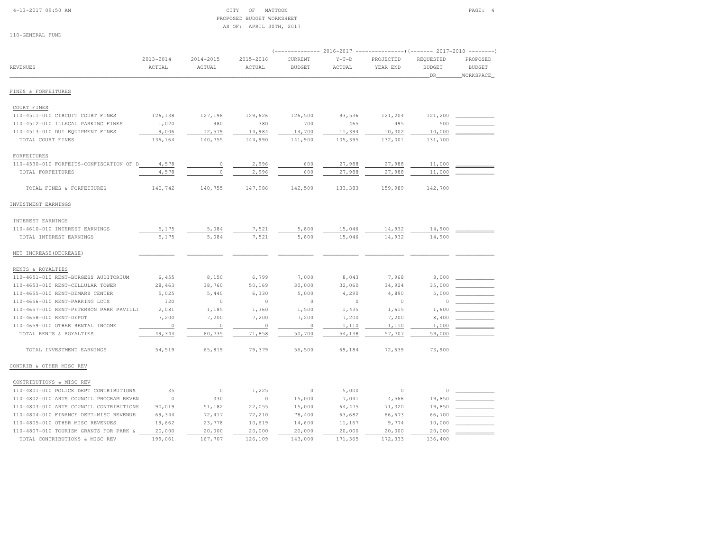## 4-13-2017 09:50 AM CITY OF MATTOON PAGE: 4 PROPOSED BUDGET WORKSHEETAS OF: APRIL 30TH, 2017

| $2013 - 2014$<br>$2014 - 2015$<br>2015-2016<br>CURRENT<br>$Y-T-D$<br>PROJECTED<br>REQUESTED<br>PROPOSED<br><b>BUDGET</b><br><b>REVENUES</b><br>ACTUAL<br>ACTUAL<br>ACTUAL<br><b>BUDGET</b><br>ACTUAL<br>YEAR END<br><b>BUDGET</b><br>WORKSPACE<br>DR<br>FINES & FORFEITURES<br>COURT FINES<br>110-4511-010 CIRCUIT COURT FINES<br>126,138<br>93,536<br>127,196<br>129,626<br>126,500<br>121,204<br>121,200<br>1,020<br>980<br>700<br>495<br>500<br>110-4512-010 ILLEGAL PARKING FINES<br>380<br>465<br>9,006<br>12,579<br>14,984<br>14,700<br>11,394<br>10,302<br>10,000<br>110-4513-010 DUI EQUIPMENT FINES<br>140,755<br>141,900<br>105,395<br>132,001<br>131,700<br>TOTAL COURT FINES<br>136,164<br>144,990<br>FORFEITURES<br>27,988<br>27,988<br>4,578<br>$\circ$<br>2,996<br>600<br>11,000<br>110-4530-010 FORFEITS-CONFISCATION OF D<br>$\circ$<br>600<br>27,988<br>4,578<br>2,996<br>27,988<br>11,000<br>TOTAL FORFEITURES<br>TOTAL FINES & FORFEITURES<br>140,742<br>147,986<br>142,500<br>159,989<br>140,755<br>133,383<br>142,700<br>INVESTMENT EARNINGS<br>INTEREST EARNINGS<br>7,521<br>14,900<br>5,175<br>5,084<br>5,800<br>15,046<br>14,932<br>110-4610-010 INTEREST EARNINGS<br>5,084<br>7,521<br>5,800<br>15,046<br>14,932<br>5,175<br>14,900<br>TOTAL INTEREST EARNINGS<br>NET INCREASE (DECREASE)<br>RENTS & ROYALTIES<br>110-4651-010 RENT-BURGESS AUDITORIUM<br>6,455<br>8,150<br>6,799<br>7,000<br>8,043<br>7,968<br>8,000<br>38,760<br>35,000<br>110-4653-010 RENT-CELLULAR TOWER<br>28,463<br>50,169<br>30,000<br>32,060<br>34,924<br>5,000<br>110-4655-010 RENT-DEMARS CENTER<br>5,025<br>5,440<br>6,330<br>5,000<br>4,290<br>4,890<br>120<br>$\circ$<br>$\circ$<br>110-4656-010 RENT-PARKING LOTS<br>$\circ$<br>$\circ$<br>$\circ$<br>0<br>110-4657-010 RENT-PETERSON PARK PAVILLI<br>2,081<br>1,185<br>1,360<br>1,500<br>1,435<br>1,615<br>1,600<br>110-4658-010 RENT-DEPOT<br>7,200<br>7,200<br>7,200<br>7,200<br>7,200<br>7,200<br>8,400<br>110-4659-010 OTHER RENTAL INCOME<br>$\circ$<br>$\circ$<br>$\circ$<br>$\circ$<br>1,110<br>1,110<br>1,000<br>71,858<br>50,700<br>49,344<br>60,735<br>54,138<br>57,707<br>59,000<br>TOTAL RENTS & ROYALTIES<br>TOTAL INVESTMENT EARNINGS<br>54,519<br>65,819<br>79,379<br>56,500<br>69,184<br>72,639<br>73,900<br>CONTRIB & OTHER MISC REV<br>CONTRIBUTIONS & MISC REV<br>35<br>1,225<br>$\circ$<br>110-4801-010 POLICE DEPT CONTRIBUTIONS<br>$\circ$<br>5,000<br>$\circ$<br>$\Omega$<br>$\circ$<br>330<br>$\circ$<br>15,000<br>7,041<br>19,850<br>110-4802-010 ARTS COUNCIL PROGRAM REVEN<br>4,566<br>22,055<br>19,850<br>110-4803-010 ARTS COUNCIL CONTRIBUTIONS<br>90,019<br>51,182<br>15,000<br>64,475<br>71,320<br>110-4804-010 FINANCE DEPT-MISC REVENUE<br>72,210<br>66,700<br>69,344<br>72, 417<br>78,400<br>63,682<br>66,673<br>9,774<br>10,000<br>110-4805-010 OTHER MISC REVENUES<br>19,662<br>23,778<br>10,619<br>14,600<br>11,167<br>20,000<br>20,000<br>110-4807-010 TOURISM GRANTS FOR PARK &<br>20,000<br>20,000<br>20,000<br>20,000<br>20,000<br>TOTAL CONTRIBUTIONS & MISC REV |         |         |         |         |         | (-------------- 2016-2017 ---------------------- 2017-2018 --------- |         |  |
|-----------------------------------------------------------------------------------------------------------------------------------------------------------------------------------------------------------------------------------------------------------------------------------------------------------------------------------------------------------------------------------------------------------------------------------------------------------------------------------------------------------------------------------------------------------------------------------------------------------------------------------------------------------------------------------------------------------------------------------------------------------------------------------------------------------------------------------------------------------------------------------------------------------------------------------------------------------------------------------------------------------------------------------------------------------------------------------------------------------------------------------------------------------------------------------------------------------------------------------------------------------------------------------------------------------------------------------------------------------------------------------------------------------------------------------------------------------------------------------------------------------------------------------------------------------------------------------------------------------------------------------------------------------------------------------------------------------------------------------------------------------------------------------------------------------------------------------------------------------------------------------------------------------------------------------------------------------------------------------------------------------------------------------------------------------------------------------------------------------------------------------------------------------------------------------------------------------------------------------------------------------------------------------------------------------------------------------------------------------------------------------------------------------------------------------------------------------------------------------------------------------------------------------------------------------------------------------------------------------------------------------------------------------------------------------------------------------------------------------------------------------------------------------------------------------------------------------------------------------------------------------------------------------------------------------------------------------------------------------------------------------------------------------------------------------------------|---------|---------|---------|---------|---------|----------------------------------------------------------------------|---------|--|
|                                                                                                                                                                                                                                                                                                                                                                                                                                                                                                                                                                                                                                                                                                                                                                                                                                                                                                                                                                                                                                                                                                                                                                                                                                                                                                                                                                                                                                                                                                                                                                                                                                                                                                                                                                                                                                                                                                                                                                                                                                                                                                                                                                                                                                                                                                                                                                                                                                                                                                                                                                                                                                                                                                                                                                                                                                                                                                                                                                                                                                                                       |         |         |         |         |         |                                                                      |         |  |
|                                                                                                                                                                                                                                                                                                                                                                                                                                                                                                                                                                                                                                                                                                                                                                                                                                                                                                                                                                                                                                                                                                                                                                                                                                                                                                                                                                                                                                                                                                                                                                                                                                                                                                                                                                                                                                                                                                                                                                                                                                                                                                                                                                                                                                                                                                                                                                                                                                                                                                                                                                                                                                                                                                                                                                                                                                                                                                                                                                                                                                                                       |         |         |         |         |         |                                                                      |         |  |
|                                                                                                                                                                                                                                                                                                                                                                                                                                                                                                                                                                                                                                                                                                                                                                                                                                                                                                                                                                                                                                                                                                                                                                                                                                                                                                                                                                                                                                                                                                                                                                                                                                                                                                                                                                                                                                                                                                                                                                                                                                                                                                                                                                                                                                                                                                                                                                                                                                                                                                                                                                                                                                                                                                                                                                                                                                                                                                                                                                                                                                                                       |         |         |         |         |         |                                                                      |         |  |
|                                                                                                                                                                                                                                                                                                                                                                                                                                                                                                                                                                                                                                                                                                                                                                                                                                                                                                                                                                                                                                                                                                                                                                                                                                                                                                                                                                                                                                                                                                                                                                                                                                                                                                                                                                                                                                                                                                                                                                                                                                                                                                                                                                                                                                                                                                                                                                                                                                                                                                                                                                                                                                                                                                                                                                                                                                                                                                                                                                                                                                                                       |         |         |         |         |         |                                                                      |         |  |
|                                                                                                                                                                                                                                                                                                                                                                                                                                                                                                                                                                                                                                                                                                                                                                                                                                                                                                                                                                                                                                                                                                                                                                                                                                                                                                                                                                                                                                                                                                                                                                                                                                                                                                                                                                                                                                                                                                                                                                                                                                                                                                                                                                                                                                                                                                                                                                                                                                                                                                                                                                                                                                                                                                                                                                                                                                                                                                                                                                                                                                                                       |         |         |         |         |         |                                                                      |         |  |
|                                                                                                                                                                                                                                                                                                                                                                                                                                                                                                                                                                                                                                                                                                                                                                                                                                                                                                                                                                                                                                                                                                                                                                                                                                                                                                                                                                                                                                                                                                                                                                                                                                                                                                                                                                                                                                                                                                                                                                                                                                                                                                                                                                                                                                                                                                                                                                                                                                                                                                                                                                                                                                                                                                                                                                                                                                                                                                                                                                                                                                                                       |         |         |         |         |         |                                                                      |         |  |
|                                                                                                                                                                                                                                                                                                                                                                                                                                                                                                                                                                                                                                                                                                                                                                                                                                                                                                                                                                                                                                                                                                                                                                                                                                                                                                                                                                                                                                                                                                                                                                                                                                                                                                                                                                                                                                                                                                                                                                                                                                                                                                                                                                                                                                                                                                                                                                                                                                                                                                                                                                                                                                                                                                                                                                                                                                                                                                                                                                                                                                                                       |         |         |         |         |         |                                                                      |         |  |
|                                                                                                                                                                                                                                                                                                                                                                                                                                                                                                                                                                                                                                                                                                                                                                                                                                                                                                                                                                                                                                                                                                                                                                                                                                                                                                                                                                                                                                                                                                                                                                                                                                                                                                                                                                                                                                                                                                                                                                                                                                                                                                                                                                                                                                                                                                                                                                                                                                                                                                                                                                                                                                                                                                                                                                                                                                                                                                                                                                                                                                                                       |         |         |         |         |         |                                                                      |         |  |
|                                                                                                                                                                                                                                                                                                                                                                                                                                                                                                                                                                                                                                                                                                                                                                                                                                                                                                                                                                                                                                                                                                                                                                                                                                                                                                                                                                                                                                                                                                                                                                                                                                                                                                                                                                                                                                                                                                                                                                                                                                                                                                                                                                                                                                                                                                                                                                                                                                                                                                                                                                                                                                                                                                                                                                                                                                                                                                                                                                                                                                                                       |         |         |         |         |         |                                                                      |         |  |
|                                                                                                                                                                                                                                                                                                                                                                                                                                                                                                                                                                                                                                                                                                                                                                                                                                                                                                                                                                                                                                                                                                                                                                                                                                                                                                                                                                                                                                                                                                                                                                                                                                                                                                                                                                                                                                                                                                                                                                                                                                                                                                                                                                                                                                                                                                                                                                                                                                                                                                                                                                                                                                                                                                                                                                                                                                                                                                                                                                                                                                                                       |         |         |         |         |         |                                                                      |         |  |
|                                                                                                                                                                                                                                                                                                                                                                                                                                                                                                                                                                                                                                                                                                                                                                                                                                                                                                                                                                                                                                                                                                                                                                                                                                                                                                                                                                                                                                                                                                                                                                                                                                                                                                                                                                                                                                                                                                                                                                                                                                                                                                                                                                                                                                                                                                                                                                                                                                                                                                                                                                                                                                                                                                                                                                                                                                                                                                                                                                                                                                                                       |         |         |         |         |         |                                                                      |         |  |
|                                                                                                                                                                                                                                                                                                                                                                                                                                                                                                                                                                                                                                                                                                                                                                                                                                                                                                                                                                                                                                                                                                                                                                                                                                                                                                                                                                                                                                                                                                                                                                                                                                                                                                                                                                                                                                                                                                                                                                                                                                                                                                                                                                                                                                                                                                                                                                                                                                                                                                                                                                                                                                                                                                                                                                                                                                                                                                                                                                                                                                                                       |         |         |         |         |         |                                                                      |         |  |
|                                                                                                                                                                                                                                                                                                                                                                                                                                                                                                                                                                                                                                                                                                                                                                                                                                                                                                                                                                                                                                                                                                                                                                                                                                                                                                                                                                                                                                                                                                                                                                                                                                                                                                                                                                                                                                                                                                                                                                                                                                                                                                                                                                                                                                                                                                                                                                                                                                                                                                                                                                                                                                                                                                                                                                                                                                                                                                                                                                                                                                                                       |         |         |         |         |         |                                                                      |         |  |
|                                                                                                                                                                                                                                                                                                                                                                                                                                                                                                                                                                                                                                                                                                                                                                                                                                                                                                                                                                                                                                                                                                                                                                                                                                                                                                                                                                                                                                                                                                                                                                                                                                                                                                                                                                                                                                                                                                                                                                                                                                                                                                                                                                                                                                                                                                                                                                                                                                                                                                                                                                                                                                                                                                                                                                                                                                                                                                                                                                                                                                                                       |         |         |         |         |         |                                                                      |         |  |
|                                                                                                                                                                                                                                                                                                                                                                                                                                                                                                                                                                                                                                                                                                                                                                                                                                                                                                                                                                                                                                                                                                                                                                                                                                                                                                                                                                                                                                                                                                                                                                                                                                                                                                                                                                                                                                                                                                                                                                                                                                                                                                                                                                                                                                                                                                                                                                                                                                                                                                                                                                                                                                                                                                                                                                                                                                                                                                                                                                                                                                                                       |         |         |         |         |         |                                                                      |         |  |
|                                                                                                                                                                                                                                                                                                                                                                                                                                                                                                                                                                                                                                                                                                                                                                                                                                                                                                                                                                                                                                                                                                                                                                                                                                                                                                                                                                                                                                                                                                                                                                                                                                                                                                                                                                                                                                                                                                                                                                                                                                                                                                                                                                                                                                                                                                                                                                                                                                                                                                                                                                                                                                                                                                                                                                                                                                                                                                                                                                                                                                                                       |         |         |         |         |         |                                                                      |         |  |
|                                                                                                                                                                                                                                                                                                                                                                                                                                                                                                                                                                                                                                                                                                                                                                                                                                                                                                                                                                                                                                                                                                                                                                                                                                                                                                                                                                                                                                                                                                                                                                                                                                                                                                                                                                                                                                                                                                                                                                                                                                                                                                                                                                                                                                                                                                                                                                                                                                                                                                                                                                                                                                                                                                                                                                                                                                                                                                                                                                                                                                                                       |         |         |         |         |         |                                                                      |         |  |
|                                                                                                                                                                                                                                                                                                                                                                                                                                                                                                                                                                                                                                                                                                                                                                                                                                                                                                                                                                                                                                                                                                                                                                                                                                                                                                                                                                                                                                                                                                                                                                                                                                                                                                                                                                                                                                                                                                                                                                                                                                                                                                                                                                                                                                                                                                                                                                                                                                                                                                                                                                                                                                                                                                                                                                                                                                                                                                                                                                                                                                                                       |         |         |         |         |         |                                                                      |         |  |
|                                                                                                                                                                                                                                                                                                                                                                                                                                                                                                                                                                                                                                                                                                                                                                                                                                                                                                                                                                                                                                                                                                                                                                                                                                                                                                                                                                                                                                                                                                                                                                                                                                                                                                                                                                                                                                                                                                                                                                                                                                                                                                                                                                                                                                                                                                                                                                                                                                                                                                                                                                                                                                                                                                                                                                                                                                                                                                                                                                                                                                                                       |         |         |         |         |         |                                                                      |         |  |
|                                                                                                                                                                                                                                                                                                                                                                                                                                                                                                                                                                                                                                                                                                                                                                                                                                                                                                                                                                                                                                                                                                                                                                                                                                                                                                                                                                                                                                                                                                                                                                                                                                                                                                                                                                                                                                                                                                                                                                                                                                                                                                                                                                                                                                                                                                                                                                                                                                                                                                                                                                                                                                                                                                                                                                                                                                                                                                                                                                                                                                                                       |         |         |         |         |         |                                                                      |         |  |
|                                                                                                                                                                                                                                                                                                                                                                                                                                                                                                                                                                                                                                                                                                                                                                                                                                                                                                                                                                                                                                                                                                                                                                                                                                                                                                                                                                                                                                                                                                                                                                                                                                                                                                                                                                                                                                                                                                                                                                                                                                                                                                                                                                                                                                                                                                                                                                                                                                                                                                                                                                                                                                                                                                                                                                                                                                                                                                                                                                                                                                                                       |         |         |         |         |         |                                                                      |         |  |
|                                                                                                                                                                                                                                                                                                                                                                                                                                                                                                                                                                                                                                                                                                                                                                                                                                                                                                                                                                                                                                                                                                                                                                                                                                                                                                                                                                                                                                                                                                                                                                                                                                                                                                                                                                                                                                                                                                                                                                                                                                                                                                                                                                                                                                                                                                                                                                                                                                                                                                                                                                                                                                                                                                                                                                                                                                                                                                                                                                                                                                                                       |         |         |         |         |         |                                                                      |         |  |
|                                                                                                                                                                                                                                                                                                                                                                                                                                                                                                                                                                                                                                                                                                                                                                                                                                                                                                                                                                                                                                                                                                                                                                                                                                                                                                                                                                                                                                                                                                                                                                                                                                                                                                                                                                                                                                                                                                                                                                                                                                                                                                                                                                                                                                                                                                                                                                                                                                                                                                                                                                                                                                                                                                                                                                                                                                                                                                                                                                                                                                                                       |         |         |         |         |         |                                                                      |         |  |
|                                                                                                                                                                                                                                                                                                                                                                                                                                                                                                                                                                                                                                                                                                                                                                                                                                                                                                                                                                                                                                                                                                                                                                                                                                                                                                                                                                                                                                                                                                                                                                                                                                                                                                                                                                                                                                                                                                                                                                                                                                                                                                                                                                                                                                                                                                                                                                                                                                                                                                                                                                                                                                                                                                                                                                                                                                                                                                                                                                                                                                                                       |         |         |         |         |         |                                                                      |         |  |
|                                                                                                                                                                                                                                                                                                                                                                                                                                                                                                                                                                                                                                                                                                                                                                                                                                                                                                                                                                                                                                                                                                                                                                                                                                                                                                                                                                                                                                                                                                                                                                                                                                                                                                                                                                                                                                                                                                                                                                                                                                                                                                                                                                                                                                                                                                                                                                                                                                                                                                                                                                                                                                                                                                                                                                                                                                                                                                                                                                                                                                                                       |         |         |         |         |         |                                                                      |         |  |
|                                                                                                                                                                                                                                                                                                                                                                                                                                                                                                                                                                                                                                                                                                                                                                                                                                                                                                                                                                                                                                                                                                                                                                                                                                                                                                                                                                                                                                                                                                                                                                                                                                                                                                                                                                                                                                                                                                                                                                                                                                                                                                                                                                                                                                                                                                                                                                                                                                                                                                                                                                                                                                                                                                                                                                                                                                                                                                                                                                                                                                                                       |         |         |         |         |         |                                                                      |         |  |
|                                                                                                                                                                                                                                                                                                                                                                                                                                                                                                                                                                                                                                                                                                                                                                                                                                                                                                                                                                                                                                                                                                                                                                                                                                                                                                                                                                                                                                                                                                                                                                                                                                                                                                                                                                                                                                                                                                                                                                                                                                                                                                                                                                                                                                                                                                                                                                                                                                                                                                                                                                                                                                                                                                                                                                                                                                                                                                                                                                                                                                                                       |         |         |         |         |         |                                                                      |         |  |
|                                                                                                                                                                                                                                                                                                                                                                                                                                                                                                                                                                                                                                                                                                                                                                                                                                                                                                                                                                                                                                                                                                                                                                                                                                                                                                                                                                                                                                                                                                                                                                                                                                                                                                                                                                                                                                                                                                                                                                                                                                                                                                                                                                                                                                                                                                                                                                                                                                                                                                                                                                                                                                                                                                                                                                                                                                                                                                                                                                                                                                                                       |         |         |         |         |         |                                                                      |         |  |
|                                                                                                                                                                                                                                                                                                                                                                                                                                                                                                                                                                                                                                                                                                                                                                                                                                                                                                                                                                                                                                                                                                                                                                                                                                                                                                                                                                                                                                                                                                                                                                                                                                                                                                                                                                                                                                                                                                                                                                                                                                                                                                                                                                                                                                                                                                                                                                                                                                                                                                                                                                                                                                                                                                                                                                                                                                                                                                                                                                                                                                                                       |         |         |         |         |         |                                                                      |         |  |
|                                                                                                                                                                                                                                                                                                                                                                                                                                                                                                                                                                                                                                                                                                                                                                                                                                                                                                                                                                                                                                                                                                                                                                                                                                                                                                                                                                                                                                                                                                                                                                                                                                                                                                                                                                                                                                                                                                                                                                                                                                                                                                                                                                                                                                                                                                                                                                                                                                                                                                                                                                                                                                                                                                                                                                                                                                                                                                                                                                                                                                                                       |         |         |         |         |         |                                                                      |         |  |
|                                                                                                                                                                                                                                                                                                                                                                                                                                                                                                                                                                                                                                                                                                                                                                                                                                                                                                                                                                                                                                                                                                                                                                                                                                                                                                                                                                                                                                                                                                                                                                                                                                                                                                                                                                                                                                                                                                                                                                                                                                                                                                                                                                                                                                                                                                                                                                                                                                                                                                                                                                                                                                                                                                                                                                                                                                                                                                                                                                                                                                                                       |         |         |         |         |         |                                                                      |         |  |
|                                                                                                                                                                                                                                                                                                                                                                                                                                                                                                                                                                                                                                                                                                                                                                                                                                                                                                                                                                                                                                                                                                                                                                                                                                                                                                                                                                                                                                                                                                                                                                                                                                                                                                                                                                                                                                                                                                                                                                                                                                                                                                                                                                                                                                                                                                                                                                                                                                                                                                                                                                                                                                                                                                                                                                                                                                                                                                                                                                                                                                                                       |         |         |         |         |         |                                                                      |         |  |
|                                                                                                                                                                                                                                                                                                                                                                                                                                                                                                                                                                                                                                                                                                                                                                                                                                                                                                                                                                                                                                                                                                                                                                                                                                                                                                                                                                                                                                                                                                                                                                                                                                                                                                                                                                                                                                                                                                                                                                                                                                                                                                                                                                                                                                                                                                                                                                                                                                                                                                                                                                                                                                                                                                                                                                                                                                                                                                                                                                                                                                                                       |         |         |         |         |         |                                                                      |         |  |
|                                                                                                                                                                                                                                                                                                                                                                                                                                                                                                                                                                                                                                                                                                                                                                                                                                                                                                                                                                                                                                                                                                                                                                                                                                                                                                                                                                                                                                                                                                                                                                                                                                                                                                                                                                                                                                                                                                                                                                                                                                                                                                                                                                                                                                                                                                                                                                                                                                                                                                                                                                                                                                                                                                                                                                                                                                                                                                                                                                                                                                                                       |         |         |         |         |         |                                                                      |         |  |
|                                                                                                                                                                                                                                                                                                                                                                                                                                                                                                                                                                                                                                                                                                                                                                                                                                                                                                                                                                                                                                                                                                                                                                                                                                                                                                                                                                                                                                                                                                                                                                                                                                                                                                                                                                                                                                                                                                                                                                                                                                                                                                                                                                                                                                                                                                                                                                                                                                                                                                                                                                                                                                                                                                                                                                                                                                                                                                                                                                                                                                                                       |         |         |         |         |         |                                                                      |         |  |
|                                                                                                                                                                                                                                                                                                                                                                                                                                                                                                                                                                                                                                                                                                                                                                                                                                                                                                                                                                                                                                                                                                                                                                                                                                                                                                                                                                                                                                                                                                                                                                                                                                                                                                                                                                                                                                                                                                                                                                                                                                                                                                                                                                                                                                                                                                                                                                                                                                                                                                                                                                                                                                                                                                                                                                                                                                                                                                                                                                                                                                                                       |         |         |         |         |         |                                                                      |         |  |
|                                                                                                                                                                                                                                                                                                                                                                                                                                                                                                                                                                                                                                                                                                                                                                                                                                                                                                                                                                                                                                                                                                                                                                                                                                                                                                                                                                                                                                                                                                                                                                                                                                                                                                                                                                                                                                                                                                                                                                                                                                                                                                                                                                                                                                                                                                                                                                                                                                                                                                                                                                                                                                                                                                                                                                                                                                                                                                                                                                                                                                                                       | 199,061 | 167,707 | 126,109 | 143,000 | 171,365 | 172,333                                                              | 136,400 |  |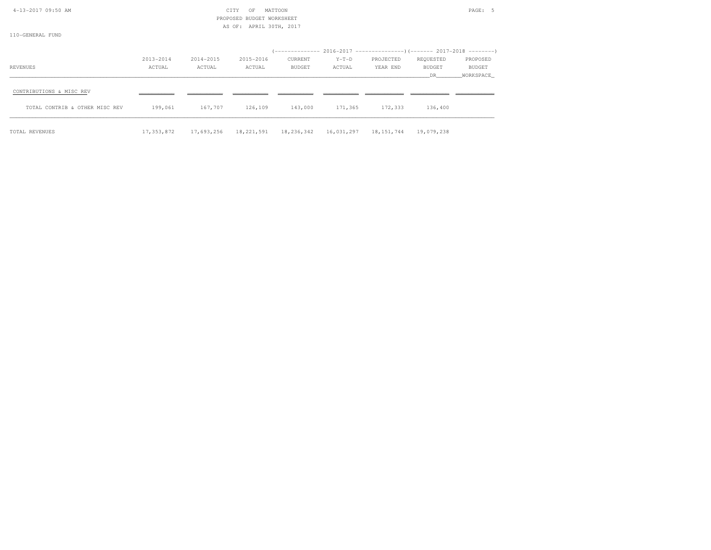| 4-13-2017 09:50 AM<br>110-GENERAL FUND |            |           | CITY<br>OF<br>BUDGET WORKSHEET<br>PROPOSED<br>AS OF: APRIL 30TH, 2017 | MATTOON       |                       |           |               | PAGE: 5   |
|----------------------------------------|------------|-----------|-----------------------------------------------------------------------|---------------|-----------------------|-----------|---------------|-----------|
|                                        |            |           |                                                                       |               |                       |           |               |           |
|                                        | 2013-2014  | 2014-2015 | 2015-2016                                                             | CURRENT       | $Y-T-D$               | PROJECTED | REQUESTED     | PROPOSED  |
| REVENUES                               | ACTUAL     | ACTUAL    | ACTUAL                                                                | <b>BUDGET</b> | ACTUAL                | YEAR END  | <b>BUDGET</b> | BUDGET    |
|                                        |            |           |                                                                       |               |                       |           | DR.           | WORKSPACE |
| CONTRIBUTIONS & MISC REV               |            |           |                                                                       |               |                       |           |               |           |
| TOTAL CONTRIB & OTHER MISC REV         | 199,061    | 167,707   | 126,109                                                               | 143,000       | 171,365               | 172,333   | 136,400       |           |
| TOTAL REVENUES                         | 17,353,872 |           | 17,693,256 18,221,591                                                 | 18,236,342    | 16,031,297 18,151,744 |           | 19,079,238    |           |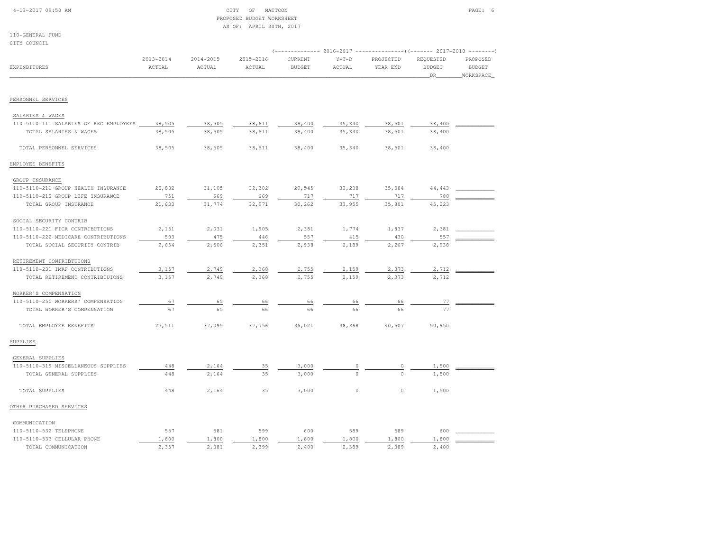#### $\begin{array}{ccc} \text{CITY} & \text{OF} & \text{MATION} \end{array}$  PROPOSED BUDGET WORKSHEETAS OF: APRIL 30TH, 2017

| CITY COUNCIL                           |                         |                         |                     |                          |                   |                                                                                          |                                   |                                                             |
|----------------------------------------|-------------------------|-------------------------|---------------------|--------------------------|-------------------|------------------------------------------------------------------------------------------|-----------------------------------|-------------------------------------------------------------|
| EXPENDITURES                           | $2013 - 2014$<br>ACTUAL | $2014 - 2015$<br>ACTUAL | 2015-2016<br>ACTUAL | CURRENT<br><b>BUDGET</b> | $Y-T-D$<br>ACTUAL | ------------- 2016-2017 -------------------- (------- 2017-2018<br>PROJECTED<br>YEAR END | REQUESTED<br><b>BUDGET</b><br>DR_ | $- - - - - - - -$<br>PROPOSED<br><b>BUDGET</b><br>WORKSPACE |
|                                        |                         |                         |                     |                          |                   |                                                                                          |                                   |                                                             |
| PERSONNEL SERVICES                     |                         |                         |                     |                          |                   |                                                                                          |                                   |                                                             |
| SALARIES & WAGES                       |                         |                         |                     |                          |                   |                                                                                          |                                   |                                                             |
| 110-5110-111 SALARIES OF REG EMPLOYEES | 38,505                  | 38,505                  | 38,611              | 38,400                   | 35,340            | 38,501                                                                                   | 38,400                            |                                                             |
| TOTAL SALARIES & WAGES                 | 38,505                  | 38,505                  | 38,611              | 38,400                   | 35,340            | 38,501                                                                                   | 38,400                            |                                                             |
| TOTAL PERSONNEL SERVICES               | 38,505                  | 38,505                  | 38,611              | 38,400                   | 35,340            | 38,501                                                                                   | 38,400                            |                                                             |
| EMPLOYEE BENEFITS                      |                         |                         |                     |                          |                   |                                                                                          |                                   |                                                             |
| GROUP INSURANCE                        |                         |                         |                     |                          |                   |                                                                                          |                                   |                                                             |
| 110-5110-211 GROUP HEALTH INSURANCE    | 20,882                  | 31,105                  | 32,302              | 29,545                   | 33,238            | 35,084                                                                                   | 44,443                            |                                                             |
| 110-5110-212 GROUP LIFE INSURANCE      | 751                     | 669                     | 669                 | 717                      | 717               | 717                                                                                      | 780                               |                                                             |
| TOTAL GROUP INSURANCE                  | 21,633                  | 31,774                  | 32,971              | 30,262                   | 33,955            | 35,801                                                                                   | 45,223                            |                                                             |
| SOCIAL SECURITY CONTRIB                |                         |                         |                     |                          |                   |                                                                                          |                                   |                                                             |
| 110-5110-221 FICA CONTRIBUTIONS        | 2,151                   | 2,031                   | 1,905               | 2,381                    | 1,774             | 1,837                                                                                    | 2,381                             |                                                             |
| 110-5110-222 MEDICARE CONTRIBUTIONS    | 503                     | 475                     | 446                 | 557                      | 415               | 430                                                                                      | 557                               |                                                             |
| TOTAL SOCIAL SECURITY CONTRIB          | 2,654                   | 2,506                   | 2,351               | 2,938                    | 2,189             | 2,267                                                                                    | 2,938                             |                                                             |
| RETIREMENT CONTRIBTUIONS               |                         |                         |                     |                          |                   |                                                                                          |                                   |                                                             |
| 110-5110-231 IMRF CONTRIBUTIONS        | 3,157                   | 2,749                   | 2,368               | 2,755                    | 2,159             | 2,373                                                                                    | 2,712                             |                                                             |
| TOTAL RETIREMENT CONTRIBTUIONS         | 3,157                   | 2,749                   | 2,368               | 2,755                    | 2,159             | 2,373                                                                                    | 2,712                             |                                                             |
| WORKER'S COMPENSATION                  |                         |                         |                     |                          |                   |                                                                                          |                                   |                                                             |
| 110-5110-250 WORKERS' COMPENSATION     | 67                      | 65                      | 66                  | 66                       | 66                | 66                                                                                       | 77                                |                                                             |
| TOTAL WORKER'S COMPENSATION            | 67                      | 65                      | 66                  | 66                       | 66                | 66                                                                                       | 77                                |                                                             |
| TOTAL EMPLOYEE BENEFITS                | 27,511                  | 37,095                  | 37,756              | 36,021                   | 38,368            | 40,507                                                                                   | 50,950                            |                                                             |
| SUPPLIES                               |                         |                         |                     |                          |                   |                                                                                          |                                   |                                                             |
| GENERAL SUPPLIES                       |                         |                         |                     |                          |                   |                                                                                          |                                   |                                                             |
| 110-5110-319 MISCELLANEOUS SUPPLIES    | 448                     | 2,164                   | 35                  | 3,000                    | 0                 | 0                                                                                        | 1,500                             |                                                             |
| TOTAL GENERAL SUPPLIES                 | 448                     | 2,164                   | 35                  | 3,000                    | $\circ$           | $\Omega$                                                                                 | 1,500                             |                                                             |
| TOTAL SUPPLIES                         | 448                     | 2,164                   | 35                  | 3,000                    | $\circ$           | $\circ$                                                                                  | 1,500                             |                                                             |
| OTHER PURCHASED SERVICES               |                         |                         |                     |                          |                   |                                                                                          |                                   |                                                             |
| COMMUNICATION                          |                         |                         |                     |                          |                   |                                                                                          |                                   |                                                             |
| 110-5110-532 TELEPHONE                 | 557                     | 581                     | 599                 | 600                      | 589               | 589                                                                                      | 600                               |                                                             |
| 110-5110-533 CELLULAR PHONE            | 1,800                   | 1,800                   | 1,800               | 1,800                    | 1,800             | 1,800                                                                                    | 1,800                             |                                                             |
| TOTAL COMMUNICATION                    | 2,357                   | 2,381                   | 2,399               | 2,400                    | 2,389             | 2,389                                                                                    | 2,400                             |                                                             |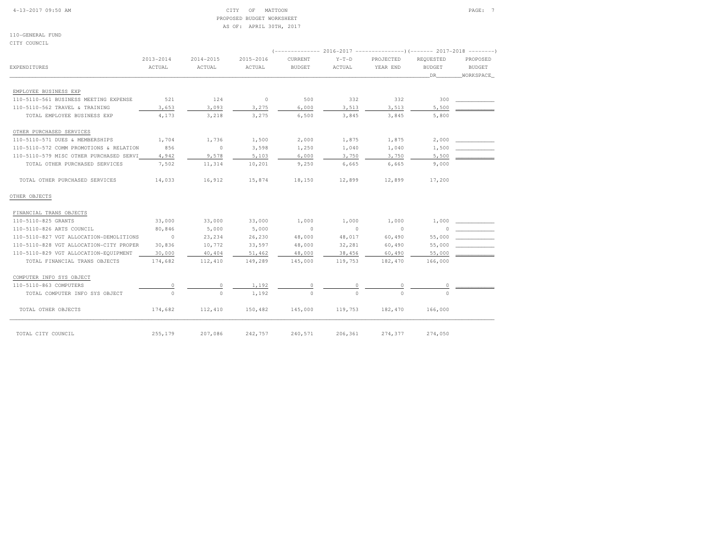### 4-13-2017 09:50 AM CITY OF MATTOON PAGE: 7 PROPOSED BUDGET WORKSHEETAS OF: APRIL 30TH, 2017

110-GENERAL FUNDCITY COUNCIL

|                                         |               |                          |           | (-------------- 2016-2017 --------------------- 2017-2018 --------- |          |           |               |               |
|-----------------------------------------|---------------|--------------------------|-----------|---------------------------------------------------------------------|----------|-----------|---------------|---------------|
|                                         | $2013 - 2014$ | 2014-2015                | 2015-2016 | CURRENT                                                             | $Y-T-D$  | PROJECTED | REOUESTED     | PROPOSED      |
| <b>EXPENDITURES</b>                     | ACTUAL        | ACTUAL                   | ACTUAL    | <b>BUDGET</b>                                                       | ACTUAL   | YEAR END  | <b>BUDGET</b> | <b>BUDGET</b> |
|                                         |               |                          |           |                                                                     |          |           | DR            | WORKSPACE     |
| EMPLOYEE BUSINESS EXP                   |               |                          |           |                                                                     |          |           |               |               |
| 110-5110-561 BUSINESS MEETING EXPENSE   | 521           | 124                      | $\sim$ 0  | 500                                                                 | 332      | 332       | 300           |               |
| 110-5110-562 TRAVEL & TRAINING          | 3,653         | 3,093                    | 3,275     | 6,000                                                               | 3,513    | 3,513     | 5,500         |               |
| TOTAL EMPLOYEE BUSINESS EXP             | 4,173         | 3,218                    | 3,275     | 6,500                                                               | 3,845    | 3,845     | 5,800         |               |
| OTHER PURCHASED SERVICES                |               |                          |           |                                                                     |          |           |               |               |
| 110-5110-571 DUES & MEMBERSHIPS         | 1,704         | 1,736                    | 1,500     | 2,000                                                               | 1,875    | 1,875     | 2,000         |               |
| 110-5110-572 COMM PROMOTIONS & RELATION | 856           | $\overline{\phantom{0}}$ | 3,598     | 1,250                                                               | 1,040    | 1,040     | 1,500         |               |
| 110-5110-579 MISC OTHER PURCHASED SERVI | 4,942         | 9,578                    | 5,103     | 6,000                                                               | 3,750    | 3,750     | 5,500         |               |
| TOTAL OTHER PURCHASED SERVICES          | 7,502         | 11,314                   | 10,201    | 9,250                                                               | 6,665    | 6,665     | 9,000         |               |
| TOTAL OTHER PURCHASED SERVICES          | 14,033        | 16,912                   | 15,874    | 18,150                                                              | 12,899   | 12,899    | 17,200        |               |
| OTHER OBJECTS                           |               |                          |           |                                                                     |          |           |               |               |
| FINANCIAL TRANS OBJECTS                 |               |                          |           |                                                                     |          |           |               |               |
| 110-5110-825 GRANTS                     | 33,000        | 33,000                   | 33,000    | 1,000                                                               | 1,000    | 1,000     | 1,000         |               |
| 110-5110-826 ARTS COUNCIL               | 80,846        | 5,000                    | 5,000     | $\sim$ 0                                                            | $\sim$ 0 | $\sim$ 0  | 0             |               |
| 110-5110-827 VGT ALLOCATION-DEMOLITIONS | $\sim$ 0      | 23, 234                  | 26,230    | 48,000                                                              | 48,017   | 60,490    | 55,000        |               |
| 110-5110-828 VGT ALLOCATION-CITY PROPER | 30,836        | 10,772                   | 33,597    | 48,000                                                              | 32,281   | 60,490    | 55,000        |               |
| 110-5110-829 VGT ALLOCATION-EQUIPMENT   | 30,000        | 40,404                   | 51,462    | 48,000                                                              | 38,456   | 60,490    | 55,000        |               |
| TOTAL FINANCIAL TRANS OBJECTS           | 174,682       | 112,410                  | 149,289   | 145,000                                                             | 119,753  | 182,470   | 166,000       |               |
| COMPUTER INFO SYS OBJECT                |               |                          |           |                                                                     |          |           |               |               |
| 110-5110-863 COMPUTERS                  | 0             | $\circ$                  | 1,192     | $\circ$                                                             | 0        | $\circ$   | 0             |               |
| TOTAL COMPUTER INFO SYS OBJECT          | $\circ$       | $\circ$                  | 1,192     | $\Omega$                                                            | $\cap$   |           |               |               |
| TOTAL OTHER OBJECTS                     | 174,682       | 112,410                  | 150,482   | 145,000                                                             | 119,753  | 182,470   | 166,000       |               |
| TOTAL CITY COUNCIL                      | 255,179       | 207,086                  | 242,757   | 240,571                                                             | 206,361  | 274,377   | 274,050       |               |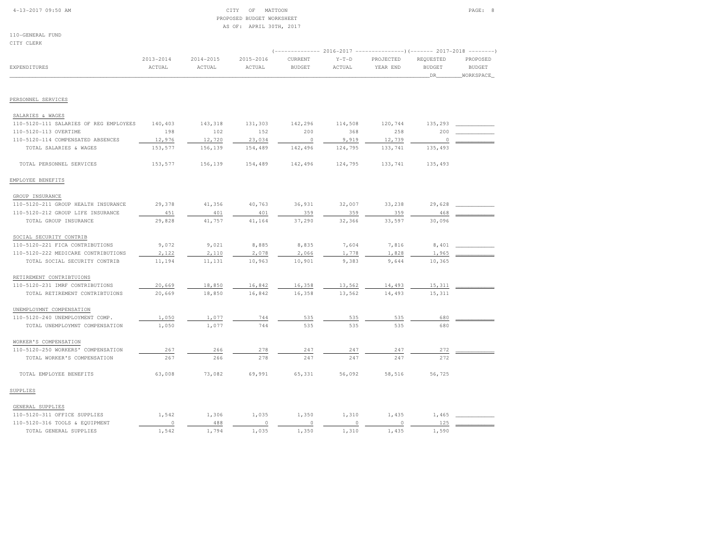# 4-13-2017 09:50 AM CITY OF MATTOON PAGE: 8 PROPOSED BUDGET WORKSHEETAS OF: APRIL 30TH, 2017

|                                        | $2013 - 2014$ | $2014 - 2015$ | 2015-2016 | (------------- 2016-2017 --------------------- 2017-2018 ----------<br>CURRENT | $Y-T-D$ | PROJECTED | REQUESTED     | PROPOSED      |
|----------------------------------------|---------------|---------------|-----------|--------------------------------------------------------------------------------|---------|-----------|---------------|---------------|
| <b>EXPENDITURES</b>                    | ACTUAL        | ACTUAL        | ACTUAL    | <b>BUDGET</b>                                                                  | ACTUAL  | YEAR END  | <b>BUDGET</b> | <b>BUDGET</b> |
|                                        |               |               |           |                                                                                |         |           | DR            | WORKSPACE     |
|                                        |               |               |           |                                                                                |         |           |               |               |
| PERSONNEL SERVICES                     |               |               |           |                                                                                |         |           |               |               |
| SALARIES & WAGES                       |               |               |           |                                                                                |         |           |               |               |
| 110-5120-111 SALARIES OF REG EMPLOYEES | 140,403       | 143,318       | 131,303   | 142,296                                                                        | 114,508 | 120,744   | 135,293       |               |
| 110-5120-113 OVERTIME                  | 198           | 102           | 152       | 200                                                                            | 368     | 258       | 200           |               |
| 110-5120-114 COMPENSATED ABSENCES      | 12,976        | 12,720        | 23,034    | $\circ$                                                                        | 9,919   | 12,739    | $\circ$       |               |
| TOTAL SALARIES & WAGES                 | 153,577       | 156,139       | 154,489   | 142,496                                                                        | 124,795 | 133,741   | 135,493       |               |
| TOTAL PERSONNEL SERVICES               | 153,577       | 156,139       | 154,489   | 142,496                                                                        | 124,795 | 133,741   | 135,493       |               |
| EMPLOYEE BENEFITS                      |               |               |           |                                                                                |         |           |               |               |
| GROUP INSURANCE                        |               |               |           |                                                                                |         |           |               |               |
| 110-5120-211 GROUP HEALTH INSURANCE    | 29,378        | 41,356        | 40,763    | 36,931                                                                         | 32,007  | 33,238    | 29,628        |               |
| 110-5120-212 GROUP LIFE INSURANCE      | 451           | 401           | 401       | 359                                                                            | 359     | 359       | 468           |               |
| TOTAL GROUP INSURANCE                  | 29,828        | 41,757        | 41,164    | 37,290                                                                         | 32,366  | 33,597    | 30,096        |               |
| SOCIAL SECURITY CONTRIB                |               |               |           |                                                                                |         |           |               |               |
| 110-5120-221 FICA CONTRIBUTIONS        | 9,072         | 9,021         | 8,885     | 8,835                                                                          | 7,604   | 7,816     | 8,401         |               |
| 110-5120-222 MEDICARE CONTRIBUTIONS    | 2,122         | 2,110         | 2,078     | 2,066                                                                          | 1,778   | 1,828     | 1,965         |               |
| TOTAL SOCIAL SECURITY CONTRIB          | 11,194        | 11,131        | 10,963    | 10,901                                                                         | 9,383   | 9,644     | 10,365        |               |
| RETIREMENT CONTRIBTUIONS               |               |               |           |                                                                                |         |           |               |               |
| 110-5120-231 IMRF CONTRIBUTIONS        | 20,669        | 18,850        | 16,842    | 16,358                                                                         | 13,562  | 14,493    | 15,311        |               |
| TOTAL RETIREMENT CONTRIBTUIONS         | 20,669        | 18,850        | 16,842    | 16,358                                                                         | 13,562  | 14,493    | 15,311        |               |
| UNEMPLOYMNT COMPENSATION               |               |               |           |                                                                                |         |           |               |               |
| 110-5120-240 UNEMPLOYMENT COMP.        | 1,050         | 1,077         | 744       | 535                                                                            | 535     | 535       | 680           |               |
| TOTAL UNEMPLOYMNT COMPENSATION         | 1,050         | 1,077         | 744       | 535                                                                            | 535     | 535       | 680           |               |
| WORKER'S COMPENSATION                  |               |               |           |                                                                                |         |           |               |               |
| 110-5120-250 WORKERS' COMPENSATION     | 267           | 266           | 278       | 247                                                                            | 247     | 247       | 272           |               |
| TOTAL WORKER'S COMPENSATION            | 267           | 266           | 278       | 247                                                                            | 247     | 247       | 272           |               |
| TOTAL EMPLOYEE BENEFITS                | 63,008        | 73,082        | 69,991    | 65,331                                                                         | 56,092  | 58,516    | 56,725        |               |
| SUPPLIES                               |               |               |           |                                                                                |         |           |               |               |
| GENERAL SUPPLIES                       |               |               |           |                                                                                |         |           |               |               |
| 110-5120-311 OFFICE SUPPLIES           | 1,542         | 1,306         | 1,035     | 1,350                                                                          | 1,310   | 1,435     | 1,465         |               |
| 110-5120-316 TOOLS & EQUIPMENT         | 0             | 488           | $\circ$   | $\circ$                                                                        | $\circ$ | $\circ$   | 125           |               |
| TOTAL GENERAL SUPPLIES                 | 1,542         | 1,794         | 1,035     | 1,350                                                                          | 1,310   | 1,435     | 1,590         |               |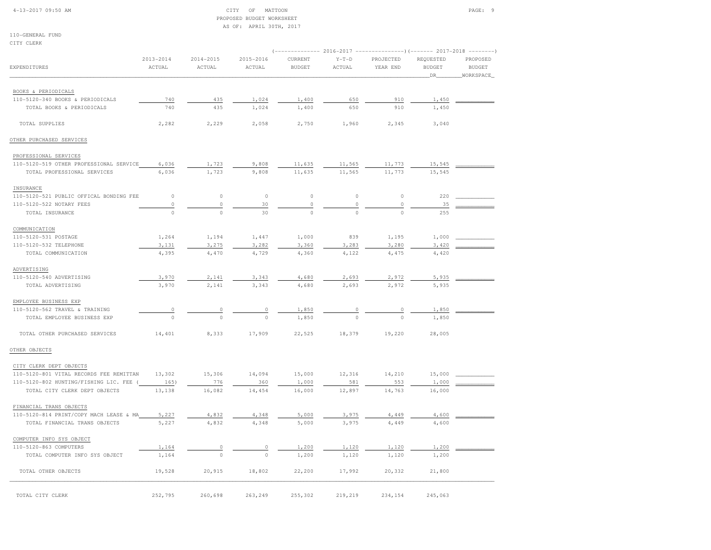#### 4-13-2017 09:50 AM CITY OF MATTOON PAGE: 9 PROPOSED BUDGET WORKSHEETAS OF: APRIL 30TH, 2017

| CITY CLERK                              |                         |                         |                         |                          |                   |                                                                                        |                                   | $-- - - - - - -$                       |
|-----------------------------------------|-------------------------|-------------------------|-------------------------|--------------------------|-------------------|----------------------------------------------------------------------------------------|-----------------------------------|----------------------------------------|
| <b>EXPENDITURES</b>                     | $2013 - 2014$<br>ACTUAL | $2014 - 2015$<br>ACTUAL | $2015 - 2016$<br>ACTUAL | CURRENT<br><b>BUDGET</b> | $Y-T-D$<br>ACTUAL | (------------- 2016-2017 ----------------) (------- 2017-2018<br>PROJECTED<br>YEAR END | REQUESTED<br><b>BUDGET</b><br>DR. | PROPOSED<br><b>BUDGET</b><br>WORKSPACE |
| BOOKS & PERIODICALS                     |                         |                         |                         |                          |                   |                                                                                        |                                   |                                        |
| 110-5120-340 BOOKS & PERIODICALS        | 740                     | 435                     | 1,024                   | 1,400                    | 650               | 910                                                                                    | 1,450                             |                                        |
| TOTAL BOOKS & PERIODICALS               | 740                     | 435                     | 1,024                   | 1,400                    | 650               | 910                                                                                    | 1,450                             |                                        |
| TOTAL SUPPLIES                          | 2,282                   | 2,229                   | 2,058                   | 2,750                    | 1,960             | 2,345                                                                                  | 3,040                             |                                        |
| OTHER PURCHASED SERVICES                |                         |                         |                         |                          |                   |                                                                                        |                                   |                                        |
| PROFESSIONAL SERVICES                   |                         |                         |                         |                          |                   |                                                                                        |                                   |                                        |
| 110-5120-519 OTHER PROFESSIONAL SERVICE | 6,036                   | 1,723                   | 9,808                   | 11,635                   | 11,565            | 11,773                                                                                 | 15,545                            |                                        |
| TOTAL PROFESSIONAL SERVICES             | 6,036                   | 1,723                   | 9,808                   | 11,635                   | 11,565            | 11,773                                                                                 | 15,545                            |                                        |
| INSURANCE                               |                         |                         |                         |                          |                   |                                                                                        |                                   |                                        |
| 110-5120-521 PUBLIC OFFICAL BONDING FEE | $\circ$                 | $\circ$                 | $\circ$                 | $\mathbb O$              | $\circ$           | $\circ$                                                                                | 220                               |                                        |
| 110-5120-522 NOTARY FEES                | $\circ$                 | $\circ$                 | 30                      | $\circ$                  | $\circ$           | $\circ$                                                                                | 35                                |                                        |
| TOTAL INSURANCE                         | $\circ$                 | $\circ$                 | 30                      | $\circ$                  | $\circ$           | $\circ$                                                                                | 255                               |                                        |
| COMMUNICATION                           |                         |                         |                         |                          |                   |                                                                                        |                                   |                                        |
| 110-5120-531 POSTAGE                    | 1,264                   | 1,194                   | 1,447                   | 1,000                    | 839               | 1,195                                                                                  | 1,000                             |                                        |
| 110-5120-532 TELEPHONE                  | 3,131                   | 3,275                   | 3,282                   | 3,360                    | 3,283             | 3,280                                                                                  | 3,420                             |                                        |
| TOTAL COMMUNICATION                     | 4,395                   | 4,470                   | 4,729                   | 4,360                    | 4,122             | 4,475                                                                                  | 4,420                             |                                        |
| ADVERTISING                             |                         |                         |                         |                          |                   |                                                                                        |                                   |                                        |
| 110-5120-540 ADVERTISING                | 3,970                   | 2,141                   | 3,343                   | 4,680                    | 2,693             | 2,972                                                                                  | 5,935                             |                                        |
| TOTAL ADVERTISING                       | 3,970                   | 2,141                   | 3,343                   | 4,680                    | 2,693             | 2,972                                                                                  | 5,935                             |                                        |
| EMPLOYEE BUSINESS EXP                   |                         |                         |                         |                          |                   |                                                                                        |                                   |                                        |
| 110-5120-562 TRAVEL & TRAINING          | $\mathbb O$             | $\mathbb O$             | $\circ$                 | 1,850                    | $\overline{0}$    | $\circ$                                                                                | 1,850                             |                                        |
| TOTAL EMPLOYEE BUSINESS EXP             | $\Omega$                | $\theta$                | $\Omega$                | 1,850                    | $\Omega$          | $\Omega$                                                                               | 1,850                             |                                        |
| TOTAL OTHER PURCHASED SERVICES          | 14,401                  | 8,333                   | 17,909                  | 22,525                   | 18,379            | 19,220                                                                                 | 28,005                            |                                        |
| OTHER OBJECTS                           |                         |                         |                         |                          |                   |                                                                                        |                                   |                                        |
| CITY CLERK DEPT OBJECTS                 |                         |                         |                         |                          |                   |                                                                                        |                                   |                                        |
| 110-5120-801 VITAL RECORDS FEE REMITTAN | 13,302                  | 15,306                  | 14,094                  | 15,000                   | 12,316            | 14,210                                                                                 | 15,000                            |                                        |
| 110-5120-802 HUNTING/FISHING LIC. FEE   | 165)                    | 776                     | 360                     | 1,000                    | 581               | 553                                                                                    | 1,000                             |                                        |
| TOTAL CITY CLERK DEPT OBJECTS           | 13,138                  | 16,082                  | 14,454                  | 16,000                   | 12,897            | 14,763                                                                                 | 16,000                            |                                        |
| FINANCIAL TRANS OBJECTS                 |                         |                         |                         |                          |                   |                                                                                        |                                   |                                        |
| 110-5120-814 PRINT/COPY MACH LEASE & MA | 5,227                   | 4,832                   | 4,348                   | 5,000                    | 3,975             | 4,449                                                                                  | 4,600                             |                                        |
| TOTAL FINANCIAL TRANS OBJECTS           | 5,227                   | 4,832                   | 4,348                   | 5,000                    | 3,975             | 4,449                                                                                  | 4,600                             |                                        |
| COMPUTER INFO SYS OBJECT                |                         |                         |                         |                          |                   |                                                                                        |                                   |                                        |
| 110-5120-863 COMPUTERS                  | 1,164                   | $\circ$                 | $\circ$                 | 1,200                    | 1,120             | 1,120                                                                                  | 1,200                             |                                        |
| TOTAL COMPUTER INFO SYS OBJECT          | 1,164                   | $\mathbf{0}$            | $\Omega$                | 1,200                    | 1,120             | 1,120                                                                                  | 1,200                             |                                        |
| TOTAL OTHER OBJECTS                     | 19,528                  | 20,915                  | 18,802                  | 22,200                   | 17,992            | 20,332                                                                                 | 21,800                            |                                        |
| TOTAL CITY CLERK                        | 252,795                 | 260,698                 | 263,249                 | 255,302                  | 219,219           | 234,154                                                                                | 245,063                           |                                        |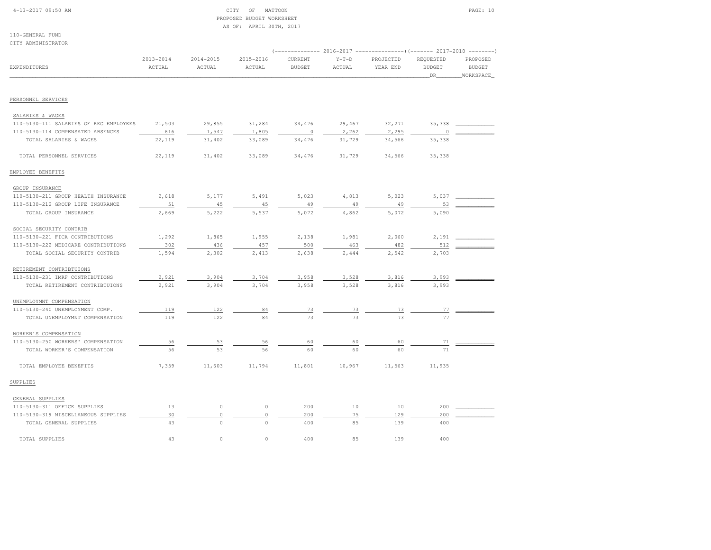| 4-13-2017 09:50 AM |  |  |  |  |  |
|--------------------|--|--|--|--|--|
|--------------------|--|--|--|--|--|

#### $\begin{array}{ccc} \text{CITY} & \text{OF} & \text{MATION} \end{array}$  PROPOSED BUDGET WORKSHEETAS OF: APRIL 30TH, 2017

110-GENERAL FUNDCITY ADMINISTRATOR

| GIII ADMINISIMATOM                     |                         |                         |                     |                          |                   | (------------- 2016-2017 ----------------) (------- 2017-2018 -------- |                                   |                                        |
|----------------------------------------|-------------------------|-------------------------|---------------------|--------------------------|-------------------|------------------------------------------------------------------------|-----------------------------------|----------------------------------------|
| <b>EXPENDITURES</b>                    | $2013 - 2014$<br>ACTUAL | $2014 - 2015$<br>ACTUAL | 2015-2016<br>ACTUAL | CURRENT<br><b>BUDGET</b> | $Y-T-D$<br>ACTUAL | PROJECTED<br>YEAR END                                                  | REQUESTED<br><b>BUDGET</b><br>DR_ | PROPOSED<br><b>BUDGET</b><br>WORKSPACE |
| PERSONNEL SERVICES                     |                         |                         |                     |                          |                   |                                                                        |                                   |                                        |
|                                        |                         |                         |                     |                          |                   |                                                                        |                                   |                                        |
| SALARIES & WAGES                       |                         |                         |                     |                          |                   |                                                                        |                                   |                                        |
| 110-5130-111 SALARIES OF REG EMPLOYEES | 21,503                  | 29,855                  | 31,284              | 34,476                   | 29,467            | 32,271                                                                 | 35,338                            |                                        |
| 110-5130-114 COMPENSATED ABSENCES      | 616                     | 1,547                   | 1,805               | $\circ$                  | 2,262             | 2,295                                                                  | $\Omega$                          |                                        |
| TOTAL SALARIES & WAGES                 | 22,119                  | 31,402                  | 33,089              | 34,476                   | 31,729            | 34,566                                                                 | 35,338                            |                                        |
| TOTAL PERSONNEL SERVICES               | 22,119                  | 31,402                  | 33,089              | 34,476                   | 31,729            | 34,566                                                                 | 35,338                            |                                        |
| EMPLOYEE BENEFITS                      |                         |                         |                     |                          |                   |                                                                        |                                   |                                        |
| GROUP INSURANCE                        |                         |                         |                     |                          |                   |                                                                        |                                   |                                        |
| 110-5130-211 GROUP HEALTH INSURANCE    | 2,618                   | 5,177                   | 5,491               | 5,023                    | 4,813             | 5,023                                                                  | 5,037                             |                                        |
| 110-5130-212 GROUP LIFE INSURANCE      | 51                      | 45                      | 45                  | 49                       | 49                | 49                                                                     | 53                                |                                        |
| TOTAL GROUP INSURANCE                  | 2,669                   | 5,222                   | 5,537               | 5,072                    | 4,862             | 5,072                                                                  | 5,090                             |                                        |
| SOCIAL SECURITY CONTRIB                |                         |                         |                     |                          |                   |                                                                        |                                   |                                        |
| 110-5130-221 FICA CONTRIBUTIONS        | 1,292                   | 1,865                   | 1,955               | 2,138                    | 1,981             | 2,060                                                                  | 2,191                             |                                        |
| 110-5130-222 MEDICARE CONTRIBUTIONS    | 302                     | 436                     | 457                 | 500                      | 463               | 482                                                                    | 512                               |                                        |
| TOTAL SOCIAL SECURITY CONTRIB          | 1,594                   | 2,302                   | 2,413               | 2,638                    | 2,444             | 2,542                                                                  | 2,703                             |                                        |
| RETIREMENT CONTRIBTUIONS               |                         |                         |                     |                          |                   |                                                                        |                                   |                                        |
| 110-5130-231 IMRF CONTRIBUTIONS        | 2,921                   | 3,904                   | 3,704               | 3,958                    | 3,528             | 3,816                                                                  | 3,993                             |                                        |
| TOTAL RETIREMENT CONTRIBTUIONS         | 2,921                   | 3,904                   | 3,704               | 3,958                    | 3,528             | 3,816                                                                  | 3,993                             |                                        |
| UNEMPLOYMNT COMPENSATION               |                         |                         |                     |                          |                   |                                                                        |                                   |                                        |
| 110-5130-240 UNEMPLOYMENT COMP.        | 119                     | 122                     | 84                  | 73                       | 73                | 73                                                                     | 77                                |                                        |
| TOTAL UNEMPLOYMNT COMPENSATION         | 119                     | 122                     | 84                  | 73                       | 73                | 73                                                                     | 77                                |                                        |
| WORKER'S COMPENSATION                  |                         |                         |                     |                          |                   |                                                                        |                                   |                                        |
| 110-5130-250 WORKERS' COMPENSATION     | 56                      | 53                      | 56                  | 60                       | 60                | 60                                                                     | 71                                |                                        |
| TOTAL WORKER'S COMPENSATION            | 56                      | 53                      | 56                  | 60                       | 60                | 60                                                                     | 71                                |                                        |
| TOTAL EMPLOYEE BENEFITS                | 7,359                   | 11,603                  | 11,794              | 11,801                   | 10,967            | 11,563                                                                 | 11,935                            |                                        |
| SUPPLIES                               |                         |                         |                     |                          |                   |                                                                        |                                   |                                        |
| GENERAL SUPPLIES                       |                         |                         |                     |                          |                   |                                                                        |                                   |                                        |
| 110-5130-311 OFFICE SUPPLIES           | 13                      | $\circ$                 | $\mathbb O$         | 200                      | 10                | 10                                                                     | 200                               |                                        |
| 110-5130-319 MISCELLANEOUS SUPPLIES    | 30                      | $\circ$                 | 0                   | 200                      | 75                | 129                                                                    | 200                               |                                        |
| TOTAL GENERAL SUPPLIES                 | 43                      | $\Omega$                | $\cap$              | 400                      | 85                | 139                                                                    | 400                               |                                        |
| TOTAL SUPPLIES                         | 43                      | $\mathbb O$             | $\circ$             | 400                      | 85                | 139                                                                    | 400                               |                                        |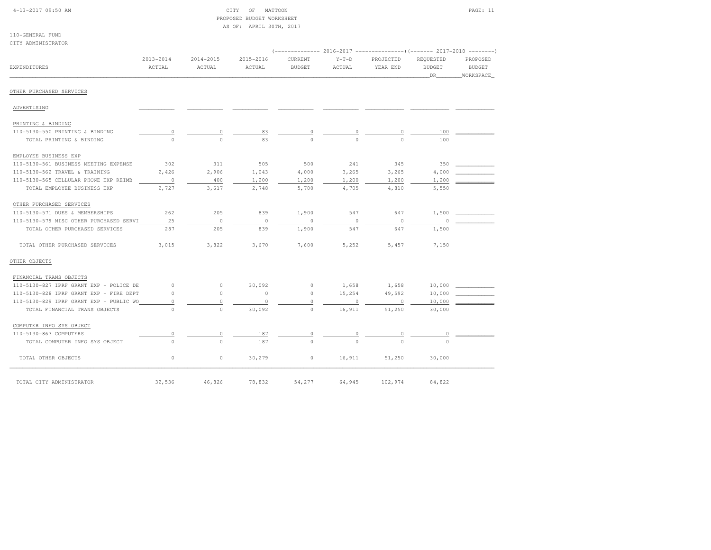| $4-13-2017$ 09:50 AM |  |  |
|----------------------|--|--|

110-GENERAL FUND

# CITY OF MATTOON PAGE: 11 PROPOSED BUDGET WORKSHEETAS OF: APRIL 30TH, 2017

| CITY ADMINISTRATOR                      |                         |                         |                         |                          |                   |                                                                                                            |                                  |                                        |
|-----------------------------------------|-------------------------|-------------------------|-------------------------|--------------------------|-------------------|------------------------------------------------------------------------------------------------------------|----------------------------------|----------------------------------------|
| <b>EXPENDITURES</b>                     | $2013 - 2014$<br>ACTUAL | $2014 - 2015$<br>ACTUAL | $2015 - 2016$<br>ACTUAL | CURRENT<br><b>BUDGET</b> | $Y-T-D$<br>ACTUAL | -------------        2016-2017 ----------------------        2017-2018 ----------<br>PROJECTED<br>YEAR END | REQUESTED<br><b>BUDGET</b><br>DR | PROPOSED<br><b>BUDGET</b><br>WORKSPACE |
| OTHER PURCHASED SERVICES                |                         |                         |                         |                          |                   |                                                                                                            |                                  |                                        |
| ADVERTISING                             |                         |                         |                         |                          |                   |                                                                                                            |                                  |                                        |
| PRINTING & BINDING                      |                         |                         |                         |                          |                   |                                                                                                            |                                  |                                        |
| 110-5130-550 PRINTING & BINDING         | $\Omega$                |                         | 83                      |                          |                   | 0                                                                                                          | 100                              |                                        |
| TOTAL PRINTING & BINDING                | $\cap$                  | $\Omega$                | 83                      | $\cap$                   |                   | $\Omega$                                                                                                   | 100                              |                                        |
| EMPLOYEE BUSINESS EXP                   |                         |                         |                         |                          |                   |                                                                                                            |                                  |                                        |
| 110-5130-561 BUSINESS MEETING EXPENSE   | 302                     | 311                     | 505                     | 500                      | 241               | 345                                                                                                        | 350                              |                                        |
| 110-5130-562 TRAVEL & TRAINING          | 2,426                   | 2,906                   | 1,043                   | 4,000                    | 3,265             | 3,265                                                                                                      | 4,000                            |                                        |
| 110-5130-565 CELLULAR PHONE EXP REIMB   | $\circ$                 | 400                     | 1,200                   | 1,200                    | 1,200             | 1,200                                                                                                      | 1,200                            |                                        |
| TOTAL EMPLOYEE BUSINESS EXP             | 2,727                   | 3,617                   | 2,748                   | 5,700                    | 4,705             | 4,810                                                                                                      | 5,550                            |                                        |
| OTHER PURCHASED SERVICES                |                         |                         |                         |                          |                   |                                                                                                            |                                  |                                        |
| 110-5130-571 DUES & MEMBERSHIPS         | 262                     | 205                     | 839                     | 1,900                    | 547               | 647                                                                                                        | 1,500                            |                                        |
| 110-5130-579 MISC OTHER PURCHASED SERVI | 25                      | $\overline{0}$          | $\circ$                 | $\Omega$                 | $\circ$           | $\circ$                                                                                                    | $\circ$                          |                                        |
| TOTAL OTHER PURCHASED SERVICES          | 287                     | 205                     | 839                     | 1,900                    | 547               | 647                                                                                                        | 1,500                            |                                        |
| TOTAL OTHER PURCHASED SERVICES          | 3,015                   | 3,822                   | 3,670                   | 7,600                    | 5,252             | 5,457                                                                                                      | 7,150                            |                                        |
| OTHER OBJECTS                           |                         |                         |                         |                          |                   |                                                                                                            |                                  |                                        |
| FINANCIAL TRANS OBJECTS                 |                         |                         |                         |                          |                   |                                                                                                            |                                  |                                        |
| 110-5130-827 IPRF GRANT EXP - POLICE DE | $\circ$                 | $\circ$                 | 30,092                  | $\circ$                  | 1,658             | 1,658                                                                                                      | 10,000                           |                                        |
| 110-5130-828 IPRF GRANT EXP - FIRE DEPT | $\circ$                 | $\circ$                 | $\circ$                 | $\circ$                  | 15,254            | 49,592                                                                                                     | 10,000                           |                                        |
| 110-5130-829 IPRF GRANT EXP - PUBLIC WO | $\circ$                 | $\circ$                 | $\circ$                 | $\circ$                  | $\circ$           | $\circ$                                                                                                    | 10,000                           |                                        |
| TOTAL FINANCIAL TRANS OBJECTS           | $\Omega$                | $\Omega$                | 30,092                  | $\Omega$                 | 16,911            | 51,250                                                                                                     | 30,000                           |                                        |
| COMPUTER INFO SYS OBJECT                |                         |                         |                         |                          |                   |                                                                                                            |                                  |                                        |
| 110-5130-863 COMPUTERS                  | $\circ$                 | $\Omega$                | 187                     |                          |                   |                                                                                                            |                                  |                                        |
| TOTAL COMPUTER INFO SYS OBJECT          | $\circ$                 | $\Omega$                | 187                     | $\Omega$                 |                   |                                                                                                            |                                  |                                        |
| TOTAL OTHER OBJECTS                     | $\circ$                 | 0                       | 30,279                  | $\circ$                  | 16,911            | 51,250                                                                                                     | 30,000                           |                                        |
| TOTAL CITY ADMINISTRATOR                | 32,536                  | 46,826                  | 78,832                  | 54,277                   | 64,945            | 102,974                                                                                                    | 84,822                           |                                        |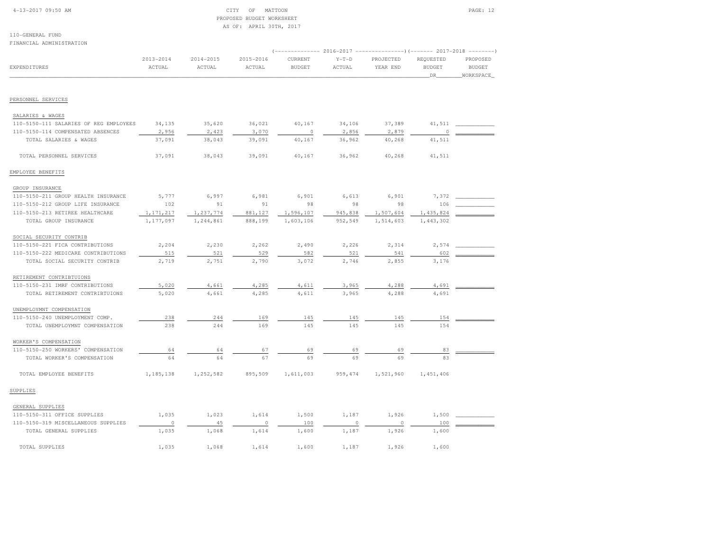# 4-13-2017 09:50 AM CITY OF MATTOON PAGE: 12 PROPOSED BUDGET WORKSHEETAS OF: APRIL 30TH, 2017

| FINANCIAL ADMINISTRATION               |               |               |           |                                                                                |          |           |               |               |
|----------------------------------------|---------------|---------------|-----------|--------------------------------------------------------------------------------|----------|-----------|---------------|---------------|
|                                        | $2013 - 2014$ | $2014 - 2015$ | 2015-2016 | (------------- 2016-2017 --------------------- 2017-2018 ----------<br>CURRENT | $Y-T-D$  | PROJECTED | REQUESTED     | PROPOSED      |
| <b>EXPENDITURES</b>                    | ACTUAL        | <b>ACTUAL</b> | ACTUAL    | <b>BUDGET</b>                                                                  | ACTUAL   | YEAR END  | <b>BUDGET</b> | <b>BUDGET</b> |
|                                        |               |               |           |                                                                                |          |           | DR            | WORKSPACE     |
|                                        |               |               |           |                                                                                |          |           |               |               |
| PERSONNEL SERVICES                     |               |               |           |                                                                                |          |           |               |               |
| SALARIES & WAGES                       |               |               |           |                                                                                |          |           |               |               |
| 110-5150-111 SALARIES OF REG EMPLOYEES | 34,135        | 35,620        | 36,021    | 40,167                                                                         | 34,106   | 37,389    | 41,511        |               |
| 110-5150-114 COMPENSATED ABSENCES      | 2,956         | 2,423         | 3,070     | $\circ$                                                                        | 2,856    | 2,879     | $\Omega$      |               |
| TOTAL SALARIES & WAGES                 | 37,091        | 38,043        | 39,091    | 40,167                                                                         | 36,962   | 40,268    | 41,511        |               |
| TOTAL PERSONNEL SERVICES               | 37,091        | 38,043        | 39,091    | 40,167                                                                         | 36,962   | 40,268    | 41,511        |               |
| EMPLOYEE BENEFITS                      |               |               |           |                                                                                |          |           |               |               |
| GROUP INSURANCE                        |               |               |           |                                                                                |          |           |               |               |
| 110-5150-211 GROUP HEALTH INSURANCE    | 5,777         | 6,997         | 6,981     | 6,901                                                                          | 6,613    | 6,901     | 7,372         |               |
| 110-5150-212 GROUP LIFE INSURANCE      | 102           | 91            | 91        | 98                                                                             | 98       | 98        | 106           |               |
| 110-5150-213 RETIREE HEALTHCARE        | 1, 171, 217   | 1,237,774     | 881,127   | 1,596,107                                                                      | 945,838  | 1,507,604 | 1,435,824     |               |
| TOTAL GROUP INSURANCE                  | 1,177,097     | 1,244,861     | 888,199   | 1,603,106                                                                      | 952,549  | 1,514,603 | 1,443,302     |               |
| SOCIAL SECURITY CONTRIB                |               |               |           |                                                                                |          |           |               |               |
| 110-5150-221 FICA CONTRIBUTIONS        | 2,204         | 2,230         | 2,262     | 2,490                                                                          | 2,226    | 2,314     | 2,574         |               |
| 110-5150-222 MEDICARE CONTRIBUTIONS    | 515           | 521           | 529       | 582                                                                            | 521      | 541       | 602           |               |
| TOTAL SOCIAL SECURITY CONTRIB          | 2,719         | 2,751         | 2,790     | 3,072                                                                          | 2,746    | 2,855     | 3,176         |               |
| RETIREMENT CONTRIBTUIONS               |               |               |           |                                                                                |          |           |               |               |
| 110-5150-231 IMRF CONTRIBUTIONS        | 5,020         | 4,661         | 4,285     | 4,611                                                                          | 3,965    | 4,288     | 4,691         |               |
| TOTAL RETIREMENT CONTRIBTUIONS         | 5,020         | 4,661         | 4,285     | 4,611                                                                          | 3,965    | 4,288     | 4,691         |               |
| UNEMPLOYMNT COMPENSATION               |               |               |           |                                                                                |          |           |               |               |
| 110-5150-240 UNEMPLOYMENT COMP.        | 238           | 244           | 169       | 145                                                                            | 145      | 145       | 154           |               |
| TOTAL UNEMPLOYMNT COMPENSATION         | 238           | 244           | 169       | 145                                                                            | 145      | 145       | 154           |               |
| WORKER'S COMPENSATION                  |               |               |           |                                                                                |          |           |               |               |
| 110-5150-250 WORKERS' COMPENSATION     | 64            | 64            | 67        | 69                                                                             | 69       | 69        | 83            |               |
| TOTAL WORKER'S COMPENSATION            | 64            | 64            | 67        | 69                                                                             | 69       | 69        | 83            |               |
| TOTAL EMPLOYEE BENEFITS                | 1,185,138     | 1,252,582     | 895,509   | 1,611,003                                                                      | 959, 474 | 1,521,960 | 1,451,406     |               |
| SUPPLIES                               |               |               |           |                                                                                |          |           |               |               |
| GENERAL SUPPLIES                       |               |               |           |                                                                                |          |           |               |               |
| 110-5150-311 OFFICE SUPPLIES           | 1,035         | 1,023         | 1,614     | 1,500                                                                          | 1,187    | 1,926     | 1,500         |               |
| 110-5150-319 MISCELLANEOUS SUPPLIES    | $\circ$       | 45            | $\circ$   | 100                                                                            | $\Omega$ | 0         | 100           |               |
| TOTAL GENERAL SUPPLIES                 | 1,035         | 1,068         | 1,614     | 1,600                                                                          | 1,187    | 1,926     | 1,600         |               |
| TOTAL SUPPLIES                         | 1,035         | 1,068         | 1,614     | 1,600                                                                          | 1,187    | 1,926     | 1,600         |               |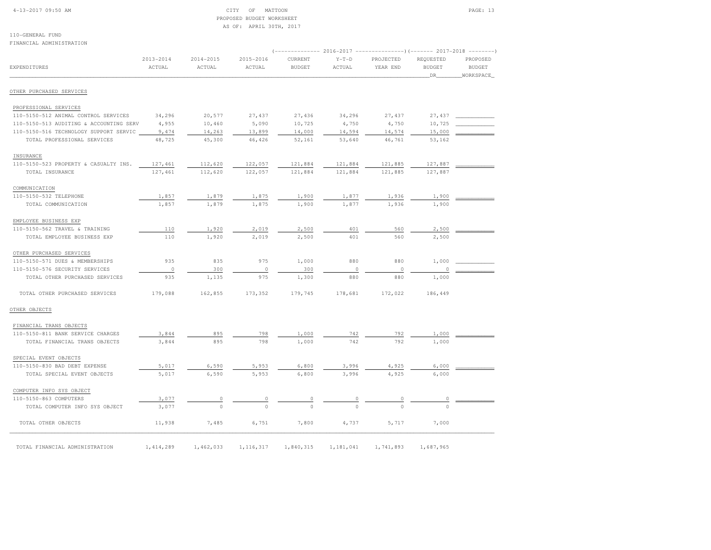# 4-13-2017 09:50 AM CITY OF MATTOON PAGE: 13 PROPOSED BUDGET WORKSHEETAS OF: APRIL 30TH, 2017

110-GENERAL FUNDFINANCIAL ADMINISTRATION

|                                         | $2013 - 2014$ | 2014-2015 | 2015-2016   | CURRENT       | $Y-T-D$       | $(----------2016-2017$ ---------------) (------- 2017-2018 -------)<br>PROJECTED | REQUESTED     | PROPOSED      |
|-----------------------------------------|---------------|-----------|-------------|---------------|---------------|----------------------------------------------------------------------------------|---------------|---------------|
| <b>EXPENDITURES</b>                     | ACTUAL        | ACTUAL    | ACTUAL      | <b>BUDGET</b> | ACTUAL        | YEAR END                                                                         | <b>BUDGET</b> | <b>BUDGET</b> |
|                                         |               |           |             |               |               |                                                                                  | DR            | WORKSPACE     |
|                                         |               |           |             |               |               |                                                                                  |               |               |
| OTHER PURCHASED SERVICES                |               |           |             |               |               |                                                                                  |               |               |
| PROFESSIONAL SERVICES                   |               |           |             |               |               |                                                                                  |               |               |
| 110-5150-512 ANIMAL CONTROL SERVICES    | 34,296        | 20,577    | 27,437      | 27,436        | 34,296        | 27,437                                                                           | 27,437        |               |
| 110-5150-513 AUDITING & ACCOUNTING SERV | 4,955         | 10,460    | 5,090       | 10,725        | 4,750         | 4,750                                                                            | 10,725        |               |
| 110-5150-516 TECHNOLOGY SUPPORT SERVIC  | 9,474         | 14,263    | 13,899      | 14,000        | 14,594        | 14,574                                                                           | 15,000        |               |
| TOTAL PROFESSIONAL SERVICES             | 48,725        | 45,300    | 46,426      | 52,161        | 53,640        | 46,761                                                                           | 53,162        |               |
| INSURANCE                               |               |           |             |               |               |                                                                                  |               |               |
| 110-5150-523 PROPERTY & CASUALTY INS.   | 127,461       | 112,620   | 122,057     | 121,884       | 121,884       | 121,885                                                                          | 127,887       |               |
| TOTAL INSURANCE                         | 127,461       | 112,620   | 122,057     | 121,884       | 121,884       | 121,885                                                                          | 127,887       |               |
| COMMUNICATION                           |               |           |             |               |               |                                                                                  |               |               |
| 110-5150-532 TELEPHONE                  | 1,857         | 1,879     | 1,875       | 1,900         | 1,877         | 1,936                                                                            | 1,900         |               |
| TOTAL COMMUNICATION                     | 1,857         | 1,879     | 1,875       | 1,900         | 1,877         | 1,936                                                                            | 1,900         |               |
| EMPLOYEE BUSINESS EXP                   |               |           |             |               |               |                                                                                  |               |               |
| 110-5150-562 TRAVEL & TRAINING          | 110           | 1,920     | 2,019       | 2,500         | 401           | 560                                                                              | 2,500         |               |
| TOTAL EMPLOYEE BUSINESS EXP             | 110           | 1,920     | 2,019       | 2,500         | 401           | 560                                                                              | 2,500         |               |
|                                         |               |           |             |               |               |                                                                                  |               |               |
| OTHER PURCHASED SERVICES                |               |           |             |               |               |                                                                                  |               |               |
| 110-5150-571 DUES & MEMBERSHIPS         | 935           | 835       | 975         | 1,000         | 880           | 880                                                                              | 1,000         |               |
| 110-5150-576 SECURITY SERVICES          | $\circ$       | 300       | $\circ$     | 300           | $\mathbb O$   | $\circ$                                                                          | $\circ$       |               |
| TOTAL OTHER PURCHASED SERVICES          | 935           | 1,135     | 975         | 1,300         | 880           | 880                                                                              | 1,000         |               |
| TOTAL OTHER PURCHASED SERVICES          | 179,088       | 162,855   | 173,352     | 179,745       | 178,681       | 172,022                                                                          | 186,449       |               |
| OTHER OBJECTS                           |               |           |             |               |               |                                                                                  |               |               |
| FINANCIAL TRANS OBJECTS                 |               |           |             |               |               |                                                                                  |               |               |
| 110-5150-811 BANK SERVICE CHARGES       | 3,844         | 895       | 798         | 1,000         | 742           | 792                                                                              | 1,000         |               |
| TOTAL FINANCIAL TRANS OBJECTS           | 3,844         | 895       | 798         | 1,000         | 742           | 792                                                                              | 1,000         |               |
| SPECIAL EVENT OBJECTS                   |               |           |             |               |               |                                                                                  |               |               |
| 110-5150-830 BAD DEBT EXPENSE           | 5,017         | 6,590     | 5,953       | 6,800         | 3,996         | 4,925                                                                            | 6,000         |               |
| TOTAL SPECIAL EVENT OBJECTS             | 5,017         | 6,590     | 5,953       | 6,800         | 3,996         | 4,925                                                                            | 6,000         |               |
| COMPUTER INFO SYS OBJECT                |               |           |             |               |               |                                                                                  |               |               |
| 110-5150-863 COMPUTERS                  | 3,077         |           |             |               |               |                                                                                  |               |               |
| TOTAL COMPUTER INFO SYS OBJECT          | 3,077         |           |             | $\frac{0}{0}$ | $\frac{0}{0}$ |                                                                                  |               |               |
|                                         |               |           |             |               |               |                                                                                  |               |               |
| TOTAL OTHER OBJECTS                     | 11,938        | 7,485     | 6,751       | 7,800         | 4,737         | 5,717                                                                            | 7,000         |               |
|                                         |               |           |             |               |               |                                                                                  |               |               |
| TOTAL FINANCIAL ADMINISTRATION          | 1, 414, 289   | 1,462,033 | 1, 116, 317 | 1,840,315     | 1,181,041     | 1,741,893                                                                        | 1,687,965     |               |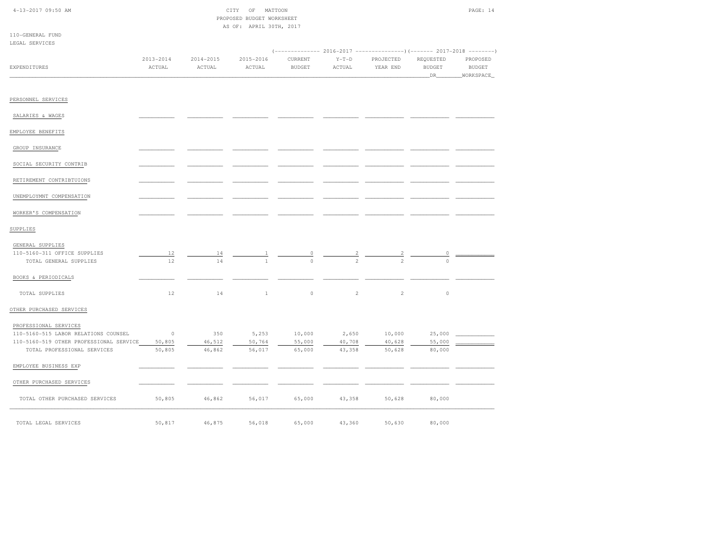| $4 - 13 - 2017$ 09:50 AM |  |  |
|--------------------------|--|--|
|                          |  |  |

| 4-13-2017 09:50 AM | MATTOON<br>OF<br>CITY     | PAGE: 14 |
|--------------------|---------------------------|----------|
|                    | PROPOSED BUDGET WORKSHEET |          |
|                    | AS OF: APRIL 30TH, 2017   |          |
| 110 CEMERAI EUND   |                           |          |

| LEGAL SERVICES                                         |                         |                         |                         |                          |                   |                       |                                  |                                        |
|--------------------------------------------------------|-------------------------|-------------------------|-------------------------|--------------------------|-------------------|-----------------------|----------------------------------|----------------------------------------|
| <b>EXPENDITURES</b>                                    | $2013 - 2014$<br>ACTUAL | $2014 - 2015$<br>ACTUAL | $2015 - 2016$<br>ACTUAL | CURRENT<br><b>BUDGET</b> | $Y-T-D$<br>ACTUAL | PROJECTED<br>YEAR END | REQUESTED<br><b>BUDGET</b><br>DR | PROPOSED<br><b>BUDGET</b><br>WORKSPACE |
| PERSONNEL SERVICES                                     |                         |                         |                         |                          |                   |                       |                                  |                                        |
| SALARIES & WAGES                                       |                         |                         |                         |                          |                   |                       |                                  |                                        |
| EMPLOYEE BENEFITS                                      |                         |                         |                         |                          |                   |                       |                                  |                                        |
| GROUP INSURANCE                                        |                         |                         |                         |                          |                   |                       |                                  |                                        |
| SOCIAL SECURITY CONTRIB                                |                         |                         |                         |                          |                   |                       |                                  |                                        |
| RETIREMENT CONTRIBTUIONS                               |                         |                         |                         |                          |                   |                       |                                  |                                        |
| UNEMPLOYMNT COMPENSATION                               |                         |                         |                         |                          |                   |                       |                                  |                                        |
| WORKER'S COMPENSATION                                  |                         |                         |                         |                          |                   |                       |                                  |                                        |
| SUPPLIES                                               |                         |                         |                         |                          |                   |                       |                                  |                                        |
| GENERAL SUPPLIES                                       |                         |                         |                         |                          |                   |                       |                                  |                                        |
| 110-5160-311 OFFICE SUPPLIES<br>TOTAL GENERAL SUPPLIES | 12<br>12                | 14<br>14                |                         | $\frac{0}{0}$            | $rac{2}{2}$       |                       |                                  |                                        |
| BOOKS & PERIODICALS                                    |                         |                         |                         |                          |                   |                       |                                  |                                        |
| TOTAL SUPPLIES                                         | 12                      | 14                      | $\mathbf{1}$            | $\circ$                  | $\overline{c}$    | $\overline{2}$        | $\circ$                          |                                        |
| OTHER PURCHASED SERVICES                               |                         |                         |                         |                          |                   |                       |                                  |                                        |
| PROFESSIONAL SERVICES                                  |                         |                         |                         |                          |                   |                       |                                  |                                        |
| 110-5160-515 LABOR RELATIONS COUNSEL                   | $\sim$ 0                | 350                     | 5,253                   | 10,000                   | 2,650             | 10,000                | 25,000                           |                                        |
| 110-5160-519 OTHER PROFESSIONAL SERVICE                | 50,805                  | 46,512                  | 50,764                  | 55,000                   | 40,708            | 40,628                | 55,000                           |                                        |
| TOTAL PROFESSIONAL SERVICES                            | 50,805                  | 46,862                  | 56,017                  | 65,000                   | 43,358            | 50,628                | 80,000                           |                                        |
| EMPLOYEE BUSINESS EXP                                  |                         |                         |                         |                          |                   |                       |                                  |                                        |
| OTHER PURCHASED SERVICES                               |                         |                         |                         |                          |                   |                       |                                  |                                        |
| TOTAL OTHER PURCHASED SERVICES                         | 50,805                  | 46,862                  | 56,017                  | 65,000                   | 43,358            | 50,628                | 80,000                           |                                        |
| TOTAL LEGAL SERVICES                                   | 50,817                  | 46,875                  | 56,018                  | 65,000                   | 43,360            | 50,630                | 80,000                           |                                        |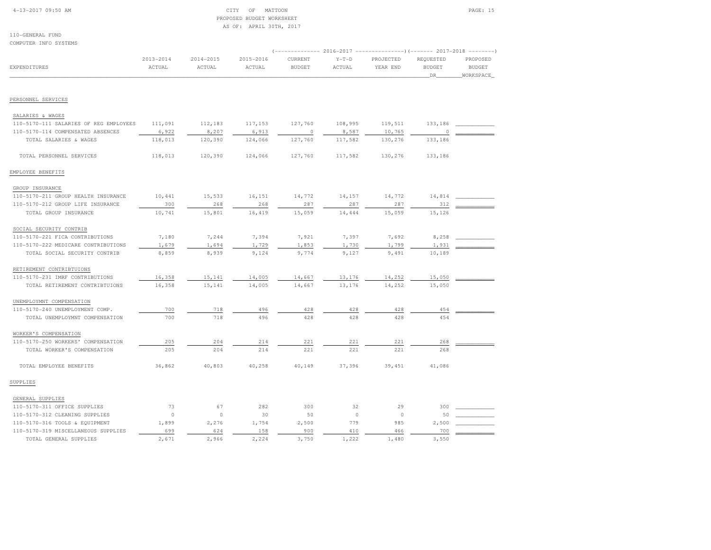# 4-13-2017 09:50 AM CITY OF MATTOON PAGE: 15 PROPOSED BUDGET WORKSHEETAS OF: APRIL 30TH, 2017

| COMPUTER INFO SYSTEMS                  |               |               |               |                                                                     |         |           |                     |                            |
|----------------------------------------|---------------|---------------|---------------|---------------------------------------------------------------------|---------|-----------|---------------------|----------------------------|
|                                        |               |               |               | (------------- 2016-2017 --------------------- 2017-2018 ---------- |         |           |                     |                            |
|                                        | $2013 - 2014$ | $2014 - 2015$ | $2015 - 2016$ | CURRENT                                                             | $Y-T-D$ | PROJECTED | REQUESTED           | PROPOSED                   |
| EXPENDITURES                           | ACTUAL        | ACTUAL        | ACTUAL        | <b>BUDGET</b>                                                       | ACTUAL  | YEAR END  | <b>BUDGET</b><br>DR | <b>BUDGET</b><br>WORKSPACE |
|                                        |               |               |               |                                                                     |         |           |                     |                            |
| PERSONNEL SERVICES                     |               |               |               |                                                                     |         |           |                     |                            |
| SALARIES & WAGES                       |               |               |               |                                                                     |         |           |                     |                            |
| 110-5170-111 SALARIES OF REG EMPLOYEES | 111,091       | 112,183       | 117,153       | 127,760                                                             | 108,995 | 119,511   | 133,186             |                            |
| 110-5170-114 COMPENSATED ABSENCES      | 6,922         | 8,207         | 6,913         | $\circ$                                                             | 8,587   | 10,765    | 0                   |                            |
| TOTAL SALARIES & WAGES                 | 118,013       | 120,390       | 124,066       | 127,760                                                             | 117,582 | 130,276   | 133,186             |                            |
| TOTAL PERSONNEL SERVICES               | 118,013       | 120,390       | 124,066       | 127,760                                                             | 117,582 | 130,276   | 133,186             |                            |
| EMPLOYEE BENEFITS                      |               |               |               |                                                                     |         |           |                     |                            |
| GROUP INSURANCE                        |               |               |               |                                                                     |         |           |                     |                            |
| 110-5170-211 GROUP HEALTH INSURANCE    | 10,441        | 15,533        | 16,151        | 14,772                                                              | 14,157  | 14,772    | 14,814              |                            |
| 110-5170-212 GROUP LIFE INSURANCE      | 300           | 268           | 268           | 287                                                                 | 287     | 287       | 312                 |                            |
| TOTAL GROUP INSURANCE                  | 10,741        | 15,801        | 16,419        | 15,059                                                              | 14,444  | 15,059    | 15,126              |                            |
| SOCIAL SECURITY CONTRIB                |               |               |               |                                                                     |         |           |                     |                            |
| 110-5170-221 FICA CONTRIBUTIONS        | 7,180         | 7,244         | 7,394         | 7,921                                                               | 7,397   | 7,692     | 8,258               |                            |
| 110-5170-222 MEDICARE CONTRIBUTIONS    | 1,679         | 1,694         | 1,729         | 1,853                                                               | 1,730   | 1,799     | 1,931               |                            |
| TOTAL SOCIAL SECURITY CONTRIB          | 8,859         | 8,939         | 9,124         | 9,774                                                               | 9,127   | 9,491     | 10,189              |                            |
| RETIREMENT CONTRIBTUIONS               |               |               |               |                                                                     |         |           |                     |                            |
| 110-5170-231 IMRF CONTRIBUTIONS        | 16,358        | 15,141        | 14,005        | 14,667                                                              | 13,176  | 14,252    | 15,050              |                            |
| TOTAL RETIREMENT CONTRIBTUIONS         | 16,358        | 15,141        | 14,005        | 14,667                                                              | 13,176  | 14,252    | 15,050              |                            |
| UNEMPLOYMNT COMPENSATION               |               |               |               |                                                                     |         |           |                     |                            |
| 110-5170-240 UNEMPLOYMENT COMP.        | 700           | 718           | 496           | 428                                                                 | 428     | 428       | 454                 |                            |
| TOTAL UNEMPLOYMNT COMPENSATION         | 700           | 718           | 496           | 428                                                                 | 428     | 428       | 454                 |                            |
| WORKER'S COMPENSATION                  |               |               |               |                                                                     |         |           |                     |                            |
| 110-5170-250 WORKERS' COMPENSATION     | 205           | 204           | 214           | 221                                                                 | 221     | 221       | 268                 |                            |
| TOTAL WORKER'S COMPENSATION            | 205           | 204           | 214           | 221                                                                 | 221     | 221       | 268                 |                            |
| TOTAL EMPLOYEE BENEFITS                | 36,862        | 40,803        | 40,258        | 40,149                                                              | 37,396  | 39,451    | 41,086              |                            |
| SUPPLIES                               |               |               |               |                                                                     |         |           |                     |                            |
| GENERAL SUPPLIES                       |               |               |               |                                                                     |         |           |                     |                            |
| 110-5170-311 OFFICE SUPPLIES           | 73            | 67            | 282           | 300                                                                 | 32      | 29        | 300                 |                            |
| 110-5170-312 CLEANING SUPPLIES         | $\circ$       | $\circ$       | 30            | 50                                                                  | $\circ$ | $\circ$   | 50                  |                            |
| 110-5170-316 TOOLS & EQUIPMENT         | 1,899         | 2,276         | 1,754         | 2,500                                                               | 779     | 985       | 2,500               |                            |
| 110-5170-319 MISCELLANEOUS SUPPLIES    | 699           | 624           | 158           | 900                                                                 | 410     | 466       | 700                 |                            |
| TOTAL GENERAL SUPPLIES                 | 2,671         | 2,966         | 2,224         | 3,750                                                               | 1,222   | 1,480     | 3,550               |                            |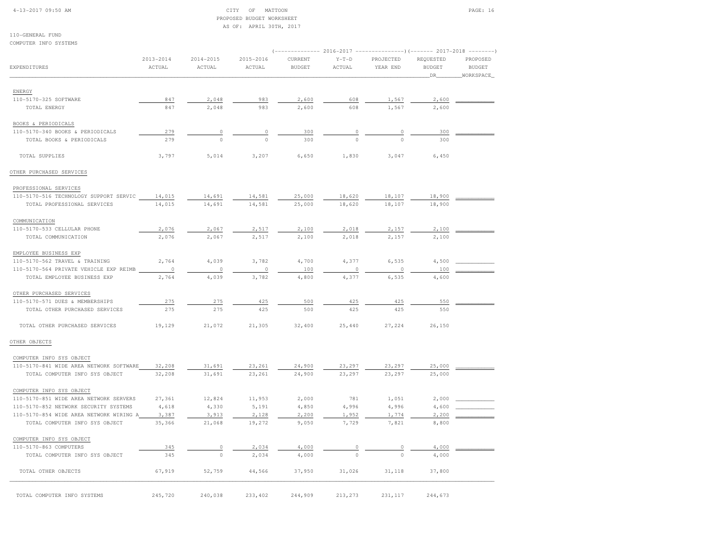#### 4-13-2017 09:50 AM CITY OF MATTOON PAGE: 16 PROPOSED BUDGET WORKSHEETAS OF: APRIL 30TH, 2017

| COMPUTER INFO SYSTEMS                                                 |                         |                         |                     |                                                       |                   |                       |                                                                 |                                        |
|-----------------------------------------------------------------------|-------------------------|-------------------------|---------------------|-------------------------------------------------------|-------------------|-----------------------|-----------------------------------------------------------------|----------------------------------------|
| <b>EXPENDITURES</b>                                                   | $2013 - 2014$<br>ACTUAL | $2014 - 2015$<br>ACTUAL | 2015-2016<br>ACTUAL | ------------- 2016-2017 -<br>CURRENT<br><b>BUDGET</b> | $Y-T-D$<br>ACTUAL | PROJECTED<br>YEAR END | -----) (------- 2017-2018<br>REQUESTED<br><b>BUDGET</b><br>_DR_ | PROPOSED<br><b>BUDGET</b><br>WORKSPACE |
| ENERGY                                                                |                         |                         |                     |                                                       |                   |                       |                                                                 |                                        |
| 110-5170-325 SOFTWARE                                                 | 847                     | 2,048                   | 983                 | 2,600                                                 | 608               | 1,567                 | 2,600                                                           |                                        |
| TOTAL ENERGY                                                          | 847                     | 2,048                   | 983                 | 2,600                                                 | 608               | 1,567                 | 2,600                                                           |                                        |
| BOOKS & PERIODICALS                                                   |                         |                         |                     |                                                       |                   |                       |                                                                 |                                        |
| 110-5170-340 BOOKS & PERIODICALS                                      | 279                     | $\circ$                 | $\mathbb O$         | 300                                                   | $\mathbb O$       | $\mathbb O$           | 300                                                             |                                        |
| TOTAL BOOKS & PERIODICALS                                             | 279                     | $\circ$                 | $\Omega$            | 300                                                   | $\Omega$          | $\Omega$              | 300                                                             |                                        |
| TOTAL SUPPLIES                                                        | 3,797                   | 5,014                   | 3,207               | 6,650                                                 | 1,830             | 3,047                 | 6,450                                                           |                                        |
| OTHER PURCHASED SERVICES                                              |                         |                         |                     |                                                       |                   |                       |                                                                 |                                        |
| PROFESSIONAL SERVICES                                                 |                         |                         |                     |                                                       |                   |                       |                                                                 |                                        |
| 110-5170-516 TECHNOLOGY SUPPORT SERVIC                                | 14,015                  | 14,691                  | 14,581              | 25,000                                                | 18,620            | 18,107                | 18,900                                                          |                                        |
| TOTAL PROFESSIONAL SERVICES                                           | 14,015                  | 14,691                  | 14,581              | 25,000                                                | 18,620            | 18,107                | 18,900                                                          |                                        |
| COMMUNICATION                                                         |                         |                         |                     |                                                       |                   |                       |                                                                 |                                        |
| 110-5170-533 CELLULAR PHONE                                           | 2,076                   | 2,067                   | 2,517               | 2,100                                                 | 2,018             | 2,157                 | 2,100                                                           |                                        |
| TOTAL COMMUNICATION                                                   | 2,076                   | 2,067                   | 2,517               | 2,100                                                 | 2,018             | 2,157                 | 2,100                                                           |                                        |
| EMPLOYEE BUSINESS EXP                                                 |                         |                         |                     |                                                       |                   |                       |                                                                 |                                        |
| 110-5170-562 TRAVEL & TRAINING                                        | 2,764                   | 4,039                   | 3,782               | 4,700                                                 | 4,377             | 6,535                 | 4,500                                                           |                                        |
| 110-5170-564 PRIVATE VEHICLE EXP REIMB<br>TOTAL EMPLOYEE BUSINESS EXP | $\circ$<br>2,764        | $\circ$<br>4,039        | $\circ$<br>3,782    | 100<br>4,800                                          | $\circ$<br>4,377  | $\circ$<br>6,535      | 100<br>4,600                                                    |                                        |
|                                                                       |                         |                         |                     |                                                       |                   |                       |                                                                 |                                        |
| OTHER PURCHASED SERVICES                                              | 275                     | 275                     |                     |                                                       |                   |                       | 550                                                             |                                        |
| 110-5170-571 DUES & MEMBERSHIPS                                       | 275                     | 275                     | 425<br>425          | 500<br>500                                            | 425<br>425        | 425<br>425            | 550                                                             |                                        |
| TOTAL OTHER PURCHASED SERVICES                                        |                         |                         |                     |                                                       |                   |                       |                                                                 |                                        |
| TOTAL OTHER PURCHASED SERVICES                                        | 19,129                  | 21,072                  | 21,305              | 32,400                                                | 25,440            | 27,224                | 26,150                                                          |                                        |
| OTHER OBJECTS                                                         |                         |                         |                     |                                                       |                   |                       |                                                                 |                                        |
| COMPUTER INFO SYS OBJECT                                              |                         |                         |                     |                                                       |                   |                       |                                                                 |                                        |
| 110-5170-841 WIDE AREA NETWORK SOFTWARE                               | 32,208                  | 31,691                  | 23,261              | 24,900                                                | 23,297            | 23,297                | 25,000                                                          |                                        |
| TOTAL COMPUTER INFO SYS OBJECT                                        | 32,208                  | 31,691                  | 23,261              | 24,900                                                | 23,297            | 23,297                | 25,000                                                          |                                        |
| COMPUTER INFO SYS OBJECT                                              |                         |                         |                     |                                                       |                   |                       |                                                                 |                                        |
| 110-5170-851 WIDE AREA NETWORK SERVERS                                | 27,361                  | 12,824                  | 11,953              | 2,000                                                 | 781               | 1,051                 | 2,000                                                           |                                        |
| 110-5170-852 NETWORK SECURITY SYSTEMS                                 | 4,618                   | 4,330                   | 5,191               | 4,850                                                 | 4,996             | 4,996                 | 4,600                                                           |                                        |
| 110-5170-854 WIDE AREA NETWORK WIRING A                               | 3,387                   | 3,913                   | 2,128               | 2,200                                                 | 1,952             | 1,774                 | 2,200                                                           |                                        |
| TOTAL COMPUTER INFO SYS OBJECT                                        | 35,366                  | 21,068                  | 19,272              | 9,050                                                 | 7,729             | 7,821                 | 8,800                                                           |                                        |
| COMPUTER INFO SYS OBJECT                                              |                         |                         |                     |                                                       |                   |                       |                                                                 |                                        |
| 110-5170-863 COMPUTERS                                                | 345                     | $\circ$                 | 2,034               | 4,000                                                 | 0                 | 0                     | 4,000                                                           |                                        |
| TOTAL COMPUTER INFO SYS OBJECT                                        | 345                     | $\circ$                 | 2,034               | 4,000                                                 | $\circ$           | $\circ$               | 4,000                                                           |                                        |
| TOTAL OTHER OBJECTS                                                   | 67,919                  | 52,759                  | 44,566              | 37,950                                                | 31,026            | 31,118                | 37,800                                                          |                                        |
| TOTAL COMPUTER INFO SYSTEMS                                           | 245,720                 | 240,038                 | 233,402             | 244,909                                               | 213,273           | 231,117               | 244,673                                                         |                                        |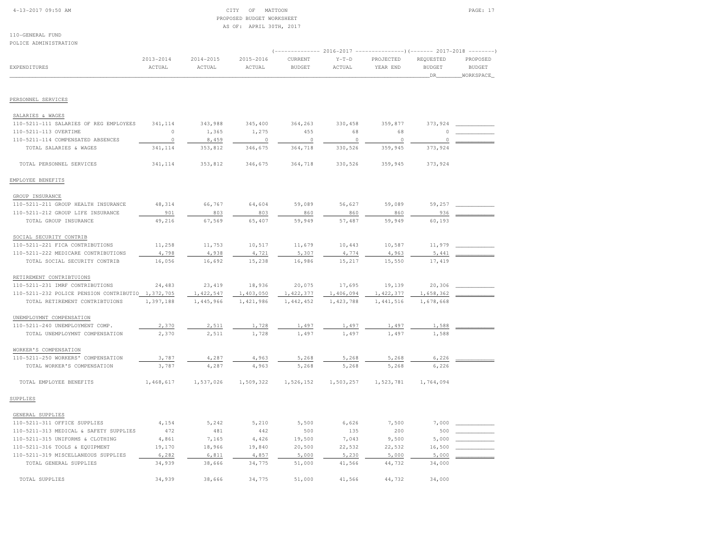### 4-13-2017 09:50 AM CITY OF MATTOON PAGE: 17 PROPOSED BUDGET WORKSHEETAS OF: APRIL 30TH, 2017

| POLICE ADMINISTRATION                             |                         |                         |                         |                          |                   |                                                                            |                                   |                                                                    |
|---------------------------------------------------|-------------------------|-------------------------|-------------------------|--------------------------|-------------------|----------------------------------------------------------------------------|-----------------------------------|--------------------------------------------------------------------|
| EXPENDITURES                                      | $2013 - 2014$<br>ACTUAL | $2014 - 2015$<br>ACTUAL | $2015 - 2016$<br>ACTUAL | CURRENT<br><b>BUDGET</b> | $Y-T-D$<br>ACTUAL | -- 2016-2017 ----------------) (------- 2017-2018<br>PROJECTED<br>YEAR END | REQUESTED<br><b>BUDGET</b><br>DR_ | $- - - - - - - -$<br>PROPOSED<br><b>BUDGET</b><br><b>WORKSPACE</b> |
|                                                   |                         |                         |                         |                          |                   |                                                                            |                                   |                                                                    |
| PERSONNEL SERVICES                                |                         |                         |                         |                          |                   |                                                                            |                                   |                                                                    |
| SALARIES & WAGES                                  |                         |                         |                         |                          |                   |                                                                            |                                   |                                                                    |
| 110-5211-111 SALARIES OF REG EMPLOYEES            | 341, 114                | 343,988                 | 345,400                 | 364,263                  | 330,458           | 359,877                                                                    | 373,924                           |                                                                    |
| 110-5211-113 OVERTIME                             | $\circ$                 | 1,365                   | 1,275                   | 455                      | 68                | 68                                                                         | $\Omega$                          |                                                                    |
| 110-5211-114 COMPENSATED ABSENCES                 | $\circ$                 | 8,459                   | $\circ$                 | $\circ$                  | $\circ$           | $\circ$                                                                    | $\circ$                           |                                                                    |
| TOTAL SALARIES & WAGES                            | 341, 114                | 353,812                 | 346,675                 | 364,718                  | 330,526           | 359,945                                                                    | 373,924                           |                                                                    |
| TOTAL PERSONNEL SERVICES                          | 341,114                 | 353,812                 | 346,675                 | 364,718                  | 330,526           | 359,945                                                                    | 373,924                           |                                                                    |
| EMPLOYEE BENEFITS                                 |                         |                         |                         |                          |                   |                                                                            |                                   |                                                                    |
| GROUP INSURANCE                                   |                         |                         |                         |                          |                   |                                                                            |                                   |                                                                    |
| 110-5211-211 GROUP HEALTH INSURANCE               | 48,314                  | 66,767                  | 64,604                  | 59,089                   | 56,627            | 59,089                                                                     | 59,257                            |                                                                    |
| 110-5211-212 GROUP LIFE INSURANCE                 | 901                     | 803                     | 803                     | 860                      | 860               | 860                                                                        | 936                               |                                                                    |
| TOTAL GROUP INSURANCE                             | 49,216                  | 67,569                  | 65,407                  | 59,949                   | 57,487            | 59,949                                                                     | 60,193                            |                                                                    |
| SOCIAL SECURITY CONTRIB                           |                         |                         |                         |                          |                   |                                                                            |                                   |                                                                    |
| 110-5211-221 FICA CONTRIBUTIONS                   | 11,258                  | 11,753                  | 10,517                  | 11,679                   | 10,443            | 10,587                                                                     | 11,979                            |                                                                    |
| 110-5211-222 MEDICARE CONTRIBUTIONS               | 4,798                   | 4,938                   | 4,721                   | 5,307                    | 4,774             | 4,963                                                                      | 5,441                             |                                                                    |
| TOTAL SOCIAL SECURITY CONTRIB                     | 16,056                  | 16,692                  | 15,238                  | 16,986                   | 15,217            | 15,550                                                                     | 17,419                            |                                                                    |
| RETIREMENT CONTRIBTUIONS                          |                         |                         |                         |                          |                   |                                                                            |                                   |                                                                    |
| 110-5211-231 IMRF CONTRIBUTIONS                   | 24,483                  | 23,419                  | 18,936                  | 20,075                   | 17,695            | 19,139                                                                     | 20,306                            |                                                                    |
| 110-5211-232 POLICE PENSION CONTRIBUTIO 1,372,705 |                         | 1,422,547               | 1,403,050               | 1,422,377                | 1,406,094         | 1, 422, 377                                                                | 1,658,362                         |                                                                    |
| TOTAL RETIREMENT CONTRIBTUIONS                    | 1,397,188               | 1,445,966               | 1,421,986               | 1,442,452                | 1,423,788         | 1, 441, 516                                                                | 1,678,668                         |                                                                    |
| UNEMPLOYMNT COMPENSATION                          |                         |                         |                         |                          |                   |                                                                            |                                   |                                                                    |
| 110-5211-240 UNEMPLOYMENT COMP.                   | 2,370                   | 2,511                   | 1,728                   | 1,497                    | 1,497             | 1,497                                                                      | 1,588                             |                                                                    |
| TOTAL UNEMPLOYMNT COMPENSATION                    | 2,370                   | 2,511                   | 1,728                   | 1,497                    | 1,497             | 1,497                                                                      | 1,588                             |                                                                    |
| WORKER'S COMPENSATION                             |                         |                         |                         |                          |                   |                                                                            |                                   |                                                                    |
| 110-5211-250 WORKERS' COMPENSATION                | 3,787                   | 4,287                   | 4,963                   | 5,268                    | 5,268             | 5,268                                                                      | 6,226                             |                                                                    |
| TOTAL WORKER'S COMPENSATION                       | 3,787                   | 4,287                   | 4,963                   | 5,268                    | 5,268             | 5,268                                                                      | 6,226                             |                                                                    |
| TOTAL EMPLOYEE BENEFITS                           | 1,468,617               | 1,537,026               | 1,509,322               | 1,526,152                | 1,503,257         | 1,523,781                                                                  | 1,764,094                         |                                                                    |
| SUPPLIES                                          |                         |                         |                         |                          |                   |                                                                            |                                   |                                                                    |
| GENERAL SUPPLIES                                  |                         |                         |                         |                          |                   |                                                                            |                                   |                                                                    |
| 110-5211-311 OFFICE SUPPLIES                      | 4,154                   | 5,242                   | 5,210                   | 5,500                    | 6,626             | 7,500                                                                      | 7,000                             |                                                                    |
| 110-5211-313 MEDICAL & SAFETY SUPPLIES            | 472                     | 481                     | 442                     | 500                      | 135               | 200                                                                        | 500                               |                                                                    |
| 110-5211-315 UNIFORMS & CLOTHING                  | 4,861                   | 7,165                   | 4,426                   | 19,500                   | 7,043             | 9,500                                                                      | 5,000                             |                                                                    |
| 110-5211-316 TOOLS & EQUIPMENT                    | 19,170                  | 18,966                  | 19,840                  | 20,500                   | 22,532            | 22,532                                                                     | 16,500                            |                                                                    |
| 110-5211-319 MISCELLANEOUS SUPPLIES               | 6,282                   | 6,811                   | 4,857                   | 5,000                    | 5,230             | 5,000                                                                      | 5,000                             |                                                                    |
| TOTAL GENERAL SUPPLIES                            | 34,939                  | 38,666                  | 34,775                  | 51,000                   | 41,566            | 44,732                                                                     | 34,000                            |                                                                    |
| TOTAL SUPPLIES                                    | 34,939                  | 38,666                  | 34,775                  | 51,000                   | 41,566            | 44,732                                                                     | 34,000                            |                                                                    |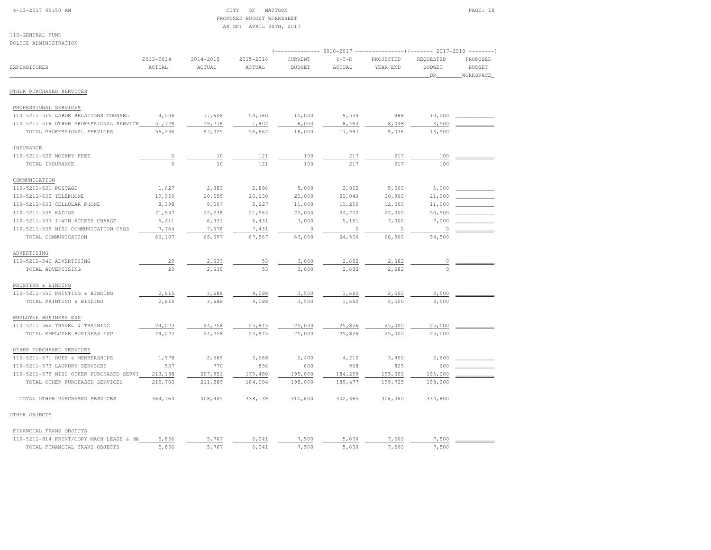# 4-13-2017 09:50 AM CITY OF MATTOON PAGE: 18 PROPOSED BUDGET WORKSHEETAS OF: APRIL 30TH, 2017

| POLICE ADMINISTRATION                   |                         |                         |                         | (-------------- 2016-2017 --------------------- 2017-2018 ----------- |                   |                       |                                  |                                        |
|-----------------------------------------|-------------------------|-------------------------|-------------------------|-----------------------------------------------------------------------|-------------------|-----------------------|----------------------------------|----------------------------------------|
| EXPENDITURES                            | $2013 - 2014$<br>ACTUAL | $2014 - 2015$<br>ACTUAL | $2015 - 2016$<br>ACTUAL | CURRENT<br><b>BUDGET</b>                                              | $Y-T-D$<br>ACTUAL | PROJECTED<br>YEAR END | REQUESTED<br><b>BUDGET</b><br>DR | PROPOSED<br><b>BUDGET</b><br>WORKSPACE |
| OTHER PURCHASED SERVICES                |                         |                         |                         |                                                                       |                   |                       |                                  |                                        |
|                                         |                         |                         |                         |                                                                       |                   |                       |                                  |                                        |
| PROFESSIONAL SERVICES                   |                         |                         |                         |                                                                       |                   |                       |                                  |                                        |
| 110-5211-515 LABOR RELATIONS COUNSEL    | 4,508                   | 77,608                  | 54,760                  | 10,000                                                                | 9,534             | 988                   | 10,000                           |                                        |
| 110-5211-519 OTHER PROFESSIONAL SERVICE | 51,728                  | 19,716                  | 1,902                   | 8,000                                                                 | 8,463             | 8,048                 | 3,500                            |                                        |
| TOTAL PROFESSIONAL SERVICES             | 56,236                  | 97,325                  | 56,662                  | 18,000                                                                | 17,997            | 9,036                 | 13,500                           |                                        |
| INSURANCE                               |                         |                         |                         |                                                                       |                   |                       |                                  |                                        |
| 110-5211-522 NOTARY FEES                | $\circ$                 | 10                      | 121                     | 100                                                                   | 217               | 217                   | 100                              |                                        |
| TOTAL INSURANCE                         | $\circ$                 | 10                      | 121                     | 100                                                                   | 217               | 217                   | 100                              |                                        |
| COMMUNICATION                           |                         |                         |                         |                                                                       |                   |                       |                                  |                                        |
| 110-5211-531 POSTAGE                    | 1,627                   | 2,389                   | 2,886                   | 5,000                                                                 | 2,822             | 5,000                 | 5,000                            |                                        |
| 110-5211-532 TELEPHONE                  | 19,959                  | 20,555                  | 20,630                  | 20,000                                                                | 21,043            | 20,900                | 21,000                           |                                        |
| 110-5211-533 CELLULAR PHONE             | 8,398                   | 9,507                   | 8,627                   | 11,000                                                                | 11,250            | 12,000                | 11,000                           |                                        |
| 110-5211-535 RADIOS                     | 21,947                  | 22,238                  | 21,563                  | 20,000                                                                | 24,202            | 22,000                | 50,500                           |                                        |
| 110-5211-537 I-WIN ACCESS CHARGE        | 6,411                   | 6,331                   | 6,431                   | 7,000                                                                 | 5,191             | 7,000                 | 7,000                            |                                        |
| 110-5211-539 MISC COMMUNICATION CHGS    | 7,764                   | 7,678                   | 7,431                   | $\circ$                                                               | $\circ$           | $\circ$               | $\circ$                          |                                        |
| TOTAL COMMUNICATION                     | 66,107                  | 68,697                  | 67,567                  | 63,000                                                                | 64,506            | 66,900                | 94,500                           |                                        |
|                                         |                         |                         |                         |                                                                       |                   |                       |                                  |                                        |
| ADVERTISING                             |                         |                         |                         |                                                                       |                   |                       |                                  |                                        |
| 110-5211-540 ADVERTISING                | 29<br>29                | 2,639                   | 53                      | 3,000                                                                 | 2,682             | 2,682                 | 0<br>$\Omega$                    |                                        |
| TOTAL ADVERTISING                       |                         | 2,639                   | 53                      | 3,000                                                                 | 2,682             | 2,682                 |                                  |                                        |
| PRINTING & BINDING                      |                         |                         |                         |                                                                       |                   |                       |                                  |                                        |
| 110-5211-550 PRINTING & BINDING         | 2,615                   | 3,688                   | 4,088                   | 3,500                                                                 | 1,680             | 2,500                 | 3,500                            |                                        |
| TOTAL PRINTING & BINDING                | 2,615                   | 3,688                   | 4,088                   | 3,500                                                                 | 1,680             | 2,500                 | 3,500                            |                                        |
| EMPLOYEE BUSINESS EXP                   |                         |                         |                         |                                                                       |                   |                       |                                  |                                        |
| 110-5211-562 TRAVEL & TRAINING          | 24,073                  | 24,758                  | 25,645                  | 25,000                                                                | 25,826            | 25,000                | 25,000                           |                                        |
| TOTAL EMPLOYEE BUSINESS EXP             | 24,073                  | 24,758                  | 25,645                  | 25,000                                                                | 25,826            | 25,000                | 25,000                           |                                        |
| OTHER PURCHASED SERVICES                |                         |                         |                         |                                                                       |                   |                       |                                  |                                        |
| 110-5211-571 DUES & MEMBERSHIPS         | 1,978                   | 2,569                   | 3,668                   | 2,400                                                                 | 4,210             | 3,900                 | 2,600                            |                                        |
| 110-5211-573 LAUNDRY SERVICES           | 537                     | 770                     | 856                     | 600                                                                   | 968               | 825                   | 600                              |                                        |
| 110-5211-579 MISC OTHER PURCHASED SERVI | 213,188                 | 207,951                 | 179,480                 | 195,000                                                               | 184,299           | 195,000               | 195,000                          |                                        |
| TOTAL OTHER PURCHASED SERVICES          | 215,703                 | 211,289                 | 184,004                 | 198,000                                                               | 189,477           | 199,725               | 198,200                          |                                        |
|                                         |                         |                         |                         |                                                                       |                   |                       |                                  |                                        |
| TOTAL OTHER PURCHASED SERVICES          | 364,764                 | 408,405                 | 338,139                 | 310,600                                                               | 302,385           | 306,060               | 334,800                          |                                        |
| OTHER OBJECTS                           |                         |                         |                         |                                                                       |                   |                       |                                  |                                        |

| FINANCIAL TRANS OBJECTS                 |                   |     |      |   |      |      |  |
|-----------------------------------------|-------------------|-----|------|---|------|------|--|
| 110-5211-814 PRINT/COPY MACH LEASE & MA | 5 856<br>,, u u u | 76  | ,500 | . | .500 | .500 |  |
| TIMANCIAI.<br>יריקד מה יא המיד ז        |                   | 76. | ,500 |   | ,500 | 500  |  |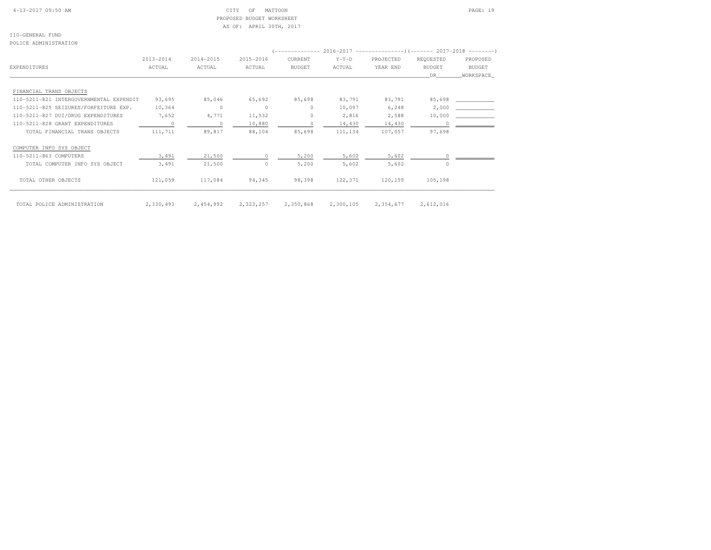|  | $4-13-2017$ 09:50 AM |
|--|----------------------|
|  |                      |

# $\text{CITY}$  OF MATTOON PAGE: 19 PROPOSED BUDGET WORKSHEETAS OF: APRIL 30TH, 2017

110-GENERAL FUNDPOLICE ADMINISTRATION

| r onton hphirivioinii fon               |           |           |                |               |           |           |               |               |
|-----------------------------------------|-----------|-----------|----------------|---------------|-----------|-----------|---------------|---------------|
|                                         |           |           |                |               |           |           |               |               |
|                                         | 2013-2014 | 2014-2015 | 2015-2016      | CURRENT       | $Y-T-D$   | PROJECTED | REOUESTED     | PROPOSED      |
| EXPENDITURES                            | ACTUAL    | ACTUAL    | ACTUAL         | <b>BUDGET</b> | ACTUAL    | YEAR END  | <b>BUDGET</b> | <b>BUDGET</b> |
|                                         |           |           |                |               |           |           | DR.           | WORKSPACE     |
| FINANCIAL TRANS OBJECTS                 |           |           |                |               |           |           |               |               |
| 110-5211-821 INTERGOVERNMENTAL EXPENDIT | 93,695    | 85,046    | 65,692         | 85,698        | 83,791    | 83,791    |               | 85,698        |
| 110-5211-825 SEIZURES/FORFEITURE EXP.   | 10,364    | $\Omega$  | $\circ$        | $\Omega$      | 10,097    | 6,248     | 2,000         |               |
| 110-5211-827 DUI/DRUG EXPENDITURES      | 7,652     | 4,771     | 11,532         | $\circ$       | 2,816     | 2,588     |               | 10,000        |
| 110-5211-828 GRANT EXPENDITURES         |           | $\Omega$  | 10,880         | $\circ$       | 14,430    | 14,430    |               |               |
| TOTAL FINANCIAL TRANS OBJECTS           | 111,711   | 89,817    | 88,104         | 85,698        | 111,134   | 107,057   | 97,698        |               |
| COMPUTER INFO SYS OBJECT                |           |           |                |               |           |           |               |               |
| 110-5211-863 COMPUTERS                  | 3,491     | 21,500    | $\overline{0}$ | 5,200         | 5,602     | 5,602     |               |               |
| TOTAL COMPUTER INFO SYS OBJECT          | 3,491     | 21,500    | $\Omega$       | 5,200         | 5,602     | 5,602     | $\Omega$      |               |
| TOTAL OTHER OBJECTS                     | 121,059   | 117,084   | 94,345         | 98,398        | 122,371   | 120,159   | 105,198       |               |
| TOTAL POLICE ADMINISTRATION             | 2,330,493 | 2,454,992 | 2,323,257      | 2,350,868     | 2,300,105 | 2,354,677 | 2,612,016     |               |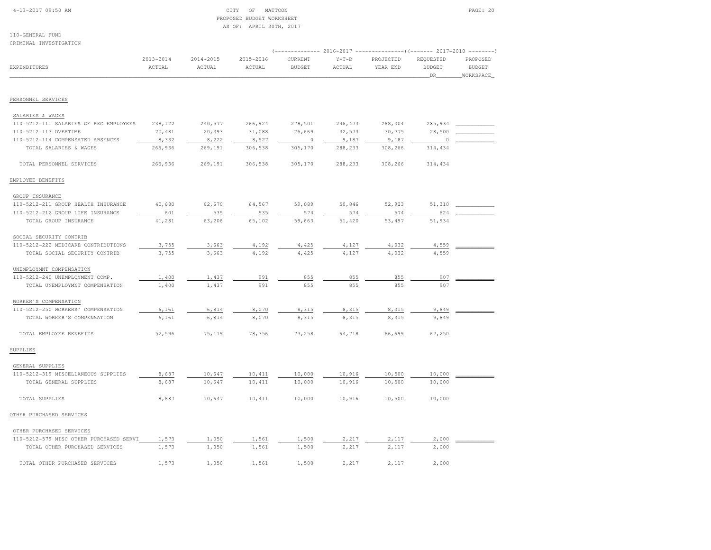# 4-13-2017 09:50 AM CITY OF MATTOON PAGE: 20 PROPOSED BUDGET WORKSHEETAS OF: APRIL 30TH, 2017

| CRIMINAL INVESTIGATION                  |                         |                         |                     |                          |                   |                                                                                        |                                  |                                        |
|-----------------------------------------|-------------------------|-------------------------|---------------------|--------------------------|-------------------|----------------------------------------------------------------------------------------|----------------------------------|----------------------------------------|
| EXPENDITURES                            | $2013 - 2014$<br>ACTUAL | $2014 - 2015$<br>ACTUAL | 2015-2016<br>ACTUAL | CURRENT<br><b>BUDGET</b> | $Y-T-D$<br>ACTUAL | (------------- 2016-2017 ----------------) (------- 2017-2018<br>PROJECTED<br>YEAR END | REQUESTED<br><b>BUDGET</b><br>DR | PROPOSED<br><b>BUDGET</b><br>WORKSPACE |
|                                         |                         |                         |                     |                          |                   |                                                                                        |                                  |                                        |
| PERSONNEL SERVICES                      |                         |                         |                     |                          |                   |                                                                                        |                                  |                                        |
| SALARIES & WAGES                        |                         |                         |                     |                          |                   |                                                                                        |                                  |                                        |
| 110-5212-111 SALARIES OF REG EMPLOYEES  | 238,122                 | 240,577                 | 266,924             | 278,501                  | 246, 473          | 268,304                                                                                | 285,934                          |                                        |
| 110-5212-113 OVERTIME                   | 20,481                  | 20,393                  | 31,088              | 26,669                   | 32,573            | 30,775                                                                                 | 28,500                           |                                        |
| 110-5212-114 COMPENSATED ABSENCES       | 8,332                   | 8,222                   | 8,527               | $\overline{0}$           | 9,187             | 9,187                                                                                  | 0                                |                                        |
| TOTAL SALARIES & WAGES                  | 266,936                 | 269,191                 | 306,538             | 305,170                  | 288,233           | 308,266                                                                                | 314,434                          |                                        |
| TOTAL PERSONNEL SERVICES                | 266,936                 | 269,191                 | 306,538             | 305,170                  | 288,233           | 308,266                                                                                | 314,434                          |                                        |
| EMPLOYEE BENEFITS                       |                         |                         |                     |                          |                   |                                                                                        |                                  |                                        |
| GROUP INSURANCE                         |                         |                         |                     |                          |                   |                                                                                        |                                  |                                        |
| 110-5212-211 GROUP HEALTH INSURANCE     | 40,680                  | 62,670                  | 64,567              | 59,089                   | 50,846            | 52,923                                                                                 | 51,310                           |                                        |
| 110-5212-212 GROUP LIFE INSURANCE       | 601                     | 535                     | 535                 | 574                      | 574               | 574                                                                                    | 624                              |                                        |
| TOTAL GROUP INSURANCE                   | 41,281                  | 63,206                  | 65,102              | 59,663                   | 51,420            | 53,497                                                                                 | 51,934                           |                                        |
| SOCIAL SECURITY CONTRIB                 |                         |                         |                     |                          |                   |                                                                                        |                                  |                                        |
| 110-5212-222 MEDICARE CONTRIBUTIONS     | 3,755                   | 3,663                   | 4,192               | 4,425                    | 4,127             | 4,032                                                                                  | 4,559                            |                                        |
| TOTAL SOCIAL SECURITY CONTRIB           | 3,755                   | 3,663                   | 4,192               | 4,425                    | 4,127             | 4,032                                                                                  | 4,559                            |                                        |
| UNEMPLOYMNT COMPENSATION                |                         |                         |                     |                          |                   |                                                                                        |                                  |                                        |
| 110-5212-240 UNEMPLOYMENT COMP.         | 1,400                   | 1,437                   | 991                 | 855                      | 855               | 855                                                                                    | 907                              |                                        |
| TOTAL UNEMPLOYMNT COMPENSATION          | 1,400                   | 1,437                   | 991                 | 855                      | 855               | 855                                                                                    | 907                              |                                        |
| WORKER'S COMPENSATION                   |                         |                         |                     |                          |                   |                                                                                        |                                  |                                        |
| 110-5212-250 WORKERS' COMPENSATION      | 6,161                   | 6,814                   | 8,070               | 8,315                    | 8,315             | 8,315                                                                                  | 9,849                            |                                        |
| TOTAL WORKER'S COMPENSATION             | 6,161                   | 6,814                   | 8,070               | 8,315                    | 8,315             | 8,315                                                                                  | 9,849                            |                                        |
| TOTAL EMPLOYEE BENEFITS                 | 52,596                  | 75,119                  | 78,356              | 73,258                   | 64,718            | 66,699                                                                                 | 67,250                           |                                        |
| SUPPLIES                                |                         |                         |                     |                          |                   |                                                                                        |                                  |                                        |
| GENERAL SUPPLIES                        |                         |                         |                     |                          |                   |                                                                                        |                                  |                                        |
| 110-5212-319 MISCELLANEOUS SUPPLIES     | 8,687                   | 10,647                  | 10,411              | 10,000                   | 10,916            | 10,500                                                                                 | 10,000                           |                                        |
| TOTAL GENERAL SUPPLIES                  | 8,687                   | 10,647                  | 10,411              | 10,000                   | 10,916            | 10,500                                                                                 | 10,000                           |                                        |
| TOTAL SUPPLIES                          | 8,687                   | 10,647                  | 10,411              | 10,000                   | 10,916            | 10,500                                                                                 | 10,000                           |                                        |
| OTHER PURCHASED SERVICES                |                         |                         |                     |                          |                   |                                                                                        |                                  |                                        |
| OTHER PURCHASED SERVICES                |                         |                         |                     |                          |                   |                                                                                        |                                  |                                        |
| 110-5212-579 MISC OTHER PURCHASED SERVI | 1,573                   | 1,050                   | 1,561               | 1,500                    | 2,217             | 2,117                                                                                  | 2,000                            |                                        |
| TOTAL OTHER PURCHASED SERVICES          | 1,573                   | 1,050                   | 1,561               | 1,500                    | 2,217             | 2,117                                                                                  | 2,000                            |                                        |
| TOTAL OTHER PURCHASED SERVICES          | 1,573                   | 1,050                   | 1,561               | 1,500                    | 2,217             | 2,117                                                                                  | 2,000                            |                                        |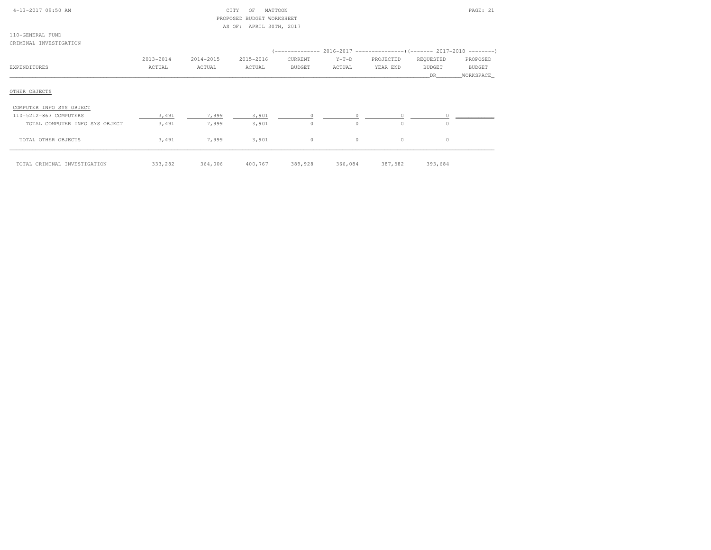| 4-13-2017 09:50 AM             |           |           | CITY<br>MATTOON<br>OF     |               |                                                                        |           |           | PAGE: 21      |
|--------------------------------|-----------|-----------|---------------------------|---------------|------------------------------------------------------------------------|-----------|-----------|---------------|
|                                |           |           | PROPOSED BUDGET WORKSHEET |               |                                                                        |           |           |               |
|                                |           |           | AS OF: APRIL 30TH, 2017   |               |                                                                        |           |           |               |
| 110-GENERAL FUND               |           |           |                           |               |                                                                        |           |           |               |
| CRIMINAL INVESTIGATION         |           |           |                           |               |                                                                        |           |           |               |
|                                |           |           |                           |               | (-------------- 2016-2017 --------------------- 2017-2018 ---------- ) |           |           |               |
|                                | 2013-2014 | 2014-2015 | 2015-2016                 | CURRENT       | $Y-T-D$                                                                | PROJECTED | REQUESTED | PROPOSED      |
| EXPENDITURES                   | ACTUAL    | ACTUAL    | ACTUAL                    | <b>BUDGET</b> | ACTUAL                                                                 | YEAR END  | BUDGET    | <b>BUDGET</b> |
|                                |           |           |                           |               |                                                                        |           | DR.       | WORKSPACE     |
| COMPUTER INFO SYS OBJECT       |           |           |                           |               |                                                                        |           |           |               |
| 110-5212-863 COMPUTERS         | 3,491     | 7,999     | 3,901                     |               |                                                                        |           |           |               |
| TOTAL COMPUTER INFO SYS OBJECT | 3,491     | 7,999     | 3,901                     | $\circ$       | $\circ$                                                                | $\Omega$  | $\Omega$  |               |
| TOTAL OTHER OBJECTS            | 3,491     | 7,999     | 3,901                     | $\circ$       | $\circ$                                                                | $\circ$   | $\circ$   |               |
| TOTAL CRIMINAL INVESTIGATION   | 333,282   | 364,006   | 400,767                   | 389,928       | 366,084                                                                | 387,582   | 393,684   |               |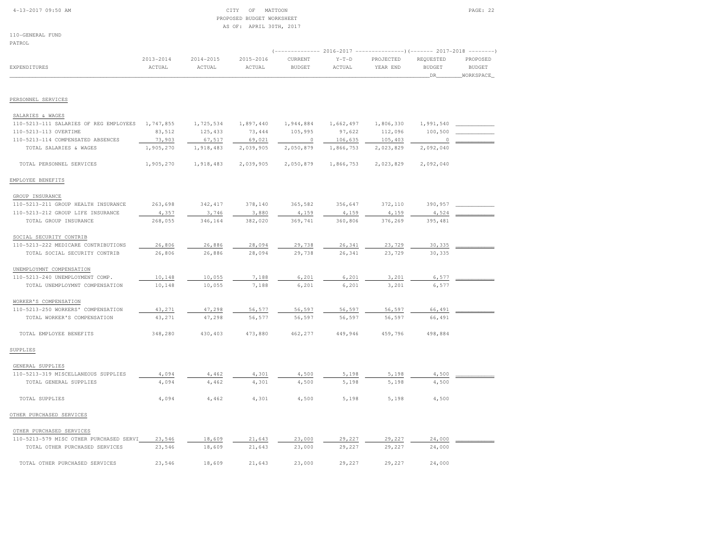# 4-13-2017 09:50 AM CITY OF MATTOON PAGE: 22 PROPOSED BUDGET WORKSHEETAS OF: APRIL 30TH, 2017

110-GENERAL FUND

| .            |           |           |           |               |         |                                                                         |           |               |
|--------------|-----------|-----------|-----------|---------------|---------|-------------------------------------------------------------------------|-----------|---------------|
|              |           |           |           |               |         | (------------- 2016-2017 ----------------) (------- 2017-2018 --------) |           |               |
|              | 2013-2014 | 2014-2015 | 2015-2016 | CURRENT       | $Y-T-D$ | PROJECTED                                                               | REOUESTED | PROPOSED      |
| EXPENDITURES | ACTUAL    | ACTUAL    | ACTUAL    | <b>BUDGET</b> | ACTUAL  | YEAR END                                                                | BUDGET    | <b>BUDGET</b> |
|              |           |           |           |               |         |                                                                         |           | WORKSPACE     |
|              |           |           |           |               |         |                                                                         |           |               |

PERSONNEL SERVICES

| SALARIES & WAGES                        |           |           |           |                |           |           |           |  |
|-----------------------------------------|-----------|-----------|-----------|----------------|-----------|-----------|-----------|--|
| 110-5213-111 SALARIES OF REG EMPLOYEES  | 1,747,855 | 1,725,534 | 1,897,440 | 1,944,884      | 1,662,497 | 1,806,330 | 1,991,540 |  |
| 110-5213-113 OVERTIME                   | 83,512    | 125,433   | 73,444    | 105,995        | 97,622    | 112,096   | 100,500   |  |
| 110-5213-114 COMPENSATED ABSENCES       | 73,903    | 67,517    | 69,021    | $\overline{0}$ | 106,635   | 105,403   | 0         |  |
| TOTAL SALARIES & WAGES                  | 1,905,270 | 1,918,483 | 2,039,905 | 2,050,879      | 1,866,753 | 2,023,829 | 2,092,040 |  |
| TOTAL PERSONNEL SERVICES                | 1,905,270 | 1,918,483 | 2,039,905 | 2,050,879      | 1,866,753 | 2,023,829 | 2,092,040 |  |
| EMPLOYEE BENEFITS                       |           |           |           |                |           |           |           |  |
| GROUP INSURANCE                         |           |           |           |                |           |           |           |  |
| 110-5213-211 GROUP HEALTH INSURANCE     | 263,698   | 342, 417  | 378,140   | 365,582        | 356,647   | 372,110   | 390,957   |  |
| 110-5213-212 GROUP LIFE INSURANCE       | 4,357     | 3,746     | 3,880     | 4,159          | 4,159     | 4,159     | 4,524     |  |
| TOTAL GROUP INSURANCE                   | 268,055   | 346,164   | 382,020   | 369,741        | 360,806   | 376,269   | 395,481   |  |
| SOCIAL SECURITY CONTRIB                 |           |           |           |                |           |           |           |  |
| 110-5213-222 MEDICARE CONTRIBUTIONS     | 26,806    | 26,886    | 28,094    | 29,738         | 26,341    | 23,729    | 30,335    |  |
| TOTAL SOCIAL SECURITY CONTRIB           | 26,806    | 26,886    | 28,094    | 29,738         | 26,341    | 23,729    | 30,335    |  |
| UNEMPLOYMNT COMPENSATION                |           |           |           |                |           |           |           |  |
| 110-5213-240 UNEMPLOYMENT COMP.         | 10,148    | 10,055    | 7,188     | 6,201          | 6,201     | 3,201     | 6,577     |  |
| TOTAL UNEMPLOYMNT COMPENSATION          | 10,148    | 10,055    | 7,188     | 6,201          | 6,201     | 3,201     | 6,577     |  |
| WORKER'S COMPENSATION                   |           |           |           |                |           |           |           |  |
| 110-5213-250 WORKERS' COMPENSATION      | 43,271    | 47,298    | 56,577    | 56,597         | 56,597    | 56,597    | 66,491    |  |
| TOTAL WORKER'S COMPENSATION             | 43,271    | 47,298    | 56,577    | 56,597         | 56,597    | 56,597    | 66,491    |  |
|                                         |           |           |           |                |           |           |           |  |
| TOTAL EMPLOYEE BENEFITS                 | 348,280   | 430,403   | 473,880   | 462,277        | 449,946   | 459,796   | 498,884   |  |
| SUPPLIES                                |           |           |           |                |           |           |           |  |
| GENERAL SUPPLIES                        |           |           |           |                |           |           |           |  |
| 110-5213-319 MISCELLANEOUS SUPPLIES     | 4,094     | 4,462     | 4,301     | 4,500          | 5,198     | 5,198     | 4,500     |  |
| TOTAL GENERAL SUPPLIES                  | 4,094     | 4,462     | 4,301     | 4,500          | 5,198     | 5,198     | 4,500     |  |
| TOTAL SUPPLIES                          | 4,094     | 4,462     | 4,301     | 4,500          | 5,198     | 5,198     | 4,500     |  |
| OTHER PURCHASED SERVICES                |           |           |           |                |           |           |           |  |
| OTHER PURCHASED SERVICES                |           |           |           |                |           |           |           |  |
| 110-5213-579 MISC OTHER PURCHASED SERVI | 23,546    | 18,609    | 21,643    | 23,000         | 29,227    | 29,227    | 24,000    |  |
| TOTAL OTHER PURCHASED SERVICES          | 23,546    | 18,609    | 21,643    | 23,000         | 29,227    | 29,227    | 24,000    |  |
| TOTAL OTHER PURCHASED SERVICES          | 23,546    | 18,609    | 21,643    | 23,000         | 29,227    | 29,227    | 24,000    |  |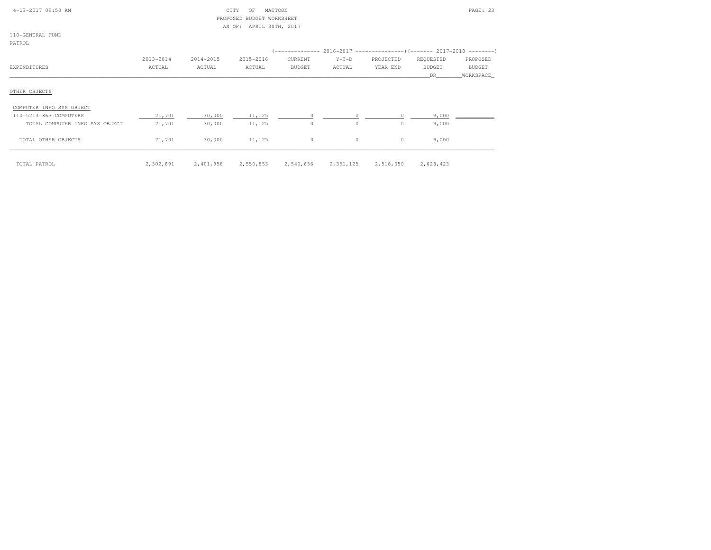| 4-13-2017 09:50 AM                                                  |           |           | CITY<br>ΟF<br>PROPOSED BUDGET WORKSHEET<br>AS OF: APRIL 30TH, 2017 | MATTOON                                                                    |           |           |               | PAGE: 23   |
|---------------------------------------------------------------------|-----------|-----------|--------------------------------------------------------------------|----------------------------------------------------------------------------|-----------|-----------|---------------|------------|
| 110-GENERAL FUND                                                    |           |           |                                                                    |                                                                            |           |           |               |            |
| PATROL                                                              |           |           |                                                                    |                                                                            |           |           |               |            |
|                                                                     |           |           |                                                                    | (-------------- 2016-2017 -----------------) (------- 2017-2018 ---------) |           |           |               |            |
|                                                                     | 2013-2014 | 2014-2015 | 2015-2016                                                          | CURRENT                                                                    | $Y-T-D$   | PROJECTED | REQUESTED     | PROPOSED   |
| EXPENDITURES                                                        | ACTUAL    | ACTUAL    | ACTUAL                                                             | BUDGET                                                                     | ACTUAL    | YEAR END  | <b>BUDGET</b> | BUDGET     |
|                                                                     |           |           |                                                                    |                                                                            |           |           | DR.           | WORKSPACE_ |
| OTHER OBJECTS<br>COMPUTER INFO SYS OBJECT<br>110-5213-863 COMPUTERS | 21,701    | 30,000    | 11,125                                                             | $\Omega$                                                                   | $\circ$   |           | 9,000         |            |
| TOTAL COMPUTER INFO SYS OBJECT                                      | 21,701    | 30,000    |                                                                    | $\circ$                                                                    | $\circ$   | $\circ$   | 9,000         |            |
|                                                                     |           |           | 11,125                                                             |                                                                            |           |           |               |            |
| TOTAL OTHER OBJECTS                                                 | 21,701    | 30,000    | 11,125                                                             | $\circ$                                                                    | $\circ$   | $\circ$   | 9,000         |            |
| TOTAL PATROL                                                        | 2,302,891 | 2,401,958 | 2,550,853                                                          | 2,540,656                                                                  | 2,351,125 | 2,518,050 | 2,628,423     |            |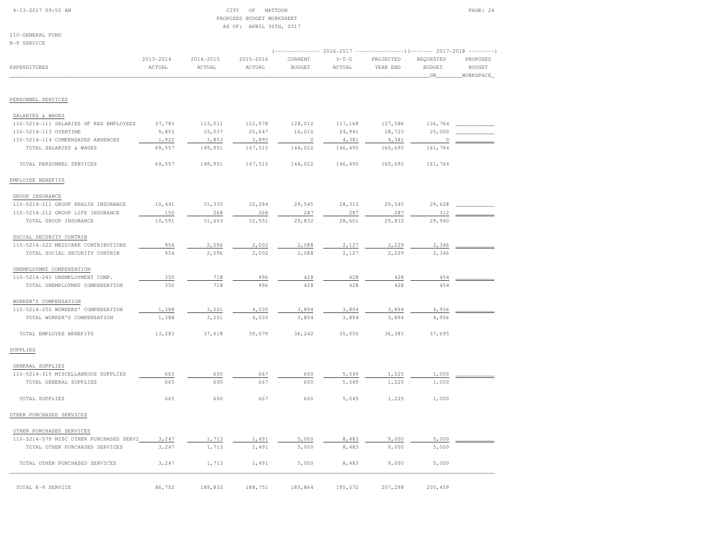# 4-13-2017 09:50 AM CITY OF MATTOON PAGE: 24 PROPOSED BUDGET WORKSHEETAS OF: APRIL 30TH, 2017

110-GENERAL FUNDK-9 SERVICE

|                                                            |                         |                     |                     |                          |                   | $(----------2016-2017$ ---------------) $(----2017-2018$ -------) |                            |                           |
|------------------------------------------------------------|-------------------------|---------------------|---------------------|--------------------------|-------------------|-------------------------------------------------------------------|----------------------------|---------------------------|
| <b>EXPENDITURES</b>                                        | $2013 - 2014$<br>ACTUAL | 2014-2015<br>ACTUAL | 2015-2016<br>ACTUAL | CURRENT<br><b>BUDGET</b> | $Y-T-D$<br>ACTUAL | PROJECTED<br>YEAR END                                             | REQUESTED<br><b>BUDGET</b> | PROPOSED<br><b>BUDGET</b> |
|                                                            |                         |                     |                     |                          |                   |                                                                   | DR                         | WORKSPACE_                |
|                                                            |                         |                     |                     |                          |                   |                                                                   |                            |                           |
| PERSONNEL SERVICES                                         |                         |                     |                     |                          |                   |                                                                   |                            |                           |
| SALARIES & WAGES<br>110-5214-111 SALARIES OF REG EMPLOYEES | 57,783                  | 113,011             |                     |                          |                   |                                                                   |                            |                           |
| 110-5214-113 OVERTIME                                      | 9,853                   | 33,037              | 122,978<br>20,647   | 128,012<br>16,010        | 117,168<br>24,941 | 127,586<br>28,723                                                 | 136,764<br>25,000          |                           |
| 110-5214-114 COMPENSATED ABSENCES                          | 1,922                   | 3,853               | 3,890               | $\circ$                  | 4,381             | 4,381                                                             | $\circ$                    |                           |
| TOTAL SALARIES & WAGES                                     | 69,557                  | 149,901             | 147,515             | 144,022                  | 146,490           | 160,690                                                           | 161,764                    |                           |
| TOTAL PERSONNEL SERVICES                                   | 69,557                  | 149,901             | 147,515             | 144,022                  | 146,490           | 160,690                                                           | 161,764                    |                           |
| EMPLOYEE BENEFITS                                          |                         |                     |                     |                          |                   |                                                                   |                            |                           |
|                                                            |                         |                     |                     |                          |                   |                                                                   |                            |                           |
| GROUP INSURANCE                                            |                         |                     |                     |                          |                   |                                                                   |                            |                           |
| 110-5214-211 GROUP HEALTH INSURANCE                        | 10,441                  | 31,335              | 32,284              | 29,545                   | 28,313            | 29,545                                                            | 29,628                     |                           |
| 110-5214-212 GROUP LIFE INSURANCE<br>TOTAL GROUP INSURANCE | 150<br>10,591           | 268<br>31,603       | 268<br>32,551       | 287<br>29,832            | 287<br>28,601     | 287<br>29,832                                                     | 312<br>29,940              |                           |
|                                                            |                         |                     |                     |                          |                   |                                                                   |                            |                           |
| SOCIAL SECURITY CONTRIB                                    |                         |                     |                     |                          |                   |                                                                   |                            |                           |
| 110-5214-222 MEDICARE CONTRIBUTIONS                        | 954                     | 2,096               | 2,002               | 2,088                    | 2,127             | 2,229                                                             | 2,346                      |                           |
| TOTAL SOCIAL SECURITY CONTRIB                              | 954                     | 2,096               | 2,002               | 2,088                    | 2,127             | 2,229                                                             | 2,346                      |                           |
| UNEMPLOYMNT COMPENSATION                                   |                         |                     |                     |                          |                   |                                                                   |                            |                           |
| 110-5214-240 UNEMPLOYMENT COMP.                            | 350                     | 718                 | 496                 | 428                      | 428               | 428                                                               | 454                        |                           |
| TOTAL UNEMPLOYMNT COMPENSATION                             | 350                     | 718                 | 496                 | 428                      | 428               | 428                                                               | 454                        |                           |
| WORKER'S COMPENSATION                                      |                         |                     |                     |                          |                   |                                                                   |                            |                           |
| 110-5214-250 WORKERS' COMPENSATION                         | 1,388                   | 3,201               | 4,030               | 3,894                    | 3,894             | 3,894                                                             | 4,956                      |                           |
| TOTAL WORKER'S COMPENSATION                                | 1,388                   | 3,201               | 4,030               | 3,894                    | 3,894             | 3,894                                                             | 4,956                      |                           |
| TOTAL EMPLOYEE BENEFITS                                    | 13,283                  | 37,618              | 39,079              | 36,242                   | 35,050            | 36,383                                                            | 37,695                     |                           |
| SUPPLIES                                                   |                         |                     |                     |                          |                   |                                                                   |                            |                           |
| GENERAL SUPPLIES                                           |                         |                     |                     |                          |                   |                                                                   |                            |                           |
| 110-5214-319 MISCELLANEOUS SUPPLIES                        | 665                     | 600                 | 667                 | 600                      | 5,049             | 1,225                                                             | 1,000                      |                           |
| TOTAL GENERAL SUPPLIES                                     | 665                     | 600                 | 667                 | 600                      | 5,049             | 1,225                                                             | 1,000                      |                           |
| TOTAL SUPPLIES                                             | 665                     | 600                 | 667                 | 600                      | 5,049             | 1,225                                                             | 1,000                      |                           |
| OTHER PURCHASED SERVICES                                   |                         |                     |                     |                          |                   |                                                                   |                            |                           |
| OTHER PURCHASED SERVICES                                   |                         |                     |                     |                          |                   |                                                                   |                            |                           |
| 110-5214-579 MISC OTHER PURCHASED SERVI                    | 3,247                   | 1,713               | 1,491               | 5,000                    | 8,483             | 9,000                                                             | 5,000                      |                           |
| TOTAL OTHER PURCHASED SERVICES                             | 3,247                   | 1,713               | 1,491               | 5,000                    | 8,483             | 9,000                                                             | 5,000                      |                           |
| TOTAL OTHER PURCHASED SERVICES                             | 3,247                   | 1,713               | 1,491               | 5,000                    | 8,483             | 9,000                                                             | 5,000                      |                           |
|                                                            |                         |                     |                     |                          |                   |                                                                   |                            |                           |
| TOTAL K-9 SERVICE                                          | 86,752                  | 189,832             | 188,751             | 185,864                  | 195,072           | 207,298                                                           | 205,459                    |                           |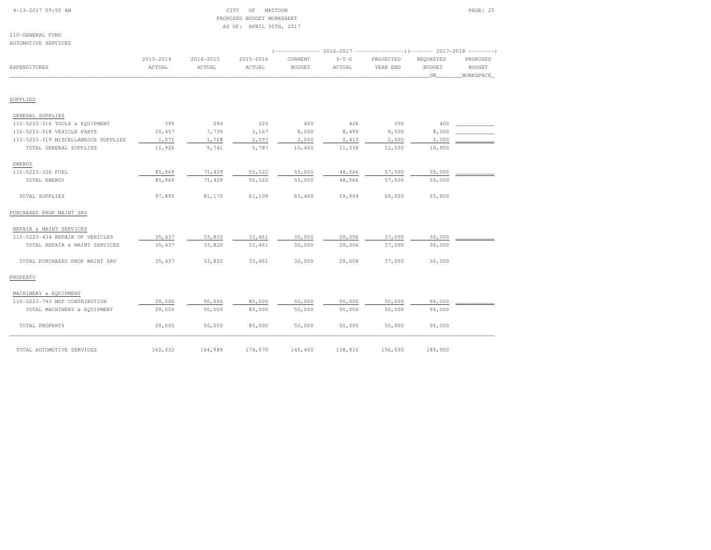|  | $4-13-2017$ 09:50 AM |  |
|--|----------------------|--|
|  |                      |  |

# CITY OF MATTOON **PAGE: 25**  PROPOSED BUDGET WORKSHEETAS OF: APRIL 30TH, 2017

110-GENERAL FUNDAUTOMOTIVE SERVICES

|                                     |                         |                         |                     |                          |                   | (-------------- 2016-2017 ---------------------- 2017-2018 ---------- |                                  |                                        |
|-------------------------------------|-------------------------|-------------------------|---------------------|--------------------------|-------------------|-----------------------------------------------------------------------|----------------------------------|----------------------------------------|
| <b>EXPENDITURES</b>                 | $2013 - 2014$<br>ACTUAL | $2014 - 2015$<br>ACTUAL | 2015-2016<br>ACTUAL | CURRENT<br><b>BUDGET</b> | $Y-T-D$<br>ACTUAL | PROJECTED<br>YEAR END                                                 | REQUESTED<br><b>BUDGET</b><br>DR | PROPOSED<br><b>BUDGET</b><br>WORKSPACE |
| SUPPLIES                            |                         |                         |                     |                          |                   |                                                                       |                                  |                                        |
| GENERAL SUPPLIES                    |                         |                         |                     |                          |                   |                                                                       |                                  |                                        |
| 110-5223-316 TOOLS & EQUIPMENT      | 399                     | 294                     | 323                 | 400                      | 426               | 550                                                                   | 400                              |                                        |
| 110-5223-318 VEHICLE PARTS          | 10,457                  | 7,739                   | 3,167               | 8,000                    | 8,499             | 9,500                                                                 | 8,500                            |                                        |
| 110-5223-319 MISCELLANEOUS SUPPLIES | 1,071                   | 1,708                   | 2,297               | 2,000                    | 2,413             | 2,000                                                                 | 2,000                            |                                        |
| TOTAL GENERAL SUPPLIES              | 11,926                  | 9,741                   | 5,787               | 10,400                   | 11,338            | 12,050                                                                | 10,900                           |                                        |
| ENERGY                              |                         |                         |                     |                          |                   |                                                                       |                                  |                                        |
| 110-5223-326 FUEL                   | 85,969                  | 71,429                  | 55,322              | 55,000                   | 48,566            | 57,000                                                                | 55,000                           |                                        |
| TOTAL ENERGY                        | 85,969                  | 71,429                  | 55,322              | 55,000                   | 48,566            | 57,000                                                                | 55,000                           |                                        |
| TOTAL SUPPLIES                      | 97,895                  | 81,170                  | 61,109              | 65,400                   | 59,904            | 69,050                                                                | 65,900                           |                                        |
| PURCHASED PROP MAINT SRV            |                         |                         |                     |                          |                   |                                                                       |                                  |                                        |
| REPAIR & MAINT SERVICES             |                         |                         |                     |                          |                   |                                                                       |                                  |                                        |
| 110-5223-434 REPAIR OF VEHICLES     | 35, 437                 | 33,820                  | 33,461              | 30,000                   | 29,006            | 37,000                                                                | 30,000                           |                                        |
| TOTAL REPAIR & MAINT SERVICES       | 35, 437                 | 33,820                  | 33,461              | 30,000                   | 29,006            | 37,000                                                                | 30,000                           |                                        |
| TOTAL PURCHASED PROP MAINT SRV      | 35, 437                 | 33,820                  | 33,461              | 30,000                   | 29,006            | 37,000                                                                | 30,000                           |                                        |
| PROPERTY                            |                         |                         |                     |                          |                   |                                                                       |                                  |                                        |
| MACHINERY & EQUIPMENT               |                         |                         |                     |                          |                   |                                                                       |                                  |                                        |
| 110-5223-743 MEF CONTRIBUTION       | 29,000                  | 50,000                  | 80,000              | 50,000                   | 50,000            | 50,000                                                                | 90,000                           |                                        |
| TOTAL MACHINERY & EQUIPMENT         | 29,000                  | 50,000                  | 80,000              | 50,000                   | 50,000            | 50,000                                                                | 90,000                           |                                        |
| TOTAL PROPERTY                      | 29,000                  | 50,000                  | 80,000              | 50,000                   | 50,000            | 50,000                                                                | 90,000                           |                                        |
| TOTAL AUTOMOTIVE SERVICES           | 162,332                 | 164,989                 | 174,570             | 145,400                  | 138,910           | 156,050                                                               | 185,900                          |                                        |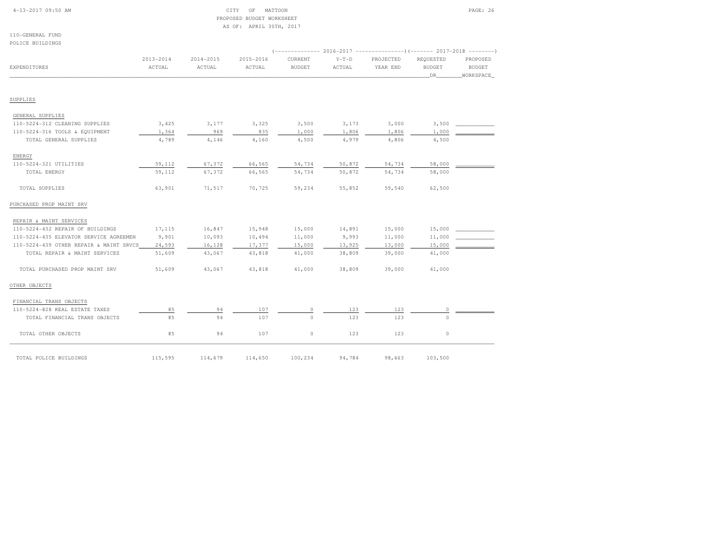# 4-13-2017 09:50 AM CITY OF MATTOON PAGE: 26 PROPOSED BUDGET WORKSHEETAS OF: APRIL 30TH, 2017

110-GENERAL FUNDPOLICE BUILDINGS

| EXPENDITURES                            | 2013-2014<br>ACTUAL | $2014 - 2015$<br>ACTUAL | 2015-2016<br>ACTUAL | <b>CURRENT</b><br><b>BUDGET</b> | $Y-T-D$<br>ACTUAL | PROJECTED<br>YEAR END | REQUESTED<br><b>BUDGET</b><br>DR | PROPOSED<br><b>BUDGET</b><br>WORKSPACE |
|-----------------------------------------|---------------------|-------------------------|---------------------|---------------------------------|-------------------|-----------------------|----------------------------------|----------------------------------------|
| SUPPLIES                                |                     |                         |                     |                                 |                   |                       |                                  |                                        |
|                                         |                     |                         |                     |                                 |                   |                       |                                  |                                        |
| GENERAL SUPPLIES                        |                     |                         |                     |                                 |                   |                       |                                  |                                        |
| 110-5224-312 CLEANING SUPPLIES          | 3,425               | 3,177                   | 3,325               | 3,500                           | 3,173             | 3,000                 | 3,500                            |                                        |
| 110-5224-316 TOOLS & EQUIPMENT          | 1,364               | 969                     | 835                 | 1,000                           | 1,806             | 1,806                 | 1,000                            |                                        |
| TOTAL GENERAL SUPPLIES                  | 4,789               | 4,146                   | 4,160               | 4,500                           | 4,979             | 4,806                 | 4,500                            |                                        |
| ENERGY                                  |                     |                         |                     |                                 |                   |                       |                                  |                                        |
| 110-5224-321 UTILITIES                  | 59,112              | 67,372                  | 66,565              | 54,734                          | 50,872            | 54,734                | 58,000                           |                                        |
| TOTAL ENERGY                            | 59,112              | 67,372                  | 66,565              | 54,734                          | 50,872            | 54,734                | 58,000                           |                                        |
| TOTAL SUPPLIES                          | 63,901              | 71,517                  | 70,725              | 59,234                          | 55,852            | 59,540                | 62,500                           |                                        |
| PURCHASED PROP MAINT SRV                |                     |                         |                     |                                 |                   |                       |                                  |                                        |
| REPAIR & MAINT SERVICES                 |                     |                         |                     |                                 |                   |                       |                                  |                                        |
| 110-5224-432 REPAIR OF BUILDINGS        | 17,115              | 16,847                  | 15,948              | 15,000                          | 14,891            | 15,000                | 15,000                           |                                        |
| 110-5224-435 ELEVATOR SERVICE AGREEMEN  | 9,901               | 10,093                  | 10,494              | 11,000                          | 9,993             | 11,000                | 11,000                           |                                        |
| 110-5224-439 OTHER REPAIR & MAINT SRVCS | 24,593              | 16,128                  | 17,377              | 15,000                          | 13,925            | 13,000                | 15,000                           |                                        |
| TOTAL REPAIR & MAINT SERVICES           | 51,609              | 43,067                  | 43,818              | 41,000                          | 38,809            | 39,000                | 41,000                           |                                        |
| TOTAL PURCHASED PROP MAINT SRV          | 51,609              | 43,067                  | 43,818              | 41,000                          | 38,809            | 39,000                | 41,000                           |                                        |
| OTHER OBJECTS                           |                     |                         |                     |                                 |                   |                       |                                  |                                        |
| FINANCIAL TRANS OBJECTS                 |                     |                         |                     |                                 |                   |                       |                                  |                                        |
| 110-5224-828 REAL ESTATE TAXES          | 85                  | 94                      | 107                 | $\circ$                         | 123               | 123                   | $\circ$                          |                                        |
| TOTAL FINANCIAL TRANS OBJECTS           | 85                  | 94                      | 107                 | $\Omega$                        | 123               | 123                   | $\Omega$                         |                                        |
| TOTAL OTHER OBJECTS                     | 85                  | 94                      | 107                 | $\circ$                         | 123               | 123                   | $\circ$                          |                                        |
| TOTAL POLICE BUILDINGS                  | 115,595             | 114,679                 | 114,650             | 100,234                         | 94,784            | 98,663                | 103,500                          |                                        |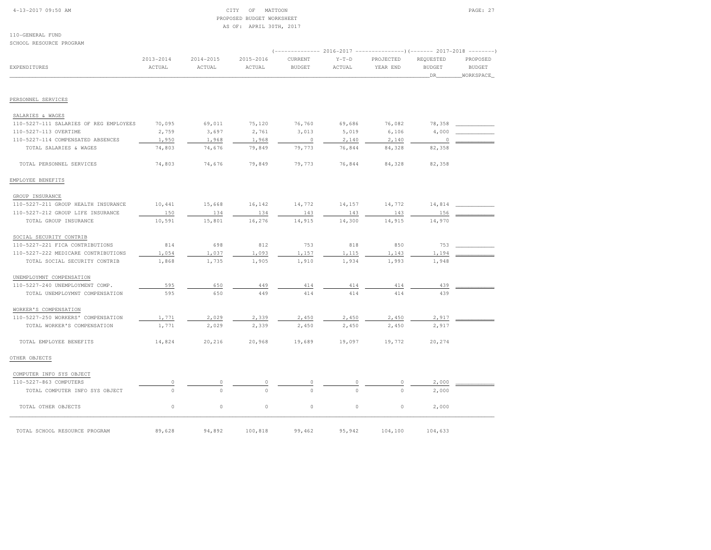# 4-13-2017 09:50 AM CITY OF MATTOON PAGE: 27 PROPOSED BUDGET WORKSHEETAS OF: APRIL 30TH, 2017

| SCHOOL RESOURCE PROGRAM                |                         |                         |                         |                          |                   |                       |                                  |                                        |
|----------------------------------------|-------------------------|-------------------------|-------------------------|--------------------------|-------------------|-----------------------|----------------------------------|----------------------------------------|
| EXPENDITURES                           | $2013 - 2014$<br>ACTUAL | $2014 - 2015$<br>ACTUAL | $2015 - 2016$<br>ACTUAL | CURRENT<br><b>BUDGET</b> | $Y-T-D$<br>ACTUAL | PROJECTED<br>YEAR END | REQUESTED<br><b>BUDGET</b><br>DR | PROPOSED<br><b>BUDGET</b><br>WORKSPACE |
| PERSONNEL SERVICES                     |                         |                         |                         |                          |                   |                       |                                  |                                        |
|                                        |                         |                         |                         |                          |                   |                       |                                  |                                        |
| SALARIES & WAGES                       |                         |                         |                         |                          |                   |                       |                                  |                                        |
| 110-5227-111 SALARIES OF REG EMPLOYEES | 70,095                  | 69,011                  | 75,120                  | 76,760                   | 69,686            | 76,082                | 78,358                           |                                        |
| 110-5227-113 OVERTIME                  | 2,759                   | 3,697                   | 2,761                   | 3,013                    | 5,019             | 6,106                 | 4,000                            |                                        |
| 110-5227-114 COMPENSATED ABSENCES      | 1,950                   | 1,968                   | 1,968                   | $\circ$                  | 2,140             | 2,140                 | $\cap$                           |                                        |
| TOTAL SALARIES & WAGES                 | 74,803                  | 74,676                  | 79,849                  | 79,773                   | 76,844            | 84,328                | 82,358                           |                                        |
| TOTAL PERSONNEL SERVICES               | 74,803                  | 74,676                  | 79,849                  | 79,773                   | 76,844            | 84,328                | 82,358                           |                                        |
| EMPLOYEE BENEFITS                      |                         |                         |                         |                          |                   |                       |                                  |                                        |
| GROUP INSURANCE                        |                         |                         |                         |                          |                   |                       |                                  |                                        |
| 110-5227-211 GROUP HEALTH INSURANCE    | 10,441                  | 15,668                  | 16,142                  | 14,772                   | 14,157            | 14,772                | 14,814                           |                                        |
| 110-5227-212 GROUP LIFE INSURANCE      | 150                     | 134                     | 134                     | 143                      | 143               | 143                   | 156                              |                                        |
| TOTAL GROUP INSURANCE                  | 10,591                  | 15,801                  | 16,276                  | 14,915                   | 14,300            | 14,915                | 14,970                           |                                        |
| SOCIAL SECURITY CONTRIB                |                         |                         |                         |                          |                   |                       |                                  |                                        |
| 110-5227-221 FICA CONTRIBUTIONS        | 814                     | 698                     | 812                     | 753                      | 818               | 850                   | 753                              |                                        |
| 110-5227-222 MEDICARE CONTRIBUTIONS    | 1,054                   | 1,037                   | 1,093                   | 1,157                    | 1,115             | 1,143                 | 1,194                            |                                        |
| TOTAL SOCIAL SECURITY CONTRIB          | 1,868                   | 1,735                   | 1,905                   | 1,910                    | 1,934             | 1,993                 | 1,948                            |                                        |
| UNEMPLOYMNT COMPENSATION               |                         |                         |                         |                          |                   |                       |                                  |                                        |
| 110-5227-240 UNEMPLOYMENT COMP.        | 595                     | 650                     | 449                     | 414                      | 414               | 414                   | 439                              |                                        |
| TOTAL UNEMPLOYMNT COMPENSATION         | 595                     | 650                     | 449                     | 414                      | 414               | 414                   | 439                              |                                        |
| WORKER'S COMPENSATION                  |                         |                         |                         |                          |                   |                       |                                  |                                        |
| 110-5227-250 WORKERS' COMPENSATION     | 1,771                   | 2,029                   | 2,339                   | 2,450                    | 2,450             | 2,450                 | 2,917                            |                                        |
| TOTAL WORKER'S COMPENSATION            | 1,771                   | 2,029                   | 2,339                   | 2,450                    | 2,450             | 2,450                 | 2,917                            |                                        |
| TOTAL EMPLOYEE BENEFITS                | 14,824                  | 20,216                  | 20,968                  | 19,689                   | 19,097            | 19,772                | 20,274                           |                                        |
| OTHER OBJECTS                          |                         |                         |                         |                          |                   |                       |                                  |                                        |
| COMPUTER INFO SYS OBJECT               |                         |                         |                         |                          |                   |                       |                                  |                                        |
| 110-5227-863 COMPUTERS                 |                         |                         |                         |                          |                   |                       | 2,000                            |                                        |
| TOTAL COMPUTER INFO SYS OBJECT         | $\Omega$                | $\Omega$                |                         |                          |                   |                       | 2,000                            |                                        |
| TOTAL OTHER OBJECTS                    | $\circ$                 | $\mathbb O$             | $\circ$                 | $\circ$                  | $\circ$           | $\circ$               | 2,000                            |                                        |
| TOTAL SCHOOL RESOURCE PROGRAM          | 89,628                  | 94,892                  | 100,818                 | 99,462                   | 95,942            | 104,100               | 104,633                          |                                        |
|                                        |                         |                         |                         |                          |                   |                       |                                  |                                        |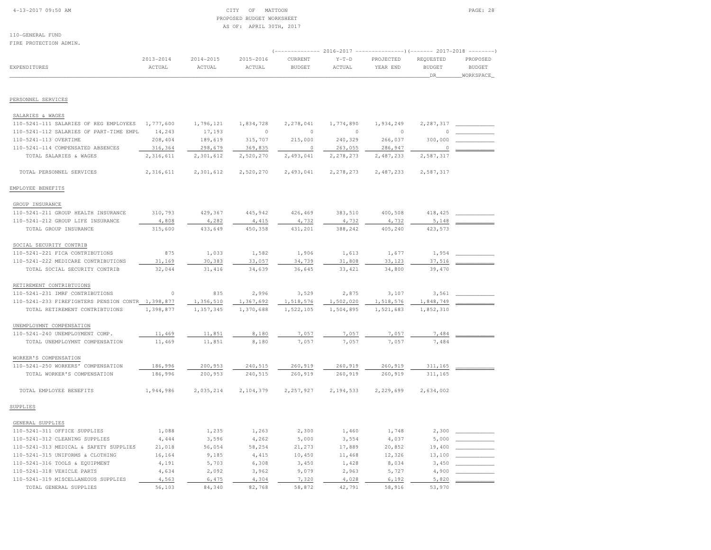### 4-13-2017 09:50 AM CITY OF MATTOON PAGE: 28 PROPOSED BUDGET WORKSHEETAS OF: APRIL 30TH, 2017

110-GENERAL FUNDFIRE PROTECTION ADMIN.

# (-------------- 2016-2017 ---------------)(------- 2017-2018 --------) 2013-2014 2014-2015 2015-2016 CURRENT Y-T-D PROJECTED REQUESTED PROPOSED EXPENDITURES ACTUAL ACTUAL ACTUAL BUDGET ACTUAL YEAR END BUDGET BUDGET\_\_\_\_\_\_\_\_\_\_\_\_\_\_\_\_\_\_\_\_\_\_\_\_\_\_\_\_\_\_\_\_\_\_\_\_\_\_\_\_\_\_\_\_\_\_\_\_\_\_\_\_\_\_\_\_\_\_\_\_\_\_\_\_\_\_\_\_\_\_\_\_\_\_\_\_\_\_\_\_\_\_\_\_\_\_\_\_\_\_\_\_\_\_\_\_\_\_\_\_\_\_\_\_\_\_\_\_\_\_\_\_\_\_\_\_\_\_\_\_\_\_\_\_\_\_\_\_\_\_DR\_\_\_\_\_\_\_\_WORKSPACE\_

PERSONNEL SERVICES

| SALARIES & WAGES<br>110-5241-111 SALARIES OF REG EMPLOYEES | 1,777,600 | 1,796,121 |                      | 2,278,041 |                      | 1,934,249 |                       |  |
|------------------------------------------------------------|-----------|-----------|----------------------|-----------|----------------------|-----------|-----------------------|--|
|                                                            |           |           | 1,834,728<br>$\circ$ | $\circ$   | 1,774,890<br>$\circ$ | $\circ$   | 2,287,317<br>$\Omega$ |  |
| 110-5241-112 SALARIES OF PART-TIME EMPL                    | 14,243    | 17,193    |                      |           |                      |           |                       |  |
| 110-5241-113 OVERTIME                                      | 208,404   | 189,619   | 315,707              | 215,000   | 240,329              | 266,037   | 300,000               |  |
| 110-5241-114 COMPENSATED ABSENCES                          | 316,364   | 298,679   | 369,835              | $\circ$   | 263,055              | 286,947   | 0                     |  |
| TOTAL SALARIES & WAGES                                     | 2,316,611 | 2,301,612 | 2,520,270            | 2,493,041 | 2,278,273            | 2,487,233 | 2,587,317             |  |
| TOTAL PERSONNEL SERVICES                                   | 2,316,611 | 2,301,612 | 2,520,270            | 2,493,041 | 2, 278, 273          | 2,487,233 | 2,587,317             |  |
| EMPLOYEE BENEFITS                                          |           |           |                      |           |                      |           |                       |  |
| GROUP INSURANCE                                            |           |           |                      |           |                      |           |                       |  |
| 110-5241-211 GROUP HEALTH INSURANCE                        | 310,793   | 429,367   | 445,942              | 426,469   | 383,510              | 400,508   | 418, 425              |  |
| 110-5241-212 GROUP LIFE INSURANCE                          | 4,808     | 4,282     | 4,415                | 4,732     | 4,732                | 4,732     | 5,148                 |  |
| TOTAL GROUP INSURANCE                                      | 315,600   | 433,649   | 450,358              | 431,201   | 388,242              | 405,240   | 423,573               |  |
|                                                            |           |           |                      |           |                      |           |                       |  |
| SOCIAL SECURITY CONTRIB                                    |           |           |                      |           |                      |           |                       |  |
| 110-5241-221 FICA CONTRIBUTIONS                            | 875       | 1,033     | 1,582                | 1,906     | 1,613                | 1,677     | 1,954                 |  |
| 110-5241-222 MEDICARE CONTRIBUTIONS                        | 31,169    | 30,383    | 33,057               | 34,739    | 31,808               | 33,123    | 37,516                |  |
| TOTAL SOCIAL SECURITY CONTRIB                              | 32,044    | 31,416    | 34,639               | 36,645    | 33, 421              | 34,800    | 39,470                |  |
|                                                            |           |           |                      |           |                      |           |                       |  |
| RETIREMENT CONTRIBTUIONS                                   |           |           |                      |           |                      |           |                       |  |
| 110-5241-231 IMRF CONTRIBUTIONS                            | $\circ$   | 835       | 2,996                | 3,529     | 2,875                | 3,107     | 3,561                 |  |
| 110-5241-233 FIREFIGHTERS PENSION CONTR 1,398,877          |           | 1,356,510 | 1,367,692            | 1,518,576 | 1,502,020            | 1,518,576 | 1,848,749             |  |
| TOTAL RETIREMENT CONTRIBTUIONS                             | 1,398,877 | 1,357,345 | 1,370,688            | 1,522,105 | 1,504,895            | 1,521,683 | 1,852,310             |  |
| UNEMPLOYMNT COMPENSATION                                   |           |           |                      |           |                      |           |                       |  |
| 110-5241-240 UNEMPLOYMENT COMP.                            | 11,469    | 11,851    | 8,180                | 7,057     | 7,057                | 7,057     | 7,484                 |  |
| TOTAL UNEMPLOYMNT COMPENSATION                             | 11,469    | 11,851    | 8,180                | 7,057     | 7,057                | 7.057     | 7,484                 |  |
|                                                            |           |           |                      |           |                      |           |                       |  |
| WORKER'S COMPENSATION                                      |           |           |                      |           |                      |           |                       |  |
| 110-5241-250 WORKERS' COMPENSATION                         | 186,996   | 200,953   | 240,515              | 260,919   | 260,919              | 260,919   | 311,165               |  |
| TOTAL WORKER'S COMPENSATION                                | 186,996   | 200,953   | 240,515              | 260,919   | 260,919              | 260,919   | 311,165               |  |
|                                                            |           |           |                      |           |                      |           |                       |  |
| TOTAL EMPLOYEE BENEFITS                                    | 1,944,986 | 2,035,214 | 2,104,379            | 2,257,927 | 2,194,533            | 2,229,699 | 2,634,002             |  |
| SUPPLIES                                                   |           |           |                      |           |                      |           |                       |  |
|                                                            |           |           |                      |           |                      |           |                       |  |
| GENERAL SUPPLIES                                           |           |           |                      |           |                      |           |                       |  |
| 110-5241-311 OFFICE SUPPLIES                               | 1,088     | 1,235     | 1,263                | 2,300     | 1,460                | 1,748     | 2,300                 |  |
| 110-5241-312 CLEANING SUPPLIES                             | 4,444     | 3,596     | 4,262                | 5,000     | 3,554                | 4,037     | 5,000                 |  |
| 110-5241-313 MEDICAL & SAFETY SUPPLIES                     | 21,018    | 56,054    | 58,254               | 21,273    | 17,889               | 20,852    | 19,400                |  |
| 110-5241-315 UNIFORMS & CLOTHING                           | 16,164    | 9,185     | 4,415                | 10,450    | 11,468               | 12,326    | 13,100                |  |
| 110-5241-316 TOOLS & EQUIPMENT                             | 4,191     | 5,703     | 6,308                | 3,450     | 1,428                | 8,034     | 3,450                 |  |
| 110-5241-318 VEHICLE PARTS                                 | 4,634     | 2,092     | 3,962                | 9,079     | 2,963                | 5,727     | 4,900                 |  |
| 110-5241-319 MISCELLANEOUS SUPPLIES                        | 4,563     | 6,475     | 4,304                | 7,320     | 4,028                | 6,192     | 5,820                 |  |

TOTAL GENERAL SUPPLIES 56,103 84,340 82,768 58,872 42,791 58,916 53,970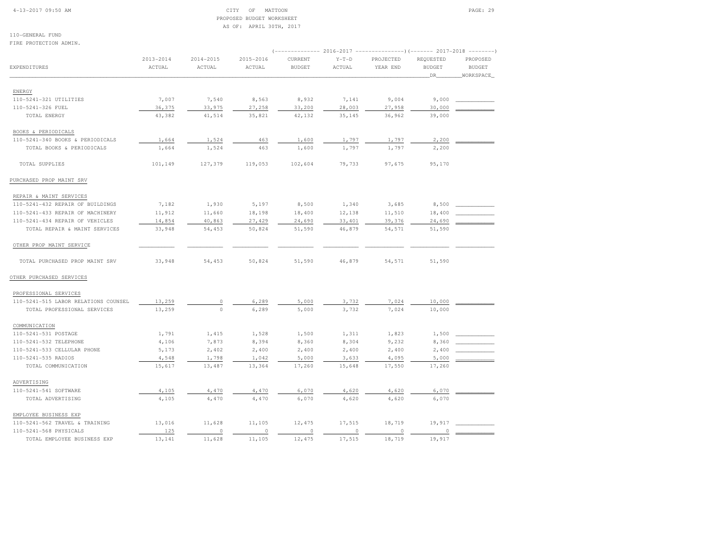### 4-13-2017 09:50 AM CITY OF MATTOON PAGE: 29 PROPOSED BUDGET WORKSHEETAS OF: APRIL 30TH, 2017

| FIRE PROTECTION ADMIN.               |               |               |               | ------------- 2016-2017 -----------------) (------- 2017-2018 |         |           |               |               |  |  |
|--------------------------------------|---------------|---------------|---------------|---------------------------------------------------------------|---------|-----------|---------------|---------------|--|--|
|                                      |               |               |               |                                                               |         |           | ---------     |               |  |  |
|                                      | $2013 - 2014$ | $2014 - 2015$ | $2015 - 2016$ | CURRENT                                                       | $Y-T-D$ | PROJECTED | REQUESTED     | PROPOSED      |  |  |
| <b>EXPENDITURES</b>                  | ACTUAL        | ACTUAL        | ACTUAL        | <b>BUDGET</b>                                                 | ACTUAL  | YEAR END  | <b>BUDGET</b> | <b>BUDGET</b> |  |  |
|                                      |               |               |               |                                                               |         |           | DR_           | WORKSPACE     |  |  |
| ENERGY                               |               |               |               |                                                               |         |           |               |               |  |  |
| 110-5241-321 UTILITIES               | 7,007         | 7,540         | 8,563         | 8,932                                                         | 7,141   | 9,004     | 9,000         |               |  |  |
| 110-5241-326 FUEL                    | 36,375        | 33,975        | 27,258        | 33,200                                                        | 28,003  | 27,958    | 30,000        |               |  |  |
| TOTAL ENERGY                         | 43,382        | 41,514        | 35,821        | 42,132                                                        | 35,145  | 36,962    | 39,000        |               |  |  |
| BOOKS & PERIODICALS                  |               |               |               |                                                               |         |           |               |               |  |  |
| 110-5241-340 BOOKS & PERIODICALS     | 1,664         | 1,524         | 463           | 1,600                                                         | 1,797   | 1,797     | 2,200         |               |  |  |
| TOTAL BOOKS & PERIODICALS            | 1,664         | 1,524         | 463           | 1,600                                                         | 1,797   | 1,797     | 2,200         |               |  |  |
|                                      |               |               |               |                                                               |         |           |               |               |  |  |
| TOTAL SUPPLIES                       | 101,149       | 127,379       | 119,053       | 102,604                                                       | 79,733  | 97,675    | 95,170        |               |  |  |
| PURCHASED PROP MAINT SRV             |               |               |               |                                                               |         |           |               |               |  |  |
| REPAIR & MAINT SERVICES              |               |               |               |                                                               |         |           |               |               |  |  |
| 110-5241-432 REPAIR OF BUILDINGS     | 7,182         | 1,930         | 5,197         | 8,500                                                         | 1,340   | 3,685     | 8,500         |               |  |  |
| 110-5241-433 REPAIR OF MACHINERY     | 11,912        | 11,660        | 18,198        | 18,400                                                        | 12,138  | 11,510    | 18,400        |               |  |  |
| 110-5241-434 REPAIR OF VEHICLES      | 14,854        | 40,863        | 27,429        | 24,690                                                        | 33,401  | 39,376    | 24,690        |               |  |  |
| TOTAL REPAIR & MAINT SERVICES        | 33,948        | 54,453        | 50,824        | 51,590                                                        | 46,879  | 54,571    | 51,590        |               |  |  |
| OTHER PROP MAINT SERVICE             |               |               |               |                                                               |         |           |               |               |  |  |
| TOTAL PURCHASED PROP MAINT SRV       | 33,948        | 54,453        | 50,824        | 51,590                                                        | 46,879  | 54,571    | 51,590        |               |  |  |
| OTHER PURCHASED SERVICES             |               |               |               |                                                               |         |           |               |               |  |  |
| PROFESSIONAL SERVICES                |               |               |               |                                                               |         |           |               |               |  |  |
| 110-5241-515 LABOR RELATIONS COUNSEL | 13,259        | $\circ$       | 6,289         | 5,000                                                         | 3,732   | 7,024     | 10,000        |               |  |  |
| TOTAL PROFESSIONAL SERVICES          | 13,259        | $\circ$       | 6,289         | 5,000                                                         | 3,732   | 7,024     | 10,000        |               |  |  |
| COMMUNICATION                        |               |               |               |                                                               |         |           |               |               |  |  |
| 110-5241-531 POSTAGE                 | 1,791         | 1,415         | 1,528         | 1,500                                                         | 1,311   | 1,823     | 1,500         |               |  |  |
| 110-5241-532 TELEPHONE               | 4,106         | 7,873         | 8,394         | 8,360                                                         | 8,304   | 9,232     | 8,360         |               |  |  |
| 110-5241-533 CELLULAR PHONE          | 5,173         | 2,402         | 2,400         | 2,400                                                         | 2,400   | 2,400     | 2,400         |               |  |  |
| 110-5241-535 RADIOS                  | 4,548         | 1,798         | 1,042         | 5,000                                                         | 3,633   | 4,095     | 5,000         |               |  |  |
| TOTAL COMMUNICATION                  | 15,617        | 13,487        | 13,364        | 17,260                                                        | 15,648  | 17,550    | 17,260        |               |  |  |
|                                      |               |               |               |                                                               |         |           |               |               |  |  |
| ADVERTISING                          |               |               |               |                                                               |         |           |               |               |  |  |
| 110-5241-541 SOFTWARE                | 4,105         | 4,470         | 4,470         | 6,070                                                         | 4,620   | 4,620     | 6,070         |               |  |  |
| TOTAL ADVERTISING                    | 4,105         | 4,470         | 4,470         | 6,070                                                         | 4,620   | 4,620     | 6,070         |               |  |  |
| EMPLOYEE BUSINESS EXP                |               |               |               |                                                               |         |           |               |               |  |  |
| 110-5241-562 TRAVEL & TRAINING       | 13,016        | 11,628        | 11,105        | 12,475                                                        | 17,515  | 18,719    | 19,917        |               |  |  |
| 110-5241-568 PHYSICALS               | 125           | $\circ$       | $\circ$       | $\circ$                                                       | 0       | 0         | 0             |               |  |  |
| TOTAL EMPLOYEE BUSINESS EXP          | 13,141        | 11,628        | 11,105        | 12,475                                                        | 17,515  | 18,719    | 19,917        |               |  |  |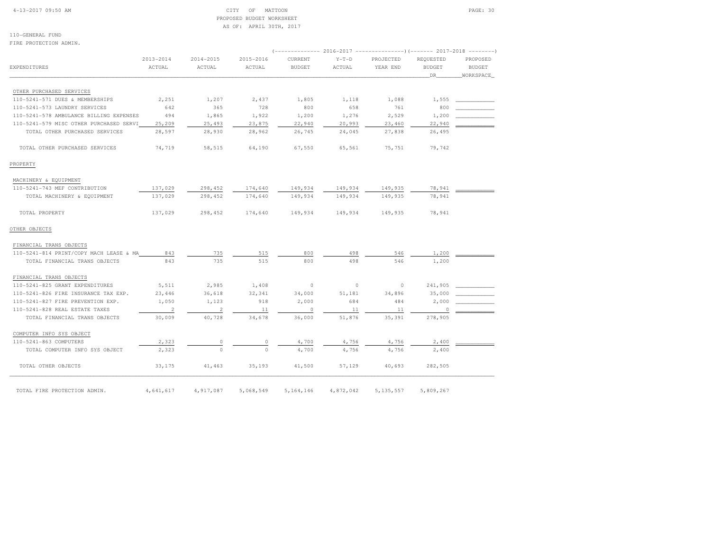### 4-13-2017 09:50 AM CITY OF MATTOON PAGE: 30 PROPOSED BUDGET WORKSHEETAS OF: APRIL 30TH, 2017

| FIRE PROTECTION ADMIN.                  |                         |                     |                     |                          |                   |                                                                                               |                                  |                                        |
|-----------------------------------------|-------------------------|---------------------|---------------------|--------------------------|-------------------|-----------------------------------------------------------------------------------------------|----------------------------------|----------------------------------------|
| <b>EXPENDITURES</b>                     | $2013 - 2014$<br>ACTUAL | 2014-2015<br>ACTUAL | 2015-2016<br>ACTUAL | CURRENT<br><b>BUDGET</b> | $Y-T-D$<br>ACTUAL | (-------------- 2016-2017 --------------------- 2017-2018 ----------<br>PROJECTED<br>YEAR END | REQUESTED<br><b>BUDGET</b><br>DR | PROPOSED<br><b>BUDGET</b><br>WORKSPACE |
| OTHER PURCHASED SERVICES                |                         |                     |                     |                          |                   |                                                                                               |                                  |                                        |
| 110-5241-571 DUES & MEMBERSHIPS         | 2,251                   | 1,207               | 2,437               | 1,805                    | 1,118             | 1,088                                                                                         | 1,555                            |                                        |
| 110-5241-573 LAUNDRY SERVICES           | 642                     | 365                 | 728                 | 800                      | 658               | 761                                                                                           | 800                              |                                        |
| 110-5241-578 AMBULANCE BILLING EXPENSES | 494                     | 1,865               | 1,922               | 1,200                    | 1,276             | 2,529                                                                                         | 1,200                            |                                        |
| 110-5241-579 MISC OTHER PURCHASED SERVI | 25,209                  | 25,493              | 23,875              | 22,940                   | 20,993            | 23,460                                                                                        | 22,940                           |                                        |
| TOTAL OTHER PURCHASED SERVICES          | 28,597                  | 28,930              | 28,962              | 26,745                   | 24,045            | 27,838                                                                                        | 26,495                           |                                        |
| TOTAL OTHER PURCHASED SERVICES          | 74,719                  | 58,515              | 64,190              | 67,550                   | 65,561            | 75,751                                                                                        | 79.742                           |                                        |
| PROPERTY                                |                         |                     |                     |                          |                   |                                                                                               |                                  |                                        |
| MACHINERY & EQUIPMENT                   |                         |                     |                     |                          |                   |                                                                                               |                                  |                                        |
| 110-5241-743 MEF CONTRIBUTION           | 137,029                 | 298,452             | 174,640             | 149,934                  | 149,934           | 149,935                                                                                       | 78,941                           |                                        |
| TOTAL MACHINERY & EQUIPMENT             | 137,029                 | 298,452             | 174,640             | 149,934                  | 149,934           | 149,935                                                                                       | 78,941                           |                                        |
| TOTAL PROPERTY                          | 137,029                 | 298,452             | 174,640             | 149,934                  | 149,934           | 149,935                                                                                       | 78,941                           |                                        |
| OTHER OBJECTS                           |                         |                     |                     |                          |                   |                                                                                               |                                  |                                        |
| FINANCIAL TRANS OBJECTS                 |                         |                     |                     |                          |                   |                                                                                               |                                  |                                        |
| 110-5241-814 PRINT/COPY MACH LEASE & MA | 843                     | 735                 | 515                 | 800                      | 498               | 546                                                                                           | 1,200                            |                                        |
| TOTAL FINANCIAL TRANS OBJECTS           | 843                     | 735                 | 515                 | 800                      | 498               | 546                                                                                           | 1,200                            |                                        |
| FINANCIAL TRANS OBJECTS                 |                         |                     |                     |                          |                   |                                                                                               |                                  |                                        |
| 110-5241-825 GRANT EXPENDITURES         | 5,511                   | 2,985               | 1,408               | $\circ$                  | $\circ$           | $\circ$                                                                                       | 241,905                          |                                        |
| 110-5241-826 FIRE INSURANCE TAX EXP.    | 23,446                  | 36,618              | 32,341              | 34,000                   | 51,181            | 34,896                                                                                        | 35,000                           |                                        |
| 110-5241-827 FIRE PREVENTION EXP.       | 1,050                   | 1,123               | 918                 | 2,000                    | 684               | 484                                                                                           | 2,000                            |                                        |
| 110-5241-828 REAL ESTATE TAXES          | 2                       | $\overline{2}$      | 11                  | $\circ$                  | 11                | 11                                                                                            | $\circ$                          |                                        |
| TOTAL FINANCIAL TRANS OBJECTS           | 30,009                  | 40,728              | 34,678              | 36,000                   | 51,876            | 35,391                                                                                        | 278,905                          |                                        |
| COMPUTER INFO SYS OBJECT                |                         |                     |                     |                          |                   |                                                                                               |                                  |                                        |
| 110-5241-863 COMPUTERS                  | 2,323                   | 0                   | 0                   | 4,700                    | 4,756             | 4,756                                                                                         | 2,400                            |                                        |
| TOTAL COMPUTER INFO SYS OBJECT          | 2,323                   | $\circ$             | $\circ$             | 4,700                    | 4,756             | 4,756                                                                                         | 2,400                            |                                        |
| TOTAL OTHER OBJECTS                     | 33,175                  | 41,463              | 35,193              | 41,500                   | 57,129            | 40,693                                                                                        | 282,505                          |                                        |
| TOTAL FIRE PROTECTION ADMIN.            | 4,641,617               | 4,917,087           | 5,068,549           | 5, 164, 146              | 4,872,042         | 5, 135, 557                                                                                   | 5,809,267                        |                                        |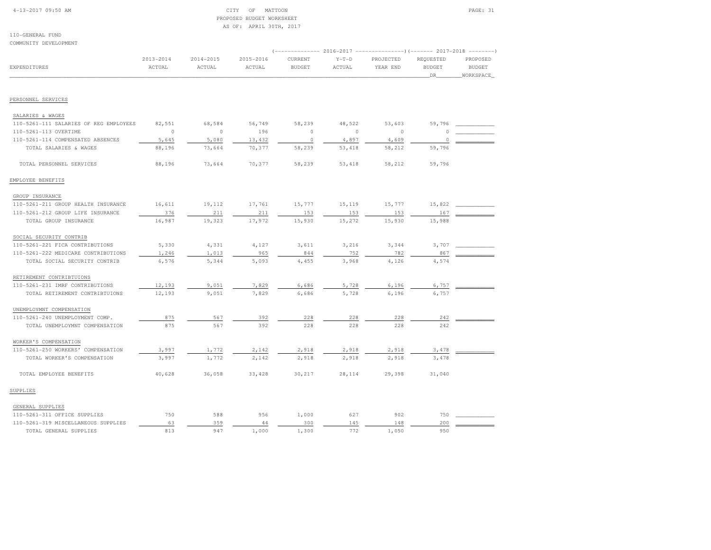# 4-13-2017 09:50 AM CITY OF MATTOON PAGE: 31 PROPOSED BUDGET WORKSHEETAS OF: APRIL 30TH, 2017

| COMMUNITY DEVELOPMENT                  |                         |                         |                     |                          |                   |                                                                                             |                                  |                                        |
|----------------------------------------|-------------------------|-------------------------|---------------------|--------------------------|-------------------|---------------------------------------------------------------------------------------------|----------------------------------|----------------------------------------|
| <b>EXPENDITURES</b>                    | $2013 - 2014$<br>ACTUAL | $2014 - 2015$<br>ACTUAL | 2015-2016<br>ACTUAL | CURRENT<br><b>BUDGET</b> | $Y-T-D$<br>ACTUAL | (------------- 2016-2017 --------------------- 2017-2018 ---------<br>PROJECTED<br>YEAR END | REQUESTED<br><b>BUDGET</b><br>DR | PROPOSED<br><b>BUDGET</b><br>WORKSPACE |
| PERSONNEL SERVICES                     |                         |                         |                     |                          |                   |                                                                                             |                                  |                                        |
| SALARIES & WAGES                       |                         |                         |                     |                          |                   |                                                                                             |                                  |                                        |
| 110-5261-111 SALARIES OF REG EMPLOYEES | 82,551                  | 68,584                  | 56,749              | 58,239                   | 48,522            | 53,603                                                                                      | 59,796                           |                                        |
| 110-5261-113 OVERTIME                  | $\circ$                 | $\circ$                 | 196                 | $\circ$                  | $\circ$           | $\circ$                                                                                     | $\Omega$                         |                                        |
| 110-5261-114 COMPENSATED ABSENCES      | 5,645                   | 5,080                   | 13,432              | $\circ$                  | 4,897             | 4,609                                                                                       | $\circ$                          |                                        |
| TOTAL SALARIES & WAGES                 | 88,196                  | 73,664                  | 70,377              | 58,239                   | 53,418            | 58,212                                                                                      | 59,796                           |                                        |
| TOTAL PERSONNEL SERVICES               | 88,196                  | 73,664                  | 70,377              | 58,239                   | 53,418            | 58,212                                                                                      | 59,796                           |                                        |
| EMPLOYEE BENEFITS                      |                         |                         |                     |                          |                   |                                                                                             |                                  |                                        |
| GROUP INSURANCE                        |                         |                         |                     |                          |                   |                                                                                             |                                  |                                        |
| 110-5261-211 GROUP HEALTH INSURANCE    | 16,611                  | 19,112                  | 17,761              | 15,777                   | 15,119            | 15,777                                                                                      | 15,822                           |                                        |
| 110-5261-212 GROUP LIFE INSURANCE      | 376                     | 211                     | 211                 | 153                      | 153               | 153                                                                                         | 167                              |                                        |
| TOTAL GROUP INSURANCE                  | 16,987                  | 19,323                  | 17,972              | 15,930                   | 15,272            | 15,930                                                                                      | 15,988                           |                                        |
| SOCIAL SECURITY CONTRIB                |                         |                         |                     |                          |                   |                                                                                             |                                  |                                        |
| 110-5261-221 FICA CONTRIBUTIONS        | 5,330                   | 4,331                   | 4,127               | 3,611                    | 3,216             | 3,344                                                                                       | 3,707                            |                                        |
| 110-5261-222 MEDICARE CONTRIBUTIONS    | 1,246                   | 1,013                   | 965                 | 844                      | 752               | 782                                                                                         | 867                              |                                        |
| TOTAL SOCIAL SECURITY CONTRIB          | 6,576                   | 5,344                   | 5,093               | 4,455                    | 3,968             | 4,126                                                                                       | 4,574                            |                                        |
| RETIREMENT CONTRIBTUIONS               |                         |                         |                     |                          |                   |                                                                                             |                                  |                                        |
| 110-5261-231 IMRF CONTRIBUTIONS        | 12,193                  | 9,051                   | 7,829               | 6,686                    | 5,728             | 6,196                                                                                       | 6,757                            |                                        |
| TOTAL RETIREMENT CONTRIBTUIONS         | 12,193                  | 9,051                   | 7,829               | 6,686                    | 5,728             | 6,196                                                                                       | 6,757                            |                                        |
| UNEMPLOYMNT COMPENSATION               |                         |                         |                     |                          |                   |                                                                                             |                                  |                                        |
| 110-5261-240 UNEMPLOYMENT COMP.        | 875                     | 567                     | 392                 | 228                      | 228               | 228                                                                                         | 242                              |                                        |
| TOTAL UNEMPLOYMNT COMPENSATION         | 875                     | 567                     | 392                 | 228                      | 228               | 228                                                                                         | 242                              |                                        |
| WORKER'S COMPENSATION                  |                         |                         |                     |                          |                   |                                                                                             |                                  |                                        |
| 110-5261-250 WORKERS' COMPENSATION     | 3,997                   | 1,772                   | 2,142               | 2,918                    | 2,918             | 2,918                                                                                       | 3,478                            |                                        |
| TOTAL WORKER'S COMPENSATION            | 3,997                   | 1,772                   | 2,142               | 2,918                    | 2,918             | 2,918                                                                                       | 3,478                            |                                        |
| TOTAL EMPLOYEE BENEFITS                | 40,628                  | 36,058                  | 33,428              | 30,217                   | 28,114            | 29,398                                                                                      | 31,040                           |                                        |
| SUPPLIES                               |                         |                         |                     |                          |                   |                                                                                             |                                  |                                        |
| GENERAL SUPPLIES                       |                         |                         |                     |                          |                   |                                                                                             |                                  |                                        |
| 110-5261-311 OFFICE SUPPLIES           | 750                     | 588                     | 956                 | 1,000                    | 627               | 902                                                                                         | 750                              |                                        |
| 110-5261-319 MISCELLANEOUS SUPPLIES    | 63                      | 359                     | 44                  | 300                      | 145               | 148                                                                                         | 200                              |                                        |
| TOTAL GENERAL SUPPLIES                 | 813                     | 947                     | 1,000               | 1,300                    | 772               | 1,050                                                                                       | 950                              |                                        |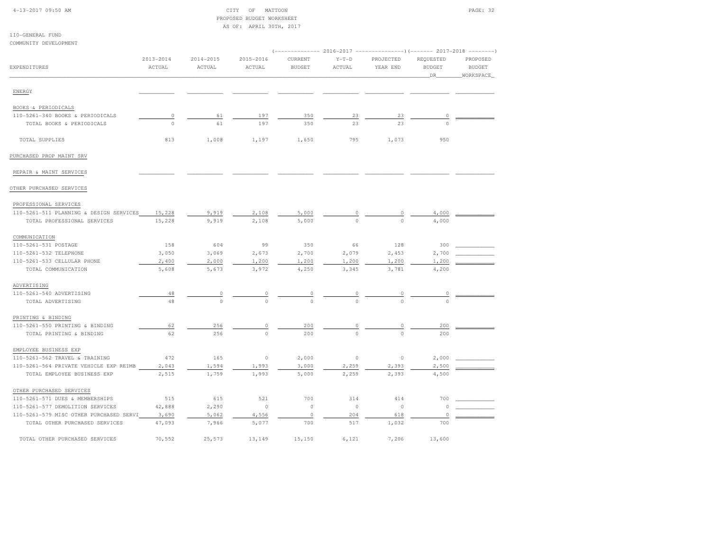| 4-13-2017 09:50 AM |  |
|--------------------|--|
|                    |  |

## CITY OF MATTOON PAGE: 32 PROPOSED BUDGET WORKSHEETAS OF: APRIL 30TH, 2017

|                                           |               |           | $\cdots$    |                |                |                |               |               |
|-------------------------------------------|---------------|-----------|-------------|----------------|----------------|----------------|---------------|---------------|
| 110-GENERAL FUND<br>COMMUNITY DEVELOPMENT |               |           |             |                |                |                |               |               |
|                                           |               |           |             |                |                |                |               |               |
|                                           | $2013 - 2014$ | 2014-2015 | 2015-2016   | CURRENT        | $Y-T-D$        | PROJECTED      | REQUESTED     | PROPOSED      |
| EXPENDITURES                              | ACTUAL        | ACTUAL    | ACTUAL      | <b>BUDGET</b>  | ACTUAL         | YEAR END       | <b>BUDGET</b> | <b>BUDGET</b> |
|                                           |               |           |             |                |                |                | DR            | WORKSPACE     |
| ENERGY                                    |               |           |             |                |                |                |               |               |
| BOOKS & PERIODICALS                       |               |           |             |                |                |                |               |               |
| 110-5261-340 BOOKS & PERIODICALS          | 0             | 61        | 197         | 350            | 23             | 23             | $\circ$       |               |
| TOTAL BOOKS & PERIODICALS                 | $\mathbb O$   | 61        | 197         | 350            | 23             | 23             | $\Omega$      |               |
| TOTAL SUPPLIES                            | 813           | 1,008     | 1,197       | 1,650          | 795            | 1,073          | 950           |               |
| PURCHASED PROP MAINT SRV                  |               |           |             |                |                |                |               |               |
| REPAIR & MAINT SERVICES                   |               |           |             |                |                |                |               |               |
| OTHER PURCHASED SERVICES                  |               |           |             |                |                |                |               |               |
| PROFESSIONAL SERVICES                     |               |           |             |                |                |                |               |               |
| 110-5261-511 PLANNING & DESIGN SERVICES   | 15,228        | 9,919     | 2,108       | 5,000          |                |                | 4,000         |               |
| TOTAL PROFESSIONAL SERVICES               | 15,228        | 9,919     | 2,108       | 5,000          |                |                | 4,000         |               |
| COMMUNICATION                             |               |           |             |                |                |                |               |               |
| 110-5261-531 POSTAGE                      | 158           | 604       | 99          | 350            | 66             | 128            | 300           |               |
| 110-5261-532 TELEPHONE                    | 3,050         | 3,069     | 2,673       | 2,700          | 2,079          | 2,453          | 2,700         |               |
| 110-5261-533 CELLULAR PHONE               | 2,400         | 2,000     | 1,200       | 1,200          | 1,200          | 1,200          | 1,200         |               |
| TOTAL COMMUNICATION                       | 5,608         | 5,673     | 3,972       | 4,250          | 3,345          | 3,781          | 4,200         |               |
| ADVERTISING                               |               |           |             |                |                |                |               |               |
| 110-5261-540 ADVERTISING                  | 48            | $\circ$   | $\circ$     | $\overline{0}$ | $\circ$        | $\overline{0}$ | $\circ$       |               |
| TOTAL ADVERTISING                         | 48            | $\Omega$  |             |                |                |                |               |               |
| PRINTING & BINDING                        |               |           |             |                |                |                |               |               |
| 110-5261-550 PRINTING & BINDING           | 62            | 256       | $\circ$     | 200            | 0              | 0              | 200           |               |
| TOTAL PRINTING & BINDING                  | 62            | 256       | $\circ$     | 200            | $\Omega$       | $\cap$         | 200           |               |
| EMPLOYEE BUSINESS EXP                     |               |           |             |                |                |                |               |               |
| 110-5261-562 TRAVEL & TRAINING            | 472           | 165       | $\mathbb O$ | 2,000          | $\circ$        | $\circ$        | 2,000         |               |
| 110-5261-564 PRIVATE VEHICLE EXP REIMB    | 2,043         | 1,594     | 1,993       | 3,000          | 2,259          | 2,393          | 2,500         |               |
| TOTAL EMPLOYEE BUSINESS EXP               | 2,515         | 1,759     | 1,993       | 5,000          | 2,259          | 2,393          | 4,500         |               |
| OTHER PURCHASED SERVICES                  |               |           |             |                |                |                |               |               |
| 110-5261-571 DUES & MEMBERSHIPS           | 515           | 615       | 521         | 700            | 314            | 414            | 700           |               |
| 110-5261-577 DEMOLITION SERVICES          | 42,888        | 2,290     | $\circ$     | $\circ$        | $\overline{0}$ | $\circ$        | $\circ$       |               |
| 110-5261-579 MISC OTHER PURCHASED SERVI   | 3,690         | 5,062     | 4,556       | $\mathbb O$    | 204            | 618            | $\circ$       |               |
| TOTAL OTHER PURCHASED SERVICES            | 47,093        | 7,966     | 5,077       | 700            | 517            | 1,032          | 700           |               |
| TOTAL OTHER PURCHASED SERVICES            | 70,552        | 25,573    | 13,149      | 15,150         | 6,121          | 7,206          | 13,600        |               |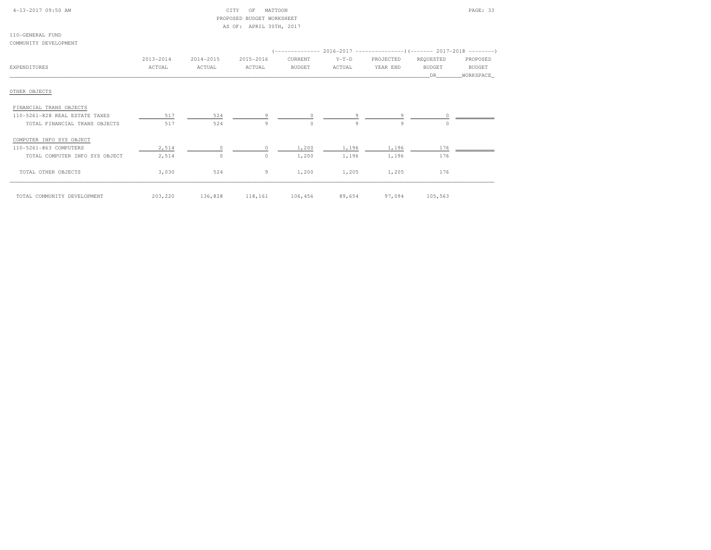| 4-13-2017 09:50 AM |  |  |
|--------------------|--|--|
|--------------------|--|--|

# CITY OF MATTOON **PAGE: 33**  PROPOSED BUDGET WORKSHEETAS OF: APRIL 30TH, 2017

| 110-GENERAL FUND      |  |
|-----------------------|--|
| COMMUNITY DEVELOPMENT |  |

|                                |           |                   |           |                        |         | (-------------- 2016-2017 ---------------------- 2017-2018 --------- |               |           |
|--------------------------------|-----------|-------------------|-----------|------------------------|---------|----------------------------------------------------------------------|---------------|-----------|
|                                | 2013-2014 | 2014-2015         | 2015-2016 | CURRENT                | $Y-T-D$ | PROJECTED                                                            | REQUESTED     | PROPOSED  |
| EXPENDITURES                   | ACTUAL    | ACTUAL            | ACTUAL    | <b>BUDGET</b>          | ACTUAL  | YEAR END                                                             | <b>BUDGET</b> | BUDGET    |
|                                |           |                   |           |                        |         |                                                                      | DR            | WORKSPACE |
| OTHER OBJECTS                  |           |                   |           |                        |         |                                                                      |               |           |
| FINANCIAL TRANS OBJECTS        |           |                   |           |                        |         |                                                                      |               |           |
| 110-5261-828 REAL ESTATE TAXES | 517       | 524               |           |                        |         | 9                                                                    | $\circ$       |           |
| TOTAL FINANCIAL TRANS OBJECTS  | 517       | 524               | 9         | $\circ$                | 9       | 9                                                                    | $\circ$       |           |
| COMPUTER INFO SYS OBJECT       |           |                   |           |                        |         |                                                                      |               |           |
| 110-5261-863 COMPUTERS         | 2,514     | $\circ$           |           | 1,200                  | 1,196   | 1,196                                                                | 176           |           |
| TOTAL COMPUTER INFO SYS OBJECT | 2,514     | $\circ$           | $\circ$   | 1,200                  | 1,196   | 1,196                                                                | 176           |           |
| TOTAL OTHER OBJECTS            | 3,030     | 524               | 9         | 1,200                  | 1,205   | 1,205                                                                | 176           |           |
| TOTAL COMMUNITY DEVELOPMENT    |           | 203, 220 136, 828 |           | 118,161 106,456 89,654 |         | 97,094                                                               | 105,563       |           |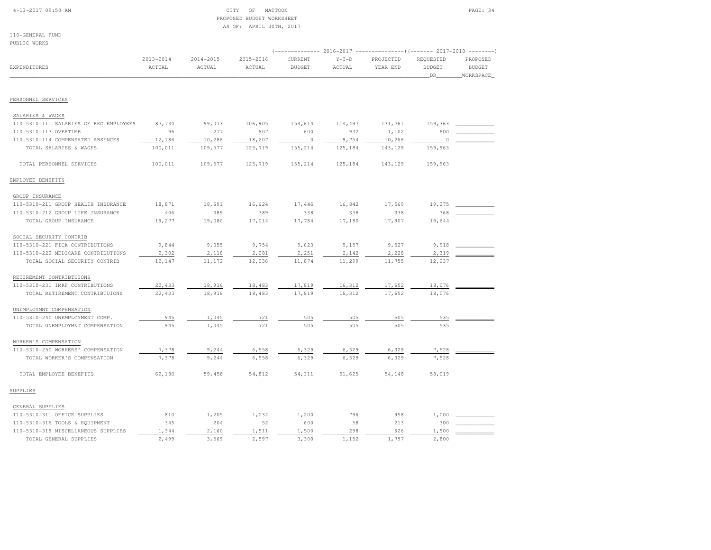# 4-13-2017 09:50 AM CITY OF MATTOON PAGE: 34 PROPOSED BUDGET WORKSHEETAS OF: APRIL 30TH, 2017

| PUBLIC WORKS                           |               |               |           |               |         |                                                                                  |                   |               |
|----------------------------------------|---------------|---------------|-----------|---------------|---------|----------------------------------------------------------------------------------|-------------------|---------------|
|                                        | $2013 - 2014$ | $2014 - 2015$ | 2015-2016 | CURRENT       | $Y-T-D$ | (-------------- 2016-2017 --------------------- 2017-2018 ---------<br>PROJECTED | REQUESTED         | PROPOSED      |
| <b>EXPENDITURES</b>                    | ACTUAL        | ACTUAL        | ACTUAL    | <b>BUDGET</b> | ACTUAL  | YEAR END                                                                         | <b>BUDGET</b>     | <b>BUDGET</b> |
|                                        |               |               |           |               |         |                                                                                  | $\_\!\mathsf{DR}$ | WORKSPACE     |
|                                        |               |               |           |               |         |                                                                                  |                   |               |
| PERSONNEL SERVICES                     |               |               |           |               |         |                                                                                  |                   |               |
| SALARIES & WAGES                       |               |               |           |               |         |                                                                                  |                   |               |
| 110-5310-111 SALARIES OF REG EMPLOYEES | 87,730        | 99,013        | 106,905   | 154,614       | 114,497 | 131,761                                                                          | 159,363           |               |
| 110-5310-113 OVERTIME                  | 96            | 277           | 607       | 600           | 932     | 1,102                                                                            | 600               |               |
| 110-5310-114 COMPENSATED ABSENCES      | 12,186        | 10,286        | 18,207    | $\circ$       | 9,754   | 10,266                                                                           | $\circ$           |               |
| TOTAL SALARIES & WAGES                 | 100,011       | 109,577       | 125,719   | 155,214       | 125,184 | 143,129                                                                          | 159,963           |               |
| TOTAL PERSONNEL SERVICES               | 100,011       | 109,577       | 125,719   | 155,214       | 125,184 | 143,129                                                                          | 159,963           |               |
| EMPLOYEE BENEFITS                      |               |               |           |               |         |                                                                                  |                   |               |
| GROUP INSURANCE                        |               |               |           |               |         |                                                                                  |                   |               |
| 110-5310-211 GROUP HEALTH INSURANCE    | 18,871        | 18,691        | 16,624    | 17,446        | 16,842  | 17,569                                                                           | 19,275            |               |
| 110-5310-212 GROUP LIFE INSURANCE      | 406           | 389           | 389       | 338           | 338     | 338                                                                              | 368               |               |
| TOTAL GROUP INSURANCE                  | 19,277        | 19,080        | 17,014    | 17,784        | 17,180  | 17,907                                                                           | 19,644            |               |
| SOCIAL SECURITY CONTRIB                |               |               |           |               |         |                                                                                  |                   |               |
| 110-5310-221 FICA CONTRIBUTIONS        | 9,844         | 9,055         | 9,754     | 9,623         | 9,157   | 9,527                                                                            | 9,918             |               |
| 110-5310-222 MEDICARE CONTRIBUTIONS    | 2,302         | 2,118         | 2,281     | 2,251         | 2,142   | 2,228                                                                            | 2,319             |               |
| TOTAL SOCIAL SECURITY CONTRIB          | 12,147        | 11,172        | 12,036    | 11,874        | 11,299  | 11,755                                                                           | 12,237            |               |
| RETIREMENT CONTRIBTUIONS               |               |               |           |               |         |                                                                                  |                   |               |
| 110-5310-231 IMRF CONTRIBUTIONS        | 22,433        | 18,916        | 18,483    | 17,819        | 16,312  | 17,652                                                                           | 18,076            |               |
| TOTAL RETIREMENT CONTRIBTUIONS         | 22,433        | 18,916        | 18,483    | 17,819        | 16,312  | 17,652                                                                           | 18,076            |               |
| UNEMPLOYMNT COMPENSATION               |               |               |           |               |         |                                                                                  |                   |               |
| 110-5310-240 UNEMPLOYMENT COMP.        | 945           | 1,045         | 721       | 505           | 505     | 505                                                                              | 535               |               |
| TOTAL UNEMPLOYMNT COMPENSATION         | 945           | 1,045         | 721       | 505           | 505     | 505                                                                              | 535               |               |
| WORKER'S COMPENSATION                  |               |               |           |               |         |                                                                                  |                   |               |
| 110-5310-250 WORKERS' COMPENSATION     | 7,378         | 9,244         | 6,558     | 6,329         | 6,329   | 6,329                                                                            | 7,528             |               |
| TOTAL WORKER'S COMPENSATION            | 7,378         | 9,244         | 6,558     | 6,329         | 6,329   | 6,329                                                                            | 7,528             |               |
| TOTAL EMPLOYEE BENEFITS                | 62,180        | 59,458        | 54,812    | 54,311        | 51,625  | 54,148                                                                           | 58,019            |               |
| SUPPLIES                               |               |               |           |               |         |                                                                                  |                   |               |
| GENERAL SUPPLIES                       |               |               |           |               |         |                                                                                  |                   |               |
| 110-5310-311 OFFICE SUPPLIES           | 810           | 1,205         | 1,034     | 1,200         | 796     | 958                                                                              | 1,000             |               |
| 110-5310-316 TOOLS & EQUIPMENT         | 345           | 204           | 52        | 600           | 58      | 213                                                                              | 300               |               |
| 110-5310-319 MISCELLANEOUS SUPPLIES    | 1,344         | 2,160         | 1,511     | 1,500         | 298     | 626                                                                              | 1,500             |               |
| TOTAL GENERAL SUPPLIES                 | 2,499         | 3,569         | 2,597     | 3,300         | 1,152   | 1,797                                                                            | 2,800             |               |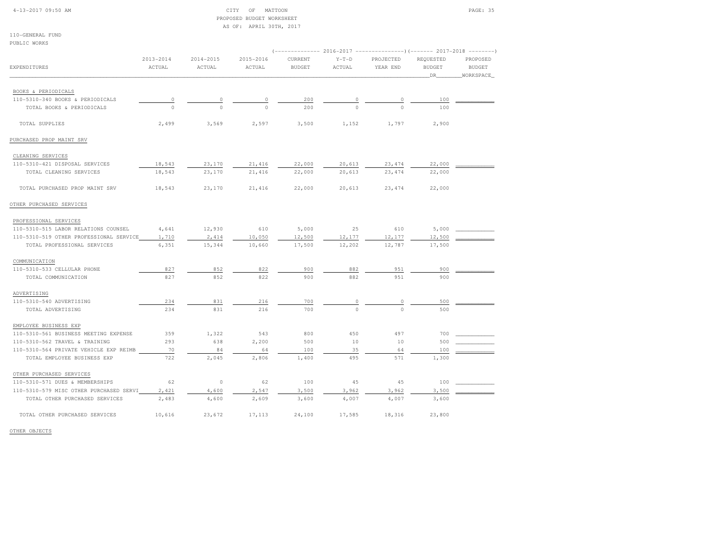#### 4-13-2017 09:50 AM CITY OF MATTOON PAGE: 35 PROPOSED BUDGET WORKSHEETAS OF: APRIL 30TH, 2017

110-GENERAL FUNDPUBLIC WORKS

| PUBLIC WORKS                            |           |               |           |               |         |                                                                                   |                     |                            |
|-----------------------------------------|-----------|---------------|-----------|---------------|---------|-----------------------------------------------------------------------------------|---------------------|----------------------------|
|                                         | 2013-2014 | $2014 - 2015$ | 2015-2016 | CURRENT       | $Y-T-D$ | (-------------- 2016-2017 --------------------- 2017-2018 ----------<br>PROJECTED | REQUESTED           | PROPOSED                   |
| EXPENDITURES                            | ACTUAL    | ACTUAL        | ACTUAL    | <b>BUDGET</b> | ACTUAL  | YEAR END                                                                          | <b>BUDGET</b><br>DR | <b>BUDGET</b><br>WORKSPACE |
| BOOKS & PERIODICALS                     |           |               |           |               |         |                                                                                   |                     |                            |
| 110-5310-340 BOOKS & PERIODICALS        | $\circ$   |               | 0         | 200           |         | 0                                                                                 | 100                 |                            |
| TOTAL BOOKS & PERIODICALS               | $\circ$   | $\Omega$      | $\Omega$  | 200           |         | $\Omega$                                                                          | 100                 |                            |
| TOTAL SUPPLIES                          | 2,499     | 3,569         | 2,597     | 3,500         | 1,152   | 1,797                                                                             | 2,900               |                            |
| PURCHASED PROP MAINT SRV                |           |               |           |               |         |                                                                                   |                     |                            |
| CLEANING SERVICES                       |           |               |           |               |         |                                                                                   |                     |                            |
| 110-5310-421 DISPOSAL SERVICES          | 18,543    | 23,170        | 21,416    | 22,000        | 20,613  | 23, 474                                                                           | 22,000              |                            |
| TOTAL CLEANING SERVICES                 | 18,543    | 23,170        | 21,416    | 22,000        | 20,613  | 23, 474                                                                           | 22,000              |                            |
| TOTAL PURCHASED PROP MAINT SRV          | 18,543    | 23,170        | 21,416    | 22,000        | 20,613  | 23, 474                                                                           | 22,000              |                            |
| OTHER PURCHASED SERVICES                |           |               |           |               |         |                                                                                   |                     |                            |
| PROFESSIONAL SERVICES                   |           |               |           |               |         |                                                                                   |                     |                            |
| 110-5310-515 LABOR RELATIONS COUNSEL    | 4,641     | 12,930        | 610       | 5,000         | 25      | 610                                                                               | 5,000               |                            |
| 110-5310-519 OTHER PROFESSIONAL SERVICE | 1,710     | 2,414         | 10,050    | 12,500        | 12,177  | 12,177                                                                            | 12,500              |                            |
| TOTAL PROFESSIONAL SERVICES             | 6,351     | 15,344        | 10,660    | 17,500        | 12,202  | 12,787                                                                            | 17,500              |                            |
| COMMUNICATION                           |           |               |           |               |         |                                                                                   |                     |                            |
| 110-5310-533 CELLULAR PHONE             | 827       | 852           | 822       | 900           | 882     | 951                                                                               | 900                 |                            |
| TOTAL COMMUNICATION                     | 827       | 852           | 822       | 900           | 882     | 951                                                                               | 900                 |                            |
| ADVERTISING                             |           |               |           |               |         |                                                                                   |                     |                            |
| 110-5310-540 ADVERTISING                | 234       | 831           | 216       | 700           | $\circ$ | $\overline{0}$                                                                    | 500                 |                            |
| TOTAL ADVERTISING                       | 234       | 831           | 216       | 700           | $\cap$  | $\Omega$                                                                          | 500                 |                            |
| EMPLOYEE BUSINESS EXP                   |           |               |           |               |         |                                                                                   |                     |                            |
| 110-5310-561 BUSINESS MEETING EXPENSE   | 359       | 1,322         | 543       | 800           | 450     | 497                                                                               | 700                 |                            |
| 110-5310-562 TRAVEL & TRAINING          | 293       | 638           | 2,200     | 500           | 10      | 10                                                                                | 500                 |                            |
| 110-5310-564 PRIVATE VEHICLE EXP REIMB  | 70        | 84            | 64        | 100           | 35      | 64                                                                                | 100                 |                            |
| TOTAL EMPLOYEE BUSINESS EXP             | 722       | 2,045         | 2,806     | 1,400         | 495     | 571                                                                               | 1,300               |                            |
| OTHER PURCHASED SERVICES                |           |               |           |               |         |                                                                                   |                     |                            |
| 110-5310-571 DUES & MEMBERSHIPS         | 62        | $\circ$       | 62        | 100           | 45      | 45                                                                                | 100                 |                            |
| 110-5310-579 MISC OTHER PURCHASED SERVI | 2,421     | 4,600         | 2,547     | 3,500         | 3,962   | 3,962                                                                             | 3,500               |                            |
| TOTAL OTHER PURCHASED SERVICES          | 2,483     | 4,600         | 2,609     | 3,600         | 4,007   | 4,007                                                                             | 3,600               |                            |
| TOTAL OTHER PURCHASED SERVICES          | 10,616    | 23,672        | 17,113    | 24,100        | 17,585  | 18,316                                                                            | 23,800              |                            |

OTHER OBJECTS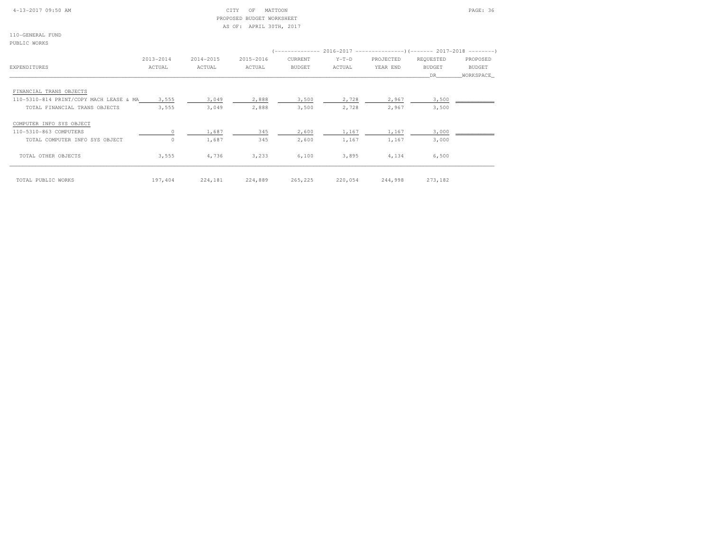## 4-13-2017 09:50 AM CITY OF MATTOON PAGE: 36 PROPOSED BUDGET WORKSHEETAS OF: APRIL 30TH, 2017

110-GENERAL FUNDPUBLIC WORKS

|                                         | 2013-2014 | 2014-2015 | 2015-2016 | CURRENT       | $Y-T-D$ | PROJECTED | REQUESTED     | PROPOSED      |
|-----------------------------------------|-----------|-----------|-----------|---------------|---------|-----------|---------------|---------------|
| EXPENDITURES                            | ACTUAL    | ACTUAL    | ACTUAL    | <b>BUDGET</b> | ACTUAL  | YEAR END  | <b>BUDGET</b> | <b>BUDGET</b> |
|                                         |           |           |           |               |         |           | DR.           | WORKSPACE     |
| FINANCIAL TRANS OBJECTS                 |           |           |           |               |         |           |               |               |
| 110-5310-814 PRINT/COPY MACH LEASE & MA | 3,555     | 3,049     | 2,888     | 3,500         | 2,728   | 2,967     | 3,500         |               |
| TOTAL FINANCIAL TRANS OBJECTS           | 3,555     | 3,049     | 2,888     | 3,500         | 2,728   | 2,967     | 3,500         |               |
| COMPUTER INFO SYS OBJECT                |           |           |           |               |         |           |               |               |
| 110-5310-863 COMPUTERS                  | $\circ$   | 1,687     | 345       | 2,600         | 1,167   | 1,167     | 3,000         |               |
| TOTAL COMPUTER INFO SYS OBJECT          | $\circ$   | 1,687     | 345       | 2,600         | 1,167   | 1,167     | 3,000         |               |
| TOTAL OTHER OBJECTS                     | 3,555     | 4,736     | 3,233     | 6,100         | 3,895   | 4,134     | 6,500         |               |
| TOTAL PUBLIC WORKS                      | 197,404   | 224,181   | 224,889   | 265,225       | 220,054 | 244,998   | 273,182       |               |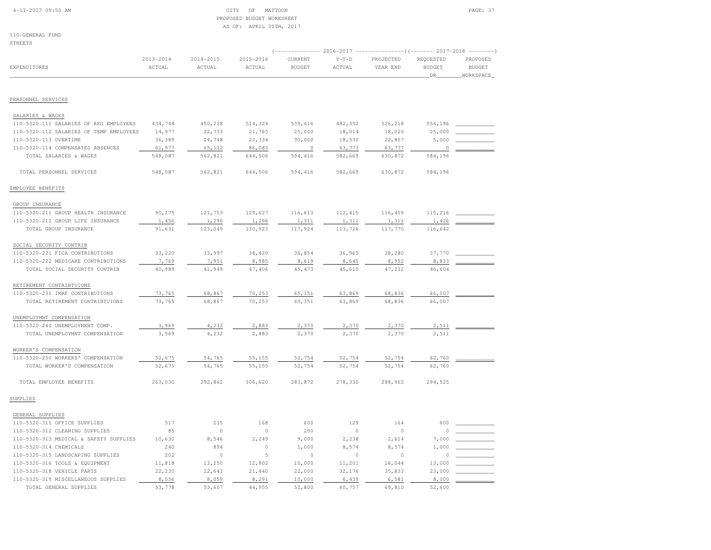### 4-13-2017 09:50 AM CITY OF MATTOON PAGE: 37 PROPOSED BUDGET WORKSHEETAS OF: APRIL 30TH, 2017

110-GENERAL FUNDSTREETS

|                                         | $2013 - 2014$ | $2014 - 2015$ | $2015 - 2016$ | CURRENT       | $Y-T-D$       | $($ ------------- 2016-2017 ----------------) (------- 2017-2018<br>PROJECTED | REQUESTED     | PROPOSED      |
|-----------------------------------------|---------------|---------------|---------------|---------------|---------------|-------------------------------------------------------------------------------|---------------|---------------|
| <b>EXPENDITURES</b>                     | ACTUAL        | ACTUAL        | ACTUAL        | <b>BUDGET</b> | <b>ACTUAL</b> | YEAR END                                                                      | <b>BUDGET</b> | <b>BUDGET</b> |
|                                         |               |               |               |               |               |                                                                               | DR            | WORKSPACE     |
| PERSONNEL SERVICES                      |               |               |               |               |               |                                                                               |               |               |
|                                         |               |               |               |               |               |                                                                               |               |               |
| SALARIES & WAGES                        |               |               |               |               |               |                                                                               |               |               |
| 110-5320-111 SALARIES OF REG EMPLOYEES  | 434,744       | 450,228       | 514,324       | 539,416       | 482,352       | 526,218                                                                       | 554,196       |               |
| 110-5320-112 SALARIES OF TEMP EMPLOYEES | 14,977        | 22,733        | 21,765        | 25,000        | 18,014        | 18,020                                                                        | 25,000        |               |
| 110-5320-113 OVERTIME                   | 36,389        | 24,748        | 22,334        | 30,000        | 18,530        | 22,857                                                                        | 5,000         |               |
| 110-5320-114 COMPENSATED ABSENCES       | 61,977        | 65,112        | 86,083        | $\Omega$      | 63,773        | 63,777                                                                        | 0             |               |
| TOTAL SALARIES & WAGES                  | 548,087       | 562,821       | 644,506       | 594,416       | 582,669       | 630,872                                                                       | 584,196       |               |
| TOTAL PERSONNEL SERVICES                | 548,087       | 562,821       | 644,506       | 594,416       | 582,669       | 630,872                                                                       | 584,196       |               |
| EMPLOYEE BENEFITS                       |               |               |               |               |               |                                                                               |               |               |
| GROUP INSURANCE                         |               |               |               |               |               |                                                                               |               |               |
| 110-5320-211 GROUP HEALTH INSURANCE     | 90,175        | 121,753       | 129,627       | 116,613       | 112,415       | 116,459                                                                       | 115,216       |               |
| 110-5320-212 GROUP LIFE INSURANCE       | 1,456         | 1,296         | 1,296         | 1,311         | 1,311         | 1,311                                                                         | 1,426         |               |
| TOTAL GROUP INSURANCE                   | 91,631        | 123,049       | 130,923       | 117,924       | 113,726       | 117,770                                                                       | 116,642       |               |
| SOCIAL SECURITY CONTRIB                 |               |               |               |               |               |                                                                               |               |               |
| 110-5320-221 FICA CONTRIBUTIONS         | 33,220        | 33,997        | 38,420        | 36,854        | 36,965        | 38,280                                                                        | 37,770        |               |
| 110-5320-222 MEDICARE CONTRIBUTIONS     | 7,769         | 7,951         | 8,985         | 8,619         | 8,645         | 8,952                                                                         | 8,833         |               |
| TOTAL SOCIAL SECURITY CONTRIB           | 40,989        | 41,949        | 47,406        | 45, 473       | 45,610        | 47,232                                                                        | 46,604        |               |
|                                         |               |               |               |               |               |                                                                               |               |               |
| RETIREMENT CONTRIBTUIONS                |               |               |               |               |               |                                                                               |               |               |
| 110-5320-231 IMRF CONTRIBUTIONS         | 73,765        | 68,867        | 70,253        | 65,351        | 63,869        | 68,836                                                                        | 66,007        |               |
| TOTAL RETIREMENT CONTRIBTUIONS          | 73,765        | 68,867        | 70,253        | 65,351        | 63,869        | 68,836                                                                        | 66,007        |               |
| UNEMPLOYMNT COMPENSATION                |               |               |               |               |               |                                                                               |               |               |
| 110-5320-240 UNEMPLOYMENT COMP.         | 3,969         | 4,232         | 2,883         | 2,370         | 2,370         | 2,370                                                                         | 2,511         |               |
| TOTAL UNEMPLOYMNT COMPENSATION          | 3,969         | 4,232         | 2,883         | 2,370         | 2,370         | 2,370                                                                         | 2,511         |               |
| WORKER'S COMPENSATION                   |               |               |               |               |               |                                                                               |               |               |
| 110-5320-250 WORKERS' COMPENSATION      | 52,675        | 54,765        | 55,155        | 52,754        | 52,754        | 52,754                                                                        | 62,760        |               |
| TOTAL WORKER'S COMPENSATION             | 52,675        | 54,765        | 55,155        | 52,754        | 52,754        | 52,754                                                                        | 62,760        |               |
| TOTAL EMPLOYEE BENEFITS                 | 263,030       | 292,862       | 306,620       | 283,872       | 278,330       | 288,962                                                                       | 294,525       |               |
| SUPPLIES                                |               |               |               |               |               |                                                                               |               |               |
| GENERAL SUPPLIES                        |               |               |               |               |               |                                                                               |               |               |
| 110-5320-311 OFFICE SUPPLIES            | 517           | 215           | 168           | 600           | 129           | 164                                                                           | 600           |               |
| 110-5320-312 CLEANING SUPPLIES          | 85            | $\mathbb O$   | $\circ$       | 200           | $\circ$       | $\circ$                                                                       |               |               |
| 110-5320-313 MEDICAL & SAFETY SUPPLIES  | 10,630        | 8,546         | 2,249         | 9,000         | 2,238         | 2,614                                                                         | 7,000         |               |
| 110-5320-314 CHEMICALS                  | 240           | 894           | $\circ$       | 1,000         | 8,574         | 8,574                                                                         | 1,000         |               |
| 110-5320-315 LANDSCAPING SUPPLIES       | 202           | $\circ$       | 5             | $\Omega$      | $\Omega$      | $\circ$                                                                       | 0             |               |
| 110-5320-316 TOOLS & EQUIPMENT          | 11,818        | 13,250        | 12,802        | 10,000        | 11,201        | 16,044                                                                        | 13,000        |               |
| 110-5320-318 VEHICLE PARTS              | 22,230        | 22,643        | 21,440        | 22,000        | 32,176        | 35,833                                                                        | 23,000        |               |
| 110-5320-319 MISCELLANEOUS SUPPLIES     | 8,056         | 8,059         | 8,291         | 10,000        | 6,439         | 6,581                                                                         | 8,000         |               |
| TOTAL GENERAL SUPPLIES                  | 53,778        | 53,607        | 44,955        | 52,800        | 60,757        | 69,810                                                                        | 52,600        |               |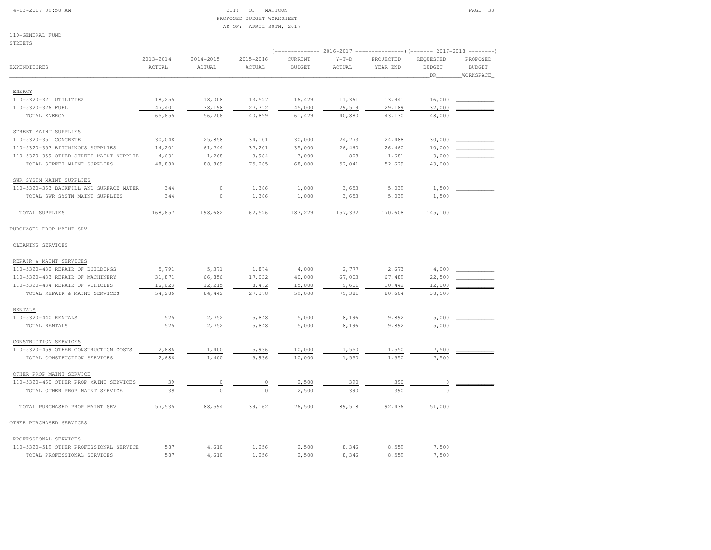#### 4-13-2017 09:50 AM CITY OF MATTOON PAGE: 38 PROPOSED BUDGET WORKSHEETAS OF: APRIL 30TH, 2017

110-GENERAL FUNDSTREETS

|                                         | $2013 - 2014$ | 2014-2015 | 2015-2016    | CURRENT       | $Y-T-D$ | PROJECTED | REQUESTED     | PROPOSED      |
|-----------------------------------------|---------------|-----------|--------------|---------------|---------|-----------|---------------|---------------|
| EXPENDITURES                            | ACTUAL        | ACTUAL    | ACTUAL       | <b>BUDGET</b> | ACTUAL  | YEAR END  | <b>BUDGET</b> | <b>BUDGET</b> |
|                                         |               |           |              |               |         |           | _DR_          | _WORKSPACE_   |
|                                         |               |           |              |               |         |           |               |               |
| ENERGY                                  |               |           |              |               |         |           |               |               |
| 110-5320-321 UTILITIES                  | 18,255        | 18,008    | 13,527       | 16,429        | 11,361  | 13,941    | 16,000        |               |
| 110-5320-326 FUEL                       | 47,401        | 38,198    | 27,372       | 45,000        | 29,519  | 29,189    | 32,000        |               |
| TOTAL ENERGY                            | 65,655        | 56,206    | 40,899       | 61,429        | 40,880  | 43,130    | 48,000        |               |
| STREET MAINT SUPPLIES                   |               |           |              |               |         |           |               |               |
| 110-5320-351 CONCRETE                   | 30,048        | 25,858    | 34,101       | 30,000        | 24,773  | 24,488    | 30,000        |               |
| 110-5320-353 BITUMINOUS SUPPLIES        | 14,201        | 61,744    | 37,201       | 35,000        | 26,460  | 26,460    | 10,000        |               |
| 110-5320-359 OTHER STREET MAINT SUPPLIE | 4,631         | 1,268     | 3,984        | 3,000         | 808     | 1,681     | 3,000         |               |
| TOTAL STREET MAINT SUPPLIES             | 48,880        | 88,869    | 75,285       | 68,000        | 52,041  | 52,629    | 43,000        |               |
| SWR SYSTM MAINT SUPPLIES                |               |           |              |               |         |           |               |               |
| 110-5320-363 BACKFILL AND SURFACE MATER | 344           | 0         | 1,386        | 1,000         | 3,653   | 5,039     | 1,500         |               |
| TOTAL SWR SYSTM MAINT SUPPLIES          | 344           | $\circ$   | 1,386        | 1,000         | 3,653   | 5,039     | 1,500         |               |
|                                         |               |           |              |               |         |           |               |               |
| TOTAL SUPPLIES                          | 168,657       | 198,682   | 162,526      | 183,229       | 157,332 | 170,608   | 145,100       |               |
| PURCHASED PROP MAINT SRV                |               |           |              |               |         |           |               |               |
| CLEANING SERVICES                       |               |           |              |               |         |           |               |               |
|                                         |               |           |              |               |         |           |               |               |
| REPAIR & MAINT SERVICES                 |               |           |              |               |         |           |               |               |
| 110-5320-432 REPAIR OF BUILDINGS        | 5,791         | 5,371     | 1,874        | 4,000         | 2,777   | 2,673     | 4,000         |               |
| 110-5320-433 REPAIR OF MACHINERY        | 31,871        | 66,856    | 17,032       | 40,000        | 67,003  | 67,489    | 22,500        |               |
| 110-5320-434 REPAIR OF VEHICLES         | 16,623        | 12,215    | 8,472        | 15,000        | 9,601   | 10,442    | 12,000        |               |
| TOTAL REPAIR & MAINT SERVICES           | 54,286        | 84,442    | 27,378       | 59,000        | 79,381  | 80,604    | 38,500        |               |
| RENTALS                                 |               |           |              |               |         |           |               |               |
| 110-5320-440 RENTALS                    | 525           | 2,752     | 5,848        | 5,000         | 8,196   | 9,892     | 5,000         |               |
| TOTAL RENTALS                           | 525           | 2,752     | 5,848        | 5,000         | 8,196   | 9,892     | 5,000         |               |
| CONSTRUCTION SERVICES                   |               |           |              |               |         |           |               |               |
| 110-5320-459 OTHER CONSTRUCTION COSTS   | 2,686         | 1,400     | 5,936        | 10,000        | 1,550   | 1,550     | 7,500         |               |
| TOTAL CONSTRUCTION SERVICES             | 2,686         | 1,400     | 5,936        | 10,000        | 1,550   | 1,550     | 7,500         |               |
| OTHER PROP MAINT SERVICE                |               |           |              |               |         |           |               |               |
| 110-5320-460 OTHER PROP MAINT SERVICES  | 39            |           |              | 2,500         | 390     | 390       |               |               |
| TOTAL OTHER PROP MAINT SERVICE          | 39            | $\Omega$  | 0<br>$\circ$ | 2,500         | 390     | 390       | 0<br>$\circ$  |               |
|                                         |               |           |              |               |         |           |               |               |
| TOTAL PURCHASED PROP MAINT SRV          | 57,535        | 88,594    | 39,162       | 76,500        | 89,518  | 92,436    | 51,000        |               |
| OTHER PURCHASED SERVICES                |               |           |              |               |         |           |               |               |
| PROFESSIONAL SERVICES                   |               |           |              |               |         |           |               |               |
| 110-5320-519 OTHER PROFESSIONAL SERVICE | 587           | 4,610     | 1,256        | 2,500         | 8,346   | 8,559     | 7,500         |               |
| TOTAL PROFESSIONAL SERVICES             | 587           | 4,610     | 1,256        | 2,500         | 8,346   | 8,559     | 7,500         |               |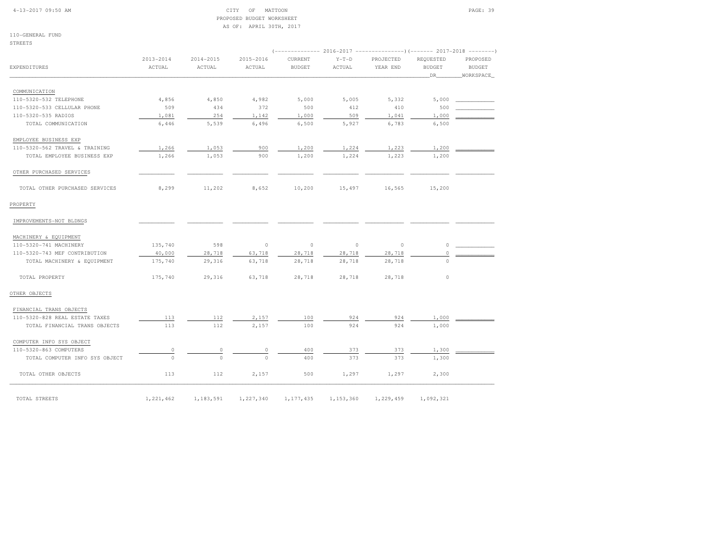#### 4-13-2017 09:50 AM CITY OF MATTOON PAGE: 39 PROPOSED BUDGET WORKSHEETAS OF: APRIL 30TH, 2017

110-GENERAL FUNDSTREETS

|                                |                         |                         |                     |                          |                   | $(----------2016-2017$ ---------------) (------- 2017-2018 -------) |                                  |                                        |
|--------------------------------|-------------------------|-------------------------|---------------------|--------------------------|-------------------|---------------------------------------------------------------------|----------------------------------|----------------------------------------|
| <b>EXPENDITURES</b>            | $2013 - 2014$<br>ACTUAL | $2014 - 2015$<br>ACTUAL | 2015-2016<br>ACTUAL | CURRENT<br><b>BUDGET</b> | $Y-T-D$<br>ACTUAL | PROJECTED<br>YEAR END                                               | REQUESTED<br><b>BUDGET</b><br>DR | PROPOSED<br><b>BUDGET</b><br>WORKSPACE |
|                                |                         |                         |                     |                          |                   |                                                                     |                                  |                                        |
| COMMUNICATION                  |                         |                         |                     |                          |                   |                                                                     |                                  |                                        |
| 110-5320-532 TELEPHONE         | 4,856                   | 4,850                   | 4,982               | 5,000                    | 5,005             | 5,332                                                               | 5,000                            |                                        |
| 110-5320-533 CELLULAR PHONE    | 509                     | 434                     | 372                 | 500                      | 412               | 410                                                                 | 500                              |                                        |
| 110-5320-535 RADIOS            | 1,081                   | 254                     | 1,142               | 1,000                    | 509               | 1,041                                                               | 1,000                            |                                        |
| TOTAL COMMUNICATION            | 6,446                   | 5,539                   | 6,496               | 6,500                    | 5,927             | 6,783                                                               | 6,500                            |                                        |
| EMPLOYEE BUSINESS EXP          |                         |                         |                     |                          |                   |                                                                     |                                  |                                        |
| 110-5320-562 TRAVEL & TRAINING | 1,266                   | 1,053                   | 900                 | 1,200                    | 1,224             | 1,223                                                               | 1,200                            |                                        |
| TOTAL EMPLOYEE BUSINESS EXP    | 1,266                   | 1,053                   | 900                 | 1,200                    | 1,224             | 1,223                                                               | 1,200                            |                                        |
| OTHER PURCHASED SERVICES       |                         |                         |                     |                          |                   |                                                                     |                                  |                                        |
| TOTAL OTHER PURCHASED SERVICES | 8,299                   | 11,202                  | 8,652               | 10,200                   | 15,497            | 16,565                                                              | 15,200                           |                                        |
| PROPERTY                       |                         |                         |                     |                          |                   |                                                                     |                                  |                                        |
| IMPROVEMENTS-NOT BLDNGS        |                         |                         |                     |                          |                   |                                                                     |                                  |                                        |
| MACHINERY & EQUIPMENT          |                         |                         |                     |                          |                   |                                                                     |                                  |                                        |
| 110-5320-741 MACHINERY         | 135,740                 | 598                     | $\circ$             | $\circ$                  | $\circ$           | $\circ$                                                             | $\Omega$                         |                                        |
| 110-5320-743 MEF CONTRIBUTION  | 40,000                  | 28,718                  | 63,718              | 28,718                   | 28,718            | 28,718                                                              | 0                                |                                        |
| TOTAL MACHINERY & EQUIPMENT    | 175,740                 | 29,316                  | 63,718              | 28,718                   | 28,718            | 28,718                                                              | $\Omega$                         |                                        |
| TOTAL PROPERTY                 | 175,740                 | 29,316                  | 63,718              | 28,718                   | 28,718            | 28,718                                                              | $\circ$                          |                                        |
| OTHER OBJECTS                  |                         |                         |                     |                          |                   |                                                                     |                                  |                                        |
| FINANCIAL TRANS OBJECTS        |                         |                         |                     |                          |                   |                                                                     |                                  |                                        |
| 110-5320-828 REAL ESTATE TAXES | 113                     | 112                     | 2,157               | 100                      | 924               | 924                                                                 | 1,000                            |                                        |
| TOTAL FINANCIAL TRANS OBJECTS  | 113                     | 112                     | 2,157               | 100                      | 924               | 924                                                                 | 1,000                            |                                        |
| COMPUTER INFO SYS OBJECT       |                         |                         |                     |                          |                   |                                                                     |                                  |                                        |
| 110-5320-863 COMPUTERS         | 0                       | 0                       | 0                   | 400                      | 373               | 373                                                                 | 1,300                            |                                        |
| TOTAL COMPUTER INFO SYS OBJECT | $\Omega$                | $\Omega$                | $\Omega$            | 400                      | 373               | 373                                                                 | 1,300                            |                                        |
| TOTAL OTHER OBJECTS            | 113                     | 112                     | 2,157               | 500                      | 1,297             | 1,297                                                               | 2,300                            |                                        |
| TOTAL STREETS                  | 1,221,462               | 1,183,591               | 1,227,340           | 1,177,435                | 1,153,360         | 1,229,459                                                           | 1,092,321                        |                                        |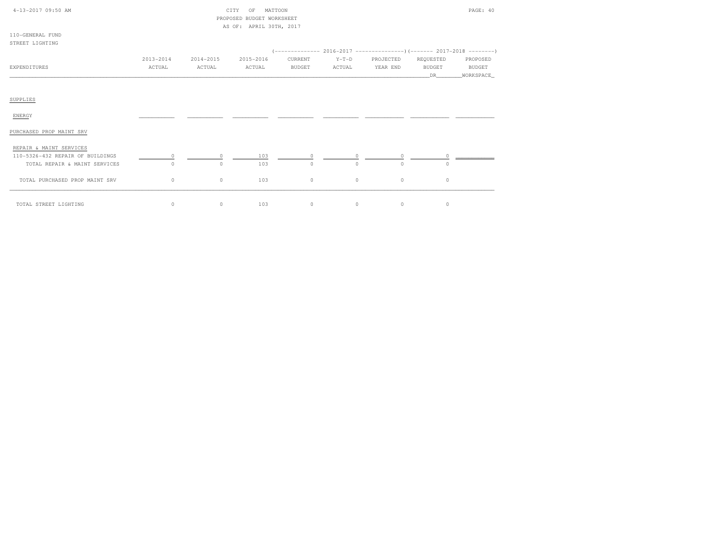| 4-13-2017 09:50 AM               | MATTOON<br>CITY<br>OF<br>PROPOSED BUDGET WORKSHEET |           |                         |               |         |           |                                                                        | PAGE: 40              |  |
|----------------------------------|----------------------------------------------------|-----------|-------------------------|---------------|---------|-----------|------------------------------------------------------------------------|-----------------------|--|
|                                  |                                                    |           | AS OF: APRIL 30TH, 2017 |               |         |           |                                                                        |                       |  |
| 110-GENERAL FUND                 |                                                    |           |                         |               |         |           |                                                                        |                       |  |
| STREET LIGHTING                  |                                                    |           |                         |               |         |           |                                                                        |                       |  |
|                                  |                                                    |           |                         |               |         |           | $(---------- 2016-2017$ ----------------) (------- 2017-2018 --------) |                       |  |
|                                  | 2013-2014                                          | 2014-2015 | 2015-2016               | CURRENT       | $Y-T-D$ | PROJECTED | REQUESTED                                                              | PROPOSED              |  |
| EXPENDITURES                     | ACTUAL                                             | ACTUAL    | ACTUAL                  | <b>BUDGET</b> | ACTUAL  | YEAR END  | <b>BUDGET</b><br>DR.                                                   | BUDGET<br>_WORKSPACE_ |  |
|                                  |                                                    |           |                         |               |         |           |                                                                        |                       |  |
|                                  |                                                    |           |                         |               |         |           |                                                                        |                       |  |
| SUPPLIES                         |                                                    |           |                         |               |         |           |                                                                        |                       |  |
| ENERGY                           |                                                    |           |                         |               |         |           |                                                                        |                       |  |
|                                  |                                                    |           |                         |               |         |           |                                                                        |                       |  |
| PURCHASED PROP MAINT SRV         |                                                    |           |                         |               |         |           |                                                                        |                       |  |
| REPAIR & MAINT SERVICES          |                                                    |           |                         |               |         |           |                                                                        |                       |  |
| 110-5326-432 REPAIR OF BUILDINGS | $\circ$                                            | $\circ$   | 103                     | $\Omega$      | $\circ$ | $\Omega$  | $\circ$                                                                |                       |  |
| TOTAL REPAIR & MAINT SERVICES    | $\circ$                                            | $\circ$   | 103                     | $\circ$       | $\circ$ | $\circ$   | $\circ$                                                                |                       |  |
| TOTAL PURCHASED PROP MAINT SRV   | $\circ$                                            | $\circ$   | 103                     | $\circ$       | $\circ$ | $\circ$   | $\circ$                                                                |                       |  |
| TOTAL STREET LIGHTING            | $\circ$                                            | $\circ$   | 103                     | $\circ$       | 0       | $\circ$   | $\circ$                                                                |                       |  |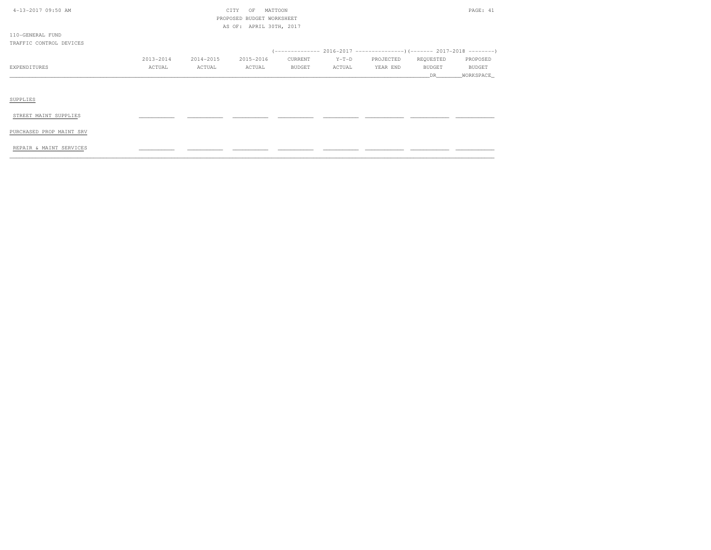| 4-13-2017 09:50 AM       |               | PAGE: 41<br>CITY<br>OF<br>MATTOON<br>PROPOSED BUDGET WORKSHEET |                         |               |         |           |               |               |
|--------------------------|---------------|----------------------------------------------------------------|-------------------------|---------------|---------|-----------|---------------|---------------|
|                          |               |                                                                | AS OF: APRIL 30TH, 2017 |               |         |           |               |               |
| 110-GENERAL FUND         |               |                                                                |                         |               |         |           |               |               |
| TRAFFIC CONTROL DEVICES  |               |                                                                |                         |               |         |           |               |               |
|                          |               |                                                                |                         |               |         |           |               |               |
|                          | $2013 - 2014$ | 2014-2015                                                      | 2015-2016               | CURRENT       | $Y-T-D$ | PROJECTED | REQUESTED     | PROPOSED      |
| EXPENDITURES             | ACTUAL        | ACTUAL                                                         | ACTUAL                  | <b>BUDGET</b> | ACTUAL  | YEAR END  | <b>BUDGET</b> | <b>BUDGET</b> |
|                          |               |                                                                |                         |               |         |           | DR.           | WORKSPACE_    |
|                          |               |                                                                |                         |               |         |           |               |               |
|                          |               |                                                                |                         |               |         |           |               |               |
| SUPPLIES                 |               |                                                                |                         |               |         |           |               |               |
|                          |               |                                                                |                         |               |         |           |               |               |
| STREET MAINT SUPPLIES    |               |                                                                |                         |               |         |           |               |               |
|                          |               |                                                                |                         |               |         |           |               |               |
| PURCHASED PROP MAINT SRV |               |                                                                |                         |               |         |           |               |               |
|                          |               |                                                                |                         |               |         |           |               |               |
| REPAIR & MAINT SERVICES  |               |                                                                |                         |               |         |           |               |               |
|                          |               |                                                                |                         |               |         |           |               |               |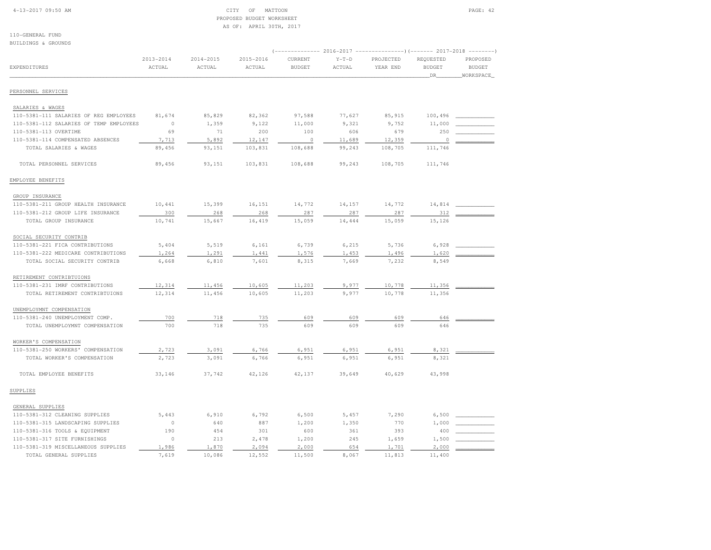#### 4-13-2017 09:50 AM CITY OF MATTOON PAGE: 42 PROPOSED BUDGET WORKSHEETAS OF: APRIL 30TH, 2017

110-GENERAL FUND

| BUILDINGS & GROUNDS                     |                         |                     |                         |                          |                   |                                                                                   |                                   |                                                                                       |
|-----------------------------------------|-------------------------|---------------------|-------------------------|--------------------------|-------------------|-----------------------------------------------------------------------------------|-----------------------------------|---------------------------------------------------------------------------------------|
| EXPENDITURES                            | $2013 - 2014$<br>ACTUAL | 2014-2015<br>ACTUAL | $2015 - 2016$<br>ACTUAL | CURRENT<br><b>BUDGET</b> | $Y-T-D$<br>ACTUAL | (-------------- 2016-2017 -------------------- 2017-2018<br>PROJECTED<br>YEAR END | REQUESTED<br><b>BUDGET</b><br>DR_ | $\cdots \, - \, - \, - \, - \, - \, - \, -$<br>PROPOSED<br><b>BUDGET</b><br>WORKSPACE |
| PERSONNEL SERVICES                      |                         |                     |                         |                          |                   |                                                                                   |                                   |                                                                                       |
| SALARIES & WAGES                        |                         |                     |                         |                          |                   |                                                                                   |                                   |                                                                                       |
| 110-5381-111 SALARIES OF REG EMPLOYEES  | 81,674                  | 85,829              | 82,362                  | 97,588                   | 77,627            | 85,915                                                                            | 100,496                           |                                                                                       |
| 110-5381-112 SALARIES OF TEMP EMPLOYEES | $\circ$                 | 1,359               | 9,122                   | 11,000                   | 9,321             | 9,752                                                                             | 11,000                            |                                                                                       |
| 110-5381-113 OVERTIME                   | 69                      | 71                  | 200                     | 100                      | 606               | 679                                                                               | 250                               |                                                                                       |
| 110-5381-114 COMPENSATED ABSENCES       | 7,713                   | 5,892               | 12,147                  | $\circ$                  | 11,689            | 12,359                                                                            | 0                                 |                                                                                       |
| TOTAL SALARIES & WAGES                  | 89,456                  | 93,151              | 103,831                 | 108,688                  | 99,243            | 108,705                                                                           | 111,746                           |                                                                                       |
| TOTAL PERSONNEL SERVICES                | 89,456                  | 93,151              | 103,831                 | 108,688                  | 99,243            | 108,705                                                                           | 111,746                           |                                                                                       |
| EMPLOYEE BENEFITS                       |                         |                     |                         |                          |                   |                                                                                   |                                   |                                                                                       |
| GROUP INSURANCE                         |                         |                     |                         |                          |                   |                                                                                   |                                   |                                                                                       |
| 110-5381-211 GROUP HEALTH INSURANCE     | 10,441                  | 15,399              | 16,151                  | 14,772                   | 14,157            | 14,772                                                                            | 14,814                            |                                                                                       |
| 110-5381-212 GROUP LIFE INSURANCE       | 300                     | 268                 | 268                     | 287                      | 287               | 287                                                                               | 312                               |                                                                                       |
| TOTAL GROUP INSURANCE                   | 10,741                  | 15,667              | 16,419                  | 15,059                   | 14,444            | 15,059                                                                            | 15,126                            |                                                                                       |
| SOCIAL SECURITY CONTRIB                 |                         |                     |                         |                          |                   |                                                                                   |                                   |                                                                                       |
| 110-5381-221 FICA CONTRIBUTIONS         | 5,404                   | 5,519               | 6,161                   | 6,739                    | 6,215             | 5,736                                                                             | 6,928                             |                                                                                       |
| 110-5381-222 MEDICARE CONTRIBUTIONS     | 1,264                   | 1,291               | 1,441                   | 1,576                    | 1,453             | 1,496                                                                             | 1,620                             |                                                                                       |
| TOTAL SOCIAL SECURITY CONTRIB           | 6,668                   | 6,810               | 7,601                   | 8,315                    | 7,669             | 7,232                                                                             | 8,549                             |                                                                                       |
| RETIREMENT CONTRIBTUIONS                |                         |                     |                         |                          |                   |                                                                                   |                                   |                                                                                       |
| 110-5381-231 IMRF CONTRIBUTIONS         | 12,314                  | 11,456              | 10,605                  | 11,203                   | 9,977             | 10,778                                                                            | 11,356                            |                                                                                       |
| TOTAL RETIREMENT CONTRIBTUIONS          | 12,314                  | 11,456              | 10,605                  | 11,203                   | 9,977             | 10,778                                                                            | 11,356                            |                                                                                       |
| UNEMPLOYMNT COMPENSATION                |                         |                     |                         |                          |                   |                                                                                   |                                   |                                                                                       |
| 110-5381-240 UNEMPLOYMENT COMP.         | 700                     | 718                 | 735                     | 609                      | 609               | 609                                                                               | 646                               |                                                                                       |
| TOTAL UNEMPLOYMNT COMPENSATION          | 700                     | 718                 | 735                     | 609                      | 609               | 609                                                                               | 646                               |                                                                                       |
| WORKER'S COMPENSATION                   |                         |                     |                         |                          |                   |                                                                                   |                                   |                                                                                       |
| 110-5381-250 WORKERS' COMPENSATION      | 2,723                   | 3,091               | 6,766                   | 6,951                    | 6,951             | 6,951                                                                             | 8,321                             |                                                                                       |
| TOTAL WORKER'S COMPENSATION             | 2,723                   | 3,091               | 6,766                   | 6,951                    | 6,951             | 6,951                                                                             | 8,321                             |                                                                                       |
| TOTAL EMPLOYEE BENEFITS                 | 33,146                  | 37,742              | 42,126                  | 42,137                   | 39,649            | 40,629                                                                            | 43,998                            |                                                                                       |
| SUPPLIES                                |                         |                     |                         |                          |                   |                                                                                   |                                   |                                                                                       |
| GENERAL SUPPLIES                        |                         |                     |                         |                          |                   |                                                                                   |                                   |                                                                                       |
| 110-5381-312 CLEANING SUPPLIES          | 5,443                   | 6,910               | 6,792                   | 6,500                    | 5,457             | 7,290                                                                             | 6,500                             |                                                                                       |
| 110-5381-315 LANDSCAPING SUPPLIES       | $\circ$                 | 640                 | 887                     | 1,200                    | 1,350             | 770                                                                               | 1,000                             |                                                                                       |
| 110-5381-316 TOOLS & EQUIPMENT          | 190                     | 454                 | 301                     | 600                      | 361               | 393                                                                               | 400                               |                                                                                       |
| 110-5381-317 SITE FURNISHINGS           | $\circ$                 | 213                 | 2,478                   | 1,200                    | 245               | 1,659                                                                             | 1,500                             |                                                                                       |
| 110-5381-319 MISCELLANEOUS SUPPLIES     | 1,986                   | 1,870               | 2,094                   | 2,000                    | 654               | 1,701                                                                             | 2,000                             |                                                                                       |
| TOTAL GENERAL SUPPLIES                  | 7,619                   | 10,086              | 12,552                  | 11,500                   | 8,067             | 11,813                                                                            | 11,400                            |                                                                                       |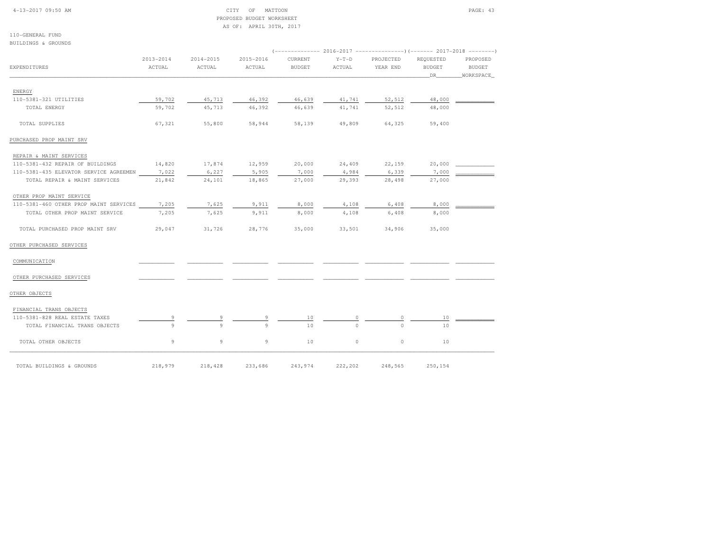#### 4-13-2017 09:50 AM CITY OF MATTOON PAGE: 43 PROPOSED BUDGET WORKSHEETAS OF: APRIL 30TH, 2017

110-GENERAL FUNDBUILDINGS & GROUNDS

|                                        |                         |                     |                     |                          |                   | $(----------2016-2017$ ---------------) (------- 2017-2018 -------) |                                  |                                 |
|----------------------------------------|-------------------------|---------------------|---------------------|--------------------------|-------------------|---------------------------------------------------------------------|----------------------------------|---------------------------------|
| EXPENDITURES                           | $2013 - 2014$<br>ACTUAL | 2014-2015<br>ACTUAL | 2015-2016<br>ACTUAL | CURRENT<br><b>BUDGET</b> | $Y-T-D$<br>ACTUAL | PROJECTED<br>YEAR END                                               | REQUESTED<br><b>BUDGET</b><br>DR | PROPOSED<br>BUDGET<br>WORKSPACE |
| ENERGY                                 |                         |                     |                     |                          |                   |                                                                     |                                  |                                 |
| 110-5381-321 UTILITIES                 | 59,702                  | 45,713              | 46,392              | 46,639                   | 41,741            | 52,512                                                              | 48,000                           |                                 |
| TOTAL ENERGY                           | 59,702                  | 45,713              | 46,392              | 46,639                   | 41,741            | 52,512                                                              | 48,000                           |                                 |
| TOTAL SUPPLIES                         | 67,321                  | 55,800              | 58,944              | 58,139                   | 49,809            | 64,325                                                              | 59,400                           |                                 |
| PURCHASED PROP MAINT SRV               |                         |                     |                     |                          |                   |                                                                     |                                  |                                 |
| REPAIR & MAINT SERVICES                |                         |                     |                     |                          |                   |                                                                     |                                  |                                 |
| 110-5381-432 REPAIR OF BUILDINGS       | 14,820                  | 17,874              | 12,959              | 20,000                   | 24,409            | 22,159                                                              | 20,000                           |                                 |
| 110-5381-435 ELEVATOR SERVICE AGREEMEN | 7,022                   | 6,227               | 5,905               | 7,000                    | 4,984             | 6,339                                                               | 7,000                            |                                 |
| TOTAL REPAIR & MAINT SERVICES          | 21,842                  | 24,101              | 18,865              | 27,000                   | 29,393            | 28,498                                                              | 27,000                           |                                 |
| OTHER PROP MAINT SERVICE               |                         |                     |                     |                          |                   |                                                                     |                                  |                                 |
| 110-5381-460 OTHER PROP MAINT SERVICES | 7,205                   | 7,625               | 9,911               | 8,000                    | 4,108             | 6,408                                                               | 8,000                            |                                 |
| TOTAL OTHER PROP MAINT SERVICE         | 7,205                   | 7,625               | 9,911               | 8,000                    | 4,108             | 6,408                                                               | 8,000                            |                                 |
| TOTAL PURCHASED PROP MAINT SRV         | 29,047                  | 31,726              | 28,776              | 35,000                   | 33,501            | 34,906                                                              | 35,000                           |                                 |
| OTHER PURCHASED SERVICES               |                         |                     |                     |                          |                   |                                                                     |                                  |                                 |
| COMMUNICATION                          |                         |                     |                     |                          |                   |                                                                     |                                  |                                 |
| OTHER PURCHASED SERVICES               |                         |                     |                     |                          |                   |                                                                     |                                  |                                 |
| OTHER OBJECTS                          |                         |                     |                     |                          |                   |                                                                     |                                  |                                 |
| FINANCIAL TRANS OBJECTS                |                         |                     |                     |                          |                   |                                                                     |                                  |                                 |
| 110-5381-828 REAL ESTATE TAXES         |                         |                     |                     | 10                       | 0                 |                                                                     | 10                               |                                 |
| TOTAL FINANCIAL TRANS OBJECTS          | Q                       | Q                   | $\mathbf{Q}$        | 10                       | $\cap$            | $\cap$                                                              | 10                               |                                 |
| TOTAL OTHER OBJECTS                    | 9                       | 9                   | 9                   | 10                       | $\circ$           | $\circ$                                                             | 10                               |                                 |
| TOTAL BUILDINGS & GROUNDS              | 218,979                 | 218,428             | 233,686             | 243,974                  | 222,202           | 248,565                                                             | 250,154                          |                                 |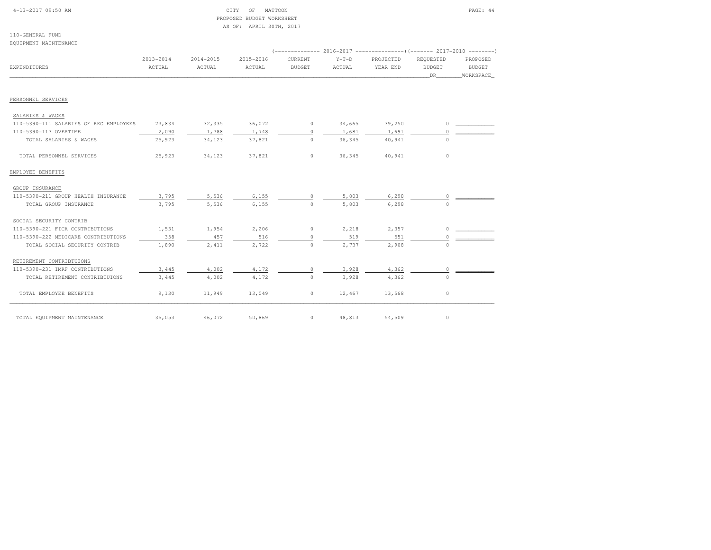| $4-13-2017$ 09:50 AM |  |  |
|----------------------|--|--|
|                      |  |  |

#### CITY OF MATTOON **PAGE: 44**  PROPOSED BUDGET WORKSHEETAS OF: APRIL 30TH, 2017

110-GENERAL FUNDEQUIPMENT MAINTENANCE

|                                        |                     |                         |                     |                          |                   | (-------------- 2016-2017 ---------------------- 2017-2018 ---------- |                                         |                                        |  |
|----------------------------------------|---------------------|-------------------------|---------------------|--------------------------|-------------------|-----------------------------------------------------------------------|-----------------------------------------|----------------------------------------|--|
| EXPENDITURES                           | 2013-2014<br>ACTUAL | $2014 - 2015$<br>ACTUAL | 2015-2016<br>ACTUAL | CURRENT<br><b>BUDGET</b> | $Y-T-D$<br>ACTUAL | PROJECTED<br>YEAR END                                                 | REQUESTED<br><b>BUDGET</b><br><b>DR</b> | PROPOSED<br><b>BUDGET</b><br>WORKSPACE |  |
|                                        |                     |                         |                     |                          |                   |                                                                       |                                         |                                        |  |
| PERSONNEL SERVICES                     |                     |                         |                     |                          |                   |                                                                       |                                         |                                        |  |
| SALARIES & WAGES                       |                     |                         |                     |                          |                   |                                                                       |                                         |                                        |  |
| 110-5390-111 SALARIES OF REG EMPLOYEES | 23,834              | 32,335                  | 36,072              | $\circ$                  | 34,665            | 39,250                                                                | $\circ$                                 |                                        |  |
| 110-5390-113 OVERTIME                  | 2,090               | 1,788                   | 1,748               | $\circ$                  | 1,681             | 1,691                                                                 | $\Omega$                                |                                        |  |
| TOTAL SALARIES & WAGES                 | 25,923              | 34,123                  | 37,821              | $\circ$                  | 36,345            | 40,941                                                                | $\circ$                                 |                                        |  |
| TOTAL PERSONNEL SERVICES               | 25,923              | 34,123                  | 37,821              | $\circ$                  | 36,345            | 40,941                                                                | $\circ$                                 |                                        |  |
| EMPLOYEE BENEFITS                      |                     |                         |                     |                          |                   |                                                                       |                                         |                                        |  |
| GROUP INSURANCE                        |                     |                         |                     |                          |                   |                                                                       |                                         |                                        |  |
| 110-5390-211 GROUP HEALTH INSURANCE    | 3,795               | 5,536                   | 6,155               | $\circ$                  | 5,803             | 6,298                                                                 | 0                                       |                                        |  |
| TOTAL GROUP INSURANCE                  | 3,795               | 5,536                   | 6,155               | $\circ$                  | 5,803             | 6,298                                                                 | $\Omega$                                |                                        |  |
| SOCIAL SECURITY CONTRIB                |                     |                         |                     |                          |                   |                                                                       |                                         |                                        |  |
| 110-5390-221 FICA CONTRIBUTIONS        | 1,531               | 1,954                   | 2,206               | $\circ$                  | 2,218             | 2,357                                                                 | $\Omega$                                |                                        |  |
| 110-5390-222 MEDICARE CONTRIBUTIONS    | 358                 | 457                     | 516                 | $\Omega$                 | 519               | 551                                                                   |                                         |                                        |  |
| TOTAL SOCIAL SECURITY CONTRIB          | 1,890               | 2,411                   | 2,722               | $\circ$                  | 2,737             | 2,908                                                                 | $\Omega$                                |                                        |  |
| RETIREMENT CONTRIBTUIONS               |                     |                         |                     |                          |                   |                                                                       |                                         |                                        |  |
| 110-5390-231 IMRF CONTRIBUTIONS        | 3,445               | 4,002                   | 4,172               | $\circ$                  | 3,928             | 4,362                                                                 | 0                                       |                                        |  |
| TOTAL RETIREMENT CONTRIBTUIONS         | 3,445               | 4,002                   | 4,172               | $\circ$                  | 3,928             | 4,362                                                                 | $\Omega$                                |                                        |  |
| TOTAL EMPLOYEE BENEFITS                | 9,130               | 11,949                  | 13,049              | $\circ$                  | 12,467            | 13,568                                                                | $\circ$                                 |                                        |  |
| TOTAL EQUIPMENT MAINTENANCE            | 35,053              | 46,072                  | 50,869              | $\circ$                  | 48,813            | 54,509                                                                | $\circ$                                 |                                        |  |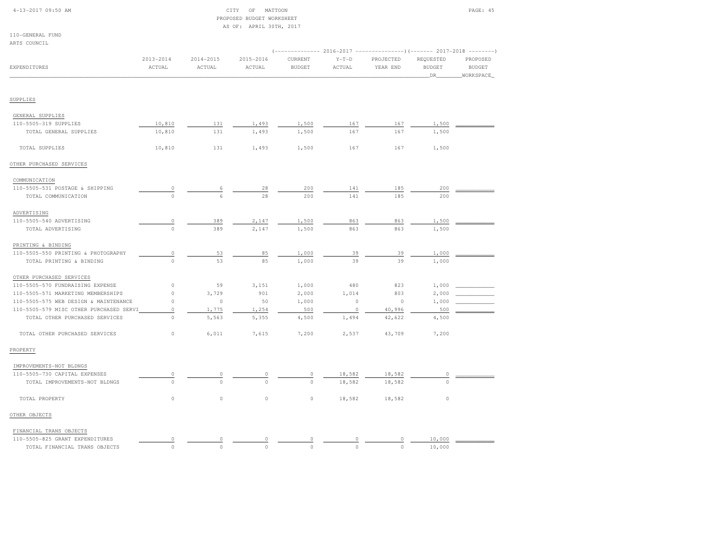| $4 - 13 - 2017$ 09:50 AM |  |
|--------------------------|--|
|                          |  |

#### CITY OF MATTOON PAGE: 45 PROPOSED BUDGET WORKSHEETAS OF: APRIL 30TH, 2017

| 110-GENERAL FUND |  |
|------------------|--|
|                  |  |

| ARTS COUNCIL                            |                         |                         |                         |                          |                   |                                                                                                  |                                   |                                        |
|-----------------------------------------|-------------------------|-------------------------|-------------------------|--------------------------|-------------------|--------------------------------------------------------------------------------------------------|-----------------------------------|----------------------------------------|
| EXPENDITURES                            | $2013 - 2014$<br>ACTUAL | $2014 - 2015$<br>ACTUAL | $2015 - 2016$<br>ACTUAL | CURRENT<br><b>BUDGET</b> | $Y-T-D$<br>ACTUAL | (------------- 2016-2017 ----------------) (------- 2017-2018 --------)<br>PROJECTED<br>YEAR END | REQUESTED<br><b>BUDGET</b><br>DR. | PROPOSED<br><b>BUDGET</b><br>WORKSPACE |
|                                         |                         |                         |                         |                          |                   |                                                                                                  |                                   |                                        |
| SUPPLIES                                |                         |                         |                         |                          |                   |                                                                                                  |                                   |                                        |
| GENERAL SUPPLIES                        |                         |                         |                         |                          |                   |                                                                                                  |                                   |                                        |
| 110-5505-319 SUPPLIES                   | 10,810                  | 131                     | 1,493                   | 1,500                    | 167               | 167                                                                                              | 1,500                             |                                        |
| TOTAL GENERAL SUPPLIES                  | 10,810                  | 131                     | 1,493                   | 1,500                    | 167               | 167                                                                                              | 1,500                             |                                        |
| TOTAL SUPPLIES                          | 10,810                  | 131                     | 1,493                   | 1,500                    | 167               | 167                                                                                              | 1,500                             |                                        |
| OTHER PURCHASED SERVICES                |                         |                         |                         |                          |                   |                                                                                                  |                                   |                                        |
| COMMUNICATION                           |                         |                         |                         |                          |                   |                                                                                                  |                                   |                                        |
| 110-5505-531 POSTAGE & SHIPPING         | $\overline{0}$          | 6                       | 28                      | 200                      | 141               | 185                                                                                              | $200$                             |                                        |
| TOTAL COMMUNICATION                     | $\circ$                 | 6                       | 28                      | 200                      | 141               | 185                                                                                              | 200                               |                                        |
| ADVERTISING                             |                         |                         |                         |                          |                   |                                                                                                  |                                   |                                        |
| 110-5505-540 ADVERTISING                | $\circ$                 | 389                     | 2,147                   | 1,500                    | 863               | 863                                                                                              | 1,500                             |                                        |
| TOTAL ADVERTISING                       | $\circ$                 | 389                     | 2,147                   | 1,500                    | 863               | 863                                                                                              | 1,500                             |                                        |
| PRINTING & BINDING                      |                         |                         |                         |                          |                   |                                                                                                  |                                   |                                        |
| 110-5505-550 PRINTING & PHOTOGRAPHY     | $\circ$                 | 53                      | 85                      | 1,000                    | 39                | 39                                                                                               | 1,000                             |                                        |
| TOTAL PRINTING & BINDING                | $\mathsf{O}\xspace$     | 53                      | 85                      | 1,000                    | 39                | 39                                                                                               | 1,000                             |                                        |
| OTHER PURCHASED SERVICES                |                         |                         |                         |                          |                   |                                                                                                  |                                   |                                        |
| 110-5505-570 FUNDRAISING EXPENSE        | 0                       | 59                      | 3,151                   | 1,000                    | 480               | 823                                                                                              | 1,000                             |                                        |
| 110-5505-571 MARKETING MEMBERSHIPS      | $\mathsf{O}\xspace$     | 3,729                   | 901                     | 2,000                    | 1,014             | 803                                                                                              | 2,000                             |                                        |
| 110-5505-575 WEB DESIGN & MAINTENANCE   | $\circ$                 | $\circ$                 | 50                      | 1,000                    | $\circ$           | $\circ$                                                                                          | 1,000                             |                                        |
| 110-5505-579 MISC OTHER PURCHASED SERVI | $\circ$                 | 1,775                   | 1,254                   | 500                      | $\circ$           | 40,996                                                                                           | 500                               |                                        |
| TOTAL OTHER PURCHASED SERVICES          | $\circ$                 | 5,563                   | 5,355                   | 4,500                    | 1,494             | 42,622                                                                                           | 4,500                             |                                        |
| TOTAL OTHER PURCHASED SERVICES          | 0                       | 6,011                   | 7,615                   | 7,200                    | 2,537             | 43,709                                                                                           | 7,200                             |                                        |
| PROPERTY                                |                         |                         |                         |                          |                   |                                                                                                  |                                   |                                        |
| IMPROVEMENTS-NOT BLDNGS                 |                         |                         |                         |                          |                   |                                                                                                  |                                   |                                        |
| 110-5505-730 CAPITAL EXPENSES           | $\circ$                 | $\circ$                 | $\Omega$                | $\circ$                  | 18,582            | 18,582                                                                                           | 0                                 |                                        |
| TOTAL IMPROVEMENTS-NOT BLDNGS           | $\circ$                 | $\circ$                 | $\circ$                 | $\mathbb O$              | 18,582            | 18,582                                                                                           | 0                                 |                                        |
| TOTAL PROPERTY                          | $\circ$                 | $\circ$                 | $\circ$                 | $\mathbb O$              | 18,582            | 18,582                                                                                           | $\circ$                           |                                        |
| OTHER OBJECTS                           |                         |                         |                         |                          |                   |                                                                                                  |                                   |                                        |
| FINANCIAL TRANS OBJECTS                 |                         |                         |                         |                          |                   |                                                                                                  |                                   |                                        |
| 110-5505-825 GRANT EXPENDITURES         | $\circ$                 | 0                       | $\circ$                 | 0                        |                   | 0                                                                                                | 10,000                            |                                        |
| TOTAL FINANCIAL TRANS OBJECTS           | $\circ$                 | $\circ$                 | $\Omega$                | $\Omega$                 | $\Omega$          | $\circ$                                                                                          | 10,000                            |                                        |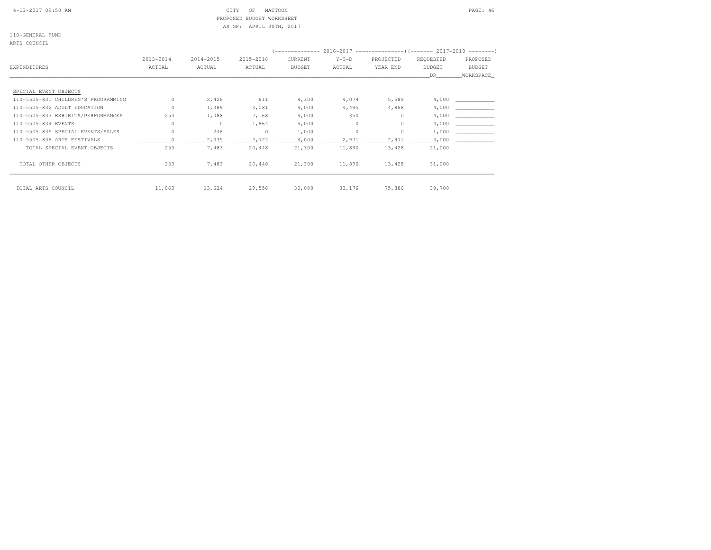4-13-2017 09:50 AM CITY OF MATTOON PAGE: 46 PROPOSED BUDGET WORKSHEETAS OF: APRIL 30TH, 2017

110-GENERAL FUND

ARTS COUNCIL

|                                     |               |           |           |               |         | (-------------- 2016-2017 --------------------- 2017-2018 ---------- ) |               |               |
|-------------------------------------|---------------|-----------|-----------|---------------|---------|------------------------------------------------------------------------|---------------|---------------|
|                                     | $2013 - 2014$ | 2014-2015 | 2015-2016 | CURRENT       | $Y-T-D$ | PROJECTED                                                              | REQUESTED     | PROPOSED      |
| EXPENDITURES                        | ACTUAL        | ACTUAL    | ACTUAL    | <b>BUDGET</b> | ACTUAL  | YEAR END                                                               | <b>BUDGET</b> | <b>BUDGET</b> |
|                                     |               |           |           |               |         |                                                                        | DR.           | WORKSPACE     |
| SPECIAL EVENT OBJECTS               |               |           |           |               |         |                                                                        |               |               |
|                                     |               |           |           |               |         |                                                                        |               |               |
| 110-5505-831 CHILDREN'S PROGRAMMING | $\Omega$      | 2,426     | 611       | 4,300         | 4,074   | 5,589                                                                  | 4,000         |               |
| 110-5505-832 ADULT EDUCATION        | $\Omega$      | 1,389     | 3,081     | 4,000         | 4,495   | 4,868                                                                  | 4,000         |               |
| 110-5505-833 EXHIBITS/PERFORMANCES  | 253           | 1,088     | 7,168     | 4,000         | 350     | $\circ$                                                                | 4,000         |               |
| 110-5505-834 EVENTS                 | 0             | $\circ$   | 1,864     | 4,000         | 0       | $\circ$                                                                | 4,000         |               |
| 110-5505-835 SPECIAL EVENTS/SALES   | $\circ$       | 246       | 0         | 1,000         | $\circ$ | $\circ$                                                                | 1,000         |               |
| 110-5505-836 ARTS FESTIVALS         |               | 2,335     | 7,724     | 4,000         | 2,971   | 2,971                                                                  | 4,000         |               |
| TOTAL SPECIAL EVENT OBJECTS         | 253           | 7,483     | 20,448    | 21,300        | 11,890  | 13,428                                                                 | 21,000        |               |
| TOTAL OTHER OBJECTS                 | 253           | 7,483     | 20,448    | 21,300        | 11,890  | 13,428                                                                 | 31,000        |               |
| TOTAL ARTS COUNCIL                  | 11,063        | 13,624    | 29,556    | 30,000        | 33,176  | 75,886                                                                 | 39,700        |               |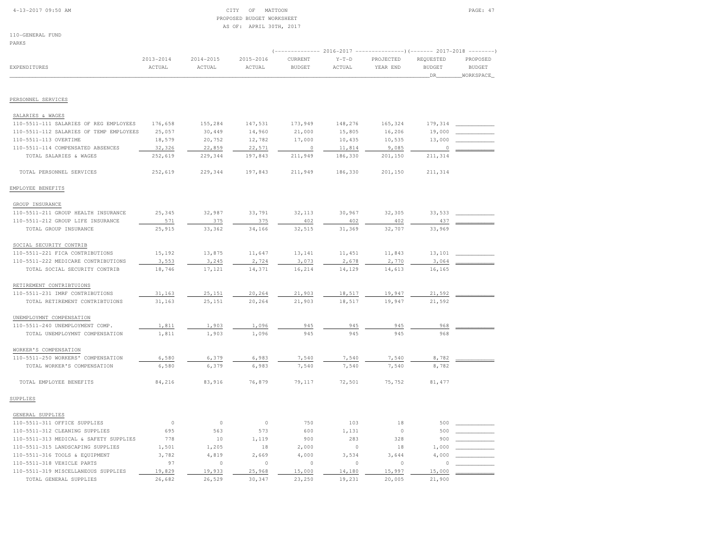#### 4-13-2017 09:50 AM CITY OF MATTOON PAGE: 47 PROPOSED BUDGET WORKSHEETAS OF: APRIL 30TH, 2017

110-GENERAL FUND

| EXPENDITURES                            | $2013 - 2014$<br>ACTUAL | $2014 - 2015$<br>ACTUAL | $2015 - 2016$<br>ACTUAL | CURRENT<br><b>BUDGET</b> | $Y-T-D$<br>ACTUAL | PROJECTED<br>YEAR END | REQUESTED<br><b>BUDGET</b> | PROPOSED<br><b>BUDGET</b> |
|-----------------------------------------|-------------------------|-------------------------|-------------------------|--------------------------|-------------------|-----------------------|----------------------------|---------------------------|
|                                         |                         |                         |                         |                          |                   |                       | DR.                        | WORKSPACE                 |
|                                         |                         |                         |                         |                          |                   |                       |                            |                           |
| PERSONNEL SERVICES                      |                         |                         |                         |                          |                   |                       |                            |                           |
| SALARIES & WAGES                        |                         |                         |                         |                          |                   |                       |                            |                           |
| 110-5511-111 SALARIES OF REG EMPLOYEES  | 176,658                 | 155,284                 | 147,531                 | 173,949                  | 148,276           | 165,324               | 179,314                    |                           |
| 110-5511-112 SALARIES OF TEMP EMPLOYEES | 25,057                  | 30,449                  | 14,960                  | 21,000                   | 15,805            | 16,206                | 19,000                     |                           |
| 110-5511-113 OVERTIME                   | 18,579                  | 20,752                  | 12,782                  | 17,000                   | 10,435            | 10,535                | 13,000                     |                           |
| 110-5511-114 COMPENSATED ABSENCES       | 32,326                  | 22,859                  | 22,571                  | $\Omega$                 | 11,814            | 9,085                 | $\theta$                   |                           |
| TOTAL SALARIES & WAGES                  | 252,619                 | 229,344                 | 197,843                 | 211,949                  | 186,330           | 201,150               | 211,314                    |                           |
| TOTAL PERSONNEL SERVICES                | 252,619                 | 229,344                 | 197,843                 | 211,949                  | 186,330           | 201,150               | 211,314                    |                           |
| EMPLOYEE BENEFITS                       |                         |                         |                         |                          |                   |                       |                            |                           |
| GROUP INSURANCE                         |                         |                         |                         |                          |                   |                       |                            |                           |
| 110-5511-211 GROUP HEALTH INSURANCE     | 25,345                  | 32,987                  | 33,791                  | 32, 113                  | 30,967            | 32,305                | 33,533                     |                           |
| 110-5511-212 GROUP LIFE INSURANCE       | 571                     | 375                     | 375                     | 402                      | 402               | 402                   | 437                        |                           |
| TOTAL GROUP INSURANCE                   | 25,915                  | 33,362                  | 34,166                  | 32,515                   | 31,369            | 32,707                | 33,969                     |                           |
| SOCIAL SECURITY CONTRIB                 |                         |                         |                         |                          |                   |                       |                            |                           |
| 110-5511-221 FICA CONTRIBUTIONS         | 15,192                  | 13,875                  | 11,647                  | 13,141                   | 11,451            | 11,843                | 13,101                     |                           |
| 110-5511-222 MEDICARE CONTRIBUTIONS     | 3,553                   | 3,245                   | 2,724                   | 3,073                    | 2,678             | 2,770                 | 3,064                      |                           |
| TOTAL SOCIAL SECURITY CONTRIB           | 18,746                  | 17,121                  | 14,371                  | 16,214                   | 14,129            | 14,613                | 16,165                     |                           |
| RETIREMENT CONTRIBTUIONS                |                         |                         |                         |                          |                   |                       |                            |                           |
| 110-5511-231 IMRF CONTRIBUTIONS         | 31,163                  | 25,151                  | 20,264                  | 21,903                   | 18,517            | 19,947                | 21,592                     |                           |
| TOTAL RETIREMENT CONTRIBTUIONS          | 31,163                  | 25,151                  | 20,264                  | 21,903                   | 18,517            | 19,947                | 21,592                     |                           |
| UNEMPLOYMNT COMPENSATION                |                         |                         |                         |                          |                   |                       |                            |                           |
| 110-5511-240 UNEMPLOYMENT COMP.         | 1,811                   | 1,903                   | 1,096                   | 945                      | 945               | 945                   | 968                        |                           |
| TOTAL UNEMPLOYMNT COMPENSATION          | 1,811                   | 1,903                   | 1,096                   | 945                      | 945               | 945                   | 968                        |                           |
| WORKER'S COMPENSATION                   |                         |                         |                         |                          |                   |                       |                            |                           |
| 110-5511-250 WORKERS' COMPENSATION      | 6,580                   | 6,379                   | 6,983                   | 7,540                    | 7,540             | 7,540                 | 8,782                      |                           |
| TOTAL WORKER'S COMPENSATION             | 6,580                   | 6,379                   | 6,983                   | 7,540                    | 7,540             | 7,540                 | 8,782                      |                           |
| TOTAL EMPLOYEE BENEFITS                 | 84,216                  | 83,916                  | 76,879                  | 79,117                   | 72,501            | 75,752                | 81, 477                    |                           |
| SUPPLIES                                |                         |                         |                         |                          |                   |                       |                            |                           |
| GENERAL SUPPLIES                        |                         |                         |                         |                          |                   |                       |                            |                           |
| 110-5511-311 OFFICE SUPPLIES            | $\circ$                 | $\circ$                 | $\circ$                 | 750                      | 103               | 18                    | 500                        |                           |
| 110-5511-312 CLEANING SUPPLIES          | 695                     | 563                     | 573                     | 600                      | 1,131             | $\Omega$              | 500                        |                           |
| 110-5511-313 MEDICAL & SAFETY SUPPLIES  | 778                     | 10                      | 1,119                   | 900                      | 283               | 328                   | 900                        |                           |
| 110-5511-315 LANDSCAPING SUPPLIES       | 1,501                   | 1,205                   | 18                      | 2,000                    | $\circ$           | 18                    | 1,000                      |                           |
| 110-5511-316 TOOLS & EQUIPMENT          | 3,782                   | 4,819                   | 2,669                   | 4,000                    | 3,534             | 3,644                 | 4,000                      |                           |
| 110-5511-318 VEHICLE PARTS              | 97                      | $\circ$                 | $\mathbb O$             | $\circ$                  | $\circ$           | $\circ$               |                            |                           |
| 110-5511-319 MISCELLANEOUS SUPPLIES     | 19,829                  | 19,933                  | 25,968                  | 15,000                   | 14,180            | 15,997                | 15,000                     |                           |
| TOTAL GENERAL SUPPLIES                  | 26,682                  | 26,529                  | 30,347                  | 23,250                   | 19,231            | 20,005                | 21,900                     |                           |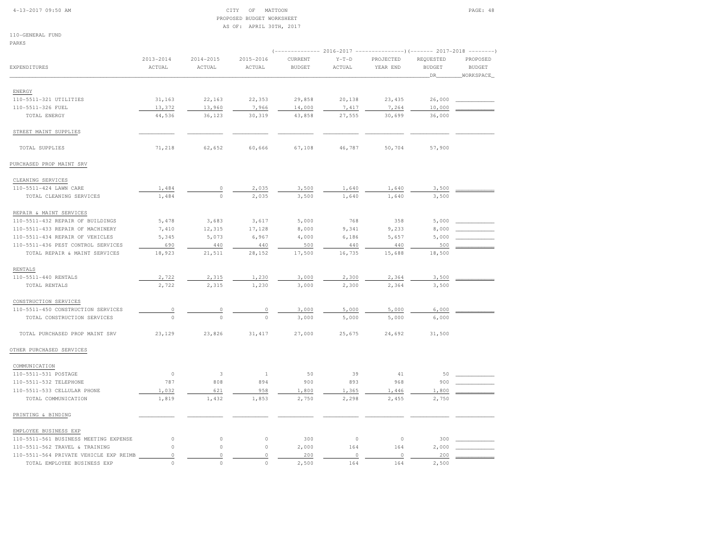#### 4-13-2017 09:50 AM CITY OF MATTOON PAGE: 48 PROPOSED BUDGET WORKSHEETAS OF: APRIL 30TH, 2017

110-GENERAL FUND

| PARKS                                  |                |               |               |               |             |                                                                |               |                                              |
|----------------------------------------|----------------|---------------|---------------|---------------|-------------|----------------------------------------------------------------|---------------|----------------------------------------------|
|                                        | $2013 - 2014$  | $2014 - 2015$ | $2015 - 2016$ | CURRENT       | $Y-T-D$     | -- 2016-2017 ----------------) (------- 2017-2018<br>PROJECTED | REQUESTED     | $\cdots\cdots\cdots\cdots\cdots$<br>PROPOSED |
| EXPENDITURES                           | ACTUAL         | ACTUAL        | ACTUAL        | <b>BUDGET</b> | ACTUAL      | YEAR END                                                       | <b>BUDGET</b> | <b>BUDGET</b>                                |
|                                        |                |               |               |               |             |                                                                | DR.           | WORKSPACE                                    |
|                                        |                |               |               |               |             |                                                                |               |                                              |
| <b>ENERGY</b>                          |                |               |               |               |             |                                                                |               |                                              |
| 110-5511-321 UTILITIES                 | 31,163         | 22,163        | 22,353        | 29,858        | 20,138      | 23, 435                                                        | 26,000        |                                              |
| 110-5511-326 FUEL                      | 13,372         | 13,960        | 7,966         | 14,000        | 7,417       | 7,264                                                          | 10,000        |                                              |
| TOTAL ENERGY                           | 44,536         | 36,123        | 30,319        | 43,858        | 27,555      | 30,699                                                         | 36,000        |                                              |
| STREET MAINT SUPPLIES                  |                |               |               |               |             |                                                                |               |                                              |
| TOTAL SUPPLIES                         | 71,218         | 62,652        | 60,666        | 67,108        | 46,787      | 50,704                                                         | 57,900        |                                              |
| PURCHASED PROP MAINT SRV               |                |               |               |               |             |                                                                |               |                                              |
| CLEANING SERVICES                      |                |               |               |               |             |                                                                |               |                                              |
| 110-5511-424 LAWN CARE                 | 1,484          | $\circ$       | 2,035         | 3,500         | 1,640       | 1,640                                                          | 3,500         |                                              |
| TOTAL CLEANING SERVICES                | 1,484          | $\circ$       | 2,035         | 3,500         | 1,640       | 1,640                                                          | 3,500         |                                              |
| REPAIR & MAINT SERVICES                |                |               |               |               |             |                                                                |               |                                              |
| 110-5511-432 REPAIR OF BUILDINGS       | 5,478          | 3,683         | 3,617         | 5,000         | 768         | 358                                                            | 5,000         |                                              |
| 110-5511-433 REPAIR OF MACHINERY       | 7,410          | 12,315        | 17,128        | 8,000         | 9,341       | 9,233                                                          | 8,000         |                                              |
| 110-5511-434 REPAIR OF VEHICLES        | 5,345          | 5,073         | 6,967         | 4,000         | 6,186       | 5,657                                                          | 5,000         |                                              |
| 110-5511-436 PEST CONTROL SERVICES     | 690            | 440           | 440           | 500           | 440         | 440                                                            | 500           |                                              |
| TOTAL REPAIR & MAINT SERVICES          | 18,923         | 21,511        | 28,152        | 17,500        | 16,735      | 15,688                                                         | 18,500        |                                              |
| <b>RENTALS</b>                         |                |               |               |               |             |                                                                |               |                                              |
| 110-5511-440 RENTALS                   | 2,722          | 2,315         | 1,230         | 3,000         | 2,300       | 2,364                                                          | 3,500         |                                              |
| TOTAL RENTALS                          | 2,722          | 2,315         | 1,230         | 3,000         | 2,300       | 2,364                                                          | 3,500         |                                              |
| CONSTRUCTION SERVICES                  |                |               |               |               |             |                                                                |               |                                              |
| 110-5511-450 CONSTRUCTION SERVICES     | $\overline{0}$ | $\circ$       | $\circ$       | 3,000         | 5,000       | 5,000                                                          | 6,000         |                                              |
| TOTAL CONSTRUCTION SERVICES            | $\circ$        | $\bigcirc$    | $\mathbf{0}$  | 3,000         | 5,000       | 5,000                                                          | 6,000         |                                              |
| TOTAL PURCHASED PROP MAINT SRV         | 23,129         | 23,826        | 31, 417       | 27,000        | 25,675      | 24,692                                                         | 31,500        |                                              |
| OTHER PURCHASED SERVICES               |                |               |               |               |             |                                                                |               |                                              |
| COMMUNICATION                          |                |               |               |               |             |                                                                |               |                                              |
| 110-5511-531 POSTAGE                   | $\circ$        | 3             | $\mathbf{1}$  | 50            | 39          | 41                                                             | 50            |                                              |
| 110-5511-532 TELEPHONE                 | 787            | 808           | 894           | 900           | 893         | 968                                                            | 900           |                                              |
| 110-5511-533 CELLULAR PHONE            | 1,032          | 621           | 958           | 1,800         | 1,365       | 1,446                                                          | 1,800         |                                              |
| TOTAL COMMUNICATION                    | 1,819          | 1,432         | 1,853         | 2,750         | 2,298       | 2,455                                                          | 2,750         |                                              |
| PRINTING & BINDING                     |                |               |               |               |             |                                                                |               |                                              |
| EMPLOYEE BUSINESS EXP                  |                |               |               |               |             |                                                                |               |                                              |
| 110-5511-561 BUSINESS MEETING EXPENSE  | $\mathbb O$    | $\circ$       | $\mathbb O$   | 300           | $\mathbb O$ | $\circ$                                                        | 300           |                                              |
| 110-5511-562 TRAVEL & TRAINING         | $\circ$        | $\circ$       | $\mathbb O$   | 2,000         | 164         | 164                                                            | 2,000         |                                              |
| 110-5511-564 PRIVATE VEHICLE EXP REIMB | $\mathbb O$    | $\circ$       | $\mathbb O$   | 200           | $\mathbb O$ | $\circ$                                                        | 200           |                                              |
| TOTAL EMPLOYEE BUSINESS EXP            | $\circ$        | $\circ$       | $\circ$       | 2,500         | 164         | 164                                                            | 2,500         |                                              |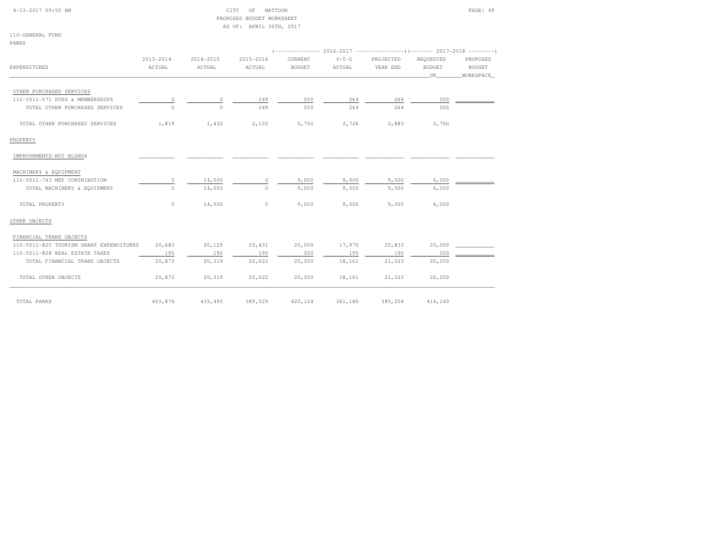| $4-13-2017$ 09:50 AM |  |
|----------------------|--|
|                      |  |

#### CITY OF MATTOON **PAGE: 49**  PROPOSED BUDGET WORKSHEETAS OF: APRIL 30TH, 2017

110-GENERAL FUNDPARKS

| <b>EXPENDITURES</b>                     | 2013-2014<br>ACTUAL | 2014-2015<br>ACTUAL | 2015-2016<br>ACTUAL | CURRENT<br><b>BUDGET</b> | $Y-T-D$<br>ACTUAL | PROJECTED<br>YEAR END | REQUESTED<br><b>BUDGET</b><br>DR | PROPOSED<br>BUDGET<br>WORKSPACE |  |  |
|-----------------------------------------|---------------------|---------------------|---------------------|--------------------------|-------------------|-----------------------|----------------------------------|---------------------------------|--|--|
|                                         |                     |                     |                     |                          |                   |                       |                                  |                                 |  |  |
| OTHER PURCHASED SERVICES                |                     |                     |                     |                          |                   |                       |                                  |                                 |  |  |
| 110-5511-571 DUES & MEMBERSHIPS         | $\circ$             | 0                   | 249                 | 500                      | 264               | 264                   | 500                              |                                 |  |  |
| TOTAL OTHER PURCHASED SERVICES          | $\Omega$            | $\Omega$            | 249                 | 500                      | 264               | 264                   | 500                              |                                 |  |  |
| TOTAL OTHER PURCHASED SERVICES          | 1,819               | 1,432               | 2,102               | 5,750                    | 2,726             | 2,883                 | 5,750                            |                                 |  |  |
| PROPERTY                                |                     |                     |                     |                          |                   |                       |                                  |                                 |  |  |
| IMPROVEMENTS-NOT BLDNGS                 |                     |                     |                     |                          |                   |                       |                                  |                                 |  |  |
| MACHINERY & EQUIPMENT                   |                     |                     |                     |                          |                   |                       |                                  |                                 |  |  |
| 110-5511-743 MEF CONTRIBUTION           | $\circ$             | 14,000              | $\circ$             | 9,000                    | 9,000             | 9,000                 | 6,000                            |                                 |  |  |
| TOTAL MACHINERY & EQUIPMENT             | $\circ$             | 14,000              | $\circ$             | 9,000                    | 9,000             | 9,000                 | 6,000                            |                                 |  |  |
| TOTAL PROPERTY                          | $\circ$             | 14,000              | $\circ$             | 9,000                    | 9,000             | 9,000                 | 6,000                            |                                 |  |  |
| OTHER OBJECTS                           |                     |                     |                     |                          |                   |                       |                                  |                                 |  |  |
| FINANCIAL TRANS OBJECTS                 |                     |                     |                     |                          |                   |                       |                                  |                                 |  |  |
| 110-5511-825 TOURISM GRANT EXPENDITURES | 20,683              | 20,129              | 20,431              | 20,000                   | 17,970            | 20,833                | 20,000                           |                                 |  |  |
| 110-5511-828 REAL ESTATE TAXES          | 190                 | 190                 | 190                 | 200                      | 190               | 190                   | 200                              |                                 |  |  |
| TOTAL FINANCIAL TRANS OBJECTS           | 20,873              | 20,319              | 20,622              | 20, 200                  | 18,161            | 21,023                | 20,200                           |                                 |  |  |
| TOTAL OTHER OBJECTS                     | 20,873              | 20,319              | 20,622              | 20,200                   | 18,161            | 21,023                | 20,200                           |                                 |  |  |
| TOTAL PARKS                             | 453,874             | 435,490             | 389,529             | 420,124                  | 361,180           | 385,204               | 414,140                          |                                 |  |  |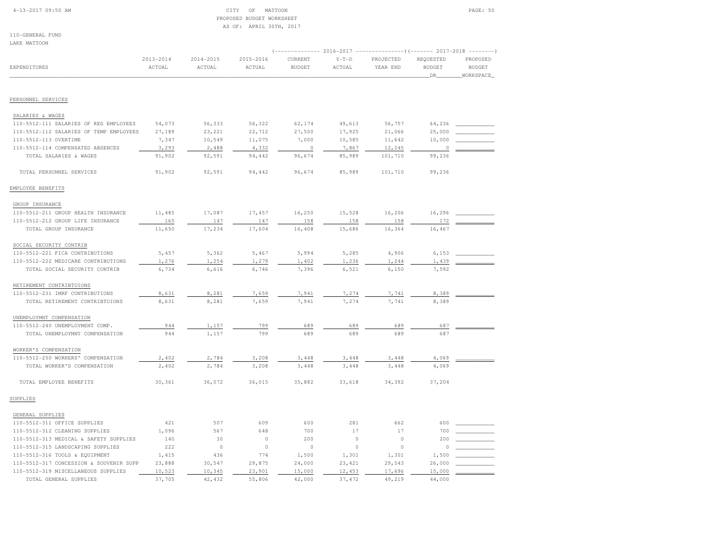### 4-13-2017 09:50 AM CITY OF MATTOON PAGE: 50 PROPOSED BUDGET WORKSHEETAS OF: APRIL 30TH, 2017

110-GENERAL FUNDLAKE MATTOON

| PULLE LIUTTOOM                          |                     |                     |                     |                          | (-------------- 2016-2017 -----------------) (------- 2017-2018 |                       |                                   |                                                            |  |  |  |
|-----------------------------------------|---------------------|---------------------|---------------------|--------------------------|-----------------------------------------------------------------|-----------------------|-----------------------------------|------------------------------------------------------------|--|--|--|
| EXPENDITURES                            | 2013-2014<br>ACTUAL | 2014-2015<br>ACTUAL | 2015-2016<br>ACTUAL | CURRENT<br><b>BUDGET</b> | $Y-T-D$<br>ACTUAL                                               | PROJECTED<br>YEAR END | REQUESTED<br><b>BUDGET</b><br>DR. | $-- - - - - - -$<br>PROPOSED<br><b>BUDGET</b><br>WORKSPACE |  |  |  |
|                                         |                     |                     |                     |                          |                                                                 |                       |                                   |                                                            |  |  |  |
| PERSONNEL SERVICES                      |                     |                     |                     |                          |                                                                 |                       |                                   |                                                            |  |  |  |
| SALARIES & WAGES                        |                     |                     |                     |                          |                                                                 |                       |                                   |                                                            |  |  |  |
| 110-5512-111 SALARIES OF REG EMPLOYEES  | 54,073              | 56,333              | 56,322              | 62,174                   | 49,613                                                          | 56,757                | 64,236                            |                                                            |  |  |  |
| 110-5512-112 SALARIES OF TEMP EMPLOYEES | 27,189              | 23,221              | 22,712              | 27,500                   | 17,925                                                          | 21,066                | 25,000                            |                                                            |  |  |  |
| 110-5512-113 OVERTIME                   | 7,347               | 10,549              | 11,075              | 7,000                    | 10,585                                                          | 11,642                | 10,000                            |                                                            |  |  |  |
| 110-5512-114 COMPENSATED ABSENCES       | 3,293               | 2,488               | 4,332               | $\circ$                  | 7,867                                                           | 12,245                | $\Omega$                          |                                                            |  |  |  |
| TOTAL SALARIES & WAGES                  | 91,902              | 92,591              | 94,442              | 96,674                   | 85,989                                                          | 101,710               | 99,236                            |                                                            |  |  |  |
| TOTAL PERSONNEL SERVICES                | 91,902              | 92,591              | 94,442              | 96,674                   | 85,989                                                          | 101,710               | 99,236                            |                                                            |  |  |  |
| EMPLOYEE BENEFITS                       |                     |                     |                     |                          |                                                                 |                       |                                   |                                                            |  |  |  |
| GROUP INSURANCE                         |                     |                     |                     |                          |                                                                 |                       |                                   |                                                            |  |  |  |
| 110-5512-211 GROUP HEALTH INSURANCE     | 11,485              | 17,087              | 17,457              | 16,250                   | 15,528                                                          | 16,206                | 16,296                            |                                                            |  |  |  |
| 110-5512-212 GROUP LIFE INSURANCE       | 165                 | 147                 | 147                 | 158                      | 158                                                             | 158                   | 172                               |                                                            |  |  |  |
| TOTAL GROUP INSURANCE                   | 11,650              | 17,234              | 17,604              | 16,408                   | 15,686                                                          | 16,364                | 16,467                            |                                                            |  |  |  |
| SOCIAL SECURITY CONTRIB                 |                     |                     |                     |                          |                                                                 |                       |                                   |                                                            |  |  |  |
| 110-5512-221 FICA CONTRIBUTIONS         | 5,457               | 5,362               | 5,467               | 5,994                    | 5,285                                                           | 4,906                 | 6,153                             |                                                            |  |  |  |
| 110-5512-222 MEDICARE CONTRIBUTIONS     | 1,276               | 1,254               | 1,279               | 1,402                    | 1,236                                                           | 1,244                 | 1,439                             |                                                            |  |  |  |
| TOTAL SOCIAL SECURITY CONTRIB           | 6,734               | 6,616               | 6,746               | 7,396                    | 6,521                                                           | 6,150                 | 7,592                             |                                                            |  |  |  |
| RETIREMENT CONTRIBTUIONS                |                     |                     |                     |                          |                                                                 |                       |                                   |                                                            |  |  |  |
| 110-5512-231 IMRF CONTRIBUTIONS         | 8,631               | 8,281               | 7,659               | 7,941                    | 7,274                                                           | 7,741                 | 8,389                             |                                                            |  |  |  |
| TOTAL RETIREMENT CONTRIBTUIONS          | 8,631               | 8,281               | 7,659               | 7,941                    | 7,274                                                           | 7,741                 | 8,389                             |                                                            |  |  |  |
| UNEMPLOYMNT COMPENSATION                |                     |                     |                     |                          |                                                                 |                       |                                   |                                                            |  |  |  |
| 110-5512-240 UNEMPLOYMENT COMP.         | 944                 | 1,157               | 799                 | 689                      | 689                                                             | 689                   | 687                               |                                                            |  |  |  |
| TOTAL UNEMPLOYMNT COMPENSATION          | 944                 | 1,157               | 799                 | 689                      | 689                                                             | 689                   | 687                               |                                                            |  |  |  |
| WORKER'S COMPENSATION                   |                     |                     |                     |                          |                                                                 |                       |                                   |                                                            |  |  |  |
| 110-5512-250 WORKERS' COMPENSATION      | 2,402               | 2,784               | 3,208               | 3,448                    | 3,448                                                           | 3,448                 | 4,069                             |                                                            |  |  |  |
| TOTAL WORKER'S COMPENSATION             | 2,402               | 2,784               | 3,208               | 3,448                    | 3,448                                                           | 3,448                 | 4,069                             |                                                            |  |  |  |
| TOTAL EMPLOYEE BENEFITS                 | 30,361              | 36,072              | 36,015              | 35,882                   | 33,618                                                          | 34,392                | 37,204                            |                                                            |  |  |  |
| SUPPLIES                                |                     |                     |                     |                          |                                                                 |                       |                                   |                                                            |  |  |  |
| GENERAL SUPPLIES                        |                     |                     |                     |                          |                                                                 |                       |                                   |                                                            |  |  |  |
| 110-5512-311 OFFICE SUPPLIES            | 421                 | 507                 | 609                 | 600                      | 281                                                             | 662                   | 600                               |                                                            |  |  |  |
| 110-5512-312 CLEANING SUPPLIES          | 1,096               | 567                 | 648                 | 700                      | 17                                                              | 17                    | 700                               |                                                            |  |  |  |
| 110-5512-313 MEDICAL & SAFETY SUPPLIES  | 140                 | 30                  | $\circ$             | 200                      | $\circ$                                                         | $\circ$               | 200                               |                                                            |  |  |  |
| 110-5512-315 LANDSCAPING SUPPLIES       | 222                 | $\circ$             | $\circ$             | $\mathbb O$              | 0                                                               | $\circ$               |                                   |                                                            |  |  |  |
| 110-5512-316 TOOLS & EQUIPMENT          | 1,415               | 436                 | 774                 | 1,500                    | 1,301                                                           | 1,301                 | 1,500                             |                                                            |  |  |  |
| 110-5512-317 CONCESSION & SOUVENIR SUPP | 23,888              | 30,547              | 29,875              | 24,000                   | 23, 421                                                         | 29,543                | 26,000                            |                                                            |  |  |  |
| 110-5512-319 MISCELLANEOUS SUPPLIES     | 10,523              | 10,345              | 23,901              | 15,000                   | 12,453                                                          | 17,696                | 15,000                            |                                                            |  |  |  |
| TOTAL GENERAL SUPPLIES                  | 37,705              | 42,432              | 55,806              | 42,000                   | 37, 472                                                         | 49,219                | 44,000                            |                                                            |  |  |  |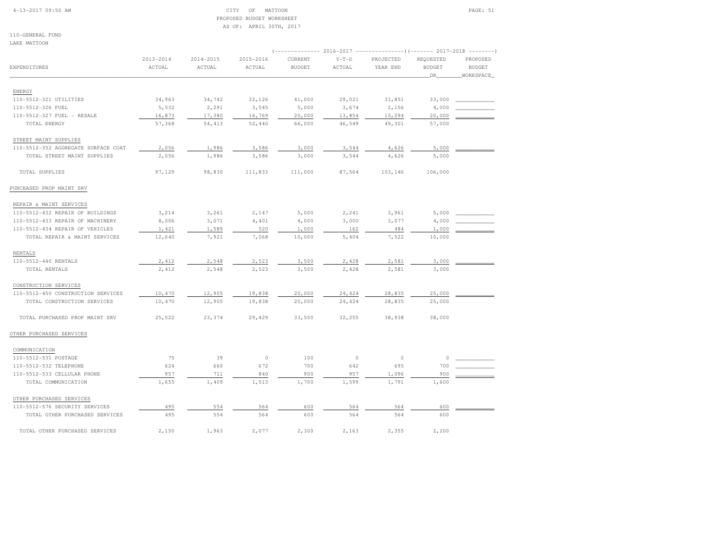#### 4-13-2017 09:50 AM CITY OF MATTOON PAGE: 51 PROPOSED BUDGET WORKSHEETAS OF: APRIL 30TH, 2017

110-GENERAL FUNDLAKE MATTOON

| EXPENDITURES                        | $2013 - 2014$<br>ACTUAL | 2014-2015<br>ACTUAL | 2015-2016<br>ACTUAL | CURRENT<br><b>BUDGET</b> | $Y-T-D$<br>ACTUAL | PROJECTED<br>YEAR END | REQUESTED<br><b>BUDGET</b><br>DR | $\cdots \cdots \cdots \cdots \cdots$<br>PROPOSED<br><b>BUDGET</b><br>WORKSPACE |  |  |
|-------------------------------------|-------------------------|---------------------|---------------------|--------------------------|-------------------|-----------------------|----------------------------------|--------------------------------------------------------------------------------|--|--|
| ENERGY                              |                         |                     |                     |                          |                   |                       |                                  |                                                                                |  |  |
| 110-5512-321 UTILITIES              | 34,963                  | 34,742              | 32,126              | 41,000                   | 29,021            | 31,851                | 33,000                           |                                                                                |  |  |
| 110-5512-326 FUEL                   | 5,532                   | 2,291               | 3,545               | 5,000                    | 3,674             | 2,156                 | 4,000                            |                                                                                |  |  |
| 110-5512-327 FUEL - RESALE          | 16,873                  | 17,380              | 16,769              | 20,000                   | 13,854            | 15,294                | 20,000                           |                                                                                |  |  |
| TOTAL ENERGY                        | 57,368                  | 54,413              | 52,440              | 66,000                   | 46,549            | 49,301                | 57,000                           |                                                                                |  |  |
| STREET MAINT SUPPLIES               |                         |                     |                     |                          |                   |                       |                                  |                                                                                |  |  |
| 110-5512-352 AGGREGATE SURFACE COAT | 2,056                   | 1,986               | 3,586               | 3,000                    | 3,544             | 4,626                 | 5,000                            |                                                                                |  |  |
| TOTAL STREET MAINT SUPPLIES         | 2,056                   | 1,986               | 3,586               | 3,000                    | 3,544             | 4,626                 | 5,000                            |                                                                                |  |  |
| TOTAL SUPPLIES                      | 97,129                  | 98,830              | 111,833             | 111,000                  | 87,564            | 103,146               | 106,000                          |                                                                                |  |  |
| PURCHASED PROP MAINT SRV            |                         |                     |                     |                          |                   |                       |                                  |                                                                                |  |  |
| REPAIR & MAINT SERVICES             |                         |                     |                     |                          |                   |                       |                                  |                                                                                |  |  |
| 110-5512-432 REPAIR OF BUILDINGS    | 3,214                   | 3,261               | 2,147               | 5,000                    | 2,241             | 3,961                 | 5,000                            |                                                                                |  |  |
| 110-5512-433 REPAIR OF MACHINERY    | 8,006                   | 3,071               | 4,401               | 4,000                    | 3,000             | 3,077                 | 4,000                            |                                                                                |  |  |
| 110-5512-434 REPAIR OF VEHICLES     | 1,421                   | 1,589               | 520                 | 1,000                    | 162               | 484                   | 1,000                            |                                                                                |  |  |
| TOTAL REPAIR & MAINT SERVICES       | 12,640                  | 7,921               | 7,068               | 10,000                   | 5,404             | 7,522                 | 10,000                           |                                                                                |  |  |
| RENTALS                             |                         |                     |                     |                          |                   |                       |                                  |                                                                                |  |  |
| 110-5512-440 RENTALS                | 2,412                   | 2,548               | 2,523               | 3,500                    | 2,428             | 2,581                 | 3,000                            |                                                                                |  |  |
| TOTAL RENTALS                       | 2,412                   | 2,548               | 2,523               | 3,500                    | 2,428             | 2,581                 | 3,000                            |                                                                                |  |  |
| CONSTRUCTION SERVICES               |                         |                     |                     |                          |                   |                       |                                  |                                                                                |  |  |
| 110-5512-450 CONSTRUCTION SERVICES  | 10,470                  | 12,905              | 19,838              | 20,000                   | 24,424            | 28,835                | 25,000                           |                                                                                |  |  |
| TOTAL CONSTRUCTION SERVICES         | 10,470                  | 12,905              | 19,838              | 20,000                   | 24,424            | 28,835                | 25,000                           |                                                                                |  |  |
| TOTAL PURCHASED PROP MAINT SRV      | 25,522                  | 23,374              | 29,429              | 33,500                   | 32,255            | 38,938                | 38,000                           |                                                                                |  |  |
| OTHER PURCHASED SERVICES            |                         |                     |                     |                          |                   |                       |                                  |                                                                                |  |  |
| COMMUNICATION                       |                         |                     |                     |                          |                   |                       |                                  |                                                                                |  |  |
| 110-5512-531 POSTAGE                | 75                      | 39                  | $\circ$             | 100                      | $\circ$           | $\circ$               | $\Omega$                         |                                                                                |  |  |
| 110-5512-532 TELEPHONE              | 624                     | 660                 | 672                 | 700                      | 642               | 695                   | 700                              |                                                                                |  |  |
| 110-5512-533 CELLULAR PHONE         | 957                     | 711                 | 840                 | 900                      | 957               | 1,096                 | 900                              |                                                                                |  |  |
| TOTAL COMMUNICATION                 | 1,655                   | 1,409               | 1,513               | 1,700                    | 1,599             | 1,791                 | 1,600                            |                                                                                |  |  |
| OTHER PURCHASED SERVICES            |                         |                     |                     |                          |                   |                       |                                  |                                                                                |  |  |
| 110-5512-576 SECURITY SERVICES      | 495                     | 554                 | 564                 | 600                      | 564               | 564                   | 600                              |                                                                                |  |  |
| TOTAL OTHER PURCHASED SERVICES      | 495                     | 554                 | 564                 | 600                      | 564               | 564                   | 600                              |                                                                                |  |  |
| TOTAL OTHER PURCHASED SERVICES      | 2,150                   | 1,963               | 2,077               | 2,300                    | 2,163             | 2,355                 | 2,200                            |                                                                                |  |  |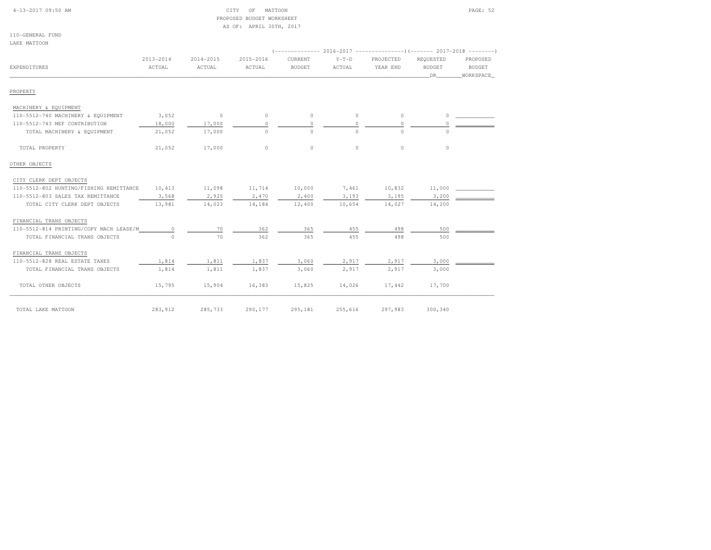| 4-13-2017 09:50 AM                      |                         |                     | OF<br>MATTOON<br>CITY<br>PROPOSED BUDGET WORKSHEET<br>AS OF: APRIL 30TH, 2017 |                          |                   |                                                             |                                  | PAGE: 52                               |
|-----------------------------------------|-------------------------|---------------------|-------------------------------------------------------------------------------|--------------------------|-------------------|-------------------------------------------------------------|----------------------------------|----------------------------------------|
| 110-GENERAL FUND<br>LAKE MATTOON        |                         |                     |                                                                               |                          |                   |                                                             |                                  |                                        |
|                                         |                         |                     |                                                                               |                          |                   | $(----------2016-2017---------)$ $(-------2017-2018------)$ |                                  |                                        |
| EXPENDITURES                            | $2013 - 2014$<br>ACTUAL | 2014-2015<br>ACTUAL | 2015-2016<br>ACTUAL                                                           | CURRENT<br><b>BUDGET</b> | $Y-T-D$<br>ACTUAL | PROJECTED<br>YEAR END                                       | REQUESTED<br><b>BUDGET</b><br>DR | PROPOSED<br><b>BUDGET</b><br>WORKSPACE |
| PROPERTY                                |                         |                     |                                                                               |                          |                   |                                                             |                                  |                                        |
| MACHINERY & EQUIPMENT                   |                         |                     |                                                                               |                          |                   |                                                             |                                  |                                        |
| 110-5512-740 MACHINERY & EQUIPMENT      | 3,052                   | $\circ$             | $\mathbb O$                                                                   | $\circ$                  | $\circ$           | $\circ$                                                     | $\circ$                          |                                        |
| 110-5512-743 MEF CONTRIBUTION           | 18,000                  | 17,000              | $\circ$                                                                       | $\cap$                   | $\circ$           | $\circ$                                                     | $\circ$                          |                                        |
| TOTAL MACHINERY & EQUIPMENT             | 21,052                  | 17,000              | $\circ$                                                                       | $\Omega$                 | $\Omega$          | $\Omega$                                                    | $\Omega$                         |                                        |
| TOTAL PROPERTY                          | 21,052                  | 17,000              | $\mathbb O$                                                                   | $\circ$                  | $\circ$           | $\circ$                                                     | $\circ$                          |                                        |
| OTHER OBJECTS                           |                         |                     |                                                                               |                          |                   |                                                             |                                  |                                        |
| CITY CLERK DEPT OBJECTS                 |                         |                     |                                                                               |                          |                   |                                                             |                                  |                                        |
| 110-5512-802 HUNTING/FISHING REMITTANCE | 10,413                  | 11,098              | 11,714                                                                        | 10,000                   | 7,461             | 10,832                                                      | 11,000                           |                                        |
| 110-5512-803 SALES TAX REMITTANCE       | 3,568                   | 2,925               | 2,470                                                                         | 2,400                    | 3,193             | 3,195                                                       | 3,200                            |                                        |
| TOTAL CITY CLERK DEPT OBJECTS           | 13,981                  | 14,023              | 14,184                                                                        | 12,400                   | 10,654            | 14,027                                                      | 14,200                           |                                        |
| FINANCIAL TRANS OBJECTS                 |                         |                     |                                                                               |                          |                   |                                                             |                                  |                                        |
| 110-5512-814 PRINTING/COPY MACH LEASE/M | 0                       | 70                  | 362                                                                           | 365                      | 455               | 498                                                         | 500                              |                                        |
| TOTAL FINANCIAL TRANS OBJECTS           | $\Omega$                | 70                  | 362                                                                           | 365                      | 455               | 498                                                         | 500                              |                                        |
| FINANCIAL TRANS OBJECTS                 |                         |                     |                                                                               |                          |                   |                                                             |                                  |                                        |
| 110-5512-828 REAL ESTATE TAXES          | 1,814                   | 1,811               | 1,837                                                                         | 3,060                    | 2,917             | 2,917                                                       | 3,000                            |                                        |
| TOTAL FINANCIAL TRANS OBJECTS           | 1,814                   | 1,811               | 1,837                                                                         | 3,060                    | 2,917             | 2,917                                                       | 3,000                            |                                        |
| TOTAL OTHER OBJECTS                     | 15,795                  | 15,904              | 16,383                                                                        | 15,825                   | 14,026            | 17,442                                                      | 17,700                           |                                        |
| TOTAL LAKE MATTOON                      | 283,912                 | 285,733             | 290,177                                                                       | 295,181                  | 255,616           | 297,983                                                     | 300,340                          |                                        |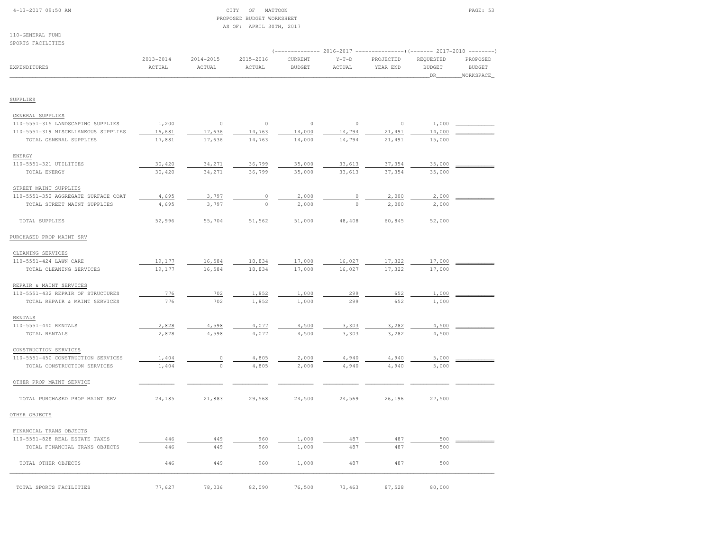|  | $4-13-2017$ 09:50 AM |  |
|--|----------------------|--|
|  |                      |  |

#### CITY OF MATTOON PAGE: 53 PROPOSED BUDGET WORKSHEETAS OF: APRIL 30TH, 2017

| SPURIS FAUILLILES                   | (------------- 2016-2017 ---------------) (------- 2017-2018 -------- |                         |                         |                          |                   |                       |                                   |                                         |  |  |
|-------------------------------------|-----------------------------------------------------------------------|-------------------------|-------------------------|--------------------------|-------------------|-----------------------|-----------------------------------|-----------------------------------------|--|--|
| EXPENDITURES                        | $2013 - 2014$<br>ACTUAL                                               | $2014 - 2015$<br>ACTUAL | $2015 - 2016$<br>ACTUAL | CURRENT<br><b>BUDGET</b> | $Y-T-D$<br>ACTUAL | PROJECTED<br>YEAR END | REQUESTED<br><b>BUDGET</b><br>DR. | PROPOSED<br><b>BUDGET</b><br>WORKSPACE_ |  |  |
|                                     |                                                                       |                         |                         |                          |                   |                       |                                   |                                         |  |  |
| SUPPLIES                            |                                                                       |                         |                         |                          |                   |                       |                                   |                                         |  |  |
| GENERAL SUPPLIES                    |                                                                       |                         |                         |                          |                   |                       |                                   |                                         |  |  |
| 110-5551-315 LANDSCAPING SUPPLIES   | 1,200                                                                 | $\,0\,$                 | $\circ$                 | $\circ$                  | $\circ$           | $\Omega$              | 1,000                             |                                         |  |  |
| 110-5551-319 MISCELLANEOUS SUPPLIES | 16,681                                                                | 17,636                  | 14,763                  | 14,000                   | 14,794            | 21,491                | 14,000                            |                                         |  |  |
| TOTAL GENERAL SUPPLIES              | 17,881                                                                | 17,636                  | 14,763                  | 14,000                   | 14,794            | 21,491                | 15,000                            |                                         |  |  |
| ENERGY                              |                                                                       |                         |                         |                          |                   |                       |                                   |                                         |  |  |
| 110-5551-321 UTILITIES              | 30,420                                                                | 34,271                  | 36,799                  | 35,000                   | 33,613            | 37,354                | 35,000                            |                                         |  |  |
| TOTAL ENERGY                        | 30,420                                                                | 34,271                  | 36,799                  | 35,000                   | 33,613            | 37,354                | 35,000                            |                                         |  |  |
| STREET MAINT SUPPLIES               |                                                                       |                         |                         |                          |                   |                       |                                   |                                         |  |  |
| 110-5551-352 AGGREGATE SURFACE COAT | 4,695                                                                 | 3,797                   | $\circ$                 | 2,000                    | $\circ$           | 2,000                 | 2,000                             |                                         |  |  |
| TOTAL STREET MAINT SUPPLIES         | 4,695                                                                 | 3,797                   | $\circ$                 | 2,000                    | $\mathbf 0$       | 2,000                 | 2,000                             |                                         |  |  |
| TOTAL SUPPLIES                      | 52,996                                                                | 55,704                  | 51,562                  | 51,000                   | 48,408            | 60,845                | 52,000                            |                                         |  |  |
| PURCHASED PROP MAINT SRV            |                                                                       |                         |                         |                          |                   |                       |                                   |                                         |  |  |
| CLEANING SERVICES                   |                                                                       |                         |                         |                          |                   |                       |                                   |                                         |  |  |
| 110-5551-424 LAWN CARE              | 19,177                                                                | 16,584                  | 18,834                  | 17,000                   | 16,027            | 17,322                | 17,000                            |                                         |  |  |
| TOTAL CLEANING SERVICES             | 19,177                                                                | 16,584                  | 18,834                  | 17,000                   | 16,027            | 17,322                | 17,000                            |                                         |  |  |
| REPAIR & MAINT SERVICES             |                                                                       |                         |                         |                          |                   |                       |                                   |                                         |  |  |
| 110-5551-432 REPAIR OF STRUCTURES   | 776                                                                   | 702                     | 1,852                   | 1,000                    | 299               | 652                   | 1,000                             |                                         |  |  |
| TOTAL REPAIR & MAINT SERVICES       | 776                                                                   | 702                     | 1,852                   | 1,000                    | 299               | 652                   | 1,000                             |                                         |  |  |
| RENTALS                             |                                                                       |                         |                         |                          |                   |                       |                                   |                                         |  |  |
| 110-5551-440 RENTALS                | 2,828                                                                 | 4,598                   | 4,077                   | 4,500                    | 3,303             | 3,282                 | 4,500                             |                                         |  |  |
| TOTAL RENTALS                       | 2,828                                                                 | 4,598                   | 4,077                   | 4,500                    | 3,303             | 3,282                 | 4,500                             |                                         |  |  |
| CONSTRUCTION SERVICES               |                                                                       |                         |                         |                          |                   |                       |                                   |                                         |  |  |
| 110-5551-450 CONSTRUCTION SERVICES  | 1,404                                                                 | $\circ$                 | 4,805                   | 2,000                    | 4,940             | 4,940                 | 5,000                             |                                         |  |  |
| TOTAL CONSTRUCTION SERVICES         | 1,404                                                                 | $\circ$                 | 4,805                   | 2,000                    | 4,940             | 4,940                 | 5,000                             |                                         |  |  |
| OTHER PROP MAINT SERVICE            |                                                                       |                         |                         |                          |                   |                       |                                   |                                         |  |  |
| TOTAL PURCHASED PROP MAINT SRV      | 24,185                                                                | 21,883                  | 29,568                  | 24,500                   | 24,569            | 26,196                | 27,500                            |                                         |  |  |
| OTHER OBJECTS                       |                                                                       |                         |                         |                          |                   |                       |                                   |                                         |  |  |
| FINANCIAL TRANS OBJECTS             |                                                                       |                         |                         |                          |                   |                       |                                   |                                         |  |  |
| 110-5551-828 REAL ESTATE TAXES      | 446                                                                   | 449                     | 960                     | 1,000                    | 487               | 487                   | 500                               |                                         |  |  |
| TOTAL FINANCIAL TRANS OBJECTS       | 446                                                                   | 449                     | 960                     | 1,000                    | 487               | 487                   | 500                               |                                         |  |  |
| TOTAL OTHER OBJECTS                 | 446                                                                   | 449                     | 960                     | 1,000                    | 487               | 487                   | 500                               |                                         |  |  |
| TOTAL SPORTS FACILITIES             | 77,627                                                                | 78,036                  | 82,090                  | 76,500                   | 73,463            | 87,528                | 80,000                            |                                         |  |  |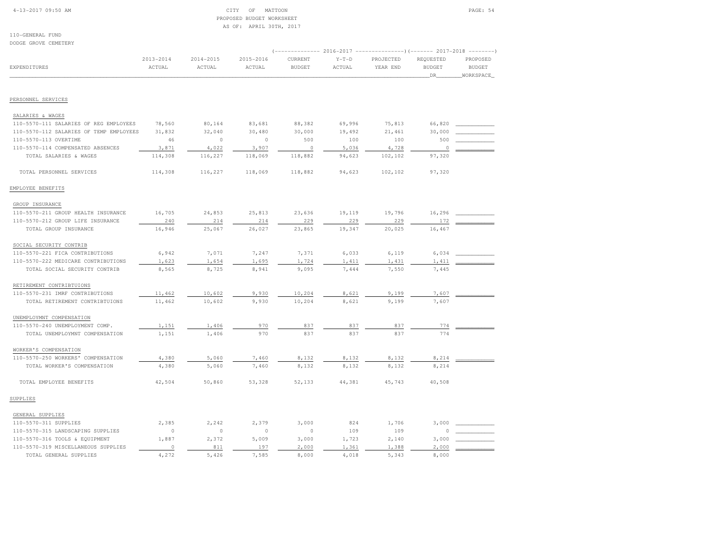#### 4-13-2017 09:50 AM CITY OF MATTOON PAGE: 54 PROPOSED BUDGET WORKSHEETAS OF: APRIL 30TH, 2017

110-GENERAL FUNDDODGE GROVE CEMETERY

| DODGE GROVE CEMEIERY                    |                         |                         |                         |                          |                   |                       |                                   |                                        |
|-----------------------------------------|-------------------------|-------------------------|-------------------------|--------------------------|-------------------|-----------------------|-----------------------------------|----------------------------------------|
| EXPENDITURES                            | $2013 - 2014$<br>ACTUAL | $2014 - 2015$<br>ACTUAL | $2015 - 2016$<br>ACTUAL | CURRENT<br><b>BUDGET</b> | $Y-T-D$<br>ACTUAL | PROJECTED<br>YEAR END | REQUESTED<br><b>BUDGET</b><br>DR_ | PROPOSED<br><b>BUDGET</b><br>WORKSPACE |
| PERSONNEL SERVICES                      |                         |                         |                         |                          |                   |                       |                                   |                                        |
| SALARIES & WAGES                        |                         |                         |                         |                          |                   |                       |                                   |                                        |
| 110-5570-111 SALARIES OF REG EMPLOYEES  | 78,560                  | 80,164                  | 83,681                  | 88,382                   | 69,996            | 75,813                | 66,820                            |                                        |
| 110-5570-112 SALARIES OF TEMP EMPLOYEES | 31,832                  | 32,040                  | 30,480                  | 30,000                   | 19,492            | 21,461                | 30,000                            |                                        |
| 110-5570-113 OVERTIME                   | 46                      | $\circ$                 | $\circ$                 | 500                      | 100               | 100                   | 500                               |                                        |
| 110-5570-114 COMPENSATED ABSENCES       | 3,871                   | 4,022                   | 3,907                   | $\circ$                  | 5,036             | 4,728                 | $\circ$                           |                                        |
| TOTAL SALARIES & WAGES                  | 114,308                 | 116,227                 | 118,069                 | 118,882                  | 94,623            | 102,102               | 97,320                            |                                        |
| TOTAL PERSONNEL SERVICES                | 114,308                 | 116,227                 | 118,069                 | 118,882                  | 94,623            | 102,102               | 97,320                            |                                        |
| EMPLOYEE BENEFITS                       |                         |                         |                         |                          |                   |                       |                                   |                                        |
| GROUP INSURANCE                         |                         |                         |                         |                          |                   |                       |                                   |                                        |
| 110-5570-211 GROUP HEALTH INSURANCE     | 16,705                  | 24,853                  | 25,813                  | 23,636                   | 19,119            | 19,796                | 16,296                            |                                        |
| 110-5570-212 GROUP LIFE INSURANCE       | 240                     | 214                     | 214                     | 229                      | 229               | 229                   | 172                               |                                        |
| TOTAL GROUP INSURANCE                   | 16,946                  | 25,067                  | 26,027                  | 23,865                   | 19,347            | 20,025                | 16,467                            |                                        |
| SOCIAL SECURITY CONTRIB                 |                         |                         |                         |                          |                   |                       |                                   |                                        |
| 110-5570-221 FICA CONTRIBUTIONS         | 6,942                   | 7,071                   | 7,247                   | 7,371                    | 6,033             | 6,119                 | 6,034                             |                                        |
| 110-5570-222 MEDICARE CONTRIBUTIONS     | 1,623                   | 1,654                   | 1,695                   | 1,724                    | 1,411             | 1,431                 | 1,411                             |                                        |
| TOTAL SOCIAL SECURITY CONTRIB           | 8,565                   | 8,725                   | 8,941                   | 9,095                    | 7,444             | 7,550                 | 7,445                             |                                        |
| RETIREMENT CONTRIBTUIONS                |                         |                         |                         |                          |                   |                       |                                   |                                        |
| 110-5570-231 IMRF CONTRIBUTIONS         | 11,462                  | 10,602                  | 9,930                   | 10,204                   | 8,621             | 9,199                 | 7,607                             |                                        |
| TOTAL RETIREMENT CONTRIBTUIONS          | 11,462                  | 10,602                  | 9,930                   | 10,204                   | 8,621             | 9,199                 | 7,607                             |                                        |
| UNEMPLOYMNT COMPENSATION                |                         |                         |                         |                          |                   |                       |                                   |                                        |
| 110-5570-240 UNEMPLOYMENT COMP.         | 1,151                   | 1,406                   | 970                     | 837                      | 837               | 837                   | 774                               |                                        |
| TOTAL UNEMPLOYMNT COMPENSATION          | 1,151                   | 1,406                   | 970                     | 837                      | 837               | 837                   | 774                               |                                        |
| WORKER'S COMPENSATION                   |                         |                         |                         |                          |                   |                       |                                   |                                        |
| 110-5570-250 WORKERS' COMPENSATION      | 4,380                   | 5,060                   | 7,460                   | 8,132                    | 8,132             | 8,132                 | 8,214                             |                                        |
| TOTAL WORKER'S COMPENSATION             | 4,380                   | 5,060                   | 7,460                   | 8,132                    | 8,132             | 8,132                 | 8,214                             |                                        |
| TOTAL EMPLOYEE BENEFITS                 | 42,504                  | 50,860                  | 53,328                  | 52,133                   | 44,381            | 45,743                | 40,508                            |                                        |
| SUPPLIES                                |                         |                         |                         |                          |                   |                       |                                   |                                        |
| GENERAL SUPPLIES                        |                         |                         |                         |                          |                   |                       |                                   |                                        |
| 110-5570-311 SUPPLIES                   | 2,385                   | 2,242                   | 2,379                   | 3,000                    | 824               | 1,706                 | 3,000                             |                                        |
| 110-5570-315 LANDSCAPING SUPPLIES       | $\circ$                 | $\circ$                 | $\circ$                 | $\mathbb O$              | 109               | 109                   |                                   |                                        |
| 110-5570-316 TOOLS & EQUIPMENT          | 1,887                   | 2,372                   | 5,009                   | 3,000                    | 1,723             | 2,140                 | 3,000                             |                                        |
| 110-5570-319 MISCELLANEOUS SUPPLIES     | $\circ$                 | 811                     | 197                     | 2,000                    | 1,361             | 1,388                 | 2,000                             |                                        |
| TOTAL GENERAL SUPPLIES                  | 4,272                   | 5,426                   | 7,585                   | 8,000                    | 4,018             | 5,343                 | 8,000                             |                                        |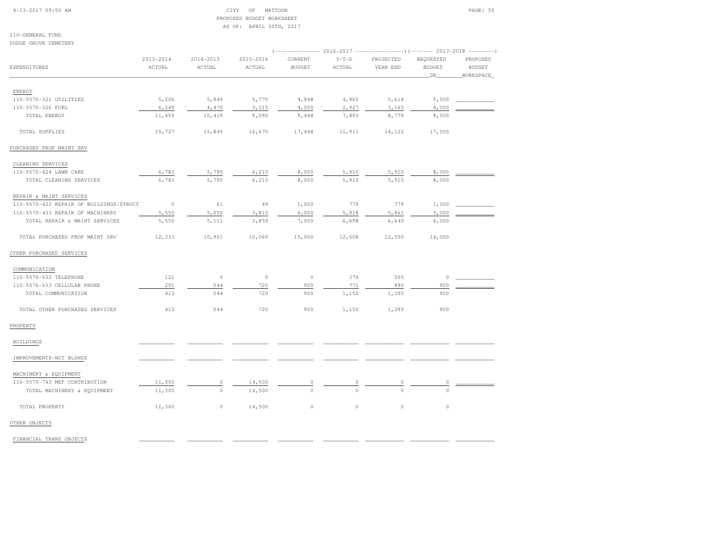#### 4-13-2017 09:50 AM CITY OF MATTOON PAGE: 55 PROPOSED BUDGET WORKSHEETAS OF: APRIL 30TH, 2017

110-GENERAL FUND

|                                         |               |               |           |               |             | (-------------- 2016-2017 --------------------- 2017-2018 -------- |               |                  |
|-----------------------------------------|---------------|---------------|-----------|---------------|-------------|--------------------------------------------------------------------|---------------|------------------|
|                                         | $2013 - 2014$ | $2014 - 2015$ | 2015-2016 | CURRENT       | $Y-T-D$     | PROJECTED                                                          | REQUESTED     | PROPOSED         |
| <b>EXPENDITURES</b>                     | ACTUAL        | ACTUAL        | ACTUAL    | <b>BUDGET</b> | ACTUAL      | YEAR END                                                           | <b>BUDGET</b> | <b>BUDGET</b>    |
|                                         |               |               |           |               |             |                                                                    | DR.           | <b>WORKSPACE</b> |
| ENERGY                                  |               |               |           |               |             |                                                                    |               |                  |
| 110-5570-321 UTILITIES                  | 5,206         | 5,949         | 5,775     | 4,948         | 4,965       | 5,614                                                              | 5,500         |                  |
| 110-5570-326 FUEL                       | 6,249         | 4,470         | 3,315     | 4,500         | 2,927       | 3,165                                                              | 4,000         |                  |
| TOTAL ENERGY                            | 11,455        | 10,419        | 9,090     | 9,448         | 7,893       | 8,779                                                              | 9,500         |                  |
| TOTAL SUPPLIES                          | 15,727        | 15,845        | 16,675    | 17,448        | 11,911      | 14,122                                                             | 17,500        |                  |
| PURCHASED PROP MAINT SRV                |               |               |           |               |             |                                                                    |               |                  |
| CLEANING SERVICES                       |               |               |           |               |             |                                                                    |               |                  |
| 110-5570-424 LAWN CARE                  | 6,783         | 5,790         | 6,210     | 8,000         | 5,910       | 5,910                                                              | 8,000         |                  |
| TOTAL CLEANING SERVICES                 | 6,783         | 5,790         | 6,210     | 8,000         | 5,910       | 5,910                                                              | 8,000         |                  |
| REPAIR & MAINT SERVICES                 |               |               |           |               |             |                                                                    |               |                  |
| 110-5570-432 REPAIR OF BUILDINGS/STRUCT | $\circ$       | 61            | 49        | 1,000         | 779         | 779                                                                | 1,000         |                  |
| 110-5570-433 REPAIR OF MACHINERY        | 5,550         | 5,050         | 3,810     | 6,000         | 5,918       | 5,861                                                              | 5,000         |                  |
| TOTAL REPAIR & MAINT SERVICES           | 5,550         | 5,111         | 3,859     | 7,000         | 6,698       | 6,640                                                              | 6,000         |                  |
| TOTAL PURCHASED PROP MAINT SRV          | 12,333        | 10,901        | 10,069    | 15,000        | 12,608      | 12,550                                                             | 14,000        |                  |
| OTHER PURCHASED SERVICES                |               |               |           |               |             |                                                                    |               |                  |
| COMMUNICATION                           |               |               |           |               |             |                                                                    |               |                  |
| 110-5570-532 TELEPHONE                  | 121           | $\circ$       | $\circ$   | $\circ$       | 379         | 505                                                                | $\circ$       |                  |
| 110-5570-533 CELLULAR PHONE             | 291           | 544           | 720       | 900           | 771         | 890                                                                | 900           |                  |
| TOTAL COMMUNICATION                     | 413           | 544           | 720       | 900           | 1,150       | 1,395                                                              | 900           |                  |
| TOTAL OTHER PURCHASED SERVICES          | 413           | 544           | 720       | 900           | 1,150       | 1,395                                                              | 900           |                  |
| PROPERTY                                |               |               |           |               |             |                                                                    |               |                  |
| BUILDINGS                               |               |               |           |               |             |                                                                    |               |                  |
| IMPROVEMENTS-NOT BLDNGS                 |               |               |           |               |             |                                                                    |               |                  |
| MACHINERY & EQUIPMENT                   |               |               |           |               |             |                                                                    |               |                  |
| 110-5570-743 MEF CONTRIBUTION           | 11,300        | 0             | 14,500    | $\circ$       | 0           | $\circ$                                                            | $\circ$       |                  |
| TOTAL MACHINERY & EQUIPMENT             | 11,300        | $\circ$       | 14,500    | $\Omega$      | $\circ$     | $\Omega$                                                           | $\circ$       |                  |
| TOTAL PROPERTY                          | 11,300        | 0             | 14,500    | $\circ$       | $\mathbb O$ | $\mathbb O$                                                        | $\circ$       |                  |
| OTHER OBJECTS                           |               |               |           |               |             |                                                                    |               |                  |

FINANCIAL TRANS OBJECTS \_\_\_\_\_\_\_\_\_\_\_ \_\_\_\_\_\_\_\_\_\_\_ \_\_\_\_\_\_\_\_\_\_\_ \_\_\_\_\_\_\_\_\_\_\_ \_\_\_\_\_\_\_\_\_\_\_ \_\_\_\_\_\_\_\_\_\_\_\_ \_\_\_\_\_\_\_\_\_\_\_\_ \_\_\_\_\_\_\_\_\_\_\_\_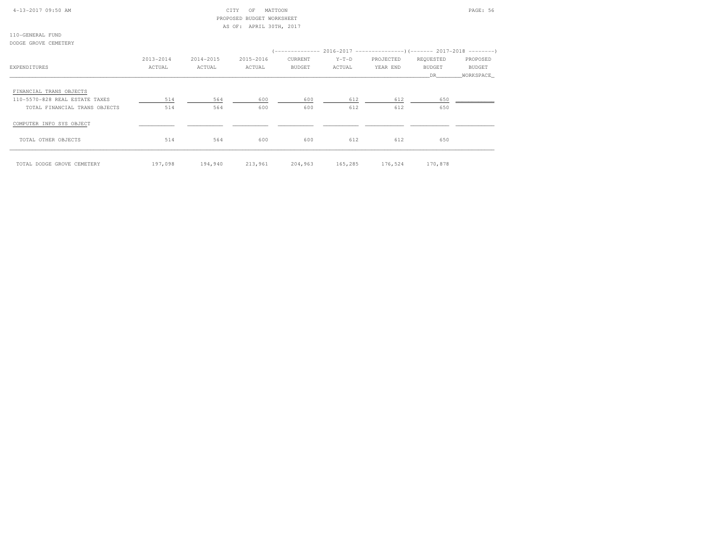#### 4-13-2017 09:50 AM CITY OF MATTOON PAGE: 56 PROPOSED BUDGET WORKSHEETAS OF: APRIL 30TH, 2017

110-GENERAL FUNDDODGE GROVE CEMETERY

|                                | 2013-2014 | 2014-2015 | 2015-2016 | (-------------- 2016–2017 ---------------------        2017–2018 ---------<br>CURRENT | $Y-T-D$ | PROJECTED | REQUESTED     | PROPOSED  |
|--------------------------------|-----------|-----------|-----------|---------------------------------------------------------------------------------------|---------|-----------|---------------|-----------|
| EXPENDITURES                   | ACTUAL    | ACTUAL    | ACTUAL    | BUDGET                                                                                | ACTUAL  | YEAR END  | <b>BUDGET</b> | BUDGET    |
|                                |           |           |           |                                                                                       |         |           | DR            | WORKSPACE |
| FINANCIAL TRANS OBJECTS        |           |           |           |                                                                                       |         |           |               |           |
| 110-5570-828 REAL ESTATE TAXES | 514       | 564       | 600       | 600                                                                                   | 612     | 612       | 650           |           |
| TOTAL FINANCIAL TRANS OBJECTS  | 514       | 564       | 600       | 600                                                                                   | 612     | 612       | 650           |           |
| COMPUTER INFO SYS OBJECT       |           |           |           |                                                                                       |         |           |               |           |
| TOTAL OTHER OBJECTS            | 514       | 564       | 600       | 600                                                                                   | 612     | 612       | 650           |           |
| TOTAL DODGE GROVE CEMETERY     | 197,098   | 194,940   |           | 213,961 204,963 165,285 176,524                                                       |         |           | 170,878       |           |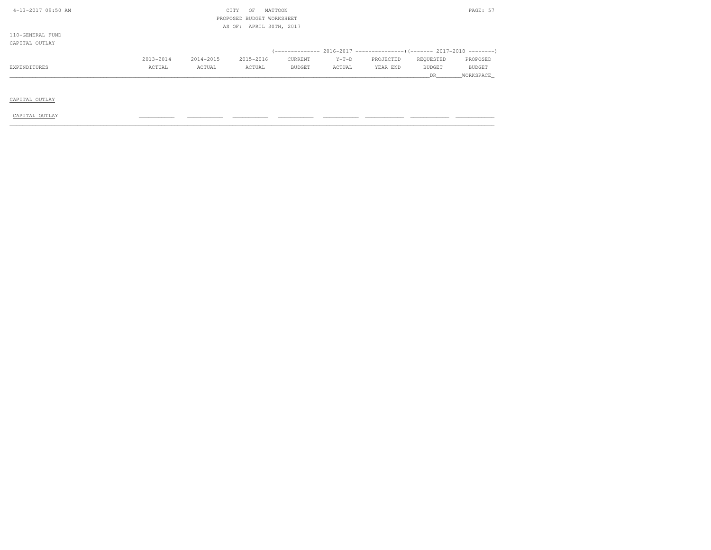| 4-13-2017 09:50 AM |           | CITY      | PAGE: 57                  |               |         |                                                                          |               |               |
|--------------------|-----------|-----------|---------------------------|---------------|---------|--------------------------------------------------------------------------|---------------|---------------|
|                    |           |           | PROPOSED BUDGET WORKSHEET |               |         |                                                                          |               |               |
|                    |           |           | AS OF: APRIL 30TH, 2017   |               |         |                                                                          |               |               |
| 110-GENERAL FUND   |           |           |                           |               |         |                                                                          |               |               |
| CAPITAL OUTLAY     |           |           |                           |               |         |                                                                          |               |               |
|                    |           |           |                           |               |         | (------------- 2016-2017 ----------------) (------- 2017-2018 ---------) |               |               |
|                    | 2013-2014 | 2014-2015 | 2015-2016                 | CURRENT       | $Y-T-D$ | PROJECTED                                                                | REQUESTED     | PROPOSED      |
| EXPENDITURES       | ACTUAL    | ACTUAL    | ACTUAL                    | <b>BUDGET</b> | ACTUAL  | YEAR END                                                                 | <b>BUDGET</b> | <b>BUDGET</b> |
|                    |           |           |                           |               |         |                                                                          | DR.           | WORKSPACE     |
|                    |           |           |                           |               |         |                                                                          |               |               |
|                    |           |           |                           |               |         |                                                                          |               |               |
| CAPITAL OUTLAY     |           |           |                           |               |         |                                                                          |               |               |

CAPITAL OUTLAY \_\_\_\_\_\_\_\_\_\_\_ \_\_\_\_\_\_\_\_\_\_\_ \_\_\_\_\_\_\_\_\_\_\_ \_\_\_\_\_\_\_\_\_\_\_ \_\_\_\_\_\_\_\_\_\_\_ \_\_\_\_\_\_\_\_\_\_\_\_ \_\_\_\_\_\_\_\_\_\_\_\_ \_\_\_\_\_\_\_\_\_\_\_\_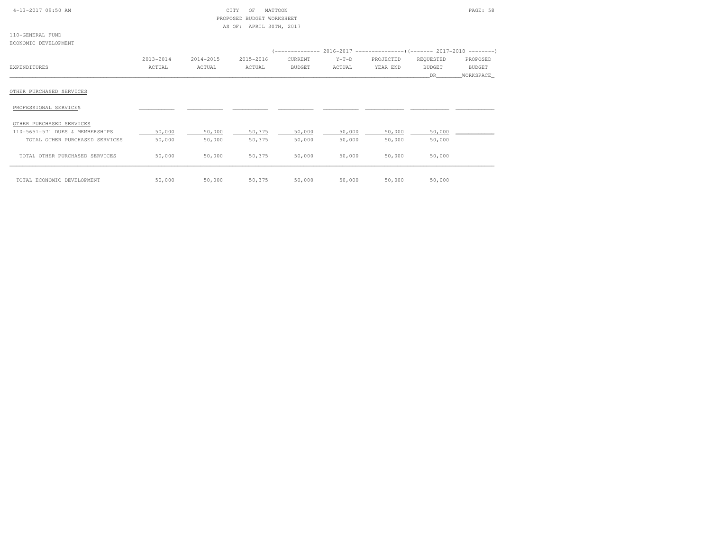| $4-13-2017$ 09:50 AM |  |  |  |  |
|----------------------|--|--|--|--|
|                      |  |  |  |  |

### 4-13-2017 09:50 AM CITY OF MATTOON PAGE: 58 PROPOSED BUDGET WORKSHEETAS OF: APRIL 30TH, 2017

110-GENERAL FUNDECONOMIC DEVELOPMENT

|                                 |           |           |           | (-------------- 2016-2017 ----------------) (------- 2017-2018 --------) |         |           |               |               |
|---------------------------------|-----------|-----------|-----------|--------------------------------------------------------------------------|---------|-----------|---------------|---------------|
|                                 | 2013-2014 | 2014-2015 | 2015-2016 | CURRENT                                                                  | $Y-T-D$ | PROJECTED | REQUESTED     | PROPOSED      |
| EXPENDITURES                    | ACTUAL    | ACTUAL    | ACTUAL    | <b>BUDGET</b>                                                            | ACTUAL  | YEAR END  | <b>BUDGET</b> | <b>BUDGET</b> |
|                                 |           |           |           |                                                                          |         |           | DR.           | WORKSPACE     |
| OTHER PURCHASED SERVICES        |           |           |           |                                                                          |         |           |               |               |
| PROFESSIONAL SERVICES           |           |           |           |                                                                          |         |           |               |               |
| OTHER PURCHASED SERVICES        |           |           |           |                                                                          |         |           |               |               |
| 110-5651-571 DUES & MEMBERSHIPS | 50,000    | 50,000    | 50,375    | 50,000                                                                   | 50,000  | 50,000    | 50,000        |               |
| TOTAL OTHER PURCHASED SERVICES  | 50,000    | 50,000    | 50,375    | 50,000                                                                   | 50,000  | 50,000    | 50,000        |               |
| TOTAL OTHER PURCHASED SERVICES  | 50,000    | 50,000    | 50,375    | 50,000                                                                   | 50,000  | 50,000    | 50,000        |               |
| TOTAL ECONOMIC DEVELOPMENT      | 50,000    | 50,000    | 50,375    | 50,000                                                                   | 50,000  | 50,000    | 50,000        |               |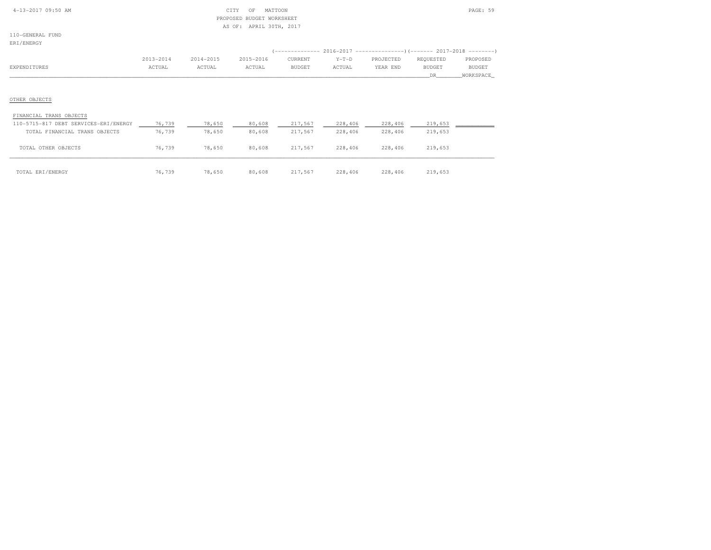| $4-13-2017$ 09:50 AM |  |  |
|----------------------|--|--|

#### $\begin{array}{ccc} \text{CITY} & \text{OF} & \text{MATTOON} \end{array}$  PROPOSED BUDGET WORKSHEETAS OF: APRIL 30TH, 2017

110-GENERAL FUND

| ERI/ENERGY                                                                                        |                     |                     |                     |                    |                    |                       |                                                                                                                  |                                        |
|---------------------------------------------------------------------------------------------------|---------------------|---------------------|---------------------|--------------------|--------------------|-----------------------|------------------------------------------------------------------------------------------------------------------|----------------------------------------|
| EXPENDITURES                                                                                      | 2013-2014<br>ACTUAL | 2014-2015<br>ACTUAL | 2015-2016<br>ACTUAL | CURRENT<br>BUDGET  | $Y-T-D$<br>ACTUAL  | PROJECTED<br>YEAR END | (-------------- 2016-2017 --------------------- 2017-2018 --------- )<br>REQUESTED<br><b>BUDGET</b><br><b>DR</b> | PROPOSED<br><b>BUDGET</b><br>WORKSPACE |
| OTHER OBJECTS                                                                                     |                     |                     |                     |                    |                    |                       |                                                                                                                  |                                        |
| FINANCIAL TRANS OBJECTS<br>110-5715-817 DEBT SERVICES-ERI/ENERGY<br>TOTAL FINANCIAL TRANS OBJECTS | 76,739<br>76,739    | 78,650<br>78,650    | 80,608<br>80,608    | 217,567<br>217,567 | 228,406<br>228,406 | 228,406<br>228,406    | 219,653<br>219,653                                                                                               |                                        |

TOTAL OTHER OBJECTS 76,739 78,650 80,608 217,567 228,406 228,406 219,653

\_\_\_\_\_\_\_\_\_\_\_\_\_\_\_\_\_\_\_\_\_\_\_\_\_\_\_\_\_\_\_\_\_\_\_\_\_\_\_\_\_\_\_\_\_\_\_\_\_\_\_\_\_\_\_\_\_\_\_\_\_\_\_\_\_\_\_\_\_\_\_\_\_\_\_\_\_\_\_\_\_\_\_\_\_\_\_\_\_\_\_\_\_\_\_\_\_\_\_\_\_\_\_\_\_\_\_\_\_\_\_\_\_\_\_\_\_\_\_\_\_\_\_\_\_\_\_\_\_\_\_\_\_\_\_\_\_\_\_\_\_\_\_\_\_\_\_\_\_\_ TOTAL ERI/ENERGY 76,739 78,650 80,608 217,567 228,406 228,406 219,653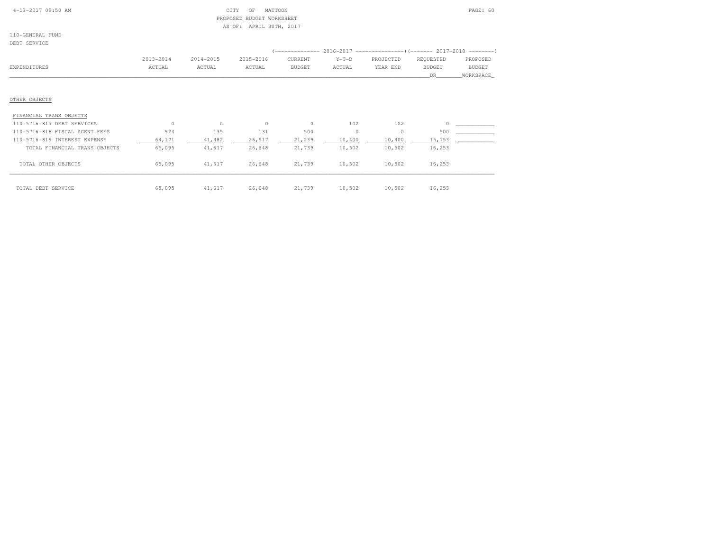| $4-13-2017$ 09:50 AM |  |  |  |  |  |  |
|----------------------|--|--|--|--|--|--|
|----------------------|--|--|--|--|--|--|

#### $\begin{array}{ccc} \text{CITY} & \text{OF} & \text{MATTOON} \end{array}$  PROPOSED BUDGET WORKSHEETAS OF: APRIL 30TH, 2017

110-GENERAL FUNDDEBT SERVICE

| DEBI SERVICE                   |               |           |           |               |         |           |               |               |
|--------------------------------|---------------|-----------|-----------|---------------|---------|-----------|---------------|---------------|
|                                |               |           |           |               |         |           |               |               |
|                                | $2013 - 2014$ | 2014-2015 | 2015-2016 | CURRENT       | $Y-T-D$ | PROJECTED | REQUESTED     | PROPOSED      |
| EXPENDITURES                   | ACTUAL        | ACTUAL    | ACTUAL    | <b>BUDGET</b> | ACTUAL  | YEAR END  | <b>BUDGET</b> | <b>BUDGET</b> |
|                                |               |           |           |               |         |           | DR.           | WORKSPACE_    |
|                                |               |           |           |               |         |           |               |               |
| OTHER OBJECTS                  |               |           |           |               |         |           |               |               |
| FINANCIAL TRANS OBJECTS        |               |           |           |               |         |           |               |               |
| 110-5716-817 DEBT SERVICES     | $\Omega$      | $\circ$   | $\circ$   | $\circ$       | 102     | 102       |               |               |
| 110-5716-818 FISCAL AGENT FEES | 924           | 135       | 131       | 500           | $\circ$ | $\circ$   | 500           |               |
| 110-5716-819 INTEREST EXPENSE  | 64,171        | 41,482    | 26,517    | 21,239        | 10,400  | 10,400    | 15,753        |               |
| TOTAL FINANCIAL TRANS OBJECTS  | 65,095        | 41,617    | 26,648    | 21,739        | 10,502  | 10,502    | 16,253        |               |
| TOTAL OTHER OBJECTS            | 65,095        | 41,617    | 26,648    | 21,739        | 10,502  | 10,502    | 16,253        |               |
| TOTAL DEBT SERVICE             | 65,095        | 41,617    | 26,648    | 21,739        | 10,502  | 10,502    | 16,253        |               |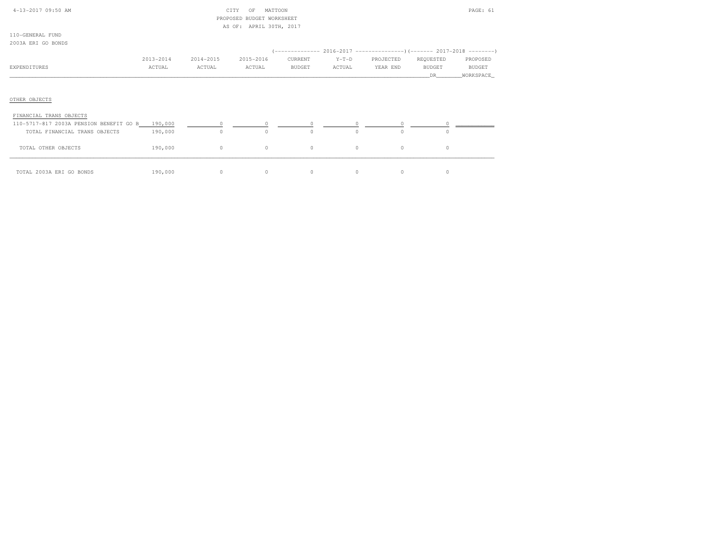| $4 - 13 - 2017$ 09:50 AM |  |
|--------------------------|--|

# $CITY$  OF MATTOON PAGE: 61 PROPOSED BUDGET WORKSHEETAS OF: APRIL 30TH, 2017

110-GENERAL FUND2003A ERI GO BONDS

|                                         |           |           |           |                                            |          | (-------------- 2016-2017 ----------------) (------- 2017-2018 --------) |               |           |
|-----------------------------------------|-----------|-----------|-----------|--------------------------------------------|----------|--------------------------------------------------------------------------|---------------|-----------|
|                                         | 2013-2014 | 2014-2015 | 2015-2016 | CURRENT                                    | $Y-T-D$  | PROJECTED                                                                | REQUESTED     | PROPOSED  |
| EXPENDITURES                            | ACTUAL    | ACTUAL    | ACTUAL    | BUDGET                                     | ACTUAL   | YEAR END                                                                 | <b>BUDGET</b> | BUDGET    |
|                                         |           |           |           |                                            |          |                                                                          | DR.           | WORKSPACE |
|                                         |           |           |           |                                            |          |                                                                          |               |           |
| OTHER OBJECTS                           |           |           |           |                                            |          |                                                                          |               |           |
| FINANCIAL TRANS OBJECTS                 |           |           |           |                                            |          |                                                                          |               |           |
| 110-5717-817 2003A PENSION BENEFIT GO B | 190,000   | $\circ$   |           | $\begin{array}{ccc} 0 & & & 0 \end{array}$ | $\circ$  | 0                                                                        |               |           |
| TOTAL FINANCIAL TRANS OBJECTS           | 190,000   | $\Omega$  | $\Omega$  | $\Omega$                                   | $\Omega$ | $\Omega$                                                                 | $\Omega$      |           |
| TOTAL OTHER OBJECTS                     | 190,000   | $\circ$   | $\circ$   | $\circ$                                    | $\circ$  | $\circ$                                                                  | $\circ$       |           |
| TOTAL 2003A ERI GO BONDS                | 190,000   | $\circ$   | 0         | $\circ$                                    | $\Omega$ | 0                                                                        | 0             |           |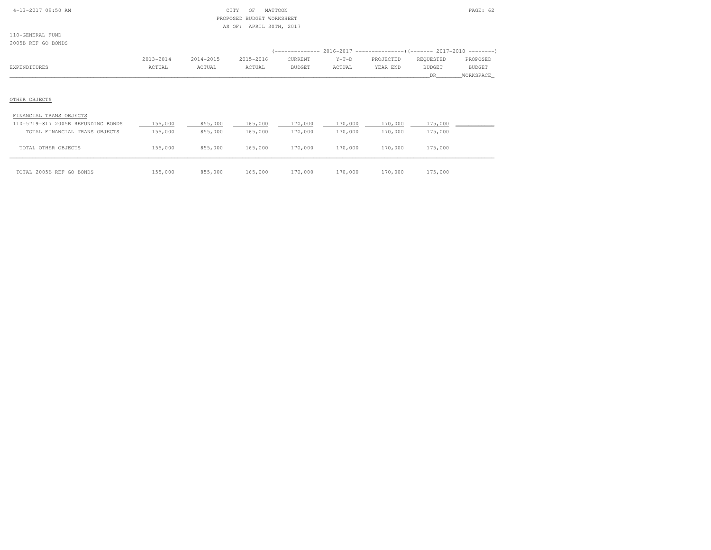| 4-13-2017 09:50 AM |  |  |  |
|--------------------|--|--|--|
|                    |  |  |  |

#### $CITY$  OF MATTOON PAGE: 62 PROPOSED BUDGET WORKSHEETAS OF: APRIL 30TH, 2017

110-GENERAL FUND2005B REF GO BONDS

| CUNDO ALI GU DUNDO      |           |           |           |         |         |                                                                      |           |           |
|-------------------------|-----------|-----------|-----------|---------|---------|----------------------------------------------------------------------|-----------|-----------|
|                         |           |           |           |         |         | (-------------- 2016-2017 ---------------------- 2017-2018 --------- |           |           |
|                         | 2013-2014 | 2014-2015 | 2015-2016 | CURRENT | $Y-T-D$ | PROJECTED                                                            | REQUESTED | PROPOSED  |
| EXPENDITURES            | ACTUAL    | ACTUAL    | ACTUAL    | BUDGET  | ACTUAL  | YEAR END                                                             | BUDGET    | BUDGET    |
|                         |           |           |           |         |         |                                                                      | DR.       | WORKSPACE |
|                         |           |           |           |         |         |                                                                      |           |           |
|                         |           |           |           |         |         |                                                                      |           |           |
| OTHER OBJECTS           |           |           |           |         |         |                                                                      |           |           |
| FINANCIAL TRANS OBJECTS |           |           |           |         |         |                                                                      |           |           |

| 110-5719-817 2005B REFUNDING BONDS | 155,000 | 855,000 | 165,000 | 170,000 | 170,000 | 170,000 | 175,000 |  |
|------------------------------------|---------|---------|---------|---------|---------|---------|---------|--|
| TOTAL FINANCIAL TRANS OBJECTS      | 155,000 | 855,000 | 165,000 | 170,000 | 170,000 | 170,000 | 175,000 |  |
| TOTAL OTHER OBJECTS                | 155,000 | 855,000 | 165,000 | 170,000 | 170,000 | 170,000 | 175,000 |  |
|                                    |         |         |         |         |         |         |         |  |
| TOTAL 2005B REF GO BONDS           | 155,000 | 855,000 | 165,000 | 170,000 | 170,000 | 170,000 | 175,000 |  |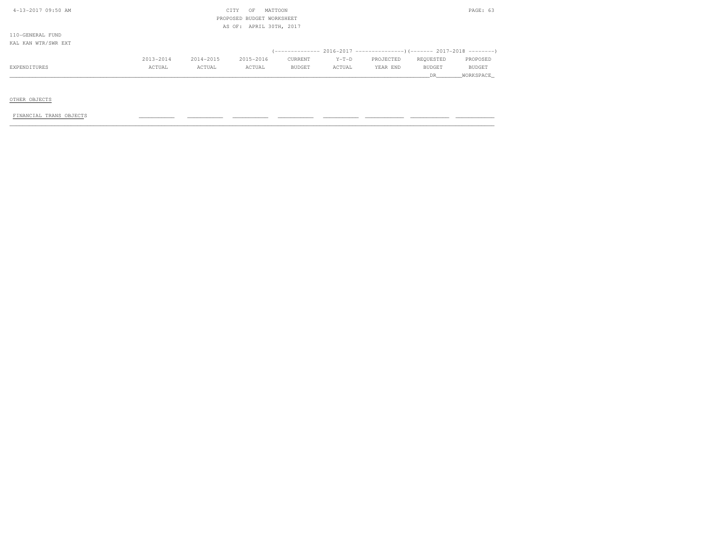| 4-13-2017 09:50 AM  |           |           | CITY<br>OF                | MATTOON                 |         |           |           | PAGE: 63  |
|---------------------|-----------|-----------|---------------------------|-------------------------|---------|-----------|-----------|-----------|
|                     |           |           | PROPOSED BUDGET WORKSHEET |                         |         |           |           |           |
|                     |           |           |                           | AS OF: APRIL 30TH, 2017 |         |           |           |           |
| 110-GENERAL FUND    |           |           |                           |                         |         |           |           |           |
| KAL KAN WTR/SWR EXT |           |           |                           |                         |         |           |           |           |
|                     |           |           |                           |                         |         |           |           |           |
|                     | 2013-2014 | 2014-2015 | 2015-2016                 | CURRENT                 | $Y-T-D$ | PROJECTED | REQUESTED | PROPOSED  |
| EXPENDITURES        | ACTUAL    | ACTUAL    | ACTUAL                    | BUDGET                  | ACTUAL  | YEAR END  | BUDGET    | BUDGET    |
|                     |           |           |                           |                         |         |           | DR        | WORKSPACE |

OTHER OBJECTS

FINANCIAL TRANS OBJECTS \_\_\_\_\_\_\_\_\_\_\_ \_\_\_\_\_\_\_\_\_\_\_ \_\_\_\_\_\_\_\_\_\_\_ \_\_\_\_\_\_\_\_\_\_\_ \_\_\_\_\_\_\_\_\_\_\_ \_\_\_\_\_\_\_\_\_\_\_\_ \_\_\_\_\_\_\_\_\_\_\_\_ \_\_\_\_\_\_\_\_\_\_\_\_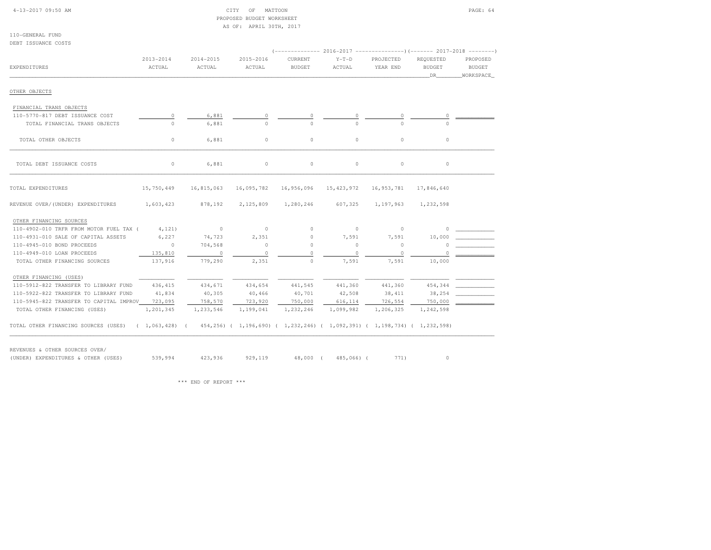| $4-13-2017$ 09:50 AM |  |  |
|----------------------|--|--|
|                      |  |  |

### CITY OF MATTOON PAGE: 64 PROPOSED BUDGET WORKSHEETAS OF: APRIL 30TH, 2017

| DEBT ISSUANCE COSTS                     |               |            |            |                                                                                                              |              |            |                      |                            |
|-----------------------------------------|---------------|------------|------------|--------------------------------------------------------------------------------------------------------------|--------------|------------|----------------------|----------------------------|
|                                         |               |            |            | (-------------- 2016-2017 ---------------------- 2017-2018 ----------                                        |              |            |                      |                            |
|                                         | $2013 - 2014$ | 2014-2015  | 2015-2016  | CURRENT                                                                                                      | $Y-T-D$      | PROJECTED  | REQUESTED            | PROPOSED                   |
| EXPENDITURES                            | ACTUAL        | ACTUAL     | ACTUAL     | <b>BUDGET</b>                                                                                                | ACTUAL       | YEAR END   | <b>BUDGET</b><br>DR. | <b>BUDGET</b><br>WORKSPACE |
|                                         |               |            |            |                                                                                                              |              |            |                      |                            |
| OTHER OBJECTS                           |               |            |            |                                                                                                              |              |            |                      |                            |
| FINANCIAL TRANS OBJECTS                 |               |            |            |                                                                                                              |              |            |                      |                            |
| 110-5770-817 DEBT ISSUANCE COST         | $\circ$       | 6,881      |            |                                                                                                              |              | $\circ$    |                      |                            |
| TOTAL FINANCIAL TRANS OBJECTS           | $\Omega$      | 6,881      | $\cap$     | $\cap$                                                                                                       | $\cap$       |            |                      |                            |
| TOTAL OTHER OBJECTS                     | $\circ$       | 6,881      | $\circ$    | $\circ$                                                                                                      | $\circ$      | $\circ$    | $\circ$              |                            |
| TOTAL DEBT ISSUANCE COSTS               | $\circ$       | 6,881      | $\circ$    | $\circ$                                                                                                      | $\Omega$     | $\circ$    | $\circ$              |                            |
| TOTAL EXPENDITURES                      | 15,750,449    | 16,815,063 | 16,095,782 | 16,956,096                                                                                                   | 15, 423, 972 | 16,953,781 | 17,846,640           |                            |
| REVENUE OVER/(UNDER) EXPENDITURES       | 1,603,423     | 878,192    | 2,125,809  | 1,280,246                                                                                                    | 607,325      | 1,197,963  | 1,232,598            |                            |
| OTHER FINANCING SOURCES                 |               |            |            |                                                                                                              |              |            |                      |                            |
| 110-4902-010 TRFR FROM MOTOR FUEL TAX ( | 4,121         | $\sim$ 0   | $\circ$    | $\circ$                                                                                                      | $\circ$      | $\circ$    |                      |                            |
| 110-4931-010 SALE OF CAPITAL ASSETS     | 6,227         | 74,723     | 2,351      | $\circ$                                                                                                      | 7,591        | 7,591      | 10,000               |                            |
| 110-4945-010 BOND PROCEEDS              | $\circ$       | 704,568    | $\circ$    | $\circ$                                                                                                      | $\circ$      | 0          | O                    |                            |
| 110-4949-010 LOAN PROCEEDS              | 135,810       | $\circ$    | $\Omega$   | $\Omega$                                                                                                     | $\circ$      | $\circ$    |                      |                            |
| TOTAL OTHER FINANCING SOURCES           | 137,916       | 779,290    | 2,351      | $\circ$                                                                                                      | 7,591        | 7,591      | 10,000               |                            |
| OTHER FINANCING (USES)                  |               |            |            |                                                                                                              |              |            |                      |                            |
| 110-5912-822 TRANSFER TO LIBRARY FUND   | 436, 415      | 434,671    | 434,654    | 441,545                                                                                                      | 441,360      | 441,360    | 454,344              |                            |
| 110-5922-822 TRANSFER TO LIBRARY FUND   | 41,834        | 40,305     | 40,466     | 40,701                                                                                                       | 42,508       | 38, 411    | 38,254               |                            |
| 110-5945-822 TRANSFER TO CAPITAL IMPROV | 723,095       | 758,570    | 723,920    | 750,000                                                                                                      | 616,114      | 726,554    | 750,000              |                            |
| TOTAL OTHER FINANCING (USES)            | 1,201,345     | 1,233,546  | 1,199,041  | 1,232,246                                                                                                    | 1,099,982    | 1,206,325  | 1,242,598            |                            |
| TOTAL OTHER FINANCING SOURCES (USES)    |               |            |            | $(1, 063, 428)$ $(454, 256)$ $(1, 196, 690)$ $(1, 232, 246)$ $(1, 092, 391)$ $(1, 198, 734)$ $(1, 232, 598)$ |              |            |                      |                            |

(UNDER) EXPENDITURES & OTHER (USES) (UNDER) EXPENDITURES \$129,119 48,000 (485,066) (1971) 0

\*\*\* END OF REPORT \*\*\*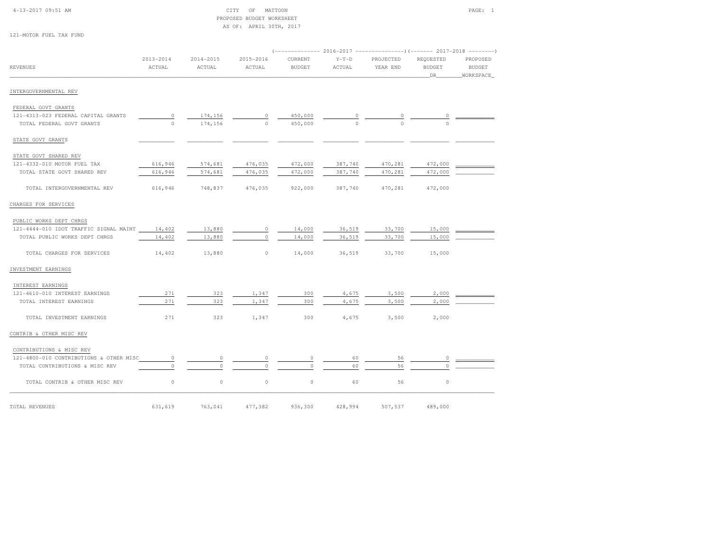| 4-13-2017 09:51 AM |
|--------------------|
|--------------------|

#### $\begin{array}{ccc} \text{CITY} & \text{OF} & \text{MATTOON} \end{array}$  PROPOSED BUDGET WORKSHEETAS OF: APRIL 30TH, 2017

| 121-MOTOR FUEL TAX FUND |  |  |  |  |  |
|-------------------------|--|--|--|--|--|
|-------------------------|--|--|--|--|--|

|                                         |                         |                     |                     |                          |                   |                       | (------------- 2016-2017 ----------------) (------- 2017-2018 --------) |                                        |
|-----------------------------------------|-------------------------|---------------------|---------------------|--------------------------|-------------------|-----------------------|-------------------------------------------------------------------------|----------------------------------------|
| <b>REVENUES</b>                         | $2013 - 2014$<br>ACTUAL | 2014-2015<br>ACTUAL | 2015-2016<br>ACTUAL | CURRENT<br><b>BUDGET</b> | $Y-T-D$<br>ACTUAL | PROJECTED<br>YEAR END | REQUESTED<br><b>BUDGET</b><br>DR                                        | PROPOSED<br><b>BUDGET</b><br>WORKSPACE |
| INTERGOVERNMENTAL REV                   |                         |                     |                     |                          |                   |                       |                                                                         |                                        |
| FEDERAL GOVT GRANTS                     |                         |                     |                     |                          |                   |                       |                                                                         |                                        |
| 121-4313-023 FEDERAL CAPITAL GRANTS     | $\circ$                 | 174,156             | $\circ$             | 450,000                  | 0                 | 0                     | 0                                                                       |                                        |
| TOTAL FEDERAL GOVT GRANTS               | $\circ$                 | 174,156             | $\Omega$            | 450,000                  | $\cap$            | $\Omega$              | $\Omega$                                                                |                                        |
| STATE GOVT GRANTS                       |                         |                     |                     |                          |                   |                       |                                                                         |                                        |
| STATE GOVT SHARED REV                   |                         |                     |                     |                          |                   |                       |                                                                         |                                        |
| 121-4332-010 MOTOR FUEL TAX             | 616,946                 | 574,681             | 476,035             | 472,000                  | 387,740           | 470,281               | 472,000                                                                 |                                        |
| TOTAL STATE GOVT SHARED REV             | 616,946                 | 574,681             | 476,035             | 472,000                  | 387,740           | 470,281               | 472,000                                                                 |                                        |
| TOTAL INTERGOVERNMENTAL REV             | 616,946                 | 748,837             | 476,035             | 922,000                  | 387,740           | 470,281               | 472,000                                                                 |                                        |
| CHARGES FOR SERVICES                    |                         |                     |                     |                          |                   |                       |                                                                         |                                        |
| PUBLIC WORKS DEPT CHRGS                 |                         |                     |                     |                          |                   |                       |                                                                         |                                        |
| 121-4444-010 IDOT TRAFFIC SIGNAL MAINT  | 14,402                  | 13,880              | $\circ$             | 14,000                   | 36,519            | 33,700                | 15,000                                                                  |                                        |
| TOTAL PUBLIC WORKS DEPT CHRGS           | 14,402                  | 13,880              | $\circ$             | 14,000                   | 36,519            | 33,700                | 15,000                                                                  |                                        |
| TOTAL CHARGES FOR SERVICES              | 14,402                  | 13,880              | $\circ$             | 14,000                   | 36,519            | 33,700                | 15,000                                                                  |                                        |
| INVESTMENT EARNINGS                     |                         |                     |                     |                          |                   |                       |                                                                         |                                        |
| INTEREST EARNINGS                       |                         |                     |                     |                          |                   |                       |                                                                         |                                        |
| 121-4610-010 INTEREST EARNINGS          | 271                     | 323                 | 1,347               | 300                      | 4,675             | 3,500                 | 2,000                                                                   |                                        |
| TOTAL INTEREST EARNINGS                 | 271                     | 323                 | 1,347               | 300                      | 4,675             | 3,500                 | 2,000                                                                   |                                        |
| TOTAL INVESTMENT EARNINGS               | 271                     | 323                 | 1,347               | 300                      | 4,675             | 3,500                 | 2,000                                                                   |                                        |
| CONTRIB & OTHER MISC REV                |                         |                     |                     |                          |                   |                       |                                                                         |                                        |
| CONTRIBUTIONS & MISC REV                |                         |                     |                     |                          |                   |                       |                                                                         |                                        |
| 121-4800-010 CONTRIBUTIONS & OTHER MISC | $\circ$                 | $\circ$             | $\circ$             | 0                        | 60                | 56                    | 0                                                                       |                                        |
| TOTAL CONTRIBUTIONS & MISC REV          | $\circ$                 | $\Omega$            |                     | $\Omega$                 | 60                | 56                    | $\Omega$                                                                |                                        |
| TOTAL CONTRIB & OTHER MISC REV          | $\circ$                 | $\circ$             | $\circ$             | $\mathbb O$              | 60                | 56                    | $\circ$                                                                 |                                        |
| TOTAL REVENUES                          | 631,619                 | 763,041             | 477,382             | 936,300                  | 428,994           | 507,537               | 489,000                                                                 |                                        |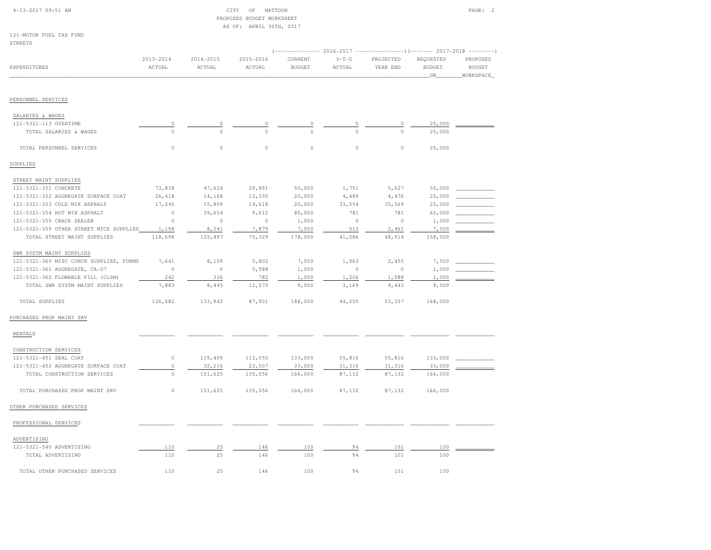| 4-13-2017 09:51 AM                      |               |               | OF<br>MATTOON<br>CITY<br>PROPOSED BUDGET WORKSHEET |               |                 |                                                                     |               | PAGE: 2       |
|-----------------------------------------|---------------|---------------|----------------------------------------------------|---------------|-----------------|---------------------------------------------------------------------|---------------|---------------|
|                                         |               |               | AS OF: APRIL 30TH, 2017                            |               |                 |                                                                     |               |               |
| 121-MOTOR FUEL TAX FUND                 |               |               |                                                    |               |                 |                                                                     |               |               |
| <b>STREETS</b>                          |               |               |                                                    |               |                 |                                                                     |               |               |
|                                         |               |               |                                                    |               |                 | $(----------2016-2017$ ---------------) (------- 2017-2018 -------) |               |               |
|                                         | $2013 - 2014$ | $2014 - 2015$ | $2015 - 2016$                                      | CURRENT       | $Y-T-D$         | PROJECTED                                                           | REQUESTED     | PROPOSED      |
| EXPENDITURES                            | ACTUAL        | ACTUAL        | ACTUAL                                             | <b>BUDGET</b> | $\verb ACTUAL $ | YEAR END                                                            | <b>BUDGET</b> | <b>BUDGET</b> |
|                                         |               |               |                                                    |               |                 |                                                                     | DR            | WORKSPACE     |
|                                         |               |               |                                                    |               |                 |                                                                     |               |               |
| PERSONNEL SERVICES                      |               |               |                                                    |               |                 |                                                                     |               |               |
| SALARIES & WAGES                        |               |               |                                                    |               |                 |                                                                     |               |               |
| 121-5321-113 OVERTIME                   | $\circ$       |               | 0                                                  | 0             |                 | $\circ$                                                             | 25,000        |               |
| TOTAL SALARIES & WAGES                  | $\Omega$      | $\Omega$      |                                                    | $\Omega$      |                 | $\Omega$                                                            | 25,000        |               |
|                                         |               |               |                                                    |               |                 |                                                                     |               |               |
| TOTAL PERSONNEL SERVICES                | $\mathbb O$   | $\circ$       | $\circ$                                            | $\circ$       | $\mathbb O$     | $\circ$                                                             | 25,000        |               |
| SUPPLIES                                |               |               |                                                    |               |                 |                                                                     |               |               |
| STREET MAINT SUPPLIES                   |               |               |                                                    |               |                 |                                                                     |               |               |
| 121-5321-351 CONCRETE                   | 73,838        | 47,624        | 29,891                                             | 50,000        | 1,751           | 5,627                                                               | 50,000        |               |
| 121-5321-352 AGGREGATE SURFACE COAT     | 26,418        | 14,168        | 13,330                                             | 20,000        | 4,489           | 4,476                                                               | 20,000        |               |
| 121-5321-353 COLD MIX ASPHALT           | 17,245        | 15,809        | 14,618                                             | 20,000        | 33,554          | 35,569                                                              | 20,000        |               |
| 121-5321-354 HOT MIX ASPHALT            | $\circ$       | 39,654        | 9,612                                              | 80,000        | 781             | 781                                                                 | 60,000        |               |
| 121-5321-355 CRACK SEALER               | $\circ$       | $\circ$       | $\circ$                                            | 1,000         | $\circ$         | $\mathbb O$                                                         | 1,000         |               |
| 121-5321-359 OTHER STREET MTCE SUPPLIES | 1,198         | 8,241         | 7,879                                              | 7,500         | 512             | 2,461                                                               | 7,500         |               |
| TOTAL STREET MAINT SUPPLIES             | 118,698       | 125,497       | 75,329                                             | 178,500       | 41,086          | 48,914                                                              | 158,500       |               |
| SWR SYSTM MAINT SUPPLIES                |               |               |                                                    |               |                 |                                                                     |               |               |
| 121-5321-360 MISC CONCR SUPPLIES, FORMS | 7,641         | 8,109         | 5,802                                              | 7,500         | 1,963           | 2,455                                                               | 7,500         |               |
| 121-5321-361 AGGREGATE, CA-07           | $\circ$       | $\circ$       | 5,988                                              | 1,000         | $\circ$         | $\circ$                                                             | 1,000         |               |
| 121-5321-362 FLOWABLE FILL (CLSM)       | 242           | 336           | 782                                                | 1,000         | 1,206           | 1,988                                                               | 1,000         |               |
| TOTAL SWR SYSTM MAINT SUPPLIES          | 7,883         | 8,445         | 12,573                                             | 9,500         | 3,169           | 4,443                                                               | 9,500         |               |
| TOTAL SUPPLIES                          | 126,582       | 133,942       | 87,901                                             | 188,000       | 44,255          | 53,357                                                              | 168,000       |               |
| PURCHASED PROP MAINT SRV                |               |               |                                                    |               |                 |                                                                     |               |               |
|                                         |               |               |                                                    |               |                 |                                                                     |               |               |
| RENTALS                                 |               |               |                                                    |               |                 |                                                                     |               |               |
| CONSTRUCTION SERVICES                   |               |               |                                                    |               |                 |                                                                     |               |               |
| 121-5321-451 SEAL COAT                  | $\circ$       | 119,409       | 112,050                                            | 133,000       | 55,816          | 55,816                                                              | 133,000       |               |
| 121-5321-452 AGGREGATE SURFACE COAT     | $\mathbb O$   | 32,216        | 23,007                                             | 33,000        | 31,316          | 31,316                                                              | 33,000        |               |
| TOTAL CONSTRUCTION SERVICES             | $\mathbb O$   | 151,625       | 135,056                                            | 166,000       | 87,132          | 87,132                                                              | 166,000       |               |
| TOTAL PURCHASED PROP MAINT SRV          | $\circ$       | 151,625       | 135,056                                            | 166,000       | 87,132          | 87,132                                                              | 166,000       |               |
| OTHER PURCHASED SERVICES                |               |               |                                                    |               |                 |                                                                     |               |               |
| PROFESSIONAL SERVICES                   |               |               |                                                    |               |                 |                                                                     |               |               |
| ADVERTISING                             |               |               |                                                    |               |                 |                                                                     |               |               |
| 121-5321-540 ADVERTISING                | 110           | 25            | 146                                                | 100           | 94              | 101                                                                 | 100           |               |

 121-5321-540 ADVERTISING 110 25 146 100 94 101 100 \_\_\_\_\_\_\_\_\_\_\_\_TOTAL ADVERTISING 110  $\overline{110}$   $\overline{25}$   $\overline{146}$   $\overline{100}$   $\overline{94}$   $\overline{101}$   $\overline{100}$   $\overline{101}$   $\overline{100}$ TOTAL OTHER PURCHASED SERVICES 110 25 146 100 94 101 100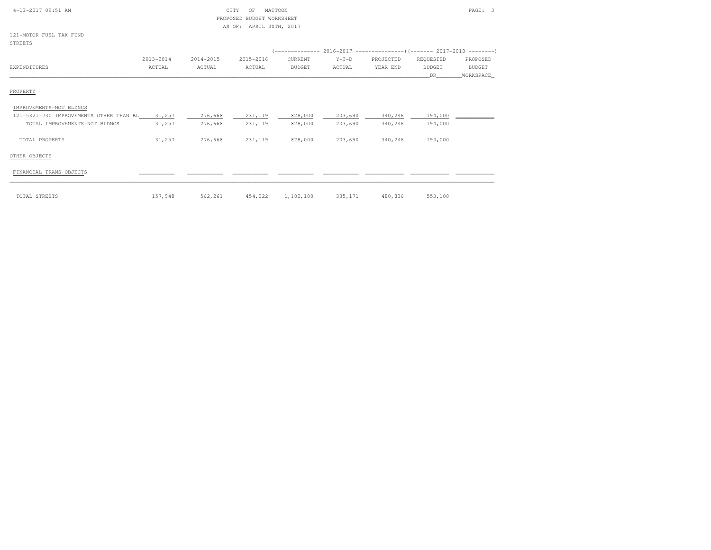| 4-13-2017 09:51 AM | CITV.<br>---- | OF | MATTOON                  | PAGE: |  |
|--------------------|---------------|----|--------------------------|-------|--|
|                    |               |    | BRADAGER BURGER HABHAHER |       |  |

# PROPOSED BUDGET WORKSHEETAS OF: APRIL 30TH, 2017

121-MOTOR FUEL TAX FUNDSTREETS.

| 51 KLL 15                               |           |           |           |               |         | (-------------- 2016-2017 ---------------------- 2017-2018 --------- |           |           |
|-----------------------------------------|-----------|-----------|-----------|---------------|---------|----------------------------------------------------------------------|-----------|-----------|
|                                         | 2013-2014 | 2014-2015 | 2015-2016 | CURRENT       | $Y-T-D$ | PROJECTED                                                            | REQUESTED | PROPOSED  |
| EXPENDITURES                            | ACTUAL    | ACTUAL    | ACTUAL    | <b>BUDGET</b> | ACTUAL  | YEAR END                                                             | BUDGET    | BUDGET    |
|                                         |           |           |           |               |         |                                                                      | DR.       | WORKSPACE |
| PROPERTY                                |           |           |           |               |         |                                                                      |           |           |
| IMPROVEMENTS-NOT BLDNGS                 |           |           |           |               |         |                                                                      |           |           |
| 121-5321-730 IMPROVEMENTS OTHER THAN BL | 31,257    | 276,668   | 231,119   | 828,000       | 203,690 | 340,246                                                              | 194,000   |           |
| TOTAL IMPROVEMENTS-NOT BLDNGS           | 31,257    | 276,668   | 231,119   | 828,000       | 203,690 | 340,246                                                              | 194,000   |           |
| TOTAL PROPERTY                          | 31,257    | 276,668   | 231,119   | 828,000       | 203,690 | 340,246                                                              | 194,000   |           |

#### OTHER OBJECTS

## $FINANCIAL TRANS OBJECTS$   $\qquad \qquad \qquad$

| TOTAL STREETS | 157,948 | 562,261 | 454,222 | 1,182,100 | <b>COL 171</b><br>333,171 | 480,836 | 553,100 |  |
|---------------|---------|---------|---------|-----------|---------------------------|---------|---------|--|

| 562,261 454,222 1,182,100 335,171 | OTAL STREETS | 157,948 |  |  |  |  | 480,836 | 553,100 |
|-----------------------------------|--------------|---------|--|--|--|--|---------|---------|
|-----------------------------------|--------------|---------|--|--|--|--|---------|---------|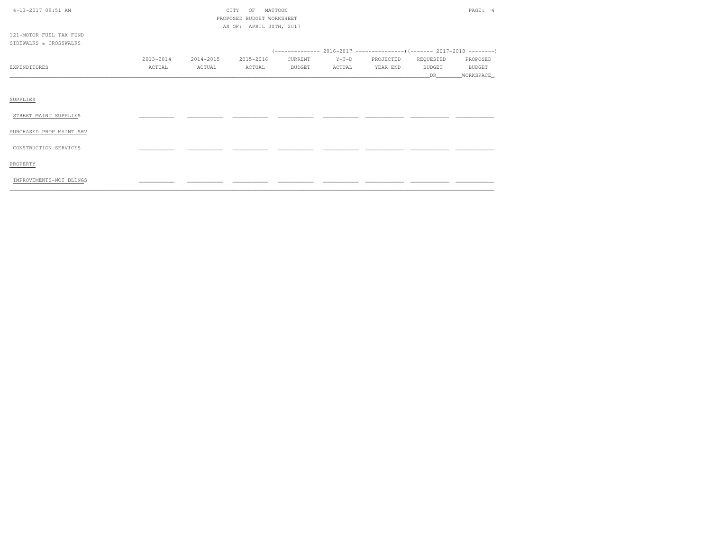| 4-13-2017 09:51 AM       | CITY<br>MATTOON<br>OF<br>PROPOSED BUDGET WORKSHEET |           |                         |               |         |                                                             |               |               |  |
|--------------------------|----------------------------------------------------|-----------|-------------------------|---------------|---------|-------------------------------------------------------------|---------------|---------------|--|
|                          |                                                    |           | AS OF: APRIL 30TH, 2017 |               |         |                                                             |               |               |  |
| 121-MOTOR FUEL TAX FUND  |                                                    |           |                         |               |         |                                                             |               |               |  |
| SIDEWALKS & CROSSWALKS   |                                                    |           |                         |               |         |                                                             |               |               |  |
|                          |                                                    |           |                         |               |         | $(----------2016-2017------------)$ $(----2017-2018------)$ |               |               |  |
|                          | $2013 - 2014$                                      | 2014-2015 | 2015-2016               | CURRENT       | $Y-T-D$ | PROJECTED                                                   | REQUESTED     | PROPOSED      |  |
| <b>EXPENDITURES</b>      | ACTUAL                                             | ACTUAL    | ACTUAL                  | <b>BUDGET</b> | ACTUAL  | YEAR END                                                    | <b>BUDGET</b> | <b>BUDGET</b> |  |
|                          |                                                    |           |                         |               |         |                                                             | DR            | WORKSPACE     |  |
|                          |                                                    |           |                         |               |         |                                                             |               |               |  |
| SUPPLIES                 |                                                    |           |                         |               |         |                                                             |               |               |  |
| STREET MAINT SUPPLIES    |                                                    |           |                         |               |         |                                                             |               |               |  |
| PURCHASED PROP MAINT SRV |                                                    |           |                         |               |         |                                                             |               |               |  |
| CONSTRUCTION SERVICES    |                                                    |           |                         |               |         |                                                             |               |               |  |
| PROPERTY                 |                                                    |           |                         |               |         |                                                             |               |               |  |
| IMPROVEMENTS-NOT BLDNGS  |                                                    |           |                         |               |         |                                                             |               |               |  |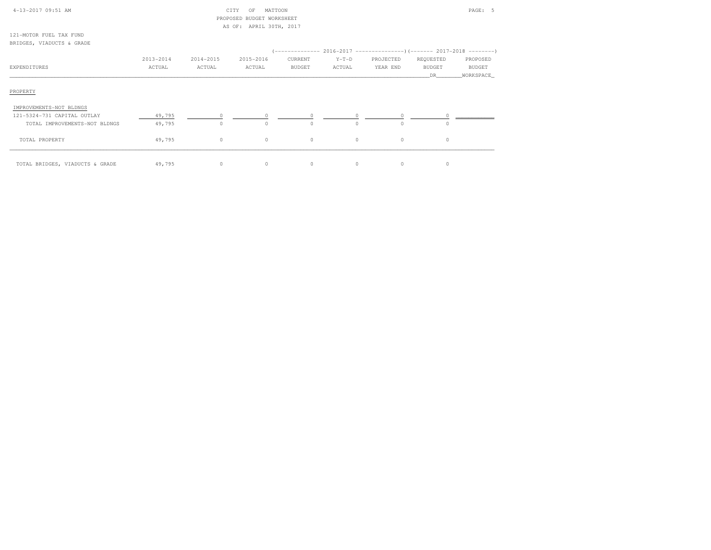| 4-13-2017 09:51 AM                                   |           | CITY      | MATTOON<br>OF             |               |         |                                                             |                      | PAGE: 5              |
|------------------------------------------------------|-----------|-----------|---------------------------|---------------|---------|-------------------------------------------------------------|----------------------|----------------------|
|                                                      |           |           | PROPOSED BUDGET WORKSHEET |               |         |                                                             |                      |                      |
|                                                      |           |           | AS OF: APRIL 30TH, 2017   |               |         |                                                             |                      |                      |
| 121-MOTOR FUEL TAX FUND<br>BRIDGES, VIADUCTS & GRADE |           |           |                           |               |         |                                                             |                      |                      |
|                                                      |           |           |                           |               |         | $(----------2016-2017---------)$ $(-------2017-2018------)$ |                      |                      |
|                                                      | 2013-2014 | 2014-2015 | 2015-2016                 | CURRENT       | $Y-T-D$ | PROJECTED                                                   | REQUESTED            | PROPOSED             |
| EXPENDITURES                                         | ACTUAL    | ACTUAL    | ACTUAL                    | <b>BUDGET</b> | ACTUAL  | YEAR END                                                    | <b>BUDGET</b><br>DR. | BUDGET<br>WORKSPACE_ |
| PROPERTY                                             |           |           |                           |               |         |                                                             |                      |                      |
| IMPROVEMENTS-NOT BLDNGS                              |           |           |                           |               |         |                                                             |                      |                      |
| 121-5324-731 CAPITAL OUTLAY                          | 49,795    |           |                           |               |         | $\circ$                                                     |                      |                      |
| TOTAL IMPROVEMENTS-NOT BLDNGS                        | 49,795    | $\circ$   | $\Omega$                  | $\circ$       | $\circ$ | $\circ$                                                     | $\Omega$             |                      |
| TOTAL PROPERTY                                       | 49,795    | $\circ$   | $\circ$                   | $\circ$       | $\circ$ | $\circ$                                                     | $\circ$              |                      |
| TOTAL BRIDGES, VIADUCTS & GRADE                      | 49,795    | $\circ$   | $\circ$                   | $\circ$       | $\circ$ | $\circ$                                                     | $\circ$              |                      |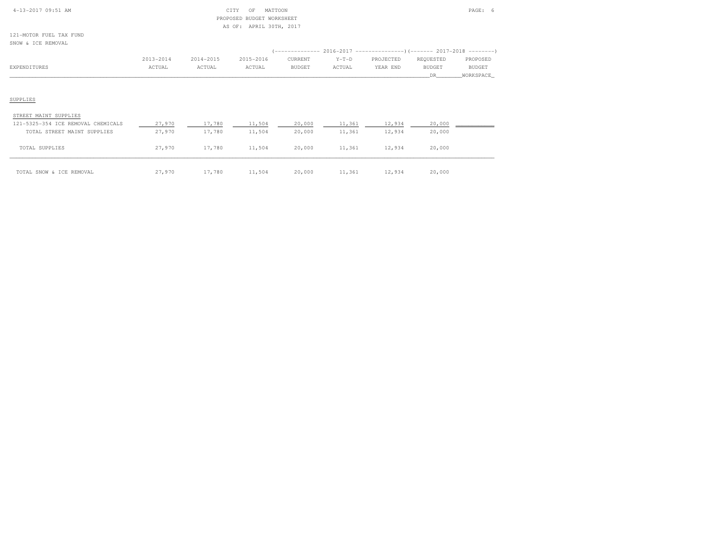| $4-13-2017$ 09:51 AM |  |
|----------------------|--|

#### $\begin{array}{ccc} \multicolumn{2}{c}{{\bf C} \setminus {\bf T} \setminus {\bf T} \setminus {\bf T} \setminus {\bf T} \setminus {\bf T} \setminus {\bf T} \setminus {\bf T} \setminus {\bf T} \setminus {\bf T} \setminus {\bf T} \setminus {\bf T} \setminus {\bf T} \setminus {\bf T} \setminus {\bf T} \setminus {\bf T} \setminus {\bf T} \setminus {\bf T} \setminus {\bf T} \setminus {\bf T} \setminus {\bf T} \setminus {\bf T} \setminus {\bf T} \setminus {\bf T} \setminus {\bf T} \setminus {\bf T} \setminus {\bf T} \setminus {\bf T} \setminus {\bf T} \setminus {\$  PROPOSED BUDGET WORKSHEETAS OF: APRIL 30TH, 2017

121-MOTOR FUEL TAX FUNDSNOW & ICE REMOVAL

|              | 2013-2014 | 2014-2015 | 2015-2016 | CURRENT | $Y-T-D$ | PROJECTED | REOUESTED | PROPOSED  |
|--------------|-----------|-----------|-----------|---------|---------|-----------|-----------|-----------|
| EXPENDITURES | ACTUAL    | ACTUAL    | ACTUAL    | BUDGET  | ACTUAL  | YEAR END  | BUDGET    | BUDGET    |
|              |           |           |           |         |         |           |           | WORKSPACE |
|              |           |           |           |         |         |           |           |           |

#### SUPPLIES

#### STREET MAINT SUPPLIES

| 121-5325-354 ICE REMOVAL CHEMICALS | 27,970 | 17,780 | 11,504 | 20,000 | 11,361 | 12,934 | 20,000 |  |
|------------------------------------|--------|--------|--------|--------|--------|--------|--------|--|
| TOTAL STREET MAINT SUPPLIES        | 27,970 | 17,780 | 11,504 | 20,000 | 11,361 | 12,934 | 20,000 |  |
|                                    |        |        |        |        |        |        |        |  |
| TOTAL SUPPLIES                     | 27,970 | 17,780 | 11,504 | 20,000 | 11,361 | 12,934 | 20,000 |  |
|                                    |        |        |        |        |        |        |        |  |
| TOTAL SNOW & ICE REMOVAL           | 27,970 | 17,780 | 11,504 | 20,000 | 11,361 | 12,934 | 20,000 |  |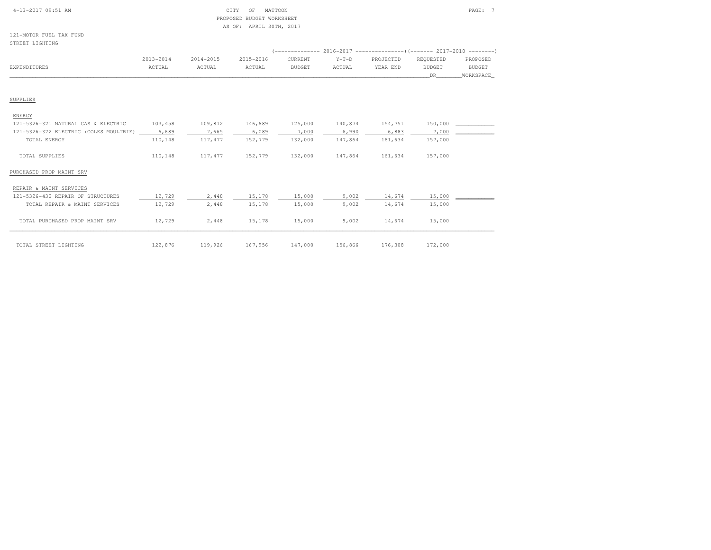### 4-13-2017 09:51 AM CITY OF MATTOON PAGE: 7 PROPOSED BUDGET WORKSHEETAS OF: APRIL 30TH, 2017

121-MOTOR FUEL TAX FUNDSTREET LIGHTING

|              | 2013-2014 | 2014-2015 | 2015-2016 | CURRENT       | $Y-T-D$ | PROJECTED | REQUESTED     | PROPOSED      |
|--------------|-----------|-----------|-----------|---------------|---------|-----------|---------------|---------------|
| EXPENDITURES | ACTUAL    | ACTUAL    | ACTUAL    | <b>BUDGET</b> | ACTUAL  | YEAR END  | <b>BUDGET</b> | <b>BUDGET</b> |
|              |           |           |           |               |         |           |               | WORKSPACE     |
|              |           |           |           |               |         |           |               |               |

#### SUPPLIES

#### ENERGY

| 121-5326-321 NATURAL GAS & ELECTRIC    | 103,458 | 109,812 | 146.689 | 125,000 | 140,874 | 154,751 | 150,000 |  |
|----------------------------------------|---------|---------|---------|---------|---------|---------|---------|--|
| 121-5326-322 ELECTRIC (COLES MOULTRIE) | 6,689   | 7,665   | 6,089   | 7,000   | 6,990   | 6,883   | .000    |  |
| TOTAL ENERGY                           | 110,148 | 117.477 | 152,779 | 132,000 | 147,864 | 161,634 | 157,000 |  |
| TOTAL SUPPLIES                         | 110,148 | 117.477 | 152,779 | 132,000 | 147,864 | 161,634 | 157,000 |  |

#### PURCHASED PROP MAINT SRV

#### REPAIR & MAINT SERVICES

| 121-5326-432 REPAIR OF STRUCTURES | 12,729  | 2,448   | 15,178  | 15,000  | 9,002   | 14,674  | 15,000  |  |
|-----------------------------------|---------|---------|---------|---------|---------|---------|---------|--|
| TOTAL REPAIR & MAINT SERVICES     | 12,729  | 2,448   | 15,178  | 15,000  | 9,002   | 14,674  | 15,000  |  |
|                                   |         |         |         |         |         |         |         |  |
| TOTAL PURCHASED PROP MAINT SRV    | 12,729  | 2,448   | 15,178  | 15,000  | 9,002   | 14,674  | 15,000  |  |
|                                   |         |         |         |         |         |         |         |  |
|                                   |         |         |         |         |         |         |         |  |
|                                   |         |         |         |         |         |         |         |  |
| TOTAL STREET LIGHTING             | 122,876 | 119,926 | 167,956 | 147,000 | 156,866 | 176,308 | 172,000 |  |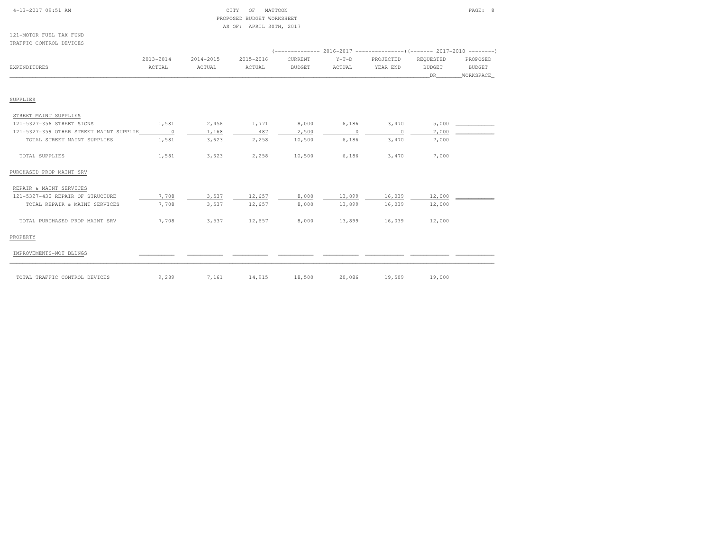| 4-13-2017 09:51 AM |  |  |
|--------------------|--|--|

### $\begin{array}{ccc} \text{CITY} & \text{OF} & \text{MATTOON} \end{array}$  PROPOSED BUDGET WORKSHEETAS OF: APRIL 30TH, 2017

121-MOTOR FUEL TAX FUNDTRAFFIC CONTROL DEVICES

| IRABBIL CONTROL DEVICES                 |           |           |                     |               |         |             |               |           |
|-----------------------------------------|-----------|-----------|---------------------|---------------|---------|-------------|---------------|-----------|
|                                         | 2013-2014 | 2014-2015 | 2015-2016           | CURRENT       | $Y-T-D$ | PROJECTED   | REQUESTED     | PROPOSED  |
| <b>EXPENDITURES</b>                     | ACTUAL    | ACTUAL    | ACTUAL              | <b>BUDGET</b> | ACTUAL  | YEAR END    | <b>BUDGET</b> | BUDGET    |
|                                         |           |           |                     |               |         |             | DR.           | WORKSPACE |
|                                         |           |           |                     |               |         |             |               |           |
| SUPPLIES                                |           |           |                     |               |         |             |               |           |
| STREET MAINT SUPPLIES                   |           |           |                     |               |         |             |               |           |
| 121-5327-356 STREET SIGNS               | 1,581     | 2,456     | 1,771               | 8,000         |         | 6,186 3,470 | 5,000         |           |
| 121-5327-359 OTHER STREET MAINT SUPPLIE | $\sim$ 0  | 1,168     | 487                 | 2,500         | $\circ$ | $\sim$ 0    | 2,000         |           |
| TOTAL STREET MAINT SUPPLIES             | 1,581     | 3,623     | 2,258               | 10,500        | 6,186   | 3,470       | 7,000         |           |
| TOTAL SUPPLIES                          | 1,581     | 3,623     | 2,258               | 10,500        | 6,186   | 3,470       | 7,000         |           |
| PURCHASED PROP MAINT SRV                |           |           |                     |               |         |             |               |           |
| REPAIR & MAINT SERVICES                 |           |           |                     |               |         |             |               |           |
| 121-5327-432 REPAIR OF STRUCTURE        | 7,708     | 3,537     | 12,657              | 8,000         | 13,899  | 16,039      | 12,000        |           |
| TOTAL REPAIR & MAINT SERVICES           | 7,708     | 3,537     | 12,657              | 8,000         | 13,899  | 16,039      | 12,000        |           |
| TOTAL PURCHASED PROP MAINT SRV          | 7,708     | 3,537     | 12,657              | 8,000         | 13,899  | 16,039      | 12,000        |           |
| PROPERTY                                |           |           |                     |               |         |             |               |           |
| IMPROVEMENTS-NOT BLDNGS                 |           |           |                     |               |         |             |               |           |
| TOTAL TRAFFIC CONTROL DEVICES           | 9,289     |           | 7,161 14,915 18,500 |               | 20,086  | 19,509      | 19,000        |           |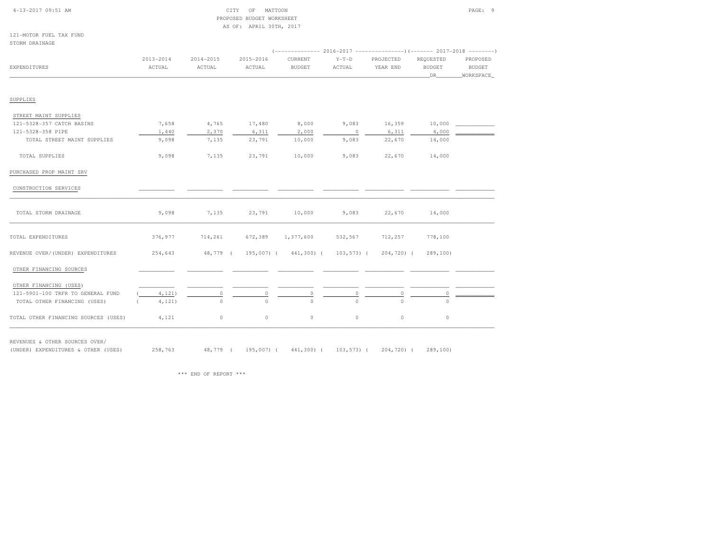| $4-13-2017$ 09:51 AM |  |
|----------------------|--|
|                      |  |

### 4-13-2017 OF MATTOON CITY OF MATTOON PAGE: 9 PROPOSED BUDGET WORKSHEETAS OF: APRIL 30TH, 2017

121-MOTOR FUEL TAX FUNDSTORM DRAINAGE

| $2013 - 2014$ | 2014-2015 | 2015-2016 | CURRENT       | $Y-T-D$ | PROJECTED            | REQUESTED      | PROPOSED      |
|---------------|-----------|-----------|---------------|---------|----------------------|----------------|---------------|
| ACTUAL        | ACTUAL    | ACTUAL    | <b>BUDGET</b> | ACTUAL  | YEAR END             | <b>BUDGET</b>  | <b>BUDGET</b> |
|               |           |           |               |         |                      | DR             | _WORKSPACE    |
|               |           |           |               |         |                      |                |               |
|               |           |           |               |         |                      |                |               |
| 7,658         | 4,765     | 17,480    | 8,000         | 9,083   | 16,359               | 10,000         |               |
| 1,440         | 2,370     | 6,311     | 2,000         | $\circ$ | 6,311                | 4,000          |               |
| 9,098         | 7,135     | 23,791    | 10,000        | 9,083   | 22,670               | 14,000         |               |
| 9,098         | 7,135     | 23,791    | 10,000        | 9,083   | 22,670               | 14,000         |               |
|               |           |           |               |         |                      |                |               |
|               |           |           |               |         |                      |                |               |
| 9,098         | 7,135     | 23,791    | 10,000        | 9,083   | 22,670               | 14,000         |               |
| 376,977       | 714,261   | 672,389   | 1,377,600     | 532,567 | 712,257              | 778,100        |               |
| 254,643       |           |           |               |         |                      | 289,100        |               |
|               |           |           |               |         |                      |                |               |
|               |           |           |               |         |                      |                |               |
| 4,121)        | $\circ$   | $\circ$   | $\circ$       | 0       | $\circ$              | 0              |               |
| 4,121)        | $\circ$   | $\Omega$  | $\Omega$      | $\cap$  | $\Omega$             | $\Omega$       |               |
| 4,121         | $\circ$   | $\circ$   | $\circ$       | $\circ$ | $\circ$              | $\circ$        |               |
|               |           |           | 48,779 (      |         | 195,007) (441,300) ( | $103, 573$ ) ( | 204,720) (    |

REVENUES & OTHER SOURCES OVER/

(UNDER) EXPENDITURES & OTHER (USES) 258,763 48,779 ( 195,007) ( 441,300) ( 103,573) ( 204,720) ( 289,100)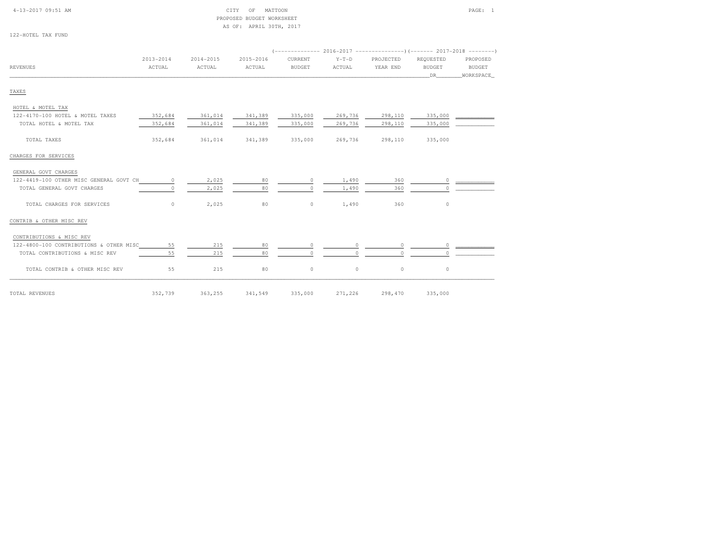# 4-13-2017 09:51 AM CITY OF MATTOON PAGE: 1 PROPOSED BUDGET WORKSHEETAS OF: APRIL 30TH, 2017

122-HOTEL TAX FUND

|                                         | $2013 - 2014$ | $2014 - 2015$ | 2015-2016 | CURRENT       | $Y-T-D$  | PROJECTED | REQUESTED     | PROPOSED  |
|-----------------------------------------|---------------|---------------|-----------|---------------|----------|-----------|---------------|-----------|
| REVENUES                                | ACTUAL        | ACTUAL        | ACTUAL    | <b>BUDGET</b> | ACTUAL   | YEAR END  | <b>BUDGET</b> | BUDGET    |
|                                         |               |               |           |               |          |           | DR            | WORKSPACE |
| TAXES                                   |               |               |           |               |          |           |               |           |
| HOTEL & MOTEL TAX                       |               |               |           |               |          |           |               |           |
| 122-4170-100 HOTEL & MOTEL TAXES        | 352,684       | 361,014       | 341,389   | 335,000       | 269,736  | 298,110   | 335,000       |           |
| TOTAL HOTEL & MOTEL TAX                 | 352,684       | 361,014       | 341,389   | 335,000       | 269,736  | 298,110   | 335,000       |           |
| TOTAL TAXES                             | 352,684       | 361,014       | 341,389   | 335,000       | 269,736  | 298,110   | 335,000       |           |
| CHARGES FOR SERVICES                    |               |               |           |               |          |           |               |           |
| GENERAL GOVT CHARGES                    |               |               |           |               |          |           |               |           |
| 122-4419-100 OTHER MISC GENERAL GOVT CH | $\circ$       | 2,025         | 80        | $\circ$       | 1,490    | 360       | $\circ$       |           |
| TOTAL GENERAL GOVT CHARGES              | $\circ$       | 2,025         | 80        | $\Omega$      | 1,490    | 360       | $\Omega$      |           |
| TOTAL CHARGES FOR SERVICES              | $\circ$       | 2,025         | 80        | $\circ$       | 1,490    | 360       | $\circ$       |           |
| CONTRIB & OTHER MISC REV                |               |               |           |               |          |           |               |           |
| CONTRIBUTIONS & MISC REV                |               |               |           |               |          |           |               |           |
| 122-4800-100 CONTRIBUTIONS & OTHER MISC | 55            | 215           | 80        | $\circ$       |          | $\circ$   | $\circ$       |           |
| TOTAL CONTRIBUTIONS & MISC REV          | 55            | 215           | 80        | $\Omega$      | $\Omega$ | $\Omega$  | $\Omega$      |           |
| TOTAL CONTRIB & OTHER MISC REV          | 55            | 215           | 80        | $\circ$       | $\circ$  | $\circ$   | $\circ$       |           |
| TOTAL REVENUES                          | 352,739       | 363,255       | 341,549   | 335,000       | 271,226  | 298,470   | 335,000       |           |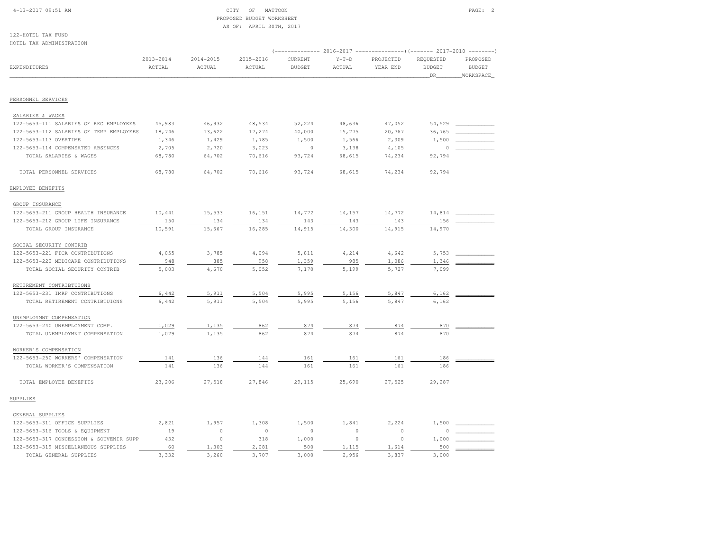# 4-13-2017 09:51 AM CITY OF MATTOON PAGE: 2 PROPOSED BUDGET WORKSHEETAS OF: APRIL 30TH, 2017

122-HOTEL TAX FUNDHOTEL TAX ADMINISTRATION

| HOIEP THY WINNIPIKATIOM                 |                         |                     |                     |                          |                   |                                                                                                |                                   |                                         |
|-----------------------------------------|-------------------------|---------------------|---------------------|--------------------------|-------------------|------------------------------------------------------------------------------------------------|-----------------------------------|-----------------------------------------|
| EXPENDITURES                            | $2013 - 2014$<br>ACTUAL | 2014-2015<br>ACTUAL | 2015-2016<br>ACTUAL | CURRENT<br><b>BUDGET</b> | $Y-T-D$<br>ACTUAL | (------------- 2016-2017 ---------------) (------- 2017-2018 --------<br>PROJECTED<br>YEAR END | REQUESTED<br><b>BUDGET</b><br>DR. | PROPOSED<br><b>BUDGET</b><br>WORKSPACE_ |
| PERSONNEL SERVICES                      |                         |                     |                     |                          |                   |                                                                                                |                                   |                                         |
|                                         |                         |                     |                     |                          |                   |                                                                                                |                                   |                                         |
| SALARIES & WAGES                        |                         |                     |                     |                          |                   |                                                                                                |                                   |                                         |
| 122-5653-111 SALARIES OF REG EMPLOYEES  | 45,983                  | 46,932              | 48,534              | 52,224                   | 48,636            | 47,052                                                                                         | 54,529                            |                                         |
| 122-5653-112 SALARIES OF TEMP EMPLOYEES | 18,746                  | 13,622              | 17,274              | 40,000                   | 15,275            | 20,767                                                                                         | 36,765                            |                                         |
| 122-5653-113 OVERTIME                   | 1,346                   | 1,429               | 1,785               | 1,500                    | 1,566             | 2,309                                                                                          | 1,500                             |                                         |
| 122-5653-114 COMPENSATED ABSENCES       | 2,705                   | 2,720               | 3,023               | $\circ$                  | 3,138             | 4,105                                                                                          | $\theta$                          |                                         |
| TOTAL SALARIES & WAGES                  | 68,780                  | 64,702              | 70,616              | 93,724                   | 68,615            | 74,234                                                                                         | 92,794                            |                                         |
| TOTAL PERSONNEL SERVICES                | 68,780                  | 64,702              | 70,616              | 93,724                   | 68,615            | 74,234                                                                                         | 92,794                            |                                         |
| EMPLOYEE BENEFITS                       |                         |                     |                     |                          |                   |                                                                                                |                                   |                                         |
| GROUP INSURANCE                         |                         |                     |                     |                          |                   |                                                                                                |                                   |                                         |
| 122-5653-211 GROUP HEALTH INSURANCE     | 10,441                  | 15,533              | 16,151              | 14,772                   | 14,157            | 14,772                                                                                         | 14,814                            |                                         |
| 122-5653-212 GROUP LIFE INSURANCE       | 150                     | 134                 | 134                 | 143                      | 143               | 143                                                                                            | 156                               |                                         |
| TOTAL GROUP INSURANCE                   | 10,591                  | 15,667              | 16,285              | 14,915                   | 14,300            | 14,915                                                                                         | 14,970                            |                                         |
| SOCIAL SECURITY CONTRIB                 |                         |                     |                     |                          |                   |                                                                                                |                                   |                                         |
| 122-5653-221 FICA CONTRIBUTIONS         | 4,055                   | 3,785               | 4,094               | 5,811                    | 4,214             | 4,642                                                                                          | 5,753                             |                                         |
| 122-5653-222 MEDICARE CONTRIBUTIONS     | 948                     | 885                 | 958                 | 1,359                    | 985               | 1,086                                                                                          | 1,346                             |                                         |
| TOTAL SOCIAL SECURITY CONTRIB           | 5,003                   | 4,670               | 5,052               | 7,170                    | 5,199             | 5,727                                                                                          | 7,099                             |                                         |
| RETIREMENT CONTRIBTUIONS                |                         |                     |                     |                          |                   |                                                                                                |                                   |                                         |
| 122-5653-231 IMRF CONTRIBUTIONS         | 6,442                   | 5,911               | 5,504               | 5,995                    | 5,156             | 5,847                                                                                          | 6,162                             |                                         |
| TOTAL RETIREMENT CONTRIBTUIONS          | 6,442                   | 5,911               | 5,504               | 5,995                    | 5,156             | 5,847                                                                                          | 6,162                             |                                         |
| UNEMPLOYMNT COMPENSATION                |                         |                     |                     |                          |                   |                                                                                                |                                   |                                         |
| 122-5653-240 UNEMPLOYMENT COMP.         | 1,029                   | 1,135               | 862                 | 874                      | 874               | 874                                                                                            | 870                               |                                         |
| TOTAL UNEMPLOYMNT COMPENSATION          | 1,029                   | 1,135               | 862                 | 874                      | 874               | 874                                                                                            | 870                               |                                         |
| WORKER'S COMPENSATION                   |                         |                     |                     |                          |                   |                                                                                                |                                   |                                         |
| 122-5653-250 WORKERS' COMPENSATION      | 141                     | 136                 | 144                 | 161                      | 161               | 161                                                                                            | 186                               |                                         |
| TOTAL WORKER'S COMPENSATION             | 141                     | 136                 | 144                 | 161                      | 161               | 161                                                                                            | 186                               |                                         |
| TOTAL EMPLOYEE BENEFITS                 | 23,206                  | 27,518              | 27,846              | 29,115                   | 25,690            | 27,525                                                                                         | 29,287                            |                                         |
| SUPPLIES                                |                         |                     |                     |                          |                   |                                                                                                |                                   |                                         |
| GENERAL SUPPLIES                        |                         |                     |                     |                          |                   |                                                                                                |                                   |                                         |
| 122-5653-311 OFFICE SUPPLIES            | 2,821                   | 1,957               | 1,308               | 1,500                    | 1,841             | 2,224                                                                                          | 1,500                             |                                         |
| 122-5653-316 TOOLS & EQUIPMENT          | 19                      | $\circ$             | $\circ$             | 0                        | $\circ$           | $\circ$                                                                                        | $\Omega$                          |                                         |
| 122-5653-317 CONCESSION & SOUVENIR SUPP | 432                     | $\circ$             | 318                 | 1,000                    | $\circ$           | $\circ$                                                                                        | 1,000                             |                                         |
| 122-5653-319 MISCELLANEOUS SUPPLIES     | 60                      | 1,303               | 2,081               | 500                      | 1,115             | 1,614                                                                                          | 500                               |                                         |
| TOTAL GENERAL SUPPLIES                  | 3,332                   | 3,260               | 3,707               | 3,000                    | 2,956             | 3,837                                                                                          | 3,000                             |                                         |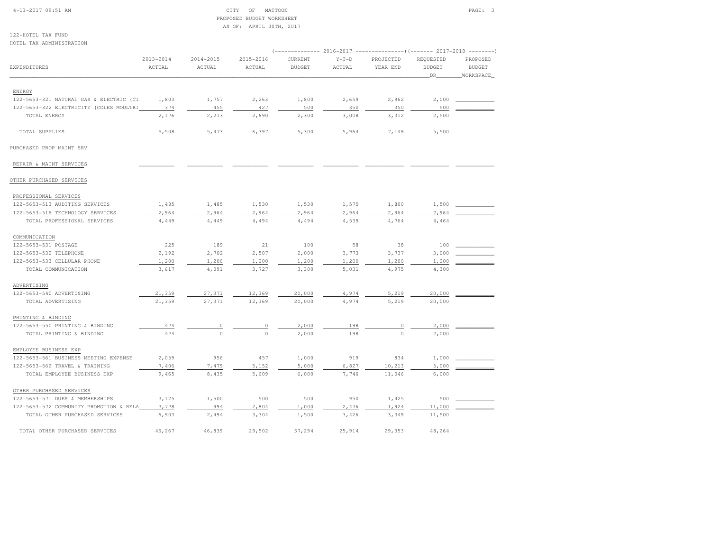#### 4-13-2017 09:51 AM CITY OF MATTOON PAGE: 3 PROPOSED BUDGET WORKSHEETAS OF: APRIL 30TH, 2017

122-HOTEL TAX FUNDHOTEL TAX ADMINISTRATION

| NOILL IAA ADMINISIRAIION                |               |               |           |               |         |           |                     | (-------------- 2016-2017 --------------------- 2017-2018 --------- ) |  |
|-----------------------------------------|---------------|---------------|-----------|---------------|---------|-----------|---------------------|-----------------------------------------------------------------------|--|
|                                         | $2013 - 2014$ | $2014 - 2015$ | 2015-2016 | CURRENT       | $Y-T-D$ | PROJECTED | REQUESTED           | PROPOSED                                                              |  |
| <b>EXPENDITURES</b>                     | ACTUAL        | ACTUAL        | ACTUAL    | <b>BUDGET</b> | ACTUAL  | YEAR END  | <b>BUDGET</b><br>DR | <b>BUDGET</b><br>WORKSPACE                                            |  |
|                                         |               |               |           |               |         |           |                     |                                                                       |  |
| ENERGY                                  |               |               |           |               |         |           |                     |                                                                       |  |
| 122-5653-321 NATURAL GAS & ELECTRIC (CI | 1,803         | 1,757         | 2,263     | 1,800         | 2,659   | 2,962     | 2,000               |                                                                       |  |
| 122-5653-322 ELECTRICITY (COLES MOULTRI | 374           | 455           | 427       | 500           | 350     | 350       | 500                 |                                                                       |  |
| TOTAL ENERGY                            | 2,176         | 2,213         | 2,690     | 2,300         | 3,008   | 3,312     | 2,500               |                                                                       |  |
| TOTAL SUPPLIES                          | 5,508         | 5,473         | 6,397     | 5,300         | 5,964   | 7,149     | 5,500               |                                                                       |  |
| PURCHASED PROP MAINT SRV                |               |               |           |               |         |           |                     |                                                                       |  |
| REPAIR & MAINT SERVICES                 |               |               |           |               |         |           |                     |                                                                       |  |
| OTHER PURCHASED SERVICES                |               |               |           |               |         |           |                     |                                                                       |  |
| PROFESSIONAL SERVICES                   |               |               |           |               |         |           |                     |                                                                       |  |
| 122-5653-513 AUDITING SERVICES          | 1,485         | 1,485         | 1,530     | 1,530         | 1,575   | 1,800     | 1,500               |                                                                       |  |
| 122-5653-516 TECHNOLOGY SERVICES        | 2,964         | 2,964         | 2,964     | 2,964         | 2,964   | 2,964     | 2,964               |                                                                       |  |
| TOTAL PROFESSIONAL SERVICES             | 4,449         | 4,449         | 4,494     | 4,494         | 4,539   | 4,764     | 4,464               |                                                                       |  |
| COMMUNICATION                           |               |               |           |               |         |           |                     |                                                                       |  |
| 122-5653-531 POSTAGE                    | 225           | 189           | 21        | 100           | 58      | 38        | 100                 |                                                                       |  |
| 122-5653-532 TELEPHONE                  | 2,192         | 2,702         | 2,507     | 2,000         | 3,773   | 3,737     | 3,000               |                                                                       |  |
| 122-5653-533 CELLULAR PHONE             | 1,200         | 1,200         | 1,200     | 1,200         | 1,200   | 1,200     | 1,200               |                                                                       |  |
| TOTAL COMMUNICATION                     | 3,617         | 4,091         | 3,727     | 3,300         | 5,031   | 4,975     | 4,300               |                                                                       |  |
| ADVERTISING                             |               |               |           |               |         |           |                     |                                                                       |  |
| 122-5653-540 ADVERTISING                | 21,359        | 27,371        | 12,369    | 20,000        | 4,974   | 5,219     | 20,000              |                                                                       |  |
| TOTAL ADVERTISING                       | 21,359        | 27,371        | 12,369    | 20,000        | 4,974   | 5,219     | 20,000              |                                                                       |  |
| PRINTING & BINDING                      |               |               |           |               |         |           |                     |                                                                       |  |
| 122-5653-550 PRINTING & BINDING         | 474           | 0             | $\circ$   | 2,000         | 198     | 0         | 2,000               |                                                                       |  |
| TOTAL PRINTING & BINDING                | 474           | $\circ$       | $\circ$   | 2,000         | 198     | $\circ$   | 2,000               |                                                                       |  |
| EMPLOYEE BUSINESS EXP                   |               |               |           |               |         |           |                     |                                                                       |  |
| 122-5653-561 BUSINESS MEETING EXPENSE   | 2,059         | 956           | 457       | 1,000         | 919     | 834       | 1,000               |                                                                       |  |
| 122-5653-562 TRAVEL & TRAINING          | 7,406         | 7,479         | 5,152     | 5,000         | 6,827   | 10,213    | 5,000               |                                                                       |  |
| TOTAL EMPLOYEE BUSINESS EXP             | 9,465         | 8,435         | 5,609     | 6,000         | 7,746   | 11,046    | 6,000               |                                                                       |  |
| OTHER PURCHASED SERVICES                |               |               |           |               |         |           |                     |                                                                       |  |
| 122-5653-571 DUES & MEMBERSHIPS         | 3,125         | 1,500         | 500       | 500           | 950     | 1,425     | 500                 |                                                                       |  |
| 122-5653-572 COMMUNITY PROMOTION & RELA | 3,778         | 994           | 2,804     | 1,000         | 2,476   | 1,924     | 11,000              |                                                                       |  |
| TOTAL OTHER PURCHASED SERVICES          | 6,903         | 2,494         | 3,304     | 1,500         | 3,426   | 3,349     | 11,500              |                                                                       |  |
| TOTAL OTHER PURCHASED SERVICES          | 46,267        | 46,839        | 29,502    | 37,294        | 25,914  | 29,353    | 48,264              |                                                                       |  |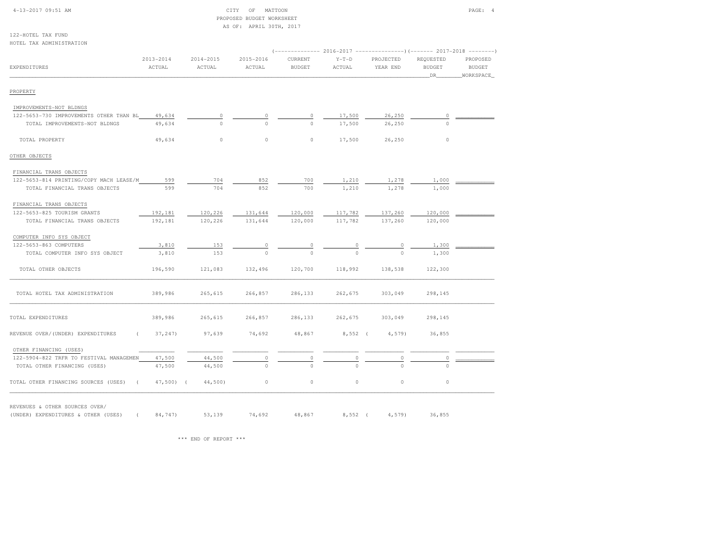| 4-13-2017 09:51 AM                            |                         |                         | OF<br>MATTOON<br>CITY<br>PROPOSED BUDGET WORKSHEET<br>AS OF: APRIL 30TH, 2017 |                          |                   |                       |                                  | PAGE: 4                                |
|-----------------------------------------------|-------------------------|-------------------------|-------------------------------------------------------------------------------|--------------------------|-------------------|-----------------------|----------------------------------|----------------------------------------|
| 122-HOTEL TAX FUND                            |                         |                         |                                                                               |                          |                   |                       |                                  |                                        |
| HOTEL TAX ADMINISTRATION                      |                         |                         |                                                                               |                          |                   |                       |                                  |                                        |
| <b>EXPENDITURES</b>                           | $2013 - 2014$<br>ACTUAL | $2014 - 2015$<br>ACTUAL | 2015-2016<br>ACTUAL                                                           | CURRENT<br><b>BUDGET</b> | $Y-T-D$<br>ACTUAL | PROJECTED<br>YEAR END | REQUESTED<br><b>BUDGET</b><br>DR | PROPOSED<br><b>BUDGET</b><br>WORKSPACE |
| PROPERTY                                      |                         |                         |                                                                               |                          |                   |                       |                                  |                                        |
| IMPROVEMENTS-NOT BLDNGS                       |                         |                         |                                                                               |                          |                   |                       |                                  |                                        |
| 122-5653-730 IMPROVEMENTS OTHER THAN BL       | 49,634                  | 0                       | 0                                                                             | 0                        | 17,500            | 26,250                | $\circ$                          |                                        |
| TOTAL IMPROVEMENTS-NOT BLDNGS                 | 49,634                  | $\circ$                 | $\Omega$                                                                      | $\Omega$                 | 17,500            | 26,250                | $\circ$                          |                                        |
| TOTAL PROPERTY                                | 49,634                  | $\circ$                 | $\circ$                                                                       | $\circ$                  | 17,500            | 26,250                | $\circ$                          |                                        |
| OTHER OBJECTS                                 |                         |                         |                                                                               |                          |                   |                       |                                  |                                        |
| FINANCIAL TRANS OBJECTS                       |                         |                         |                                                                               |                          |                   |                       |                                  |                                        |
| 122-5653-814 PRINTING/COPY MACH LEASE/M       | 599                     | 704                     | 852                                                                           | 700                      | 1,210             | 1,278                 | 1,000                            |                                        |
| TOTAL FINANCIAL TRANS OBJECTS                 | 599                     | 704                     | 852                                                                           | 700                      | 1,210             | 1,278                 | 1,000                            |                                        |
| FINANCIAL TRANS OBJECTS                       |                         |                         |                                                                               |                          |                   |                       |                                  |                                        |
| 122-5653-825 TOURISM GRANTS                   | 192,181                 | 120,226                 | 131,644                                                                       | 120,000                  | 117,782           | 137,260               | 120,000                          |                                        |
| TOTAL FINANCIAL TRANS OBJECTS                 | 192,181                 | 120,226                 | 131,644                                                                       | 120,000                  | 117,782           | 137,260               | 120,000                          |                                        |
| COMPUTER INFO SYS OBJECT                      |                         |                         |                                                                               |                          |                   |                       |                                  |                                        |
| 122-5653-863 COMPUTERS                        | 3,810                   | 153                     | $\circ$                                                                       | 0                        | $\circ$           | 0                     | 1,300                            |                                        |
| TOTAL COMPUTER INFO SYS OBJECT                | 3,810                   | 153                     | $\circ$                                                                       | $\Omega$                 | $\Omega$          | $\Omega$              | 1,300                            |                                        |
| TOTAL OTHER OBJECTS                           | 196,590                 | 121,083                 | 132,496                                                                       | 120,700                  | 118,992           | 138,538               | 122,300                          |                                        |
| TOTAL HOTEL TAX ADMINISTRATION                | 389,986                 | 265,615                 | 266,857                                                                       | 286,133                  | 262,675           | 303,049               | 298,145                          |                                        |
| TOTAL EXPENDITURES                            | 389,986                 | 265,615                 | 266,857                                                                       | 286,133                  | 262,675           | 303,049               | 298,145                          |                                        |
| REVENUE OVER/(UNDER) EXPENDITURES<br>$\left($ | 37,247)                 | 97,639                  | 74,692                                                                        | 48,867                   | $8,552$ (         | 4,579                 | 36,855                           |                                        |
| OTHER FINANCING (USES)                        |                         |                         |                                                                               |                          |                   |                       |                                  |                                        |
| 122-5904-822 TRFR TO FESTIVAL MANAGEMEN       | 47,500                  | 44,500                  | $\circ$                                                                       | 0                        | $\circ$           | $\mathbb O$           | $\circ$                          |                                        |
| TOTAL OTHER FINANCING (USES)                  | 47,500                  | 44,500                  | $\circ$                                                                       | $\Omega$                 | $\Omega$          | $\cap$                | $\circ$                          |                                        |
| TOTAL OTHER FINANCING SOURCES (USES)          | $47,500$ (              | 44,500)                 | $\circ$                                                                       | $\circ$                  | $\circ$           | $\circ$               | $\circ$                          |                                        |

REVENUES & OTHER SOURCES OVER/

(UNDER) EXPENDITURES & OTHER (USES) ( 84,747) 53,139 74,692 48,867 8,552 ( 4,579) 36,855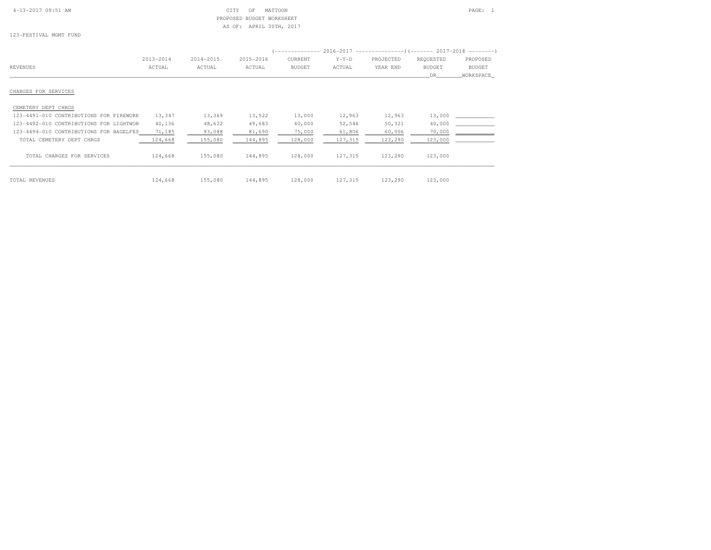| $4 - 13 - 2017$ 09:51 AM |  |  |
|--------------------------|--|--|
|                          |  |  |

# $\begin{array}{ccc} \textrm{CITY} & \textrm{OF} & \textrm{MATTOON} \end{array}$  PROPOSED BUDGET WORKSHEETAS OF: APRIL 30TH, 2017

123-FESTIVAL MGMT FUND

| 123-FESTIVAL MGMT FUND |           |           | AS OF: APRIL SUIH, ZUIT |         |         |                                                                         |           |          |
|------------------------|-----------|-----------|-------------------------|---------|---------|-------------------------------------------------------------------------|-----------|----------|
|                        |           |           |                         |         |         | (------------- 2016–2017 ----------------) (------- 2017–2018 --------) |           |          |
|                        | 2013-2014 | 2014-2015 | 2015-2016               | CURRENT | $Y-T-D$ | PROJECTED                                                               | REOUESTED | PROPOSED |

|                                         | 2013-2014 | 2014-2015 | 2015-2016 | CURRENT       | $Y-T-D$ | PROJECTED | REQUESTED     | PROPOSED      |
|-----------------------------------------|-----------|-----------|-----------|---------------|---------|-----------|---------------|---------------|
| REVENUES                                | ACTUAL    | ACTUAL    | ACTUAL    | <b>BUDGET</b> | ACTUAL  | YEAR END  | <b>BUDGET</b> | <b>BUDGET</b> |
|                                         |           |           |           |               |         |           | DR.           | WORKSPACE     |
|                                         |           |           |           |               |         |           |               |               |
| CHARGES FOR SERVICES                    |           |           |           |               |         |           |               |               |
|                                         |           |           |           |               |         |           |               |               |
| CEMETERY DEPT CHRGS                     |           |           |           |               |         |           |               |               |
| 123-4491-010 CONTRIBUTIONS FOR FIREWORK | 13,347    | 13,369    | 13,522    | 13,000        | 12,963  | 12,963    | 13,000        |               |
| 123-4492-010 CONTRIBUTIONS FOR LIGHTWOR | 40,136    | 48,622    | 49,683    | 40,000        | 52,546  | 50,321    | 40,000        |               |
| 123-4494-010 CONTRIBUTIONS FOR BAGELFES | 71,185    | 93,088    | 81,690    | 75,000        | 61,806  | 60,006    | 70,000        |               |
| TOTAL CEMETERY DEPT CHRGS               | 124,668   | 155,080   | 144,895   | 128,000       | 127,315 | 123,290   | 123,000       |               |
| TOTAL CHARGES FOR SERVICES              | 124,668   | 155,080   | 144,895   | 128,000       | 127,315 | 123,290   | 123,000       |               |
| TOTAL REVENUES                          | 124,668   | 155,080   | 144,895   | 128,000       | 127,315 | 123,290   | 123,000       |               |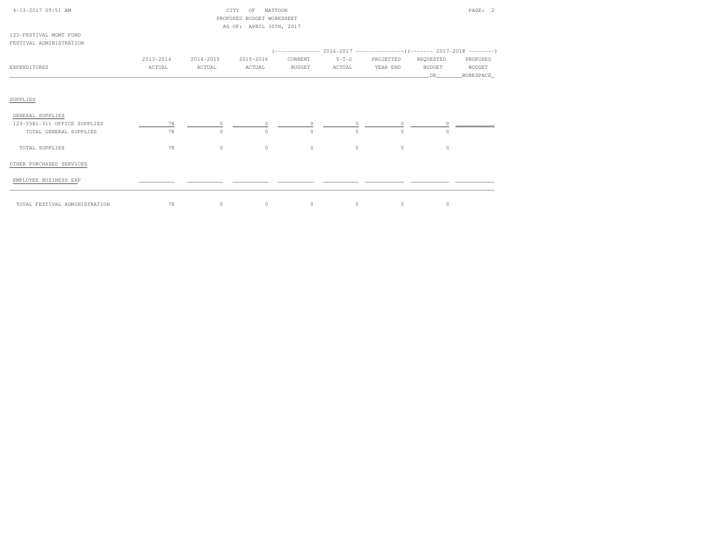|               |              | OF                |                           |                                                                                             |                   |                     | PAGE: 2                         |
|---------------|--------------|-------------------|---------------------------|---------------------------------------------------------------------------------------------|-------------------|---------------------|---------------------------------|
|               |              |                   |                           |                                                                                             |                   |                     |                                 |
|               |              |                   |                           |                                                                                             |                   |                     |                                 |
|               |              |                   |                           |                                                                                             |                   |                     |                                 |
|               |              |                   |                           |                                                                                             |                   |                     |                                 |
| $2013 - 2014$ | 2014-2015    | 2015-2016         | CURRENT                   | $Y-T-D$                                                                                     | PROJECTED         | REQUESTED           | PROPOSED                        |
|               |              |                   |                           |                                                                                             |                   |                     | <b>BUDGET</b><br>WORKSPACE      |
|               |              |                   |                           |                                                                                             |                   |                     |                                 |
|               |              |                   |                           |                                                                                             |                   |                     |                                 |
|               |              |                   |                           |                                                                                             |                   |                     |                                 |
| 78            | $\Omega$     | $\circ$           |                           | $\Omega$                                                                                    | $\circ$           | $\Omega$            |                                 |
| 78            | $\circ$      | $\circ$           | $\circ$                   | $\Omega$                                                                                    | $\circ$           | $\Omega$            |                                 |
| 78            | $\circ$      | $\circ$           | $\circ$                   | $\circ$                                                                                     | $\circ$           | $\circ$             |                                 |
|               |              |                   |                           |                                                                                             |                   |                     |                                 |
|               |              |                   |                           |                                                                                             |                   |                     |                                 |
|               |              |                   |                           |                                                                                             |                   |                     |                                 |
|               | ACTUAL<br>78 | ACTUAL<br>$\circ$ | CITY<br>ACTUAL<br>$\circ$ | MATTOON<br>PROPOSED BUDGET WORKSHEET<br>AS OF: APRIL 30TH, 2017<br><b>BUDGET</b><br>$\circ$ | ACTUAL<br>$\circ$ | YEAR END<br>$\circ$ | <b>BUDGET</b><br>DR.<br>$\circ$ |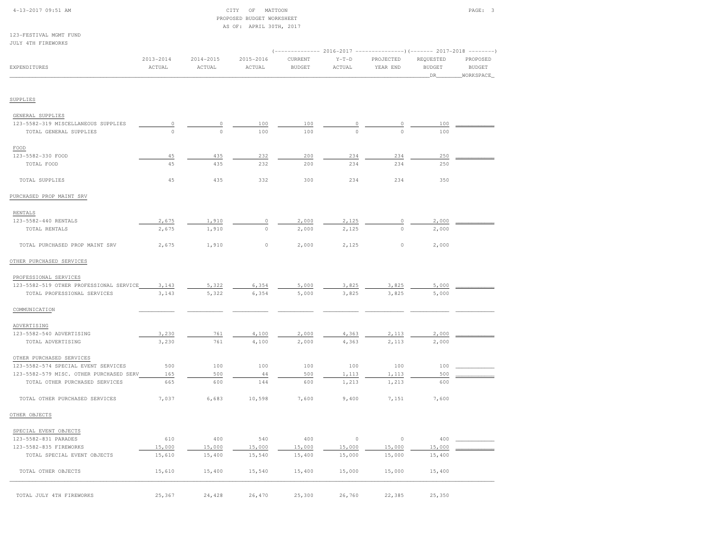| 4-13-2017 09:51 AM                      |              |               | MATTOON<br>CITY<br>ΟF                                |               |               |               |                                                                     | PAGE: 3       |
|-----------------------------------------|--------------|---------------|------------------------------------------------------|---------------|---------------|---------------|---------------------------------------------------------------------|---------------|
|                                         |              |               | PROPOSED BUDGET WORKSHEET<br>AS OF: APRIL 30TH, 2017 |               |               |               |                                                                     |               |
| 123-FESTIVAL MGMT FUND                  |              |               |                                                      |               |               |               |                                                                     |               |
| <b>JULY 4TH FIREWORKS</b>               |              |               |                                                      |               |               |               |                                                                     |               |
|                                         |              |               |                                                      |               |               |               | $(----------2016-2017$ ---------------) (------- 2017-2018 -------) |               |
|                                         | 2013-2014    | $2014 - 2015$ | 2015-2016                                            | CURRENT       | $Y-T-D$       | PROJECTED     | REQUESTED                                                           | PROPOSED      |
| EXPENDITURES                            | ACTUAL       | ACTUAL        | ACTUAL                                               | <b>BUDGET</b> | ACTUAL        | YEAR END      | <b>BUDGET</b>                                                       | <b>BUDGET</b> |
|                                         |              |               |                                                      |               |               |               | _DR_                                                                | WORKSPACE     |
| SUPPLIES                                |              |               |                                                      |               |               |               |                                                                     |               |
|                                         |              |               |                                                      |               |               |               |                                                                     |               |
| GENERAL SUPPLIES                        |              |               |                                                      |               |               |               |                                                                     |               |
| 123-5582-319 MISCELLANEOUS SUPPLIES     | 0<br>$\circ$ | 0<br>$\Omega$ | 100                                                  | 100           | 0<br>$\Omega$ | 0<br>$\Omega$ | 100                                                                 |               |
| TOTAL GENERAL SUPPLIES                  |              |               | 100                                                  | 100           |               |               | 100                                                                 |               |
| $_{\tt FOOD}$                           |              |               |                                                      |               |               |               |                                                                     |               |
| 123-5582-330 FOOD                       | 45           | 435           | 232                                                  | 200           | 234           | 234           | 250                                                                 |               |
| TOTAL FOOD                              | 45           | 435           | 232                                                  | 200           | 234           | 234           | 250                                                                 |               |
| TOTAL SUPPLIES                          | 45           | 435           | 332                                                  | 300           | 234           | 234           | 350                                                                 |               |
| PURCHASED PROP MAINT SRV                |              |               |                                                      |               |               |               |                                                                     |               |
| RENTALS                                 |              |               |                                                      |               |               |               |                                                                     |               |
| 123-5582-440 RENTALS                    | 2,675        | 1,910         | 0                                                    | 2,000         | 2,125         | $\circ$       | 2,000                                                               |               |
| TOTAL RENTALS                           | 2,675        | 1,910         | $\circ$                                              | 2,000         | 2,125         | $\circ$       | 2,000                                                               |               |
| TOTAL PURCHASED PROP MAINT SRV          | 2,675        | 1,910         | $\circ$                                              | 2,000         | 2,125         | $\circ$       | 2,000                                                               |               |
| OTHER PURCHASED SERVICES                |              |               |                                                      |               |               |               |                                                                     |               |
| PROFESSIONAL SERVICES                   |              |               |                                                      |               |               |               |                                                                     |               |
| 123-5582-519 OTHER PROFESSIONAL SERVICE | 3,143        | 5,322         | 6,354                                                | 5,000         | 3,825         | 3,825         | 5,000                                                               |               |
| TOTAL PROFESSIONAL SERVICES             | 3,143        | 5,322         | 6,354                                                | 5,000         | 3,825         | 3,825         | 5,000                                                               |               |
|                                         |              |               |                                                      |               |               |               |                                                                     |               |
| COMMUNICATION                           |              |               |                                                      |               |               |               |                                                                     |               |
| ADVERTISING                             |              |               |                                                      |               |               |               |                                                                     |               |
| 123-5582-540 ADVERTISING                | 3,230        | 761           | 4,100                                                | 2,000         | 4,363         | 2,113         | 2,000                                                               |               |
| TOTAL ADVERTISING                       | 3,230        | 761           | 4,100                                                | 2,000         | 4,363         | 2,113         | 2,000                                                               |               |
| OTHER PURCHASED SERVICES                |              |               |                                                      |               |               |               |                                                                     |               |
| 123-5582-574 SPECIAL EVENT SERVICES     | 500          | 100           | 100                                                  | 100           | 100           | 100           | 100                                                                 |               |
| 123-5582-579 MISC. OTHER PURCHASED SERV | 165          | 500           | 44                                                   | 500           | 1,113         | 1,113         | 500                                                                 |               |
| TOTAL OTHER PURCHASED SERVICES          | 665          | 600           | 144                                                  | 600           | 1,213         | 1,213         | 600                                                                 |               |
| TOTAL OTHER PURCHASED SERVICES          | 7,037        | 6,683         | 10,598                                               | 7,600         | 9,400         | 7,151         | 7,600                                                               |               |
| OTHER OBJECTS                           |              |               |                                                      |               |               |               |                                                                     |               |
| SPECIAL EVENT OBJECTS                   |              |               |                                                      |               |               |               |                                                                     |               |
| 123-5582-831 PARADES                    | 610          | 400           | 540                                                  | 400           | $\circ$       | $\circ$       | 400                                                                 |               |
| 123-5582-835 FIREWORKS                  | 15,000       | 15,000        | 15,000                                               | 15,000        | 15,000        | 15,000        | 15,000                                                              |               |
|                                         | 15,610       | 15,400        | 15,540                                               | 15,400        | 15,000        | 15,000        | 15,400                                                              |               |
| TOTAL SPECIAL EVENT OBJECTS             |              |               |                                                      |               |               |               |                                                                     |               |
|                                         |              |               |                                                      |               |               |               |                                                                     |               |
| TOTAL OTHER OBJECTS                     | 15,610       | 15,400        | 15,540                                               | 15,400        | 15,000        | 15,000        | 15,400                                                              |               |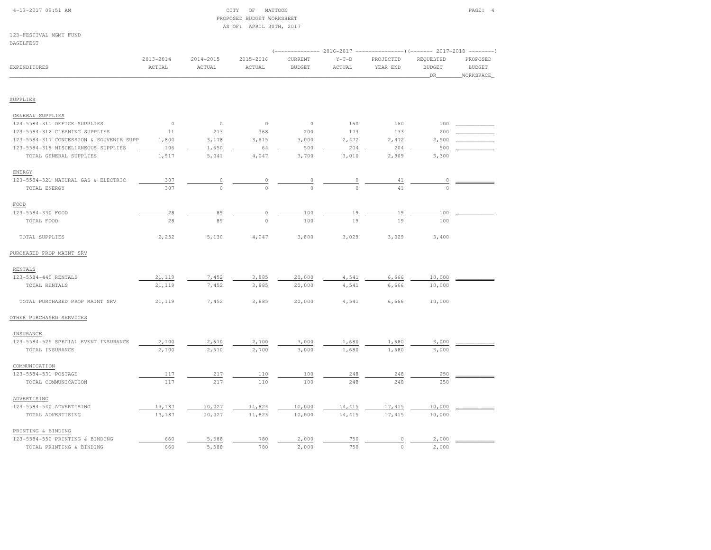| $4-13-2017$ 09:51 AM |  |
|----------------------|--|
|                      |  |

#### $CITY$  OF MATTOON PAGE: 4 PROPOSED BUDGET WORKSHEETAS OF: APRIL 30TH, 2017

123-FESTIVAL MGMT FUND

| BAGELFEST                               |                         |                         |                     |                          |                   |                                                                                              |                                   |                                        |
|-----------------------------------------|-------------------------|-------------------------|---------------------|--------------------------|-------------------|----------------------------------------------------------------------------------------------|-----------------------------------|----------------------------------------|
| EXPENDITURES                            | $2013 - 2014$<br>ACTUAL | $2014 - 2015$<br>ACTUAL | 2015-2016<br>ACTUAL | CURRENT<br><b>BUDGET</b> | $Y-T-D$<br>ACTUAL | (------------- 2016-2017 --------------------- 2017-2018 ----------<br>PROJECTED<br>YEAR END | REQUESTED<br><b>BUDGET</b><br>DR. | PROPOSED<br><b>BUDGET</b><br>WORKSPACE |
| SUPPLIES                                |                         |                         |                     |                          |                   |                                                                                              |                                   |                                        |
| GENERAL SUPPLIES                        |                         |                         |                     |                          |                   |                                                                                              |                                   |                                        |
| 123-5584-311 OFFICE SUPPLIES            | $\circ$                 | $\circ$                 | $\circ$             | $\circ$                  | 160               | 160                                                                                          | 100                               |                                        |
| 123-5584-312 CLEANING SUPPLIES          | 11                      | 213                     | 368                 | 200                      | 173               | 133                                                                                          | 200                               |                                        |
| 123-5584-317 CONCESSION & SOUVENIR SUPP | 1,800                   | 3,178                   | 3,615               | 3,000                    | 2,472             | 2,472                                                                                        | 2,500                             |                                        |
| 123-5584-319 MISCELLANEOUS SUPPLIES     | 106                     | 1,650                   | 64                  | 500                      | 204               | 204                                                                                          | 500                               |                                        |
| TOTAL GENERAL SUPPLIES                  | 1,917                   | 5,041                   | 4,047               | 3,700                    | 3,010             | 2,969                                                                                        | 3,300                             |                                        |
| ENERGY                                  |                         |                         |                     |                          |                   |                                                                                              |                                   |                                        |
| 123-5584-321 NATURAL GAS & ELECTRIC     | 307                     | $\overline{0}$          | $\overline{0}$      | $\overline{\phantom{a}}$ | $\overline{0}$    | 41                                                                                           | 0                                 |                                        |
| TOTAL ENERGY                            | 307                     | $\circ$                 | $\Omega$            | $\theta$                 | $\Omega$          | 41                                                                                           | $\circ$                           |                                        |
| FOOD                                    |                         |                         |                     |                          |                   |                                                                                              |                                   |                                        |
| 123-5584-330 FOOD                       | 28                      | 89                      | $\mathbb O$         | 100                      | 19                | 19                                                                                           | 100                               |                                        |
| TOTAL FOOD                              | 28                      | 89                      | $\circ$             | 100                      | 19                | 19                                                                                           | 100                               |                                        |
| TOTAL SUPPLIES                          | 2,252                   | 5,130                   | 4,047               | 3,800                    | 3,029             | 3,029                                                                                        | 3,400                             |                                        |
| PURCHASED PROP MAINT SRV                |                         |                         |                     |                          |                   |                                                                                              |                                   |                                        |
| RENTALS                                 |                         |                         |                     |                          |                   |                                                                                              |                                   |                                        |
| 123-5584-440 RENTALS                    | 21,119                  | 7,452                   | 3,885               | 20,000                   | 4,541             | 6,666                                                                                        | 10,000                            |                                        |
| TOTAL RENTALS                           | 21,119                  | 7,452                   | 3,885               | 20,000                   | 4,541             | 6,666                                                                                        | 10,000                            |                                        |
| TOTAL PURCHASED PROP MAINT SRV          | 21,119                  | 7,452                   | 3,885               | 20,000                   | 4,541             | 6,666                                                                                        | 10,000                            |                                        |
| OTHER PURCHASED SERVICES                |                         |                         |                     |                          |                   |                                                                                              |                                   |                                        |
| INSURANCE                               |                         |                         |                     |                          |                   |                                                                                              |                                   |                                        |
| 123-5584-525 SPECIAL EVENT INSURANCE    | 2,100                   | 2,610                   | 2,700               | 3,000                    | 1,680             | 1,680                                                                                        | 3,000                             |                                        |
| TOTAL INSURANCE                         | 2,100                   | 2,610                   | 2,700               | 3,000                    | 1,680             | 1,680                                                                                        | 3,000                             |                                        |
| COMMUNICATION                           |                         |                         |                     |                          |                   |                                                                                              |                                   |                                        |
| 123-5584-531 POSTAGE                    | 117                     | 217                     | 110                 | 100                      | 248               | 248                                                                                          | 250                               |                                        |
| TOTAL COMMUNICATION                     | 117                     | 217                     | 110                 | 100                      | 248               | 248                                                                                          | 250                               |                                        |
| ADVERTISING                             |                         |                         |                     |                          |                   |                                                                                              |                                   |                                        |
| 123-5584-540 ADVERTISING                | 13,187                  | 10,027                  | 11,823              | 10,000                   | 14,415            | 17,415                                                                                       | 10,000                            |                                        |
| TOTAL ADVERTISING                       | 13,187                  | 10,027                  | 11,823              | 10,000                   | 14,415            | 17,415                                                                                       | 10,000                            |                                        |
| PRINTING & BINDING                      |                         |                         |                     |                          |                   |                                                                                              |                                   |                                        |
| 123-5584-550 PRINTING & BINDING         | 660                     | 5,588                   | 780                 | 2,000                    | 750               | 0                                                                                            | 2,000                             |                                        |
| TOTAL PRINTING & BINDING                | 660                     | 5,588                   | 780                 | 2,000                    | 750               | $\circ$                                                                                      | 2,000                             |                                        |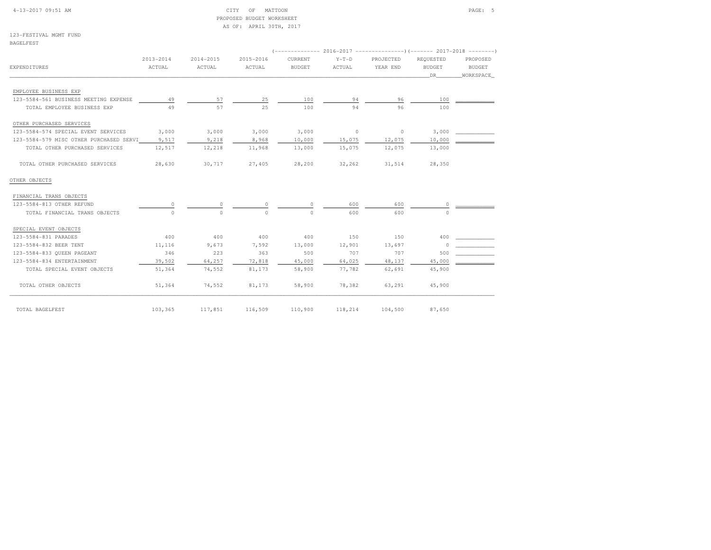| $4-13-2017$ 09:51 AM |  |  |
|----------------------|--|--|
|----------------------|--|--|

#### CITY OF MATTOON PAGE: 5 PROPOSED BUDGET WORKSHEETAS OF: APRIL 30TH, 2017

123-FESTIVAL MGMT FUNDBAGELFEST

|                                         |           |               |           |               |          | (------------- 2016-2017 --------------------- 2017-2018 --------- |           |           |
|-----------------------------------------|-----------|---------------|-----------|---------------|----------|--------------------------------------------------------------------|-----------|-----------|
|                                         | 2013-2014 | $2014 - 2015$ | 2015-2016 | CURRENT       | $Y-T-D$  | PROJECTED                                                          | REQUESTED | PROPOSED  |
| EXPENDITURES                            | ACTUAL    | ACTUAL        | ACTUAL    | <b>BUDGET</b> | ACTUAL   | YEAR END                                                           | BUDGET    | BUDGET    |
|                                         |           |               |           |               |          |                                                                    | DR        | WORKSPACE |
| EMPLOYEE BUSINESS EXP                   |           |               |           |               |          |                                                                    |           |           |
| 123-5584-561 BUSINESS MEETING EXPENSE   | 49        | 57            | 25        | 100           | 94       | 96                                                                 | 100       |           |
| TOTAL EMPLOYEE BUSINESS EXP             | 49        | 57            | 2.5       | 100           | 94       | 96                                                                 | 100       |           |
| OTHER PURCHASED SERVICES                |           |               |           |               |          |                                                                    |           |           |
| 123-5584-574 SPECIAL EVENT SERVICES     | 3,000     | 3,000         | 3,000     | 3,000         | $\sim$ 0 | $\circ$                                                            | 3,000     |           |
| 123-5584-579 MISC OTHER PURCHASED SERVI | 9,517     | 9,218         | 8,968     | 10,000        | 15,075   | 12,075                                                             | 10,000    |           |
| TOTAL OTHER PURCHASED SERVICES          | 12,517    | 12,218        | 11,968    | 13,000        | 15,075   | 12,075                                                             | 13,000    |           |
| TOTAL OTHER PURCHASED SERVICES          | 28,630    | 30,717        | 27,405    | 28,200        | 32,262   | 31,514                                                             | 28,350    |           |
| OTHER OBJECTS                           |           |               |           |               |          |                                                                    |           |           |
| FINANCIAL TRANS OBJECTS                 |           |               |           |               |          |                                                                    |           |           |
| 123-5584-813 OTHER REFUND               | 0         | $\Omega$      | 0         | $\circ$       | 600      | 600                                                                | 0         |           |
| TOTAL FINANCIAL TRANS OBJECTS           | $\cap$    | $\cap$        | $\cap$    | $\Omega$      | 600      | 600                                                                | $\cap$    |           |
| SPECIAL EVENT OBJECTS                   |           |               |           |               |          |                                                                    |           |           |
| 123-5584-831 PARADES                    | 400       | 400           | 400       | 400           | 150      | 150                                                                | 400       |           |
| 123-5584-832 BEER TENT                  | 11,116    | 9,673         | 7,592     | 13,000        | 12,901   | 13,697                                                             | $\Omega$  |           |
| 123-5584-833 QUEEN PAGEANT              | 346       | 223           | 363       | 500           | 707      | 707                                                                | 500       |           |
| 123-5584-834 ENTERTAINMENT              | 39,502    | 64,257        | 72,818    | 45,000        | 64,025   | 48,137                                                             | 45,000    |           |
| TOTAL SPECIAL EVENT OBJECTS             | 51,364    | 74,552        | 81,173    | 58,900        | 77,782   | 62,691                                                             | 45,900    |           |
| TOTAL OTHER OBJECTS                     | 51,364    | 74,552        | 81,173    | 58,900        | 78,382   | 63,291                                                             | 45,900    |           |
| TOTAL BAGELFEST                         | 103,365   | 117,851       | 116,509   | 110,900       | 118,214  | 104,500                                                            | 87,650    |           |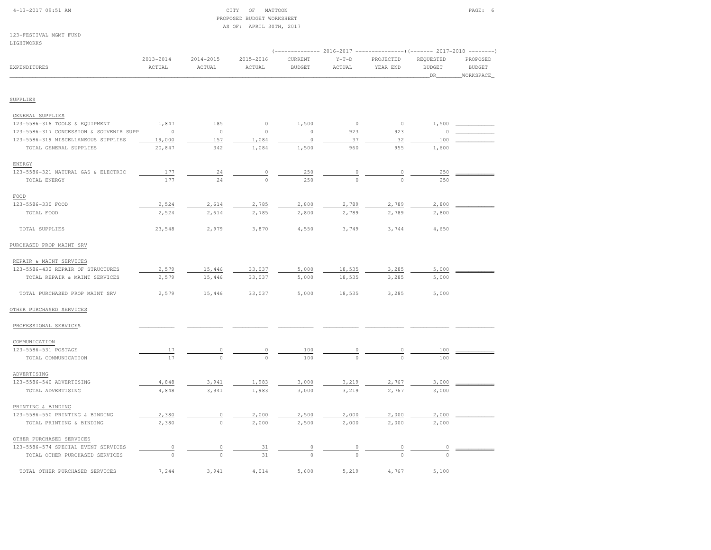|  | $4-13-2017$ 09:51 AM |  |
|--|----------------------|--|
|  |                      |  |

#### $\begin{array}{ccc} \text{CITY} & \text{OF} & \text{MATTOON} \end{array}$  PROPOSED BUDGET WORKSHEETAS OF: APRIL 30TH, 2017

123-FESTIVAL MGMT FUND

| LIGHTWORKS                              |               |               |               |               |          |             |                                                                                    |               |
|-----------------------------------------|---------------|---------------|---------------|---------------|----------|-------------|------------------------------------------------------------------------------------|---------------|
|                                         | $2013 - 2014$ | $2014 - 2015$ | $2015 - 2016$ | CURRENT       | $Y-T-D$  | PROJECTED   | $(---------- 2016-2017$ ----------------) (------- 2017-2018 -------)<br>REQUESTED | PROPOSED      |
| EXPENDITURES                            | ACTUAL        | ACTUAL        | ACTUAL        | <b>BUDGET</b> | ACTUAL   | YEAR END    | <b>BUDGET</b>                                                                      | <b>BUDGET</b> |
|                                         |               |               |               |               |          |             | DR.                                                                                | WORKSPACE     |
|                                         |               |               |               |               |          |             |                                                                                    |               |
| SUPPLIES                                |               |               |               |               |          |             |                                                                                    |               |
| GENERAL SUPPLIES                        |               |               |               |               |          |             |                                                                                    |               |
| 123-5586-316 TOOLS & EQUIPMENT          | 1,847         | 185           | $\circ$       | 1,500         | $\circ$  | $\mathbb O$ | 1,500                                                                              |               |
| 123-5586-317 CONCESSION & SOUVENIR SUPP | $\circ$       | $\circ$       | $\circ$       | $\circ$       | 923      | 923         | $\circ$                                                                            |               |
| 123-5586-319 MISCELLANEOUS SUPPLIES     | 19,000        | 157           | 1,084         | $\circ$       | 37       | 32          | 100                                                                                |               |
| TOTAL GENERAL SUPPLIES                  | 20,847        | 342           | 1,084         | 1,500         | 960      | 955         | 1,600                                                                              |               |
| ENERGY                                  |               |               |               |               |          |             |                                                                                    |               |
| 123-5586-321 NATURAL GAS & ELECTRIC     | 177           | 24            | 0             | 250           | $\circ$  | 0           | 250                                                                                |               |
| TOTAL ENERGY                            | 177           | 24            | $\Omega$      | 250           | $\circ$  | $\Omega$    | 250                                                                                |               |
| FOOD                                    |               |               |               |               |          |             |                                                                                    |               |
| 123-5586-330 FOOD                       | 2,524         | 2,614         | 2,785         | 2,800         | 2,789    | 2,789       | 2,800                                                                              |               |
| TOTAL FOOD                              | 2,524         | 2,614         | 2,785         | 2,800         | 2,789    | 2,789       | 2,800                                                                              |               |
| TOTAL SUPPLIES                          | 23,548        | 2,979         | 3,870         | 4,550         | 3,749    | 3,744       | 4,650                                                                              |               |
| PURCHASED PROP MAINT SRV                |               |               |               |               |          |             |                                                                                    |               |
|                                         |               |               |               |               |          |             |                                                                                    |               |
| REPAIR & MAINT SERVICES                 |               |               |               |               |          |             |                                                                                    |               |
| 123-5586-432 REPAIR OF STRUCTURES       | 2,579         | 15,446        | 33,037        | 5,000         | 18,535   | 3,285       | 5,000                                                                              |               |
| TOTAL REPAIR & MAINT SERVICES           | 2,579         | 15,446        | 33,037        | 5,000         | 18,535   | 3,285       | 5,000                                                                              |               |
| TOTAL PURCHASED PROP MAINT SRV          | 2,579         | 15,446        | 33,037        | 5,000         | 18,535   | 3,285       | 5,000                                                                              |               |
| OTHER PURCHASED SERVICES                |               |               |               |               |          |             |                                                                                    |               |
| PROFESSIONAL SERVICES                   |               |               |               |               |          |             |                                                                                    |               |
| COMMUNICATION                           |               |               |               |               |          |             |                                                                                    |               |
| 123-5586-531 POSTAGE                    | 17            | 0             | 0             | 100           | $\circ$  | 0           | 100                                                                                |               |
| TOTAL COMMUNICATION                     | 17            | $\circ$       | $\cap$        | 100           |          |             | 100                                                                                |               |
| ADVERTISING                             |               |               |               |               |          |             |                                                                                    |               |
| 123-5586-540 ADVERTISING                | 4,848         | 3,941         | 1,983         | 3,000         | 3,219    | 2,767       | 3,000                                                                              |               |
| TOTAL ADVERTISING                       | 4,848         | 3,941         | 1,983         | 3,000         | 3,219    | 2,767       | 3,000                                                                              |               |
| PRINTING & BINDING                      |               |               |               |               |          |             |                                                                                    |               |
| 123-5586-550 PRINTING & BINDING         | 2,380         | 0             | 2,000         | 2,500         | 2,000    | 2,000       | 2,000                                                                              |               |
| TOTAL PRINTING & BINDING                | 2,380         | $\circ$       | 2,000         | 2,500         | 2,000    | 2,000       | 2,000                                                                              |               |
| OTHER PURCHASED SERVICES                |               |               |               |               |          |             |                                                                                    |               |
| 123-5586-574 SPECIAL EVENT SERVICES     | $\circ$       | 0             | 31            |               |          |             | 0                                                                                  |               |
| TOTAL OTHER PURCHASED SERVICES          | $\circ$       | $\Omega$      | 31            | $\Omega$      | $\Omega$ | $\Omega$    | $\Omega$                                                                           |               |
|                                         |               |               |               |               |          |             |                                                                                    |               |
| TOTAL OTHER PURCHASED SERVICES          | 7,244         | 3,941         | 4,014         | 5,600         | 5,219    | 4,767       | 5,100                                                                              |               |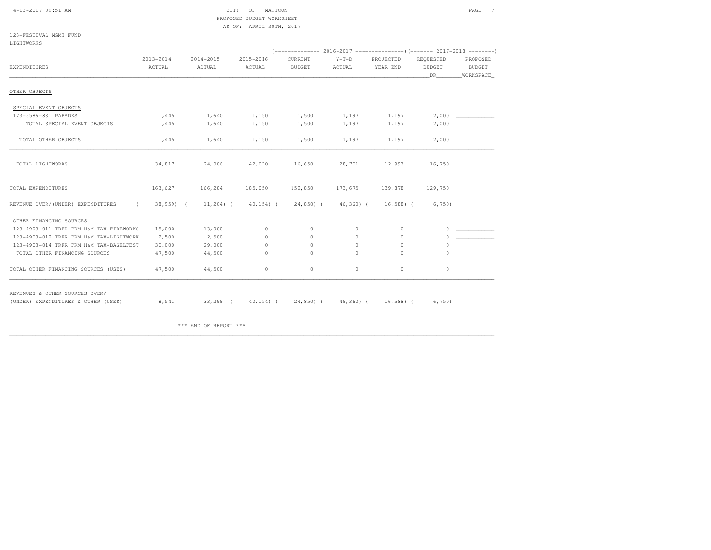| $4-13-2017$ 09:51 AM |  |  |
|----------------------|--|--|
|                      |  |  |

#### $4-13$  OF MATTOON PAGE:  $7$  PROPOSED BUDGET WORKSHEETAS OF: APRIL 30TH, 2017

123-FESTIVAL MGMT FUNDLIGHTWORKS

|                                                 | $2013 - 2014$ | $2014 - 2015$ | 2015-2016     | CURRENT       | $Y-T-D$      | PROJECTED    | REQUESTED     | PROPOSED      |
|-------------------------------------------------|---------------|---------------|---------------|---------------|--------------|--------------|---------------|---------------|
| EXPENDITURES                                    | ACTUAL        | ACTUAL        | ACTUAL        | <b>BUDGET</b> | ACTUAL       | YEAR END     | <b>BUDGET</b> | <b>BUDGET</b> |
|                                                 |               |               |               |               |              |              |               | WORKSPACE     |
|                                                 |               |               |               |               |              |              | DR            |               |
| OTHER OBJECTS                                   |               |               |               |               |              |              |               |               |
| SPECIAL EVENT OBJECTS                           |               |               |               |               |              |              |               |               |
| 123-5586-831 PARADES                            | 1,445         | 1,640         | 1,150         | 1,500         | 1,197        | 1,197        | 2,000         |               |
| TOTAL SPECIAL EVENT OBJECTS                     | 1,445         | 1,640         | 1,150         | 1,500         | 1,197        | 1,197        | 2,000         |               |
|                                                 |               |               |               |               |              |              |               |               |
| TOTAL OTHER OBJECTS                             | 1,445         | 1,640         | 1,150         | 1,500         | 1,197        | 1,197        | 2,000         |               |
|                                                 |               |               |               |               |              |              |               |               |
| TOTAL LIGHTWORKS                                | 34,817        | 24,006        | 42,070        | 16,650        | 28,701       | 12,993       | 16,750        |               |
| TOTAL EXPENDITURES                              | 163,627       | 166,284       | 185,050       | 152,850       | 173,675      | 139,878      | 129,750       |               |
|                                                 |               |               |               |               |              |              |               |               |
| REVENUE OVER/(UNDER) EXPENDITURES<br>$\epsilon$ | $38,959$ (    | $11,204$ (    | $40, 154$ ) ( | $24,850$ (    | $46,360$ (   | $16,588$ ) ( | 6,750         |               |
| OTHER FINANCING SOURCES                         |               |               |               |               |              |              |               |               |
| 123-4903-011 TRFR FRM H&M TAX-FIREWORKS         | 15,000        | 13,000        | $\circ$       | $\circ$       | $\circ$      | $\circ$      | 0             |               |
| 123-4903-012 TRFR FRM H&M TAX-LIGHTWORK         | 2,500         | 2,500         | $\circ$       | $\circ$       | $\circ$      | $\circ$      | $\Omega$      |               |
| 123-4903-014 TRFR FRM H&M TAX-BAGELFEST         | 30,000        | 29,000        | $\circ$       | $\Omega$      | 0            | $\circ$      | $\Omega$      |               |
| TOTAL OTHER FINANCING SOURCES                   | 47,500        | 44,500        | $\circ$       | $\circ$       | $\Omega$     | $\Omega$     | $\circ$       |               |
| TOTAL OTHER FINANCING SOURCES (USES)            | 47,500        | 44,500        | $\circ$       | $\circ$       | $\circ$      | $\circ$      | $\circ$       |               |
|                                                 |               |               |               |               |              |              |               |               |
| REVENUES & OTHER SOURCES OVER/                  |               |               |               |               |              |              |               |               |
| (UNDER) EXPENDITURES & OTHER (USES)             | 8,541         | $33,296$ (    | $40, 154$ ) ( | $24,850$ (    | $46,360$ ) ( | $16,588$ ) ( | 6,750         |               |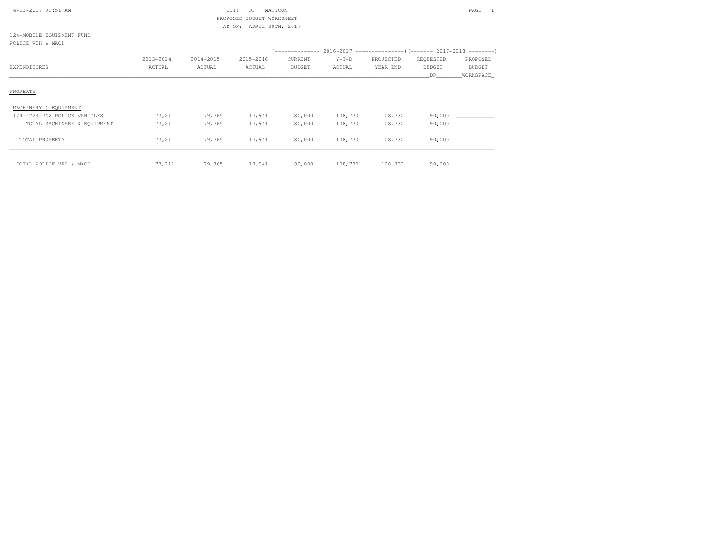| 4-13-2017 09:51 AM |  |
|--------------------|--|
|                    |  |

# $\begin{array}{ccc} \text{CITY} & \text{OF} & \text{MATION} \end{array}$  PROPOSED BUDGET WORKSHEETAS OF: APRIL 30TH, 2017

124-MOBILE EQUIPMENT FUNDPOLICE VEH & MACH

| POLICE VEH & MACH            |           |           |           |         |         |           |                     |                              |
|------------------------------|-----------|-----------|-----------|---------|---------|-----------|---------------------|------------------------------|
|                              |           |           |           |         |         |           |                     |                              |
|                              | 2013-2014 | 2014-2015 | 2015-2016 | CURRENT | $Y-T-D$ | PROJECTED | REQUESTED           | PROPOSED                     |
| EXPENDITURES                 | ACTUAL    | ACTUAL    | ACTUAL    | BUDGET  | ACTUAL  | YEAR END  | <b>BUDGET</b><br>DR | <b>BUDGET</b><br>_WORKSPACE_ |
|                              |           |           |           |         |         |           |                     |                              |
| PROPERTY                     |           |           |           |         |         |           |                     |                              |
| MACHINERY & EQUIPMENT        |           |           |           |         |         |           |                     |                              |
| 124-5223-742 POLICE VEHICLES | 73,211    | 79,765    | 17,941    | 80,000  | 108,730 | 108,730   | 90,000              |                              |
| TOTAL MACHINERY & EQUIPMENT  | 73,211    | 79,765    | 17,941    | 80,000  | 108,730 | 108,730   | 90,000              |                              |
| TOTAL PROPERTY               | 73,211    | 79,765    | 17,941    | 80,000  | 108,730 | 108,730   | 90,000              |                              |
| TOTAL POLICE VEH & MACH      | 73,211    | 79,765    | 17,941    | 80,000  | 108,730 | 108,730   | 90,000              |                              |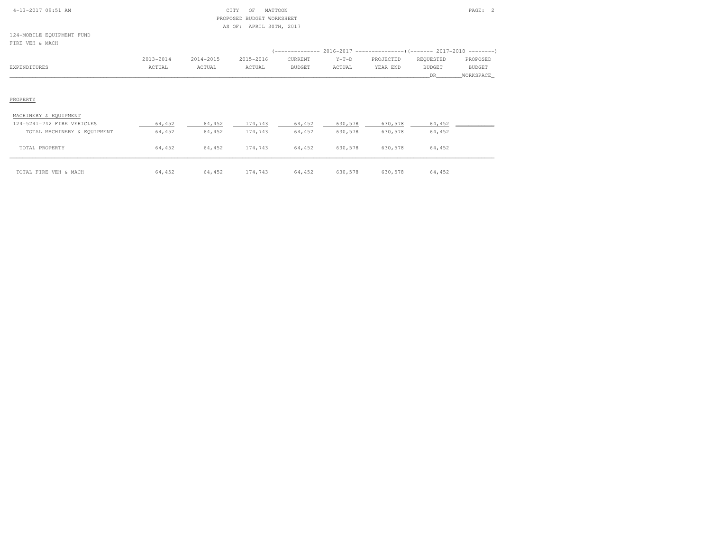| $4-13-2017$ 09:51 AM |  |
|----------------------|--|
|                      |  |

# 4-13-2017 OF MATTOON PAGE: 2 PROPOSED BUDGET WORKSHEETAS OF: APRIL 30TH, 2017

124-MOBILE EQUIPMENT FUNDFIRE VEH & MACH

|              | 2013-2014 | 2014-2015 | 2015-2016 | CURRENT | $Y-T-D$ | PROJECTED | REQUESTED | PROPOSED      |
|--------------|-----------|-----------|-----------|---------|---------|-----------|-----------|---------------|
| EXPENDITURES | ACTUAL    | ACTUAL    | ACTUAL    | BUDGET  | ACTUAL  | YEAR END  | BUDGET    | <b>BUDGET</b> |
|              |           |           |           |         |         |           |           | WORKSPACE     |
|              |           |           |           |         |         |           |           |               |
|              |           |           |           |         |         |           |           |               |

#### PROPERTY

#### MACHINERY & EQUIPMENT

| 124-5241-742 FIRE VEHICLES  | 64,452 | 64,452 | 174,743 | 64,452 | 630,578 | 630,578 | 64,452 |  |
|-----------------------------|--------|--------|---------|--------|---------|---------|--------|--|
| TOTAL MACHINERY & EQUIPMENT | 64,452 | 64,452 | 174,743 | 64,452 | 630,578 | 630,578 | 64,452 |  |
|                             |        |        |         |        |         |         |        |  |
| TOTAL PROPERTY              | 64,452 | 64,452 | 174,743 | 64,452 | 630,578 | 630,578 | 64,452 |  |
|                             |        |        |         |        |         |         |        |  |
| TOTAL FIRE VEH & MACH       | 64,452 | 64,452 | 174,743 | 64,452 | 630,578 | 630,578 | 64,452 |  |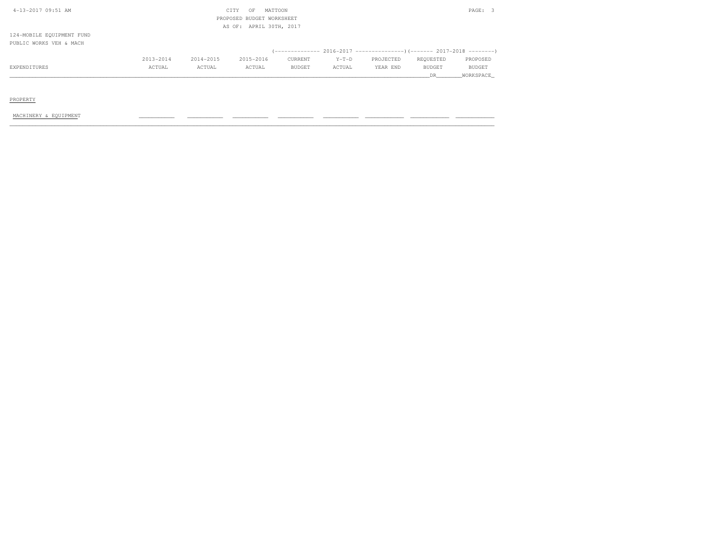| 4-13-2017 09:51 AM        |           |           | CITY<br>OF                | MATTOON                 |         |           |               | PAGE:    |  |
|---------------------------|-----------|-----------|---------------------------|-------------------------|---------|-----------|---------------|----------|--|
|                           |           |           | PROPOSED BUDGET WORKSHEET |                         |         |           |               |          |  |
|                           |           |           |                           | AS OF: APRIL 30TH, 2017 |         |           |               |          |  |
| 124-MOBILE EQUIPMENT FUND |           |           |                           |                         |         |           |               |          |  |
| PUBLIC WORKS VEH & MACH   |           |           |                           |                         |         |           |               |          |  |
|                           |           |           |                           |                         |         |           |               |          |  |
|                           | 2013-2014 | 2014-2015 | 2015-2016                 | CURRENT                 | $Y-T-D$ | PROJECTED | REOUESTED     | PROPOSED |  |
| EXPENDITURES              | ACTUAL    | ACTUAL    | ACTUAL                    | BUDGET                  | ACTUAL  | YEAR END  | <b>BUDGET</b> | BUDGET   |  |

\_\_\_\_\_\_\_\_\_\_\_\_\_\_\_\_\_\_\_\_\_\_\_\_\_\_\_\_\_\_\_\_\_\_\_\_\_\_\_\_\_\_\_\_\_\_\_\_\_\_\_\_\_\_\_\_\_\_\_\_\_\_\_\_\_\_\_\_\_\_\_\_\_\_\_\_\_\_\_\_\_\_\_\_\_\_\_\_\_\_\_\_\_\_\_\_\_\_\_\_\_\_\_\_\_\_\_\_\_\_\_\_\_\_\_\_\_\_\_\_\_\_\_\_\_\_\_\_\_\_DR\_\_\_\_\_\_\_\_WORKSPACE\_

PROPERTY

MACHINERY & EQUIPMENT \_\_\_\_\_\_\_\_\_\_\_ \_\_\_\_\_\_\_\_\_\_\_ \_\_\_\_\_\_\_\_\_\_\_ \_\_\_\_\_\_\_\_\_\_\_ \_\_\_\_\_\_\_\_\_\_\_ \_\_\_\_\_\_\_\_\_\_\_\_ \_\_\_\_\_\_\_\_\_\_\_\_ \_\_\_\_\_\_\_\_\_\_\_\_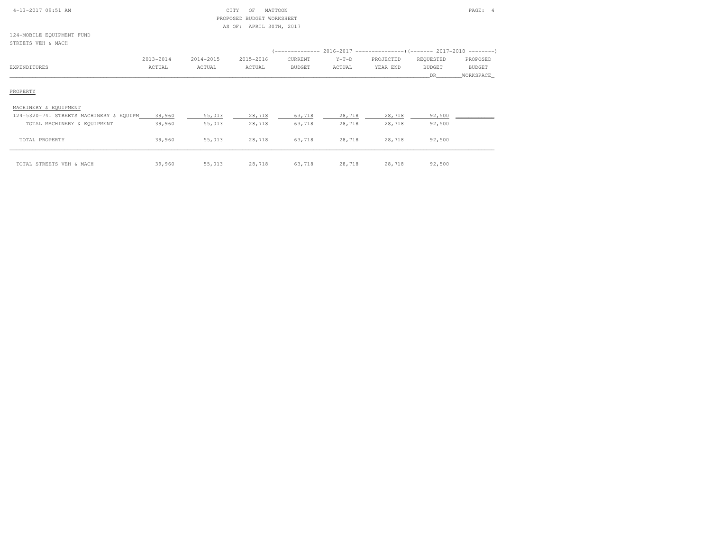|  | $4 - 13 - 2017$ 09:51 AM |  |  |
|--|--------------------------|--|--|
|--|--------------------------|--|--|

# CITY OF MATTOON PAGE: 4 PROPOSED BUDGET WORKSHEETAS OF: APRIL 30TH, 2017

124-MOBILE EQUIPMENT FUNDSTREETS VEH & MACH

| UINSSIU VEIL & MAUIL  |           |           |           |         |         |                                                                       |           |           |
|-----------------------|-----------|-----------|-----------|---------|---------|-----------------------------------------------------------------------|-----------|-----------|
|                       |           |           |           |         |         | (-------------- 2016-2017 ---------------------- 2017-2018 ---------- |           |           |
|                       | 2013-2014 | 2014-2015 | 2015-2016 | CURRENT | $Y-T-D$ | PROJECTED                                                             | REQUESTED | PROPOSED  |
| EXPENDITURES          | ACTUAL    | ACTUAL    | ACTUAL    | BUDGET  | ACTUAL  | YEAR END                                                              | BUDGET    | BUDGET    |
|                       |           |           |           |         |         |                                                                       | DR.       | WORKSPACE |
|                       |           |           |           |         |         |                                                                       |           |           |
| PROPERTY              |           |           |           |         |         |                                                                       |           |           |
|                       |           |           |           |         |         |                                                                       |           |           |
| MACHINERY & EQUIPMENT |           |           |           |         |         |                                                                       |           |           |

| 124-5320-741 STREETS MACHINERY & EQUIPM | 39,960 | 55,013 | 28,718 | 63,718 | 28,718 | 28,718 | 92,500 |  |
|-----------------------------------------|--------|--------|--------|--------|--------|--------|--------|--|
| TOTAL MACHINERY & EQUIPMENT             | 39,960 | 55,013 | 28,718 | 63,718 | 28,718 | 28,718 | 92,500 |  |
| TOTAL PROPERTY                          | 39,960 | 55,013 | 28,718 | 63,718 | 28,718 | 28,718 | 92,500 |  |
|                                         |        |        |        |        |        |        |        |  |
| TOTAL STREETS VEH & MACH                | 39,960 | 55,013 | 28,718 | 63,718 | 28,718 | 28,718 | 92,500 |  |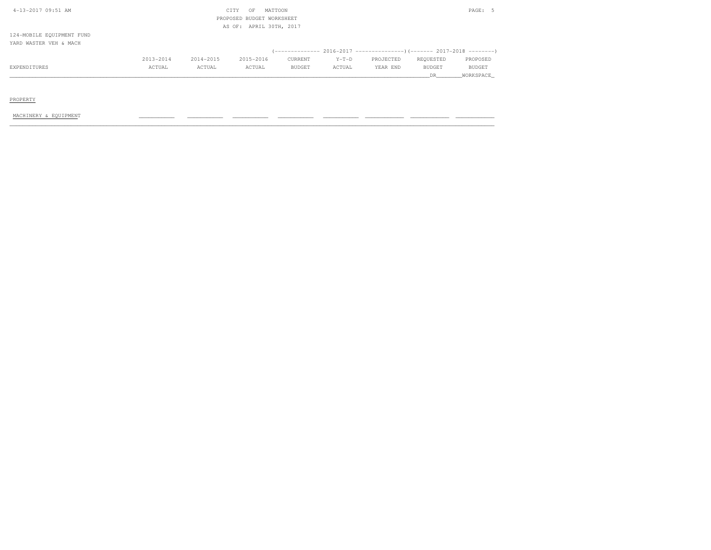| 4-13-2017 09:51 AM        |           |           | CITY<br>OF                | MATTOON       |         |           |               | PAGE: 5   |  |
|---------------------------|-----------|-----------|---------------------------|---------------|---------|-----------|---------------|-----------|--|
|                           |           |           | PROPOSED BUDGET WORKSHEET |               |         |           |               |           |  |
|                           |           |           | AS OF: APRIL 30TH, 2017   |               |         |           |               |           |  |
| 124-MOBILE EQUIPMENT FUND |           |           |                           |               |         |           |               |           |  |
| YARD WASTER VEH & MACH    |           |           |                           |               |         |           |               |           |  |
|                           |           |           |                           |               |         |           |               |           |  |
|                           | 2013-2014 | 2014-2015 | 2015-2016                 | CURRENT       | $Y-T-D$ | PROJECTED | REQUESTED     | PROPOSED  |  |
| EXPENDITURES              | ACTUAL    | ACTUAL    | ACTUAL                    | <b>BUDGET</b> | ACTUAL  | YEAR END  | <b>BUDGET</b> | BUDGET    |  |
|                           |           |           |                           |               |         |           | DR            | WORKSPACE |  |

PROPERTY

MACHINERY & EQUIPMENT \_\_\_\_\_\_\_\_\_\_\_ \_\_\_\_\_\_\_\_\_\_\_ \_\_\_\_\_\_\_\_\_\_\_ \_\_\_\_\_\_\_\_\_\_\_ \_\_\_\_\_\_\_\_\_\_\_ \_\_\_\_\_\_\_\_\_\_\_\_ \_\_\_\_\_\_\_\_\_\_\_\_ \_\_\_\_\_\_\_\_\_\_\_\_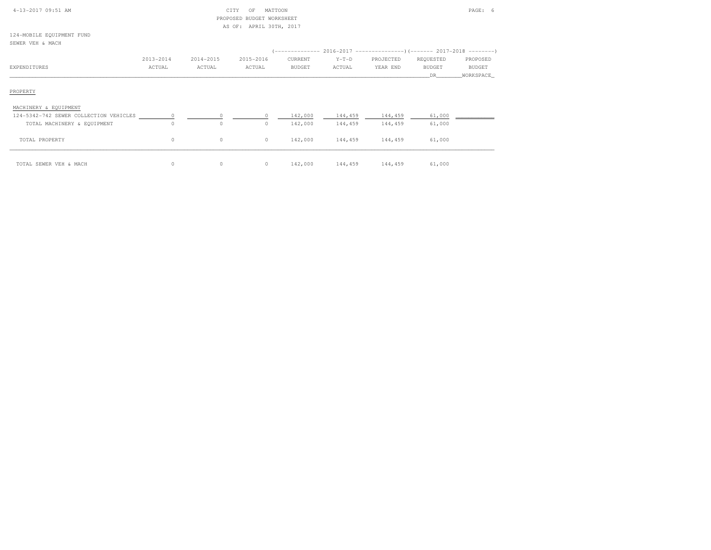| 4-13-2017 09:51 AM                       |           |           | CITY<br>OF                | MATTOON |         |           |               | PAGE: 6    |
|------------------------------------------|-----------|-----------|---------------------------|---------|---------|-----------|---------------|------------|
|                                          |           |           | PROPOSED BUDGET WORKSHEET |         |         |           |               |            |
|                                          |           |           | AS OF: APRIL 30TH, 2017   |         |         |           |               |            |
| 124-MOBILE EQUIPMENT FUND                |           |           |                           |         |         |           |               |            |
| SEWER VEH & MACH                         |           |           |                           |         |         |           |               |            |
|                                          |           |           |                           |         |         |           |               |            |
|                                          | 2013-2014 | 2014-2015 | 2015-2016                 | CURRENT | $Y-T-D$ | PROJECTED | REQUESTED     | PROPOSED   |
| EXPENDITURES                             | ACTUAL    | ACTUAL    | ACTUAL                    | BUDGET  | ACTUAL  | YEAR END  | <b>BUDGET</b> | BUDGET     |
|                                          |           |           |                           |         |         |           | DR.           | WORKSPACE_ |
| PROPERTY                                 |           |           |                           |         |         |           |               |            |
|                                          |           |           |                           |         |         |           |               |            |
| MACHINERY & EQUIPMENT                    |           |           |                           |         |         |           |               |            |
| 124-5342-742 SEWER COLLECTION VEHICLES 0 |           |           | $\circ$                   | 142,000 | 144,459 | 144,459   | 61,000        |            |
| TOTAL MACHINERY & EQUIPMENT              | $\Omega$  | $\circ$   | $\circ$                   | 142,000 | 144,459 | 144,459   | 61,000        |            |
| TOTAL PROPERTY                           | $\circ$   | $\circ$   | $\circ$                   | 142,000 | 144,459 | 144,459   | 61,000        |            |
|                                          |           |           |                           |         |         |           |               |            |
| TOTAL SEWER VEH & MACH                   | $\circ$   | $\circ$   | $\circ$                   | 142,000 | 144,459 | 144,459   | 61,000        |            |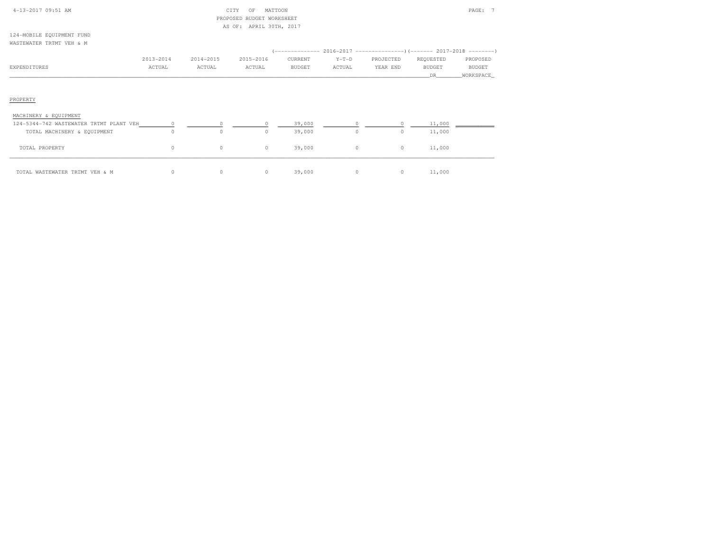| 4-13-2017 09:51 AM                      |           |           | MATTOON<br>CITY<br>OF     |               |          |                                                                            |               | PAGE: 7       |
|-----------------------------------------|-----------|-----------|---------------------------|---------------|----------|----------------------------------------------------------------------------|---------------|---------------|
|                                         |           |           | PROPOSED BUDGET WORKSHEET |               |          |                                                                            |               |               |
| 124-MOBILE EQUIPMENT FUND               |           |           | AS OF: APRIL 30TH, 2017   |               |          |                                                                            |               |               |
| WASTEWATER TRTMT VEH & M                |           |           |                           |               |          |                                                                            |               |               |
|                                         |           |           |                           |               |          | (-------------- 2016-2017 -----------------) (------- 2017-2018 ---------) |               |               |
|                                         | 2013-2014 | 2014-2015 | 2015-2016                 | CURRENT       | $Y-T-D$  | PROJECTED                                                                  | REQUESTED     | PROPOSED      |
| EXPENDITURES                            | ACTUAL    | ACTUAL    | ACTUAL                    | <b>BUDGET</b> | ACTUAL   | YEAR END                                                                   | <b>BUDGET</b> | <b>BUDGET</b> |
|                                         |           |           |                           |               |          |                                                                            | DR.           | WORKSPACE_    |
| PROPERTY<br>MACHINERY & EQUIPMENT       |           |           |                           |               |          |                                                                            |               |               |
| 124-5344-742 WASTEWATER TRTMT PLANT VEH | 0         | $\circ$   | $\circ$                   | 39,000        | $\Omega$ | $\circ$                                                                    | 11,000        |               |
| TOTAL MACHINERY & EQUIPMENT             | $\circ$   | $\circ$   | $\circ$                   | 39,000        | $\circ$  | $\circ$                                                                    | 11,000        |               |
| TOTAL PROPERTY                          | $\circ$   | $\circ$   | $\circ$                   | 39,000        | $\circ$  | $\circ$                                                                    | 11,000        |               |
| TOTAL WASTEWATER TRTMT VEH & M          | $\circ$   | $\circ$   | $\circ$                   | 39,000        | $\circ$  | $\circ$                                                                    | 11,000        |               |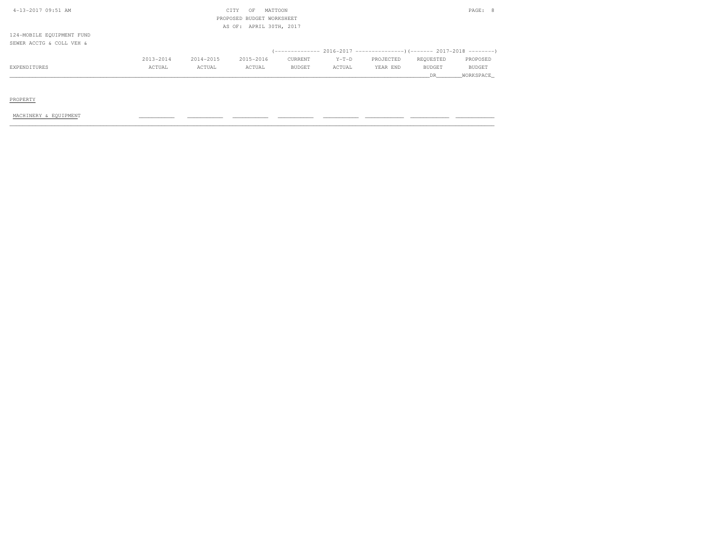| 4-13-2017 09:51 AM        |           |           | CITY<br>OF | MATTOON                   |         |           |               | PAGE: 8       |
|---------------------------|-----------|-----------|------------|---------------------------|---------|-----------|---------------|---------------|
|                           |           |           |            | PROPOSED BUDGET WORKSHEET |         |           |               |               |
|                           |           |           |            | AS OF: APRIL 30TH, 2017   |         |           |               |               |
| 124-MOBILE EQUIPMENT FUND |           |           |            |                           |         |           |               |               |
| SEWER ACCTG & COLL VEH &  |           |           |            |                           |         |           |               |               |
|                           |           |           |            |                           |         |           |               |               |
|                           | 2013-2014 | 2014-2015 | 2015-2016  | CURRENT                   | $Y-T-D$ | PROJECTED | REOUESTED     | PROPOSED      |
| EXPENDITURES              | ACTUAL    | ACTUAL    | ACTUAL     | <b>BUDGET</b>             | ACTUAL  | YEAR END  | <b>BUDGET</b> | <b>BUDGET</b> |

\_\_\_\_\_\_\_\_\_\_\_\_\_\_\_\_\_\_\_\_\_\_\_\_\_\_\_\_\_\_\_\_\_\_\_\_\_\_\_\_\_\_\_\_\_\_\_\_\_\_\_\_\_\_\_\_\_\_\_\_\_\_\_\_\_\_\_\_\_\_\_\_\_\_\_\_\_\_\_\_\_\_\_\_\_\_\_\_\_\_\_\_\_\_\_\_\_\_\_\_\_\_\_\_\_\_\_\_\_\_\_\_\_\_\_\_\_\_\_\_\_\_\_\_\_\_\_\_\_\_DR\_\_\_\_\_\_\_\_WORKSPACE\_

PROPERTY

MACHINERY & EQUIPMENT \_\_\_\_\_\_\_\_\_\_\_ \_\_\_\_\_\_\_\_\_\_\_ \_\_\_\_\_\_\_\_\_\_\_ \_\_\_\_\_\_\_\_\_\_\_ \_\_\_\_\_\_\_\_\_\_\_ \_\_\_\_\_\_\_\_\_\_\_\_ \_\_\_\_\_\_\_\_\_\_\_\_ \_\_\_\_\_\_\_\_\_\_\_\_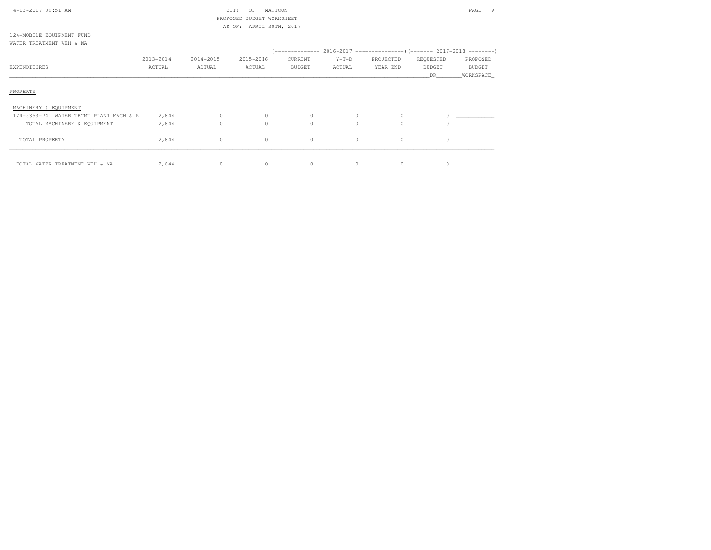| 4-13-2017 09:51 AM                      |           |           | MATTOON<br>CITY<br>OF<br>PROPOSED BUDGET WORKSHEET |          |          |           |               | PAGE: 9    |
|-----------------------------------------|-----------|-----------|----------------------------------------------------|----------|----------|-----------|---------------|------------|
| 124-MOBILE EQUIPMENT FUND               |           |           | AS OF: APRIL 30TH, 2017                            |          |          |           |               |            |
| WATER TREATMENT VEH & MA                |           |           |                                                    |          |          |           |               |            |
|                                         |           |           |                                                    |          |          |           |               |            |
|                                         | 2013-2014 | 2014-2015 | 2015-2016                                          | CURRENT  | $Y-T-D$  | PROJECTED | REQUESTED     | PROPOSED   |
| EXPENDITURES                            | ACTUAL    | ACTUAL    | ACTUAL                                             | BUDGET   | ACTUAL   | YEAR END  | <b>BUDGET</b> | BUDGET     |
|                                         |           |           |                                                    |          |          |           | DR.           | WORKSPACE_ |
| PROPERTY<br>MACHINERY & EQUIPMENT       |           |           |                                                    |          |          |           |               |            |
| 124-5353-741 WATER TRTMT PLANT MACH & E | 2,644     | $\circ$   | $\circ$                                            | $\circ$  | $\circ$  | $\circ$   |               |            |
| TOTAL MACHINERY & EQUIPMENT             | 2,644     | $\circ$   | $\circ$                                            | $\Omega$ | $\Omega$ | $\Omega$  | $\cap$        |            |
| TOTAL PROPERTY                          | 2,644     | $\circ$   | $\circ$                                            | $\circ$  | $\circ$  | $\circ$   | $\circ$       |            |
| TOTAL WATER TREATMENT VEH & MA          | 2,644     | $\circ$   | $\circ$                                            | $\circ$  | $\circ$  | $\circ$   | $\Omega$      |            |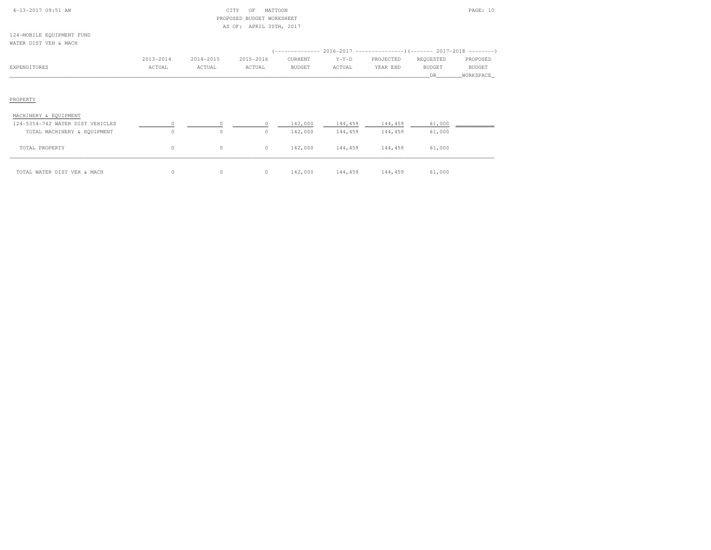| 4-13-2017 09:51 AM                                 |           |           | CITY<br>MATTOON<br>OF<br>PROPOSED BUDGET WORKSHEET |               |         |           |               | PAGE: 10      |
|----------------------------------------------------|-----------|-----------|----------------------------------------------------|---------------|---------|-----------|---------------|---------------|
|                                                    |           |           | AS OF: APRIL 30TH, 2017                            |               |         |           |               |               |
| 124-MOBILE EQUIPMENT FUND<br>WATER DIST VEH & MACH |           |           |                                                    |               |         |           |               |               |
|                                                    |           |           |                                                    |               |         |           |               |               |
|                                                    | 2013-2014 | 2014-2015 | 2015-2016                                          | CURRENT       | $Y-T-D$ | PROJECTED | REQUESTED     | PROPOSED      |
| EXPENDITURES                                       | ACTUAL    | ACTUAL    | ACTUAL                                             | <b>BUDGET</b> | ACTUAL  | YEAR END  | <b>BUDGET</b> | <b>BUDGET</b> |
|                                                    |           |           |                                                    |               |         |           | DR.           | WORKSPACE_    |
| PROPERTY                                           |           |           |                                                    |               |         |           |               |               |
| MACHINERY & EQUIPMENT                              |           |           |                                                    |               |         |           |               |               |
| 124-5354-742 WATER DIST VEHICLES                   |           | $\Omega$  |                                                    | 142,000       | 144,459 | 144,459   | 61,000        |               |
| TOTAL MACHINERY & EQUIPMENT                        | $\Omega$  | $\circ$   | $\Omega$                                           | 142,000       | 144,459 | 144,459   | 61,000        |               |
| TOTAL PROPERTY                                     | $\circ$   | 0         | $\circ$                                            | 142,000       | 144,459 | 144,459   | 61,000        |               |

\_\_\_\_\_\_\_\_\_\_\_\_\_\_\_\_\_\_\_\_\_\_\_\_\_\_\_\_\_\_\_\_\_\_\_\_\_\_\_\_\_\_\_\_\_\_\_\_\_\_\_\_\_\_\_\_\_\_\_\_\_\_\_\_\_\_\_\_\_\_\_\_\_\_\_\_\_\_\_\_\_\_\_\_\_\_\_\_\_\_\_\_\_\_\_\_\_\_\_\_\_\_\_\_\_\_\_\_\_\_\_\_\_\_\_\_\_\_\_\_\_\_\_\_\_\_\_\_\_\_\_\_\_\_\_\_\_\_\_\_\_\_\_\_\_\_\_\_\_\_ TOTAL WATER DIST VEH & MACH 0 0 0 142,000 144,459 144,459 61,000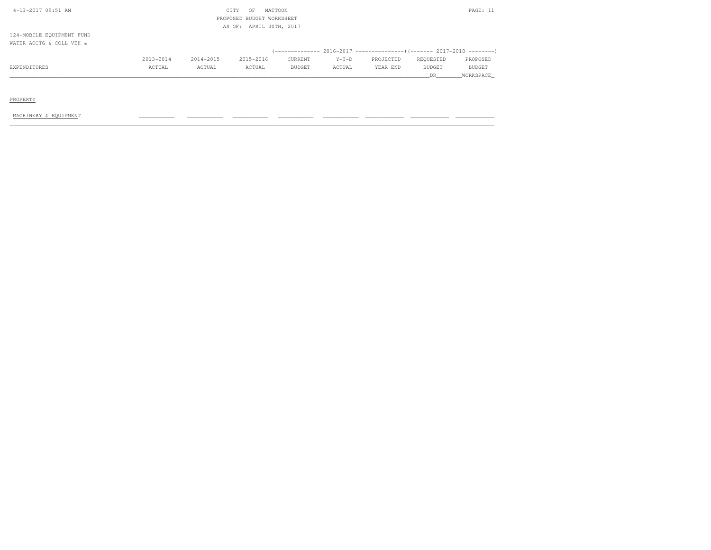| EXPENDITURES              | ACTUAL    | ACTUAL    | ACTUAL                    | <b>BUDGET</b>           | ACTUAL  | YEAR END  | <b>BUDGET</b> | <b>BUDGET</b> |
|---------------------------|-----------|-----------|---------------------------|-------------------------|---------|-----------|---------------|---------------|
|                           | 2013-2014 | 2014-2015 | 2015-2016                 | CURRENT                 | $Y-T-D$ | PROJECTED | REOUESTED     | PROPOSED      |
|                           |           |           |                           |                         |         |           |               |               |
| WATER ACCTG & COLL VEH &  |           |           |                           |                         |         |           |               |               |
| 124-MOBILE EQUIPMENT FUND |           |           |                           |                         |         |           |               |               |
|                           |           |           |                           | AS OF: APRIL 30TH, 2017 |         |           |               |               |
|                           |           |           | PROPOSED BUDGET WORKSHEET |                         |         |           |               |               |
| 4-13-2017 09:51 AM        |           |           | CITY<br>OF                | MATTOON                 |         |           |               | PAGE: 11      |
|                           |           |           |                           |                         |         |           |               |               |

\_\_\_\_\_\_\_\_\_\_\_\_\_\_\_\_\_\_\_\_\_\_\_\_\_\_\_\_\_\_\_\_\_\_\_\_\_\_\_\_\_\_\_\_\_\_\_\_\_\_\_\_\_\_\_\_\_\_\_\_\_\_\_\_\_\_\_\_\_\_\_\_\_\_\_\_\_\_\_\_\_\_\_\_\_\_\_\_\_\_\_\_\_\_\_\_\_\_\_\_\_\_\_\_\_\_\_\_\_\_\_\_\_\_\_\_\_\_\_\_\_\_\_\_\_\_\_\_\_\_DR\_\_\_\_\_\_\_\_WORKSPACE\_

PROPERTY

MACHINERY & EQUIPMENT \_\_\_\_\_\_\_\_\_\_\_ \_\_\_\_\_\_\_\_\_\_\_ \_\_\_\_\_\_\_\_\_\_\_ \_\_\_\_\_\_\_\_\_\_\_ \_\_\_\_\_\_\_\_\_\_\_ \_\_\_\_\_\_\_\_\_\_\_\_ \_\_\_\_\_\_\_\_\_\_\_\_ \_\_\_\_\_\_\_\_\_\_\_\_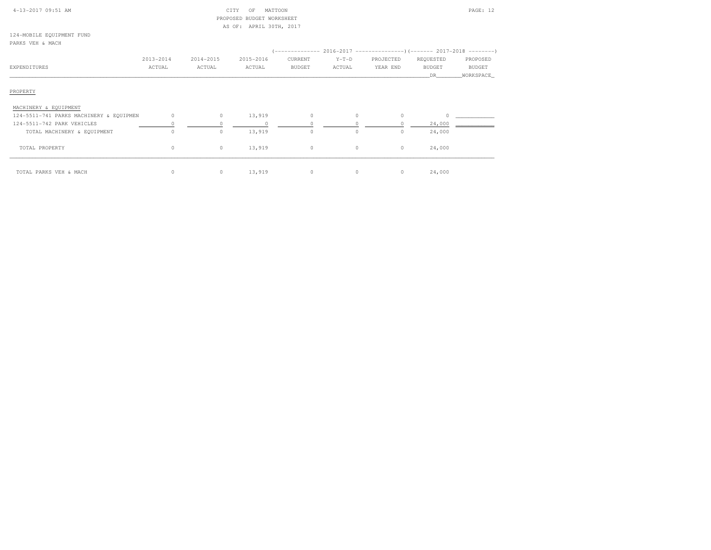| 4-13-2017 09:51 AM                      |           |           | CITY<br>MATTOON<br>OF     |         |         |           |               | PAGE: 12   |
|-----------------------------------------|-----------|-----------|---------------------------|---------|---------|-----------|---------------|------------|
|                                         |           |           | PROPOSED BUDGET WORKSHEET |         |         |           |               |            |
|                                         |           |           | AS OF: APRIL 30TH, 2017   |         |         |           |               |            |
| 124-MOBILE EQUIPMENT FUND               |           |           |                           |         |         |           |               |            |
| PARKS VEH & MACH                        |           |           |                           |         |         |           |               |            |
|                                         |           |           |                           |         |         |           |               |            |
|                                         | 2013-2014 | 2014-2015 | 2015-2016                 | CURRENT | $Y-T-D$ | PROJECTED | REQUESTED     | PROPOSED   |
| <b>EXPENDITURES</b>                     | ACTUAL    | ACTUAL    | ACTUAL                    | BUDGET  | ACTUAL  | YEAR END  | <b>BUDGET</b> | BUDGET     |
|                                         |           |           |                           |         |         |           | DR            | WORKSPACE_ |
| PROPERTY<br>MACHINERY & EQUIPMENT       |           |           |                           |         |         |           |               |            |
| 124-5511-741 PARKS MACHINERY & EQUIPMEN | $\circ$   | $\circ$   | 13,919                    | $\circ$ | $\circ$ | $\circ$   | $\Omega$      |            |
| 124-5511-742 PARK VEHICLES              |           |           | $\circ$                   |         |         |           | 24,000        |            |
| TOTAL MACHINERY & EQUIPMENT             | $\circ$   | $\circ$   | 13,919                    | $\circ$ | $\circ$ | $\circ$   | 24,000        |            |
| TOTAL PROPERTY                          | $\circ$   | $\circ$   | 13,919                    | $\circ$ | $\circ$ | $\circ$   | 24,000        |            |
| TOTAL PARKS VEH & MACH                  | $\circ$   | $\circ$   | 13,919                    | $\circ$ | $\circ$ | $\circ$   | 24,000        |            |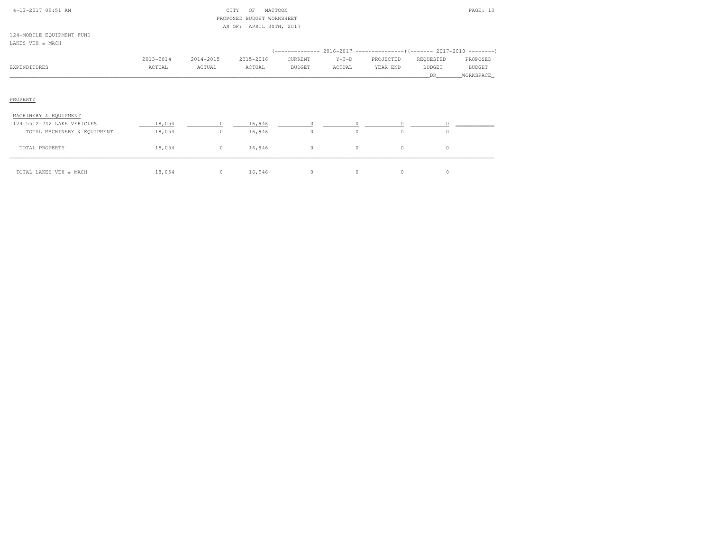| $4 - 13 - 2017$ 09:51 AM |  |
|--------------------------|--|

# $\begin{array}{ccc} \text{CITY} & \text{OF} & \text{MATION} \end{array}$  PROPOSED BUDGET WORKSHEETAS OF: APRIL 30TH, 2017

124-MOBILE EQUIPMENT FUNDLAKES VEH & MACH

| LAKES VEH & MACH                                    |                     |                     |                     |                          |                     |                                                                                                     |                                   |                                         |
|-----------------------------------------------------|---------------------|---------------------|---------------------|--------------------------|---------------------|-----------------------------------------------------------------------------------------------------|-----------------------------------|-----------------------------------------|
| EXPENDITURES                                        | 2013-2014<br>ACTUAL | 2014-2015<br>ACTUAL | 2015-2016<br>ACTUAL | CURRENT<br><b>BUDGET</b> | $Y-T-D$<br>ACTUAL   | (-------------- 2016-2017 -----------------) (------- 2017-2018 ---------)<br>PROJECTED<br>YEAR END | REQUESTED<br><b>BUDGET</b><br>DR. | PROPOSED<br><b>BUDGET</b><br>WORKSPACE_ |
| PROPERTY                                            |                     |                     |                     |                          |                     |                                                                                                     |                                   |                                         |
| MACHINERY & EQUIPMENT<br>124-5512-742 LAKE VEHICLES | 18,054              | $\circ$             | 16,946              | $\circ$                  | $\circ$             | $\circ$                                                                                             |                                   |                                         |
| TOTAL MACHINERY & EQUIPMENT<br>TOTAL PROPERTY       | 18,054<br>18,054    | $\circ$<br>$\circ$  | 16,946<br>16,946    | $\circ$<br>$\circ$       | $\Omega$<br>$\circ$ | $\circ$<br>$\circ$                                                                                  | $\Omega$<br>$\circ$               |                                         |
| TOTAL LAKES VEH & MACH                              | 18,054              | $\circ$             | 16,946              | $\circ$                  | $\circ$             | $\circ$                                                                                             | 0                                 |                                         |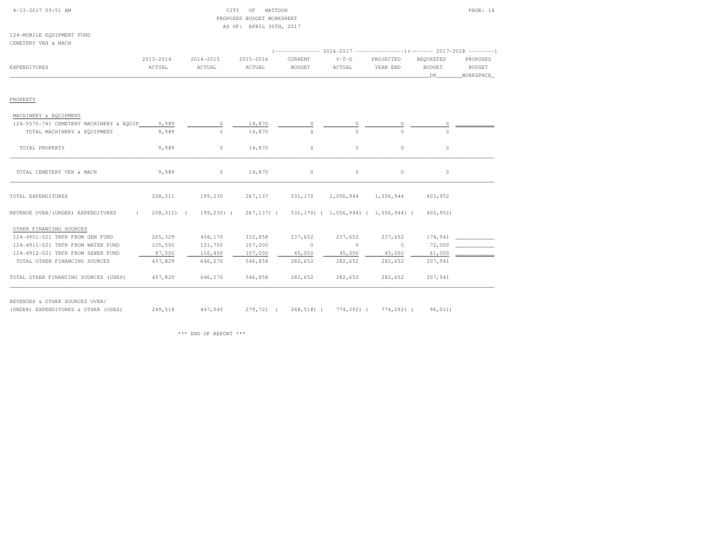|  | $4-13-2017$ 09:51 AM |  |
|--|----------------------|--|

#### $\begin{array}{ccc} \text{CITY} & \text{OF} & \text{MATTOON} \end{array}$  PROPOSED BUDGET WORKSHEETAS OF: APRIL 30TH, 2017

124-MOBILE EQUIPMENT FUNDCEMETERY VEH & MACH

| <b>EXPENDITURES</b>                     | $2013 - 2014$<br>ACTUAL | 2014-2015<br>ACTUAL     | 2015-2016<br>ACTUAL | CURRENT<br><b>BUDGET</b> | $Y-T-D$<br>ACTUAL | PROJECTED<br>YEAR END                | REQUESTED<br><b>BUDGET</b><br>DR 1 | PROPOSED<br><b>BUDGET</b><br>WORKSPACE |
|-----------------------------------------|-------------------------|-------------------------|---------------------|--------------------------|-------------------|--------------------------------------|------------------------------------|----------------------------------------|
| PROPERTY                                |                         |                         |                     |                          |                   |                                      |                                    |                                        |
| MACHINERY & EQUIPMENT                   |                         |                         |                     |                          |                   |                                      |                                    |                                        |
| 124-5570-741 CEMETERY MACHINERY & EQUIP | 9,989                   | $\circ$                 | 14,870              | $\circ$                  | $\circ$           | $\circ$                              | 0                                  |                                        |
| TOTAL MACHINERY & EQUIPMENT             | 9,989                   | $\circ$                 | 14,870              | $\circ$                  | $\Omega$          | $\cap$                               | $\Omega$                           |                                        |
| TOTAL PROPERTY                          | 9,989                   | $\circ$                 | 14,870              | $\circ$                  | $\circ$           | $\circ$                              | $\circ$                            |                                        |
| TOTAL CEMETERY VEH & MACH               | 9,989                   | $\circ$                 | 14,870              | $\circ$                  | $\circ$           | $\circ$                              | $\circ$                            |                                        |
| TOTAL EXPENDITURES                      | 208,311                 | 199,230                 | 267,137             | 531,170                  | 1,056,944         | 1,056,944                            | 403,952                            |                                        |
| REVENUE OVER/(UNDER) EXPENDITURES       | $\sqrt{2}$              | 208, 311) ( 199, 230) ( | $267, 137$ ) (      |                          |                   | 531,170) ( 1,056,944) ( 1,056,944) ( | 403,952)                           |                                        |
| OTHER FINANCING SOURCES                 |                         |                         |                     |                          |                   |                                      |                                    |                                        |
| 124-4901-021 TRFR FROM GEN FUND         | 265,329                 | 408,170                 | 332,858             | 237,652                  | 237,652           | 237,652                              | 174,941                            |                                        |
| 124-4911-021 TRFR FROM WATER FUND       | 105,500                 | 121,700                 | 107,000             | $\sim$ 0                 | $\bigcirc$        | $\circ$                              | 72,000                             |                                        |
| 124-4912-021 TRFR FROM SEWER FUND       | 87,000                  | 116,400                 | 107,000             | 45,000                   | 45,000            | 45,000                               | 61,000                             |                                        |
| TOTAL OTHER FINANCING SOURCES           | 457,829                 | 646,270                 | 546,858             | 282,652                  | 282,652           | 282,652                              | 307,941                            |                                        |
| TOTAL OTHER FINANCING SOURCES (USES)    | 457,829                 | 646,270                 | 546,858             | 282,652                  | 282,652           | 282,652                              | 307,941                            |                                        |

(UNDER) EXPENDITURES & OTHER (USES) 249,518 447,040 279,721 ( 248,518) ( 774,292) ( 774,292) ( 96,011)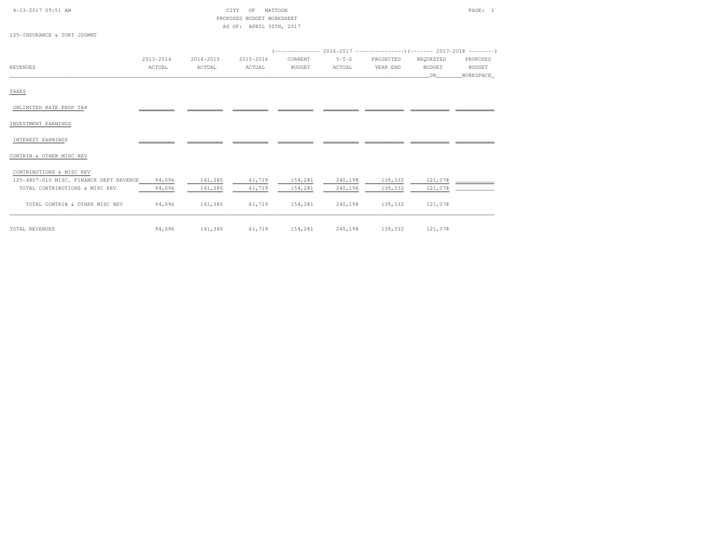| 4-13-2017 09:51 AM                      |           |           | MATTOON<br>CITY<br>OF     |               |         |           |               | PAGE: 1       |
|-----------------------------------------|-----------|-----------|---------------------------|---------------|---------|-----------|---------------|---------------|
|                                         |           |           | PROPOSED BUDGET WORKSHEET |               |         |           |               |               |
| 125-INSURANCE & TORT JDGMNT             |           |           | AS OF: APRIL 30TH, 2017   |               |         |           |               |               |
|                                         |           |           |                           |               |         |           |               |               |
|                                         |           |           |                           |               |         |           |               |               |
|                                         | 2013-2014 | 2014-2015 | 2015-2016                 | CURRENT       | $Y-T-D$ | PROJECTED | REQUESTED     | PROPOSED      |
| <b>REVENUES</b>                         | ACTUAL    | ACTUAL    | ACTUAL                    | <b>BUDGET</b> | ACTUAL  | YEAR END  | <b>BUDGET</b> | <b>BUDGET</b> |
|                                         |           |           |                           |               |         |           | <b>DR</b>     | WORKSPACE     |
| TAXES                                   |           |           |                           |               |         |           |               |               |
| UNLIMITED RATE PROP TAX                 |           |           |                           |               |         |           |               |               |
| INVESTMENT EARNINGS                     |           |           |                           |               |         |           |               |               |
| INTEREST EARNINGS                       |           |           |                           |               |         |           |               |               |
| CONTRIB & OTHER MISC REV                |           |           |                           |               |         |           |               |               |
| CONTRIBUTIONS & MISC REV                |           |           |                           |               |         |           |               |               |
| 125-4807-010 MISC. FINANCE DEPT REVENUE | 94,096    | 141,380   | 61,719                    | 154,281       | 240,198 | 139,332   | 121,078       |               |
| TOTAL CONTRIBUTIONS & MISC REV          | 94,096    | 141,380   | 61,719                    | 154,281       | 240,198 | 139,332   | 121,078       |               |
| TOTAL CONTRIB & OTHER MISC REV          | 94,096    | 141,380   | 61,719                    | 154,281       | 240,198 | 139,332   | 121,078       |               |
|                                         |           |           |                           |               |         |           |               |               |

TOTAL REVENUES 94,096 141,380 61,719 154,281 240,198 139,332 121,078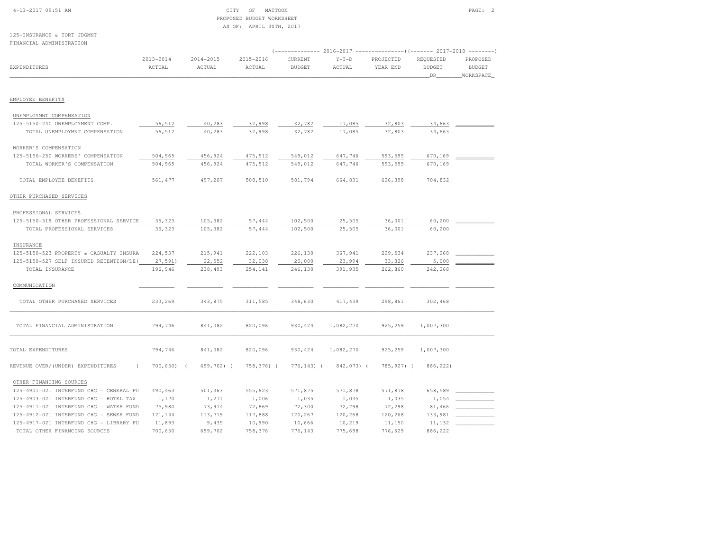| $4-13-2017$ 09:51 AM |  |  |
|----------------------|--|--|
|                      |  |  |

# CITY OF MATTOON PAGE: 2 PROPOSED BUDGET WORKSHEETAS OF: APRIL 30TH, 2017

125-INSURANCE & TORT JDGMNTFINANCIAL ADMINISTRATION

| FINANCIAL ADMINISIKAIION                                          |                         |                     |                     |                          |                   |                       |                                   |                                                                      |
|-------------------------------------------------------------------|-------------------------|---------------------|---------------------|--------------------------|-------------------|-----------------------|-----------------------------------|----------------------------------------------------------------------|
| EXPENDITURES                                                      | $2013 - 2014$<br>ACTUAL | 2014-2015<br>ACTUAL | 2015-2016<br>ACTUAL | CURRENT<br><b>BUDGET</b> | $Y-T-D$<br>ACTUAL | PROJECTED<br>YEAR END | REQUESTED<br><b>BUDGET</b><br>DR_ | $\cdots - - - - - - - - -$<br>PROPOSED<br><b>BUDGET</b><br>WORKSPACE |
| EMPLOYEE BENEFITS                                                 |                         |                     |                     |                          |                   |                       |                                   |                                                                      |
|                                                                   |                         |                     |                     |                          |                   |                       |                                   |                                                                      |
| UNEMPLOYMNT COMPENSATION                                          |                         |                     |                     |                          |                   |                       |                                   |                                                                      |
| 125-5150-240 UNEMPLOYMENT COMP.<br>TOTAL UNEMPLOYMNT COMPENSATION | 56,512<br>56,512        | 40,283<br>40,283    | 32,998<br>32,998    | 32,782<br>32,782         | 17,085<br>17,085  | 32,803<br>32,803      | 34,663<br>34,663                  |                                                                      |
| WORKER'S COMPENSATION                                             |                         |                     |                     |                          |                   |                       |                                   |                                                                      |
| 125-5150-250 WORKERS' COMPENSATION                                | 504,965                 | 456,924             | 475,512             | 549,012                  | 647,746           | 593,595               | 670,169                           |                                                                      |
| TOTAL WORKER'S COMPENSATION                                       | 504,965                 | 456,924             | 475,512             | 549,012                  | 647,746           | 593,595               | 670,169                           |                                                                      |
| TOTAL EMPLOYEE BENEFITS                                           | 561, 477                | 497,207             | 508,510             | 581,794                  | 664,831           | 626,398               | 704,832                           |                                                                      |
| OTHER PURCHASED SERVICES                                          |                         |                     |                     |                          |                   |                       |                                   |                                                                      |
| PROFESSIONAL SERVICES                                             |                         |                     |                     |                          |                   |                       |                                   |                                                                      |
| 125-5150-519 OTHER PROFESSIONAL SERVICE                           | 36,323                  | 105,382             | 57,444              | 102,500                  | 25,505            | 36,001                | 60,200                            |                                                                      |
| TOTAL PROFESSIONAL SERVICES                                       | 36,323                  | 105,382             | 57,444              | 102,500                  | 25,505            | 36,001                | 60,200                            |                                                                      |
| INSURANCE                                                         |                         |                     |                     |                          |                   |                       |                                   |                                                                      |
| 125-5150-523 PROPERTY & CASUALTY INSURA                           | 224,537                 | 215,941             | 222,103             | 226,130                  | 367,941           | 229,534               | 237,268                           |                                                                      |
| 125-5150-527 SELF INSURED RETENTION/DE(                           | 27,591)                 | 22,552              | 32,038              | 20,000                   | 23,994            | 33,326                | 5,000                             |                                                                      |
| TOTAL INSURANCE                                                   | 196,946                 | 238,493             | 254,141             | 246,130                  | 391,935           | 262,860               | 242,268                           |                                                                      |
| COMMUNICATION                                                     |                         |                     |                     |                          |                   |                       |                                   |                                                                      |
| TOTAL OTHER PURCHASED SERVICES                                    | 233,269                 | 343,875             | 311,585             | 348,630                  | 417,439           | 298,861               | 302,468                           |                                                                      |
| TOTAL FINANCIAL ADMINISTRATION                                    | 794,746                 | 841,082             | 820,096             | 930, 424                 | 1,082,270         | 925,259               | 1,007,300                         |                                                                      |
| TOTAL EXPENDITURES                                                | 794,746                 | 841,082             | 820,096             | 930, 424                 | 1,082,270         | 925,259               | 1,007,300                         |                                                                      |
| REVENUE OVER/(UNDER) EXPENDITURES                                 | 700, 650<br>$\sqrt{ }$  | 699,702) (          | 758,376) (          | $776, 143)$ (            | 842,073) (        | 785,927) (            | 886,222)                          |                                                                      |
| OTHER FINANCING SOURCES                                           |                         |                     |                     |                          |                   |                       |                                   |                                                                      |
| 125-4901-021 INTERFUND CHG - GENERAL FU                           | 490,463                 | 501,363             | 555,623             | 571,875                  | 571,878           | 571,878               | 658,589                           |                                                                      |
| 125-4903-021 INTERFUND CHG - HOTEL TAX                            | 1,170                   | 1,271               | 1,006               | 1,035                    | 1,035             | 1,035                 | 1,054                             |                                                                      |
| 125-4911-021 INTERFUND CHG - WATER FUND                           | 75,980                  | 73,914              | 72,869              | 72,300                   | 72,298            | 72,298                | 81,466                            |                                                                      |
| 125-4912-021 INTERFUND CHG - SEWER FUND                           | 121,144                 | 113,719             | 117,888             | 120,267                  | 120,268           | 120,268               | 133,981                           |                                                                      |
| 125-4917-021 INTERFUND CHG - LIBRARY FU                           | 11,893                  | 9,435               | 10,990              | 10,666                   | 10,219            | 11,150                | 11,132                            |                                                                      |
| TOTAL OTHER FINANCING SOURCES                                     | 700,650                 | 699,702             | 758,376             | 776,143                  | 775,698           | 776,629               | 886,222                           |                                                                      |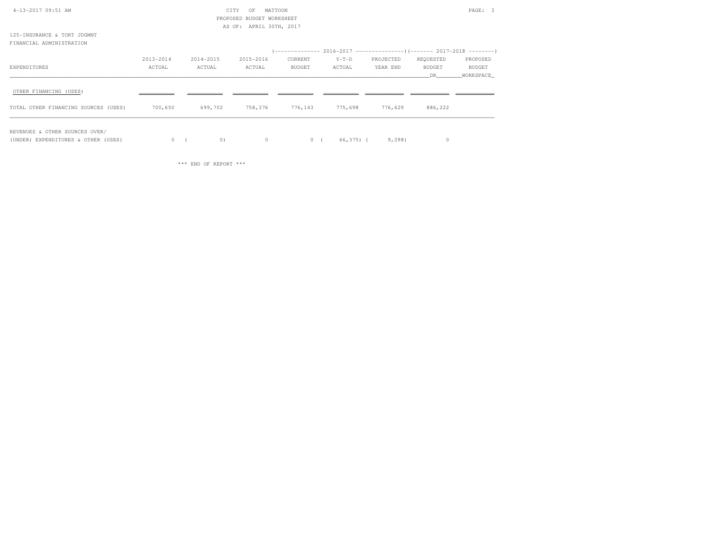| 4-13-2017 09:51 AM                   |           |           | CITY<br>MATTOON<br>OF     |         |         |                                                                       |           | PAGE: 3   |
|--------------------------------------|-----------|-----------|---------------------------|---------|---------|-----------------------------------------------------------------------|-----------|-----------|
|                                      |           |           | PROPOSED BUDGET WORKSHEET |         |         |                                                                       |           |           |
|                                      |           |           | AS OF: APRIL 30TH, 2017   |         |         |                                                                       |           |           |
| 125-INSURANCE & TORT JDGMNT          |           |           |                           |         |         |                                                                       |           |           |
| FINANCIAL ADMINISTRATION             |           |           |                           |         |         |                                                                       |           |           |
|                                      |           |           |                           |         |         | (-------------- 2016-2017 --------------------- 2017-2018 --------- ) |           |           |
|                                      | 2013-2014 | 2014-2015 | 2015-2016                 | CURRENT | $Y-T-D$ | PROJECTED                                                             | REQUESTED | PROPOSED  |
| EXPENDITURES                         | ACTUAL    | ACTUAL    | ACTUAL                    | BUDGET  | ACTUAL  | YEAR END                                                              | BUDGET    | BUDGET    |
|                                      |           |           |                           |         |         |                                                                       | DR.       | WORKSPACE |
| OTHER FINANCING (USES)               |           |           |                           |         |         |                                                                       |           |           |
| TOTAL OTHER FINANCING SOURCES (USES) | 700,650   | 699,702   | 758,376                   | 776,143 | 775,698 | 776,629                                                               | 886,222   |           |
|                                      |           |           |                           |         |         |                                                                       |           |           |

REVENUES & OTHER SOURCES OVER/

(UNDER) EXPENDITURES & OTHER (USES) 0 ( 0) 0 0 ( 66,375) ( 9,298) 0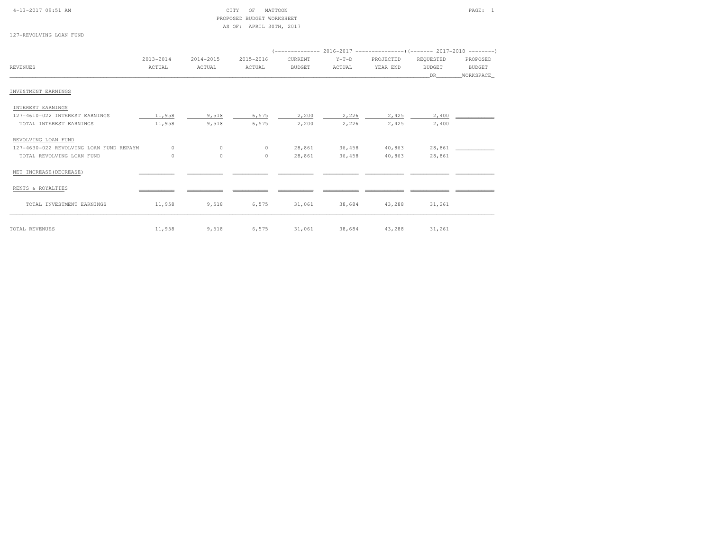| $4-13-2017$ 09:51 AM |  |  |  |  |
|----------------------|--|--|--|--|
|                      |  |  |  |  |

# CITY OF MATTOON PAGE: 1 PROPOSED BUDGET WORKSHEETAS OF: APRIL 30TH, 2017

127-REVOLVING LOAN FUND

|                                         | $2013 - 2014$ | 2014-2015 | 2015-2016     | CURRENT       | $Y-T-D$ | PROJECTED | REQUESTED     | PROPOSED      |
|-----------------------------------------|---------------|-----------|---------------|---------------|---------|-----------|---------------|---------------|
| REVENUES                                | ACTUAL        | ACTUAL    | ACTUAL        | <b>BUDGET</b> | ACTUAL  | YEAR END  | <b>BUDGET</b> | <b>BUDGET</b> |
|                                         |               |           |               |               |         |           | DR.           | WORKSPACE     |
|                                         |               |           |               |               |         |           |               |               |
| INVESTMENT EARNINGS                     |               |           |               |               |         |           |               |               |
| INTEREST EARNINGS                       |               |           |               |               |         |           |               |               |
| 127-4610-022 INTEREST EARNINGS          | 11,958        | 9,518     | 6,575         | 2,200         | 2,226   | 2,425     | 2,400         |               |
| TOTAL INTEREST EARNINGS                 | 11,958        | 9,518     | 6,575         | 2,200         | 2,226   | 2,425     | 2,400         |               |
| REVOLVING LOAN FUND                     |               |           |               |               |         |           |               |               |
| 127-4630-022 REVOLVING LOAN FUND REPAYM |               | $\circ$   | $\mathcal{O}$ | 28,861        | 36,458  | 40,863    | 28,861        |               |
| TOTAL REVOLVING LOAN FUND               | $\Omega$      | $\circ$   | $\circ$       | 28,861        | 36,458  | 40,863    | 28,861        |               |
| NET INCREASE (DECREASE)                 |               |           |               |               |         |           |               |               |
| RENTS & ROYALTIES                       |               |           |               |               |         |           |               |               |
| TOTAL INVESTMENT EARNINGS               | 11,958        | 9,518     | 6,575         | 31,061        | 38,684  | 43,288    | 31,261        |               |

TOTAL REVENUES 11,958 9,518 6,575 31,061 38,684 43,288 31,261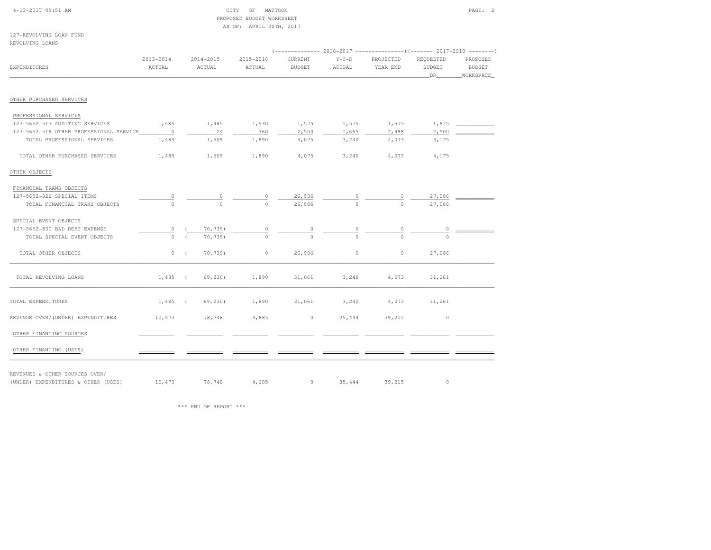| $4-13-2017$ 09:51 AM |  |
|----------------------|--|
|                      |  |

# 4-13-2017 OF MATTOON PAGE: 2 PROPOSED BUDGET WORKSHEETAS OF: APRIL 30TH, 2017

127-REVOLVING LOAN FUNDREVOLVING LOANS

|                                         |                         |    |                         |                         |                          | (------------- 2016-2017 ----------------) (------- 2017-2018 --------) |                       |                                    |                                        |
|-----------------------------------------|-------------------------|----|-------------------------|-------------------------|--------------------------|-------------------------------------------------------------------------|-----------------------|------------------------------------|----------------------------------------|
| <b>EXPENDITURES</b>                     | $2013 - 2014$<br>ACTUAL |    | $2014 - 2015$<br>ACTUAL | $2015 - 2016$<br>ACTUAL | CURRENT<br><b>BUDGET</b> | $Y-T-D$<br>ACTUAL                                                       | PROJECTED<br>YEAR END | REQUESTED<br><b>BUDGET</b><br>_DR_ | PROPOSED<br><b>BUDGET</b><br>WORKSPACE |
| OTHER PURCHASED SERVICES                |                         |    |                         |                         |                          |                                                                         |                       |                                    |                                        |
| PROFESSIONAL SERVICES                   |                         |    |                         |                         |                          |                                                                         |                       |                                    |                                        |
| 127-5652-513 AUDITING SERVICES          | 1,485                   |    | 1,485                   | 1,530                   | 1,575                    | 1,575                                                                   | 1,575                 | 1,675                              |                                        |
| 127-5652-519 OTHER PROFESSIONAL SERVICE | $\sim$ 0                |    | 24                      | 360                     | 2,500                    | 1,665                                                                   | 2,498                 | 2,500                              |                                        |
| TOTAL PROFESSIONAL SERVICES             | 1,485                   |    | 1,509                   | 1,890                   | 4,075                    | 3,240                                                                   | 4,073                 | 4,175                              |                                        |
| TOTAL OTHER PURCHASED SERVICES          | 1,485                   |    | 1,509                   | 1,890                   | 4,075                    | 3,240                                                                   | 4,073                 | 4,175                              |                                        |
| OTHER OBJECTS                           |                         |    |                         |                         |                          |                                                                         |                       |                                    |                                        |
| FINANCIAL TRANS OBJECTS                 |                         |    |                         |                         |                          |                                                                         |                       |                                    |                                        |
| 127-5652-826 SPECIAL ITEMS              |                         |    | 0                       | 0                       | 26,986                   |                                                                         |                       | 27,086                             |                                        |
| TOTAL FINANCIAL TRANS OBJECTS           | $\Omega$                |    | $\Omega$                | $\Omega$                | 26,986                   | $\Omega$                                                                | $\Omega$              | 27,086                             |                                        |
| SPECIAL EVENT OBJECTS                   |                         |    |                         |                         |                          |                                                                         |                       |                                    |                                        |
| 127-5652-830 BAD DEBT EXPENSE           | 0                       |    | 70,739)                 | $\circ$                 | $\circ$                  | 0                                                                       | $\circ$               | $\circ$                            |                                        |
| TOTAL SPECIAL EVENT OBJECTS             | $\circ$                 |    | 70,739)                 | $\Omega$                | $\Omega$                 | $\Omega$                                                                |                       |                                    |                                        |
| TOTAL OTHER OBJECTS                     |                         | 0( | 70,739)                 | $\circ$                 | 26,986                   | $\circ$                                                                 | $\circ$               | 27,086                             |                                        |
| TOTAL REVOLVING LOANS                   | $1,485$ (               |    | 69,230)                 | 1,890                   | 31,061                   | 3,240                                                                   | 4,073                 | 31,261                             |                                        |
| TOTAL EXPENDITURES                      | $1,485$ (               |    | 69,230)                 | 1,890                   | 31,061                   | 3,240                                                                   | 4,073                 | 31,261                             |                                        |
| REVENUE OVER/(UNDER) EXPENDITURES       | 10,473                  |    | 78,748                  | 4,685                   | $\circ$                  | 35,444                                                                  | 39,215                | $\circ$                            |                                        |
| OTHER FINANCING SOURCES                 |                         |    |                         |                         |                          |                                                                         |                       |                                    |                                        |
| OTHER FINANCING (USES)                  |                         |    |                         |                         |                          |                                                                         |                       |                                    |                                        |

REVENUES & OTHER SOURCES OVER/

(UNDER) EXPENDITURES & OTHER (USES)  $10,473$  78,748  $4,685$  0  $35,444$  39,215 0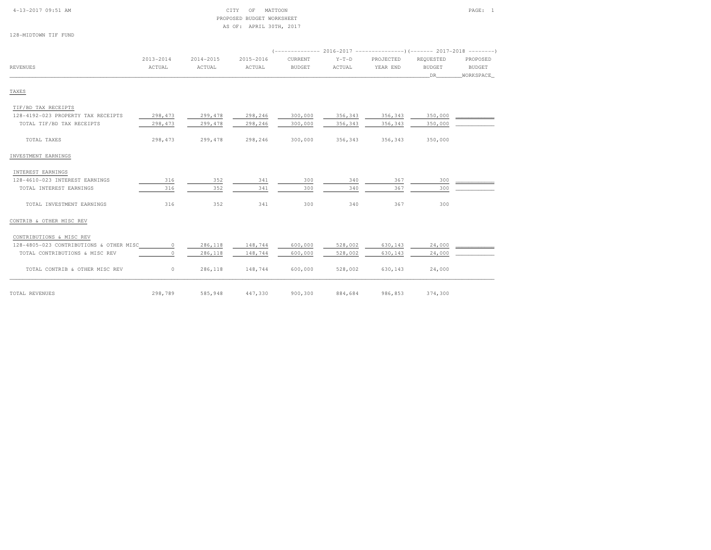# 4-13-2017 09:51 AM CITY OF MATTOON PAGE: 1 PROPOSED BUDGET WORKSHEETAS OF: APRIL 30TH, 2017

128-MIDTOWN TIF FUND

|          | 2013-2014 | 2014-2015 | 2015-2016 | CURRENT       | $Y-T-D$ | PROJECTED | REOUESTED     | PROPOSED      |
|----------|-----------|-----------|-----------|---------------|---------|-----------|---------------|---------------|
| REVENUES | ACTUAL    | ACTUAL    | ACTUAL    | <b>BUDGET</b> | ACTUAL  | YEAR END  | <b>BUDGET</b> | <b>BUDGET</b> |
|          |           |           |           |               |         |           | DR            | WORKSPACE     |

# TAXES

| TOTAL REVENUES                                      | 298,789  | 585,948 | 447,330 | 900,300 | 884,684 | 986,853 | 374,300 |  |
|-----------------------------------------------------|----------|---------|---------|---------|---------|---------|---------|--|
| TOTAL CONTRIB & OTHER MISC REV                      | $\circ$  | 286,118 | 148,744 | 600,000 | 528,002 | 630,143 | 24,000  |  |
| TOTAL CONTRIBUTIONS & MISC REV                      | $\circ$  | 286,118 | 148,744 | 600,000 | 528,002 | 630,143 | 24,000  |  |
| 128-4805-023 CONTRIBUTIONS & OTHER MISC             | 0        | 286,118 | 148,744 | 600,000 | 528,002 | 630,143 | 24,000  |  |
| CONTRIBUTIONS & MISC REV                            |          |         |         |         |         |         |         |  |
| CONTRIB & OTHER MISC REV                            |          |         |         |         |         |         |         |  |
| TOTAL INVESTMENT EARNINGS                           | 316      | 352     | 341     | 300     | 340     | 367     | 300     |  |
| TOTAL INTEREST EARNINGS                             | 316      | 352     | 341     | 300     | 340     | 367     | 300     |  |
| INTEREST EARNINGS<br>128-4610-023 INTEREST EARNINGS | 316      | 352     | 341     | 300     | 340     | 367     | 300     |  |
| INVESTMENT EARNINGS                                 |          |         |         |         |         |         |         |  |
| TOTAL TAXES                                         | 298, 473 | 299,478 | 298,246 | 300,000 | 356,343 | 356,343 | 350,000 |  |
| TOTAL TIF/BD TAX RECEIPTS                           | 298,473  | 299,478 | 298,246 | 300,000 | 356,343 | 356,343 | 350,000 |  |
| 128-4192-023 PROPERTY TAX RECEIPTS                  | 298,473  | 299,478 | 298,246 | 300,000 | 356,343 | 356,343 | 350,000 |  |
| TIF/BD TAX RECEIPTS                                 |          |         |         |         |         |         |         |  |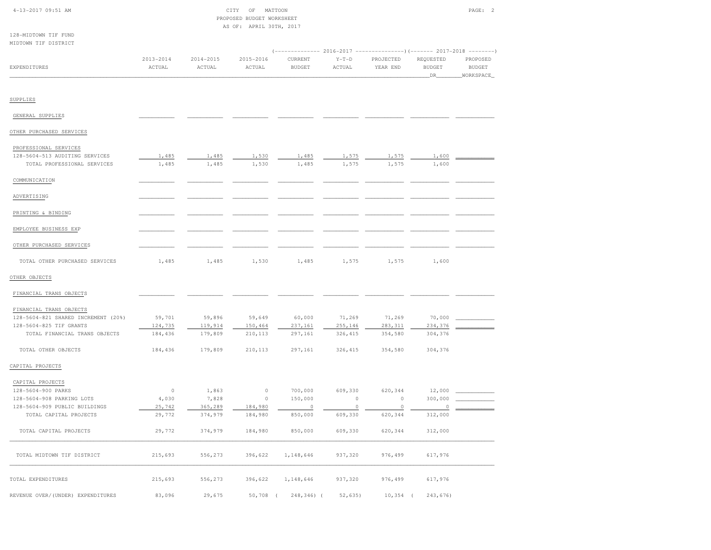| $4-13-2017$ 09:51 AM |  |
|----------------------|--|
|                      |  |

128-MIDTOWN TIF FUND

| 4-13-2017 09:51 AM | ΩF | MATTOON                   | PAGE |  |
|--------------------|----|---------------------------|------|--|
|                    |    | PROPOSED BUDGET WORKSHEET |      |  |
| AS OF:             |    | APRIL 30TH, 2017          |      |  |

| MIDTOWN TIF DISTRICT                |                         |                         |                         | (-------------- 2016-2017 ----------------) (------- 2017-2018 --------) |                   |                       |                                   |                                        |
|-------------------------------------|-------------------------|-------------------------|-------------------------|--------------------------------------------------------------------------|-------------------|-----------------------|-----------------------------------|----------------------------------------|
| EXPENDITURES                        | $2013 - 2014$<br>ACTUAL | $2014 - 2015$<br>ACTUAL | $2015 - 2016$<br>ACTUAL | CURRENT<br><b>BUDGET</b>                                                 | $Y-T-D$<br>ACTUAL | PROJECTED<br>YEAR END | REQUESTED<br><b>BUDGET</b><br>DR_ | PROPOSED<br><b>BUDGET</b><br>WORKSPACE |
| SUPPLIES                            |                         |                         |                         |                                                                          |                   |                       |                                   |                                        |
|                                     |                         |                         |                         |                                                                          |                   |                       |                                   |                                        |
| GENERAL SUPPLIES                    |                         |                         |                         |                                                                          |                   |                       |                                   |                                        |
| OTHER PURCHASED SERVICES            |                         |                         |                         |                                                                          |                   |                       |                                   |                                        |
| PROFESSIONAL SERVICES               |                         |                         |                         |                                                                          |                   |                       |                                   |                                        |
| 128-5604-513 AUDITING SERVICES      | 1,485                   | 1,485                   | 1,530                   | 1,485                                                                    | 1,575             | 1,575                 | 1,600                             |                                        |
| TOTAL PROFESSIONAL SERVICES         | 1,485                   | 1,485                   | 1,530                   | 1,485                                                                    | 1,575             | 1,575                 | 1,600                             |                                        |
| COMMUNICATION                       |                         |                         |                         |                                                                          |                   |                       |                                   |                                        |
| ADVERTISING                         |                         |                         |                         |                                                                          |                   |                       |                                   |                                        |
| PRINTING & BINDING                  |                         |                         |                         |                                                                          |                   |                       |                                   |                                        |
| EMPLOYEE BUSINESS EXP               |                         |                         |                         |                                                                          |                   |                       |                                   |                                        |
| OTHER PURCHASED SERVICES            |                         |                         |                         |                                                                          |                   |                       |                                   |                                        |
| TOTAL OTHER PURCHASED SERVICES      | 1,485                   | 1,485                   | 1,530                   | 1,485                                                                    | 1,575             | 1,575                 | 1,600                             |                                        |
| OTHER OBJECTS                       |                         |                         |                         |                                                                          |                   |                       |                                   |                                        |
| FINANCIAL TRANS OBJECTS             |                         |                         |                         |                                                                          |                   |                       |                                   |                                        |
| FINANCIAL TRANS OBJECTS             |                         |                         |                         |                                                                          |                   |                       |                                   |                                        |
| 128-5604-821 SHARED INCREMENT (20%) | 59,701                  | 59,896                  | 59,649                  | 60,000                                                                   | 71,269            | 71,269                | 70,000                            |                                        |
| 128-5604-825 TIF GRANTS             | 124,735                 | 119,914                 | 150,464                 | 237,161                                                                  | 255,146           | 283, 311              | 234,376                           |                                        |
| TOTAL FINANCIAL TRANS OBJECTS       | 184,436                 | 179,809                 | 210,113                 | 297,161                                                                  | 326, 415          | 354,580               | 304,376                           |                                        |
| TOTAL OTHER OBJECTS                 | 184,436                 | 179,809                 | 210,113                 | 297,161                                                                  | 326, 415          | 354,580               | 304,376                           |                                        |
| CAPITAL PROJECTS                    |                         |                         |                         |                                                                          |                   |                       |                                   |                                        |
| CAPITAL PROJECTS                    |                         |                         |                         |                                                                          |                   |                       |                                   |                                        |
| 128-5604-900 PARKS                  | $\circ$                 | 1,863                   | $\circ$                 | 700,000                                                                  | 609,330           | 620,344               | 12,000                            |                                        |
| 128-5604-908 PARKING LOTS           | 4,030                   | 7,828                   | $\circ$                 | 150,000                                                                  | $\mathbb O$       | $\circ$               | 300,000                           |                                        |
| 128-5604-909 PUBLIC BUILDINGS       | 25,742                  | 365,289                 | 184,980                 | $\circ$                                                                  | 0                 | $\circ$               | $\circ$                           |                                        |
| TOTAL CAPITAL PROJECTS              | 29,772                  | 374,979                 | 184,980                 | 850,000                                                                  | 609,330           | 620,344               | 312,000                           |                                        |
| TOTAL CAPITAL PROJECTS              | 29,772                  | 374,979                 | 184,980                 | 850,000                                                                  | 609,330           | 620,344               | 312,000                           |                                        |
| TOTAL MIDTOWN TIF DISTRICT          | 215,693                 | 556,273                 | 396,622                 | 1,148,646                                                                | 937,320           | 976,499               | 617,976                           |                                        |
| TOTAL EXPENDITURES                  | 215,693                 | 556,273                 | 396,622                 | 1,148,646                                                                | 937,320           | 976,499               | 617,976                           |                                        |
| REVENUE OVER/(UNDER) EXPENDITURES   | 83,096                  | 29,675                  | $50,708$ (              | 248,346) (                                                               | 52,635)           | 10,354                | 243,676)                          |                                        |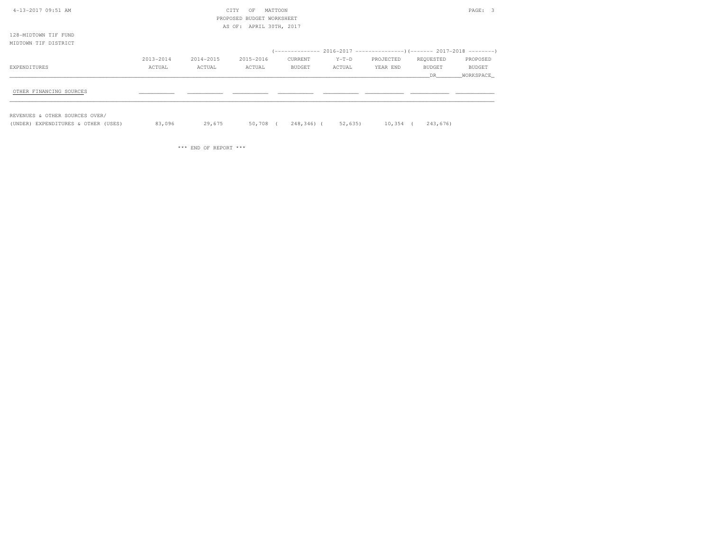| 4-13-2017 09:51 AM<br>MATTOON<br>CITY<br>OF                                                 | PAGE: 3       |  |
|---------------------------------------------------------------------------------------------|---------------|--|
| PROPOSED BUDGET WORKSHEET                                                                   |               |  |
| AS OF: APRIL 30TH, 2017                                                                     |               |  |
| 128-MIDTOWN TIF FUND                                                                        |               |  |
| MIDTOWN TIF DISTRICT                                                                        |               |  |
|                                                                                             |               |  |
| 2013-2014<br>2014-2015<br>2015-2016<br>CURRENT<br>$Y-T-D$<br>PROJECTED<br>REQUESTED         | PROPOSED      |  |
| ACTUAL<br>ACTUAL<br>ACTUAL<br><b>BUDGET</b><br>ACTUAL<br>YEAR END<br>BUDGET<br>EXPENDITURES | <b>BUDGET</b> |  |
| DR                                                                                          | WORKSPACE     |  |
|                                                                                             |               |  |
| OTHER FINANCING SOURCES                                                                     |               |  |

REVENUES & OTHER SOURCES OVER/

(UNDER) EXPENDITURES & OTHER (USES) 83,096 29,675 50,708 ( 248,346) ( 52,635) 10,354 ( 243,676)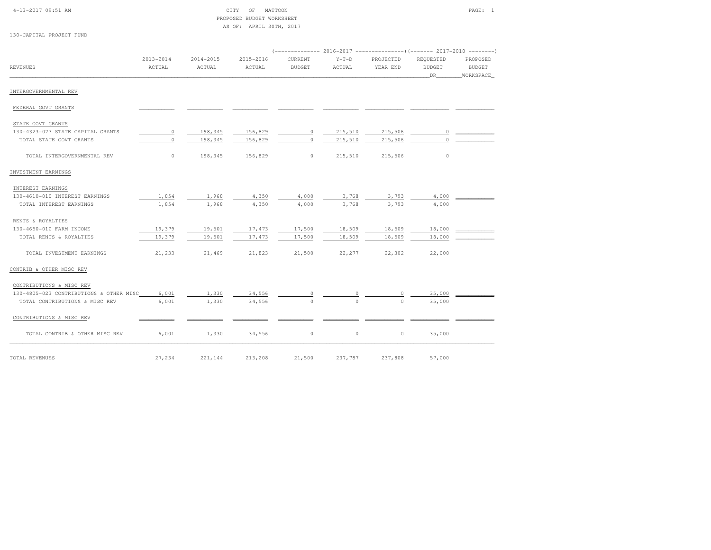| $4 - 13 - 2017$ 09:51 AM |
|--------------------------|
|--------------------------|

# $\begin{array}{ccc} \text{CITY} & \text{OF} & \text{MATION} \end{array}$  PROPOSED BUDGET WORKSHEETAS OF: APRIL 30TH, 2017

130-CAPITAL PROJECT FUND

|                                         |                     |                     |                     | (------------- 2016-2017 --------------------- 2017-2018 --------- |                   |                       |                                  |                                        |
|-----------------------------------------|---------------------|---------------------|---------------------|--------------------------------------------------------------------|-------------------|-----------------------|----------------------------------|----------------------------------------|
| <b>REVENUES</b>                         | 2013-2014<br>ACTUAL | 2014-2015<br>ACTUAL | 2015-2016<br>ACTUAL | CURRENT<br><b>BUDGET</b>                                           | $Y-T-D$<br>ACTUAL | PROJECTED<br>YEAR END | REQUESTED<br><b>BUDGET</b><br>DR | PROPOSED<br><b>BUDGET</b><br>WORKSPACE |
| INTERGOVERNMENTAL REV                   |                     |                     |                     |                                                                    |                   |                       |                                  |                                        |
| FEDERAL GOVT GRANTS                     |                     |                     |                     |                                                                    |                   |                       |                                  |                                        |
| STATE GOVT GRANTS                       |                     |                     |                     |                                                                    |                   |                       |                                  |                                        |
| 130-4323-023 STATE CAPITAL GRANTS       | $\circ$             | 198,345             | 156,829             | $\mathbb O$                                                        | 215,510           | 215,506               | $\circ$                          |                                        |
| TOTAL STATE GOVT GRANTS                 | $\circ$             | 198,345             | 156,829             | $\circ$                                                            | 215,510           | 215,506               | $\Omega$                         |                                        |
| TOTAL INTERGOVERNMENTAL REV             | $\circ$             | 198,345             | 156,829             | $\circ$                                                            | 215,510           | 215,506               | $\circ$                          |                                        |
| INVESTMENT EARNINGS                     |                     |                     |                     |                                                                    |                   |                       |                                  |                                        |
| INTEREST EARNINGS                       |                     |                     |                     |                                                                    |                   |                       |                                  |                                        |
| 130-4610-010 INTEREST EARNINGS          | 1,854               | 1,968               | 4,350               | 4,000                                                              | 3,768             | 3,793                 | 4,000                            |                                        |
| TOTAL INTEREST EARNINGS                 | 1,854               | 1,968               | 4,350               | 4,000                                                              | 3,768             | 3,793                 | 4,000                            |                                        |
| RENTS & ROYALTIES                       |                     |                     |                     |                                                                    |                   |                       |                                  |                                        |
| 130-4650-010 FARM INCOME                | 19,379              | 19,501              | 17,473              | 17,500                                                             | 18,509            | 18,509                | 18,000                           |                                        |
| TOTAL RENTS & ROYALTIES                 | 19,379              | 19,501              | 17,473              | 17,500                                                             | 18,509            | 18,509                | 18,000                           |                                        |
| TOTAL INVESTMENT EARNINGS               | 21,233              | 21,469              | 21,823              | 21,500                                                             | 22,277            | 22,302                | 22,000                           |                                        |
| CONTRIB & OTHER MISC REV                |                     |                     |                     |                                                                    |                   |                       |                                  |                                        |
| CONTRIBUTIONS & MISC REV                |                     |                     |                     |                                                                    |                   |                       |                                  |                                        |
| 130-4805-023 CONTRIBUTIONS & OTHER MISC | 6,001               | 1,330               | 34,556              | 0                                                                  | 0                 | $\circ$               | 35,000                           |                                        |
| TOTAL CONTRIBUTIONS & MISC REV          | 6,001               | 1,330               | 34,556              | $\Omega$                                                           | $\Omega$          | $\Omega$              | 35,000                           |                                        |
| CONTRIBUTIONS & MISC REV                |                     |                     |                     |                                                                    |                   |                       |                                  |                                        |
| TOTAL CONTRIB & OTHER MISC REV          | 6,001               | 1,330               | 34,556              | $\circ$                                                            | $\circ$           | $\circ$               | 35,000                           |                                        |
| TOTAL REVENUES                          | 27,234              | 221,144             | 213,208             | 21,500                                                             | 237,787           | 237,808               | 57,000                           |                                        |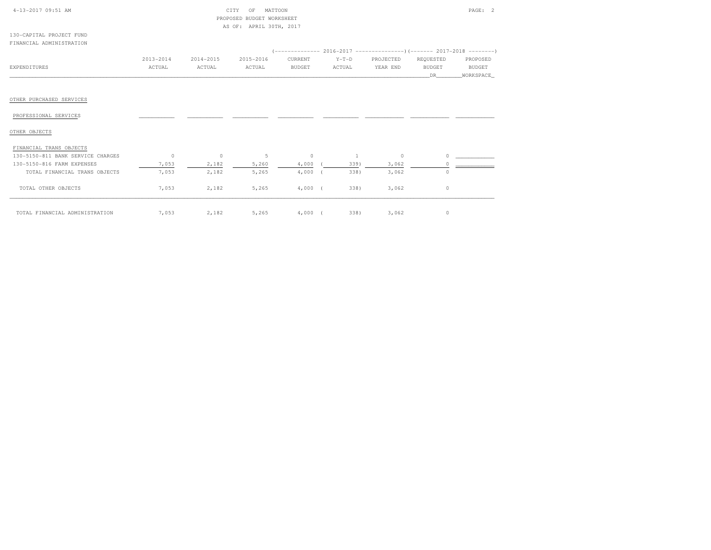| 4-13-2017 09:51 AM                |               |           | MATTOON<br>CITY<br>OF<br>PROPOSED<br><b>BUDGET WORKSHEET</b> |               |         |           |               | PAGE: 2       |
|-----------------------------------|---------------|-----------|--------------------------------------------------------------|---------------|---------|-----------|---------------|---------------|
|                                   |               |           | APRIL 30TH, 2017<br>AS OF:                                   |               |         |           |               |               |
| 130-CAPITAL PROJECT FUND          |               |           |                                                              |               |         |           |               |               |
| FINANCIAL ADMINISTRATION          |               |           |                                                              |               |         |           |               |               |
|                                   |               |           |                                                              |               |         |           |               |               |
|                                   | $2013 - 2014$ | 2014-2015 | 2015-2016                                                    | CURRENT       | $Y-T-D$ | PROJECTED | REQUESTED     | PROPOSED      |
| EXPENDITURES                      | ACTUAL        | ACTUAL    | ACTUAL                                                       | <b>BUDGET</b> | ACTUAL  | YEAR END  | <b>BUDGET</b> | <b>BUDGET</b> |
|                                   |               |           |                                                              |               |         |           | DR            | WORKSPACE     |
|                                   |               |           |                                                              |               |         |           |               |               |
|                                   |               |           |                                                              |               |         |           |               |               |
| OTHER PURCHASED SERVICES          |               |           |                                                              |               |         |           |               |               |
|                                   |               |           |                                                              |               |         |           |               |               |
| PROFESSIONAL SERVICES             |               |           |                                                              |               |         |           |               |               |
|                                   |               |           |                                                              |               |         |           |               |               |
| OTHER OBJECTS                     |               |           |                                                              |               |         |           |               |               |
|                                   |               |           |                                                              |               |         |           |               |               |
| FINANCIAL TRANS OBJECTS           |               |           |                                                              |               |         |           |               |               |
| 130-5150-811 BANK SERVICE CHARGES | $\circ$       | $\circ$   | 5                                                            | $\circ$       |         | $\circ$   | $\Omega$      |               |
| 130-5150-816 FARM EXPENSES        | 7,053         | 2,182     | 5,260                                                        | 4,000         | 339)    | 3,062     |               |               |
| TOTAL FINANCIAL TRANS OBJECTS     | 7,053         | 2,182     | 5,265                                                        | 4,000         | 338)    | 3,062     | $\circ$       |               |

|                                |      | $-1 - 1$ | ----- | $\cdot$ , $\cdot$ $\cdot$ $\cdot$ $\cdot$ | $   -$ | ----- | . . |
|--------------------------------|------|----------|-------|-------------------------------------------|--------|-------|-----|
| TOTAL OTHER OBJECTS            | ,053 | 2,182    | 5,265 | 4,000                                     | 338)   | 3,062 |     |
|                                |      |          |       |                                           |        |       |     |
| TOTAL FINANCIAL ADMINISTRATION | ,053 | 2,182    | 5,265 | .000                                      | 338)   | 3,062 |     |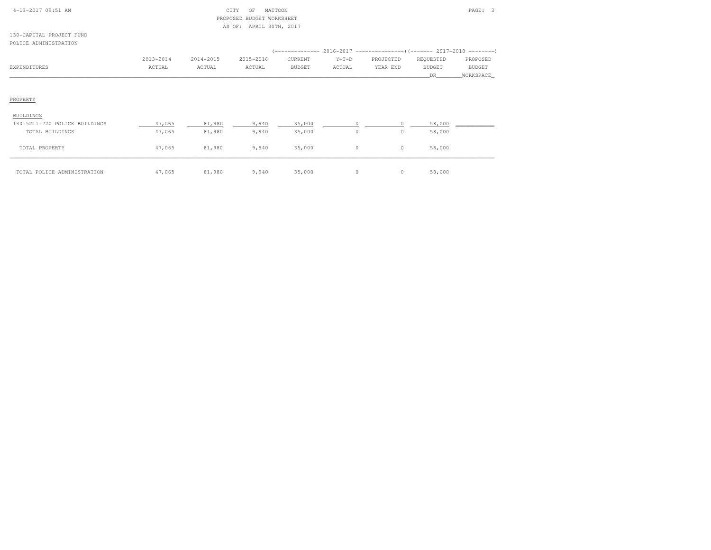| 4-13-2017 09:51 AM            |           |           | CITY<br>MATTOON<br>OF<br>PROPOSED BUDGET WORKSHEET<br>AS OF: APRIL 30TH, 2017 |                                                                      |         |           |               | PAGE: 3       |
|-------------------------------|-----------|-----------|-------------------------------------------------------------------------------|----------------------------------------------------------------------|---------|-----------|---------------|---------------|
| 130-CAPITAL PROJECT FUND      |           |           |                                                                               |                                                                      |         |           |               |               |
| POLICE ADMINISTRATION         |           |           |                                                                               |                                                                      |         |           |               |               |
|                               |           |           |                                                                               | $(---------- 2016-2017$ ---------------) (------- 2017-2018 -------) |         |           |               |               |
|                               | 2013-2014 | 2014-2015 | 2015-2016                                                                     | CURRENT                                                              | $Y-T-D$ | PROJECTED | REQUESTED     | PROPOSED      |
| EXPENDITURES                  | ACTUAL    | ACTUAL    | ACTUAL                                                                        | <b>BUDGET</b>                                                        | ACTUAL  | YEAR END  | <b>BUDGET</b> | <b>BUDGET</b> |
|                               |           |           |                                                                               |                                                                      |         |           | <b>DR</b>     | WORKSPACE     |
| PROPERTY                      |           |           |                                                                               |                                                                      |         |           |               |               |
| <b>BUILDINGS</b>              |           |           |                                                                               |                                                                      |         |           |               |               |
| 130-5211-720 POLICE BUILDINGS | 47,065    | 81,980    | 9,940                                                                         | 35,000                                                               | $\circ$ |           | 58,000        |               |
| TOTAL BUILDINGS               | 47,065    | 81,980    | 9,940                                                                         | 35,000                                                               | $\circ$ | $\circ$   | 58,000        |               |
| TOTAL PROPERTY                | 47,065    | 81,980    | 9,940                                                                         | 35,000                                                               | $\circ$ | $\circ$   | 58,000        |               |

\_\_\_\_\_\_\_\_\_\_\_\_\_\_\_\_\_\_\_\_\_\_\_\_\_\_\_\_\_\_\_\_\_\_\_\_\_\_\_\_\_\_\_\_\_\_\_\_\_\_\_\_\_\_\_\_\_\_\_\_\_\_\_\_\_\_\_\_\_\_\_\_\_\_\_\_\_\_\_\_\_\_\_\_\_\_\_\_\_\_\_\_\_\_\_\_\_\_\_\_\_\_\_\_\_\_\_\_\_\_\_\_\_\_\_\_\_\_\_\_\_\_\_\_\_\_\_\_\_\_\_\_\_\_\_\_\_\_\_\_\_\_\_\_\_\_\_\_\_\_ TOTAL POLICE ADMINISTRATION 47,065 81,980 9,940 35,000 0 0 58,000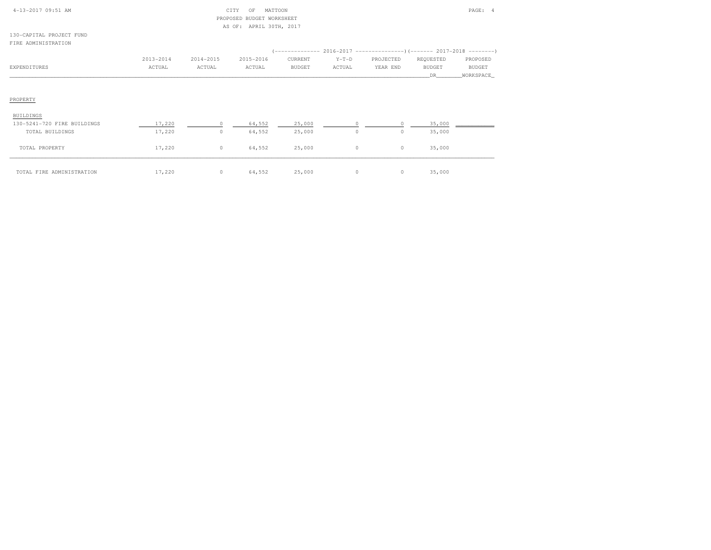| $4-13-2017$ 09:51 AM        |           |           | CITY<br>MATTOON<br>OF   |               |         |           |           | PAGE: 4   |
|-----------------------------|-----------|-----------|-------------------------|---------------|---------|-----------|-----------|-----------|
|                             |           | PROPOSED  | BUDGET WORKSHEET        |               |         |           |           |           |
|                             |           |           | AS OF: APRIL 30TH, 2017 |               |         |           |           |           |
| 130-CAPITAL PROJECT FUND    |           |           |                         |               |         |           |           |           |
| FIRE ADMINISTRATION         |           |           |                         |               |         |           |           |           |
|                             |           |           |                         |               |         |           |           |           |
|                             | 2013-2014 | 2014-2015 | 2015-2016               | CURRENT       | $Y-T-D$ | PROJECTED | REQUESTED | PROPOSED  |
| EXPENDITURES                | ACTUAL    | ACTUAL    | ACTUAL                  | <b>BUDGET</b> | ACTUAL  | YEAR END  | BUDGET    | BUDGET    |
|                             |           |           |                         |               |         |           | DR        | WORKSPACE |
|                             |           |           |                         |               |         |           |           |           |
|                             |           |           |                         |               |         |           |           |           |
| PROPERTY                    |           |           |                         |               |         |           |           |           |
|                             |           |           |                         |               |         |           |           |           |
| <b>BUILDINGS</b>            |           |           |                         |               |         |           |           |           |
| 130-5241-720 FIRE BUILDINGS | 17,220    |           | 64,552                  | 25,000        |         |           | 35,000    |           |
| TOTAL BUILDINGS             | 17,220    | $\circ$   | 64,552                  | 25,000        | $\circ$ | $\circ$   | 35,000    |           |
|                             |           |           |                         |               |         |           |           |           |
| TOTAL PROPERTY              | 17,220    | $\circ$   | 64,552                  | 25,000        | $\circ$ | $\circ$   | 35,000    |           |
|                             |           |           |                         |               |         |           |           |           |
|                             |           |           |                         |               |         |           |           |           |
| TOTAL FIRE ADMINISTRATION   | 17,220    | $\circ$   | 64,552                  | 25,000        | $\circ$ | $\circ$   | 35,000    |           |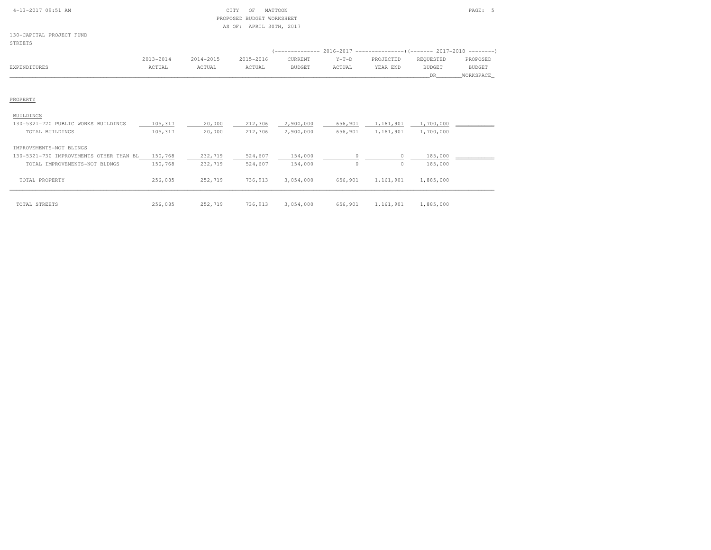| $4-13-2017$ 09:51 AM |  |
|----------------------|--|
|                      |  |

#### $\begin{array}{ccc} \text{CITY} & \text{OF} & \text{MATION} \end{array}$  PROPOSED BUDGET WORKSHEETAS OF: APRIL 30TH, 2017

130-CAPITAL PROJECT FUND

# STREETS

|              | 2013-2014 | 2014-2015 | 2015-2016 | CURRENT       | $Y-T-D$ | PROJECTED | REOUESTED | PROPOSED  |
|--------------|-----------|-----------|-----------|---------------|---------|-----------|-----------|-----------|
| EXPENDITURES | ACTUAL    | ACTUAL    | ACTUAL    | <b>BUDGET</b> | ACTUAL  | YEAR END  | BUDGET    | BUDGET    |
|              |           |           |           |               |         |           |           | WORKSPACE |

#### PROPERTY

#### BUILDINGS

| 130-5321-720 PUBLIC WORKS BUILDINGS        | 105,317 | 20,000  | 212,306 | 2,900,000 | 656,901 | 1,161,901 | 1,700,000 |  |
|--------------------------------------------|---------|---------|---------|-----------|---------|-----------|-----------|--|
| TOTAL BUILDINGS                            | 105,317 | 20,000  | 212,306 | 2,900,000 | 656,901 | 1,161,901 | 1,700,000 |  |
| IMPROVEMENTS-NOT BLDNGS                    |         |         |         |           |         |           |           |  |
| 130-5321-730 IMPROVEMENTS<br>OTHER THAN BL | 150,768 | 232,719 | 524,607 | 154,000   |         |           | 185,000   |  |
| TOTAL IMPROVEMENTS-NOT BLDNGS              | 150,768 | 232,719 | 524,607 | 154,000   | $\circ$ | 0         | 185,000   |  |
| TOTAL PROPERTY                             | 256,085 | 252,719 | 736,913 | 3,054,000 | 656,901 | 1,161,901 | 1,885,000 |  |
| TOTAL STREETS                              | 256,085 | 252,719 | 736,913 | 3,054,000 | 656,901 | 1,161,901 | 1,885,000 |  |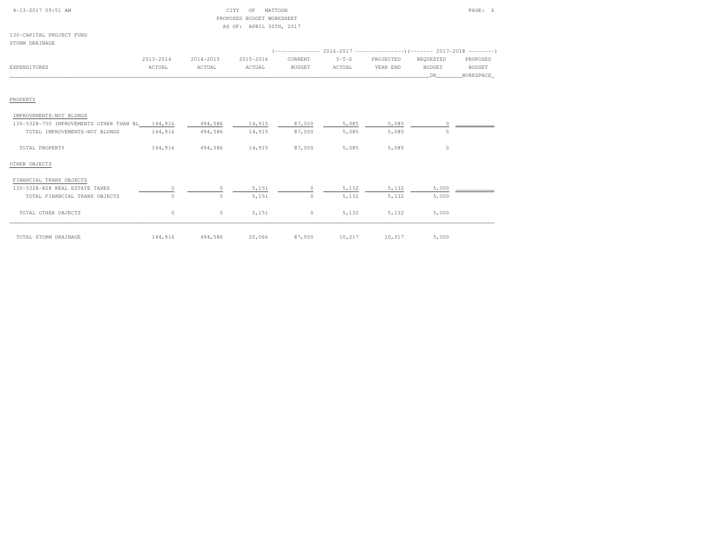| 4-13-2017 09:51 AM                              |           |           | CITY<br>OF<br>MATTOON     |               |         |           |               | PAGE: 6       |
|-------------------------------------------------|-----------|-----------|---------------------------|---------------|---------|-----------|---------------|---------------|
|                                                 |           |           | PROPOSED BUDGET WORKSHEET |               |         |           |               |               |
|                                                 |           |           | AS OF: APRIL 30TH, 2017   |               |         |           |               |               |
| 130-CAPITAL PROJECT FUND                        |           |           |                           |               |         |           |               |               |
| STORM DRAINAGE                                  |           |           |                           |               |         |           |               |               |
|                                                 |           |           |                           |               |         |           |               |               |
|                                                 | 2013-2014 | 2014-2015 | 2015-2016                 | CURRENT       | $Y-T-D$ | PROJECTED | REQUESTED     | PROPOSED      |
| EXPENDITURES                                    | ACTUAL    | ACTUAL    | ACTUAL                    | <b>BUDGET</b> | ACTUAL  | YEAR END  | <b>BUDGET</b> | <b>BUDGET</b> |
|                                                 |           |           |                           |               |         |           | DR.           | WORKSPACE     |
|                                                 |           |           |                           |               |         |           |               |               |
|                                                 |           |           |                           |               |         |           |               |               |
| PROPERTY                                        |           |           |                           |               |         |           |               |               |
|                                                 |           |           |                           |               |         |           |               |               |
| IMPROVEMENTS-NOT BLDNGS                         |           |           |                           |               |         |           |               |               |
| 130-5328-730 IMPROVEMENTS OTHER THAN BL 144,916 |           | 494,586   | 14,915                    | 87,500        | 5,085   | 5,085     | $\circ$       |               |
| TOTAL IMPROVEMENTS-NOT BLDNGS                   | 144,916   | 494,586   | 14,915                    | 87,500        | 5,085   | 5,085     | $\circ$       |               |
|                                                 |           |           |                           |               |         |           |               |               |
| TOTAL PROPERTY                                  | 144,916   | 494,586   | 14,915                    | 87,500        | 5,085   | 5,085     | $\circ$       |               |
|                                                 |           |           |                           |               |         |           |               |               |
| OTHER OBJECTS                                   |           |           |                           |               |         |           |               |               |
|                                                 |           |           |                           |               |         |           |               |               |
| FINANCIAL TRANS OBJECTS                         |           |           |                           |               |         |           |               |               |
| 130-5328-828 REAL ESTATE TAXES                  | 0         | 0         | 5,151                     | $\circ$       | 5,132   | 5,132     | 5,000         |               |
| TOTAL FINANCIAL TRANS OBJECTS                   | 0         | $\Omega$  | 5,151                     | $\circ$       | 5,132   | 5,132     | 5,000         |               |
|                                                 |           |           |                           |               |         |           |               |               |
| TOTAL OTHER OBJECTS                             | 0         | 0         | 5,151                     | $\circ$       | 5,132   | 5,132     | 5,000         |               |
|                                                 |           |           |                           |               |         |           |               |               |
|                                                 |           |           |                           |               |         |           |               |               |
| TOTAL STORM DRAINAGE                            | 144,916   | 494,586   | 20,066                    | 87,500        | 10,217  | 10,217    | 5,000         |               |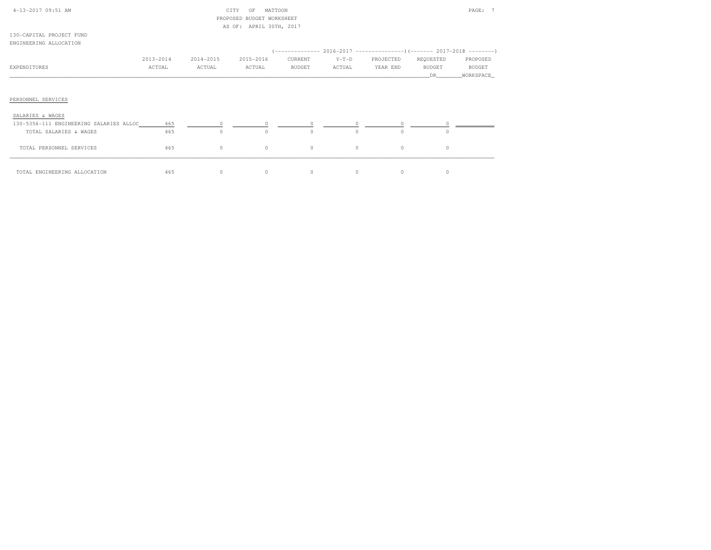| 4-13-2017 09:51 AM                      |           |           | CITY<br>MATTOON<br>OF<br>PROPOSED BUDGET WORKSHEET |         |         |             |               | PAGE: 7    |
|-----------------------------------------|-----------|-----------|----------------------------------------------------|---------|---------|-------------|---------------|------------|
|                                         |           |           | AS OF: APRIL 30TH, 2017                            |         |         |             |               |            |
| 130-CAPITAL PROJECT FUND                |           |           |                                                    |         |         |             |               |            |
| ENGINEERING ALLOCATION                  |           |           |                                                    |         |         |             |               |            |
|                                         |           |           |                                                    |         |         |             |               |            |
|                                         | 2013-2014 | 2014-2015 | 2015-2016                                          | CURRENT | $Y-T-D$ | PROJECTED   | REQUESTED     | PROPOSED   |
| EXPENDITURES                            | ACTUAL    | ACTUAL    | ACTUAL                                             | BUDGET  | ACTUAL  | YEAR END    | <b>BUDGET</b> | BUDGET     |
|                                         |           |           |                                                    |         |         |             | DR.           | WORKSPACE_ |
| PERSONNEL SERVICES                      |           |           |                                                    |         |         |             |               |            |
| SALARIES & WAGES                        |           |           |                                                    |         |         |             |               |            |
| 130-5356-111 ENGINEERING SALARIES ALLOC | 465       |           | $\circ$                                            | $\circ$ | $\circ$ | $\circ$     |               |            |
| TOTAL SALARIES & WAGES                  | 465       | $\circ$   | $\circ$                                            | $\circ$ | $\circ$ | $\circ$     | $\circ$       |            |
| TOTAL PERSONNEL SERVICES                | 465       | $\circ$   | $\circ$                                            | $\circ$ | $\circ$ | $\mathbb O$ | $\circ$       |            |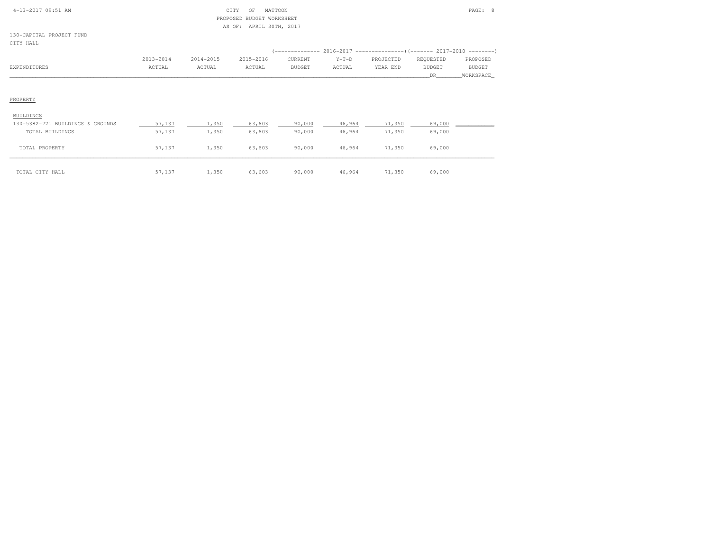| 4-13-2017 09:51 AM |  |
|--------------------|--|
|                    |  |

### $\begin{array}{ccc} \textrm{CITY} & \textrm{OF} & \textrm{MATTOON} \end{array}$  PROPOSED BUDGET WORKSHEETAS OF: APRIL 30TH, 2017

130-CAPITAL PROJECT FUNDCITY HALL

| ىنىمە ئىنا   |           |           |           |         |         |           |               |               |
|--------------|-----------|-----------|-----------|---------|---------|-----------|---------------|---------------|
|              | 2013-2014 | 2014-2015 | 2015-2016 | CURRENT | $Y-T-D$ | PROJECTED | REQUESTED     | PROPOSED      |
| EXPENDITURES | ACTUAL    | ACTUAL    | ACTUAL    | BUDGET  | ACTUAL  | YEAR END  | <b>BUDGET</b> | <b>BUDGET</b> |
|              |           |           |           |         |         |           | DR.           | WORKSPACE     |
|              |           |           |           |         |         |           |               |               |
| PROPERTY     |           |           |           |         |         |           |               |               |
| BUILDINGS    |           |           |           |         |         |           |               |               |

| 130-5382-721 BUILDINGS & GROUNDS | 57,137 | 1,350 | 63,603 | 90,000 | 46,964 | 71,350 | 69,000 |  |
|----------------------------------|--------|-------|--------|--------|--------|--------|--------|--|
| TOTAL BUILDINGS                  | 57,137 | 1,350 | 63,603 | 90,000 | 46,964 | 71,350 | 69,000 |  |
|                                  |        |       |        |        |        |        |        |  |
| TOTAL PROPERTY                   | 57,137 | 1,350 | 63,603 | 90,000 | 46,964 | 71,350 | 69,000 |  |
|                                  |        |       |        |        |        |        |        |  |
|                                  |        |       |        |        |        |        |        |  |
|                                  |        |       |        |        |        |        |        |  |
| TOTAL CITY HALL                  | 57,137 | ,350  | 63,603 | 90,000 | 46,964 | 71,350 | 69,000 |  |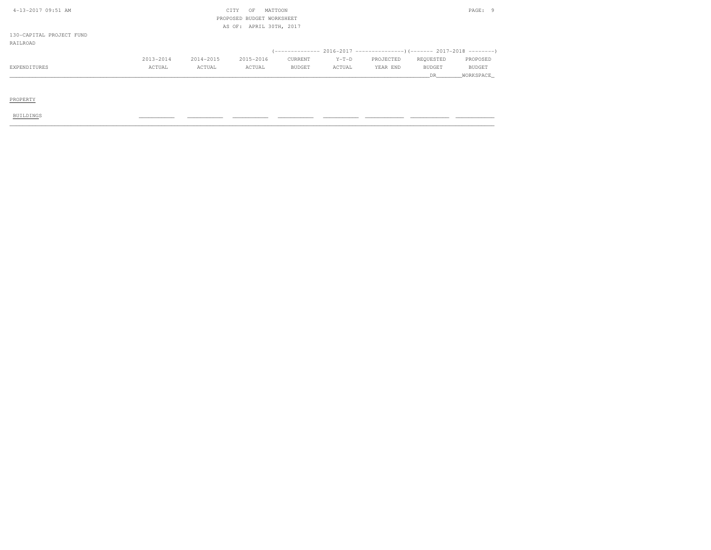| 4-13-2017 09:51 AM       |           | MATTOON<br>CITY<br>OF |                           |               |         |           | PAGE: 9       |               |  |  |
|--------------------------|-----------|-----------------------|---------------------------|---------------|---------|-----------|---------------|---------------|--|--|
|                          |           |                       | PROPOSED BUDGET WORKSHEET |               |         |           |               |               |  |  |
|                          |           |                       | AS OF: APRIL 30TH, 2017   |               |         |           |               |               |  |  |
| 130-CAPITAL PROJECT FUND |           |                       |                           |               |         |           |               |               |  |  |
| RAILROAD                 |           |                       |                           |               |         |           |               |               |  |  |
|                          |           |                       |                           |               |         |           |               |               |  |  |
|                          | 2013-2014 | 2014-2015             | 2015-2016                 | CURRENT       | $Y-T-D$ | PROJECTED | REQUESTED     | PROPOSED      |  |  |
| EXPENDITURES             | ACTUAL    | ACTUAL                | ACTUAL                    | <b>BUDGET</b> | ACTUAL  | YEAR END  | <b>BUDGET</b> | <b>BUDGET</b> |  |  |
|                          |           |                       |                           |               |         |           | DR.           | WORKSPACE     |  |  |
|                          |           |                       |                           |               |         |           |               |               |  |  |
|                          |           |                       |                           |               |         |           |               |               |  |  |
| PROPERTY                 |           |                       |                           |               |         |           |               |               |  |  |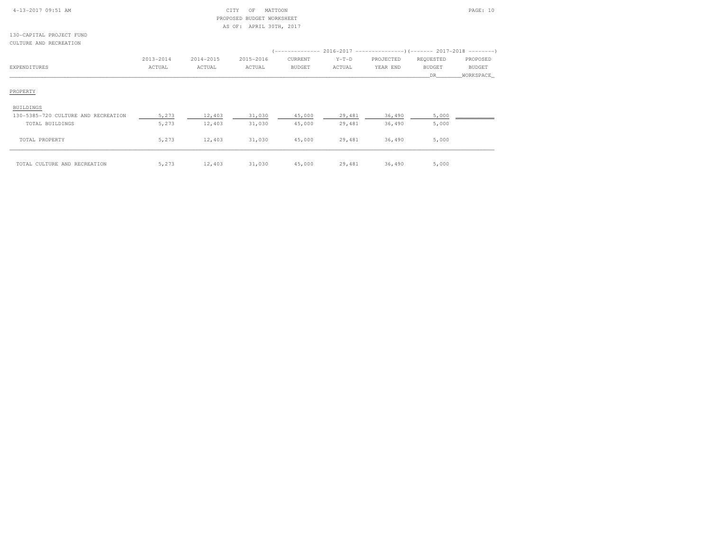| 4-13-2017 09:51 AM |  |  |
|--------------------|--|--|
|                    |  |  |

### CITY OF MATTOON PAGE: 10 PROPOSED BUDGET WORKSHEETAS OF: APRIL 30TH, 2017

130-CAPITAL PROJECT FUNDCULTURE AND RECREATION

|                                     | 2013-2014 | 2014-2015 | 2015-2016 | CURRENT       | $Y-T-D$ | PROJECTED | REQUESTED     | PROPOSED      |
|-------------------------------------|-----------|-----------|-----------|---------------|---------|-----------|---------------|---------------|
| EXPENDITURES                        | ACTUAL    | ACTUAL    | ACTUAL    | <b>BUDGET</b> | ACTUAL  | YEAR END  | <b>BUDGET</b> | <b>BUDGET</b> |
|                                     |           |           |           |               |         |           | DR.           | WORKSPACE     |
| PROPERTY                            |           |           |           |               |         |           |               |               |
| <b>BUILDINGS</b>                    |           |           |           |               |         |           |               |               |
| 130-5385-720 CULTURE AND RECREATION | 5,273     | 12,403    | 31,030    | 45,000        | 29,481  | 36,490    | 5,000         |               |
| TOTAL BUILDINGS                     | 5,273     | 12,403    | 31,030    | 45,000        | 29,481  | 36,490    | 5,000         |               |
| TOTAL PROPERTY                      | 5,273     | 12,403    | 31,030    | 45,000        | 29,481  | 36,490    | 5,000         |               |
| TOTAL CULTURE AND RECREATION        | 5,273     | 12,403    | 31,030    | 45,000        | 29,481  | 36,490    | 5,000         |               |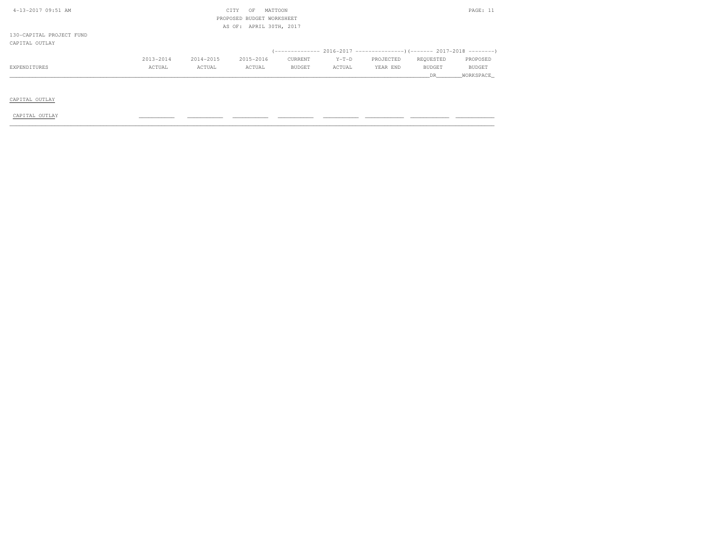| 4-13-2017 09:51 AM                         | CITY<br>MATTOON<br>OF<br>PROPOSED BUDGET WORKSHEET |           |           |         |         |           |           |           |  |  |
|--------------------------------------------|----------------------------------------------------|-----------|-----------|---------|---------|-----------|-----------|-----------|--|--|
| AS OF: APRIL 30TH, 2017                    |                                                    |           |           |         |         |           |           |           |  |  |
| 130-CAPITAL PROJECT FUND<br>CAPITAL OUTLAY |                                                    |           |           |         |         |           |           |           |  |  |
|                                            |                                                    |           |           |         |         |           |           |           |  |  |
|                                            | 2013-2014                                          | 2014-2015 | 2015-2016 | CURRENT | $Y-T-D$ | PROJECTED | REQUESTED | PROPOSED  |  |  |
| EXPENDITURES                               | ACTUAL                                             | ACTUAL    | ACTUAL    | BUDGET  | ACTUAL  | YEAR END  | BUDGET    | BUDGET    |  |  |
|                                            |                                                    |           |           |         |         |           | DR.       | WORKSPACE |  |  |
|                                            |                                                    |           |           |         |         |           |           |           |  |  |
|                                            |                                                    |           |           |         |         |           |           |           |  |  |
| CAPITAL OUTLAY                             |                                                    |           |           |         |         |           |           |           |  |  |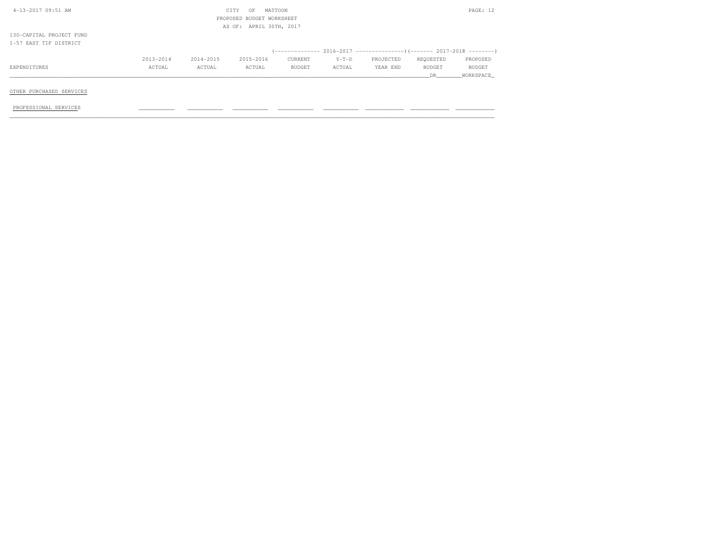| 4-13-2017 09:51 AM       |           |           | CITY<br>OF                | MATTOON |         |           |           | PAGE: 12      |
|--------------------------|-----------|-----------|---------------------------|---------|---------|-----------|-----------|---------------|
|                          |           |           | PROPOSED BUDGET WORKSHEET |         |         |           |           |               |
|                          |           |           | AS OF: APRIL 30TH, 2017   |         |         |           |           |               |
| 130-CAPITAL PROJECT FUND |           |           |                           |         |         |           |           |               |
| I-57 EAST TIF DISTRICT   |           |           |                           |         |         |           |           |               |
|                          |           |           |                           |         |         |           |           |               |
|                          | 2013-2014 | 2014-2015 | 2015-2016                 | CURRENT | $Y-T-D$ | PROJECTED | REOUESTED | PROPOSED      |
| EXPENDITURES             | ACTUAL    | ACTUAL    | ACTUAL                    | BUDGET  | ACTUAL  | YEAR END  | BUDGET    | <b>BUDGET</b> |
|                          |           |           |                           |         |         |           | DR        | WORKSPACE     |
|                          |           |           |                           |         |         |           |           |               |
| OTHER PURCHASED SERVICES |           |           |                           |         |         |           |           |               |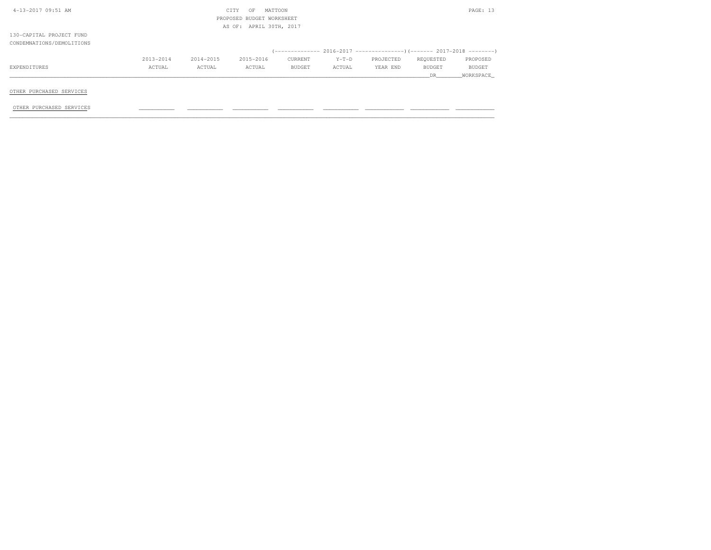| 4-13-2017 09:51 AM        |           |                           | CITY<br>OF              | MATTOON |         |           |           | PAGE: 13  |  |  |
|---------------------------|-----------|---------------------------|-------------------------|---------|---------|-----------|-----------|-----------|--|--|
|                           |           | PROPOSED BUDGET WORKSHEET |                         |         |         |           |           |           |  |  |
|                           |           |                           | AS OF: APRIL 30TH, 2017 |         |         |           |           |           |  |  |
| 130-CAPITAL PROJECT FUND  |           |                           |                         |         |         |           |           |           |  |  |
| CONDEMNATIONS/DEMOLITIONS |           |                           |                         |         |         |           |           |           |  |  |
|                           |           |                           |                         |         |         |           |           |           |  |  |
|                           | 2013-2014 | 2014-2015                 | 2015-2016               | CURRENT | $Y-T-D$ | PROJECTED | REQUESTED | PROPOSED  |  |  |
| EXPENDITURES              | ACTUAL    | ACTUAL                    | ACTUAL                  | BUDGET  | ACTUAL  | YEAR END  | BUDGET    | BUDGET    |  |  |
|                           |           |                           |                         |         |         |           | DR.       | WORKSPACE |  |  |
|                           |           |                           |                         |         |         |           |           |           |  |  |
| OTHER PURCHASED SERVICES  |           |                           |                         |         |         |           |           |           |  |  |
|                           |           |                           |                         |         |         |           |           |           |  |  |

OTHER PURCHASED SERVICES \_\_\_\_\_\_\_\_\_\_\_ \_\_\_\_\_\_\_\_\_\_\_ \_\_\_\_\_\_\_\_\_\_\_ \_\_\_\_\_\_\_\_\_\_\_ \_\_\_\_\_\_\_\_\_\_\_ \_\_\_\_\_\_\_\_\_\_\_\_ \_\_\_\_\_\_\_\_\_\_\_\_ \_\_\_\_\_\_\_\_\_\_\_\_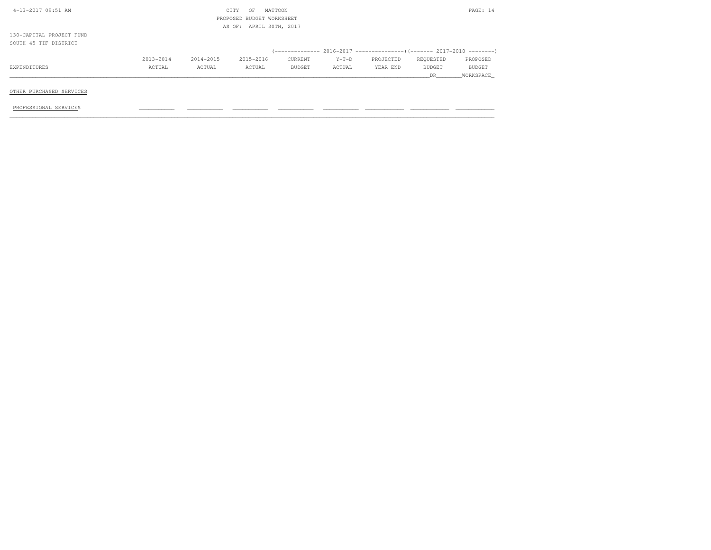| 4-13-2017 09:51 AM       |           |                           | CITY<br>OF              | MATTOON |         |           |               | PAGE: 14  |  |  |
|--------------------------|-----------|---------------------------|-------------------------|---------|---------|-----------|---------------|-----------|--|--|
|                          |           | PROPOSED BUDGET WORKSHEET |                         |         |         |           |               |           |  |  |
|                          |           |                           | AS OF: APRIL 30TH, 2017 |         |         |           |               |           |  |  |
| 130-CAPITAL PROJECT FUND |           |                           |                         |         |         |           |               |           |  |  |
| SOUTH 45 TIF DISTRICT    |           |                           |                         |         |         |           |               |           |  |  |
|                          |           |                           |                         |         |         |           |               |           |  |  |
|                          | 2013-2014 | 2014-2015                 | 2015-2016               | CURRENT | $Y-T-D$ | PROJECTED | REQUESTED     | PROPOSED  |  |  |
| EXPENDITURES             | ACTUAL    | ACTUAL                    | ACTUAL                  | BUDGET  | ACTUAL  | YEAR END  | <b>BUDGET</b> | BUDGET    |  |  |
|                          |           |                           |                         |         |         |           | DR            | WORKSPACE |  |  |
|                          |           |                           |                         |         |         |           |               |           |  |  |
| OTHER PURCHASED SERVICES |           |                           |                         |         |         |           |               |           |  |  |
|                          |           |                           |                         |         |         |           |               |           |  |  |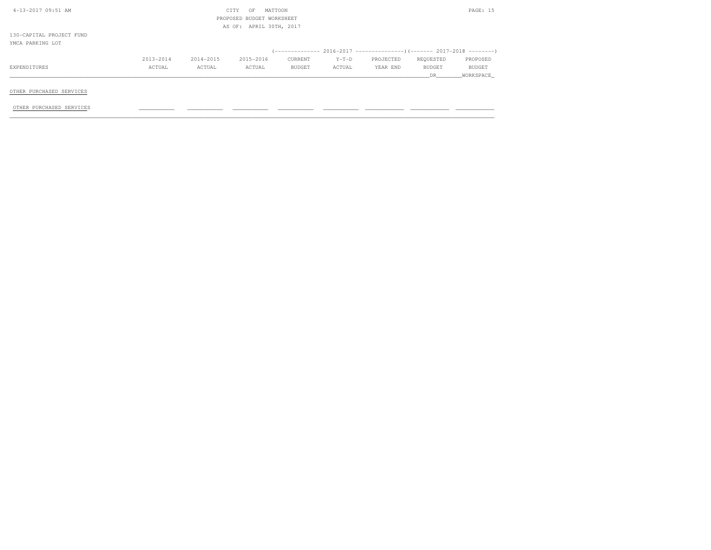| 4-13-2017 09:51 AM       |           |                           | CITY<br>OF              | MATTOON       |         |           |               | PAGE: 15  |  |  |
|--------------------------|-----------|---------------------------|-------------------------|---------------|---------|-----------|---------------|-----------|--|--|
|                          |           | PROPOSED BUDGET WORKSHEET |                         |               |         |           |               |           |  |  |
|                          |           |                           | AS OF: APRIL 30TH, 2017 |               |         |           |               |           |  |  |
| 130-CAPITAL PROJECT FUND |           |                           |                         |               |         |           |               |           |  |  |
| YMCA PARKING LOT         |           |                           |                         |               |         |           |               |           |  |  |
|                          |           |                           |                         |               |         |           |               |           |  |  |
|                          | 2013-2014 | 2014-2015                 | 2015-2016               | CURRENT       | $Y-T-D$ | PROJECTED | REQUESTED     | PROPOSED  |  |  |
| EXPENDITURES             | ACTUAL    | ACTUAL                    | ACTUAL                  | <b>BUDGET</b> | ACTUAL  | YEAR END  | <b>BUDGET</b> | BUDGET    |  |  |
|                          |           |                           |                         |               |         |           | DR.           | WORKSPACE |  |  |
|                          |           |                           |                         |               |         |           |               |           |  |  |
| OTHER PURCHASED SERVICES |           |                           |                         |               |         |           |               |           |  |  |

OTHER PURCHASED SERVICES \_\_\_\_\_\_\_\_\_\_\_ \_\_\_\_\_\_\_\_\_\_\_ \_\_\_\_\_\_\_\_\_\_\_ \_\_\_\_\_\_\_\_\_\_\_ \_\_\_\_\_\_\_\_\_\_\_ \_\_\_\_\_\_\_\_\_\_\_\_ \_\_\_\_\_\_\_\_\_\_\_\_ \_\_\_\_\_\_\_\_\_\_\_\_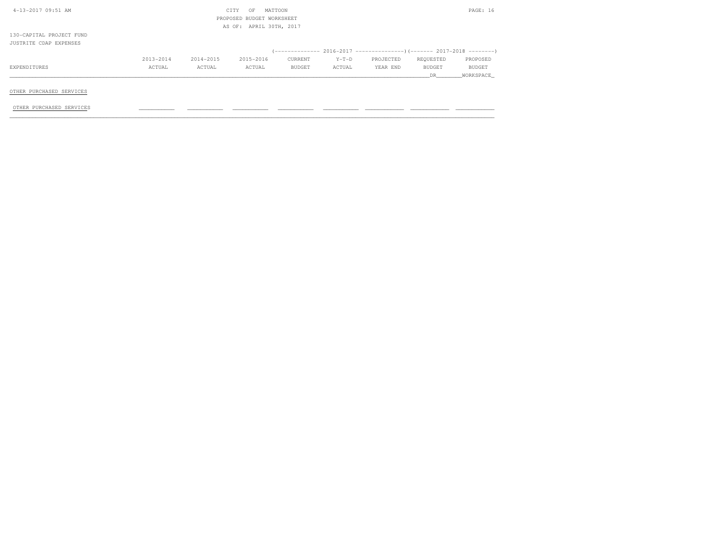| 4-13-2017 09:51 AM       |                           |           | CITY<br>OF              | MATTOON |         |           |               | PAGE: 16  |  |  |
|--------------------------|---------------------------|-----------|-------------------------|---------|---------|-----------|---------------|-----------|--|--|
|                          | PROPOSED BUDGET WORKSHEET |           |                         |         |         |           |               |           |  |  |
|                          |                           |           | AS OF: APRIL 30TH, 2017 |         |         |           |               |           |  |  |
| 130-CAPITAL PROJECT FUND |                           |           |                         |         |         |           |               |           |  |  |
| JUSTRITE CDAP EXPENSES   |                           |           |                         |         |         |           |               |           |  |  |
|                          |                           |           |                         |         |         |           |               |           |  |  |
|                          | 2013-2014                 | 2014-2015 | 2015-2016               | CURRENT | $Y-T-D$ | PROJECTED | REQUESTED     | PROPOSED  |  |  |
| EXPENDITURES             | ACTUAL                    | ACTUAL    | ACTUAL                  | BUDGET  | ACTUAL  | YEAR END  | <b>BUDGET</b> | BUDGET    |  |  |
|                          |                           |           |                         |         |         |           | DR.           | WORKSPACE |  |  |
|                          |                           |           |                         |         |         |           |               |           |  |  |
| OTHER PURCHASED SERVICES |                           |           |                         |         |         |           |               |           |  |  |

OTHER PURCHASED SERVICES \_\_\_\_\_\_\_\_\_\_\_ \_\_\_\_\_\_\_\_\_\_\_ \_\_\_\_\_\_\_\_\_\_\_ \_\_\_\_\_\_\_\_\_\_\_ \_\_\_\_\_\_\_\_\_\_\_ \_\_\_\_\_\_\_\_\_\_\_\_ \_\_\_\_\_\_\_\_\_\_\_\_ \_\_\_\_\_\_\_\_\_\_\_\_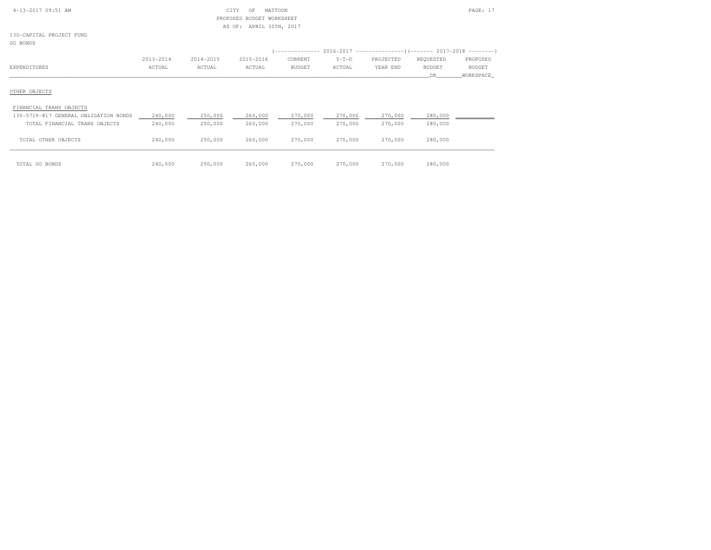| 4-13-2017 09:51 AM |  |
|--------------------|--|
|                    |  |

### 4-13-2017 09:51 AM CITY OF MATTOON PAGE: 17 PROPOSED BUDGET WORKSHEETAS OF: APRIL 30TH, 2017

130-CAPITAL PROJECT FUNDGO BONDS

|                                       |               |           |           |               |         | (-------------- 2016-2017 --------------------- 2017-2018 ---------- |               |               |
|---------------------------------------|---------------|-----------|-----------|---------------|---------|----------------------------------------------------------------------|---------------|---------------|
|                                       | $2013 - 2014$ | 2014-2015 | 2015-2016 | CURRENT       | $Y-T-D$ | PROJECTED                                                            | REQUESTED     | PROPOSED      |
| EXPENDITURES                          | ACTUAL        | ACTUAL    | ACTUAL    | <b>BUDGET</b> | ACTUAL  | YEAR END                                                             | <b>BUDGET</b> | <b>BUDGET</b> |
|                                       |               |           |           |               |         |                                                                      | DR.           | WORKSPACE     |
| OTHER OBJECTS                         |               |           |           |               |         |                                                                      |               |               |
| FINANCIAL TRANS OBJECTS               |               |           |           |               |         |                                                                      |               |               |
| 130-5719-817 GENERAL OBLIGATION BONDS | 240,000       | 250,000   | 260,000   | 270,000       | 270,000 | 270,000                                                              | 280,000       |               |
| TOTAL FINANCIAL TRANS OBJECTS         | 240,000       | 250,000   | 260,000   | 270,000       | 270,000 | 270,000                                                              | 280,000       |               |
| TOTAL OTHER OBJECTS                   | 240,000       | 250,000   | 260,000   | 270,000       | 270,000 | 270,000                                                              | 280,000       |               |

| TOTAL GO BONDS | 240,000 | 250,000 260,000 | 270,000 270,000 | 270,000 | 280,000 |
|----------------|---------|-----------------|-----------------|---------|---------|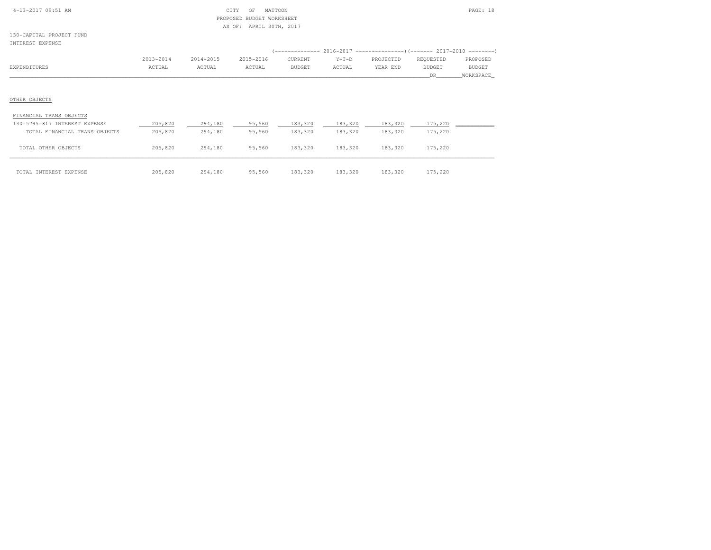| $4 - 13 - 2017$ 09:51 AM |  |  |
|--------------------------|--|--|
|                          |  |  |

#### $\begin{array}{ccc} \text{CITY} & \text{OF} & \text{MATTOON} \end{array}$  PROPOSED BUDGET WORKSHEETAS OF: APRIL 30TH, 2017

130-CAPITAL PROJECT FUNDINTEREST EXPENSE

| INIERESI EAFENSE        |           |           |           |               |         |                                                                       |               |           |
|-------------------------|-----------|-----------|-----------|---------------|---------|-----------------------------------------------------------------------|---------------|-----------|
|                         |           |           |           |               |         | $(---------- 2016-2017$ ----------------) (------- 2017-2018 -------) |               |           |
|                         | 2013-2014 | 2014-2015 | 2015-2016 | CURRENT       | $Y-T-D$ | PROJECTED                                                             | REQUESTED     | PROPOSED  |
| EXPENDITURES            | ACTUAL    | ACTUAL    | ACTUAL    | <b>BUDGET</b> | ACTUAL  | YEAR END                                                              | <b>BUDGET</b> | BUDGET    |
|                         |           |           |           |               |         |                                                                       | DR.           | WORKSPACE |
|                         |           |           |           |               |         |                                                                       |               |           |
|                         |           |           |           |               |         |                                                                       |               |           |
| OTHER OBJECTS           |           |           |           |               |         |                                                                       |               |           |
| FINANCIAL TRANS OBJECTS |           |           |           |               |         |                                                                       |               |           |

| 130-5795-817 INTEREST EXPENSE | 205,820 | 294,180 | 95,560 | 183,320 | 183,320 | 183,320 | 175,220 |  |
|-------------------------------|---------|---------|--------|---------|---------|---------|---------|--|
| TOTAL FINANCIAL TRANS OBJECTS | 205,820 | 294,180 | 95,560 | 183,320 | 183,320 | 183,320 | 175,220 |  |
|                               |         |         |        |         |         |         |         |  |
| TOTAL OTHER OBJECTS           | 205,820 | 294,180 | 95,560 | 183,320 | 183,320 | 183,320 | 175,220 |  |
|                               |         |         |        |         |         |         |         |  |
| TOTAL INTEREST EXPENSE        | 205,820 | 294,180 | 95,560 | 183,320 | 183,320 | 183,320 | 175,220 |  |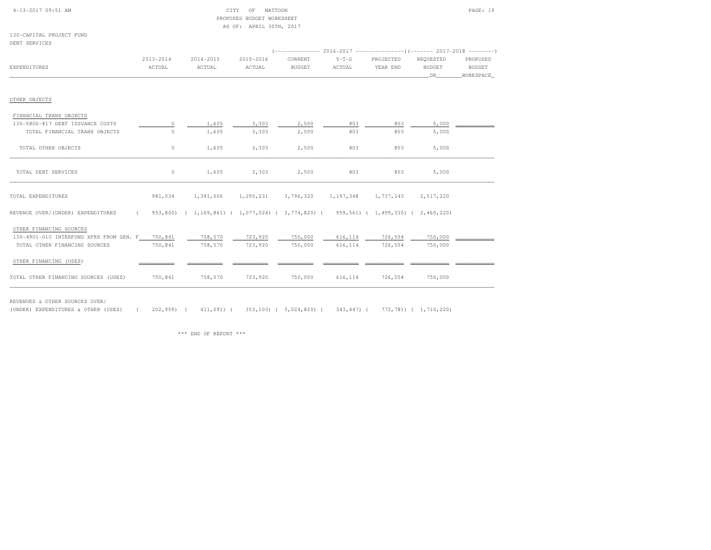| $4 - 13 - 2017$ 09:51 AM |  |  |
|--------------------------|--|--|
|                          |  |  |

#### $\begin{array}{ccc} \text{CITY} & \text{OF} & \text{MATTOON} \end{array}$  PROPOSED BUDGET WORKSHEETAS OF: APRIL 30TH, 2017

130-CAPITAL PROJECT FUNDDEBT SERVICES

|                                                 | $2013 - 2014$ | 2014-2015                                                                                            | 2015-2016       | CURRENT       | $Y-T-D$                                 | PROJECTED         | REQUESTED | PROPOSED  |
|-------------------------------------------------|---------------|------------------------------------------------------------------------------------------------------|-----------------|---------------|-----------------------------------------|-------------------|-----------|-----------|
| EXPENDITURES                                    | ACTUAL        | ACTUAL                                                                                               | ACTUAL          | <b>BUDGET</b> | ACTUAL                                  | YEAR END          | BUDGET    | BUDGET    |
|                                                 |               |                                                                                                      |                 |               |                                         |                   | DR        | WORKSPACE |
|                                                 |               |                                                                                                      |                 |               |                                         |                   |           |           |
| OTHER OBJECTS                                   |               |                                                                                                      |                 |               |                                         |                   |           |           |
| FINANCIAL TRANS OBJECTS                         |               |                                                                                                      |                 |               |                                         |                   |           |           |
| 130-5800-817 DEBT ISSUANCE COSTS                | $\circ$       | 1,605                                                                                                | 3,303           | 2,500         | 803                                     | 803               | 5,000     |           |
| TOTAL FINANCIAL TRANS OBJECTS                   | $\circ$       | 1,605                                                                                                | 3,303           | 2,500         | 803                                     | 803               | 5,000     |           |
|                                                 |               |                                                                                                      |                 |               |                                         |                   |           |           |
| TOTAL OTHER OBJECTS                             | $\circ$       | 1,605                                                                                                | 3,303           | 2,500         | 803                                     | 803               | 5,000     |           |
|                                                 |               |                                                                                                      |                 |               |                                         |                   |           |           |
| TOTAL DEBT SERVICES                             | $\circ$       | 1,605                                                                                                | 3,303           | 2,500         | 803                                     | 803               | 5,000     |           |
|                                                 |               |                                                                                                      |                 |               |                                         |                   |           |           |
|                                                 |               |                                                                                                      |                 |               |                                         |                   |           |           |
| TOTAL EXPENDITURES                              | 981,034       | 1,391,006                                                                                            |                 |               | 1,290,231 3,796,320 1,197,348 1,737,143 |                   | 2,517,220 |           |
| REVENUE OVER/(UNDER) EXPENDITURES               |               | $($ 953,800) $($ 1,169,861) $($ 1,077,024) $($ 3,774,820) $($ 959,561) $($ 1,499,335) $($ 2,460,220) |                 |               |                                         |                   |           |           |
|                                                 |               |                                                                                                      |                 |               |                                         |                   |           |           |
| OTHER FINANCING SOURCES                         |               |                                                                                                      |                 |               |                                         |                   |           |           |
| 130-4901-010 INTERFUND XFRS FROM GEN. F 750,841 |               | 758,570                                                                                              | 723,920         | 750,000       |                                         | 616, 114 726, 554 | 750,000   |           |
| TOTAL OTHER FINANCING SOURCES                   | 750,841       |                                                                                                      | 758,570 723,920 | 750,000       | 616, 114                                | 726,554           | 750,000   |           |
|                                                 |               |                                                                                                      |                 |               |                                         |                   |           |           |
| OTHER FINANCING (USES)                          |               |                                                                                                      |                 |               |                                         |                   |           |           |
| TOTAL OTHER FINANCING SOURCES (USES)            | 750,841       |                                                                                                      | 758,570 723,920 |               | 750,000 616,114 726,554                 |                   | 750,000   |           |
|                                                 |               |                                                                                                      |                 |               |                                         |                   |           |           |

REVENUES & OTHER SOURCES OVER/

(UNDER) EXPENDITURES & OTHER (USES) ( 202,959) ( 411,291) ( 353,103) ( 3,024,820) ( 343,447) ( 772,781) ( 1,710,220)

\*\*\* END OF REPORT \*\*\*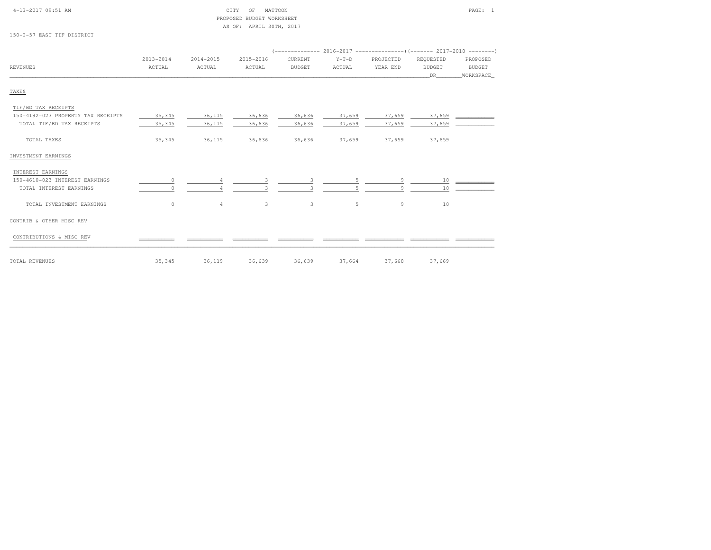### 4-13-2017 09:51 AM CITY OF MATTOON PAGE: 1PROPOSED BUD AS OF: AF

150-I-57 EAST TIF DISTRICT

| DGET WORKSHEET  |  |
|-----------------|--|
| PRIL 30TH, 2017 |  |

|          | 2013-2014 | 2014-2015 | 2015-2016 | CURRENT       | $Y-T-D$ | PROJECTED | REOUESTED     | PROPOSED      |
|----------|-----------|-----------|-----------|---------------|---------|-----------|---------------|---------------|
| REVENUES | ACTUAL    | ACTUAL    | ACTUAL    | <b>BUDGET</b> | ACTUAL  | YEAR END  | <b>BUDGET</b> | <b>BUDGET</b> |
|          |           |           |           |               |         |           |               | WORKSPACE     |
|          |           |           |           |               |         |           |               |               |

## TAXES

| TIF/BD TAX RECEIPTS                |          |                |        |        |        |        |        |  |
|------------------------------------|----------|----------------|--------|--------|--------|--------|--------|--|
| 150-4192-023 PROPERTY TAX RECEIPTS | 35,345   | 36,115         | 36,636 | 36,636 | 37,659 | 37,659 | 37,659 |  |
| TOTAL TIF/BD TAX RECEIPTS          | 35,345   | 36,115         | 36,636 | 36,636 | 37,659 | 37,659 | 37,659 |  |
| TOTAL TAXES                        | 35,345   | 36,115         | 36,636 | 36,636 | 37,659 | 37,659 | 37,659 |  |
| INVESTMENT EARNINGS                |          |                |        |        |        |        |        |  |
| INTEREST EARNINGS                  |          |                |        |        |        |        |        |  |
| 150-4610-023 INTEREST EARNINGS     | $\Omega$ |                |        |        | 5.     | 9      | 10     |  |
| TOTAL INTEREST EARNINGS            |          |                |        |        |        | Q      | 10     |  |
| TOTAL INVESTMENT EARNINGS          | $\circ$  | $\overline{4}$ | 3      | 3      | 5      | 9      | 10     |  |
| CONTRIB & OTHER MISC REV           |          |                |        |        |        |        |        |  |
| CONTRIBUTIONS & MISC REV           |          |                |        |        |        |        |        |  |
| TOTAL REVENUES                     | 35,345   | 36,119         | 36,639 | 36,639 | 37,664 | 37,668 | 37,669 |  |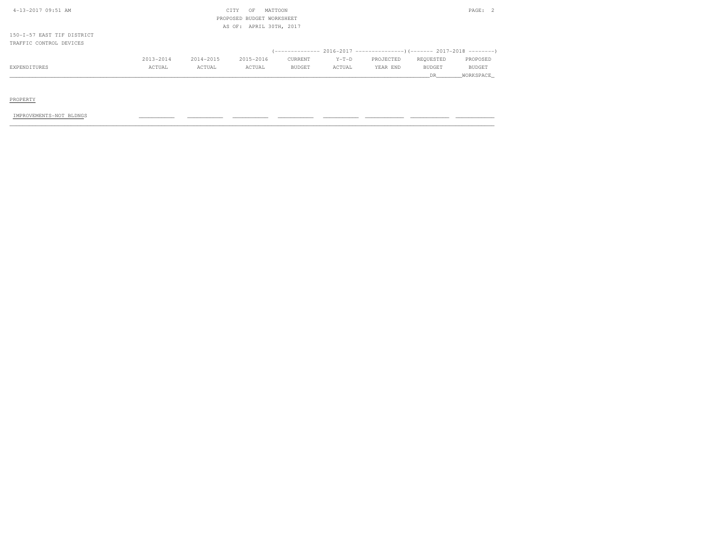| 4-13-2017 09:51 AM         |           |           | CITY<br>OF                | MATTOON |         |           |               | PAGE: 2   |
|----------------------------|-----------|-----------|---------------------------|---------|---------|-----------|---------------|-----------|
|                            |           |           | PROPOSED BUDGET WORKSHEET |         |         |           |               |           |
|                            |           |           | AS OF: APRIL 30TH, 2017   |         |         |           |               |           |
| 150-I-57 EAST TIF DISTRICT |           |           |                           |         |         |           |               |           |
| TRAFFIC CONTROL DEVICES    |           |           |                           |         |         |           |               |           |
|                            |           |           |                           |         |         |           |               |           |
|                            | 2013-2014 | 2014-2015 | 2015-2016                 | CURRENT | $Y-T-D$ | PROJECTED | REQUESTED     | PROPOSED  |
| EXPENDITURES               | ACTUAL    | ACTUAL    | ACTUAL                    | BUDGET  | ACTUAL  | YEAR END  | <b>BUDGET</b> | BUDGET    |
|                            |           |           |                           |         |         |           | DR            | WORKSPACE |

PROPERTY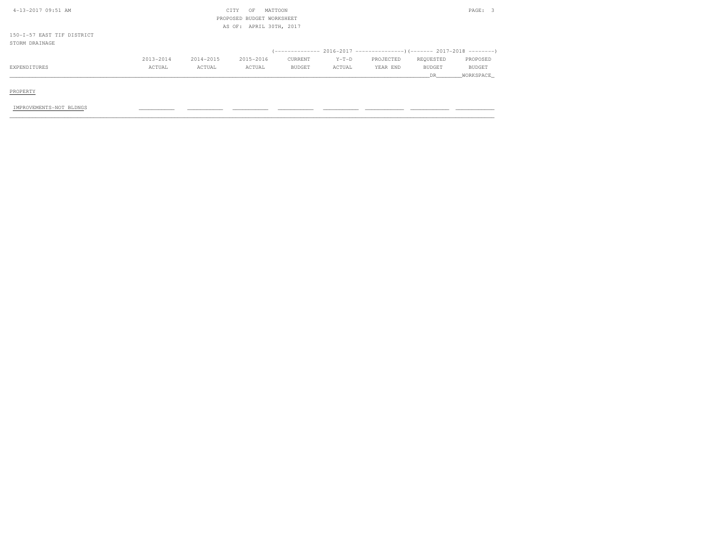| 4-13-2017 09:51 AM         |           |           | CITY<br>OF                | MATTOON       |         |           |           | PAGE: 3       |
|----------------------------|-----------|-----------|---------------------------|---------------|---------|-----------|-----------|---------------|
|                            |           |           | PROPOSED BUDGET WORKSHEET |               |         |           |           |               |
|                            |           |           | AS OF: APRIL 30TH, 2017   |               |         |           |           |               |
| 150-I-57 EAST TIF DISTRICT |           |           |                           |               |         |           |           |               |
| STORM DRAINAGE             |           |           |                           |               |         |           |           |               |
|                            |           |           |                           |               |         |           |           |               |
|                            | 2013-2014 | 2014-2015 | 2015-2016                 | CURRENT       | $Y-T-D$ | PROJECTED | REQUESTED | PROPOSED      |
| EXPENDITURES               | ACTUAL    | ACTUAL    | ACTUAL                    | <b>BUDGET</b> | ACTUAL  | YEAR END  | BUDGET    | <b>BUDGET</b> |
|                            |           |           |                           |               |         |           | DR        | WORKSPACE     |
|                            |           |           |                           |               |         |           |           |               |
| _________                  |           |           |                           |               |         |           |           |               |

PROPERTY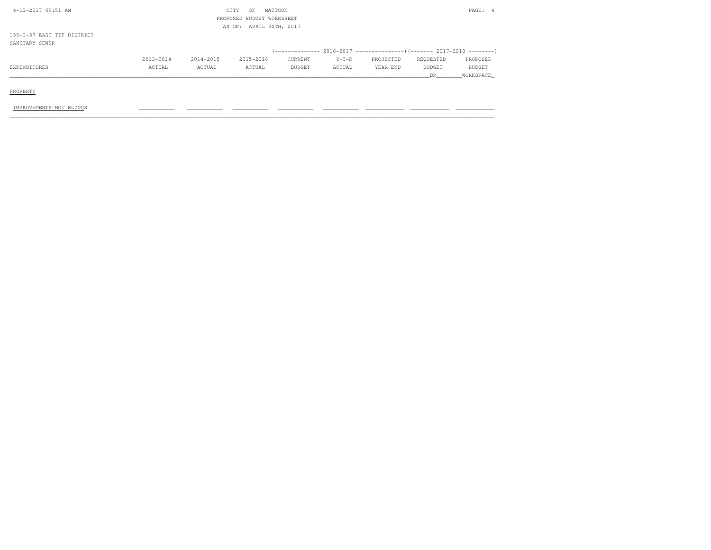| 4-13-2017 09:51 AM         |           |           | CITY<br>OF                | MATTOON |         |           |               | PAGE: 4       |
|----------------------------|-----------|-----------|---------------------------|---------|---------|-----------|---------------|---------------|
|                            |           |           | PROPOSED BUDGET WORKSHEET |         |         |           |               |               |
|                            |           |           | AS OF: APRIL 30TH, 2017   |         |         |           |               |               |
| 150-I-57 EAST TIF DISTRICT |           |           |                           |         |         |           |               |               |
| SANITARY SEWER             |           |           |                           |         |         |           |               |               |
|                            |           |           |                           |         |         |           |               |               |
|                            | 2013-2014 | 2014-2015 | 2015-2016                 | CURRENT | $Y-T-D$ | PROJECTED | REQUESTED     | PROPOSED      |
| EXPENDITURES               | ACTUAL    | ACTUAL    | ACTUAL                    | BUDGET  | ACTUAL  | YEAR END  | <b>BUDGET</b> | <b>BUDGET</b> |
|                            |           |           |                           |         |         |           | DR            | WORKSPACE     |
|                            |           |           |                           |         |         |           |               |               |
| PROPERTY                   |           |           |                           |         |         |           |               |               |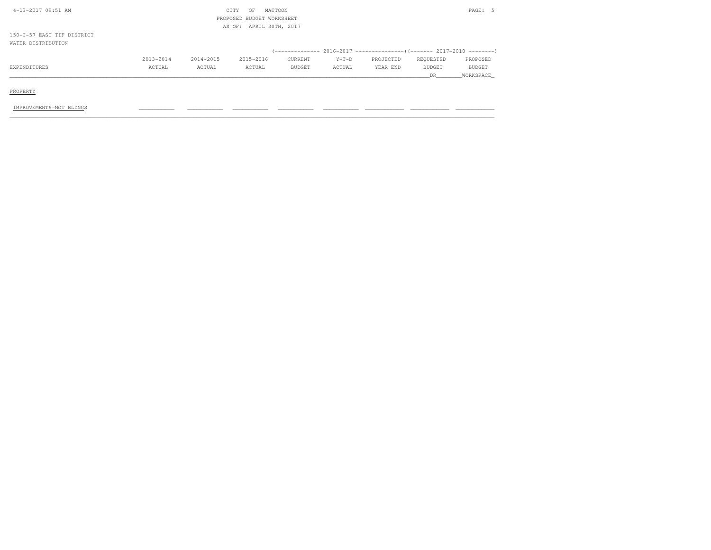| 4-13-2017 09:51 AM         |           |           | CITY<br>OF                | MATTOON       |         |           |               | PAGE: 5       |
|----------------------------|-----------|-----------|---------------------------|---------------|---------|-----------|---------------|---------------|
|                            |           |           | PROPOSED BUDGET WORKSHEET |               |         |           |               |               |
|                            |           |           | AS OF: APRIL 30TH, 2017   |               |         |           |               |               |
| 150-I-57 EAST TIF DISTRICT |           |           |                           |               |         |           |               |               |
| WATER DISTRIBUTION         |           |           |                           |               |         |           |               |               |
|                            |           |           |                           |               |         |           |               |               |
|                            | 2013-2014 | 2014-2015 | 2015-2016                 | CURRENT       | $Y-T-D$ | PROJECTED | REQUESTED     | PROPOSED      |
| EXPENDITURES               | ACTUAL    | ACTUAL    | ACTUAL                    | <b>BUDGET</b> | ACTUAL  | YEAR END  | <b>BUDGET</b> | <b>BUDGET</b> |
|                            |           |           |                           |               |         |           | DR.           | WORKSPACE     |
|                            |           |           |                           |               |         |           |               |               |
| PROPERTY                   |           |           |                           |               |         |           |               |               |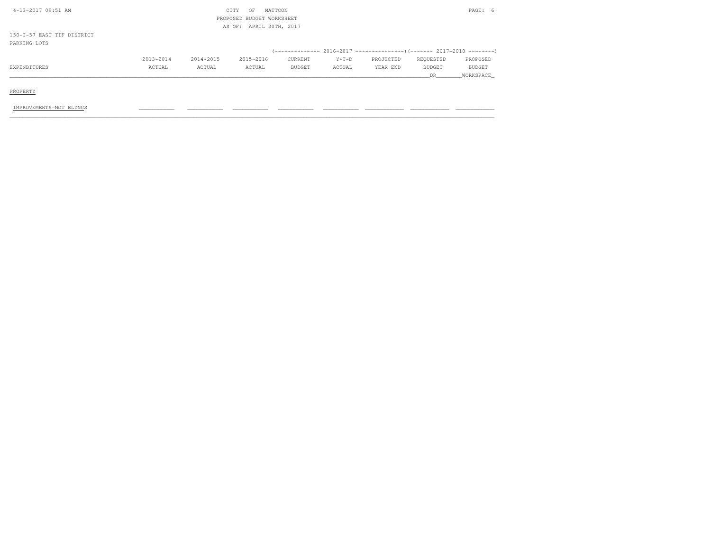| 4-13-2017 09:51 AM         |               |           | CITY<br>OF                | MATTOON       |         |           |               | PAGE: 6       |
|----------------------------|---------------|-----------|---------------------------|---------------|---------|-----------|---------------|---------------|
|                            |               |           | PROPOSED BUDGET WORKSHEET |               |         |           |               |               |
|                            |               |           | AS OF: APRIL 30TH, 2017   |               |         |           |               |               |
| 150-I-57 EAST TIF DISTRICT |               |           |                           |               |         |           |               |               |
| PARKING LOTS               |               |           |                           |               |         |           |               |               |
|                            |               |           |                           |               |         |           |               |               |
|                            | $2013 - 2014$ | 2014-2015 | 2015-2016                 | CURRENT       | $Y-T-D$ | PROJECTED | REQUESTED     | PROPOSED      |
| EXPENDITURES               | ACTUAL        | ACTUAL    | ACTUAL                    | <b>BUDGET</b> | ACTUAL  | YEAR END  | <b>BUDGET</b> | <b>BUDGET</b> |
|                            |               |           |                           |               |         |           | DR.           | WORKSPACE     |
|                            |               |           |                           |               |         |           |               |               |

PROPERTY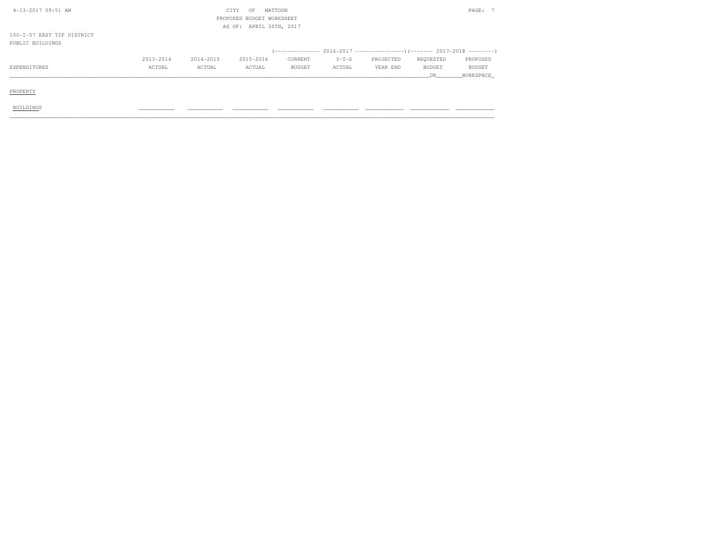| 4-13-2017 09:51 AM         |           |           | CITY<br>OF                | MATTOON       |         |           |               | PAGE: 7       |
|----------------------------|-----------|-----------|---------------------------|---------------|---------|-----------|---------------|---------------|
|                            |           |           | PROPOSED BUDGET WORKSHEET |               |         |           |               |               |
|                            |           |           | AS OF: APRIL 30TH, 2017   |               |         |           |               |               |
| 150-I-57 EAST TIF DISTRICT |           |           |                           |               |         |           |               |               |
| PUBLIC BUILDINGS           |           |           |                           |               |         |           |               |               |
|                            |           |           |                           |               |         |           |               |               |
|                            | 2013-2014 | 2014-2015 | 2015-2016                 | CURRENT       | $Y-T-D$ | PROJECTED | REQUESTED     | PROPOSED      |
| EXPENDITURES               | ACTUAL    | ACTUAL    | ACTUAL                    | <b>BUDGET</b> | ACTUAL  | YEAR END  | <b>BUDGET</b> | <b>BUDGET</b> |
|                            |           |           |                           |               |         |           | DR.           | WORKSPACE     |
|                            |           |           |                           |               |         |           |               |               |
| PROPERTY                   |           |           |                           |               |         |           |               |               |
|                            |           |           |                           |               |         |           |               |               |
| <b>BUILDINGS</b>           |           |           |                           |               |         |           |               |               |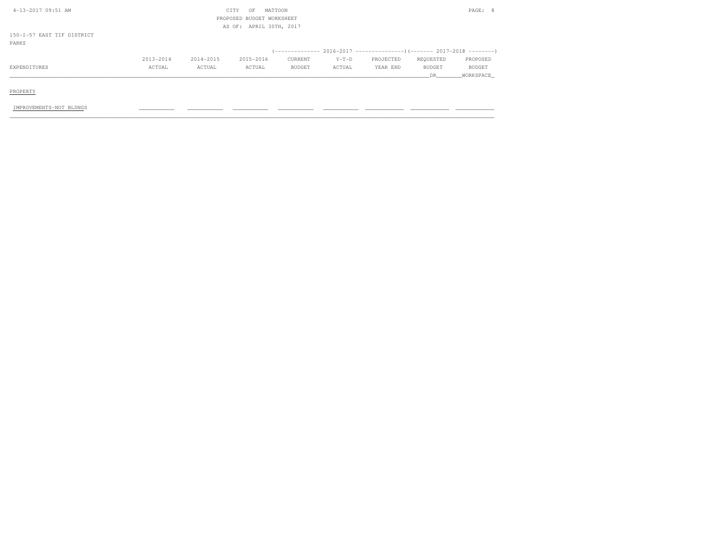| 4-13-2017 09:51 AM         |           |           | CITY<br>OF                | MATTOON       |         |                                                                            |               | PAGE: 8       |
|----------------------------|-----------|-----------|---------------------------|---------------|---------|----------------------------------------------------------------------------|---------------|---------------|
|                            |           |           | PROPOSED BUDGET WORKSHEET |               |         |                                                                            |               |               |
|                            |           |           | AS OF: APRIL 30TH, 2017   |               |         |                                                                            |               |               |
| 150-I-57 EAST TIF DISTRICT |           |           |                           |               |         |                                                                            |               |               |
| PARKS                      |           |           |                           |               |         |                                                                            |               |               |
|                            |           |           |                           |               |         | (-------------- 2016-2017 -----------------) (------- 2017-2018 ---------) |               |               |
|                            | 2013-2014 | 2014-2015 | 2015-2016                 | CURRENT       | $Y-T-D$ | PROJECTED                                                                  | REQUESTED     | PROPOSED      |
| EXPENDITURES               | ACTUAL    | ACTUAL    | ACTUAL                    | <b>BUDGET</b> | ACTUAL  | YEAR END                                                                   | <b>BUDGET</b> | <b>BUDGET</b> |
|                            |           |           |                           |               |         |                                                                            | DR            | WORKSPACE     |
|                            |           |           |                           |               |         |                                                                            |               |               |
| PROPERTY                   |           |           |                           |               |         |                                                                            |               |               |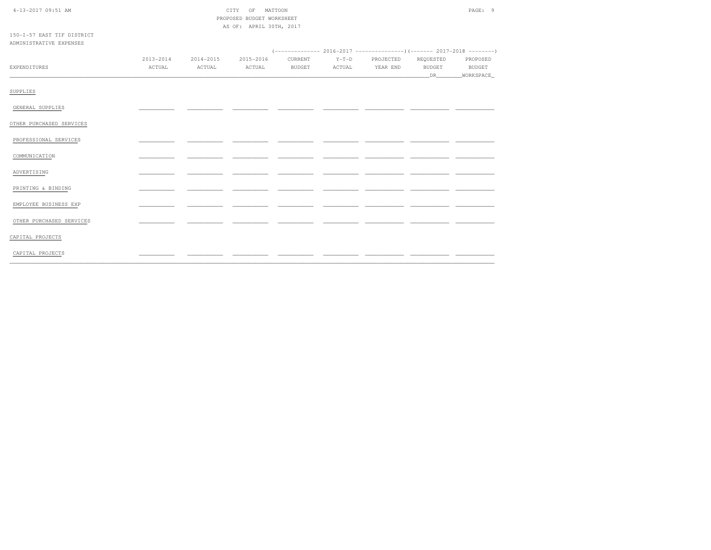| $4-13-2017$ 09:51 AM |  |
|----------------------|--|

|  | CITY OF MATTOON           | PAGE: 9 |  |
|--|---------------------------|---------|--|
|  | PROPOSED BUDGET WORKSHEET |         |  |
|  | AS OF: APRIL 30TH, 2017   |         |  |

150-I-57 EAST TIF DISTRICT ADMINISTRATIVE EXPENSES  $2013-2014 \qquad \qquad 2014-2015 \qquad \qquad 2015-2016 \qquad \qquad \text{CURRENT} \qquad \qquad Y-T-D \qquad \qquad \text{PROJECTED} \qquad \qquad \text{REQUESTED}$ PROPOSED EXPENDITURES  $\verb|ACTUAL|$ ACTUAL ACTUAL BUDGET ACTUAL YEAR END BUDGET **BUDGET** SUPPLIES GENERAL SUPPLIES  $\sim$ **Contract Contract** - -- -- -OTHER PURCHASED SERVICES PROFESSIONAL SERVICES  $\overline{\phantom{a}}$  $\overline{\phantom{a}}$  $-$ - - $-$ COMMUNICATION  $\overline{a}$ ADVERTISING \_\_\_\_  $=$   $\sim$ - -- -PRINTING & BINDING  $\sim$ - -- -- - $\overline{\phantom{a}}$ <u>. .</u> - -EMPLOYEE BUSINESS EXP - - $\overline{\phantom{a}}$ - -- -\_\_\_ - -OTHER PURCHASED SERVICES  $\sim$ - -- -CAPITAL PROJECTS CAPITAL PROJECTS

 $\overline{\phantom{a}}$ 

 $\overline{a}$ 

 $\overline{a}$ 

 $-$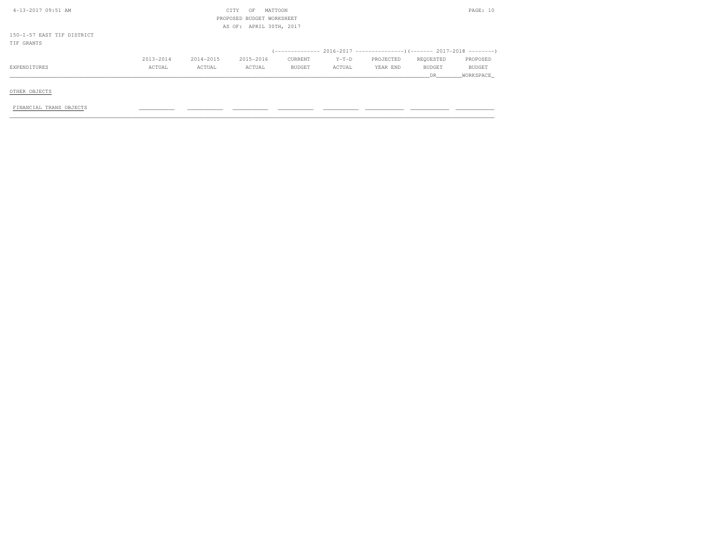| 4-13-2017 09:51 AM         |           |           | CITY<br>OF                | MATTOON       |         |           |               | PAGE: 10      |
|----------------------------|-----------|-----------|---------------------------|---------------|---------|-----------|---------------|---------------|
|                            |           |           | PROPOSED BUDGET WORKSHEET |               |         |           |               |               |
|                            |           |           | AS OF: APRIL 30TH, 2017   |               |         |           |               |               |
| 150-I-57 EAST TIF DISTRICT |           |           |                           |               |         |           |               |               |
| TIF GRANTS                 |           |           |                           |               |         |           |               |               |
|                            |           |           |                           |               |         |           |               |               |
|                            | 2013-2014 | 2014-2015 | 2015-2016                 | CURRENT       | $Y-T-D$ | PROJECTED | REQUESTED     | PROPOSED      |
| EXPENDITURES               | ACTUAL    | ACTUAL    | ACTUAL                    | <b>BUDGET</b> | ACTUAL  | YEAR END  | <b>BUDGET</b> | <b>BUDGET</b> |
|                            |           |           |                           |               |         |           | DR.           | WORKSPACE     |
|                            |           |           |                           |               |         |           |               |               |
| OTHER OBJECTS              |           |           |                           |               |         |           |               |               |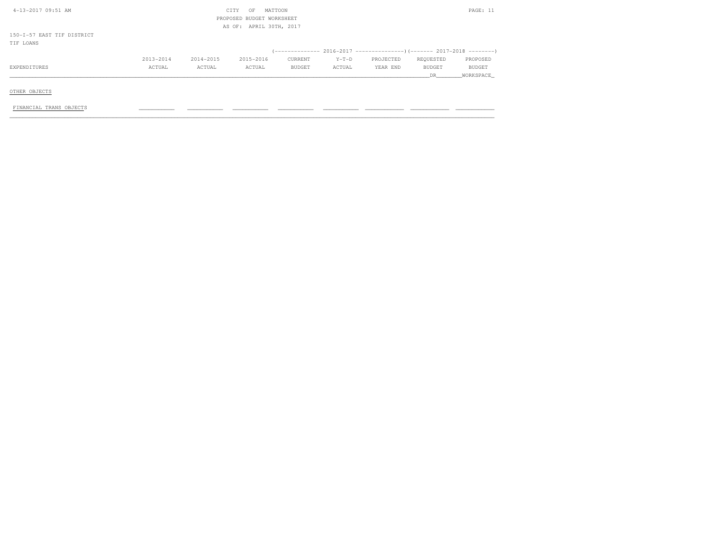| 4-13-2017 09:51 AM         |           |           | MATTOON<br>CITY<br>OF     |         |         |           |           | PAGE: 11  |
|----------------------------|-----------|-----------|---------------------------|---------|---------|-----------|-----------|-----------|
|                            |           |           | PROPOSED BUDGET WORKSHEET |         |         |           |           |           |
|                            |           |           | AS OF: APRIL 30TH, 2017   |         |         |           |           |           |
| 150-I-57 EAST TIF DISTRICT |           |           |                           |         |         |           |           |           |
| TIF LOANS                  |           |           |                           |         |         |           |           |           |
|                            |           |           |                           |         |         |           |           |           |
|                            | 2013-2014 | 2014-2015 | 2015-2016                 | CURRENT | $Y-T-D$ | PROJECTED | REQUESTED | PROPOSED  |
| EXPENDITURES               | ACTUAL    | ACTUAL    | ACTUAL                    | BUDGET  | ACTUAL  | YEAR END  | BUDGET    | BUDGET    |
|                            |           |           |                           |         |         |           | DR.       | WORKSPACE |
|                            |           |           |                           |         |         |           |           |           |
| OTHER OBJECTS              |           |           |                           |         |         |           |           |           |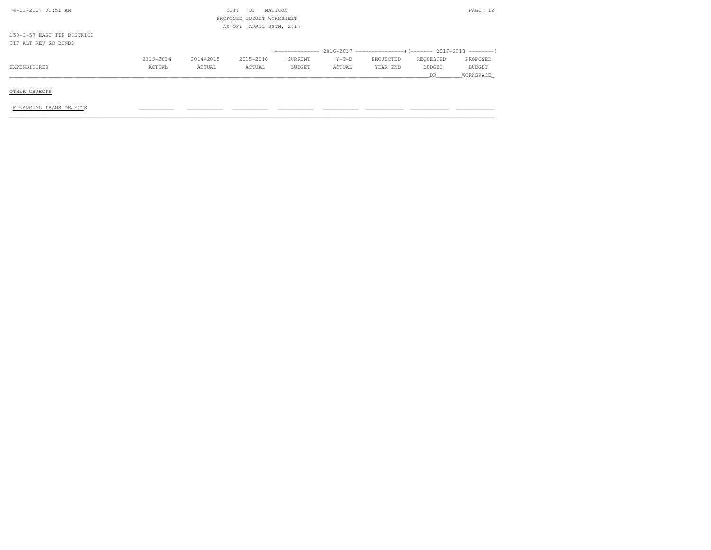| 4-13-2017 09:51 AM         | CITY      | OF        | MATTOON                   |         |           |               | PAGE: 12      |
|----------------------------|-----------|-----------|---------------------------|---------|-----------|---------------|---------------|
|                            |           |           | PROPOSED BUDGET WORKSHEET |         |           |               |               |
|                            |           |           | AS OF: APRIL 30TH, 2017   |         |           |               |               |
| 150-I-57 EAST TIF DISTRICT |           |           |                           |         |           |               |               |
| TIF ALT REV GO BONDS       |           |           |                           |         |           |               |               |
|                            |           |           |                           |         |           |               |               |
| 2013-2014                  | 2014-2015 | 2015-2016 | CURRENT                   | $Y-T-D$ | PROJECTED | REQUESTED     | PROPOSED      |
| EXPENDITURES<br>ACTUAL     | ACTUAL    | ACTUAL    | BUDGET                    | ACTUAL  | YEAR END  | <b>BUDGET</b> | <b>BUDGET</b> |
|                            |           |           |                           |         |           | DR.           | WORKSPACE     |
|                            |           |           |                           |         |           |               |               |
| OTHER OBJECTS              |           |           |                           |         |           |               |               |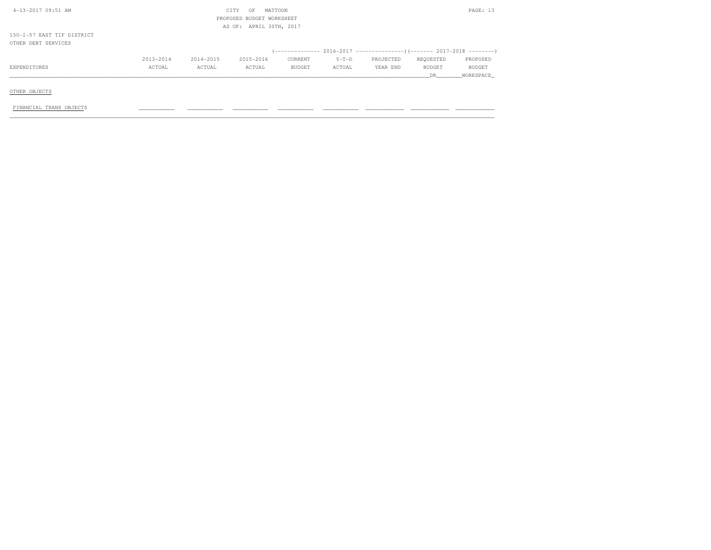| 4-13-2017 09:51 AM         |           |           | CITY<br>OF                | MATTOON       |         |           |               | PAGE: 13      |
|----------------------------|-----------|-----------|---------------------------|---------------|---------|-----------|---------------|---------------|
|                            |           |           | PROPOSED BUDGET WORKSHEET |               |         |           |               |               |
|                            |           |           | AS OF: APRIL 30TH, 2017   |               |         |           |               |               |
| 150-I-57 EAST TIF DISTRICT |           |           |                           |               |         |           |               |               |
| OTHER DEBT SERVICES        |           |           |                           |               |         |           |               |               |
|                            |           |           |                           |               |         |           |               |               |
|                            | 2013-2014 | 2014-2015 | 2015-2016                 | CURRENT       | $Y-T-D$ | PROJECTED | REQUESTED     | PROPOSED      |
| EXPENDITURES               | ACTUAL    | ACTUAL    | ACTUAL                    | <b>BUDGET</b> | ACTUAL  | YEAR END  | <b>BUDGET</b> | <b>BUDGET</b> |
|                            |           |           |                           |               |         |           | DR.           | WORKSPACE     |
|                            |           |           |                           |               |         |           |               |               |
| OTHER OBJECTS              |           |           |                           |               |         |           |               |               |
|                            |           |           |                           |               |         |           |               |               |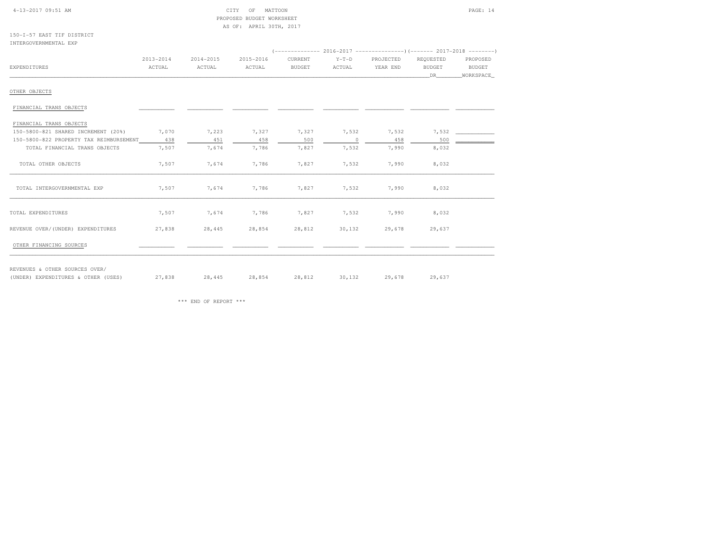#### 4-13-2017 09:51 AM CITY OF MATTOON PAGE: 14 PROPOSED BUDGET WORKSHEETAS OF: APRIL 30TH, 2017

150-I-57 EAST TIF DISTRICTINTERGOVERNMENTAL EXP

| <b>EXPENDITURES</b>                     | 2013-2014<br>ACTUAL | 2014-2015<br>ACTUAL | 2015-2016<br>ACTUAL                       | CURRENT<br><b>BUDGET</b> | $Y-T-D$<br>ACTUAL | PROJECTED<br>YEAR END | REQUESTED<br><b>BUDGET</b><br>DR 1 | PROPOSED<br><b>BUDGET</b><br>_WORKSPACE |
|-----------------------------------------|---------------------|---------------------|-------------------------------------------|--------------------------|-------------------|-----------------------|------------------------------------|-----------------------------------------|
| OTHER OBJECTS                           |                     |                     |                                           |                          |                   |                       |                                    |                                         |
| FINANCIAL TRANS OBJECTS                 |                     |                     |                                           |                          |                   |                       |                                    |                                         |
| FINANCIAL TRANS OBJECTS                 |                     |                     |                                           |                          |                   |                       |                                    |                                         |
| 150-5800-821 SHARED INCREMENT (20%)     | 7,070               | 7,223               | 7,327 7,327                               |                          | 7,532 7,532       |                       |                                    |                                         |
| 150-5800-822 PROPERTY TAX REIMBURSEMENT | 438                 | 451                 | 458                                       | 500                      | $\circ$           | 458                   | 500                                |                                         |
| TOTAL FINANCIAL TRANS OBJECTS           | 7,507               | 7,674               | 7,786                                     | 7,827                    | 7,532             | 7,990                 | 8,032                              |                                         |
| TOTAL OTHER OBJECTS                     | 7,507               | 7,674               | 7,786                                     | 7,827                    | 7,532             | 7,990                 | 8,032                              |                                         |
| TOTAL INTERGOVERNMENTAL EXP             | 7,507               | 7,674               | 7,786                                     | 7,827                    | 7,532             | 7,990                 | 8,032                              |                                         |
| TOTAL EXPENDITURES                      | 7,507               |                     | 7,674 7,786 7,827 7,532 7,990             |                          |                   |                       | 8,032                              |                                         |
| REVENUE OVER/(UNDER) EXPENDITURES       | 27,838              |                     | 28,445 28,854                             |                          | 28,812 30,132     | 29,678                | 29,637                             |                                         |
| OTHER FINANCING SOURCES                 |                     |                     |                                           |                          |                   |                       |                                    |                                         |
| REVENUES & OTHER SOURCES OVER/          |                     |                     |                                           |                          |                   |                       |                                    |                                         |
| (UNDER) EXPENDITURES & OTHER (USES)     | 27,838              |                     | 28,445 28,854 28,812 30,132 29,678 29,637 |                          |                   |                       |                                    |                                         |

\*\*\* END OF REPORT \*\*\*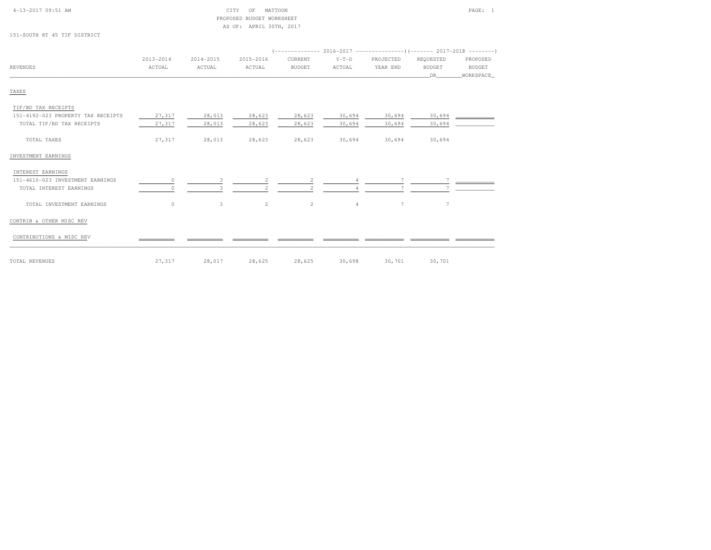### 4-13-2017 09:51 AM CITY OF MATTOON PAGE: 1 PROPOSED BUDGET WORKSHEETAS OF: APRIL 30TH, 2017

151-SOUTH RT 45 TIF DISTRICT

|                                    | 2013-2014 | 2014-2015 | 2015-2016      | CURRENT        | $Y-T-D$        | PROJECTED | REQUESTED     | PROPOSED      |
|------------------------------------|-----------|-----------|----------------|----------------|----------------|-----------|---------------|---------------|
| <b>REVENUES</b>                    | ACTUAL    | ACTUAL    | ACTUAL         | <b>BUDGET</b>  | ACTUAL         | YEAR END  | <b>BUDGET</b> | <b>BUDGET</b> |
|                                    |           |           |                |                |                |           | DR.           | WORKSPACE_    |
| TAXES                              |           |           |                |                |                |           |               |               |
| TIF/BD TAX RECEIPTS                |           |           |                |                |                |           |               |               |
| 151-4192-023 PROPERTY TAX RECEIPTS | 27,317    | 28,013    | 28,623         | 28,623         | 30,694         | 30,694    | 30,694        |               |
| TOTAL TIF/BD TAX RECEIPTS          | 27,317    | 28,013    | 28,623         | 28,623         | 30,694         | 30,694    | 30,694        |               |
| TOTAL TAXES                        | 27,317    | 28,013    | 28,623         | 28,623         | 30,694         | 30,694    | 30,694        |               |
| INVESTMENT EARNINGS                |           |           |                |                |                |           |               |               |
| INTEREST EARNINGS                  |           |           |                |                |                |           |               |               |
| 151-4610-023 INVESTMENT EARNINGS   |           |           |                |                |                |           |               |               |
| TOTAL INTEREST EARNINGS            | O         | ₹         |                | $\mathfrak{D}$ |                |           |               |               |
| TOTAL INVESTMENT EARNINGS          | $\circ$   | 3         | $\overline{2}$ | $\overline{c}$ | $\overline{4}$ | 7         | 7             |               |
|                                    |           |           |                |                |                |           |               |               |

### CONTRIB & OTHER MISC REV

CONTRIBUTIONS & MISC REV \_\_\_\_\_\_\_\_\_\_\_ \_\_\_\_\_\_\_\_\_\_\_ \_\_\_\_\_\_\_\_\_\_\_ \_\_\_\_\_\_\_\_\_\_\_ \_\_\_\_\_\_\_\_\_\_\_ \_\_\_\_\_\_\_\_\_\_\_\_ \_\_\_\_\_\_\_\_\_\_\_\_ \_\_\_\_\_\_\_\_\_\_\_\_

TOTAL REVENUES 27,317 28,017 28,625 28,625 30,698 30,701 30,701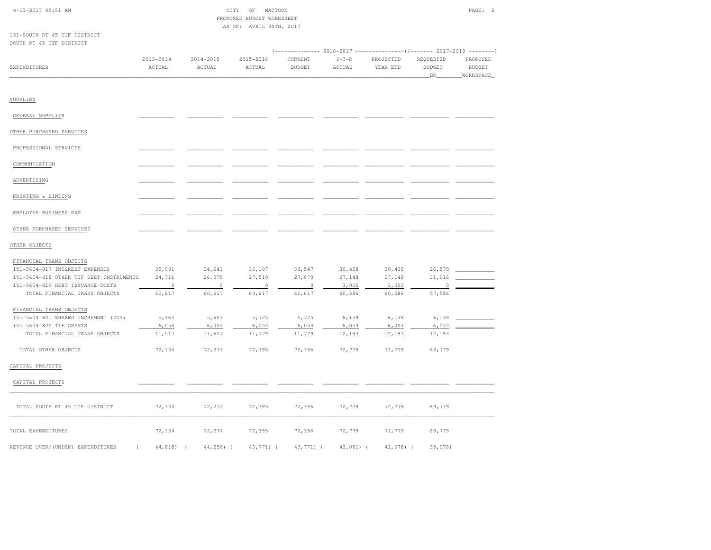| $4-13-2017$ 09:51 AM |  |
|----------------------|--|

| 4-13-2017 09:51 AM | CITY OF MATTOON           | PAGE: |  |
|--------------------|---------------------------|-------|--|
|                    | PROPOSED BUDGET WORKSHEET |       |  |
|                    | AS OF: APRIL 30TH, 2017   |       |  |

151-SOUTH RT 45 TIF DISTRICTSOUTH RT 45 TIF DISTRICT

| SOUTH RT 45 TIF DISTRICT                |                         |                         |                         |                                                                                                    |                   |                       |                                    |                                        |
|-----------------------------------------|-------------------------|-------------------------|-------------------------|----------------------------------------------------------------------------------------------------|-------------------|-----------------------|------------------------------------|----------------------------------------|
| <b>EXPENDITURES</b>                     | $2013 - 2014$<br>ACTUAL | $2014 - 2015$<br>ACTUAL | $2015 - 2016$<br>ACTUAL | (------------- 2016-2017 ---------------) (------- 2017-2018 --------)<br>CURRENT<br><b>BUDGET</b> | $Y-T-D$<br>ACTUAL | PROJECTED<br>YEAR END | REQUESTED<br><b>BUDGET</b><br>_DR_ | PROPOSED<br><b>BUDGET</b><br>WORKSPACE |
| SUPPLIES                                |                         |                         |                         |                                                                                                    |                   |                       |                                    |                                        |
| GENERAL SUPPLIES                        |                         |                         |                         |                                                                                                    |                   |                       |                                    |                                        |
| OTHER PURCHASED SERVICES                |                         |                         |                         |                                                                                                    |                   |                       |                                    |                                        |
| PROFESSIONAL SERVICES                   |                         |                         |                         |                                                                                                    |                   |                       |                                    |                                        |
| COMMUNICATION                           |                         |                         |                         |                                                                                                    |                   |                       |                                    |                                        |
| ADVERTISING                             |                         |                         |                         |                                                                                                    |                   |                       |                                    |                                        |
| PRINTING & BINDING                      |                         |                         |                         |                                                                                                    |                   |                       |                                    |                                        |
| EMPLOYEE BUSINESS EXP                   |                         |                         |                         |                                                                                                    |                   |                       |                                    |                                        |
|                                         |                         |                         |                         |                                                                                                    |                   |                       |                                    |                                        |
| OTHER PURCHASED SERVICES                |                         |                         |                         |                                                                                                    |                   |                       |                                    |                                        |
| OTHER OBJECTS                           |                         |                         |                         |                                                                                                    |                   |                       |                                    |                                        |
| FINANCIAL TRANS OBJECTS                 |                         |                         |                         |                                                                                                    |                   |                       |                                    |                                        |
| 151-5604-817 INTEREST EXPENSES          | 35,901                  | 34,541                  | 33,107                  | 33,547                                                                                             | 30,438            | 30,438                | 26,570                             |                                        |
| 151-5604-818 OTHER TIF DEBT INSTRUMENTS | 24,716                  | 26,075                  | 27,510                  | 27,070                                                                                             | 27,148            | 27,148                | 31,016                             |                                        |
| 151-5604-819 DEBT ISSUANCE COSTS        | $\circ$                 | $\circ$                 | $\circ$                 | $\circ$                                                                                            | 3,000             | 3,000                 | $\circ$                            |                                        |
| TOTAL FINANCIAL TRANS OBJECTS           | 60,617                  | 60,617                  | 60,617                  | 60,617                                                                                             | 60,586            | 60,586                | 57,586                             |                                        |
| FINANCIAL TRANS OBJECTS                 |                         |                         |                         |                                                                                                    |                   |                       |                                    |                                        |
| 151-5604-821 SHARED INCREMENT (20%)     | 5,463                   | 5,603                   | 5,725                   | 5,725                                                                                              | 6,139             | 6,139                 | 6,139                              |                                        |
| 151-5604-825 TIF GRANTS                 | 6,054                   | 6,054                   | 6,054                   | 6,054                                                                                              | 6,054             | 6,054                 | 6,054                              |                                        |
| TOTAL FINANCIAL TRANS OBJECTS           | 11,517                  | 11,657                  | 11,779                  | 11,779                                                                                             | 12,193            | 12,193                | 12,193                             |                                        |
| TOTAL OTHER OBJECTS                     | 72,134                  | 72,274                  | 72,395                  | 72,396                                                                                             | 72,779            | 72,779                | 69,779                             |                                        |
| CAPITAL PROJECTS                        |                         |                         |                         |                                                                                                    |                   |                       |                                    |                                        |
| CAPITAL PROJECTS                        |                         |                         |                         |                                                                                                    |                   |                       |                                    |                                        |
| TOTAL SOUTH RT 45 TIF DISTRICT          | 72,134                  | 72,274                  | 72,395                  | 72,396                                                                                             | 72,779            | 72,779                | 69,779                             |                                        |
| TOTAL EXPENDITURES                      | 72,134                  | 72,274                  | 72,395                  | 72,396                                                                                             | 72,779            | 72,779                | 69,779                             |                                        |
| REVENUE OVER/(UNDER) EXPENDITURES<br>1  | 44,818)<br>$\sqrt{ }$   | $44, 258$ ) (           | 43,771) (               | 43,771) (                                                                                          | $42,081$ (        | $42,078$ (            | 39,078)                            |                                        |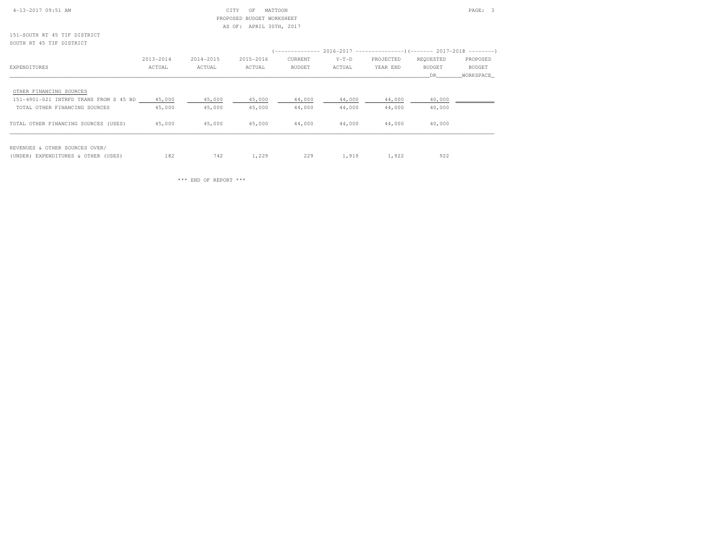#### 4-13-2017 09:51 AM CITY OF MATTOON PAGE: 3 PROPOSED BUDGET WORKSHEETAS OF: APRIL 30TH, 2017

151-SOUTH RT 45 TIF DISTRICTSOUTH RT 45 TIF DISTRICT

|                                        |           |           |           | (-------------- 2016-2017 ---------------------- 2017-2018 --------- |         |           |               |           |
|----------------------------------------|-----------|-----------|-----------|----------------------------------------------------------------------|---------|-----------|---------------|-----------|
|                                        | 2013-2014 | 2014-2015 | 2015-2016 | CURRENT                                                              | $Y-T-D$ | PROJECTED | REQUESTED     | PROPOSED  |
| EXPENDITURES                           | ACTUAL    | ACTUAL    | ACTUAL    | <b>BUDGET</b>                                                        | ACTUAL  | YEAR END  | <b>BUDGET</b> | BUDGET    |
|                                        |           |           |           |                                                                      |         |           | DR.           | WORKSPACE |
| OTHER FINANCING SOURCES                |           |           |           |                                                                      |         |           |               |           |
| 151-4901-021 INTRFD TRANS FROM S 45 BD | 45,000    | 45,000    | 45,000    | 44,000                                                               | 44,000  | 44,000    | 40,000        |           |
| TOTAL OTHER FINANCING SOURCES          | 45,000    | 45,000    | 45,000    | 44,000                                                               | 44,000  | 44,000    | 40,000        |           |
| TOTAL OTHER FINANCING SOURCES (USES)   | 45,000    | 45,000    | 45,000    | 44,000                                                               | 44,000  | 44,000    | 40,000        |           |
| REVENUES & OTHER SOURCES OVER/         |           |           |           |                                                                      |         |           |               |           |
| (UNDER) EXPENDITURES & OTHER (USES)    | 182       | 742       | 1,229     | 229                                                                  | 1,919   | 1,922     | 922           |           |

\*\*\* END OF REPORT \*\*\*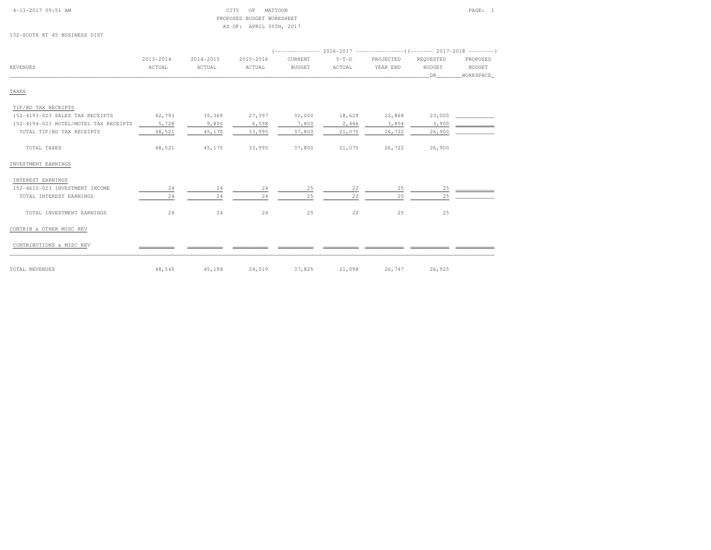| $4 - 13 - 2017$ 09:51 AM |  |  |
|--------------------------|--|--|
|                          |  |  |

#### $\begin{array}{ccc} \text{CITY} & \text{OF} & \text{MATTOON} \end{array}$  PROPOSED BUDGET WORKSHEETAS OF: APRIL 30TH, 2017

152-SOUTH RT 45 BUSINESS DIST

|                                       |                         |                     |                     | (-------------- 2016-2017 ---------------------- 2017-2018 ---------- |                   |                       |                                   |                                 |
|---------------------------------------|-------------------------|---------------------|---------------------|-----------------------------------------------------------------------|-------------------|-----------------------|-----------------------------------|---------------------------------|
| <b>REVENUES</b>                       | $2013 - 2014$<br>ACTUAL | 2014-2015<br>ACTUAL | 2015-2016<br>ACTUAL | CURRENT<br><b>BUDGET</b>                                              | $Y-T-D$<br>ACTUAL | PROJECTED<br>YEAR END | REQUESTED<br><b>BUDGET</b><br>DR. | PROPOSED<br>BUDGET<br>WORKSPACE |
| TAXES                                 |                         |                     |                     |                                                                       |                   |                       |                                   |                                 |
| TIF/BD TAX RECEIPTS                   |                         |                     |                     |                                                                       |                   |                       |                                   |                                 |
| 152-4193-023 SALES TAX RECEIPTS       | 42,793                  | 35,369              | 27,397              | 30,000                                                                | 18,629            | 22,868                | 23,000                            |                                 |
| 152-4194-023 HOTEL/MOTEL TAX RECEIPTS | 5,728                   | 9,800               | 6,598               | 7,800                                                                 | 2,446             | 3,854                 | 3,900                             |                                 |
| TOTAL TIF/BD TAX RECEIPTS             | 48,521                  | 45,170              | 33,995              | 37,800                                                                | 21,075            | 26,722                | 26,900                            |                                 |
| TOTAL TAXES                           | 48,521                  | 45,170              | 33,995              | 37,800                                                                | 21,075            | 26,722                | 26,900                            |                                 |
| INVESTMENT EARNINGS                   |                         |                     |                     |                                                                       |                   |                       |                                   |                                 |
| INTEREST EARNINGS                     |                         |                     |                     |                                                                       |                   |                       |                                   |                                 |
| 152-4610-023 INVESTMENT INCOME        | 24                      | 24                  | 24                  | 25                                                                    | 22                | 25                    | 25                                |                                 |
| TOTAL INTEREST EARNINGS               | 24                      | 24                  | 24                  | 25                                                                    | 22                | 25                    | 25                                |                                 |
| TOTAL INVESTMENT EARNINGS             | 24                      | 24                  | 24                  | 25                                                                    | 22                | 25                    | 25                                |                                 |
| CONTRIB & OTHER MISC REV              |                         |                     |                     |                                                                       |                   |                       |                                   |                                 |
| CONTRIBUTIONS & MISC REV              |                         |                     |                     |                                                                       |                   |                       |                                   |                                 |
| TOTAL REVENUES                        | 48,545                  | 45,194              | 34,019              | 37,825                                                                | 21,098            | 26,747                | 26,925                            |                                 |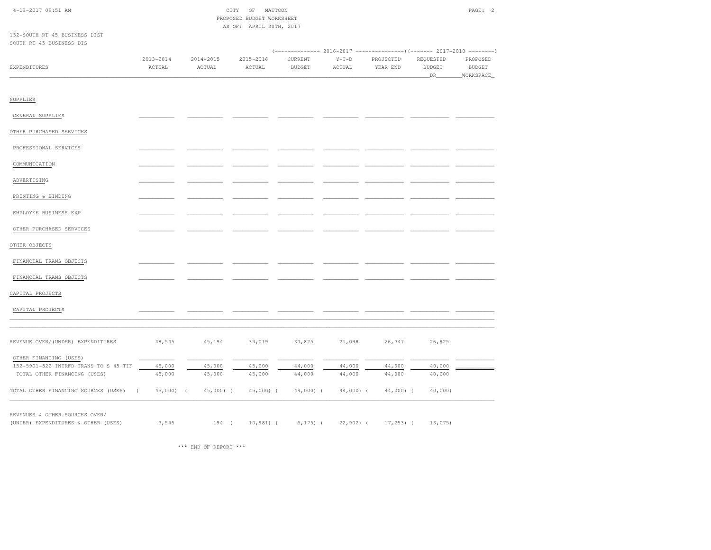| 4-13-2017 09:51 AM                                                    |                        |                  | CITY<br>OF                | MATTOON          |                  |                  |                  | PAGE: 2       |
|-----------------------------------------------------------------------|------------------------|------------------|---------------------------|------------------|------------------|------------------|------------------|---------------|
|                                                                       |                        |                  | PROPOSED BUDGET WORKSHEET |                  |                  |                  |                  |               |
|                                                                       |                        |                  | AS OF: APRIL 30TH, 2017   |                  |                  |                  |                  |               |
| 152-SOUTH RT 45 BUSINESS DIST<br>SOUTH RT 45 BUSINESS DIS             |                        |                  |                           |                  |                  |                  |                  |               |
|                                                                       |                        |                  |                           |                  |                  |                  |                  |               |
|                                                                       | $2013 - 2014$          | $2014 - 2015$    | 2015-2016                 | CURRENT          | $Y-T-D$          | PROJECTED        | REQUESTED        | PROPOSED      |
| EXPENDITURES                                                          | $\verb ACTUAL $        | ACTUAL           | $\verb ACTUAL $           | <b>BUDGET</b>    | ACTUAL           | YEAR END         | <b>BUDGET</b>    | <b>BUDGET</b> |
|                                                                       |                        |                  |                           |                  |                  |                  | DR.              | WORKSPACE     |
|                                                                       |                        |                  |                           |                  |                  |                  |                  |               |
|                                                                       |                        |                  |                           |                  |                  |                  |                  |               |
| SUPPLIES                                                              |                        |                  |                           |                  |                  |                  |                  |               |
| GENERAL SUPPLIES                                                      |                        |                  |                           |                  |                  |                  |                  |               |
|                                                                       |                        |                  |                           |                  |                  |                  |                  |               |
| OTHER PURCHASED SERVICES                                              |                        |                  |                           |                  |                  |                  |                  |               |
|                                                                       |                        |                  |                           |                  |                  |                  |                  |               |
| PROFESSIONAL SERVICES                                                 |                        |                  |                           |                  |                  |                  |                  |               |
| COMMUNICATION                                                         |                        |                  |                           |                  |                  |                  |                  |               |
|                                                                       |                        |                  |                           |                  |                  |                  |                  |               |
| ADVERTISING                                                           |                        |                  |                           |                  |                  |                  |                  |               |
|                                                                       |                        |                  |                           |                  |                  |                  |                  |               |
| PRINTING & BINDING                                                    |                        |                  |                           |                  |                  |                  |                  |               |
|                                                                       |                        |                  |                           |                  |                  |                  |                  |               |
| EMPLOYEE BUSINESS EXP                                                 |                        |                  |                           |                  |                  |                  |                  |               |
| OTHER PURCHASED SERVICES                                              |                        |                  |                           |                  |                  |                  |                  |               |
|                                                                       |                        |                  |                           |                  |                  |                  |                  |               |
| OTHER OBJECTS                                                         |                        |                  |                           |                  |                  |                  |                  |               |
|                                                                       |                        |                  |                           |                  |                  |                  |                  |               |
| FINANCIAL TRANS OBJECTS                                               |                        |                  |                           |                  |                  |                  |                  |               |
| FINANCIAL TRANS OBJECTS                                               |                        |                  |                           |                  |                  |                  |                  |               |
|                                                                       |                        |                  |                           |                  |                  |                  |                  |               |
| CAPITAL PROJECTS                                                      |                        |                  |                           |                  |                  |                  |                  |               |
|                                                                       |                        |                  |                           |                  |                  |                  |                  |               |
| CAPITAL PROJECTS                                                      |                        |                  |                           |                  |                  |                  |                  |               |
|                                                                       |                        |                  |                           |                  |                  |                  |                  |               |
|                                                                       |                        |                  |                           |                  |                  |                  |                  |               |
| REVENUE OVER/(UNDER) EXPENDITURES                                     | 48,545                 | 45,194           | 34,019                    | 37,825           | 21,098           | 26,747           | 26,925           |               |
|                                                                       |                        |                  |                           |                  |                  |                  |                  |               |
| OTHER FINANCING (USES)                                                |                        |                  |                           |                  |                  |                  |                  |               |
| 152-5901-822 INTRFD TRANS TO S 45 TIF<br>TOTAL OTHER FINANCING (USES) | 45,000<br>45,000       | 45,000<br>45,000 | 45,000<br>45,000          | 44,000<br>44,000 | 44,000<br>44,000 | 44,000<br>44,000 | 40,000<br>40,000 |               |
|                                                                       |                        |                  |                           |                  |                  |                  |                  |               |
| TOTAL OTHER FINANCING SOURCES (USES)                                  | $45,000$ (<br>$\left($ | $45,000$ ) (     | $45,000$ ) (              | 44,000) (        | $44,000$ ) (     | 44,000) (        | $40,000$ )       |               |
|                                                                       |                        |                  |                           |                  |                  |                  |                  |               |
| REVENUES & OTHER SOURCES OVER/                                        |                        |                  |                           |                  |                  |                  |                  |               |
| (UNDER) EXPENDITURES & OTHER (USES)                                   | 3,545                  | 194(             | $10,981$ (                | $6, 175)$ (      | $22,902$ ) (     | $17, 253$ ) (    | 13,075)          |               |
|                                                                       |                        |                  |                           |                  |                  |                  |                  |               |

\*\*\* END OF REPORT \*\*\*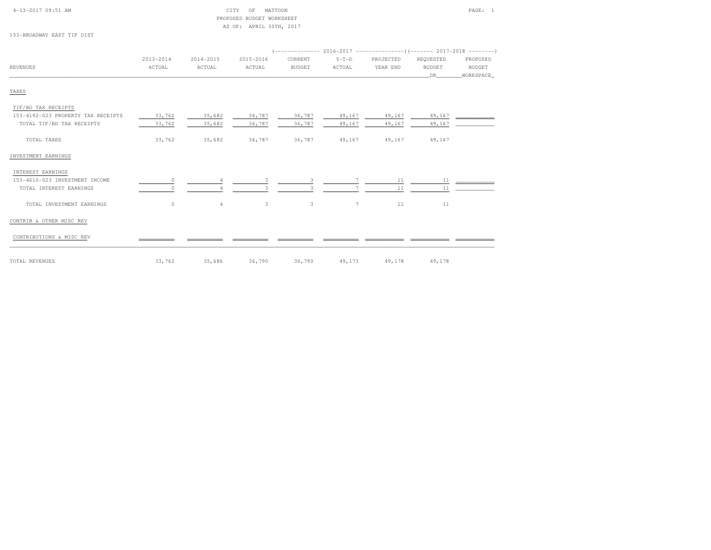TAXES

### 4-13-2017 09:51 AM CITY OF MATTOON PAGE: 1 PROPOSED BUDGET WORKSHEETAS OF: APRIL 30TH, 2017

| 153-BROADWAY EAST TIF DIST |           |           |           |               |         |                                                                            |               |               |
|----------------------------|-----------|-----------|-----------|---------------|---------|----------------------------------------------------------------------------|---------------|---------------|
|                            |           |           |           |               |         | (-------------- 2016–2017 ---------------------        2017–2018 --------- |               |               |
|                            | 2013-2014 | 2014-2015 | 2015-2016 | CURRENT       | $Y-T-D$ | PROJECTED                                                                  | REQUESTED     | PROPOSED      |
| REVENUES                   | ACTUAL    | ACTUAL    | ACTUAL    | <b>BUDGET</b> | ACTUAL  | YEAR END                                                                   | <b>BUDGET</b> | <b>BUDGET</b> |
|                            |           |           |           |               |         |                                                                            | <b>DR</b>     | WORKSPACE     |
|                            |           |           |           |               |         |                                                                            |               |               |
| TAXES                      |           |           |           |               |         |                                                                            |               |               |

# TIF/BD TAX RECEIPTS 153-4192-023 PROPERTY TAX RECEIPTS 33,762 35,682 36,787 36,787 49,167 49,167 49,167 \_\_\_\_\_\_\_\_\_\_\_\_TOTAL TIF/BD TAX RECEIPTS  $33,762$   $35,682$   $36,787$   $36,787$   $49,167$   $49,167$   $49,167$  TOTAL TAXES 33,762 35,682 36,787 36,787 49,167 49,167 49,167INVESTMENT EARNINGS INTEREST EARNINGS153-4610-023 INVESTMENT INCOME 0 0 4 3 3 7 11 1 11 12  $53-4610-023$  INVESTMENT INCOME  $\frac{0}{\sqrt{1-\frac{0}{1-\frac{0}{2}}}}$   $\frac{4}{\sqrt{1-\frac{3}{2}}}\frac{3}{\sqrt{1-\frac{3}{2}}}\frac{3}{\sqrt{1-\frac{7}{2}}}}$   $\frac{11}{\sqrt{1+\frac{11}{2}}}\frac{11}{\sqrt{1-\frac{11}{2}}}}$  $\begin{matrix} \text{total} & \text{total} & \text{total} \\ \text{total} & \text{total} & \text{total} \\ \text{total} & \text{total} & \text{total} \\ \text{total} & \text{total} & \text{total} \\ \text{total} & \text{total} & \text{total} \\ \text{total} & \text{total} & \text{total} \\ \text{total} & \text{total} & \text{total} \\ \text{total} & \text{total} & \text{total} \\ \text{total} & \text{total} & \text{total} \\ \text{total} & \text{total} & \text{total} \\ \text{total} & \text{total} & \text{total} \\ \text{total} & \text{total} & \text{total}$ CONTRIB & OTHER MISC REV CONTRIBUTIONS & MISC REV \_\_\_\_\_\_\_\_\_\_\_ \_\_\_\_\_\_\_\_\_\_\_ \_\_\_\_\_\_\_\_\_\_\_ \_\_\_\_\_\_\_\_\_\_\_ \_\_\_\_\_\_\_\_\_\_\_ \_\_\_\_\_\_\_\_\_\_\_\_ \_\_\_\_\_\_\_\_\_\_\_\_ \_\_\_\_\_\_\_\_\_\_\_\_TOTAL REVENUES 33,762 35,686 36,790 36,790 49,173 49,178 49,178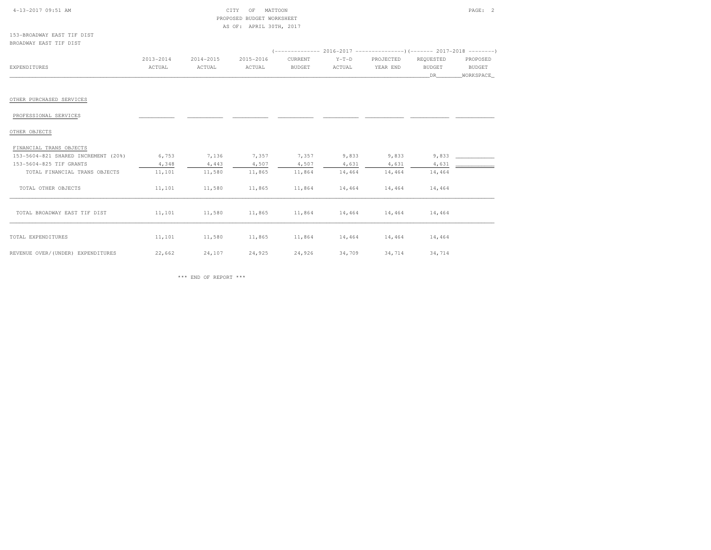| 4-13-2017 09:51 AM<br>CTTV.<br>◡⊥⊥⊥ | MATTOON<br>OF             | PAGE: |  |
|-------------------------------------|---------------------------|-------|--|
|                                     | PROPOSED BUDGET WORKSHEET |       |  |

BUDGET WORKSHEET AS OF: APRIL 30TH, 2017

153-BROADWAY EAST TIF DISTBROADWAY EAST TIF DIST

|                                     | 2013-2014 | 2014-2015 | 2015-2016 | CURRENT       | $Y-T-D$ | PROJECTED | REQUESTED     | PROPOSED  |
|-------------------------------------|-----------|-----------|-----------|---------------|---------|-----------|---------------|-----------|
| <b>EXPENDITURES</b>                 | ACTUAL    | ACTUAL    | ACTUAL    | <b>BUDGET</b> | ACTUAL  | YEAR END  | <b>BUDGET</b> | BUDGET    |
|                                     |           |           |           |               |         |           | DR            | WORKSPACE |
|                                     |           |           |           |               |         |           |               |           |
| OTHER PURCHASED SERVICES            |           |           |           |               |         |           |               |           |
| PROFESSIONAL SERVICES               |           |           |           |               |         |           |               |           |
| OTHER OBJECTS                       |           |           |           |               |         |           |               |           |
| FINANCIAL TRANS OBJECTS             |           |           |           |               |         |           |               |           |
| 153-5604-821 SHARED INCREMENT (20%) | 6,753     | 7,136     | 7,357     | 7,357         | 9,833   | 9,833     | 9,833         |           |
| 153-5604-825 TIF GRANTS             | 4,348     | 4,443     | 4,507     | 4,507         | 4,631   | 4,631     | 4,631         |           |
| TOTAL FINANCIAL TRANS OBJECTS       | 11,101    | 11,580    | 11,865    | 11,864        | 14,464  | 14,464    | 14,464        |           |
| TOTAL OTHER OBJECTS                 | 11,101    | 11,580    | 11,865    | 11,864        | 14,464  | 14,464    | 14,464        |           |
| TOTAL BROADWAY EAST TIF DIST        | 11,101    | 11,580    | 11,865    | 11,864        | 14,464  | 14,464    | 14,464        |           |
| TOTAL EXPENDITURES                  | 11,101    | 11,580    | 11,865    | 11,864        | 14,464  | 14,464    | 14,464        |           |
| REVENUE OVER/(UNDER) EXPENDITURES   | 22,662    | 24,107    | 24,925    | 24,926        | 34,709  | 34,714    | 34,714        |           |

\*\*\* END OF REPORT \*\*\*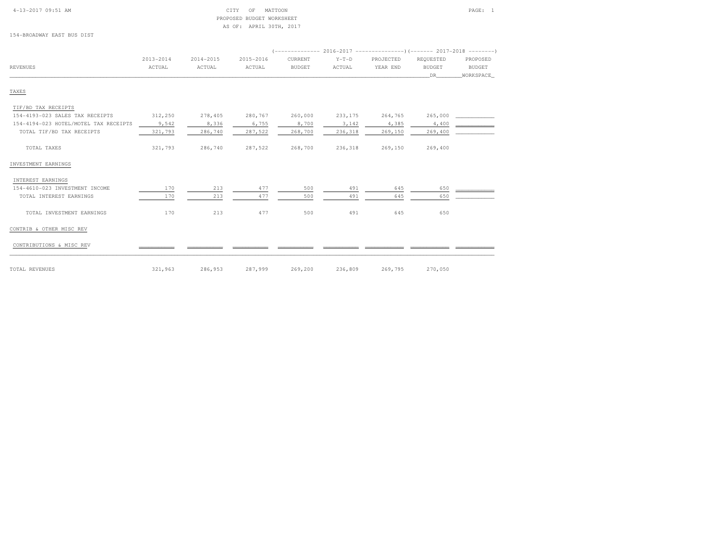| $4 - 13 - 2017$ 09:51 AM |  |
|--------------------------|--|

### CITY OF MATTOON PAGE: 1 PROPOSED BUDGET WORKSHEETAS OF: APRIL 30TH, 2017

154-BROADWAY EAST BUS DIST

|                                       |               |           |           |         |         | (-------------- 2016-2017 ---------------------- 2017-2018 --------- |               |               |
|---------------------------------------|---------------|-----------|-----------|---------|---------|----------------------------------------------------------------------|---------------|---------------|
|                                       | $2013 - 2014$ | 2014-2015 | 2015-2016 | CURRENT | $Y-T-D$ | PROJECTED                                                            | REQUESTED     | PROPOSED      |
| REVENUES                              | ACTUAL        | ACTUAL    | ACTUAL    | BUDGET  | ACTUAL  | YEAR END                                                             | <b>BUDGET</b> | <b>BUDGET</b> |
|                                       |               |           |           |         |         |                                                                      | DR.           | WORKSPACE     |
| TAXES                                 |               |           |           |         |         |                                                                      |               |               |
| TIF/BD TAX RECEIPTS                   |               |           |           |         |         |                                                                      |               |               |
| 154-4193-023 SALES TAX RECEIPTS       | 312,250       | 278,405   | 280,767   | 260,000 | 233,175 | 264,765                                                              | 265,000       |               |
| 154-4194-023 HOTEL/MOTEL TAX RECEIPTS | 9,542         | 8,336     | 6,755     | 8,700   | 3,142   | 4,385                                                                | 4,400         |               |
| TOTAL TIF/BD TAX RECEIPTS             | 321,793       | 286,740   | 287,522   | 268,700 | 236,318 | 269,150                                                              | 269,400       |               |
| TOTAL TAXES                           | 321,793       | 286,740   | 287,522   | 268,700 | 236,318 | 269,150                                                              | 269,400       |               |
| INVESTMENT EARNINGS                   |               |           |           |         |         |                                                                      |               |               |

| INTEREST EARNINGS              |     |     |     |     |     |     |     |  |
|--------------------------------|-----|-----|-----|-----|-----|-----|-----|--|
| 154-4610-023 INVESTMENT INCOME | 170 | 213 | 477 | 500 | 491 | 645 | 650 |  |
| TOTAL INTEREST EARNINGS        | 170 | 213 | 477 | 500 | 491 | 645 | 650 |  |
| TOTAL INVESTMENT EARNINGS      | 170 | 213 | 477 | 500 | 491 | 645 | 650 |  |
| CONTRIB & OTHER MISC REV       |     |     |     |     |     |     |     |  |
| CONTRIBUTIONS & MISC REV       |     |     |     |     |     |     |     |  |
|                                |     |     |     |     |     |     |     |  |

| TOTAL REVENUES | $321,963$ $286,953$ $287,999$ $269,200$ $236,809$ $269,795$ $270,050$ |  |  |  |
|----------------|-----------------------------------------------------------------------|--|--|--|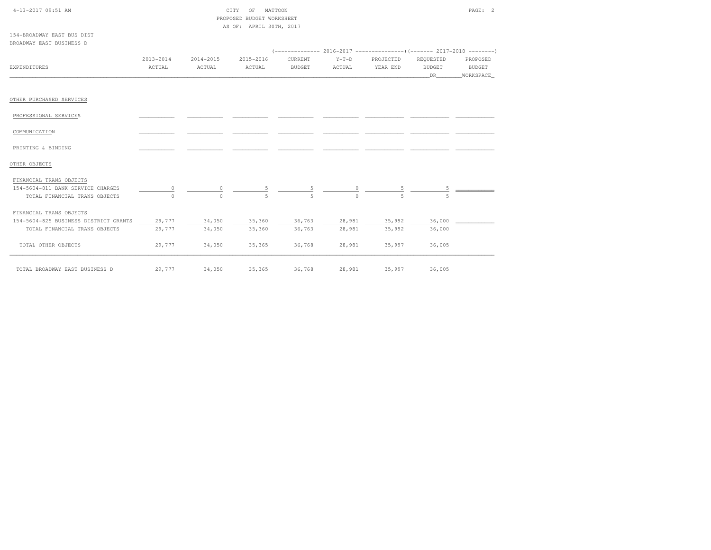| 4-13-2017 09:51 AM                    |           |           | CITY<br>OF<br>MATTOON     |               |         |                  |               | PAGE: 2   |
|---------------------------------------|-----------|-----------|---------------------------|---------------|---------|------------------|---------------|-----------|
|                                       |           |           | PROPOSED BUDGET WORKSHEET |               |         |                  |               |           |
|                                       |           |           | AS OF: APRIL 30TH, 2017   |               |         |                  |               |           |
| 154-BROADWAY EAST BUS DIST            |           |           |                           |               |         |                  |               |           |
| BROADWAY EAST BUSINESS D              |           |           |                           |               |         |                  |               |           |
|                                       |           |           |                           |               |         |                  |               |           |
|                                       | 2013-2014 | 2014-2015 | 2015-2016                 | CURRENT       | $Y-T-D$ | PROJECTED        | REQUESTED     | PROPOSED  |
| EXPENDITURES                          | ACTUAL    | ACTUAL    | ACTUAL                    | <b>BUDGET</b> | ACTUAL  | YEAR END         | <b>BUDGET</b> | BUDGET    |
|                                       |           |           |                           |               |         |                  | DR            | WORKSPACE |
| OTHER PURCHASED SERVICES              |           |           |                           |               |         |                  |               |           |
| PROFESSIONAL SERVICES                 |           |           |                           |               |         |                  |               |           |
| COMMUNICATION                         |           |           |                           |               |         |                  |               |           |
| PRINTING & BINDING                    |           |           |                           |               |         |                  |               |           |
| OTHER OBJECTS                         |           |           |                           |               |         |                  |               |           |
| FINANCIAL TRANS OBJECTS               |           |           |                           |               |         |                  |               |           |
| 154-5604-811 BANK SERVICE CHARGES     | $\circ$   | 0         |                           |               |         |                  |               |           |
| TOTAL FINANCIAL TRANS OBJECTS         |           | $\cap$    |                           |               |         | $\overline{u}_1$ |               |           |
| FINANCIAL TRANS OBJECTS               |           |           |                           |               |         |                  |               |           |
| 154-5604-825 BUSINESS DISTRICT GRANTS | 29,777    | 34,050    | 35,360                    | 36,763        | 28,981  | 35,992           | 36,000        |           |
| TOTAL FINANCIAL TRANS OBJECTS         | 29,777    | 34,050    | 35,360                    | 36,763        | 28,981  | 35,992           | 36,000        |           |
| TOTAL OTHER OBJECTS                   | 29,777    | 34,050    | 35,365                    | 36,768        | 28,981  | 35,997           | 36,005        |           |
| TOTAL BROADWAY EAST BUSINESS D        | 29,777    | 34,050    | 35,365                    | 36,768        | 28,981  | 35,997           | 36,005        |           |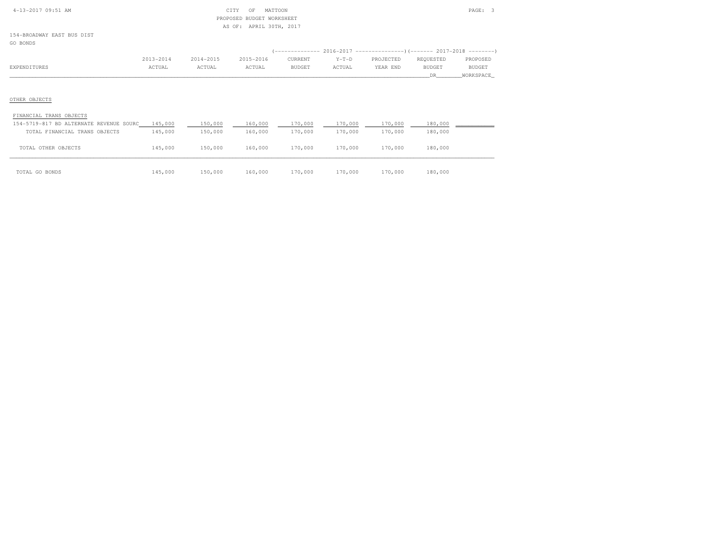|  | $4-13-2017$ 09:51 AM |  |
|--|----------------------|--|

### $\begin{array}{ccc} \text{CITY} & \text{OF} & \text{MATTOON} \end{array}$  PROPOSED BUDGET WORKSHEETAS OF: APRIL 30TH, 2017

154-BROADWAY EAST BUS DISTGO BONDS

|              | 2013-2014 | 2014-2015<br>2015-2016 | CURRENT       | $Y-T-D$ | PROJECTED | REOUESTED     | PROPOSED      |
|--------------|-----------|------------------------|---------------|---------|-----------|---------------|---------------|
| EXPENDITURES | ACTUAL    | ACTUAL<br>ACTUAL       | <b>BUDGET</b> | ACTUAL  | YEAR END  | <b>BUDGET</b> | <b>BUDGET</b> |
|              |           |                        |               |         |           |               | WORKSPACE_    |

# OTHER OBJECTS

#### FINANCIAL TRANS OBJECTS

| 154-5719-817 BD ALTERNATE REVENUE SOURC | 145,000 | 150,000 | 160,000 | 170,000 | 170,000 | 170,000 | 180,000 |  |
|-----------------------------------------|---------|---------|---------|---------|---------|---------|---------|--|
| TOTAL FINANCIAL TRANS OBJECTS           | 145,000 | 150,000 | 160,000 | 170,000 | 170,000 | 170,000 | 180,000 |  |
|                                         |         |         |         |         |         |         |         |  |
| TOTAL OTHER OBJECTS                     | 145,000 | 150,000 | 160,000 | 170,000 | 170,000 | 170,000 | 180,000 |  |
|                                         |         |         |         |         |         |         |         |  |
| TOTAL GO BONDS                          | 145,000 | 150,000 | 160,000 | 170,000 | 170,000 | 170,000 | 180,000 |  |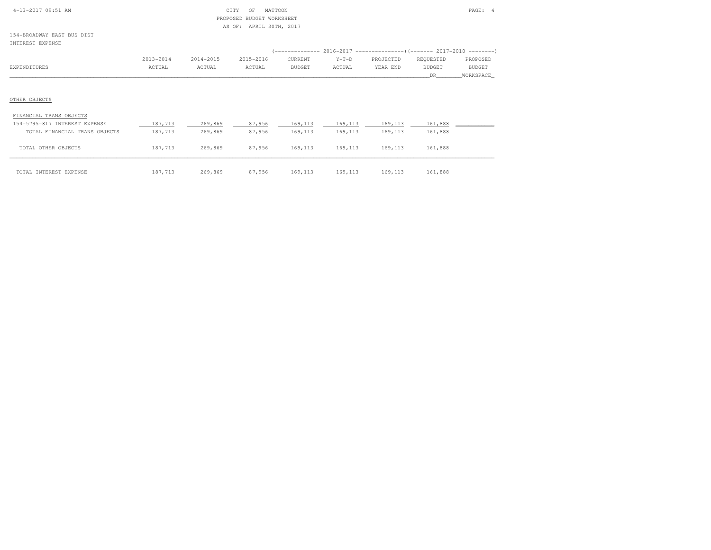| $4 - 13 - 2017$ 09:51 AM |  |
|--------------------------|--|

### CITY OF MATTOON PAGE: 4 PROPOSED BUDGET WORKSHEETAS OF: APRIL 30TH, 2017

154-BROADWAY EAST BUS DISTINTEREST EXPENSE

| INIERESI EAFENSE              |           |           |           |          |         |           |           |               |
|-------------------------------|-----------|-----------|-----------|----------|---------|-----------|-----------|---------------|
|                               |           |           |           |          |         |           |           |               |
|                               | 2013-2014 | 2014-2015 | 2015-2016 | CURRENT  | $Y-T-D$ | PROJECTED | REQUESTED | PROPOSED      |
| EXPENDITURES                  | ACTUAL    | ACTUAL    | ACTUAL    | BUDGET   | ACTUAL  | YEAR END  | BUDGET    | <b>BUDGET</b> |
|                               |           |           |           |          |         |           | DR.       | WORKSPACE     |
|                               |           |           |           |          |         |           |           |               |
|                               |           |           |           |          |         |           |           |               |
| OTHER OBJECTS                 |           |           |           |          |         |           |           |               |
| FINANCIAL TRANS OBJECTS       |           |           |           |          |         |           |           |               |
|                               |           |           |           |          |         |           |           |               |
| 154-5795-817 INTEREST EXPENSE | 187,713   | 269,869   | 87,956    | 169, 113 | 169,113 | 169,113   | 161,888   |               |
| TOTAL FINANCIAL TRANS OBJECTS | 187,713   | 269,869   | 87,956    | 169,113  | 169,113 | 169,113   | 161,888   |               |
|                               |           |           |           |          |         |           |           |               |

| TOTAL INTEREST EXPENSE | 187,713 269,869 87,956 169,113 169,113 169,113 161,888 |  |  |  |
|------------------------|--------------------------------------------------------|--|--|--|

TOTAL OTHER OBJECTS 187,713 269,869 87,956 169,113 169,113 169,113 161,888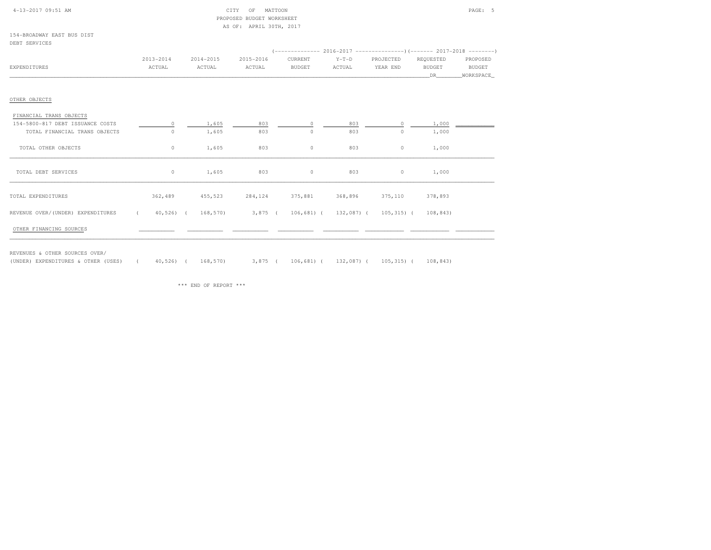| 4-13-2017 09:51 AM         | CITY | OF | MATTOON                   |  | PAGE: 5 |  |
|----------------------------|------|----|---------------------------|--|---------|--|
|                            |      |    | PROPOSED BUDGET WORKSHEET |  |         |  |
|                            |      |    | AS OF: APRIL 30TH, 2017   |  |         |  |
| 154-BROADWAY EAST BUS DIST |      |    |                           |  |         |  |
| DEBT SERVICES              |      |    |                           |  |         |  |

154-BROADWAY EAST BUS DISTDEBT SERVICES

|                                   | $2013 - 2014$                                                                     | 2014-2015 | 2015-2016 | CURRENT           | $Y-T-D$ | PROJECTED | REQUESTED     | PROPOSED  |  |
|-----------------------------------|-----------------------------------------------------------------------------------|-----------|-----------|-------------------|---------|-----------|---------------|-----------|--|
| EXPENDITURES                      | ACTUAL                                                                            | ACTUAL    | ACTUAL    | <b>BUDGET</b>     | ACTUAL  | YEAR END  | <b>BUDGET</b> | BUDGET    |  |
|                                   |                                                                                   |           |           |                   |         |           | DR.           | WORKSPACE |  |
|                                   |                                                                                   |           |           |                   |         |           |               |           |  |
| OTHER OBJECTS                     |                                                                                   |           |           |                   |         |           |               |           |  |
| FINANCIAL TRANS OBJECTS           |                                                                                   |           |           |                   |         |           |               |           |  |
| 154-5800-817 DEBT ISSUANCE COSTS  | $\circ$                                                                           | 1,605     | 803       | $\circ$           | 803     | $\Omega$  | 1,000         |           |  |
| TOTAL FINANCIAL TRANS OBJECTS     | 0                                                                                 | 1,605     | 803       | $\circ$           | 803     | $\circ$   | 1,000         |           |  |
|                                   |                                                                                   |           |           |                   |         |           |               |           |  |
| TOTAL OTHER OBJECTS               | $\circ$                                                                           | 1,605     | 803       | $\circ$           | 803     | $\circ$   | 1,000         |           |  |
|                                   |                                                                                   |           |           |                   |         |           |               |           |  |
| TOTAL DEBT SERVICES               | $\circ$                                                                           | 1,605     | 803       | $\circ$           | 803     | $\circ$   | 1,000         |           |  |
|                                   |                                                                                   |           |           |                   |         |           |               |           |  |
| TOTAL EXPENDITURES                | 362,489                                                                           | 455,523   |           | 284, 124 375, 881 | 368,896 | 375,110   | 378,893       |           |  |
|                                   |                                                                                   |           |           |                   |         |           |               |           |  |
| REVENUE OVER/(UNDER) EXPENDITURES | $(40,526)$ ( $168,570)$ 3,875 ( $106,681)$ ( $132,087)$ ( $105,315)$ ( $108,843)$ |           |           |                   |         |           |               |           |  |
| OTHER FINANCING SOURCES           |                                                                                   |           |           |                   |         |           |               |           |  |
|                                   |                                                                                   |           |           |                   |         |           |               |           |  |

REVENUES & OTHER SOURCES OVER/

(UNDER) EXPENDITURES & OTHER (USES) ( 40,526) ( 168,570) 3,875 ( 106,681) ( 132,087) ( 105,315) ( 108,843)

\*\*\* END OF REPORT \*\*\*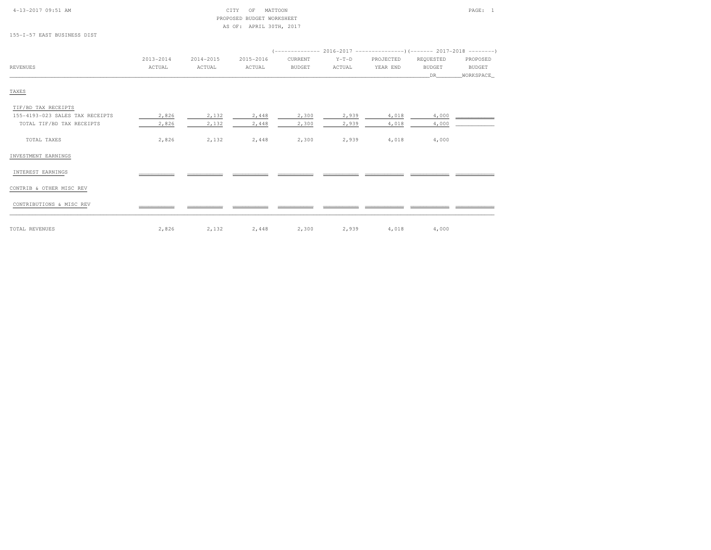### 4-13-2017 09:51 AM CITY OF MATTOON PAGE: 1 PROPOSED BUDGET WORKSHEETAS OF: APRIL 30TH, 2017

155-I-57 EAST BUSINESS DIST

| <b>REVENUES</b>                 | 2013-2014<br>ACTUAL | $2014 - 2015$<br>ACTUAL | 2015-2016<br>ACTUAL | CURRENT<br><b>BUDGET</b> | $Y-T-D$<br>ACTUAL | PROJECTED<br>YEAR END | REQUESTED<br><b>BUDGET</b><br>DR. | PROPOSED<br>BUDGET<br>WORKSPACE_ |
|---------------------------------|---------------------|-------------------------|---------------------|--------------------------|-------------------|-----------------------|-----------------------------------|----------------------------------|
| TAXES                           |                     |                         |                     |                          |                   |                       |                                   |                                  |
| TIF/BD TAX RECEIPTS             |                     |                         |                     |                          |                   |                       |                                   |                                  |
| 155-4193-023 SALES TAX RECEIPTS | 2,826               | 2,132                   | 2,448               | 2,300                    | 2,939             | 4,018                 | 4,000                             |                                  |
| TOTAL TIF/BD TAX RECEIPTS       | 2,826               | 2,132                   | 2,448               | 2,300                    | 2,939             | 4,018                 | 4,000                             |                                  |
| TOTAL TAXES                     | 2,826               | 2,132                   | 2,448               | 2,300                    | 2,939             | 4,018                 | 4,000                             |                                  |
| INVESTMENT EARNINGS             |                     |                         |                     |                          |                   |                       |                                   |                                  |
| INTEREST EARNINGS               |                     |                         |                     |                          |                   |                       |                                   |                                  |
| CONTRIB & OTHER MISC REV        |                     |                         |                     |                          |                   |                       |                                   |                                  |
| CONTRIBUTIONS & MISC REV        |                     |                         |                     |                          |                   |                       |                                   |                                  |

TOTAL REVENUES 2,826 2,132 2,448 2,300 2,939 4,018 4,000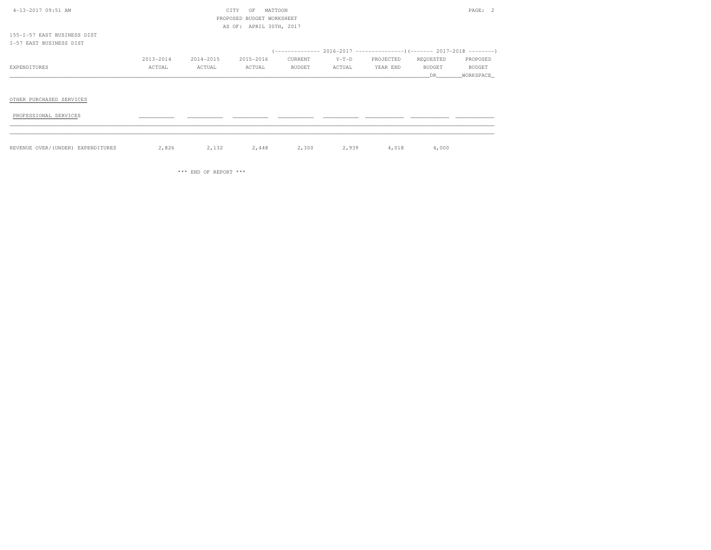| 4-13-2017 09:51 AM                                     |           |           | CITY<br>OF<br>PROPOSED BUDGET WORKSHEET | MATTOON |         |           |               | PAGE: 2       |
|--------------------------------------------------------|-----------|-----------|-----------------------------------------|---------|---------|-----------|---------------|---------------|
| 155-I-57 EAST BUSINESS DIST<br>I-57 EAST BUSINESS DIST |           |           | AS OF: APRIL 30TH, 2017                 |         |         |           |               |               |
|                                                        |           |           |                                         |         |         |           |               |               |
|                                                        | 2013-2014 | 2014-2015 | 2015-2016                               | CURRENT | $Y-T-D$ | PROJECTED | REQUESTED     | PROPOSED      |
| EXPENDITURES                                           | ACTUAL    | ACTUAL    | ACTUAL                                  | BUDGET  | ACTUAL  | YEAR END  | <b>BUDGET</b> | <b>BUDGET</b> |
|                                                        |           |           |                                         |         |         |           | DR            | _WORKSPACE_   |
| OTHER PURCHASED SERVICES                               |           |           |                                         |         |         |           |               |               |
| PROFESSIONAL SERVICES                                  |           |           |                                         |         |         |           |               |               |
|                                                        |           |           |                                         |         |         |           |               |               |
| REVENUE OVER/(UNDER) EXPENDITURES                      | 2,826     | 2,132     | 2,448                                   | 2,300   | 2,939   | 4,018     | 4,000         |               |

\*\*\* END OF REPORT \*\*\*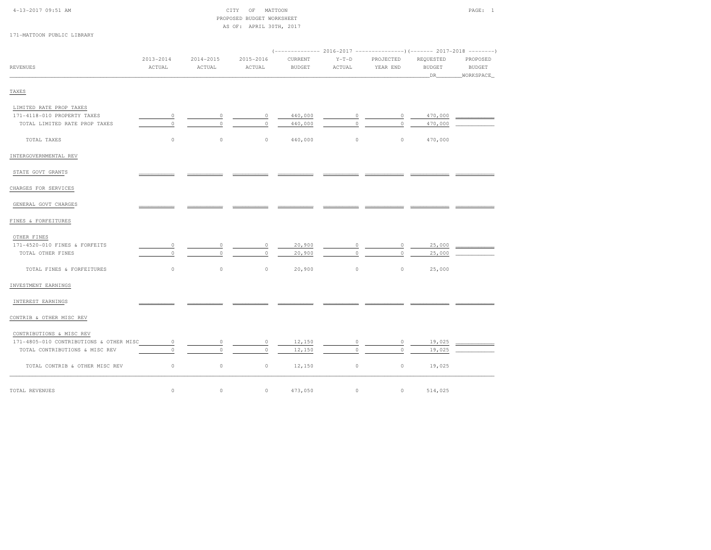| $4 - 13 - 2017$ 09:51 AM |  |  |
|--------------------------|--|--|

#### $\begin{array}{ccc} \text{CITY} & \text{OF} & \text{MATTOON} \end{array}$  PROPOSED BUDGET WORKSHEETAS OF: APRIL 30TH, 2017

171-MATTOON PUBLIC LIBRARY

| <b>REVENUES</b>                         | 2013-2014<br>ACTUAL | 2014-2015<br>ACTUAL | 2015-2016<br>ACTUAL | CURRENT<br><b>BUDGET</b> | $Y-T-D$<br>ACTUAL | PROJECTED<br>YEAR END | REQUESTED<br><b>BUDGET</b><br>DR | PROPOSED<br><b>BUDGET</b><br>WORKSPACE |  |
|-----------------------------------------|---------------------|---------------------|---------------------|--------------------------|-------------------|-----------------------|----------------------------------|----------------------------------------|--|
| TAXES                                   |                     |                     |                     |                          |                   |                       |                                  |                                        |  |
| LIMITED RATE PROP TAXES                 |                     |                     |                     |                          |                   |                       |                                  |                                        |  |
| 171-4118-010 PROPERTY TAXES             | $\circ$             | 0                   | $\circ$             | 440,000                  | $\circ$           | $\circ$               | 470,000                          |                                        |  |
| TOTAL LIMITED RATE PROP TAXES           | $\circ$             | $\Omega$            | $\Omega$            | 440,000                  | $\Omega$          | $\Omega$              | 470,000                          |                                        |  |
| TOTAL TAXES                             | $\circ$             | $\circ$             | $\circ$             | 440,000                  | $\circ$           | $\circ$               | 470,000                          |                                        |  |
| INTERGOVERNMENTAL REV                   |                     |                     |                     |                          |                   |                       |                                  |                                        |  |
| STATE GOVT GRANTS                       |                     |                     |                     |                          |                   |                       |                                  |                                        |  |
| CHARGES FOR SERVICES                    |                     |                     |                     |                          |                   |                       |                                  |                                        |  |
| GENERAL GOVT CHARGES                    |                     |                     |                     |                          |                   |                       |                                  |                                        |  |
| FINES & FORFEITURES                     |                     |                     |                     |                          |                   |                       |                                  |                                        |  |
| OTHER FINES                             |                     |                     |                     |                          |                   |                       |                                  |                                        |  |
| 171-4520-010 FINES & FORFEITS           | $\circ$             | 0                   | $\circ$             | 20,900                   | 0                 | $\circ$               | 25,000                           |                                        |  |
| TOTAL OTHER FINES                       | $\circ$             | $\circ$             | $\circ$             | 20,900                   | $\circ$           | $\circ$               | 25,000                           |                                        |  |
| TOTAL FINES & FORFEITURES               | $\circ$             | $\circ$             | $\circ$             | 20,900                   | $\circ$           | $\circ$               | 25,000                           |                                        |  |
| INVESTMENT EARNINGS                     |                     |                     |                     |                          |                   |                       |                                  |                                        |  |
| INTEREST EARNINGS                       |                     |                     |                     |                          |                   |                       |                                  |                                        |  |
| CONTRIB & OTHER MISC REV                |                     |                     |                     |                          |                   |                       |                                  |                                        |  |
| CONTRIBUTIONS & MISC REV                |                     |                     |                     |                          |                   |                       |                                  |                                        |  |
| 171-4805-010 CONTRIBUTIONS & OTHER MISC | $\circ$             | 0                   | $\circ$             | 12,150                   | $\circ$           | $\circ$               | 19,025                           |                                        |  |
| TOTAL CONTRIBUTIONS & MISC REV          | $\circ$             | $\Omega$            | $\Omega$            | 12,150                   | $\circ$           | $\circ$               | 19,025                           |                                        |  |
| TOTAL CONTRIB & OTHER MISC REV          | $\circ$             | $\circ$             | $\circ$             | 12,150                   | $\circ$           | $\circ$               | 19,025                           |                                        |  |
| TOTAL REVENUES                          | $\circ$             | $\circ$             | $\circ$             | 473,050                  | $\circ$           | $\circ$               | 514,025                          |                                        |  |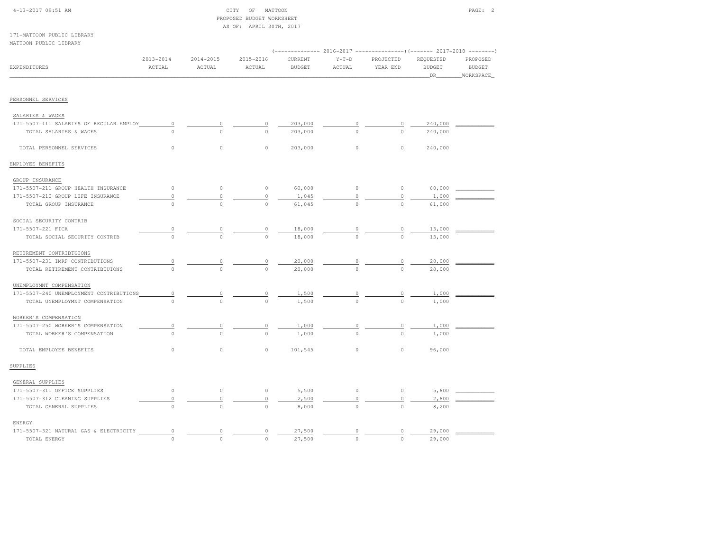| 4-13-2017 09:51 AM                      |               |               | CITY OF<br>MATTOON<br>PROPOSED BUDGET WORKSHEET |               |          |           |               | PAGE: 2       |
|-----------------------------------------|---------------|---------------|-------------------------------------------------|---------------|----------|-----------|---------------|---------------|
|                                         |               |               | AS OF: APRIL 30TH, 2017                         |               |          |           |               |               |
| 171-MATTOON PUBLIC LIBRARY              |               |               |                                                 |               |          |           |               |               |
| MATTOON PUBLIC LIBRARY                  |               |               |                                                 |               |          |           |               |               |
|                                         |               |               |                                                 |               |          |           |               |               |
|                                         | $2013 - 2014$ | $2014 - 2015$ | 2015-2016                                       | CURRENT       | $Y-T-D$  | PROJECTED | REQUESTED     | PROPOSED      |
| <b>EXPENDITURES</b>                     | ACTUAL        | ACTUAL        | ACTUAL                                          | <b>BUDGET</b> | ACTUAL   | YEAR END  | <b>BUDGET</b> | <b>BUDGET</b> |
|                                         |               |               |                                                 |               |          |           | DR.           | WORKSPACE     |
|                                         |               |               |                                                 |               |          |           |               |               |
| PERSONNEL SERVICES                      |               |               |                                                 |               |          |           |               |               |
| SALARIES & WAGES                        |               |               |                                                 |               |          |           |               |               |
| 171-5507-111 SALARIES OF REGULAR EMPLOY | $\circ$       | $\circ$       | 0                                               | 203,000       | 0        | 0         | 240,000       |               |
| TOTAL SALARIES & WAGES                  | $\Omega$      | $\Omega$      | $\Omega$                                        | 203,000       | $\Omega$ | $\Omega$  | 240,000       |               |
|                                         |               |               |                                                 |               |          |           |               |               |
| TOTAL PERSONNEL SERVICES                | $\circ$       | $\circ$       | $\circ$                                         | 203,000       | $\circ$  | $\circ$   | 240,000       |               |
| EMPLOYEE BENEFITS                       |               |               |                                                 |               |          |           |               |               |
| GROUP INSURANCE                         |               |               |                                                 |               |          |           |               |               |
| 171-5507-211 GROUP HEALTH INSURANCE     | $\circ$       | $\circ$       | $\mathbb O$                                     | 60,000        | $\circ$  | $\circ$   | 60,000        |               |
| 171-5507-212 GROUP LIFE INSURANCE       | $\circ$       | $\mathbb O$   | $\mathbb O$                                     | 1,045         | $\circ$  | $\circ$   | 1,000         |               |
| TOTAL GROUP INSURANCE                   | $\Omega$      | $\Omega$      | $\Omega$                                        | 61,045        | $\Omega$ | $\cap$    | 61,000        |               |
| SOCIAL SECURITY CONTRIB                 |               |               |                                                 |               |          |           |               |               |
| 171-5507-221 FICA                       | 0             |               |                                                 | 18,000        |          |           | 13,000        |               |
| TOTAL SOCIAL SECURITY CONTRIB           | $\circ$       | $\circ$       | $\circ$                                         | 18,000        |          | $\circ$   | 13,000        |               |
| RETIREMENT CONTRIBTUIONS                |               |               |                                                 |               |          |           |               |               |
| 171-5507-231 IMRF CONTRIBUTIONS         | $\circ$       | $\circ$       | $\circ$                                         | 20,000        |          |           | 20,000        |               |
| TOTAL RETIREMENT CONTRIBTUIONS          | $\circ$       | $\circ$       | $\circ$                                         | 20,000        | $\circ$  | $\circ$   | 20,000        |               |
|                                         |               |               |                                                 |               |          |           |               |               |
| UNEMPLOYMNT COMPENSATION                |               |               |                                                 |               |          |           |               |               |
| 171-5507-240 UNEMPLOYMENT CONTRIBUTIONS | $\circ$       | $\circ$       | $\circ$                                         | 1,500         | $\circ$  | $\circ$   | 1,000         |               |
| TOTAL UNEMPLOYMNT COMPENSATION          | $\bigcirc$    | $\Omega$      | $\Omega$                                        | 1,500         | $\Omega$ | $\Omega$  | 1,000         |               |
| WORKER'S COMPENSATION                   |               |               |                                                 |               |          |           |               |               |
| 171-5507-250 WORKER'S COMPENSATION      | $\circ$       | $\circ$       | 0                                               | 1,000         | $\circ$  | $\circ$   | 1,000         |               |
| TOTAL WORKER'S COMPENSATION             | $\Omega$      | $\Omega$      | $\Omega$                                        | 1,000         | $\Omega$ | $\Omega$  | 1,000         |               |
| TOTAL EMPLOYEE BENEFITS                 | $\circ$       | $\circ$       | $\circ$                                         | 101,545       | $\circ$  | $\circ$   | 96,000        |               |
| SUPPLIES                                |               |               |                                                 |               |          |           |               |               |
| GENERAL SUPPLIES                        |               |               |                                                 |               |          |           |               |               |
| 171-5507-311 OFFICE SUPPLIES            | $\circ$       | $\circ$       | $\circ$                                         | 5,500         | $\circ$  | $\circ$   | 5,600         |               |
| 171-5507-312 CLEANING SUPPLIES          | $\circ$       | $\circ$       | $\circ$                                         | 2,500         | $\circ$  | $\circ$   | 2,600         |               |
| TOTAL GENERAL SUPPLIES                  | $\circ$       | $\circ$       | $\circ$                                         | 8,000         | $\circ$  | $\circ$   | 8,200         |               |

ENERGY

171-5507-321 NATURAL GAS & ELECTRICITY  $\begin{array}{cccccccc} 0 & \cdots & 0 & 0 & 27,500 & \cdots & 0 & 0 & 27,500 \\ 0 & 0 & 0 & 27,500 & 0 & 0 & 0 & 29,000 \end{array}$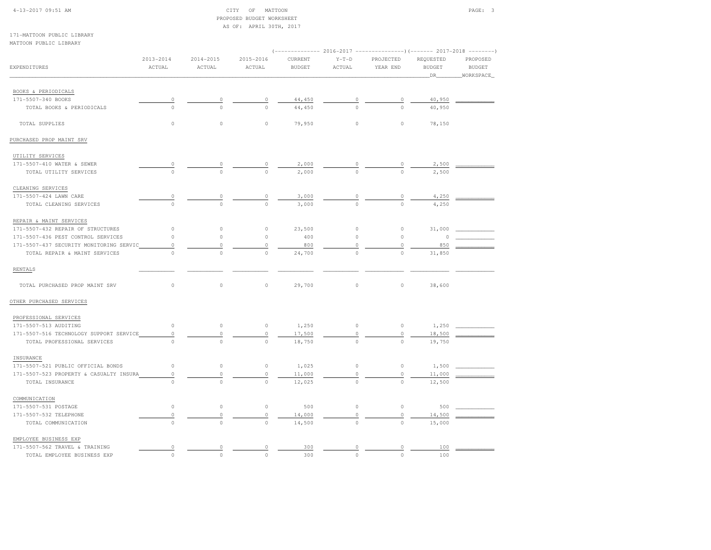#### 4-13-2017 09:51 AM CITY OF MATTOON PAGE: 3 PROPOSED BUDGET WORKSHEETAS OF: APRIL 30TH, 2017

171-MATTOON PUBLIC LIBRARYMATTOON PUBLIC LIBRARY

| MAIIVON FUDBIC BIBRANI                  |                         |                         |                     |                          |                   |                       |                                  | ---------                              |
|-----------------------------------------|-------------------------|-------------------------|---------------------|--------------------------|-------------------|-----------------------|----------------------------------|----------------------------------------|
| EXPENDITURES                            | $2013 - 2014$<br>ACTUAL | $2014 - 2015$<br>ACTUAL | 2015-2016<br>ACTUAL | CURRENT<br><b>BUDGET</b> | $Y-T-D$<br>ACTUAL | PROJECTED<br>YEAR END | REQUESTED<br><b>BUDGET</b><br>DR | PROPOSED<br><b>BUDGET</b><br>WORKSPACE |
|                                         |                         |                         |                     |                          |                   |                       |                                  |                                        |
| BOOKS & PERIODICALS                     |                         |                         |                     |                          |                   |                       |                                  |                                        |
| 171-5507-340 BOOKS                      |                         |                         | 0                   | 44,450                   |                   |                       | 40,950                           |                                        |
| TOTAL BOOKS & PERIODICALS               | $\Omega$                | $\circ$                 | $\circ$             | 44,450                   | $\circ$           | $\circ$               | 40,950                           |                                        |
| TOTAL SUPPLIES                          | 0                       | $\mathbb O$             | $\circ$             | 79,950                   | $\circ$           | $\circ$               | 78,150                           |                                        |
| PURCHASED PROP MAINT SRV                |                         |                         |                     |                          |                   |                       |                                  |                                        |
| UTILITY SERVICES                        |                         |                         |                     |                          |                   |                       |                                  |                                        |
| 171-5507-410 WATER & SEWER              | $\overline{0}$          | 0                       | 0                   | 2,000                    | $\circ$           | 0                     | 2,500                            |                                        |
| TOTAL UTILITY SERVICES                  | $\Omega$                | $\circ$                 | $\circ$             | 2,000                    | $\Omega$          |                       | 2,500                            |                                        |
| CLEANING SERVICES                       |                         |                         |                     |                          |                   |                       |                                  |                                        |
| 171-5507-424 LAWN CARE                  | 0                       | 0                       | 0                   | 3,000                    | $\circ$           | 0                     | 4,250                            |                                        |
| TOTAL CLEANING SERVICES                 | $\Omega$                | $\circ$                 | $\circ$             | 3,000                    | $\circ$           | $\Omega$              | 4,250                            |                                        |
| REPAIR & MAINT SERVICES                 |                         |                         |                     |                          |                   |                       |                                  |                                        |
| 171-5507-432 REPAIR OF STRUCTURES       | 0                       | $\circ$                 | $\circ$             | 23,500                   | $\circ$           | $\circ$               | 31,000                           |                                        |
| 171-5507-436 PEST CONTROL SERVICES      | $\mathsf{O}\xspace$     | $\mathbb O$             | $\circ$             | 400                      | $\circ$           | $\circ$               | $\circ$                          |                                        |
| 171-5507-437 SECURITY MONITORING SERVIC | $\mathsf{O}\xspace$     |                         | 0                   | 800                      | $\circ$           |                       | 850                              |                                        |
| TOTAL REPAIR & MAINT SERVICES           | $\mathsf{O}\xspace$     | $\circ$                 | $\circ$             | 24,700                   | $\circ$           | $\circ$               | 31,850                           |                                        |
| RENTALS                                 |                         |                         |                     |                          |                   |                       |                                  |                                        |
| TOTAL PURCHASED PROP MAINT SRV          | $\circ$                 | $\circ$                 | $\circ$             | 29,700                   | $\circ$           | $\circ$               | 38,600                           |                                        |
| OTHER PURCHASED SERVICES                |                         |                         |                     |                          |                   |                       |                                  |                                        |
| PROFESSIONAL SERVICES                   |                         |                         |                     |                          |                   |                       |                                  |                                        |
| 171-5507-513 AUDITING                   | $\circ$                 | $\circ$                 | $\circ$             | 1,250                    | $\circ$           | $\circ$               | 1,250                            |                                        |
| 171-5507-516 TECHNOLOGY SUPPORT SERVICE | $\circ$                 | $\circ$                 | $\circ$             | 17,500                   | $\circ$           | 0                     | 18,500                           |                                        |
| TOTAL PROFESSIONAL SERVICES             | 0                       | $\mathbb O$             | $\mathbb O$         | 18,750                   | $\circ$           | $\circ$               | 19,750                           |                                        |
| INSURANCE                               |                         |                         |                     |                          |                   |                       |                                  |                                        |
| 171-5507-521 PUBLIC OFFICIAL BONDS      | $\circ$                 | $\circ$                 | $\circ$             | 1,025                    | $\circ$           | $\circ$               | 1,500                            |                                        |
| 171-5507-523 PROPERTY & CASUALTY INSURA | 0                       | $\mathbb O$             | $\circ$             | 11,000                   | $\circ$           | $\circ$               | 11,000                           |                                        |
| TOTAL INSURANCE                         | $\circ$                 | $\circ$                 | $\circ$             | 12,025                   | $\mathbf 0$       | $\mathbf 0$           | 12,500                           |                                        |
| COMMUNICATION                           |                         |                         |                     |                          |                   |                       |                                  |                                        |
| 171-5507-531 POSTAGE                    | $\circ$                 | $\circ$                 | $\circ$             | 500                      | $\circ$           | $\circ$               | 500                              |                                        |
| 171-5507-532 TELEPHONE                  | $\circ$                 | $\mathbb O$             | $\circ$             | 14,000                   | 0                 | 0                     | 14,500                           |                                        |
| TOTAL COMMUNICATION                     | $\Omega$                | $\circ$                 | $\circ$             | 14,500                   | $\circ$           | $\circ$               | 15,000                           |                                        |
| EMPLOYEE BUSINESS EXP                   |                         |                         |                     |                          |                   |                       |                                  |                                        |
| 171-5507-562 TRAVEL & TRAINING          | 0                       | 0                       | $\mathbb O$         | 300                      | 0                 | 0                     | 100                              |                                        |
| TOTAL EMPLOYEE BUSINESS EXP             | $\circ$                 | $\circ$                 | $\Omega$            | 300                      | $\circ$           | $\Omega$              | 100                              |                                        |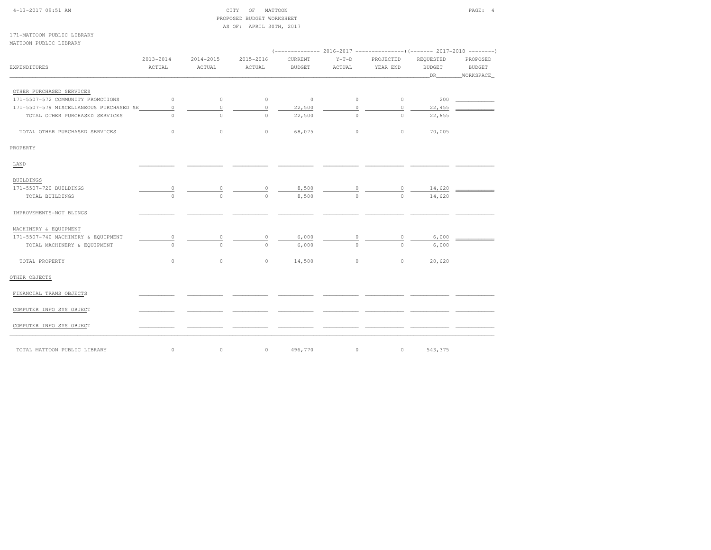| 4-13-2017 09:51 AM                      |           |           | CITY<br>OF<br>MATTOON                                |                                                             |          |             |               | PAGE: 4    |
|-----------------------------------------|-----------|-----------|------------------------------------------------------|-------------------------------------------------------------|----------|-------------|---------------|------------|
|                                         |           |           | PROPOSED BUDGET WORKSHEET<br>AS OF: APRIL 30TH, 2017 |                                                             |          |             |               |            |
| 171-MATTOON PUBLIC LIBRARY              |           |           |                                                      |                                                             |          |             |               |            |
| MATTOON PUBLIC LIBRARY                  |           |           |                                                      |                                                             |          |             |               |            |
|                                         |           |           |                                                      | $(----------2016-2017---------)$ $(-------2017-2018------)$ |          |             |               |            |
|                                         | 2013-2014 | 2014-2015 | 2015-2016                                            | CURRENT                                                     | $Y-T-D$  | PROJECTED   | REQUESTED     | PROPOSED   |
| EXPENDITURES                            | ACTUAL    | ACTUAL    | ACTUAL                                               | <b>BUDGET</b>                                               | ACTUAL   | YEAR END    | <b>BUDGET</b> | BUDGET     |
|                                         |           |           |                                                      |                                                             |          |             | DR_           | WORKSPACE_ |
| OTHER PURCHASED SERVICES                |           |           |                                                      |                                                             |          |             |               |            |
| 171-5507-572 COMMUNITY PROMOTIONS       | $\circ$   | $\circ$   | $\circ$                                              | $\circ$                                                     | $\circ$  | $\circ$     | 200           |            |
| 171-5507-579 MISCELLANEOUS PURCHASED SE | $\circ$   | $\circ$   | $\circ$                                              | 22,500                                                      | $\circ$  | $\mathbb O$ | 22,455        |            |
| TOTAL OTHER PURCHASED SERVICES          | $\Omega$  | $\Omega$  | $\Omega$                                             | 22,500                                                      | $\Omega$ | $\Omega$    | 22,655        |            |
| TOTAL OTHER PURCHASED SERVICES          | $\circ$   | $\circ$   | $\circ$                                              | 68,075                                                      | $\circ$  | $\circ$     | 70,005        |            |
| PROPERTY                                |           |           |                                                      |                                                             |          |             |               |            |
| LAND                                    |           |           |                                                      |                                                             |          |             |               |            |
| BUILDINGS                               |           |           |                                                      |                                                             |          |             |               |            |
| 171-5507-720 BUILDINGS                  | 0         |           | 0                                                    | 8,500                                                       | $\circ$  | $\circ$     | 14,620        |            |
| TOTAL BUILDINGS                         | $\Omega$  | $\Omega$  | $\Omega$                                             | 8,500                                                       | $\Omega$ | $\Omega$    | 14,620        |            |
| IMPROVEMENTS-NOT BLDNGS                 |           |           |                                                      |                                                             |          |             |               |            |
| MACHINERY & EQUIPMENT                   |           |           |                                                      |                                                             |          |             |               |            |
| 171-5507-740 MACHINERY & EQUIPMENT      | $\circ$   |           | 0                                                    | 6,000                                                       | 0        | $\circ$     | 6,000         |            |
| TOTAL MACHINERY & EQUIPMENT             | $\Omega$  | $\Omega$  | $\circ$                                              | 6,000                                                       | $\Omega$ | $\Omega$    | 6,000         |            |
| TOTAL PROPERTY                          | $\circ$   | $\circ$   | $\circ$                                              | 14,500                                                      | $\circ$  | $\circ$     | 20,620        |            |
| OTHER OBJECTS                           |           |           |                                                      |                                                             |          |             |               |            |
| FINANCIAL TRANS OBJECTS                 |           |           |                                                      |                                                             |          |             |               |            |
| COMPUTER INFO SYS OBJECT                |           |           |                                                      |                                                             |          |             |               |            |
| COMPUTER INFO SYS OBJECT                |           |           |                                                      |                                                             |          |             |               |            |
| TOTAL MATTOON PUBLIC LIBRARY            | $\circ$   | $\circ$   | $\circ$                                              | 496,770                                                     | $\circ$  | $\circ$     | 543,375       |            |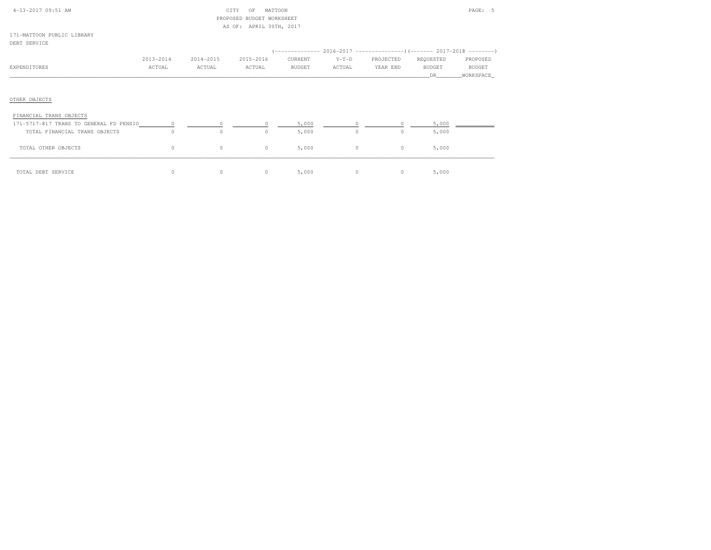| 4-13-2017 09:51 AM                       |           | CITY      | MATTOON<br>OF<br>PROPOSED BUDGET WORKSHEET<br>AS OF: APRIL 30TH, 2017 |               |         |           |                | PAGE: 5       |
|------------------------------------------|-----------|-----------|-----------------------------------------------------------------------|---------------|---------|-----------|----------------|---------------|
| 171-MATTOON PUBLIC LIBRARY               |           |           |                                                                       |               |         |           |                |               |
| DEBT SERVICE                             |           |           |                                                                       |               |         |           |                |               |
|                                          |           |           |                                                                       |               |         |           |                |               |
|                                          | 2013-2014 | 2014-2015 | 2015-2016                                                             | CURRENT       | $Y-T-D$ | PROJECTED | REQUESTED      | PROPOSED      |
| EXPENDITURES                             | ACTUAL    | ACTUAL    | ACTUAL                                                                | <b>BUDGET</b> | ACTUAL  | YEAR END  | <b>BUDGET</b>  | <b>BUDGET</b> |
|                                          |           |           |                                                                       |               |         |           | DR.            | WORKSPACE     |
| OTHER OBJECTS<br>FINANCIAL TRANS OBJECTS |           |           |                                                                       |               |         |           |                |               |
|                                          |           |           |                                                                       | 5,000         |         |           | $5,000$ $\_\_$ |               |
| TOTAL FINANCIAL TRANS OBJECTS            | $\Omega$  | $\circ$   | $\Omega$                                                              | 5,000         | $\circ$ | $\circ$   | 5,000          |               |
| TOTAL OTHER OBJECTS                      | $\circ$   | $\circ$   | $\circ$                                                               | 5,000         | $\circ$ | $\circ$   | 5,000          |               |
| TOTAL DEBT SERVICE                       | $\circ$   | $\circ$   | $\circ$                                                               | 5,000         | $\circ$ | $\circ$   | 5,000          |               |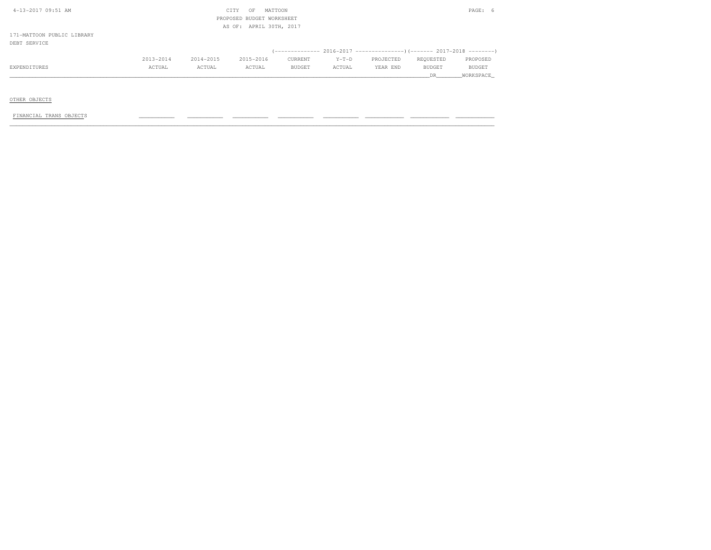| 4-13-2017 09:51 AM         |                           |           | CITY<br>OF              | MATTOON |         |                                                                                   |           | PAGE:<br>-6 |  |  |
|----------------------------|---------------------------|-----------|-------------------------|---------|---------|-----------------------------------------------------------------------------------|-----------|-------------|--|--|
|                            | PROPOSED BUDGET WORKSHEET |           |                         |         |         |                                                                                   |           |             |  |  |
|                            |                           |           | AS OF: APRIL 30TH, 2017 |         |         |                                                                                   |           |             |  |  |
| 171-MATTOON PUBLIC LIBRARY |                           |           |                         |         |         |                                                                                   |           |             |  |  |
| DEBT SERVICE               |                           |           |                         |         |         |                                                                                   |           |             |  |  |
|                            |                           |           |                         |         |         | (-------------- 2016-2017 ---------------------- 2017-2018 ---------------------- |           |             |  |  |
|                            | 2013-2014                 | 2014-2015 | 2015-2016               | CURRENT | $Y-T-D$ | PROJECTED                                                                         | REQUESTED | PROPOSED    |  |  |
| EXPENDITURES               | ACTUAL                    | ACTUAL    | ACTUAL                  | BUDGET  | ACTUAL  | YEAR END                                                                          | BUDGET    | BUDGET      |  |  |
|                            |                           |           |                         |         |         |                                                                                   | DR.       | WORKSPACE   |  |  |

OTHER OBJECTS

 $FINANCIAL TRANS OBJECTS$  , and the condition of the condition  $T$  , and  $T$  , and  $T$  , and  $T$  , and  $T$  , and  $T$  , and  $T$  , and  $T$  , and  $T$  , and  $T$  , and  $T$  , and  $T$  , and  $T$  , and  $T$  , and  $T$  , and  $T$  , and  $T$  , and  $T$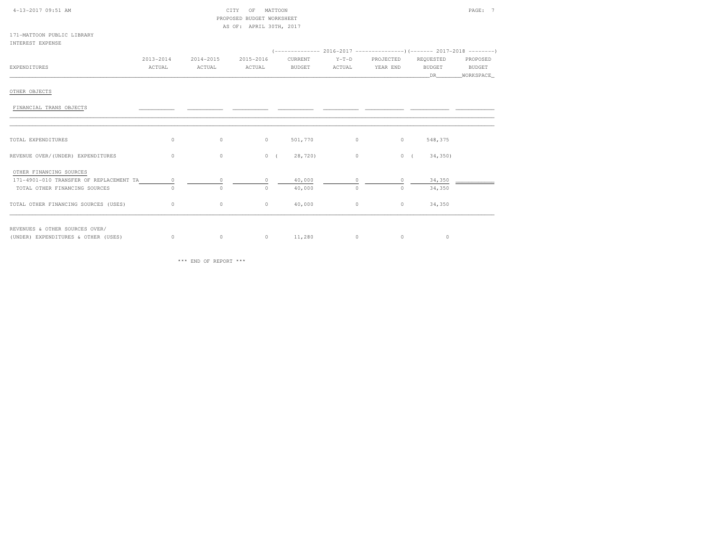| 4-13-2017 09:51 AM                      |           |           | MATTOON<br>CITY<br>OF<br>PROPOSED BUDGET WORKSHEET |               |          |           |               | PAGE: 7   |
|-----------------------------------------|-----------|-----------|----------------------------------------------------|---------------|----------|-----------|---------------|-----------|
|                                         |           |           | AS OF: APRIL 30TH, 2017                            |               |          |           |               |           |
| 171-MATTOON PUBLIC LIBRARY              |           |           |                                                    |               |          |           |               |           |
| INTEREST EXPENSE                        |           |           |                                                    |               |          |           |               |           |
|                                         |           |           |                                                    |               |          |           |               |           |
|                                         | 2013-2014 | 2014-2015 | 2015-2016                                          | CURRENT       | $Y-T-D$  | PROJECTED | REQUESTED     | PROPOSED  |
| EXPENDITURES                            | ACTUAL    | ACTUAL    | ACTUAL                                             | <b>BUDGET</b> | ACTUAL   | YEAR END  | <b>BUDGET</b> | BUDGET    |
|                                         |           |           |                                                    |               |          |           | <b>DR</b>     | WORKSPACE |
|                                         |           |           |                                                    |               |          |           |               |           |
| OTHER OBJECTS                           |           |           |                                                    |               |          |           |               |           |
|                                         |           |           |                                                    |               |          |           |               |           |
| FINANCIAL TRANS OBJECTS                 |           |           |                                                    |               |          |           |               |           |
|                                         |           |           |                                                    |               |          |           |               |           |
|                                         |           |           |                                                    |               |          |           |               |           |
|                                         |           |           |                                                    |               |          |           |               |           |
| TOTAL EXPENDITURES                      | $\circ$   | $\circ$   | $\circ$                                            | 501,770       | $\circ$  | $\circ$   | 548,375       |           |
|                                         |           |           |                                                    |               |          |           |               |           |
| REVENUE OVER/(UNDER) EXPENDITURES       | $\circ$   | $\circ$   | 0(                                                 | 28,720)       | $\circ$  |           | 0(<br>34,350) |           |
|                                         |           |           |                                                    |               |          |           |               |           |
| OTHER FINANCING SOURCES                 |           |           |                                                    |               |          |           |               |           |
| 171-4901-010 TRANSFER OF REPLACEMENT TA | $\circ$   |           | $\cap$                                             | 40,000        |          | $\cap$    | 34,350        |           |
| TOTAL OTHER FINANCING SOURCES           | $\Omega$  | $\Omega$  | $\cap$                                             | 40,000        | $\Omega$ | $\Omega$  | 34,350        |           |
|                                         |           |           |                                                    |               |          |           |               |           |
|                                         | $\circ$   | $\circ$   | $\circ$                                            | 40,000        | $\circ$  | $\circ$   | 34,350        |           |
| TOTAL OTHER FINANCING SOURCES (USES)    |           |           |                                                    |               |          |           |               |           |

REVENUES & OTHER SOURCES OVER/

(UNDER) EXPENDITURES & OTHER (USES) (UNDER) EXPENDITURES & OTHER (USES) 0 0 0 11,280 0 0 0

\*\*\* END OF REPORT \*\*\*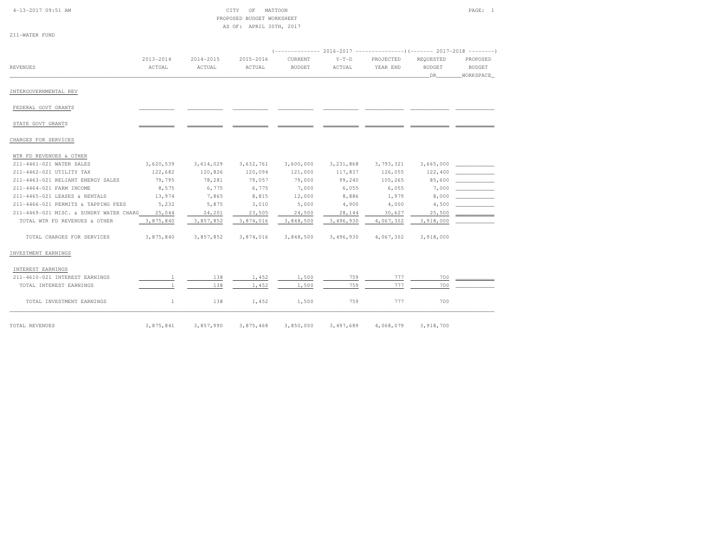|  | $4-13-2017$ 09:51 AM |  |
|--|----------------------|--|
|  |                      |  |

| 4-13-2017 09:51 AM<br>CITY | OF MATTOON                | PAGE:<br>$\sim$ $\sim$ $\sim$ |  |
|----------------------------|---------------------------|-------------------------------|--|
|                            | PROPOSED BUDGET WORKSHEET |                               |  |
|                            | AS OF: APRIL 30TH, 2017   |                               |  |

| 211-WATER FUND |  |
|----------------|--|
|----------------|--|

|                                         |              |           |           |               |             |           |               | (-------------- 2016-2017 ---------------------- 2017-2018 ---------- |  |
|-----------------------------------------|--------------|-----------|-----------|---------------|-------------|-----------|---------------|-----------------------------------------------------------------------|--|
|                                         | 2013-2014    | 2014-2015 | 2015-2016 | CURRENT       | $Y-T-D$     | PROJECTED | REQUESTED     | PROPOSED                                                              |  |
| <b>REVENUES</b>                         | ACTUAL       | ACTUAL    | ACTUAL    | <b>BUDGET</b> | ACTUAL      | YEAR END  | <b>BUDGET</b> | <b>BUDGET</b>                                                         |  |
|                                         |              |           |           |               |             |           | DR            | WORKSPACE                                                             |  |
| INTERGOVERNMENTAL REV                   |              |           |           |               |             |           |               |                                                                       |  |
| FEDERAL GOVT GRANTS                     |              |           |           |               |             |           |               |                                                                       |  |
| STATE GOVT GRANTS                       |              |           |           |               |             |           |               |                                                                       |  |
| CHARGES FOR SERVICES                    |              |           |           |               |             |           |               |                                                                       |  |
| WTR FD REVENUES & OTHER                 |              |           |           |               |             |           |               |                                                                       |  |
| 211-4461-021 WATER SALES                | 3,620,539    | 3,614,029 | 3,632,761 | 3,600,000     | 3, 231, 868 | 3,793,321 | 3,665,000     |                                                                       |  |
| 211-4462-021 UTILITY TAX                | 122,682      | 120,826   | 120,094   | 121,000       | 117,837     | 126,055   | 122,400       |                                                                       |  |
| 211-4463-021 RELIANT ENERGY SALES       | 79,795       | 78,281    | 79,057    | 79,000        | 99,240      | 105,265   | 85,600        |                                                                       |  |
| 211-4464-021 FARM INCOME                | 8,575        | 6,775     | 6,775     | 7,000         | 6,055       | 6,055     | 7,000         |                                                                       |  |
| 211-4465-021 LEASES & RENTALS           | 13,974       | 7,865     | 8,815     | 12,000        | 8,886       | 1,979     | 8,000         |                                                                       |  |
| 211-4466-021 PERMITS & TAPPING FEES     | 5,232        | 5,875     | 3,010     | 5,000         | 4,900       | 4,000     | 4,500         |                                                                       |  |
| 211-4469-021 MISC. & SUNDRY WATER CHARG | 25,044       | 24,201    | 23,505    | 24,500        | 28,144      | 30,627    | 25,500        |                                                                       |  |
| TOTAL WTR FD REVENUES & OTHER           | 3,875,840    | 3,857,852 | 3,874,016 | 3,848,500     | 3,496,930   | 4,067,302 | 3,918,000     |                                                                       |  |
| TOTAL CHARGES FOR SERVICES              | 3,875,840    | 3,857,852 | 3,874,016 | 3,848,500     | 3,496,930   | 4,067,302 | 3,918,000     |                                                                       |  |
| INVESTMENT EARNINGS                     |              |           |           |               |             |           |               |                                                                       |  |
| INTEREST EARNINGS                       |              |           |           |               |             |           |               |                                                                       |  |
| 211-4610-021 INTEREST EARNINGS          | $\mathbf{1}$ | 138       | 1,452     | 1,500         | 759         | 777       | 700           |                                                                       |  |
| TOTAL INTEREST EARNINGS                 |              | 138       | 1,452     | 1,500         | 759         | 777       | 700           |                                                                       |  |
| TOTAL INVESTMENT EARNINGS               | $\mathbf{1}$ | 138       | 1,452     | 1,500         | 759         | 777       | 700           |                                                                       |  |
| TOTAL REVENUES                          | 3,875,841    | 3,857,990 | 3,875,468 | 3,850,000     | 3,497,689   | 4,068,079 | 3,918,700     |                                                                       |  |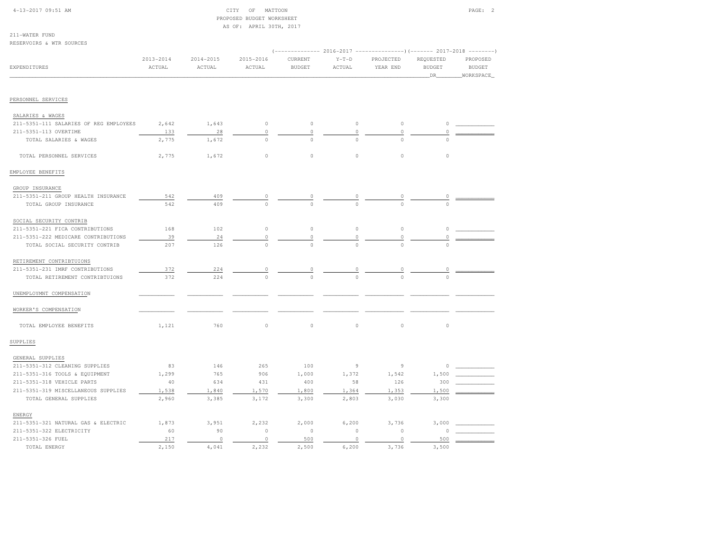| $4-13-2017$ 09:51 AM |  |
|----------------------|--|
|                      |  |

#### $CITY$  OF MATTOON PAGE: 2 PROPOSED BUDGET WORKSHEETAS OF: APRIL 30TH, 2017

211-WATER FUNDRESERVOIRS & WTR SOURCES

| KESEKVOIKS & WIK SUUKCES                                   |                         |                         |                         |                          |                   |                       |                            |                                        |
|------------------------------------------------------------|-------------------------|-------------------------|-------------------------|--------------------------|-------------------|-----------------------|----------------------------|----------------------------------------|
| <b>EXPENDITURES</b>                                        | $2013 - 2014$<br>ACTUAL | $2014 - 2015$<br>ACTUAL | $2015 - 2016$<br>ACTUAL | CURRENT<br><b>BUDGET</b> | $Y-T-D$<br>ACTUAL | PROJECTED<br>YEAR END | REQUESTED<br>BUDGET<br>DR_ | PROPOSED<br><b>BUDGET</b><br>WORKSPACE |
| PERSONNEL SERVICES                                         |                         |                         |                         |                          |                   |                       |                            |                                        |
|                                                            |                         |                         |                         |                          |                   |                       |                            |                                        |
| SALARIES & WAGES<br>211-5351-111 SALARIES OF REG EMPLOYEES | 2,642                   | 1,643                   | $\circ$                 | $\mathbb O$              | $\circ$           | $\circ$               | $\circ$                    |                                        |
| 211-5351-113 OVERTIME                                      | 133                     | 28                      | 0                       | $\circ$                  | $\circ$           | $\circ$               | $\Omega$                   |                                        |
| TOTAL SALARIES & WAGES                                     | 2,775                   | 1,672                   | $\Omega$                | $\circ$                  | $\Omega$          | $\cap$                | $\cap$                     |                                        |
|                                                            |                         |                         |                         |                          |                   |                       |                            |                                        |
| TOTAL PERSONNEL SERVICES                                   | 2,775                   | 1,672                   | $\circ$                 | $\mathbb O$              | $\circ$           | $\circ$               | $\circ$                    |                                        |
| EMPLOYEE BENEFITS                                          |                         |                         |                         |                          |                   |                       |                            |                                        |
| GROUP INSURANCE                                            |                         |                         |                         |                          |                   |                       |                            |                                        |
| 211-5351-211 GROUP HEALTH INSURANCE                        | 542                     | 409                     | 0                       | 0                        |                   |                       |                            |                                        |
| TOTAL GROUP INSURANCE                                      | 542                     | 409                     | $\circ$                 | $\circ$                  |                   |                       | $\Omega$                   |                                        |
| SOCIAL SECURITY CONTRIB                                    |                         |                         |                         |                          |                   |                       |                            |                                        |
| 211-5351-221 FICA CONTRIBUTIONS                            | 168                     | 102                     | $\circ$                 | $\circ$                  | $\circ$           | $\circ$               | $\circ$                    |                                        |
| 211-5351-222 MEDICARE CONTRIBUTIONS                        | 39                      | 24                      | 0                       | $\circ$                  | 0                 | $\circ$               | 0                          |                                        |
| TOTAL SOCIAL SECURITY CONTRIB                              | 207                     | 126                     | $\circ$                 | $\Omega$                 | $\Omega$          | $\cap$                | $\Omega$                   |                                        |
|                                                            |                         |                         |                         |                          |                   |                       |                            |                                        |
| RETIREMENT CONTRIBTUIONS                                   |                         |                         |                         |                          |                   |                       |                            |                                        |
| 211-5351-231 IMRF CONTRIBUTIONS                            | 372                     | 224                     | 0                       | 0                        | 0                 | 0                     | 0                          |                                        |
| TOTAL RETIREMENT CONTRIBTUIONS                             | 372                     | 224                     | $\Omega$                | $\Omega$                 | $\Omega$          | $\Omega$              | $\Omega$                   |                                        |
| UNEMPLOYMNT COMPENSATION                                   |                         |                         |                         |                          |                   |                       |                            |                                        |
| WORKER'S COMPENSATION                                      |                         |                         |                         |                          |                   |                       |                            |                                        |
| TOTAL EMPLOYEE BENEFITS                                    | 1,121                   | 760                     | $\circ$                 | $\mathbb O$              | $\mathbb O$       | $\circ$               | $\circ$                    |                                        |
| SUPPLIES                                                   |                         |                         |                         |                          |                   |                       |                            |                                        |
| GENERAL SUPPLIES                                           |                         |                         |                         |                          |                   |                       |                            |                                        |
| 211-5351-312 CLEANING SUPPLIES                             | 83                      | 146                     | 265                     | 100                      | $\overline{9}$    | $\overline{9}$        | $\Omega$                   |                                        |
| 211-5351-316 TOOLS & EQUIPMENT                             | 1,299                   | 765                     | 906                     | 1,000                    | 1,372             | 1,542                 | 1,500                      |                                        |
| 211-5351-318 VEHICLE PARTS                                 | 40                      | 634                     | 431                     | 400                      | 58                | 126                   | 300                        |                                        |
| 211-5351-319 MISCELLANEOUS SUPPLIES                        | 1,538                   | 1,840                   | 1,570                   | 1,800                    | 1,364             | 1,353                 | 1,500                      |                                        |
| TOTAL GENERAL SUPPLIES                                     | 2,960                   | 3,385                   | 3,172                   | 3,300                    | 2,803             | 3,030                 | 3,300                      |                                        |
| ENERGY                                                     |                         |                         |                         |                          |                   |                       |                            |                                        |
| 211-5351-321 NATURAL GAS & ELECTRIC                        | 1,873                   | 3,951                   | 2,232                   | 2,000                    | 6,200             | 3,736                 | 3,000                      |                                        |
| 211-5351-322 ELECTRICITY                                   | 60                      | 90                      | $\circ$                 | $\circ$                  | $\circ$           | $\circ$               | $\Omega$                   |                                        |
| 211-5351-326 FUEL                                          | 217                     | $\circ$                 | $\circ$                 | 500                      | $\circ$           | $\circ$               | 500                        |                                        |
| TOTAL ENERGY                                               | 2,150                   | 4,041                   | 2,232                   | 2,500                    | 6,200             | 3,736                 | 3,500                      |                                        |
|                                                            |                         |                         |                         |                          |                   |                       |                            |                                        |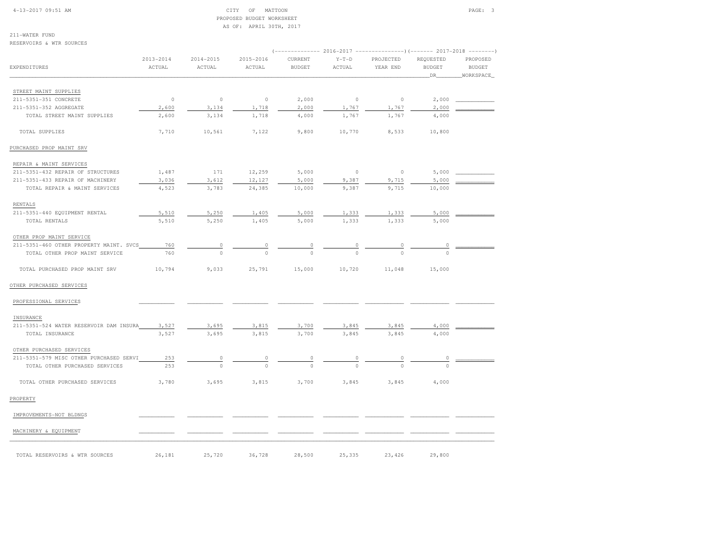#### 4-13-2017 09:51 AM CITY OF MATTOON PAGE: 3 PROPOSED BUDGET WORKSHEETAS OF: APRIL 30TH, 2017

211-WATER FUND

| ACTUAL | $\verb ACTUAL $                       | ACTUAL                                        | <b>BUDGET</b>                     | ACTUAL                    | YEAR END                    | <b>BUDGET</b><br>DR               | PROPOSED<br><b>BUDGET</b><br>WORKSPACE                                                            |
|--------|---------------------------------------|-----------------------------------------------|-----------------------------------|---------------------------|-----------------------------|-----------------------------------|---------------------------------------------------------------------------------------------------|
|        |                                       |                                               |                                   |                           |                             |                                   |                                                                                                   |
|        |                                       |                                               |                                   |                           |                             |                                   |                                                                                                   |
|        |                                       |                                               |                                   |                           |                             |                                   |                                                                                                   |
| 2,600  | 3,134                                 | 1,718                                         | 4,000                             | 1,767                     | 1,767                       | 4,000                             |                                                                                                   |
| 7,710  | 10,561                                | 7,122                                         | 9,800                             | 10,770                    | 8,533                       | 10,800                            |                                                                                                   |
|        |                                       |                                               |                                   |                           |                             |                                   |                                                                                                   |
|        |                                       |                                               |                                   |                           |                             |                                   |                                                                                                   |
| 1,487  | 171                                   | 12,259                                        | 5,000                             | $\circ$                   | $\circ$                     | 5,000                             |                                                                                                   |
| 3,036  | 3,612                                 | 12,127                                        | 5,000                             | 9,387                     | 9,715                       | 5,000                             |                                                                                                   |
| 4,523  | 3,783                                 | 24,385                                        | 10,000                            | 9,387                     | 9,715                       | 10,000                            |                                                                                                   |
|        |                                       |                                               |                                   |                           |                             |                                   |                                                                                                   |
| 5,510  | 5,250                                 | 1,405                                         | 5,000                             | 1,333                     | 1,333                       | 5,000                             |                                                                                                   |
| 5,510  | 5,250                                 | 1,405                                         | 5,000                             | 1,333                     | 1,333                       | 5,000                             |                                                                                                   |
|        |                                       |                                               |                                   |                           |                             |                                   |                                                                                                   |
| 760    |                                       |                                               |                                   |                           |                             |                                   |                                                                                                   |
| 760    | $\circ$                               | $\Omega$                                      |                                   |                           |                             | $\cap$                            |                                                                                                   |
| 10,794 | 9,033                                 | 25,791                                        | 15,000                            | 10,720                    | 11,048                      | 15,000                            |                                                                                                   |
|        |                                       |                                               |                                   |                           |                             |                                   |                                                                                                   |
|        |                                       |                                               |                                   |                           |                             |                                   |                                                                                                   |
|        |                                       |                                               |                                   |                           |                             |                                   |                                                                                                   |
| 3,527  | 3,695                                 | 3,815                                         | 3,700                             | 3,845                     | 3,845                       | 4,000                             |                                                                                                   |
| 3,527  | 3,695                                 | 3,815                                         | 3,700                             | 3,845                     | 3,845                       | 4,000                             |                                                                                                   |
|        |                                       |                                               |                                   |                           |                             |                                   |                                                                                                   |
| 253    | 0                                     | 0                                             | $\circ$                           | 0                         | 0                           | 0                                 |                                                                                                   |
| 253    |                                       |                                               |                                   |                           |                             | $\Omega$                          |                                                                                                   |
| 3,780  | 3,695                                 | 3,815                                         | 3,700                             | 3,845                     | 3,845                       | 4,000                             |                                                                                                   |
|        |                                       |                                               |                                   |                           |                             |                                   |                                                                                                   |
|        |                                       |                                               |                                   |                           |                             |                                   |                                                                                                   |
|        |                                       |                                               |                                   |                           |                             |                                   |                                                                                                   |
|        | $2013 - 2014$<br>$\mathbb O$<br>2,600 | $2014 - 2015$<br>$\circ$<br>3,134<br>$\Omega$ | $2015 - 2016$<br>$\circ$<br>1,718 | CURRENT<br>2,000<br>2,000 | $Y-T-D$<br>$\circ$<br>1,767 | PROJECTED<br>$\mathbb O$<br>1,767 | (-------------- 2016-2017 --------------------- 2017-2018 --------<br>REQUESTED<br>2,000<br>2,000 |

TOTAL RESERVOIRS & WTR SOURCES 26,181 25,720 36,728 28,500 25,335 23,426 29,800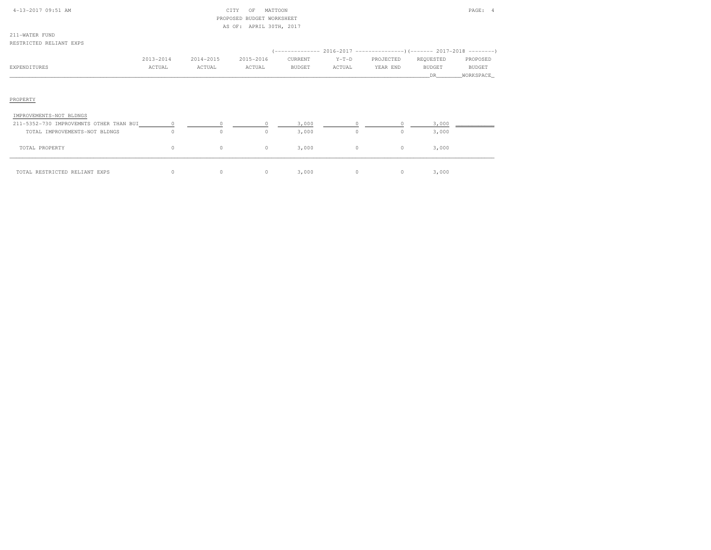| 4-13-2017 09:51 AM                      |           |           | CITY<br>MATTOON<br>OF<br>PROPOSED BUDGET WORKSHEET |               |         |           |               | PAGE: 4   |
|-----------------------------------------|-----------|-----------|----------------------------------------------------|---------------|---------|-----------|---------------|-----------|
|                                         |           |           | AS OF: APRIL 30TH, 2017                            |               |         |           |               |           |
| 211-WATER FUND                          |           |           |                                                    |               |         |           |               |           |
| RESTRICTED RELIANT EXPS                 |           |           |                                                    |               |         |           |               |           |
|                                         |           |           |                                                    |               |         |           |               |           |
|                                         | 2013-2014 | 2014-2015 | 2015-2016                                          | CURRENT       | $Y-T-D$ | PROJECTED | REQUESTED     | PROPOSED  |
| <b>EXPENDITURES</b>                     | ACTUAL    | ACTUAL    | ACTUAL                                             | <b>BUDGET</b> | ACTUAL  | YEAR END  | <b>BUDGET</b> | BUDGET    |
|                                         |           |           |                                                    |               |         |           | DR.           | WORKSPACE |
| PROPERTY                                |           |           |                                                    |               |         |           |               |           |
| IMPROVEMENTS-NOT BLDNGS                 |           |           |                                                    |               |         |           |               |           |
| 211-5352-730 IMPROVEMNTS OTHER THAN BUI | $\circ$   | $\circ$   |                                                    | 3,000         |         |           | 3,000         |           |
| TOTAL IMPROVEMENTS-NOT BLDNGS           | $\circ$   | $\circ$   | $\circ$                                            | 3,000         | $\circ$ | $\circ$   | 3,000         |           |
| TOTAL PROPERTY                          | $\circ$   | $\circ$   | 0                                                  | 3,000         | $\circ$ | $\circ$   | 3,000         |           |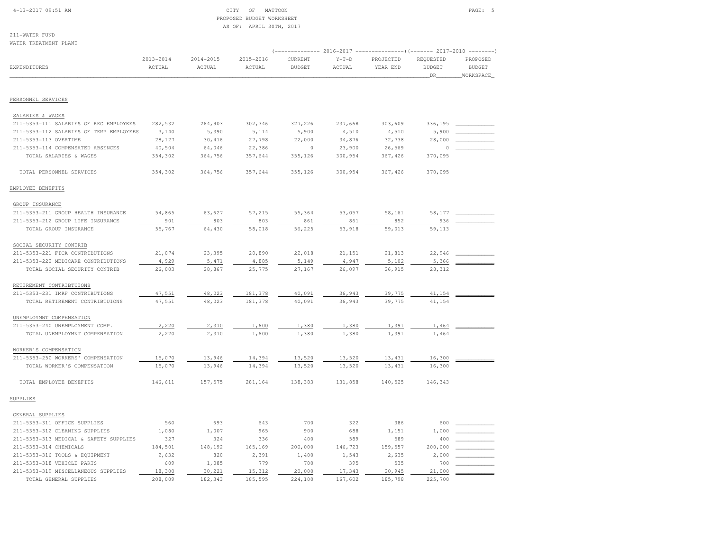#### 4-13-2017 09:51 AM CITY OF MATTOON PAGE: 5 PROPOSED BUDGET WORKSHEETAS OF: APRIL 30TH, 2017

211-WATER FUND

| WATER TREATMENT PLANT                                       |                     |                         |                     |                          |                   | (------------- 2016-2017 ---------------) (------- 2017-2018 --------) |                                    |                                        |
|-------------------------------------------------------------|---------------------|-------------------------|---------------------|--------------------------|-------------------|------------------------------------------------------------------------|------------------------------------|----------------------------------------|
| EXPENDITURES                                                | 2013-2014<br>ACTUAL | $2014 - 2015$<br>ACTUAL | 2015-2016<br>ACTUAL | CURRENT<br><b>BUDGET</b> | $Y-T-D$<br>ACTUAL | PROJECTED<br>YEAR END                                                  | REQUESTED<br><b>BUDGET</b><br>_DR_ | PROPOSED<br><b>BUDGET</b><br>WORKSPACE |
| PERSONNEL SERVICES                                          |                     |                         |                     |                          |                   |                                                                        |                                    |                                        |
|                                                             |                     |                         |                     |                          |                   |                                                                        |                                    |                                        |
| SALARIES & WAGES                                            |                     |                         |                     |                          |                   |                                                                        |                                    |                                        |
| 211-5353-111 SALARIES OF REG EMPLOYEES                      | 282,532             | 264,903                 | 302,346             | 327,226                  | 237,668           | 303,609                                                                | 336,195                            |                                        |
| 211-5353-112 SALARIES OF TEMP EMPLOYEES                     | 3,140               | 5,390                   | 5,114               | 5,900                    | 4,510             | 4,510                                                                  | 5,900                              |                                        |
| 211-5353-113 OVERTIME                                       | 28,127              | 30,416                  | 27,798              | 22,000                   | 34,876            | 32,738                                                                 | 28,000                             |                                        |
| 211-5353-114 COMPENSATED ABSENCES<br>TOTAL SALARIES & WAGES | 40,504<br>354,302   | 64,046<br>364,756       | 22,386<br>357,644   | $\circ$<br>355,126       | 23,900<br>300,954 | 26,569<br>367,426                                                      | 0<br>370,095                       |                                        |
|                                                             |                     |                         |                     |                          |                   |                                                                        |                                    |                                        |
| TOTAL PERSONNEL SERVICES                                    | 354,302             | 364,756                 | 357,644             | 355,126                  | 300,954           | 367,426                                                                | 370,095                            |                                        |
| EMPLOYEE BENEFITS                                           |                     |                         |                     |                          |                   |                                                                        |                                    |                                        |
| GROUP INSURANCE                                             |                     |                         |                     |                          |                   |                                                                        |                                    |                                        |
| 211-5353-211 GROUP HEALTH INSURANCE                         | 54,865              | 63,627                  | 57,215              | 55,364                   | 53,057            | 58,161                                                                 | 58,177                             |                                        |
| 211-5353-212 GROUP LIFE INSURANCE                           | 901                 | 803                     | 803                 | 861                      | 861               | 852                                                                    | 936                                |                                        |
| TOTAL GROUP INSURANCE                                       | 55,767              | 64,430                  | 58,018              | 56,225                   | 53,918            | 59,013                                                                 | 59,113                             |                                        |
| SOCIAL SECURITY CONTRIB                                     |                     |                         |                     |                          |                   |                                                                        |                                    |                                        |
| 211-5353-221 FICA CONTRIBUTIONS                             | 21,074              | 23,395                  | 20,890              | 22,018                   | 21,151            | 21,813                                                                 | 22,946                             |                                        |
| 211-5353-222 MEDICARE CONTRIBUTIONS                         | 4,929               | 5,471                   | 4,885               | 5,149                    | 4,947             | 5,102                                                                  | 5,366                              |                                        |
| TOTAL SOCIAL SECURITY CONTRIB                               | 26,003              | 28,867                  | 25,775              | 27,167                   | 26,097            | 26,915                                                                 | 28,312                             |                                        |
| RETIREMENT CONTRIBTUIONS                                    |                     |                         |                     |                          |                   |                                                                        |                                    |                                        |
| 211-5353-231 IMRF CONTRIBUTIONS                             | 47,551              | 48,023                  | 181,378             | 40,091                   | 36,943            | 39,775                                                                 | 41,154                             |                                        |
| TOTAL RETIREMENT CONTRIBTUIONS                              | 47,551              | 48,023                  | 181,378             | 40,091                   | 36,943            | 39,775                                                                 | 41,154                             |                                        |
|                                                             |                     |                         |                     |                          |                   |                                                                        |                                    |                                        |
| UNEMPLOYMNT COMPENSATION                                    |                     |                         |                     |                          |                   |                                                                        |                                    |                                        |
| 211-5353-240 UNEMPLOYMENT COMP.                             | 2,220               | 2,310                   | 1,600               | 1,380                    | 1,380             | 1,391                                                                  | 1,464                              |                                        |
| TOTAL UNEMPLOYMNT COMPENSATION                              | 2,220               | 2,310                   | 1,600               | 1,380                    | 1,380             | 1,391                                                                  | 1,464                              |                                        |
| WORKER'S COMPENSATION                                       |                     |                         |                     |                          |                   |                                                                        |                                    |                                        |
| 211-5353-250 WORKERS' COMPENSATION                          | 15,070              | 13,946                  | 14,394              | 13,520                   | 13,520            | 13,431                                                                 | 16,300                             |                                        |
| TOTAL WORKER'S COMPENSATION                                 | 15,070              | 13,946                  | 14,394              | 13,520                   | 13,520            | 13,431                                                                 | 16,300                             |                                        |
| TOTAL EMPLOYEE BENEFITS                                     | 146,611             | 157,575                 | 281,164             | 138,383                  | 131,858           | 140,525                                                                | 146,343                            |                                        |
| SUPPLIES                                                    |                     |                         |                     |                          |                   |                                                                        |                                    |                                        |
| GENERAL SUPPLIES                                            |                     |                         |                     |                          |                   |                                                                        |                                    |                                        |
| 211-5353-311 OFFICE SUPPLIES                                | 560                 | 693                     | 643                 | 700                      | 322               | 386                                                                    | 600                                |                                        |
| 211-5353-312 CLEANING SUPPLIES                              | 1,080               | 1,007                   | 965                 | 900                      | 688               | 1,151                                                                  | 1,000                              |                                        |
| 211-5353-313 MEDICAL & SAFETY SUPPLIES                      | 327                 | 324                     | 336                 | 400                      | 589               | 589                                                                    | 400                                |                                        |
| 211-5353-314 CHEMICALS                                      | 184,501             | 148,192                 | 165,169             | 200,000                  | 146,723           | 159,557                                                                | 200,000                            |                                        |
| 211-5353-316 TOOLS & EQUIPMENT                              | 2,632               | 820                     | 2,391               | 1,400                    | 1,543             | 2,635                                                                  | 2,000                              |                                        |
| 211-5353-318 VEHICLE PARTS                                  | 609                 | 1,085                   | 779                 | 700                      | 395               | 535                                                                    | 700                                |                                        |
| 211-5353-319 MISCELLANEOUS SUPPLIES                         | 18,300              | 30,221                  | 15,312              | 20,000                   | 17,343            | 20,945                                                                 | 21,000                             |                                        |
| TOTAL GENERAL SUPPLIES                                      | 208,009             | 182,343                 | 185,595             | 224,100                  | 167,602           | 185,798                                                                | 225,700                            |                                        |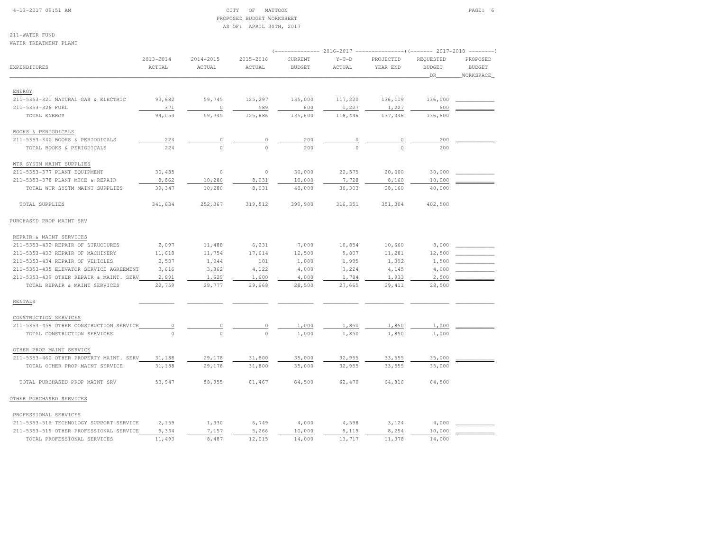#### 4-13-2017 09:51 AM CITY OF MATTOON PAGE: 6 PROPOSED BUDGET WORKSHEETAS OF: APRIL 30TH, 2017

211-WATER FUNDWATER TREATMENT PLANT

| WAIER IREAIMENI FLANI                   |                         |                         |                     |                          |                   |                       |                                  |                                        |
|-----------------------------------------|-------------------------|-------------------------|---------------------|--------------------------|-------------------|-----------------------|----------------------------------|----------------------------------------|
| EXPENDITURES                            | $2013 - 2014$<br>ACTUAL | $2014 - 2015$<br>ACTUAL | 2015-2016<br>ACTUAL | CURRENT<br><b>BUDGET</b> | $Y-T-D$<br>ACTUAL | PROJECTED<br>YEAR END | REQUESTED<br><b>BUDGET</b><br>DR | PROPOSED<br><b>BUDGET</b><br>WORKSPACE |
| ENERGY                                  |                         |                         |                     |                          |                   |                       |                                  |                                        |
| 211-5353-321 NATURAL GAS & ELECTRIC     | 93,682                  | 59,745                  | 125,297             | 135,000                  | 117,220           | 136,119               | 136,000                          |                                        |
| 211-5353-326 FUEL                       | 371                     | $\Omega$                | 589                 | 600                      | 1,227             | 1,227                 | 600                              |                                        |
| TOTAL ENERGY                            | 94,053                  | 59,745                  | 125,886             | 135,600                  | 118,446           | 137,346               | 136,600                          |                                        |
| BOOKS & PERIODICALS                     |                         |                         |                     |                          |                   |                       |                                  |                                        |
| 211-5353-340 BOOKS & PERIODICALS        | 224                     |                         |                     | 200                      |                   |                       | 200                              |                                        |
| TOTAL BOOKS & PERIODICALS               | 224                     | $\Omega$                |                     | 200                      |                   |                       | 200                              |                                        |
| WTR SYSTM MAINT SUPPLIES                |                         |                         |                     |                          |                   |                       |                                  |                                        |
| 211-5353-377 PLANT EQUIPMENT            | 30,485                  | $\circ$                 | $\circ$             | 30,000                   | 22,575            | 20,000                | 30,000                           |                                        |
| 211-5353-378 PLANT MTCE & REPAIR        | 8,862                   | 10,280                  | 8,031               | 10,000                   | 7,728             | 8,160                 | 10,000                           |                                        |
| TOTAL WTR SYSTM MAINT SUPPLIES          | 39,347                  | 10,280                  | 8,031               | 40,000                   | 30,303            | 28,160                | 40,000                           |                                        |
| TOTAL SUPPLIES                          | 341,634                 | 252,367                 | 319,512             | 399,900                  | 316,351           | 351,304               | 402,500                          |                                        |
| PURCHASED PROP MAINT SRV                |                         |                         |                     |                          |                   |                       |                                  |                                        |
| REPAIR & MAINT SERVICES                 |                         |                         |                     |                          |                   |                       |                                  |                                        |
| 211-5353-432 REPAIR OF STRUCTURES       | 2,097                   | 11,488                  | 6,231               | 7,000                    | 10,854            | 10,660                | 8,000                            |                                        |
| 211-5353-433 REPAIR OF MACHINERY        | 11,618                  | 11,754                  | 17,614              | 12,500                   | 9,807             | 11,281                | 12,500                           |                                        |
| 211-5353-434 REPAIR OF VEHICLES         | 2,537                   | 1,044                   | 101                 | 1,000                    | 1,995             | 1,392                 | 1,500                            |                                        |
| 211-5353-435 ELEVATOR SERVICE AGREEMENT | 3,616                   | 3,862                   | 4,122               | 4,000                    | 3,224             | 4,145                 | 4,000                            |                                        |
| 211-5353-439 OTHER REPAIR & MAINT. SERV | 2,891                   | 1,629                   | 1,600               | 4,000                    | 1,784             | 1,933                 | 2,500                            |                                        |
| TOTAL REPAIR & MAINT SERVICES           | 22,759                  | 29,777                  | 29,668              | 28,500                   | 27,665            | 29, 411               | 28,500                           |                                        |
| RENTALS                                 |                         |                         |                     |                          |                   |                       |                                  |                                        |
| CONSTRUCTION SERVICES                   |                         |                         |                     |                          |                   |                       |                                  |                                        |
| 211-5353-459 OTHER CONSTRUCTION SERVICE | $\circ$                 | 0                       | 0                   | 1,000                    | 1,850             | 1,850                 | 1,000                            |                                        |
| TOTAL CONSTRUCTION SERVICES             | $\Omega$                | $\Omega$                | $\Omega$            | 1,000                    | 1,850             | 1,850                 | 1,000                            |                                        |
| OTHER PROP MAINT SERVICE                |                         |                         |                     |                          |                   |                       |                                  |                                        |
| 211-5353-460 OTHER PROPERTY MAINT. SERV | 31,188                  | 29,178                  | 31,800              | 35,000                   | 32,955            | 33,555                | 35,000                           |                                        |
| TOTAL OTHER PROP MAINT SERVICE          | 31,188                  | 29,178                  | 31,800              | 35,000                   | 32,955            | 33,555                | 35,000                           |                                        |
| TOTAL PURCHASED PROP MAINT SRV          | 53,947                  | 58,955                  | 61,467              | 64,500                   | 62,470            | 64,816                | 64,500                           |                                        |
| OTHER PURCHASED SERVICES                |                         |                         |                     |                          |                   |                       |                                  |                                        |
| PROFESSIONAL SERVICES                   |                         |                         |                     |                          |                   |                       |                                  |                                        |
| 211-5353-516 TECHNOLOGY SUPPORT SERVICE | 2,159                   | 1,330                   | 6,749               | 4,000                    | 4,598             | 3,124                 | 4,000                            |                                        |
| 211-5353-519 OTHER PROFESSIONAL SERVICE | 9,334                   | 7,157                   | 5,266               | 10,000                   | 9,119             | 8,254                 | 10,000                           |                                        |
| TOTAL PROFESSIONAL SERVICES             | 11,493                  | 8,487                   | 12,015              | 14,000                   | 13,717            | 11,378                | 14,000                           |                                        |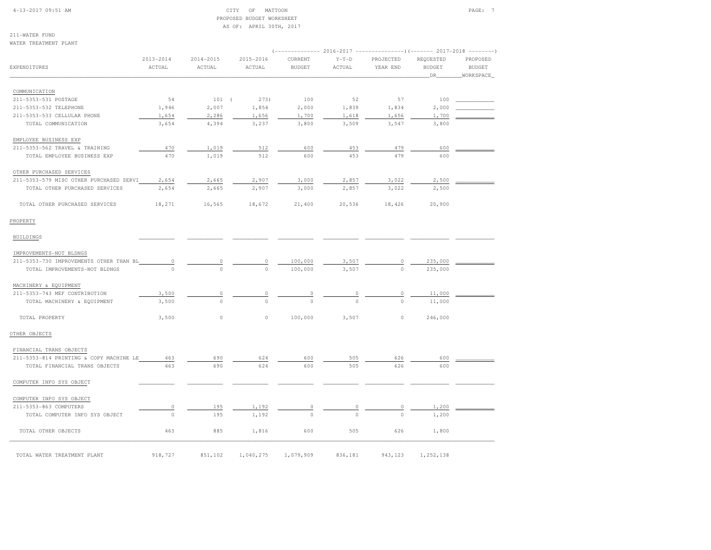#### 4-13-2017 09:51 AM CITY OF MATTOON PAGE: 7 PROPOSED BUDGET WORKSHEETAS OF: APRIL 30TH, 2017

211-WATER FUND

|                                         |               |               |                | $(----------2016-2017$ ---------------) (------- 2017-2018 -------) |         |             |               |           |
|-----------------------------------------|---------------|---------------|----------------|---------------------------------------------------------------------|---------|-------------|---------------|-----------|
|                                         | $2013 - 2014$ | $2014 - 2015$ | $2015 - 2016$  | CURRENT                                                             | $Y-T-D$ | PROJECTED   | REQUESTED     | PROPOSED  |
| EXPENDITURES                            | ACTUAL        | ACTUAL        | ACTUAL         | <b>BUDGET</b>                                                       | ACTUAL  | YEAR END    | <b>BUDGET</b> | BUDGET    |
|                                         |               |               |                |                                                                     |         |             | _DR_          | WORKSPACE |
| COMMUNICATION                           |               |               |                |                                                                     |         |             |               |           |
| 211-5353-531 POSTAGE                    | 54            | $101$ (       | 273)           | 100                                                                 | 52      | 57          | 100           |           |
| 211-5353-532 TELEPHONE                  | 1,946         | 2,007         | 1,854          | 2,000                                                               | 1,839   | 1,834       | 2,000         |           |
| 211-5353-533 CELLULAR PHONE             | 1,654         | 2,286         | 1,656          | 1,700                                                               | 1,618   | 1,656       | 1,700         |           |
| TOTAL COMMUNICATION                     | 3,654         | 4,394         | 3,237          | 3,800                                                               | 3,509   | 3,547       | 3,800         |           |
| EMPLOYEE BUSINESS EXP                   |               |               |                |                                                                     |         |             |               |           |
| 211-5353-562 TRAVEL & TRAINING          | 470           | 1,019         | 512            | 600                                                                 | 453     | 479         | 600           |           |
| TOTAL EMPLOYEE BUSINESS EXP             | 470           | 1,019         | 512            | 600                                                                 | 453     | 479         | 600           |           |
| OTHER PURCHASED SERVICES                |               |               |                |                                                                     |         |             |               |           |
| 211-5353-579 MISC OTHER PURCHASED SERVI | 2,654         | 2,665         | 2,907          | 3,000                                                               | 2,857   | 3,022       | 2,500         |           |
| TOTAL OTHER PURCHASED SERVICES          | 2,654         | 2,665         | 2,907          | 3,000                                                               | 2,857   | 3,022       | 2,500         |           |
| TOTAL OTHER PURCHASED SERVICES          | 18,271        | 16,565        | 18,672         | 21,400                                                              | 20,536  | 18,426      | 20,900        |           |
| PROPERTY                                |               |               |                |                                                                     |         |             |               |           |
| BUILDINGS                               |               |               |                |                                                                     |         |             |               |           |
| IMPROVEMENTS-NOT BLDNGS                 |               |               |                |                                                                     |         |             |               |           |
| 211-5353-730 IMPROVEMENTS OTHER THAN BL | $\circ$       | 0             | $\circ$        | 100,000                                                             | 3,507   | 0           | 235,000       |           |
| TOTAL IMPROVEMENTS-NOT BLDNGS           | $\circ$       | $\Omega$      | $\Omega$       | 100,000                                                             | 3,507   |             | 235,000       |           |
| MACHINERY & EQUIPMENT                   |               |               |                |                                                                     |         |             |               |           |
| 211-5353-743 MEF CONTRIBUTION           | 3,500         | 0             | $\overline{0}$ |                                                                     |         | 0           | 11,000        |           |
| TOTAL MACHINERY & EQUIPMENT             | 3,500         | $\circ$       |                | $\frac{0}{0}$                                                       |         | $\mathbf 0$ | 11,000        |           |
| TOTAL PROPERTY                          | 3,500         | 0             | $\circ$        | 100,000                                                             | 3,507   | $\circ$     | 246,000       |           |
| OTHER OBJECTS                           |               |               |                |                                                                     |         |             |               |           |
| FINANCIAL TRANS OBJECTS                 |               |               |                |                                                                     |         |             |               |           |
| 211-5353-814 PRINTING & COPY MACHINE LE | 463           | 690           | 624            | 600                                                                 | 505     | 626         | 600           |           |
| TOTAL FINANCIAL TRANS OBJECTS           | 463           | 690           | 624            | 600                                                                 | 505     | 626         | 600           |           |
| COMPUTER INFO SYS OBJECT                |               |               |                |                                                                     |         |             |               |           |
| COMPUTER INFO SYS OBJECT                |               |               |                |                                                                     |         |             |               |           |
| 211-5353-863 COMPUTERS                  | $\circ$       | 195           | 1,192          | 0                                                                   | 0       | 0           | 1,200         |           |
| TOTAL COMPUTER INFO SYS OBJECT          | $\circ$       | 195           | 1,192          | $\circ$                                                             | $\circ$ | $\mathbf 0$ | 1,200         |           |
| TOTAL OTHER OBJECTS                     | 463           | 885           | 1,816          | 600                                                                 | 505     | 626         | 1,800         |           |
| TOTAL WATER TREATMENT PLANT             | 918,727       | 851,102       | 1,040,275      | 1,079,909                                                           | 836,181 | 943,123     | 1,252,138     |           |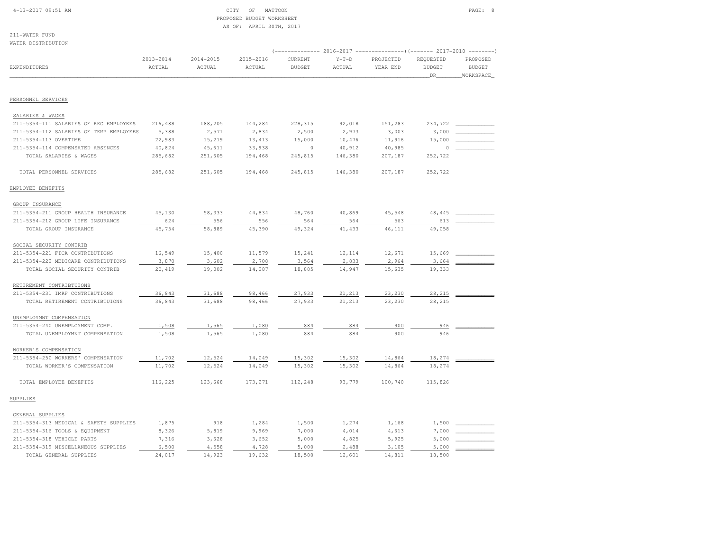#### 4-13-2017 09:51 AM CITY OF MATTOON PAGE: 8 PROPOSED BUDGET WORKSHEETAS OF: APRIL 30TH, 2017

211-WATER FUNDWATER DISTRIBUTION

| WAILK DISIKIBUIIUN                      |                         |                     |                     |                          |                   |                                                                                                |                                   |                                        |
|-----------------------------------------|-------------------------|---------------------|---------------------|--------------------------|-------------------|------------------------------------------------------------------------------------------------|-----------------------------------|----------------------------------------|
| EXPENDITURES                            | $2013 - 2014$<br>ACTUAL | 2014-2015<br>ACTUAL | 2015-2016<br>ACTUAL | CURRENT<br><b>BUDGET</b> | $Y-T-D$<br>ACTUAL | (-------------- 2016-2017 ---------------------- 2017-2018 ----------<br>PROJECTED<br>YEAR END | REQUESTED<br><b>BUDGET</b><br>DR_ | PROPOSED<br><b>BUDGET</b><br>WORKSPACE |
| PERSONNEL SERVICES                      |                         |                     |                     |                          |                   |                                                                                                |                                   |                                        |
|                                         |                         |                     |                     |                          |                   |                                                                                                |                                   |                                        |
| SALARIES & WAGES                        |                         |                     |                     |                          |                   |                                                                                                |                                   |                                        |
| 211-5354-111 SALARIES OF REG EMPLOYEES  | 216,488                 | 188,205             | 144,284             | 228,315                  | 92,018            | 151,283                                                                                        | 234,722                           |                                        |
| 211-5354-112 SALARIES OF TEMP EMPLOYEES | 5,388                   | 2,571               | 2,834               | 2,500                    | 2,973             | 3,003                                                                                          | 3,000                             |                                        |
| 211-5354-113 OVERTIME                   | 22,983                  | 15,219              | 13,413              | 15,000                   | 10,476            | 11,916                                                                                         | 15,000                            |                                        |
| 211-5354-114 COMPENSATED ABSENCES       | 40,824                  | 45,611              | 33,938              | $\circ$                  | 40,912            | 40,985                                                                                         | $\mathbb O$                       |                                        |
| TOTAL SALARIES & WAGES                  | 285,682                 | 251,605             | 194,468             | 245,815                  | 146,380           | 207,187                                                                                        | 252,722                           |                                        |
| TOTAL PERSONNEL SERVICES                | 285,682                 | 251,605             | 194,468             | 245,815                  | 146,380           | 207,187                                                                                        | 252,722                           |                                        |
| EMPLOYEE BENEFITS                       |                         |                     |                     |                          |                   |                                                                                                |                                   |                                        |
| GROUP INSURANCE                         |                         |                     |                     |                          |                   |                                                                                                |                                   |                                        |
| 211-5354-211 GROUP HEALTH INSURANCE     | 45,130                  | 58,333              | 44,834              | 48,760                   | 40,869            | 45,548                                                                                         | 48,445                            |                                        |
| 211-5354-212 GROUP LIFE INSURANCE       | 624                     | 556                 | 556                 | 564                      | 564               | 563                                                                                            | 613                               |                                        |
| TOTAL GROUP INSURANCE                   | 45,754                  | 58,889              | 45,390              | 49,324                   | 41,433            | 46,111                                                                                         | 49,058                            |                                        |
| SOCIAL SECURITY CONTRIB                 |                         |                     |                     |                          |                   |                                                                                                |                                   |                                        |
| 211-5354-221 FICA CONTRIBUTIONS         | 16,549                  | 15,400              | 11,579              | 15,241                   | 12,114            | 12,671                                                                                         | 15,669                            |                                        |
| 211-5354-222 MEDICARE CONTRIBUTIONS     | 3,870                   | 3,602               | 2,708               | 3,564                    | 2,833             | 2,964                                                                                          | 3,664                             |                                        |
| TOTAL SOCIAL SECURITY CONTRIB           | 20,419                  | 19,002              | 14,287              | 18,805                   | 14,947            | 15,635                                                                                         | 19,333                            |                                        |
| RETIREMENT CONTRIBTUIONS                |                         |                     |                     |                          |                   |                                                                                                |                                   |                                        |
| 211-5354-231 IMRF CONTRIBUTIONS         | 36,843                  | 31,688              | 98,466              | 27,933                   | 21,213            | 23,230                                                                                         | 28,215                            |                                        |
| TOTAL RETIREMENT CONTRIBTUIONS          | 36,843                  | 31,688              | 98,466              | 27,933                   | 21,213            | 23,230                                                                                         | 28,215                            |                                        |
| UNEMPLOYMNT COMPENSATION                |                         |                     |                     |                          |                   |                                                                                                |                                   |                                        |
| 211-5354-240 UNEMPLOYMENT COMP.         | 1,508                   | 1,565               | 1,080               | 884                      | 884               | 900                                                                                            | 946                               |                                        |
| TOTAL UNEMPLOYMNT COMPENSATION          | 1,508                   | 1,565               | 1,080               | 884                      | 884               | 900                                                                                            | 946                               |                                        |
| WORKER'S COMPENSATION                   |                         |                     |                     |                          |                   |                                                                                                |                                   |                                        |
| 211-5354-250 WORKERS' COMPENSATION      | 11,702                  | 12,524              | 14,049              | 15,302                   | 15,302            | 14,864                                                                                         | 18,274                            |                                        |
| TOTAL WORKER'S COMPENSATION             | 11,702                  | 12,524              | 14,049              | 15,302                   | 15,302            | 14,864                                                                                         | 18,274                            |                                        |
| TOTAL EMPLOYEE BENEFITS                 | 116,225                 | 123,668             | 173,271             | 112,248                  | 93,779            | 100,740                                                                                        | 115,826                           |                                        |
| SUPPLIES                                |                         |                     |                     |                          |                   |                                                                                                |                                   |                                        |
| GENERAL SUPPLIES                        |                         |                     |                     |                          |                   |                                                                                                |                                   |                                        |
| 211-5354-313 MEDICAL & SAFETY SUPPLIES  | 1,875                   | 918                 | 1,284               | 1,500                    | 1,274             | 1,168                                                                                          | 1,500                             |                                        |
| 211-5354-316 TOOLS & EQUIPMENT          | 8,326                   | 5,819               | 9,969               | 7,000                    | 4,014             | 4,613                                                                                          | 7,000                             |                                        |
| 211-5354-318 VEHICLE PARTS              | 7,316                   | 3,628               | 3,652               | 5,000                    | 4,825             | 5,925                                                                                          | 5,000                             |                                        |
| 211-5354-319 MISCELLANEOUS SUPPLIES     | 6,500                   | 4,558               | 4,728               | 5,000                    | 2,488             | 3,105                                                                                          | 5,000                             |                                        |
| TOTAL GENERAL SUPPLIES                  | 24,017                  | 14,923              | 19,632              | 18,500                   | 12,601            | 14,811                                                                                         | 18,500                            |                                        |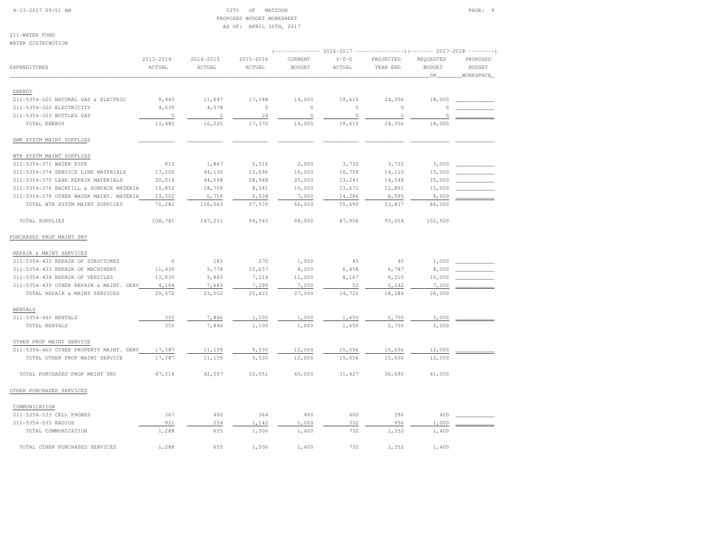#### 4-13-2017 09:51 AM CITY OF MATTOON PAGE: 9 PROPOSED BUDGET WORKSHEETAS OF: APRIL 30TH, 2017

211-WATER FUND

| WATER DISTRIBUTION                      |               |               |               |                |            |             |               |               |
|-----------------------------------------|---------------|---------------|---------------|----------------|------------|-------------|---------------|---------------|
|                                         | $2013 - 2014$ | $2014 - 2015$ | $2015 - 2016$ | CURRENT        | $Y-T-D$    | PROJECTED   | REQUESTED     | PROPOSED      |
| <b>EXPENDITURES</b>                     | ACTUAL        | <b>ACTUAL</b> | ACTUAL        | <b>BUDGET</b>  | ACTUAL     | YEAR END    | <b>BUDGET</b> | <b>BUDGET</b> |
|                                         |               |               |               |                |            |             | DR            | WORKSPACE     |
|                                         |               |               |               |                |            |             |               |               |
| ENERGY                                  |               |               |               |                |            |             |               |               |
| 211-5354-321 NATURAL GAS & ELECTRIC     | 9,443         | 11,647        | 17,348        | 14,000         | 19,615     | 24,356      | 18,000        |               |
| 211-5354-322 ELECTRICITY                | 4,039         | 4,578         | $\circ$       | $\circ$        | $\circ$    | $\circ$     | $\circ$       |               |
| 211-5354-323 BOTTLED GAS                | $\circ$       | $\circ$       | 24            | $\circ$        | $\circ$    | $\mathbb O$ | $\circ$       |               |
| TOTAL ENERGY                            | 13,482        | 16,225        | 17,372        | 14,000         | 19,615     | 24,356      | 18,000        |               |
| SWR SYSTM MAINT SUPPLIES                |               |               |               |                |            |             |               |               |
| WTR SYSTM MAINT SUPPLIES                |               |               |               |                |            |             |               |               |
| 211-5354-371 WATER PIPE                 | 913           | 1,867         | 5,016         | 2,000          | 3,732      | 3,732       | 3,000         |               |
| 211-5354-374 SERVICE LINE MATERIALS     | 17,200        | 44,130        | 12,696        | 16,000         | 10,759     | 14,110      | 15,000        |               |
| 211-5354-375 LEAK REPAIR MATERIALS      | 20,014        | 44,598        | 28,948        | 25,000         | 13,243     | 14,549      | 25,000        |               |
| 211-5354-376 BACKFILL & SURFACE MATERIA | 19,852        | 18,709        | 8,341         | 16,000         | 13,671     | 12,851      | 15,000        |               |
| 211-5354-379 OTHER WATER MAINT. MATERIA | 13,302        | 6,759         | 2,538         | 7,000          | 14,286     | 8,595       | 8,000         |               |
| TOTAL WTR SYSTM MAINT SUPPLIES          | 71,282        | 116,063       | 57,539        | 66,000         | 55,690     | 53,837      | 66,000        |               |
| TOTAL SUPPLIES                          | 108,781       | 147,211       | 94,543        | 98,500         | 87,906     | 93,004      | 102,500       |               |
| PURCHASED PROP MAINT SRV                |               |               |               |                |            |             |               |               |
|                                         |               |               |               |                |            |             |               |               |
| REPAIR & MAINT SERVICES                 |               |               |               |                |            |             |               |               |
| 211-5354-432 REPAIR OF STRUCTURES       | $\circ$       | 181           | 270           | 1,000          | 45         | 45          | 1,000         |               |
| 211-5354-433 REPAIR OF MACHINERY        | 11,439        | 5,778         | 10,637        | 8,000          | 6,458      | 6,787       | 8,000         |               |
| 211-5354-434 REPAIR OF VEHICLES         | 13,939        | 9,860         | 7,214         | 11,000         | 8,167      | 9,210       | 10,000        |               |
| 211-5354-439 OTHER REPAIR & MAINT. SERV | 4,194         | 7,683         | 7,299         | 7,000          | 52         | 2,242       | 7,000         |               |
| TOTAL REPAIR & MAINT SERVICES           | 29,572        | 23,502        | 25,421        | 27,000         | 14,722     | 18,284      | 26,000        |               |
| <b>RENTALS</b>                          |               |               |               |                |            |             |               |               |
| 211-5354-440 RENTALS                    | 355           | 7,846         | 1,100         | 1,000          | 1,650      | 2,750       | 3,000         |               |
| TOTAL RENTALS                           | 355           | 7,846         | 1,100         | 1,000          | 1,650      | 2,750       | 3,000         |               |
| OTHER PROP MAINT SERVICE                |               |               |               |                |            |             |               |               |
| 211-5354-460 OTHER PROPERTY MAINT. SERV | 17,387        | 11,159        | 5,530         | 12,000         | 15,056     | 15,656      | 12,000        |               |
| TOTAL OTHER PROP MAINT SERVICE          | 17,387        | 11,159        | 5,530         | 12,000         | 15,056     | 15,656      | 12,000        |               |
| TOTAL PURCHASED PROP MAINT SRV          | 47,314        | 42,507        | 32,051        | 40,000         | 31,427     | 36,690      | 41,000        |               |
| OTHER PURCHASED SERVICES                |               |               |               |                |            |             |               |               |
| COMMUNICATION                           |               |               |               |                |            |             |               |               |
| 211-5354-533 CELL PHONES                | 367           | 400           | 364           | 400            | 400        | 396         | 400           |               |
| 211-5354-535 RADIOS                     | 921           |               |               |                |            |             |               |               |
|                                         |               | 254<br>655    | 1,142         | 1,000<br>1,400 | 332<br>732 | 956         | 1,000         |               |
| TOTAL COMMUNICATION                     | 1,288         |               | 1,506         |                |            | 1,352       | 1,400         |               |
| TOTAL OTHER PURCHASED SERVICES          | 1,288         | 655           | 1,506         | 1,400          | 732        | 1,352       | 1,400         |               |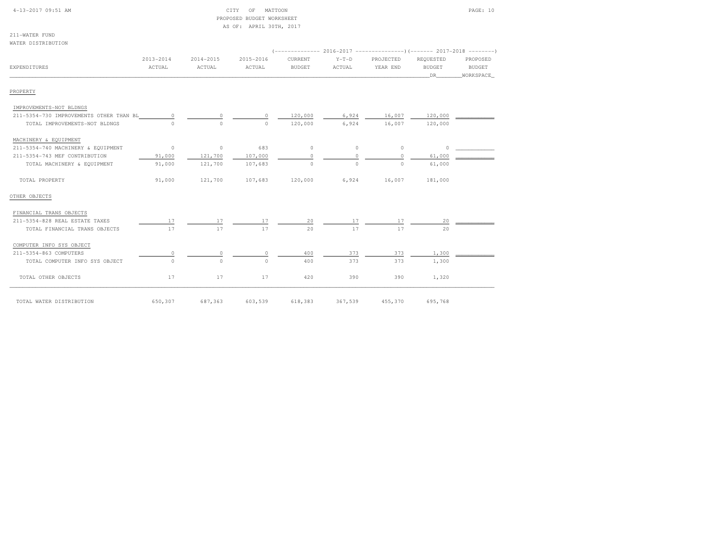| 4-13-2017 09:51 AM |  |
|--------------------|--|
|                    |  |

### CITY OF MATTOON PAGE: 10 PROPOSED BUDGET WORKSHEETAS OF: APRIL 30TH, 2017

| 211-WATER FUND     |  |  |
|--------------------|--|--|
| WATER DISTRIBUTION |  |  |

| <b>EXPENDITURES</b>                     | $2013 - 2014$<br>ACTUAL | $2014 - 2015$<br>ACTUAL | 2015-2016<br>ACTUAL | CURRENT<br><b>BUDGET</b> | $Y-T-D$<br>ACTUAL | PROJECTED<br>YEAR END | REQUESTED<br><b>BUDGET</b><br>DR | PROPOSED<br>BUDGET<br>WORKSPACE |
|-----------------------------------------|-------------------------|-------------------------|---------------------|--------------------------|-------------------|-----------------------|----------------------------------|---------------------------------|
| PROPERTY                                |                         |                         |                     |                          |                   |                       |                                  |                                 |
| IMPROVEMENTS-NOT BLDNGS                 |                         |                         |                     |                          |                   |                       |                                  |                                 |
| 211-5354-730 IMPROVEMENTS OTHER THAN BL | $\Omega$                | $\Omega$                | $\bigcap$           | 120,000                  | 6,924             | 16,007                | 120,000                          |                                 |
| TOTAL IMPROVEMENTS-NOT BLDNGS           | $\Omega$                | $\circ$                 | $\Omega$            | 120,000                  | 6,924             | 16,007                | 120,000                          |                                 |
| MACHINERY & EQUIPMENT                   |                         |                         |                     |                          |                   |                       |                                  |                                 |
| 211-5354-740 MACHINERY & EQUIPMENT      | $\circ$                 | $\circ$                 | 683                 | $\circ$                  | $\circ$           | $\circ$               | $\circ$                          |                                 |
| 211-5354-743 MEF CONTRIBUTION           | 91,000                  | 121,700                 | 107,000             | $\Omega$                 | $\Omega$          | $\Omega$              | 61,000                           |                                 |
| TOTAL MACHINERY & EQUIPMENT             | 91,000                  | 121,700                 | 107,683             | $\circ$                  | $\circ$           | $\Omega$              | 61,000                           |                                 |
| TOTAL PROPERTY                          | 91,000                  | 121,700                 | 107,683             | 120,000                  | 6,924             | 16,007                | 181,000                          |                                 |
| OTHER OBJECTS                           |                         |                         |                     |                          |                   |                       |                                  |                                 |
| FINANCIAL TRANS OBJECTS                 |                         |                         |                     |                          |                   |                       |                                  |                                 |
| 211-5354-828 REAL ESTATE TAXES          | 17                      | 17                      | 17                  | 20                       | 17                | 17                    | 20                               |                                 |
| TOTAL FINANCIAL TRANS OBJECTS           | 17                      | 17                      | 17                  | 20                       | 17                | 17                    | 20                               |                                 |
| COMPUTER INFO SYS OBJECT                |                         |                         |                     |                          |                   |                       |                                  |                                 |
| 211-5354-863 COMPUTERS                  | 0                       |                         | $\cap$              | 400                      | 373               | 373                   | 1,300                            |                                 |
| TOTAL COMPUTER INFO SYS OBJECT          | $\circ$                 | $\Omega$                | $\Omega$            | 400                      | 373               | 373                   | 1,300                            |                                 |
| TOTAL OTHER OBJECTS                     | 17                      | 17                      | 17                  | 420                      | 390               | 390                   | 1,320                            |                                 |
| TOTAL WATER DISTRIBUTION                | 650,307                 | 687,363                 | 603,539             | 618,383                  | 367,539           | 455,370               | 695,768                          |                                 |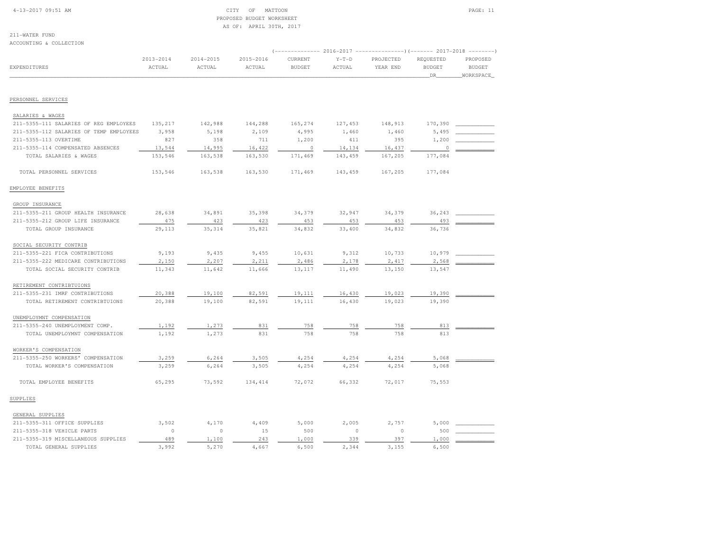#### 4-13-2017 09:51 AM CITY OF MATTOON PAGE: 11 PROPOSED BUDGET WORKSHEETAS OF: APRIL 30TH, 2017

211-WATER FUNDACCOUNTING & COLLECTION

| ACCOUNTING & COLLECTION                 |                         |                         |                         |                          |                   |                                                                                                  |                                   |                                        |
|-----------------------------------------|-------------------------|-------------------------|-------------------------|--------------------------|-------------------|--------------------------------------------------------------------------------------------------|-----------------------------------|----------------------------------------|
| <b>EXPENDITURES</b>                     | $2013 - 2014$<br>ACTUAL | $2014 - 2015$<br>ACTUAL | $2015 - 2016$<br>ACTUAL | CURRENT<br><b>BUDGET</b> | $Y-T-D$<br>ACTUAL | (------------- 2016-2017 ----------------) (------- 2017-2018 --------)<br>PROJECTED<br>YEAR END | REQUESTED<br><b>BUDGET</b><br>DR. | PROPOSED<br><b>BUDGET</b><br>WORKSPACE |
| PERSONNEL SERVICES                      |                         |                         |                         |                          |                   |                                                                                                  |                                   |                                        |
|                                         |                         |                         |                         |                          |                   |                                                                                                  |                                   |                                        |
| SALARIES & WAGES                        |                         |                         |                         |                          |                   |                                                                                                  |                                   |                                        |
| 211-5355-111 SALARIES OF REG EMPLOYEES  | 135,217                 | 142,988                 | 144,288                 | 165,274                  | 127,453           | 148,913                                                                                          | 170,390                           |                                        |
| 211-5355-112 SALARIES OF TEMP EMPLOYEES | 3,958                   | 5,198                   | 2,109                   | 4,995                    | 1,460             | 1,460                                                                                            | 5,495                             |                                        |
| 211-5355-113 OVERTIME                   | 827                     | 358                     | 711                     | 1,200                    | 411               | 395                                                                                              | 1,200                             |                                        |
| 211-5355-114 COMPENSATED ABSENCES       | 13,544                  | 14,995                  | 16,422                  | $\circ$                  | 14,134            | 16,437                                                                                           | 0                                 |                                        |
| TOTAL SALARIES & WAGES                  | 153,546                 | 163,538                 | 163,530                 | 171,469                  | 143,459           | 167,205                                                                                          | 177,084                           |                                        |
| TOTAL PERSONNEL SERVICES                | 153,546                 | 163,538                 | 163,530                 | 171,469                  | 143,459           | 167,205                                                                                          | 177,084                           |                                        |
| EMPLOYEE BENEFITS                       |                         |                         |                         |                          |                   |                                                                                                  |                                   |                                        |
| GROUP INSURANCE                         |                         |                         |                         |                          |                   |                                                                                                  |                                   |                                        |
| 211-5355-211 GROUP HEALTH INSURANCE     | 28,638                  | 34,891                  | 35,398                  | 34,379                   | 32,947            | 34,379                                                                                           | 36,243                            |                                        |
| 211-5355-212 GROUP LIFE INSURANCE       | 475                     | 423                     | 423                     | 453                      | 453               | 453                                                                                              | 493                               |                                        |
| TOTAL GROUP INSURANCE                   | 29,113                  | 35, 314                 | 35,821                  | 34,832                   | 33,400            | 34,832                                                                                           | 36,736                            |                                        |
| SOCIAL SECURITY CONTRIB                 |                         |                         |                         |                          |                   |                                                                                                  |                                   |                                        |
| 211-5355-221 FICA CONTRIBUTIONS         | 9,193                   | 9,435                   | 9,455                   | 10,631                   | 9,312             | 10,733                                                                                           | 10,979                            |                                        |
| 211-5355-222 MEDICARE CONTRIBUTIONS     | 2,150                   | 2,207                   | 2,211                   | 2,486                    | 2,178             | 2,417                                                                                            | 2,568                             |                                        |
| TOTAL SOCIAL SECURITY CONTRIB           | 11,343                  | 11,642                  | 11,666                  | 13,117                   | 11,490            | 13,150                                                                                           | 13,547                            |                                        |
| RETIREMENT CONTRIBTUIONS                |                         |                         |                         |                          |                   |                                                                                                  |                                   |                                        |
| 211-5355-231 IMRF CONTRIBUTIONS         | 20,388                  | 19,100                  | 82,591                  | 19,111                   | 16,430            | 19,023                                                                                           | 19,390                            |                                        |
| TOTAL RETIREMENT CONTRIBTUIONS          | 20,388                  | 19,100                  | 82,591                  | 19,111                   | 16,430            | 19,023                                                                                           | 19,390                            |                                        |
| UNEMPLOYMNT COMPENSATION                |                         |                         |                         |                          |                   |                                                                                                  |                                   |                                        |
| 211-5355-240 UNEMPLOYMENT COMP.         | 1,192                   | 1,273                   | 831                     | 758                      | 758               | 758                                                                                              | 813                               |                                        |
| TOTAL UNEMPLOYMNT COMPENSATION          | 1,192                   | 1,273                   | 831                     | 758                      | 758               | 758                                                                                              | 813                               |                                        |
| WORKER'S COMPENSATION                   |                         |                         |                         |                          |                   |                                                                                                  |                                   |                                        |
| 211-5355-250 WORKERS' COMPENSATION      | 3,259                   | 6,264                   | 3,505                   | 4,254                    | 4,254             | 4,254                                                                                            | 5,068                             |                                        |
| TOTAL WORKER'S COMPENSATION             | 3,259                   | 6,264                   | 3,505                   | 4,254                    | 4,254             | 4,254                                                                                            | 5,068                             |                                        |
| TOTAL EMPLOYEE BENEFITS                 | 65,295                  | 73,592                  | 134,414                 | 72,072                   | 66,332            | 72,017                                                                                           | 75,553                            |                                        |
| SUPPLIES                                |                         |                         |                         |                          |                   |                                                                                                  |                                   |                                        |
| GENERAL SUPPLIES                        |                         |                         |                         |                          |                   |                                                                                                  |                                   |                                        |
| 211-5355-311 OFFICE SUPPLIES            | 3,502                   | 4,170                   | 4,409                   | 5,000                    | 2,005             | 2,757                                                                                            | 5,000                             |                                        |
| 211-5355-318 VEHICLE PARTS              | $\circ$                 | $\circ$                 | 15                      | 500                      | $\circ$           | $\circ$                                                                                          | 500                               |                                        |
| 211-5355-319 MISCELLANEOUS SUPPLIES     | 489                     | 1,100                   | 243                     | 1,000                    | 339               | 397                                                                                              | 1,000                             |                                        |
| TOTAL GENERAL SUPPLIES                  | 3,992                   | 5,270                   | 4,667                   | 6,500                    | 2.344             | 3,155                                                                                            | 6,500                             |                                        |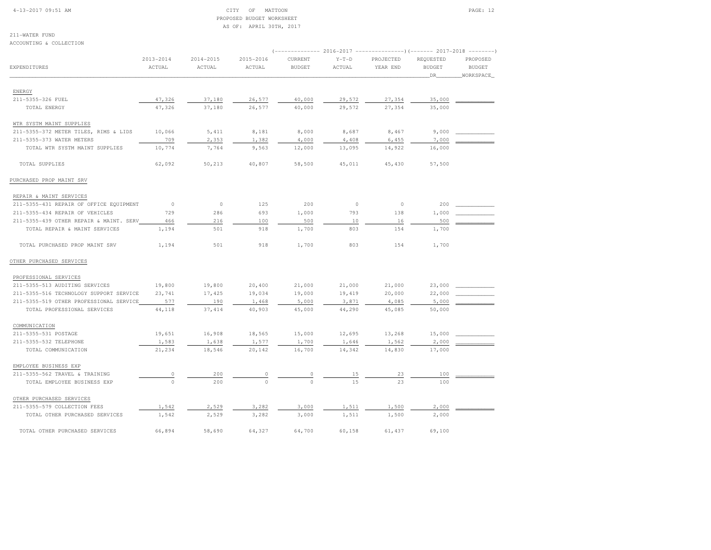#### 4-13-2017 09:51 AM CITY OF MATTOON PAGE: 12 PROPOSED BUDGET WORKSHEETAS OF: APRIL 30TH, 2017

211-WATER FUND

| ACCOUNTING & COLLECTION                 |                              |                         |                     |                                                                                                 |                   |                       |                                  |                                        |
|-----------------------------------------|------------------------------|-------------------------|---------------------|-------------------------------------------------------------------------------------------------|-------------------|-----------------------|----------------------------------|----------------------------------------|
| <b>EXPENDITURES</b>                     | 2013-2014<br>$\verb ACTUAL $ | $2014 - 2015$<br>ACTUAL | 2015-2016<br>ACTUAL | (-------------- 2016-2017 --------------------- 2017-2018 ---------<br>CURRENT<br><b>BUDGET</b> | $Y-T-D$<br>ACTUAL | PROJECTED<br>YEAR END | REQUESTED<br><b>BUDGET</b><br>DR | PROPOSED<br><b>BUDGET</b><br>WORKSPACE |
| ENERGY                                  |                              |                         |                     |                                                                                                 |                   |                       |                                  |                                        |
| 211-5355-326 FUEL                       | 47,326                       | 37,180                  | 26,577              | 40,000                                                                                          | 29,572            | 27,354                | 35,000                           |                                        |
| TOTAL ENERGY                            | 47,326                       | 37,180                  | 26,577              | 40,000                                                                                          | 29,572            | 27,354                | 35,000                           |                                        |
|                                         |                              |                         |                     |                                                                                                 |                   |                       |                                  |                                        |
| WTR SYSTM MAINT SUPPLIES                |                              |                         |                     |                                                                                                 |                   |                       |                                  |                                        |
| 211-5355-372 METER TILES, RIMS & LIDS   | 10,066                       | 5,411                   | 8,181               | 8,000                                                                                           | 8,687             | 8,467                 | 9,000                            |                                        |
| 211-5355-373 WATER METERS               | 709                          | 2,353                   | 1,382               | 4,000                                                                                           | 4,408             | 6,455                 | 7,000                            |                                        |
| TOTAL WTR SYSTM MAINT SUPPLIES          | 10,774                       | 7,764                   | 9,563               | 12,000                                                                                          | 13,095            | 14,922                | 16,000                           |                                        |
| TOTAL SUPPLIES                          | 62,092                       | 50,213                  | 40,807              | 58,500                                                                                          | 45,011            | 45,430                | 57,500                           |                                        |
| PURCHASED PROP MAINT SRV                |                              |                         |                     |                                                                                                 |                   |                       |                                  |                                        |
| REPAIR & MAINT SERVICES                 |                              |                         |                     |                                                                                                 |                   |                       |                                  |                                        |
| 211-5355-431 REPAIR OF OFFICE EQUIPMENT | $\circ$                      | $\circ$                 | 125                 | 200                                                                                             | $\circ$           | $\circ$               | 200                              |                                        |
| 211-5355-434 REPAIR OF VEHICLES         | 729                          | 286                     | 693                 | 1,000                                                                                           | 793               | 138                   | 1,000                            |                                        |
| 211-5355-439 OTHER REPAIR & MAINT. SERV | 466                          | 216                     | 100                 | 500                                                                                             | 10                | 16                    | 500                              |                                        |
| TOTAL REPAIR & MAINT SERVICES           | 1,194                        | 501                     | 918                 | 1,700                                                                                           | 803               | 154                   | 1,700                            |                                        |
| TOTAL PURCHASED PROP MAINT SRV          | 1,194                        | 501                     | 918                 | 1,700                                                                                           | 803               | 154                   | 1,700                            |                                        |
| OTHER PURCHASED SERVICES                |                              |                         |                     |                                                                                                 |                   |                       |                                  |                                        |
| PROFESSIONAL SERVICES                   |                              |                         |                     |                                                                                                 |                   |                       |                                  |                                        |
| 211-5355-513 AUDITING SERVICES          | 19,800                       | 19,800                  | 20,400              | 21,000                                                                                          | 21,000            | 21,000                | 23,000                           |                                        |
| 211-5355-516 TECHNOLOGY SUPPORT SERVICE | 23,741                       | 17,425                  | 19,034              | 19,000                                                                                          | 19,419            | 20,000                | 22,000                           |                                        |
| 211-5355-519 OTHER PROFESSIONAL SERVICE | 577                          | 190                     | 1,468               | 5,000                                                                                           | 3,871             | 4,085                 | 5,000                            |                                        |
| TOTAL PROFESSIONAL SERVICES             | 44,118                       | 37, 414                 | 40,903              | 45,000                                                                                          | 44,290            | 45,085                | 50,000                           |                                        |
| COMMUNICATION                           |                              |                         |                     |                                                                                                 |                   |                       |                                  |                                        |
| 211-5355-531 POSTAGE                    | 19,651                       | 16,908                  | 18,565              | 15,000                                                                                          | 12,695            | 13,268                | 15,000                           |                                        |
| 211-5355-532 TELEPHONE                  | 1,583                        | 1,638                   | 1,577               | 1,700                                                                                           | 1,646             | 1,562                 | 2,000                            |                                        |
| TOTAL COMMUNICATION                     | 21,234                       | 18,546                  | 20,142              | 16,700                                                                                          | 14,342            | 14,830                | 17,000                           |                                        |
| EMPLOYEE BUSINESS EXP                   |                              |                         |                     |                                                                                                 |                   |                       |                                  |                                        |
| 211-5355-562 TRAVEL & TRAINING          | $\circ$                      | 200                     | $\circ$             | 0                                                                                               | 15                | 23                    | 100                              |                                        |
| TOTAL EMPLOYEE BUSINESS EXP             | $\circ$                      | 200                     | $\circ$             | $\Omega$                                                                                        | 15                | 23                    | 100                              |                                        |
| OTHER PURCHASED SERVICES                |                              |                         |                     |                                                                                                 |                   |                       |                                  |                                        |
| 211-5355-579 COLLECTION FEES            | 1,542                        | 2,529                   | 3,282               | 3,000                                                                                           | 1,511             | 1,500                 | 2,000                            |                                        |
| TOTAL OTHER PURCHASED SERVICES          | 1,542                        | 2,529                   | 3,282               | 3,000                                                                                           | 1,511             | 1,500                 | 2,000                            |                                        |
|                                         |                              |                         |                     |                                                                                                 |                   |                       |                                  |                                        |
| TOTAL OTHER PURCHASED SERVICES          | 66,894                       | 58,690                  | 64,327              | 64,700                                                                                          | 60,158            | 61,437                | 69,100                           |                                        |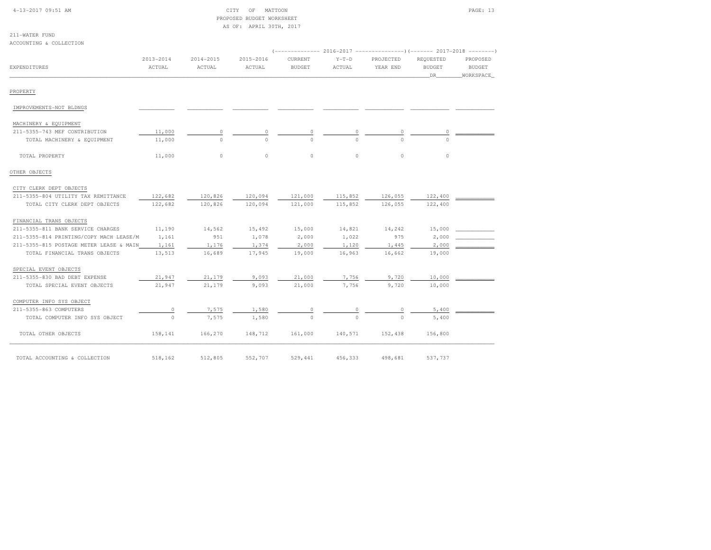| 4-13-2017 09:51 AM |
|--------------------|
|--------------------|

211-WATER FUND

### CITY OF MATTOON PAGE: 13 PROPOSED BUDGET WORKSHEETAS OF: APRIL 30TH, 2017

| ACCOUNTING & COLLECTION                 |                         |                         |                     |                                 |                   |                       |                                  |                                        |
|-----------------------------------------|-------------------------|-------------------------|---------------------|---------------------------------|-------------------|-----------------------|----------------------------------|----------------------------------------|
| <b>EXPENDITURES</b>                     | $2013 - 2014$<br>ACTUAL | $2014 - 2015$<br>ACTUAL | 2015-2016<br>ACTUAL | <b>CURRENT</b><br><b>BUDGET</b> | $Y-T-D$<br>ACTUAL | PROJECTED<br>YEAR END | REQUESTED<br><b>BUDGET</b><br>DR | PROPOSED<br><b>BUDGET</b><br>WORKSPACE |
| PROPERTY                                |                         |                         |                     |                                 |                   |                       |                                  |                                        |
| IMPROVEMENTS-NOT BLDNGS                 |                         |                         |                     |                                 |                   |                       |                                  |                                        |
| MACHINERY & EQUIPMENT                   |                         |                         |                     |                                 |                   |                       |                                  |                                        |
| 211-5355-743 MEF CONTRIBUTION           | 11,000                  | $\circ$                 | 0                   | $\circ$                         | 0                 | $\circ$               | 0                                |                                        |
| TOTAL MACHINERY & EQUIPMENT             | 11,000                  | $\Omega$                | $\Omega$            | $\Omega$                        | $\cap$            | $\cap$                | $\cap$                           |                                        |
| TOTAL PROPERTY                          | 11,000                  | $\circ$                 | $\circ$             | $\circ$                         | $\circ$           | $\circ$               | $\circ$                          |                                        |
| OTHER OBJECTS                           |                         |                         |                     |                                 |                   |                       |                                  |                                        |
| CITY CLERK DEPT OBJECTS                 |                         |                         |                     |                                 |                   |                       |                                  |                                        |
| 211-5355-804 UTILITY TAX REMITTANCE     | 122,682                 | 120,826                 | 120,094             | 121,000                         | 115,852           | 126,055               | 122,400                          |                                        |
| TOTAL CITY CLERK DEPT OBJECTS           | 122,682                 | 120,826                 | 120,094             | 121,000                         | 115,852           | 126,055               | 122,400                          |                                        |
| FINANCIAL TRANS OBJECTS                 |                         |                         |                     |                                 |                   |                       |                                  |                                        |
| 211-5355-811 BANK SERVICE CHARGES       | 11,190                  | 14,562                  | 15,492              | 15,000                          | 14,821            | 14,242                | 15,000                           |                                        |
| 211-5355-814 PRINTING/COPY MACH LEASE/M | 1,161                   | 951                     | 1,078               | 2,000                           | 1,022             | 975                   | 2,000                            |                                        |
| 211-5355-815 POSTAGE METER LEASE & MAIN | 1,161                   | 1,176                   | 1,374               | 2,000                           | 1,120             | 1,445                 | 2,000                            |                                        |
| TOTAL FINANCIAL TRANS OBJECTS           | 13,513                  | 16,689                  | 17,945              | 19,000                          | 16,963            | 16,662                | 19,000                           |                                        |
| SPECIAL EVENT OBJECTS                   |                         |                         |                     |                                 |                   |                       |                                  |                                        |
| 211-5355-830 BAD DEBT EXPENSE           | 21,947                  | 21,179                  | 9,093               | 21,000                          | 7,756             | 9,720                 | 10,000                           |                                        |
| TOTAL SPECIAL EVENT OBJECTS             | 21,947                  | 21,179                  | 9,093               | 21,000                          | 7,756             | 9,720                 | 10,000                           |                                        |
| COMPUTER INFO SYS OBJECT                |                         |                         |                     |                                 |                   |                       |                                  |                                        |
| 211-5355-863 COMPUTERS                  | $\circ$                 | 7,575                   | 1,580               | 0                               |                   |                       | 5,400                            |                                        |
| TOTAL COMPUTER INFO SYS OBJECT          | $\circ$                 | 7,575                   | 1,580               | $\Omega$                        | $\Omega$          | $\Omega$              | 5,400                            |                                        |
| TOTAL OTHER OBJECTS                     | 158,141                 | 166,270                 | 148,712             | 161,000                         | 140,571           | 152,438               | 156,800                          |                                        |
| TOTAL ACCOUNTING & COLLECTION           | 518,162                 | 512,805                 | 552,707             | 529,441                         | 456,333           | 498,681               | 537,737                          |                                        |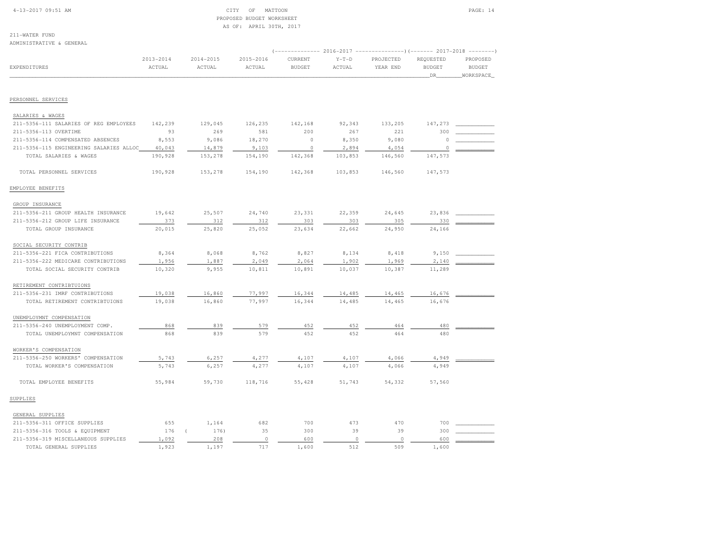#### 4-13-2017 09:51 AM CITY OF MATTOON PAGE: 14 PROPOSED BUDGET WORKSHEETAS OF: APRIL 30TH, 2017

211-WATER FUND

| ADMINISTRATIVE & GENERAL                |                         |                     |                     |                          |                   |                                                                                    |                                    |                                         |
|-----------------------------------------|-------------------------|---------------------|---------------------|--------------------------|-------------------|------------------------------------------------------------------------------------|------------------------------------|-----------------------------------------|
| EXPENDITURES                            | $2013 - 2014$<br>ACTUAL | 2014-2015<br>ACTUAL | 2015-2016<br>ACTUAL | CURRENT<br><b>BUDGET</b> | $Y-T-D$<br>ACTUAL | (-------------- 2016-2017 --------------------- 2017-2018<br>PROJECTED<br>YEAR END | REQUESTED<br><b>BUDGET</b><br>_DR_ | PROPOSED<br><b>BUDGET</b><br>_WORKSPACE |
|                                         |                         |                     |                     |                          |                   |                                                                                    |                                    |                                         |
| PERSONNEL SERVICES                      |                         |                     |                     |                          |                   |                                                                                    |                                    |                                         |
| SALARIES & WAGES                        |                         |                     |                     |                          |                   |                                                                                    |                                    |                                         |
| 211-5356-111 SALARIES OF REG EMPLOYEES  | 142,239                 | 129,045             | 126,235             | 142,168                  | 92,343            | 133,205                                                                            | 147,273                            |                                         |
| 211-5356-113 OVERTIME                   | 93                      | 269                 | 581                 | 200                      | 267               | 221                                                                                | 300                                |                                         |
| 211-5356-114 COMPENSATED ABSENCES       | 8,553                   | 9,086               | 18,270              | $\circ$                  | 8,350             | 9,080                                                                              | $\Omega$                           |                                         |
| 211-5356-115 ENGINEERING SALARIES ALLOC | 40,043                  | 14,879              | 9,103               | $\circ$                  | 2,894             | 4,054                                                                              | $\circ$                            |                                         |
| TOTAL SALARIES & WAGES                  | 190,928                 | 153,278             | 154,190             | 142,368                  | 103,853           | 146,560                                                                            | 147,573                            |                                         |
| TOTAL PERSONNEL SERVICES                | 190,928                 | 153,278             | 154,190             | 142,368                  | 103,853           | 146,560                                                                            | 147,573                            |                                         |
| EMPLOYEE BENEFITS                       |                         |                     |                     |                          |                   |                                                                                    |                                    |                                         |
| GROUP INSURANCE                         |                         |                     |                     |                          |                   |                                                                                    |                                    |                                         |
| 211-5356-211 GROUP HEALTH INSURANCE     | 19,642                  | 25,507              | 24,740              | 23,331                   | 22,359            | 24,645                                                                             | 23,836                             |                                         |
| 211-5356-212 GROUP LIFE INSURANCE       | 373                     | 312                 | 312                 | 303                      | 303               | 305                                                                                | 330                                |                                         |
| TOTAL GROUP INSURANCE                   | 20,015                  | 25,820              | 25,052              | 23,634                   | 22,662            | 24,950                                                                             | 24,166                             |                                         |
| SOCIAL SECURITY CONTRIB                 |                         |                     |                     |                          |                   |                                                                                    |                                    |                                         |
| 211-5356-221 FICA CONTRIBUTIONS         | 8,364                   | 8,068               | 8,762               | 8,827                    | 8,134             | 8,418                                                                              | 9,150                              |                                         |
| 211-5356-222 MEDICARE CONTRIBUTIONS     | 1,956                   | 1,887               | 2,049               | 2,064                    | 1,902             | 1,969                                                                              | 2,140                              |                                         |
| TOTAL SOCIAL SECURITY CONTRIB           | 10,320                  | 9,955               | 10,811              | 10,891                   | 10,037            | 10,387                                                                             | 11,289                             |                                         |
| RETIREMENT CONTRIBTUIONS                |                         |                     |                     |                          |                   |                                                                                    |                                    |                                         |
| 211-5356-231 IMRF CONTRIBUTIONS         | 19,038                  | 16,860              | 77,997              | 16,344                   | 14,485            | 14,465                                                                             | 16,676                             |                                         |
| TOTAL RETIREMENT CONTRIBTUIONS          | 19,038                  | 16,860              | 77,997              | 16,344                   | 14,485            | 14,465                                                                             | 16,676                             |                                         |
| UNEMPLOYMNT COMPENSATION                |                         |                     |                     |                          |                   |                                                                                    |                                    |                                         |
| 211-5356-240 UNEMPLOYMENT COMP.         | 868                     | 839                 | 579                 | 452                      | 452               | 464                                                                                | 480                                |                                         |
| TOTAL UNEMPLOYMNT COMPENSATION          | 868                     | 839                 | 579                 | 452                      | 452               | 464                                                                                | 480                                |                                         |
| WORKER'S COMPENSATION                   |                         |                     |                     |                          |                   |                                                                                    |                                    |                                         |
| 211-5356-250 WORKERS' COMPENSATION      | 5,743                   | 6,257               | 4,277               | 4,107                    | 4,107             | 4,066                                                                              | 4,949                              |                                         |
| TOTAL WORKER'S COMPENSATION             | 5,743                   | 6,257               | 4,277               | 4,107                    | 4,107             | 4,066                                                                              | 4,949                              |                                         |
| TOTAL EMPLOYEE BENEFITS                 | 55,984                  | 59,730              | 118,716             | 55,428                   | 51,743            | 54,332                                                                             | 57,560                             |                                         |
| SUPPLIES                                |                         |                     |                     |                          |                   |                                                                                    |                                    |                                         |
| GENERAL SUPPLIES                        |                         |                     |                     |                          |                   |                                                                                    |                                    |                                         |
| 211-5356-311 OFFICE SUPPLIES            | 655                     | 1,164               | 682                 | 700                      | 473               | 470                                                                                | 700                                |                                         |
| 211-5356-316 TOOLS & EQUIPMENT          | 176                     | 176)                | 35                  | 300                      | 39                | 39                                                                                 | 300                                |                                         |
| 211-5356-319 MISCELLANEOUS SUPPLIES     | 1,092                   | 208                 | $\circ$             | 600                      | $\circ$           | $\circ$                                                                            | 600                                |                                         |
| TOTAL GENERAL SUPPLIES                  | 1,923                   | 1,197               | 717                 | 1,600                    | 512               | 509                                                                                | 1,600                              |                                         |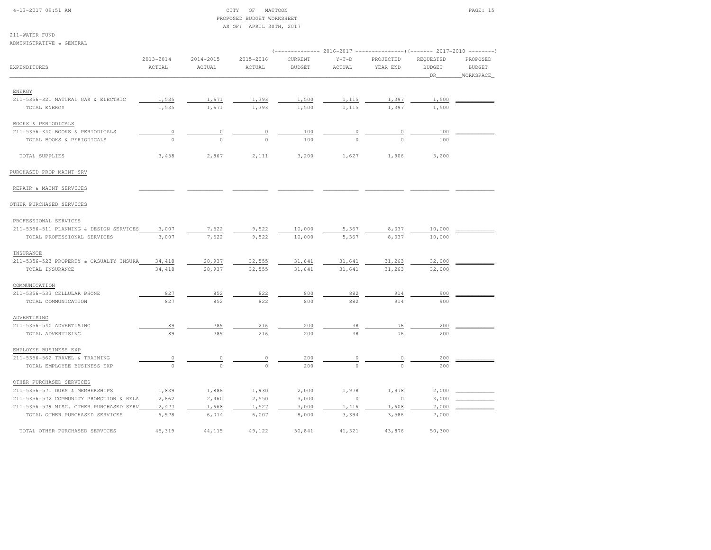#### 4-13-2017 09:51 AM CITY OF MATTOON PAGE: 15 PROPOSED BUDGET WORKSHEETAS OF: APRIL 30TH, 2017

211-WATER FUND

| ADMINISTRATIVE & GENERAL                                      |                         |                         |                         |                                                                                                   |                   |                       |                                  |                                        |
|---------------------------------------------------------------|-------------------------|-------------------------|-------------------------|---------------------------------------------------------------------------------------------------|-------------------|-----------------------|----------------------------------|----------------------------------------|
| EXPENDITURES                                                  | $2013 - 2014$<br>ACTUAL | $2014 - 2015$<br>ACTUAL | $2015 - 2016$<br>ACTUAL | (-------------- 2016-2017 --------------------- 2017-2018 --------- )<br>CURRENT<br><b>BUDGET</b> | $Y-T-D$<br>ACTUAL | PROJECTED<br>YEAR END | REQUESTED<br><b>BUDGET</b><br>DR | PROPOSED<br><b>BUDGET</b><br>WORKSPACE |
| ENERGY                                                        |                         |                         |                         |                                                                                                   |                   |                       |                                  |                                        |
| 211-5356-321 NATURAL GAS & ELECTRIC<br>TOTAL ENERGY           | 1,535<br>1,535          | 1,671<br>1,671          | 1,393<br>1,393          | 1,500<br>1,500                                                                                    | 1,115<br>1,115    | 1,397<br>1,397        | 1,500<br>1,500                   |                                        |
| BOOKS & PERIODICALS                                           |                         |                         |                         |                                                                                                   |                   |                       |                                  |                                        |
| 211-5356-340 BOOKS & PERIODICALS<br>TOTAL BOOKS & PERIODICALS | 0<br>$\circ$            |                         | 0<br>$\Omega$           | 100<br>100                                                                                        |                   | $\Omega$              | 100<br>100                       |                                        |
| TOTAL SUPPLIES                                                | 3,458                   | 2,867                   | 2,111                   | 3,200                                                                                             | 1,627             | 1,906                 | 3,200                            |                                        |
| PURCHASED PROP MAINT SRV                                      |                         |                         |                         |                                                                                                   |                   |                       |                                  |                                        |
| REPAIR & MAINT SERVICES                                       |                         |                         |                         |                                                                                                   |                   |                       |                                  |                                        |
| OTHER PURCHASED SERVICES                                      |                         |                         |                         |                                                                                                   |                   |                       |                                  |                                        |
| PROFESSIONAL SERVICES                                         |                         |                         |                         |                                                                                                   |                   |                       |                                  |                                        |
| 211-5356-511 PLANNING & DESIGN SERVICES                       | 3,007                   | 7,522                   | 9,522                   | 10,000                                                                                            | 5,367             | 8,037                 | 10,000                           |                                        |
| TOTAL PROFESSIONAL SERVICES                                   | 3,007                   | 7,522                   | 9,522                   | 10,000                                                                                            | 5,367             | 8,037                 | 10,000                           |                                        |
| INSURANCE                                                     |                         |                         |                         |                                                                                                   |                   |                       |                                  |                                        |
| 211-5356-523 PROPERTY & CASUALTY INSURA                       | 34,418                  | 28,937                  | 32,555                  | 31,641                                                                                            | 31,641            | 31,263                | 32,000                           |                                        |
| TOTAL INSURANCE                                               | 34,418                  | 28,937                  | 32,555                  | 31,641                                                                                            | 31,641            | 31,263                | 32,000                           |                                        |
| COMMUNICATION                                                 |                         |                         |                         |                                                                                                   |                   |                       |                                  |                                        |
| 211-5356-533 CELLULAR PHONE                                   | 827                     | 852                     | 822                     | 800                                                                                               | 882               | 914                   | 900                              |                                        |
| TOTAL COMMUNICATION                                           | 827                     | 852                     | 822                     | 800                                                                                               | 882               | 914                   | 900                              |                                        |
| ADVERTISING                                                   |                         |                         |                         |                                                                                                   |                   |                       |                                  |                                        |
| 211-5356-540 ADVERTISING                                      | 89                      | 789                     | 216                     | 200                                                                                               | 38                | 76                    | 200                              |                                        |
| TOTAL ADVERTISING                                             | 89                      | 789                     | 216                     | 200                                                                                               | 38                | 76                    | 200                              |                                        |
| EMPLOYEE BUSINESS EXP                                         |                         |                         |                         |                                                                                                   |                   |                       |                                  |                                        |
| 211-5356-562 TRAVEL & TRAINING                                | $\circ$                 | 0                       | $\mathbb O$             | 200                                                                                               | 0                 | 0                     | 200                              |                                        |
| TOTAL EMPLOYEE BUSINESS EXP                                   | $\circ$                 | $\circ$                 | $\circ$                 | 200                                                                                               | $\circ$           | $\circ$               | 200                              |                                        |
| OTHER PURCHASED SERVICES                                      |                         |                         |                         |                                                                                                   |                   |                       |                                  |                                        |
| 211-5356-571 DUES & MEMBERSHIPS                               | 1,839                   | 1,886                   | 1,930                   | 2,000                                                                                             | 1,978             | 1,978                 | 2,000                            |                                        |
| 211-5356-572 COMMUNITY PROMOTION & RELA                       | 2,662                   | 2,460                   | 2,550                   | 3,000                                                                                             | $\circ$           | $\circ$               | 3,000                            |                                        |
| 211-5356-579 MISC. OTHER PURCHASED SERV                       | 2,477                   | 1,668                   | 1,527                   | 3,000                                                                                             | 1,416             | 1,608                 | 2,000                            |                                        |
| TOTAL OTHER PURCHASED SERVICES                                | 6,978                   | 6,014                   | 6,007                   | 8,000                                                                                             | 3,394             | 3,586                 | 7,000                            |                                        |
| TOTAL OTHER PURCHASED SERVICES                                | 45,319                  | 44,115                  | 49,122                  | 50,841                                                                                            | 41,321            | 43,876                | 50,300                           |                                        |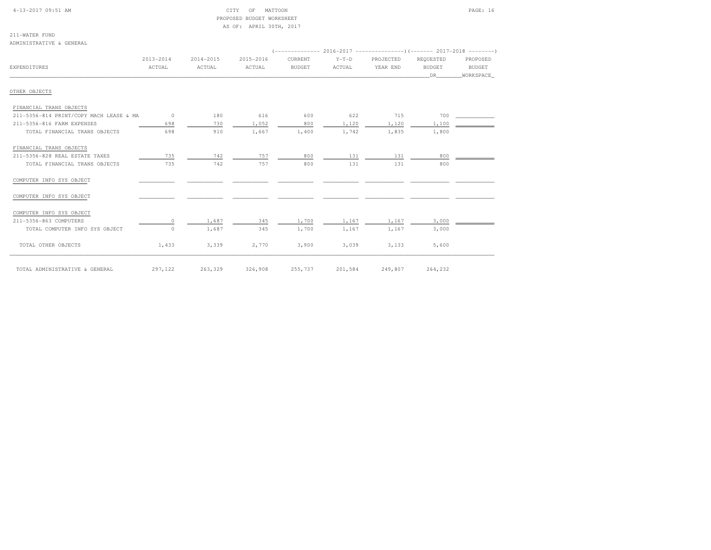| $4 - 13 - 2017$ 09:51 AM |  |
|--------------------------|--|
|                          |  |

### CITY OF MATTOON PAGE: 16 PROPOSED BUDGET WORKSHEETAS OF: APRIL 30TH, 2017

211-WATER FUNDADMINISTRATIVE & GENERAL

|                                         | 2013-2014 | 2014-2015 | 2015-2016 | CURRENT       | $Y-T-D$ | PROJECTED | REQUESTED | PROPOSED  |
|-----------------------------------------|-----------|-----------|-----------|---------------|---------|-----------|-----------|-----------|
| EXPENDITURES                            | ACTUAL    | ACTUAL    | ACTUAL    | <b>BUDGET</b> | ACTUAL  | YEAR END  | BUDGET    | BUDGET    |
|                                         |           |           |           |               |         |           | DR 1      | WORKSPACE |
|                                         |           |           |           |               |         |           |           |           |
| OTHER OBJECTS                           |           |           |           |               |         |           |           |           |
| FINANCIAL TRANS OBJECTS                 |           |           |           |               |         |           |           |           |
| 211-5356-814 PRINT/COPY MACH LEASE & MA | $\sim$ 0  | 180       | 616       | 600           | 622     | 715       | 700       |           |
| 211-5356-816 FARM EXPENSES              | 698       | 730       | 1,052     | 800           | 1,120   | 1,120     | 1,100     |           |
| TOTAL FINANCIAL TRANS OBJECTS           | 698       | 910       | 1,667     | 1,400         | 1,742   | 1,835     | 1,800     |           |
| FINANCIAL TRANS OBJECTS                 |           |           |           |               |         |           |           |           |
| 211-5356-828 REAL ESTATE TAXES          | 735       | 742       | 757       | 800           | 131     | 131       | 800       |           |
| TOTAL FINANCIAL TRANS OBJECTS           | 735       | 742       | 757       | 800           | 131     | 131       | 800       |           |
| COMPUTER INFO SYS OBJECT                |           |           |           |               |         |           |           |           |
| COMPUTER INFO SYS OBJECT                |           |           |           |               |         |           |           |           |
| COMPUTER INFO SYS OBJECT                |           |           |           |               |         |           |           |           |
| 211-5356-863 COMPUTERS                  | $\Omega$  | 1,687     | 345       | 1,700         | 1,167   | 1,167     | 3,000     |           |
| TOTAL COMPUTER INFO SYS OBJECT          | $\Omega$  | 1,687     | 345       | 1,700         | 1,167   | 1,167     | 3,000     |           |
| TOTAL OTHER OBJECTS                     | 1,433     | 3,339     | 2,770     | 3,900         | 3,039   | 3,133     | 5,600     |           |
| TOTAL ADMINISTRATIVE & GENERAL          | 297,122   | 263,329   | 326,908   | 255,737       | 201,584 | 249,807   | 264,232   |           |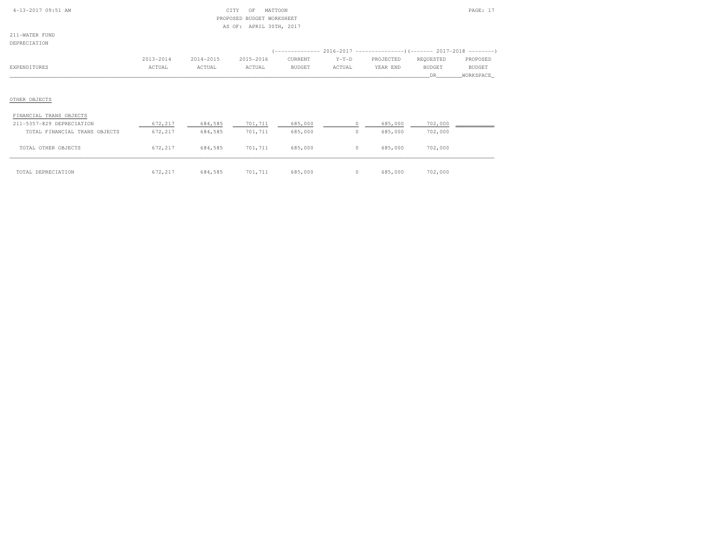| $4 - 13 - 2017$ 09:51 AM |  |  |
|--------------------------|--|--|
|                          |  |  |

#### $\text{CITY}$  OF MATTOON PAGE: 17 PROPOSED BUDGET WORKSHEETAS OF: APRIL 30TH, 2017

211-WATER FUNDDEPRECIATION

| DEL IVECTURI TOM |           |           |           |         |         | (------------- 2016-2017 ----------------) (------- 2017-2018 --------) |           |           |
|------------------|-----------|-----------|-----------|---------|---------|-------------------------------------------------------------------------|-----------|-----------|
|                  | 2013-2014 | 2014-2015 | 2015-2016 | CURRENT | $Y-T-D$ | PROJECTED                                                               | REQUESTED | PROPOSED  |
| EXPENDITURES     | ACTUAL    | ACTUAL    | ACTUAL    | BUDGET  | ACTUAL  | YEAR END                                                                | BUDGET    | BUDGET    |
|                  |           |           |           |         |         |                                                                         | DR.       | WORKSPACE |
|                  |           |           |           |         |         |                                                                         |           |           |
| OTHER OBJECTS    |           |           |           |         |         |                                                                         |           |           |

#### FINANCIAL TRANS OBJECTS

| 211-5357-829 DEPRECIATION     | 672,217 | 684,585 | 701,711 | 685,000 | 685,000 | 702,000 |  |
|-------------------------------|---------|---------|---------|---------|---------|---------|--|
| TOTAL FINANCIAL TRANS OBJECTS | 672,217 | 684,585 | 701,711 | 685,000 | 685,000 | 702,000 |  |
| TOTAL OTHER OBJECTS           | 672,217 | 684,585 | 701,711 | 685,000 | 685,000 | 702,000 |  |
| TOTAL DEPRECIATION            | 672,217 | 684,585 | 701,711 | 685,000 | 685,000 | 702,000 |  |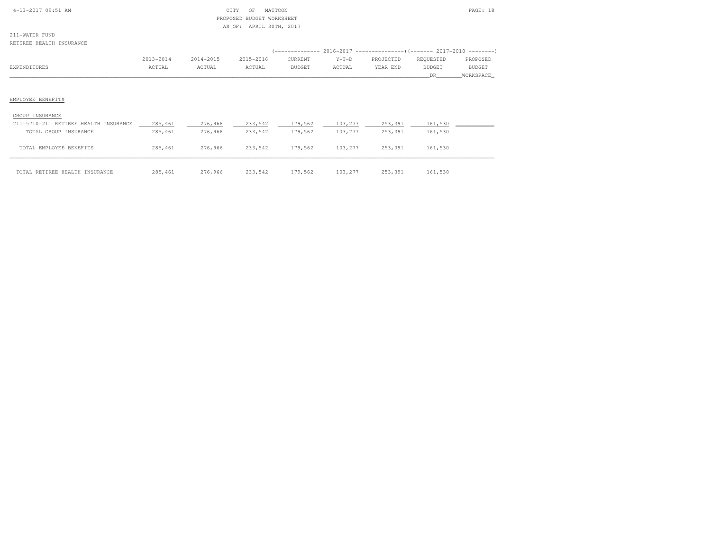| $4 - 13 - 2017$ 09:51 AM |  |  |
|--------------------------|--|--|

#### $\begin{array}{ccc} \text{CITY} & \text{OF} & \text{MATION} \end{array}$  PROPOSED BUDGET WORKSHEETAS OF: APRIL 30TH, 2017

211-WATER FUNDRETIREE HEALTH INSURANCE

|              |           |               |           |         |         | (-------------- 2016-2017 ---------------------- 2017-2018 ---------- |           |               |
|--------------|-----------|---------------|-----------|---------|---------|-----------------------------------------------------------------------|-----------|---------------|
|              | 2013-2014 | $2014 - 2015$ | 2015-2016 | CURRENT | $Y-T-D$ | PROJECTED                                                             | REQUESTED | PROPOSED      |
| EXPENDITURES | ACTUAL    | ACTUAL        | ACTUAL    | BUDGET  | ACTUAL  | YEAR END                                                              | BUDGET    | <b>BUDGET</b> |
|              |           |               |           |         |         |                                                                       | DR        | WORKSPACE     |
|              |           |               |           |         |         |                                                                       |           |               |
|              |           |               |           |         |         |                                                                       |           |               |
|              |           |               |           |         |         |                                                                       |           |               |

# EMPLOYEE BENEFITS

#### GROUP INSURANCE

| 211-5710-211 RETIREE HEALTH INSURANCE | 285,461  | 276,966 | 233,542 | 179,562 | 103,277 | 253,391 | 161,530 |  |
|---------------------------------------|----------|---------|---------|---------|---------|---------|---------|--|
| TOTAL GROUP INSURANCE                 | 285,461  | 276,966 | 233,542 | 179,562 | 103,277 | 253,391 | 161,530 |  |
|                                       |          |         |         |         |         |         |         |  |
| TOTAL EMPLOYEE BENEFITS               | 285, 461 | 276,966 | 233,542 | 179,562 | 103,277 | 253,391 | 161,530 |  |
|                                       |          |         |         |         |         |         |         |  |
|                                       |          |         |         |         |         |         |         |  |
| TOTAL RETIREE HEALTH INSURANCE        | 285, 461 | 276,966 | 233,542 | 179.562 | 103,277 | 253,391 | 161,530 |  |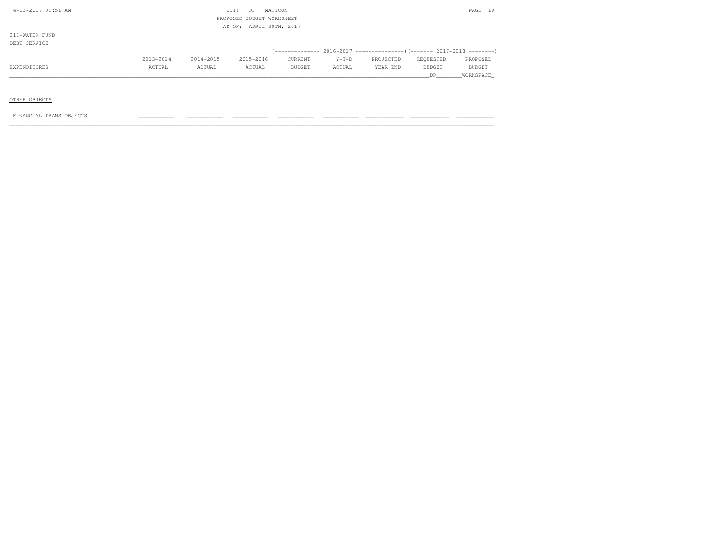| 4-13-2017 09:51 AM |           | CITY      | OF        | MATTOON                   |         |           |               | PAGE: 19      |
|--------------------|-----------|-----------|-----------|---------------------------|---------|-----------|---------------|---------------|
|                    |           |           |           | PROPOSED BUDGET WORKSHEET |         |           |               |               |
|                    |           |           |           | AS OF: APRIL 30TH, 2017   |         |           |               |               |
| 211-WATER FUND     |           |           |           |                           |         |           |               |               |
| DEBT SERVICE       |           |           |           |                           |         |           |               |               |
|                    |           |           |           |                           |         |           |               |               |
|                    | 2013-2014 | 2014-2015 | 2015-2016 | CURRENT                   | $Y-T-D$ | PROJECTED | REQUESTED     | PROPOSED      |
| EXPENDITURES       | ACTUAL    | ACTUAL    | ACTUAL    | BUDGET                    | ACTUAL  | YEAR END  | <b>BUDGET</b> | <b>BUDGET</b> |
|                    |           |           |           |                           |         |           | DR            | WORKSPACE     |

OTHER OBJECTS

 $FINANCIAL TRANS OBJECTS$  , and the condition of the condition  $\frac{1}{2}$  , and  $\frac{1}{2}$  ,  $\frac{1}{2}$  ,  $\frac{1}{2}$  ,  $\frac{1}{2}$  ,  $\frac{1}{2}$  ,  $\frac{1}{2}$  ,  $\frac{1}{2}$  ,  $\frac{1}{2}$  ,  $\frac{1}{2}$  ,  $\frac{1}{2}$  ,  $\frac{1}{2}$  ,  $\frac{1}{2}$  ,  $\frac{1}{2}$  ,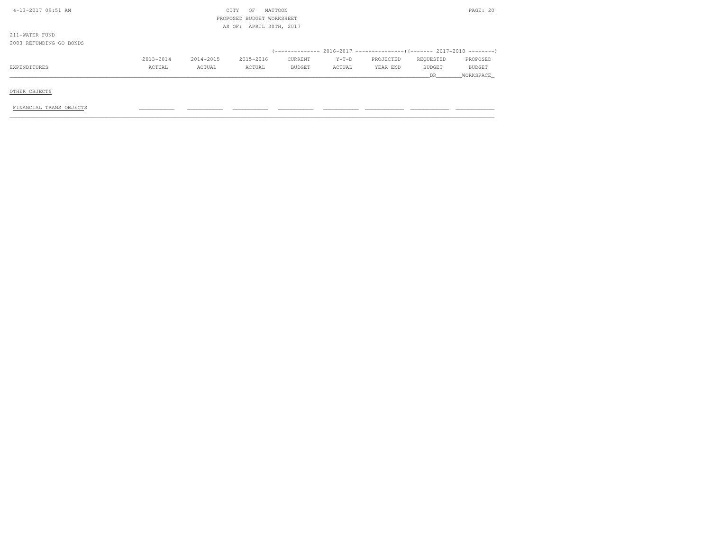| 4-13-2017 09:51 AM      |           |           | CITY<br>OF                | MATTOON |         |           |           | PAGE: 20      |
|-------------------------|-----------|-----------|---------------------------|---------|---------|-----------|-----------|---------------|
|                         |           |           | PROPOSED BUDGET WORKSHEET |         |         |           |           |               |
|                         |           |           | AS OF: APRIL 30TH, 2017   |         |         |           |           |               |
| 211-WATER FUND          |           |           |                           |         |         |           |           |               |
| 2003 REFUNDING GO BONDS |           |           |                           |         |         |           |           |               |
|                         |           |           |                           |         |         |           |           |               |
|                         | 2013-2014 | 2014-2015 | 2015-2016                 | CURRENT | $Y-T-D$ | PROJECTED | REQUESTED | PROPOSED      |
| EXPENDITURES            | ACTUAL    | ACTUAL    | ACTUAL                    | BUDGET  | ACTUAL  | YEAR END  | BUDGET    | <b>BUDGET</b> |
|                         |           |           |                           |         |         |           | DR.       | WORKSPACE     |
|                         |           |           |                           |         |         |           |           |               |
| OTHER OBJECTS           |           |           |                           |         |         |           |           |               |

FINANCIAL TRANS OBJECTS \_\_\_\_\_\_\_\_\_\_\_ \_\_\_\_\_\_\_\_\_\_\_ \_\_\_\_\_\_\_\_\_\_\_ \_\_\_\_\_\_\_\_\_\_\_ \_\_\_\_\_\_\_\_\_\_\_ \_\_\_\_\_\_\_\_\_\_\_\_ \_\_\_\_\_\_\_\_\_\_\_\_ \_\_\_\_\_\_\_\_\_\_\_\_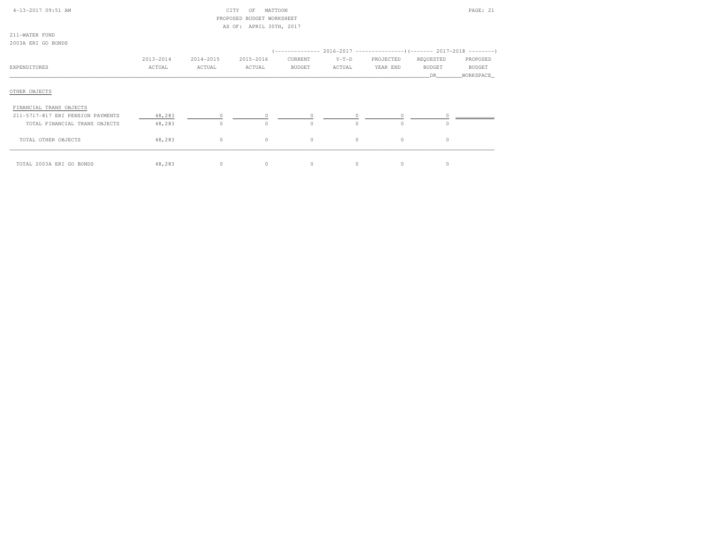| 4-13-2017 09:51 AM                       | MATTOON<br>CITY<br>OF<br>PROPOSED BUDGET WORKSHEET<br>AS OF: APRIL 30TH, 2017 |           |           |          |          |           |               | PAGE: 21   |
|------------------------------------------|-------------------------------------------------------------------------------|-----------|-----------|----------|----------|-----------|---------------|------------|
| 211-WATER FUND                           |                                                                               |           |           |          |          |           |               |            |
| 2003A ERI GO BONDS                       |                                                                               |           |           |          |          |           |               |            |
|                                          |                                                                               |           |           |          |          |           |               |            |
|                                          | 2013-2014                                                                     | 2014-2015 | 2015-2016 | CURRENT  | $Y-T-D$  | PROJECTED | REQUESTED     | PROPOSED   |
| EXPENDITURES                             | ACTUAL                                                                        | ACTUAL    | ACTUAL    | BUDGET   | ACTUAL   | YEAR END  | <b>BUDGET</b> | BUDGET     |
|                                          |                                                                               |           |           |          |          |           | <b>DR</b>     | WORKSPACE_ |
| OTHER OBJECTS<br>FINANCIAL TRANS OBJECTS |                                                                               |           |           |          |          |           |               |            |
| 211-5717-817 ERI PENSION PAYMENTS        | 48,283                                                                        |           |           |          |          |           |               |            |
| TOTAL FINANCIAL TRANS OBJECTS            | 48,283                                                                        | $\circ$   | $\Omega$  | $\Omega$ | $\Omega$ | $\cap$    | $\Omega$      |            |
| TOTAL OTHER OBJECTS                      | 48,283                                                                        | $\circ$   | $\circ$   | $\circ$  | $\circ$  | $\circ$   | $\circ$       |            |
| TOTAL 2003A ERI GO BONDS                 | 48,283                                                                        | $\circ$   | $\circ$   | $\circ$  | $\circ$  | $\circ$   | $\circ$       |            |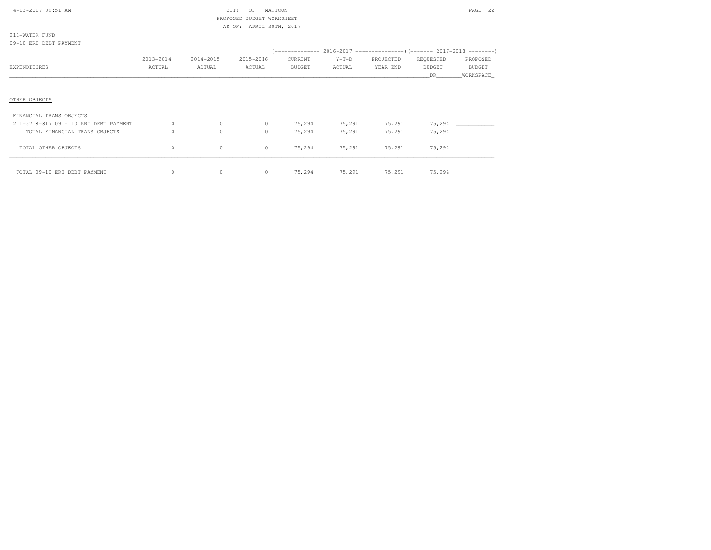| $4 - 13 - 2017$ 09:51 AM |  |
|--------------------------|--|
|                          |  |

# 4-13-2017 OF MATTOON PAGE: 22 PROPOSED BUDGET WORKSHEETAS OF: APRIL 30TH, 2017

211-WATER FUND09-10 ERI DEBT PAYMENT

| VJTIV ARI DADI FAIMANI                |           |           |           |         |         |                                                                          |               |           |
|---------------------------------------|-----------|-----------|-----------|---------|---------|--------------------------------------------------------------------------|---------------|-----------|
|                                       |           |           |           |         |         | (-------------- 2016-2017 ----------------) (------- 2017-2018 --------) |               |           |
|                                       | 2013-2014 | 2014-2015 | 2015-2016 | CURRENT | $Y-T-D$ | PROJECTED                                                                | REQUESTED     | PROPOSED  |
| EXPENDITURES                          | ACTUAL    | ACTUAL    | ACTUAL    | BUDGET  | ACTUAL  | YEAR END                                                                 | <b>BUDGET</b> | BUDGET    |
|                                       |           |           |           |         |         |                                                                          | DR.           | WORKSPACE |
|                                       |           |           |           |         |         |                                                                          |               |           |
|                                       |           |           |           |         |         |                                                                          |               |           |
| OTHER OBJECTS                         |           |           |           |         |         |                                                                          |               |           |
|                                       |           |           |           |         |         |                                                                          |               |           |
| FINANCIAL TRANS OBJECTS               |           |           |           |         |         |                                                                          |               |           |
| 211-5718-817 09 - 10 ERI DEBT PAYMENT |           |           |           | 75,294  | 75,291  | 75,291                                                                   | 75,294        |           |
| TOTAL FINANCIAL TRANS OBJECTS         | $\Omega$  | $\circ$   | 0         | 75,294  | 75,291  | 75,291                                                                   | 75,294        |           |
| TOTAL OTHER OBJECTS                   | 0         |           | 0         | 75,294  | 75,291  | 75,291                                                                   | 75,294        |           |

\_\_\_\_\_\_\_\_\_\_\_\_\_\_\_\_\_\_\_\_\_\_\_\_\_\_\_\_\_\_\_\_\_\_\_\_\_\_\_\_\_\_\_\_\_\_\_\_\_\_\_\_\_\_\_\_\_\_\_\_\_\_\_\_\_\_\_\_\_\_\_\_\_\_\_\_\_\_\_\_\_\_\_\_\_\_\_\_\_\_\_\_\_\_\_\_\_\_\_\_\_\_\_\_\_\_\_\_\_\_\_\_\_\_\_\_\_\_\_\_\_\_\_\_\_\_\_\_\_\_\_\_\_\_\_\_\_\_\_\_\_\_\_\_\_\_\_\_\_\_ TOTAL 09-10 ERI DEBT PAYMENT 0 0 0 75,294 75,291 75,291 75,294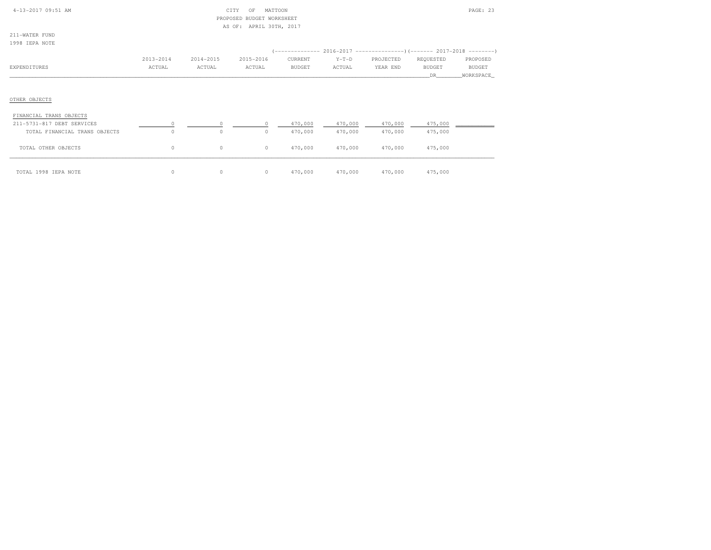| $4 - 13 - 2017$ 09:51 AM |  |
|--------------------------|--|

# $CITY$  OF MATTOON PAGE: 23 PROPOSED BUDGET WORKSHEETAS OF: APRIL 30TH, 2017

|  | ı |  |
|--|---|--|
|  |   |  |

| 1998 IEPA NOTE          |           |           |           |         |         |                                                                       |               |               |
|-------------------------|-----------|-----------|-----------|---------|---------|-----------------------------------------------------------------------|---------------|---------------|
|                         |           |           |           |         |         | (-------------- 2016-2017 ---------------------- 2017-2018 ---------- |               |               |
|                         | 2013-2014 | 2014-2015 | 2015-2016 | CURRENT | $Y-T-D$ | PROJECTED                                                             | REQUESTED     | PROPOSED      |
| EXPENDITURES            | ACTUAL    | ACTUAL    | ACTUAL    | BUDGET  | ACTUAL  | YEAR END                                                              | <b>BUDGET</b> | <b>BUDGET</b> |
|                         |           |           |           |         |         |                                                                       | DR.           | WORKSPACE     |
|                         |           |           |           |         |         |                                                                       |               |               |
|                         |           |           |           |         |         |                                                                       |               |               |
| OTHER OBJECTS           |           |           |           |         |         |                                                                       |               |               |
| FINANCIAL TRANS OBJECTS |           |           |           |         |         |                                                                       |               |               |

| 211-5731-817 DEBT SERVICES    |         |         |         | 470,000 | 470,000 | 470,000 | 475,000 |  |
|-------------------------------|---------|---------|---------|---------|---------|---------|---------|--|
| TOTAL FINANCIAL TRANS OBJECTS | $\circ$ | $\circ$ |         | 470,000 | 470,000 | 470,000 | 475,000 |  |
| TOTAL OTHER OBJECTS           |         | $\circ$ | $\circ$ | 470,000 | 470,000 | 470,000 | 475,000 |  |
| TOTAL 1998 IEPA NOTE          |         |         |         | 470,000 | 470,000 | 470,000 | 475,000 |  |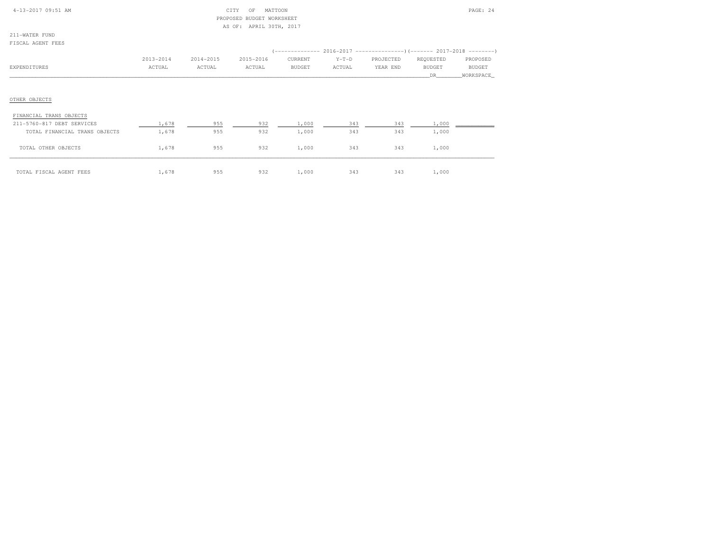|  | $4 - 13 - 2017$ 09:51 AM |  |
|--|--------------------------|--|

# $CITY$  OF MATTOON PAGE: 24 PROPOSED BUDGET WORKSHEETAS OF: APRIL 30TH, 2017

211-WATER FUNDFISCAL AGENT FEES

| L LOCALD INCLUST LEED         |           |           |           |         |         |           |                                                                     |           |
|-------------------------------|-----------|-----------|-----------|---------|---------|-----------|---------------------------------------------------------------------|-----------|
|                               |           |           |           |         |         |           | (-------------- 2016-2017 --------------------- 2017-2018 --------- |           |
|                               | 2013-2014 | 2014-2015 | 2015-2016 | CURRENT | $Y-T-D$ | PROJECTED | REQUESTED                                                           | PROPOSED  |
| EXPENDITURES                  | ACTUAL    | ACTUAL    | ACTUAL    | BUDGET  | ACTUAL  | YEAR END  | <b>BUDGET</b>                                                       | BUDGET    |
|                               |           |           |           |         |         |           | DR                                                                  | WORKSPACE |
|                               |           |           |           |         |         |           |                                                                     |           |
| OTHER OBJECTS                 |           |           |           |         |         |           |                                                                     |           |
| FINANCIAL TRANS OBJECTS       |           |           |           |         |         |           |                                                                     |           |
| 211-5760-817 DEBT SERVICES    | 1,678     | 955       | 932       | 1,000   | 343     | 343       | 1,000                                                               |           |
| TOTAL FINANCIAL TRANS OBJECTS | 1,678     | 955       | 932       | 1,000   | 343     | 343       | 1,000                                                               |           |
| TOTAL OTHER OBJECTS           | 1,678     | 955       | 932       | 1,000   | 343     | 343       | 1,000                                                               |           |
| TOTAL FISCAL AGENT FEES       | 1,678     | 955       | 932       | 1,000   | 343     | 343       | 1,000                                                               |           |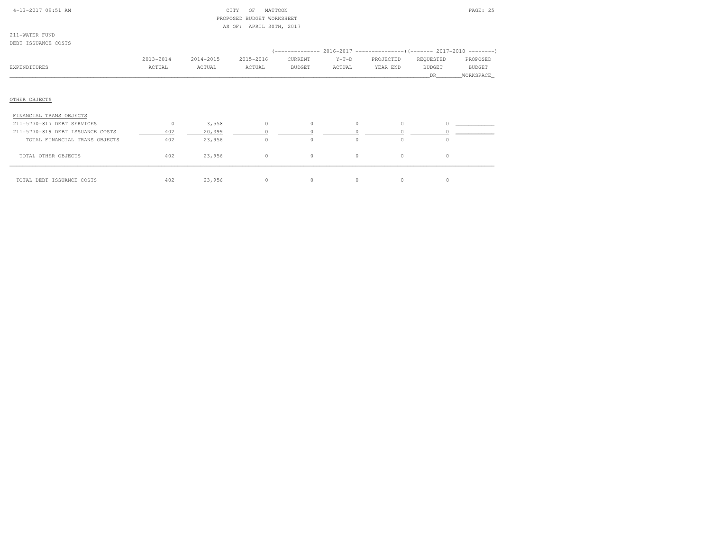| $4-13-2017$ 09:51 AM |  |  |
|----------------------|--|--|

# $CITY$  OF MATTOON PAGE: 25 PROPOSED BUDGET WORKSHEETAS OF: APRIL 30TH, 2017

211-WATER FUNDDEBT ISSUANCE COSTS

|                                  | 2013-2014 | 2014-2015 | 2015-2016 | CURRENT       | $Y-T-D$  | PROJECTED | REQUESTED     | PROPOSED  |
|----------------------------------|-----------|-----------|-----------|---------------|----------|-----------|---------------|-----------|
| EXPENDITURES                     | ACTUAL    | ACTUAL    | ACTUAL    | <b>BUDGET</b> | ACTUAL   | YEAR END  | <b>BUDGET</b> | BUDGET    |
|                                  |           |           |           |               |          |           | DR            | WORKSPACE |
|                                  |           |           |           |               |          |           |               |           |
|                                  |           |           |           |               |          |           |               |           |
| OTHER OBJECTS                    |           |           |           |               |          |           |               |           |
| FINANCIAL TRANS OBJECTS          |           |           |           |               |          |           |               |           |
| 211-5770-817 DEBT SERVICES       | $\circ$   | 3,558     | $\Omega$  | $\Omega$      | $\Omega$ | $\Omega$  | $\Omega$      |           |
| 211-5770-819 DEBT ISSUANCE COSTS | 402       | 20,399    |           |               |          |           |               |           |
| TOTAL FINANCIAL TRANS OBJECTS    | 402       | 23,956    |           | $\circ$       | $\Omega$ | $\circ$   | $\circ$       |           |
| TOTAL OTHER OBJECTS              | 402       | 23,956    | $\circ$   | $\circ$       | $\circ$  | $\circ$   | $\circ$       |           |
|                                  |           |           |           |               |          |           |               |           |
|                                  |           |           |           |               |          |           |               |           |
| TOTAL DEBT ISSUANCE COSTS        | 402       | 23,956    | 0         | $\circ$       | $\circ$  | $\circ$   | $\circ$       |           |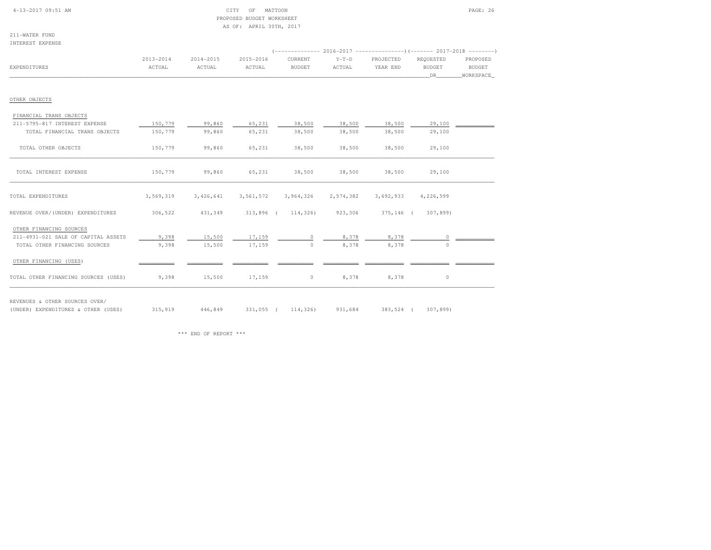#### 4-13-2017 09:51 AM CITY OF MATTOON PAGE: 26 PROPOSED BUDGET WORKSHEETAS OF: APRIL 30TH, 2017

211-WATER FUNDINTEREST EXPENSE

| TMITUTOI PULPIMOP                    |                     |                         |                     |                                                             |                   |                       |                                   |                                        |
|--------------------------------------|---------------------|-------------------------|---------------------|-------------------------------------------------------------|-------------------|-----------------------|-----------------------------------|----------------------------------------|
| EXPENDITURES                         | 2013-2014<br>ACTUAL | $2014 - 2015$<br>ACTUAL | 2015-2016<br>ACTUAL | CURRENT<br><b>BUDGET</b>                                    | $Y-T-D$<br>ACTUAL | PROJECTED<br>YEAR END | REQUESTED<br><b>BUDGET</b><br>DR. | PROPOSED<br><b>BUDGET</b><br>WORKSPACE |
| OTHER OBJECTS                        |                     |                         |                     |                                                             |                   |                       |                                   |                                        |
| FINANCIAL TRANS OBJECTS              |                     |                         |                     |                                                             |                   |                       |                                   |                                        |
| 211-5795-817 INTEREST EXPENSE        | 150,779             | 99,860                  | 65,231              | 38,500                                                      | 38,500            | 38,500                | 29,100                            |                                        |
| TOTAL FINANCIAL TRANS OBJECTS        | 150,779             | 99,860                  | 65,231              | 38,500                                                      | 38,500            | 38,500                | 29,100                            |                                        |
| TOTAL OTHER OBJECTS                  | 150,779             | 99,860                  | 65,231              | 38,500                                                      | 38,500            | 38,500                | 29,100                            |                                        |
| TOTAL INTEREST EXPENSE               | 150,779             | 99,860                  | 65,231              | 38,500                                                      | 38,500            | 38,500                | 29,100                            |                                        |
| TOTAL EXPENDITURES                   | 3,569,319           | 3,426,641               | 3,561,572           | 3,964,326                                                   | 2,574,382         | 3,692,933             | 4,226,599                         |                                        |
| REVENUE OVER/(UNDER) EXPENDITURES    |                     |                         |                     | 306,522 431,349 313,896 (114,326) 923,306 375,146 (307,899) |                   |                       |                                   |                                        |
| OTHER FINANCING SOURCES              |                     |                         |                     |                                                             |                   |                       |                                   |                                        |
| 211-4931-021 SALE OF CAPITAL ASSETS  | 9,398               | 15,500                  | 17,159              | $\Omega$                                                    | 8,378             | 8,378                 | $\cap$                            |                                        |
| TOTAL OTHER FINANCING SOURCES        | 9,398               | 15,500                  | 17,159              | $\circ$                                                     | 8,378             | 8,378                 | $\Omega$                          |                                        |
| OTHER FINANCING (USES)               |                     |                         |                     |                                                             |                   |                       |                                   |                                        |
| TOTAL OTHER FINANCING SOURCES (USES) | 9,398               | 15,500                  | 17,159              | $0 \qquad \qquad$                                           | 8,378             | 8,378                 | $\circ$                           |                                        |
|                                      |                     |                         |                     |                                                             |                   |                       |                                   |                                        |

(UNDER) EXPENDITURES & OTHER (USES) 315,919 446,849 331,055 ( 114,326) 931,684 383,524 ( 307,899)

REVENUES & OTHER SOURCES OVER/

(UNDER) EXPENDITURES & OTHER (USES)

\*\*\* END OF REPORT \*\*\*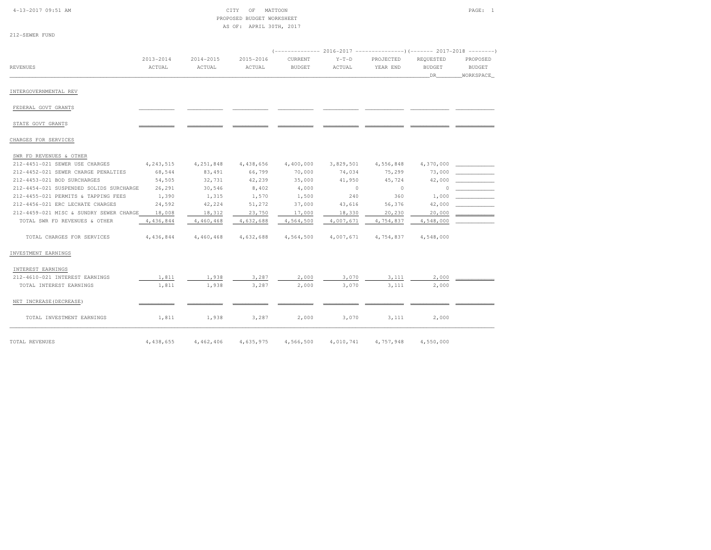|  | $4-13-2017$ 09:51 AM |  |
|--|----------------------|--|
|  |                      |  |

| 4-13-2017 09:51 AM | CITY OF MATTOON           | PAGE: |  |
|--------------------|---------------------------|-------|--|
|                    | PROPOSED BUDGET WORKSHEET |       |  |
|                    | AS OF: APRIL 30TH, 2017   |       |  |

| 212-SEWER FUND |  |
|----------------|--|
|                |  |
|                |  |
|                |  |

| <b>REVENUES</b>                         | $2013 - 2014$<br>ACTUAL | 2014-2015<br>ACTUAL | 2015-2016<br>ACTUAL | CURRENT<br><b>BUDGET</b> | $Y-T-D$<br>ACTUAL | PROJECTED<br>YEAR END | REQUESTED<br><b>BUDGET</b> | PROPOSED<br><b>BUDGET</b> |
|-----------------------------------------|-------------------------|---------------------|---------------------|--------------------------|-------------------|-----------------------|----------------------------|---------------------------|
|                                         |                         |                     |                     |                          |                   |                       | DR.                        | WORKSPACE                 |
|                                         |                         |                     |                     |                          |                   |                       |                            |                           |
| INTERGOVERNMENTAL REV                   |                         |                     |                     |                          |                   |                       |                            |                           |
| FEDERAL GOVT GRANTS                     |                         |                     |                     |                          |                   |                       |                            |                           |
| STATE GOVT GRANTS                       |                         |                     |                     |                          |                   |                       |                            |                           |
| CHARGES FOR SERVICES                    |                         |                     |                     |                          |                   |                       |                            |                           |
| SWR FD REVENUES & OTHER                 |                         |                     |                     |                          |                   |                       |                            |                           |
| 212-4451-021 SEWER USE CHARGES          | 4, 243, 515             | 4,251,848           | 4,438,656           | 4,400,000                | 3,829,501         | 4,556,848             | 4,370,000                  |                           |
| 212-4452-021 SEWER CHARGE PENALTIES     | 68,544                  | 83,491              | 66,799              | 70,000                   | 74,034            | 75,299                | 73,000                     |                           |
| 212-4453-021 BOD SURCHARGES             | 54,505                  | 32,731              | 42,239              | 35,000                   | 41,950            | 45,724                | 42,000                     |                           |
| 212-4454-021 SUSPENDED SOLIDS SURCHARGE | 26,291                  | 30,546              | 8,402               | 4,000                    | $\sim$ 0          | $\circ$               | $\circ$                    |                           |
| 212-4455-021 PERMITS & TAPPING FEES     | 1,390                   | 1,315               | 1,570               | 1,500                    | 240               | 360                   | 1,000                      |                           |
| 212-4456-021 ERC LECHATE CHARGES        | 24,592                  | 42,224              | 51,272              | 37,000                   | 43,616            | 56,376                | 42,000                     |                           |
| 212-4459-021 MISC & SUNDRY SEWER CHARGE | 18,008                  | 18,312              | 23,750              | 17,000                   | 18,330            | 20,230                | 20,000                     |                           |
| TOTAL SWR FD REVENUES & OTHER           | 4,436,844               | 4,460,468           | 4,632,688           | 4,564,500                | 4,007,671         | 4,754,837             | 4,548,000                  |                           |
| TOTAL CHARGES FOR SERVICES              | 4,436,844               | 4,460,468           | 4,632,688           | 4,564,500                | 4,007,671         | 4,754,837             | 4,548,000                  |                           |
| INVESTMENT EARNINGS                     |                         |                     |                     |                          |                   |                       |                            |                           |
| INTEREST EARNINGS                       |                         |                     |                     |                          |                   |                       |                            |                           |
| 212-4610-021 INTEREST EARNINGS          | 1,811                   | 1,938               | 3,287               | 2,000                    | 3,070             | 3,111                 | 2,000                      |                           |
| TOTAL INTEREST EARNINGS                 | 1,811                   | 1,938               | 3,287               | 2,000                    | 3,070             | 3,111                 | 2,000                      |                           |
| NET INCREASE (DECREASE)                 |                         |                     |                     |                          |                   |                       |                            |                           |
| TOTAL INVESTMENT EARNINGS               | 1,811                   | 1,938               | 3,287               | 2,000                    | 3,070             | 3,111                 | 2,000                      |                           |
| TOTAL REVENUES                          | 4,438,655               | 4,462,406           | 4,635,975           | 4,566,500                | 4,010,741         | 4,757,948             | 4,550,000                  |                           |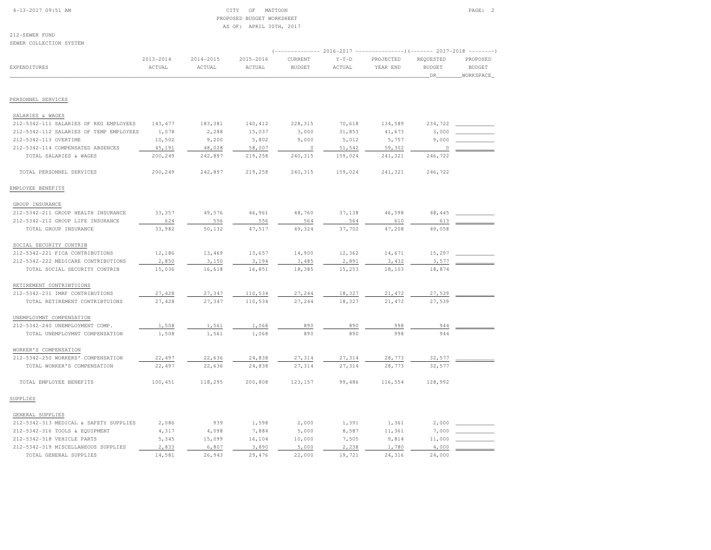# 4-13-2017 09:51 AM CITY OF MATTOON PAGE: 2 PROPOSED BUDGET WORKSHEETAS OF: APRIL 30TH, 2017

| SEWER COLLECTION SYSTEM                 |                         |                         |                     |                                                                                             |                   |                       |                                    |                                                            |
|-----------------------------------------|-------------------------|-------------------------|---------------------|---------------------------------------------------------------------------------------------|-------------------|-----------------------|------------------------------------|------------------------------------------------------------|
| EXPENDITURES                            | $2013 - 2014$<br>ACTUAL | $2014 - 2015$<br>ACTUAL | 2015-2016<br>ACTUAL | (-------------- 2016-2017 -----------------) (------- 2017-2018<br>CURRENT<br><b>BUDGET</b> | $Y-T-D$<br>ACTUAL | PROJECTED<br>YEAR END | REQUESTED<br><b>BUDGET</b><br>_DR_ | $-- - - - - - -$<br>PROPOSED<br><b>BUDGET</b><br>WORKSPACE |
|                                         |                         |                         |                     |                                                                                             |                   |                       |                                    |                                                            |
| PERSONNEL SERVICES                      |                         |                         |                     |                                                                                             |                   |                       |                                    |                                                            |
| SALARIES & WAGES                        |                         |                         |                     |                                                                                             |                   |                       |                                    |                                                            |
| 212-5342-111 SALARIES OF REG EMPLOYEES  | 143, 477                | 183,381                 | 140,412             | 228,315                                                                                     | 70,618            | 134,589               | 234,722                            |                                                            |
| 212-5342-112 SALARIES OF TEMP EMPLOYEES | 1,078                   | 2,288                   | 15,037              | 3,000                                                                                       | 31,853            | 41,673                | 3,000                              |                                                            |
| 212-5342-113 OVERTIME                   | 10,502                  | 9,200                   | 5,802               | 9,000                                                                                       | 5,012             | 5,757                 | 9,000                              |                                                            |
| 212-5342-114 COMPENSATED ABSENCES       | 45,191                  | 48,028                  | 58,007              | $\circ$                                                                                     | 51,542            | 59,302                | 0                                  |                                                            |
| TOTAL SALARIES & WAGES                  | 200,249                 | 242,897                 | 219,258             | 240,315                                                                                     | 159,024           | 241,321               | 246,722                            |                                                            |
| TOTAL PERSONNEL SERVICES                | 200,249                 | 242,897                 | 219,258             | 240,315                                                                                     | 159,024           | 241,321               | 246,722                            |                                                            |
| EMPLOYEE BENEFITS                       |                         |                         |                     |                                                                                             |                   |                       |                                    |                                                            |
| GROUP INSURANCE                         |                         |                         |                     |                                                                                             |                   |                       |                                    |                                                            |
| 212-5342-211 GROUP HEALTH INSURANCE     | 33,357                  | 49,576                  | 46,961              | 48,760                                                                                      | 37,138            | 46,598                | 48, 445                            |                                                            |
| 212-5342-212 GROUP LIFE INSURANCE       | 624                     | 556                     | 556                 | 564                                                                                         | 564               | 610                   | 613                                |                                                            |
| TOTAL GROUP INSURANCE                   | 33,982                  | 50,132                  | 47,517              | 49,324                                                                                      | 37,702            | 47,208                | 49,058                             |                                                            |
| SOCIAL SECURITY CONTRIB                 |                         |                         |                     |                                                                                             |                   |                       |                                    |                                                            |
| 212-5342-221 FICA CONTRIBUTIONS         | 12,186                  | 13,469                  | 13,657              | 14,900                                                                                      | 12,362            | 14,671                | 15,297                             |                                                            |
| 212-5342-222 MEDICARE CONTRIBUTIONS     | 2,850                   | 3,150                   | 3,194               | 3,485                                                                                       | 2,891             | 3,432                 | 3,577                              |                                                            |
| TOTAL SOCIAL SECURITY CONTRIB           | 15,036                  | 16,618                  | 16,851              | 18,385                                                                                      | 15,253            | 18,103                | 18,874                             |                                                            |
| RETIREMENT CONTRIBTUIONS                |                         |                         |                     |                                                                                             |                   |                       |                                    |                                                            |
| 212-5342-231 IMRF CONTRIBUTIONS         | 27,428                  | 27,347                  | 110,534             | 27,244                                                                                      | 18,327            | 21, 472               | 27,539                             |                                                            |
| TOTAL RETIREMENT CONTRIBTUIONS          | 27,428                  | 27,347                  | 110,534             | 27,244                                                                                      | 18,327            | 21,472                | 27,539                             |                                                            |
| UNEMPLOYMNT COMPENSATION                |                         |                         |                     |                                                                                             |                   |                       |                                    |                                                            |
| 212-5342-240 UNEMPLOYMENT COMP.         | 1,508                   | 1,561                   | 1,068               | 890                                                                                         | 890               | 998                   | 944                                |                                                            |
| TOTAL UNEMPLOYMNT COMPENSATION          | 1,508                   | 1,561                   | 1,068               | 890                                                                                         | 890               | 998                   | 944                                |                                                            |
| WORKER'S COMPENSATION                   |                         |                         |                     |                                                                                             |                   |                       |                                    |                                                            |
| 212-5342-250 WORKERS' COMPENSATION      | 22,497                  | 22,636                  | 24,838              | 27,314                                                                                      | 27,314            | 28,773                | 32,577                             |                                                            |
| TOTAL WORKER'S COMPENSATION             | 22,497                  | 22,636                  | 24,838              | 27,314                                                                                      | 27,314            | 28,773                | 32,577                             |                                                            |
| TOTAL EMPLOYEE BENEFITS                 | 100,451                 | 118,295                 | 200,808             | 123,157                                                                                     | 99,486            | 116,554               | 128,992                            |                                                            |
| SUPPLIES                                |                         |                         |                     |                                                                                             |                   |                       |                                    |                                                            |
| GENERAL SUPPLIES                        |                         |                         |                     |                                                                                             |                   |                       |                                    |                                                            |
| 212-5342-313 MEDICAL & SAFETY SUPPLIES  | 2,086                   | 939                     | 1,598               | 2,000                                                                                       | 1,391             | 1,361                 | 2,000                              |                                                            |
| 212-5342-316 TOOLS & EQUIPMENT          | 4,317                   | 4,098                   | 7,884               | 5,000                                                                                       | 8,587             | 11,361                | 7,000                              |                                                            |
| 212-5342-318 VEHICLE PARTS              | 5,345                   | 15,099                  | 16,104              | 10,000                                                                                      | 7,505             | 9,814                 | 11,000                             |                                                            |
| 212-5342-319 MISCELLANEOUS SUPPLIES     | 2,833                   | 6,807                   | 3,890               | 5,000                                                                                       | 2,238             | 1,780                 | 4,000                              |                                                            |
| TOTAL GENERAL SUPPLIES                  | 14,581                  | 26,943                  | 29,476              | 22,000                                                                                      | 19,721            | 24,316                | 24,000                             |                                                            |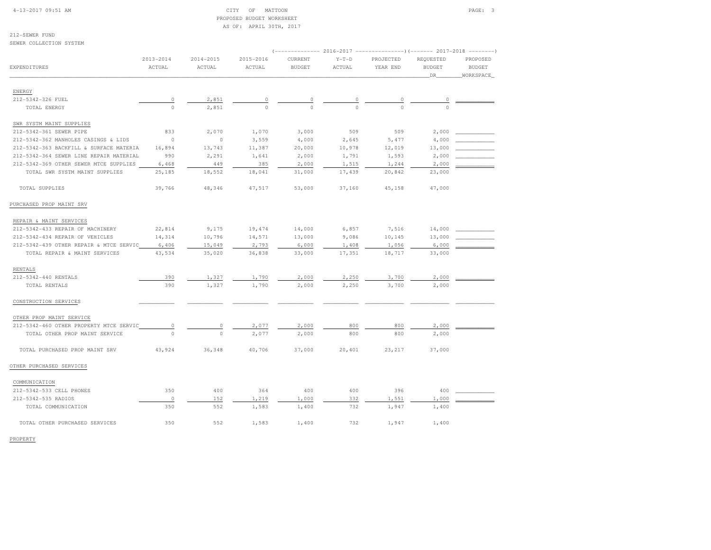### 4-13-2017 09:51 AM CITY OF MATTOON PAGE: 3 PROPOSED BUDGET WORKSHEETAS OF: APRIL 30TH, 2017

212-SEWER FUNDSEWER COLLECTION SYSTEM

| SEMER COPPECIION SISIEM                 |                         |                         |                         |                          |                   | (-------------- 2016-2017 --------------------- 2017-2018 ---------- |                                  |                                        |
|-----------------------------------------|-------------------------|-------------------------|-------------------------|--------------------------|-------------------|----------------------------------------------------------------------|----------------------------------|----------------------------------------|
| EXPENDITURES                            | $2013 - 2014$<br>ACTUAL | $2014 - 2015$<br>ACTUAL | $2015 - 2016$<br>ACTUAL | CURRENT<br><b>BUDGET</b> | $Y-T-D$<br>ACTUAL | PROJECTED<br>YEAR END                                                | REQUESTED<br><b>BUDGET</b><br>DR | PROPOSED<br><b>BUDGET</b><br>WORKSPACE |
|                                         |                         |                         |                         |                          |                   |                                                                      |                                  |                                        |
| ENERGY                                  |                         |                         |                         |                          |                   |                                                                      |                                  |                                        |
| 212-5342-326 FUEL<br>TOTAL ENERGY       | $\circ$<br>$\circ$      | 2,851<br>2,851          | $\circ$<br>$\Omega$     | 0<br>$\Omega$            | 0<br>$\cap$       | $\,$ $\,$ $\,$<br>$\Omega$                                           | $\circ$<br>$\cap$                |                                        |
| SWR SYSTM MAINT SUPPLIES                |                         |                         |                         |                          |                   |                                                                      |                                  |                                        |
| 212-5342-361 SEWER PIPE                 | 833                     | 2,070                   | 1,070                   | 3,000                    | 509               | 509                                                                  | 2,000                            |                                        |
| 212-5342-362 MANHOLES CASINGS & LIDS    | $\circ$                 | $\circ$                 | 3,559                   | 4,000                    | 2,645             | 5,477                                                                | 4,000                            |                                        |
| 212-5342-363 BACKFILL & SURFACE MATERIA | 16,894                  | 13,743                  | 11,387                  | 20,000                   | 10,978            | 12,019                                                               | 13,000                           |                                        |
| 212-5342-364 SEWER LINE REPAIR MATERIAL | 990                     | 2,291                   | 1,641                   | 2,000                    | 1,791             | 1,593                                                                | 2,000                            |                                        |
| 212-5342-369 OTHER SEWER MTCE SUPPLIES  | 6,468                   | 449                     | 385                     | 2,000                    | 1,515             | 1,244                                                                | 2,000                            |                                        |
| TOTAL SWR SYSTM MAINT SUPPLIES          | 25,185                  | 18,552                  | 18,041                  | 31,000                   | 17,439            | 20,842                                                               | 23,000                           |                                        |
| TOTAL SUPPLIES                          | 39,766                  | 48,346                  | 47,517                  | 53,000                   | 37,160            | 45,158                                                               | 47,000                           |                                        |
| PURCHASED PROP MAINT SRV                |                         |                         |                         |                          |                   |                                                                      |                                  |                                        |
| REPAIR & MAINT SERVICES                 |                         |                         |                         |                          |                   |                                                                      |                                  |                                        |
| 212-5342-433 REPAIR OF MACHINERY        | 22,814                  | 9,175                   | 19,474                  | 14,000                   | 6,857             | 7,516                                                                | 14,000                           |                                        |
| 212-5342-434 REPAIR OF VEHICLES         | 14,314                  | 10,796                  | 14,571                  | 13,000                   | 9,086             | 10,145                                                               | 13,000                           |                                        |
| 212-5342-439 OTHER REPAIR & MTCE SERVIC | 6,406                   | 15,049                  | 2,793                   | 6,000                    | 1,408             | 1,056                                                                | 6,000                            |                                        |
| TOTAL REPAIR & MAINT SERVICES           | 43,534                  | 35,020                  | 36,838                  | 33,000                   | 17,351            | 18,717                                                               | 33,000                           |                                        |
| <b>RENTALS</b>                          |                         |                         |                         |                          |                   |                                                                      |                                  |                                        |
| 212-5342-440 RENTALS                    | 390                     | 1,327                   | 1,790                   | 2,000                    | 2,250             | 3,700                                                                | 2,000                            |                                        |
| TOTAL RENTALS                           | 390                     | 1,327                   | 1,790                   | 2,000                    | 2,250             | 3,700                                                                | 2,000                            |                                        |
| CONSTRUCTION SERVICES                   |                         |                         |                         |                          |                   |                                                                      |                                  |                                        |
| OTHER PROP MAINT SERVICE                |                         |                         |                         |                          |                   |                                                                      |                                  |                                        |
| 212-5342-460 OTHER PROPERTY MTCE SERVIC | $\circ$                 | 0                       | 2,077                   | 2,000                    | 800               | 800                                                                  | 2,000                            |                                        |
| TOTAL OTHER PROP MAINT SERVICE          | $\circ$                 | $\circ$                 | 2,077                   | 2,000                    | 800               | 800                                                                  | 2,000                            |                                        |
| TOTAL PURCHASED PROP MAINT SRV          | 43,924                  | 36,348                  | 40,706                  | 37,000                   | 20,401            | 23, 217                                                              | 37,000                           |                                        |
| OTHER PURCHASED SERVICES                |                         |                         |                         |                          |                   |                                                                      |                                  |                                        |
| COMMUNICATION                           |                         |                         |                         |                          |                   |                                                                      |                                  |                                        |
| 212-5342-533 CELL PHONES                | 350                     | 400                     | 364                     | 400                      | 400               | 396                                                                  | 400                              |                                        |
| 212-5342-535 RADIOS                     | $\circ$                 | 152                     | 1,219                   | 1,000                    | 332               | 1,551                                                                | 1,000                            |                                        |
| TOTAL COMMUNICATION                     | 350                     | 552                     | 1,583                   | 1,400                    | 732               | 1,947                                                                | 1,400                            |                                        |
| TOTAL OTHER PURCHASED SERVICES          | 350                     | 552                     | 1,583                   | 1,400                    | 732               | 1,947                                                                | 1,400                            |                                        |

PROPERTY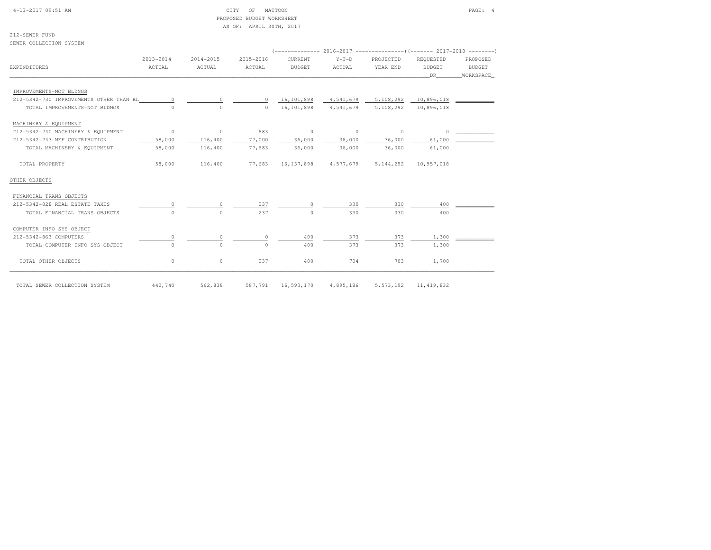| $4-13-2017$ 09:51 AM |  |  |
|----------------------|--|--|

### CITY OF MATTOON PAGE: 4 PROPOSED BUDGET WORKSHEETAS OF: APRIL 30TH, 2017

212-SEWER FUNDSEWER COLLECTION SYSTEM

|                                         | $2013 - 2014$ | 2014-2015 | 2015-2016 | <b>CURRENT</b> | $Y-T-D$                  | PROJECTED                      | REOUESTED     | PROPOSED      |
|-----------------------------------------|---------------|-----------|-----------|----------------|--------------------------|--------------------------------|---------------|---------------|
| EXPENDITURES                            | ACTUAL        | ACTUAL    | ACTUAL    | <b>BUDGET</b>  | ACTUAL                   | YEAR END                       | <b>BUDGET</b> | <b>BUDGET</b> |
|                                         |               |           |           |                |                          |                                | DR            | WORKSPACE     |
| IMPROVEMENTS-NOT BLDNGS                 |               |           |           |                |                          |                                |               |               |
| 212-5342-730 IMPROVEMENTS OTHER THAN BL | $\circ$       | $\circ$   | $\circ$   | 16,101,898     |                          | 4,541,679 5,108,292 10,896,018 |               |               |
| TOTAL IMPROVEMENTS-NOT BLDNGS           | $\cap$        | $\Omega$  | $\Omega$  | 16,101,898     | 4,541,679                | 5,108,292                      | 10,896,018    |               |
| MACHINERY & EQUIPMENT                   |               |           |           |                |                          |                                |               |               |
| 212-5342-740 MACHINERY & EQUIPMENT      | $\sim$ 0      | $\circ$   | 683       | $\circ$        | $\sim$ 0                 | $^{\circ}$                     | $\Omega$      |               |
| 212-5342-743 MEF CONTRIBUTION           | 58,000        | 116,400   | 77,000    | 36,000         | 36,000                   | 36,000                         | 61,000        |               |
| TOTAL MACHINERY & EQUIPMENT             | 58,000        | 116,400   | 77,683    | 36,000         | 36,000                   | 36,000                         | 61,000        |               |
| TOTAL PROPERTY                          | 58,000        | 116,400   | 77,683    |                | 16, 137, 898 4, 577, 679 | 5, 144, 292                    | 10,957,018    |               |
| OTHER OBJECTS                           |               |           |           |                |                          |                                |               |               |
| FINANCIAL TRANS OBJECTS                 |               |           |           |                |                          |                                |               |               |
| 212-5342-828 REAL ESTATE TAXES          | $\circ$       | $\Omega$  | 237       | 0              | 330                      | 330                            | 400           |               |
| TOTAL FINANCIAL TRANS OBJECTS           | $\Omega$      | $\Omega$  | 237       | $\Omega$       | 330                      | 330                            | 400           |               |
| COMPUTER INFO SYS OBJECT                |               |           |           |                |                          |                                |               |               |
| 212-5342-863 COMPUTERS                  | $\circ$       |           | $\Omega$  | 400            | 373                      | 373                            | 1,300         |               |
| TOTAL COMPUTER INFO SYS OBJECT          | $\circ$       | $\Omega$  | $\Omega$  | 400            | 373                      | 373                            | 1,300         |               |
| TOTAL OTHER OBJECTS                     | $\circ$       | $\circ$   | 237       | 400            | 704                      | 703                            | 1,700         |               |
| TOTAL SEWER COLLECTION SYSTEM           | 442,740       | 562,838   | 587,791   | 16,593,170     | 4,895,186                | 5, 573, 192                    | 11, 419, 832  |               |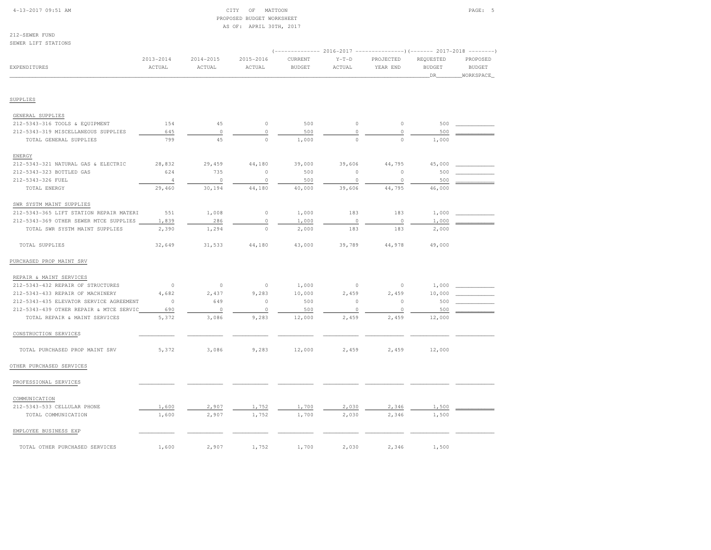|  | $4 - 13 - 2017$ 09:51 AM |  |
|--|--------------------------|--|
|  |                          |  |

### $\begin{array}{ccc} \text{CITY} & \text{OF} & \text{MATION} \end{array}$  PROPOSED BUDGET WORKSHEETAS OF: APRIL 30TH, 2017

212-SEWER FUNDSEWER LIFT STATIONS

| SEWER LIFT STATIONS                     |                     |                     |                     |                                                                                      |                   |                       |                                  |                                                               |
|-----------------------------------------|---------------------|---------------------|---------------------|--------------------------------------------------------------------------------------|-------------------|-----------------------|----------------------------------|---------------------------------------------------------------|
| <b>EXPENDITURES</b>                     | 2013-2014<br>ACTUAL | 2014-2015<br>ACTUAL | 2015-2016<br>ACTUAL | (-------------- 2016-2017 -------------------- 2017-2018<br>CURRENT<br><b>BUDGET</b> | $Y-T-D$<br>ACTUAL | PROJECTED<br>YEAR END | REQUESTED<br><b>BUDGET</b><br>DR | $- - - - - - - - -$<br>PROPOSED<br><b>BUDGET</b><br>WORKSPACE |
| SUPPLIES                                |                     |                     |                     |                                                                                      |                   |                       |                                  |                                                               |
| GENERAL SUPPLIES                        |                     |                     |                     |                                                                                      |                   |                       |                                  |                                                               |
| 212-5343-316 TOOLS & EQUIPMENT          | 154                 | 45                  | $\circ$             | 500                                                                                  | 0                 | $\circ$               | 500                              |                                                               |
| 212-5343-319 MISCELLANEOUS SUPPLIES     | 645                 | $\circ$             | $\mathbb O$         | 500                                                                                  | $\circ$           | $\circ$               | 500                              |                                                               |
| TOTAL GENERAL SUPPLIES                  | 799                 | 45                  | $\circ$             | 1,000                                                                                | $\circ$           | $\circ$               | 1,000                            |                                                               |
| ENERGY                                  |                     |                     |                     |                                                                                      |                   |                       |                                  |                                                               |
| 212-5343-321 NATURAL GAS & ELECTRIC     | 28,832              | 29,459              | 44,180              | 39,000                                                                               | 39,606            | 44,795                | 45,000                           |                                                               |
| 212-5343-323 BOTTLED GAS                | 624                 | 735                 | $\circ$             | 500                                                                                  | $\circ$           | $\circ$               | 500                              |                                                               |
| 212-5343-326 FUEL                       | 4                   | $\circ$             | $\circ$             | 500                                                                                  | $\circ$           | $\circ$               | 500                              |                                                               |
| TOTAL ENERGY                            | 29,460              | 30,194              | 44,180              | 40,000                                                                               | 39,606            | 44,795                | 46,000                           |                                                               |
| SWR SYSTM MAINT SUPPLIES                |                     |                     |                     |                                                                                      |                   |                       |                                  |                                                               |
| 212-5343-365 LIFT STATION REPAIR MATERI | 551                 | 1,008               | $\circ$             | 1,000                                                                                | 183               | 183                   | 1,000                            |                                                               |
| 212-5343-369 OTHER SEWER MTCE SUPPLIES  | 1,839               | 286                 | $\mathbb O$         | 1,000                                                                                | $\circ$           | $\circ$               | 1,000                            |                                                               |
| TOTAL SWR SYSTM MAINT SUPPLIES          | 2,390               | 1,294               | $\mathbb O$         | 2,000                                                                                | 183               | 183                   | 2,000                            |                                                               |
| TOTAL SUPPLIES                          | 32,649              | 31,533              | 44,180              | 43,000                                                                               | 39,789            | 44,978                | 49,000                           |                                                               |
| PURCHASED PROP MAINT SRV                |                     |                     |                     |                                                                                      |                   |                       |                                  |                                                               |
| REPAIR & MAINT SERVICES                 |                     |                     |                     |                                                                                      |                   |                       |                                  |                                                               |
| 212-5343-432 REPAIR OF STRUCTURES       | $\circ$             | $\circ$             | $\circ$             | 1,000                                                                                | $\circ$           | $\circ$               | 1,000                            |                                                               |
| 212-5343-433 REPAIR OF MACHINERY        | 4.682               | 2,437               | 9,283               | 10,000                                                                               | 2,459             | 2,459                 | 10,000                           |                                                               |
| 212-5343-435 ELEVATOR SERVICE AGREEMENT | $\circ$             | 649                 | $\circ$             | 500                                                                                  | $\mathbb O$       | $\circ$               | 500                              |                                                               |
| 212-5343-439 OTHER REPAIR & MTCE SERVIC | 690                 | $\circ$             | $\circ$             | 500                                                                                  | $\circ$           | $\circ$               | 500                              |                                                               |
| TOTAL REPAIR & MAINT SERVICES           | 5,372               | 3,086               | 9,283               | 12,000                                                                               | 2,459             | 2,459                 | 12,000                           |                                                               |
| CONSTRUCTION SERVICES                   |                     |                     |                     |                                                                                      |                   |                       |                                  |                                                               |
| TOTAL PURCHASED PROP MAINT SRV          | 5,372               | 3,086               | 9,283               | 12,000                                                                               | 2,459             | 2,459                 | 12,000                           |                                                               |
| OTHER PURCHASED SERVICES                |                     |                     |                     |                                                                                      |                   |                       |                                  |                                                               |
| PROFESSIONAL SERVICES                   |                     |                     |                     |                                                                                      |                   |                       |                                  |                                                               |
| COMMUNICATION                           |                     |                     |                     |                                                                                      |                   |                       |                                  |                                                               |
| 212-5343-533 CELLULAR PHONE             | 1,600               | 2,907               | 1,752               | 1,700                                                                                | 2,030             | 2,346                 | 1,500                            |                                                               |
| TOTAL COMMUNICATION                     | 1,600               | 2,907               | 1,752               | 1,700                                                                                | 2,030             | 2,346                 | 1,500                            |                                                               |
| EMPLOYEE BUSINESS EXP                   |                     |                     |                     |                                                                                      |                   |                       |                                  |                                                               |
| TOTAL OTHER PURCHASED SERVICES          | 1,600               | 2,907               | 1,752               | 1,700                                                                                | 2,030             | 2,346                 | 1,500                            |                                                               |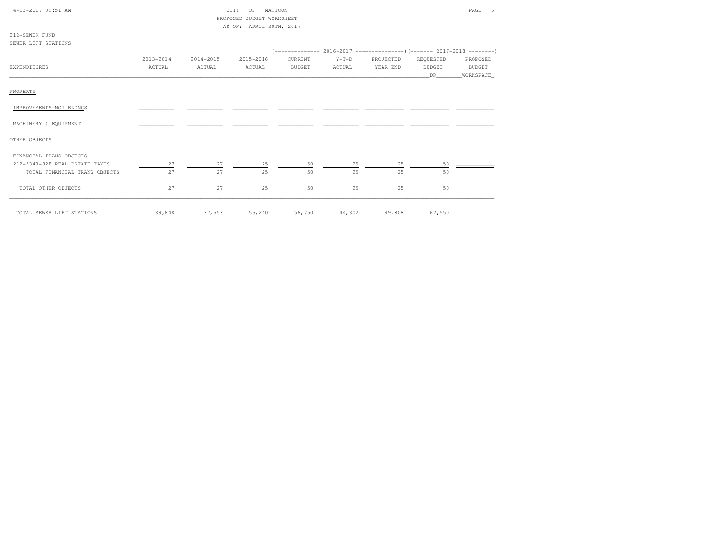| 4-13-2017 09:51 AM             |           |           | MATTOON<br>CITY<br>OF     |               |               |           |                                                                      | PAGE: 6       |
|--------------------------------|-----------|-----------|---------------------------|---------------|---------------|-----------|----------------------------------------------------------------------|---------------|
|                                |           |           | PROPOSED BUDGET WORKSHEET |               |               |           |                                                                      |               |
|                                |           |           | AS OF: APRIL 30TH, 2017   |               |               |           |                                                                      |               |
| 212-SEWER FUND                 |           |           |                           |               |               |           |                                                                      |               |
| SEWER LIFT STATIONS            |           |           |                           |               |               |           |                                                                      |               |
|                                |           |           |                           |               |               |           | $(---------- 2016-2017$ ---------------) (------- 2017-2018 -------) |               |
|                                | 2013-2014 | 2014-2015 | 2015-2016                 | CURRENT       | $Y-T-D$       | PROJECTED | REQUESTED                                                            | PROPOSED      |
| EXPENDITURES                   | ACTUAL    | ACTUAL    | ACTUAL                    | <b>BUDGET</b> | ACTUAL        | YEAR END  | <b>BUDGET</b>                                                        | <b>BUDGET</b> |
|                                |           |           |                           |               |               |           | DR.                                                                  | _WORKSPACE_   |
|                                |           |           |                           |               |               |           |                                                                      |               |
| PROPERTY                       |           |           |                           |               |               |           |                                                                      |               |
|                                |           |           |                           |               |               |           |                                                                      |               |
| IMPROVEMENTS-NOT BLDNGS        |           |           |                           |               |               |           |                                                                      |               |
|                                |           |           |                           |               |               |           |                                                                      |               |
| MACHINERY & EQUIPMENT          |           |           |                           |               |               |           |                                                                      |               |
|                                |           |           |                           |               |               |           |                                                                      |               |
| OTHER OBJECTS                  |           |           |                           |               |               |           |                                                                      |               |
|                                |           |           |                           |               |               |           |                                                                      |               |
| FINANCIAL TRANS OBJECTS        |           |           |                           |               |               |           |                                                                      |               |
| 212-5343-828 REAL ESTATE TAXES | 27        | 27        | 25                        | 50            | 25            | 25        | 50                                                                   |               |
| TOTAL FINANCIAL TRANS OBJECTS  | 27        | 27        | 25                        | 50            | 25            | 25        | 50                                                                   |               |
|                                |           |           |                           |               |               |           |                                                                      |               |
| TOTAL OTHER OBJECTS            | 27        | 27        | 25                        | 50            | 25            | 25        | 50                                                                   |               |
|                                |           |           |                           |               |               |           |                                                                      |               |
|                                |           |           |                           |               |               |           |                                                                      |               |
|                                |           |           |                           |               |               |           |                                                                      |               |
| TOTAL SEWER LIFT STATIONS      | 39,648    | 37,553    | 55,240                    |               | 56,750 44,302 | 49,808    | 62,550                                                               |               |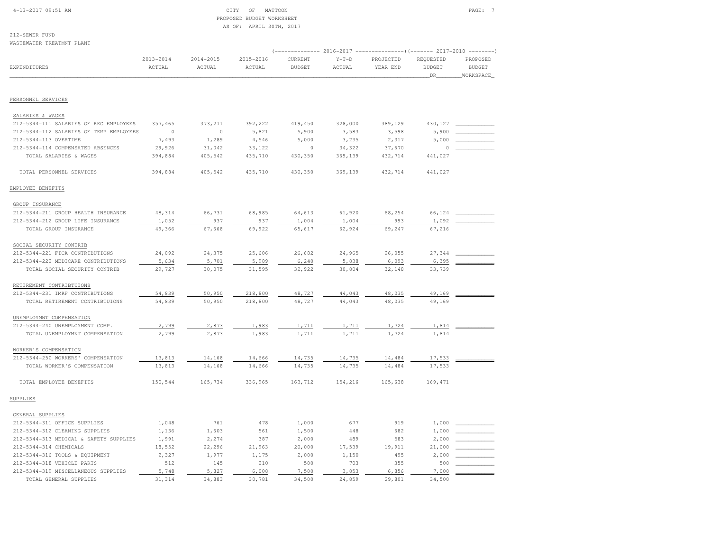# 4-13-2017 09:51 AM CITY OF MATTOON PAGE: 7 PROPOSED BUDGET WORKSHEETAS OF: APRIL 30TH, 2017

| WASTEWATER TREATMNT PLANT               |                     |                     |                     |                          |                   |                                                               |                            |                           |
|-----------------------------------------|---------------------|---------------------|---------------------|--------------------------|-------------------|---------------------------------------------------------------|----------------------------|---------------------------|
|                                         |                     |                     |                     |                          |                   | (------------- 2016-2017 ----------------) (------- 2017-2018 |                            | $-- - - - - - -$          |
| <b>EXPENDITURES</b>                     | 2013-2014<br>ACTUAL | 2014-2015<br>ACTUAL | 2015-2016<br>ACTUAL | CURRENT<br><b>BUDGET</b> | $Y-T-D$<br>ACTUAL | PROJECTED<br>YEAR END                                         | REQUESTED<br><b>BUDGET</b> | PROPOSED<br><b>BUDGET</b> |
|                                         |                     |                     |                     |                          |                   |                                                               | DR_                        | WORKSPACE                 |
|                                         |                     |                     |                     |                          |                   |                                                               |                            |                           |
| PERSONNEL SERVICES                      |                     |                     |                     |                          |                   |                                                               |                            |                           |
| SALARIES & WAGES                        |                     |                     |                     |                          |                   |                                                               |                            |                           |
| 212-5344-111 SALARIES OF REG EMPLOYEES  | 357,465             | 373, 211            | 392,222             | 419,450                  | 328,000           | 389,129                                                       | 430,127                    |                           |
| 212-5344-112 SALARIES OF TEMP EMPLOYEES | $\circ$             | $\circ$             | 5,821               | 5,900                    | 3,583             | 3,598                                                         | 5,900                      |                           |
| 212-5344-113 OVERTIME                   | 7,493               | 1,289               | 4,546               | 5,000                    | 3,235             | 2,317                                                         | 5,000                      |                           |
| 212-5344-114 COMPENSATED ABSENCES       | 29,926              | 31,042              | 33,122              | $\circ$                  | 34,322            | 37,670                                                        | $\Omega$                   |                           |
| TOTAL SALARIES & WAGES                  | 394,884             | 405,542             | 435,710             | 430,350                  | 369,139           | 432,714                                                       | 441,027                    |                           |
| TOTAL PERSONNEL SERVICES                | 394,884             | 405,542             | 435,710             | 430,350                  | 369,139           | 432,714                                                       | 441,027                    |                           |
| EMPLOYEE BENEFITS                       |                     |                     |                     |                          |                   |                                                               |                            |                           |
| GROUP INSURANCE                         |                     |                     |                     |                          |                   |                                                               |                            |                           |
| 212-5344-211 GROUP HEALTH INSURANCE     | 48,314              | 66,731              | 68,985              | 64,613                   | 61,920            | 68,254                                                        | 66,124                     |                           |
| 212-5344-212 GROUP LIFE INSURANCE       | 1,052               | 937                 | 937                 | 1,004                    | 1,004             | 993                                                           | 1,092                      |                           |
| TOTAL GROUP INSURANCE                   | 49,366              | 67,668              | 69,922              | 65,617                   | 62,924            | 69,247                                                        | 67,216                     |                           |
| SOCIAL SECURITY CONTRIB                 |                     |                     |                     |                          |                   |                                                               |                            |                           |
| 212-5344-221 FICA CONTRIBUTIONS         | 24,092              | 24,375              | 25,606              | 26,682                   | 24,965            | 26,055                                                        | 27,344                     |                           |
| 212-5344-222 MEDICARE CONTRIBUTIONS     | 5,634               | 5,701               | 5,989               | 6,240                    | 5,838             | 6,093                                                         | 6,395                      |                           |
| TOTAL SOCIAL SECURITY CONTRIB           | 29,727              | 30,075              | 31,595              | 32,922                   | 30,804            | 32,148                                                        | 33,739                     |                           |
| RETIREMENT CONTRIBTUIONS                |                     |                     |                     |                          |                   |                                                               |                            |                           |
| 212-5344-231 IMRF CONTRIBUTIONS         | 54,839              | 50,950              | 218,800             | 48,727                   | 44,043            | 48,035                                                        | 49,169                     |                           |
| TOTAL RETIREMENT CONTRIBTUIONS          | 54,839              | 50,950              | 218,800             | 48,727                   | 44,043            | 48,035                                                        | 49,169                     |                           |
| UNEMPLOYMNT COMPENSATION                |                     |                     |                     |                          |                   |                                                               |                            |                           |
| 212-5344-240 UNEMPLOYMENT COMP.         | 2,799               | 2,873               | 1,983               | 1,711                    | 1,711             | 1,724                                                         | 1,814                      |                           |
| TOTAL UNEMPLOYMNT COMPENSATION          | 2,799               | 2,873               | 1,983               | 1,711                    | 1,711             | 1,724                                                         | 1,814                      |                           |
| WORKER'S COMPENSATION                   |                     |                     |                     |                          |                   |                                                               |                            |                           |
| 212-5344-250 WORKERS' COMPENSATION      | 13,813              | 14,168              | 14,666              | 14,735                   | 14,735            | 14,484                                                        | 17,533                     |                           |
| TOTAL WORKER'S COMPENSATION             | 13,813              | 14,168              | 14,666              | 14,735                   | 14,735            | 14,484                                                        | 17,533                     |                           |
| TOTAL EMPLOYEE BENEFITS                 | 150,544             | 165,734             | 336,965             | 163,712                  | 154,216           | 165,638                                                       | 169,471                    |                           |
| SUPPLIES                                |                     |                     |                     |                          |                   |                                                               |                            |                           |
| GENERAL SUPPLIES                        |                     |                     |                     |                          |                   |                                                               |                            |                           |
| 212-5344-311 OFFICE SUPPLIES            | 1,048               | 761                 | 478                 | 1,000                    | 677               | 919                                                           | 1,000                      |                           |
| 212-5344-312 CLEANING SUPPLIES          | 1,136               | 1,603               | 561                 | 1,500                    | 448               | 682                                                           | 1,000                      |                           |
| 212-5344-313 MEDICAL & SAFETY SUPPLIES  | 1,991               | 2,274               | 387                 | 2,000                    | 489               | 583                                                           | 2,000                      |                           |
| 212-5344-314 CHEMICALS                  | 18,552              | 22,296              | 21,963              | 20,000                   | 17,539            | 19,911                                                        | 21,000                     |                           |
| 212-5344-316 TOOLS & EQUIPMENT          | 2,327               | 1,977               | 1,175               | 2,000                    | 1,150             | 495                                                           | 2,000                      |                           |
| 212-5344-318 VEHICLE PARTS              | 512                 | 145                 | 210                 | 500                      | 703               | 355                                                           | 500                        |                           |
| 212-5344-319 MISCELLANEOUS SUPPLIES     | 5,748               | 5,827               | 6,008               | 7,500                    | 3,853             | 6,856                                                         | 7,000                      |                           |
| TOTAL GENERAL SUPPLIES                  | 31,314              | 34,883              | 30,781              | 34,500                   | 24,859            | 29,801                                                        | 34,500                     |                           |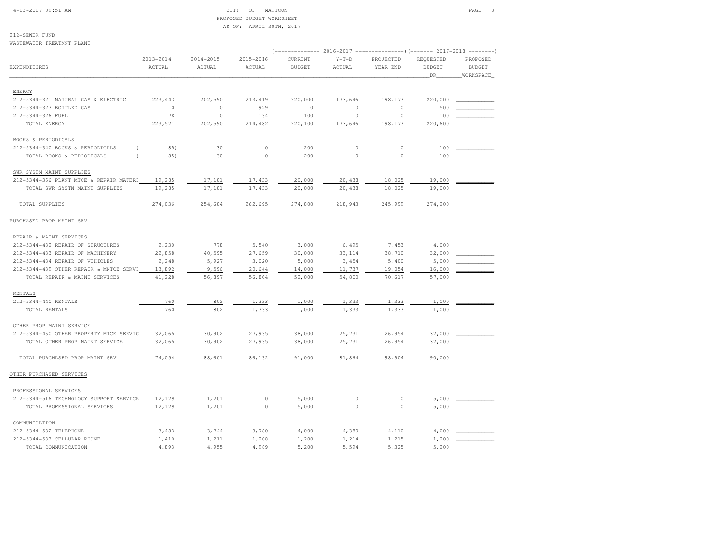| $4-13-2017$ 09:51 AM |  |  |  |
|----------------------|--|--|--|
|                      |  |  |  |

#### $\begin{array}{ccc} \text{CITY} & \text{OF} & \text{MATION} \end{array}$  PROPOSED BUDGET WORKSHEETAS OF: APRIL 30TH, 2017

| WASTEWATER TREATMNT PLANT               |                     |                     |                     | (------------- 2016-2017 -------------------- 2017-2018 |                   |                       |                                    | $- - - - - - - -$                      |
|-----------------------------------------|---------------------|---------------------|---------------------|---------------------------------------------------------|-------------------|-----------------------|------------------------------------|----------------------------------------|
| EXPENDITURES                            | 2013-2014<br>ACTUAL | 2014-2015<br>ACTUAL | 2015-2016<br>ACTUAL | CURRENT<br><b>BUDGET</b>                                | $Y-T-D$<br>ACTUAL | PROJECTED<br>YEAR END | REQUESTED<br><b>BUDGET</b><br>_DR_ | PROPOSED<br><b>BUDGET</b><br>WORKSPACE |
| ENERGY                                  |                     |                     |                     |                                                         |                   |                       |                                    |                                        |
| 212-5344-321 NATURAL GAS & ELECTRIC     | 223, 443            | 202,590             | 213,419             | 220,000                                                 | 173,646           | 198,173               | 220,000                            |                                        |
| 212-5344-323 BOTTLED GAS                | $\circ$             | $\circ$             | 929                 | $\circ$                                                 | $\Omega$          | $\circ$               | 500                                |                                        |
| 212-5344-326 FUEL                       | 78                  | $\circ$             | 134                 | 100                                                     | $\circ$           | $\circ$               | 100                                |                                        |
| TOTAL ENERGY                            | 223,521             | 202,590             | 214,482             | 220,100                                                 | 173,646           | 198,173               | 220,600                            |                                        |
| BOOKS & PERIODICALS                     |                     |                     |                     |                                                         |                   |                       |                                    |                                        |
| 212-5344-340 BOOKS & PERIODICALS        | 85)                 | 30                  | 0                   | 200                                                     | 0                 | $\circ$               | 100                                |                                        |
| TOTAL BOOKS & PERIODICALS               | 85)                 | 30                  | $\Omega$            | 200                                                     | $\Omega$          | $\Omega$              | 100                                |                                        |
| SWR SYSTM MAINT SUPPLIES                |                     |                     |                     |                                                         |                   |                       |                                    |                                        |
| 212-5344-366 PLANT MTCE & REPAIR MATERI | 19,285              | 17,181              | 17,433              | 20,000                                                  | 20,438            | 18,025                | 19,000                             |                                        |
| TOTAL SWR SYSTM MAINT SUPPLIES          | 19,285              | 17,181              | 17,433              | 20,000                                                  | 20,438            | 18,025                | 19,000                             |                                        |
| TOTAL SUPPLIES                          | 274,036             | 254,684             | 262,695             | 274,800                                                 | 218,943           | 245,999               | 274,200                            |                                        |
| PURCHASED PROP MAINT SRV                |                     |                     |                     |                                                         |                   |                       |                                    |                                        |
| REPAIR & MAINT SERVICES                 |                     |                     |                     |                                                         |                   |                       |                                    |                                        |
| 212-5344-432 REPAIR OF STRUCTURES       | 2,230               | 778                 | 5,540               | 3,000                                                   | 6,495             | 7,453                 | 4,000                              |                                        |
| 212-5344-433 REPAIR OF MACHINERY        | 22,858              | 40,595              | 27,659              | 30,000                                                  | 33,114            | 38,710                | 32,000                             |                                        |
| 212-5344-434 REPAIR OF VEHICLES         | 2,248               | 5,927               | 3,020               | 5,000                                                   | 3,454             | 5,400                 | 5,000                              |                                        |
| 212-5344-439 OTHER REPAIR & MNTCE SERVI | 13,892              | 9,596               | 20,644              | 14,000                                                  | 11,737            | 19,054                | 16,000                             |                                        |
| TOTAL REPAIR & MAINT SERVICES           | 41,228              | 56,897              | 56,864              | 52,000                                                  | 54,800            | 70,617                | 57,000                             |                                        |
| RENTALS                                 |                     |                     |                     |                                                         |                   |                       |                                    |                                        |
| 212-5344-440 RENTALS                    | 760                 | 802                 | 1,333               | 1,000                                                   | 1,333             | 1,333                 | 1,000                              |                                        |
| TOTAL RENTALS                           | 760                 | 802                 | 1,333               | 1,000                                                   | 1,333             | 1,333                 | 1,000                              |                                        |
| OTHER PROP MAINT SERVICE                |                     |                     |                     |                                                         |                   |                       |                                    |                                        |
| 212-5344-460 OTHER PROPERTY MTCE SERVIC | 32,065              | 30,902              | 27,935              | 38,000                                                  | 25,731            | 26,954                | 32,000                             |                                        |
| TOTAL OTHER PROP MAINT SERVICE          | 32,065              | 30,902              | 27,935              | 38,000                                                  | 25,731            | 26,954                | 32,000                             |                                        |
| TOTAL PURCHASED PROP MAINT SRV          | 74,054              | 88,601              | 86,132              | 91,000                                                  | 81,864            | 98,904                | 90,000                             |                                        |
| OTHER PURCHASED SERVICES                |                     |                     |                     |                                                         |                   |                       |                                    |                                        |
| PROFESSIONAL SERVICES                   |                     |                     |                     |                                                         |                   |                       |                                    |                                        |
| 212-5344-516 TECHNOLOGY SUPPORT SERVICE | 12,129              | 1,201               | $\circ$             | 5,000                                                   | 0                 | 0                     | 5,000                              |                                        |
| TOTAL PROFESSIONAL SERVICES             | 12,129              | 1,201               | $\Omega$            | 5,000                                                   | $\Omega$          | $\Omega$              | 5,000                              |                                        |
| COMMUNICATION                           |                     |                     |                     |                                                         |                   |                       |                                    |                                        |
| 212-5344-532 TELEPHONE                  | 3,483               | 3,744               | 3,780               | 4,000                                                   | 4,380             | 4,110                 | 4,000                              |                                        |
| 212-5344-533 CELLULAR PHONE             | 1,410               | 1,211               | 1,208               | 1,200                                                   | 1,214             | 1,215                 | 1,200                              |                                        |
| TOTAL COMMUNICATION                     | 4,893               | 4,955               | 4,989               | 5,200                                                   | 5,594             | 5,325                 | 5,200                              |                                        |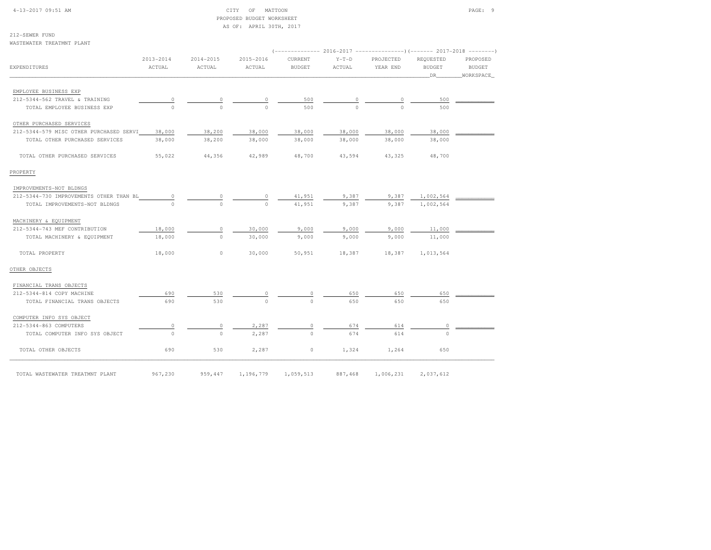| $4 - 13 - 2017$ 09:51 AM |  |
|--------------------------|--|
|                          |  |

### $CITY$  OF MATTOON PAGE: 9 PROPOSED BUDGET WORKSHEETAS OF: APRIL 30TH, 2017

| WASTEWATER TREATMNT PLANT               |                         |                         |                     |                                                                                         |                   |                       |                                         |                                        |
|-----------------------------------------|-------------------------|-------------------------|---------------------|-----------------------------------------------------------------------------------------|-------------------|-----------------------|-----------------------------------------|----------------------------------------|
| EXPENDITURES                            | $2013 - 2014$<br>ACTUAL | $2014 - 2015$<br>ACTUAL | 2015-2016<br>ACTUAL | $(----------2016-2017---------)$ $(-------2017-2018------)$<br>CURRENT<br><b>BUDGET</b> | $Y-T-D$<br>ACTUAL | PROJECTED<br>YEAR END | REQUESTED<br><b>BUDGET</b><br><b>DR</b> | PROPOSED<br><b>BUDGET</b><br>WORKSPACE |
| EMPLOYEE BUSINESS EXP                   |                         |                         |                     |                                                                                         |                   |                       |                                         |                                        |
| 212-5344-562 TRAVEL & TRAINING          | $\overline{0}$          | 0                       | $\circ$             | 500                                                                                     |                   | 0                     | 500                                     |                                        |
| TOTAL EMPLOYEE BUSINESS EXP             | $\Omega$                | $\Omega$                | $\cap$              | 500                                                                                     |                   | $\cap$                | 500                                     |                                        |
| OTHER PURCHASED SERVICES                |                         |                         |                     |                                                                                         |                   |                       |                                         |                                        |
| 212-5344-579 MISC OTHER PURCHASED SERVI | 38,000                  | 38,200                  | 38,000              | 38,000                                                                                  | 38,000            | 38,000                | 38,000                                  |                                        |
| TOTAL OTHER PURCHASED SERVICES          | 38,000                  | 38,200                  | 38,000              | 38,000                                                                                  | 38,000            | 38,000                | 38,000                                  |                                        |
| TOTAL OTHER PURCHASED SERVICES          | 55,022                  | 44,356                  | 42,989              | 48,700                                                                                  | 43,594            | 43,325                | 48,700                                  |                                        |
| PROPERTY                                |                         |                         |                     |                                                                                         |                   |                       |                                         |                                        |
| IMPROVEMENTS-NOT BLDNGS                 |                         |                         |                     |                                                                                         |                   |                       |                                         |                                        |
| 212-5344-730 IMPROVEMENTS OTHER THAN BL | 0                       | 0                       | $\circ$             | 41,951                                                                                  | 9,387             | 9,387                 | 1,002,564                               |                                        |
| TOTAL IMPROVEMENTS-NOT BLDNGS           | $\Omega$                | $\circ$                 | $\Omega$            | 41,951                                                                                  | 9,387             | 9,387                 | 1,002,564                               |                                        |
| MACHINERY & EQUIPMENT                   |                         |                         |                     |                                                                                         |                   |                       |                                         |                                        |
| 212-5344-743 MEF CONTRIBUTION           | 18,000                  | $\circ$                 | 30,000              | 9,000                                                                                   | 9,000             | 9,000                 | 11,000                                  |                                        |
| TOTAL MACHINERY & EQUIPMENT             | 18,000                  | $\circ$                 | 30,000              | 9,000                                                                                   | 9,000             | 9,000                 | 11,000                                  |                                        |
| TOTAL PROPERTY                          | 18,000                  | $\circ$                 | 30,000              | 50,951                                                                                  | 18,387            | 18,387                | 1,013,564                               |                                        |
| OTHER OBJECTS                           |                         |                         |                     |                                                                                         |                   |                       |                                         |                                        |
| FINANCIAL TRANS OBJECTS                 |                         |                         |                     |                                                                                         |                   |                       |                                         |                                        |
| 212-5344-814 COPY MACHINE               | 690                     | 530                     |                     |                                                                                         | 650               | 650                   | 650                                     |                                        |
| TOTAL FINANCIAL TRANS OBJECTS           | 690                     | 530                     | $\Omega$            | $\cap$                                                                                  | 650               | 650                   | 650                                     |                                        |
| COMPUTER INFO SYS OBJECT                |                         |                         |                     |                                                                                         |                   |                       |                                         |                                        |
| 212-5344-863 COMPUTERS                  | 0                       | 0                       | 2,287               | 0                                                                                       | 674               | 614                   | 0                                       |                                        |
| TOTAL COMPUTER INFO SYS OBJECT          | $\circ$                 | $\circ$                 | 2,287               | $\Omega$                                                                                | 674               | 614                   | $\bigcirc$                              |                                        |
| TOTAL OTHER OBJECTS                     | 690                     | 530                     | 2,287               | 0                                                                                       | 1,324             | 1,264                 | 650                                     |                                        |
| TOTAL WASTEWATER TREATMNT PLANT         | 967,230                 | 959,447                 | 1,196,779           | 1,059,513                                                                               | 887,468           | 1,006,231             | 2,037,612                               |                                        |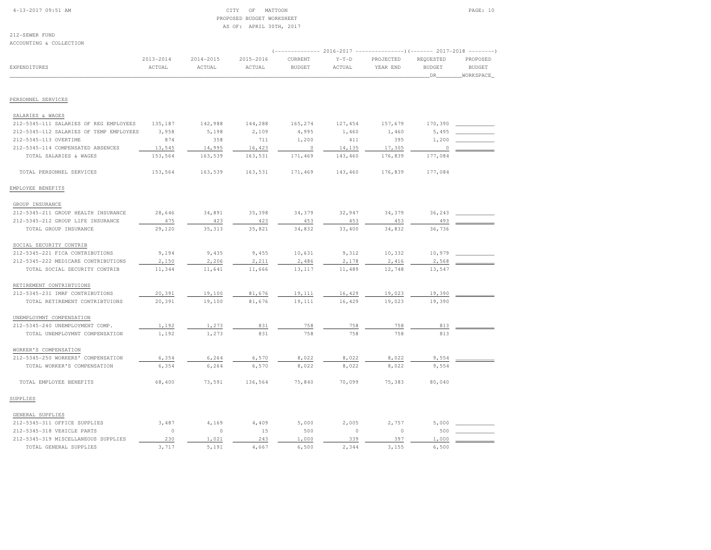# 4-13-2017 09:51 AM CITY OF MATTOON PAGE: 10 PROPOSED BUDGET WORKSHEETAS OF: APRIL 30TH, 2017

212-SEWER FUNDACCOUNTING & COLLECTION

| ACCOUNIING & COLLECIION                 |                         |                     |                     |                          |                   |                       |                                  | (------------- 2016-2017 ----------------) (------- 2017-2018 --------) |
|-----------------------------------------|-------------------------|---------------------|---------------------|--------------------------|-------------------|-----------------------|----------------------------------|-------------------------------------------------------------------------|
| EXPENDITURES                            | $2013 - 2014$<br>ACTUAL | 2014-2015<br>ACTUAL | 2015-2016<br>ACTUAL | CURRENT<br><b>BUDGET</b> | $Y-T-D$<br>ACTUAL | PROJECTED<br>YEAR END | REQUESTED<br><b>BUDGET</b><br>DR | PROPOSED<br><b>BUDGET</b><br>WORKSPACE                                  |
| PERSONNEL SERVICES                      |                         |                     |                     |                          |                   |                       |                                  |                                                                         |
|                                         |                         |                     |                     |                          |                   |                       |                                  |                                                                         |
| SALARIES & WAGES                        |                         |                     |                     |                          |                   |                       |                                  |                                                                         |
| 212-5345-111 SALARIES OF REG EMPLOYEES  | 135,187                 | 142,988             | 144,288             | 165,274                  | 127,454           | 157,679               | 170,390                          |                                                                         |
| 212-5345-112 SALARIES OF TEMP EMPLOYEES | 3,958                   | 5,198               | 2,109               | 4,995                    | 1,460             | 1,460                 | 5,495                            |                                                                         |
| 212-5345-113 OVERTIME                   | 874                     | 358                 | 711                 | 1,200                    | 411               | 395                   | 1,200                            |                                                                         |
| 212-5345-114 COMPENSATED ABSENCES       | 13,545                  | 14,995              | 16,423              | $\overline{0}$           | 14,135            | 17,305                | 0                                |                                                                         |
| TOTAL SALARIES & WAGES                  | 153,564                 | 163,539             | 163,531             | 171,469                  | 143,460           | 176,839               | 177,084                          |                                                                         |
| TOTAL PERSONNEL SERVICES                | 153,564                 | 163,539             | 163,531             | 171,469                  | 143,460           | 176,839               | 177,084                          |                                                                         |
| EMPLOYEE BENEFITS                       |                         |                     |                     |                          |                   |                       |                                  |                                                                         |
| GROUP INSURANCE                         |                         |                     |                     |                          |                   |                       |                                  |                                                                         |
| 212-5345-211 GROUP HEALTH INSURANCE     | 28,646                  | 34,891              | 35,398              | 34,379                   | 32,947            | 34,379                | 36,243                           |                                                                         |
| 212-5345-212 GROUP LIFE INSURANCE       | 475                     | 423                 | 423                 | 453                      | 453               | 453                   | 493                              |                                                                         |
| TOTAL GROUP INSURANCE                   | 29,120                  | 35, 313             | 35,821              | 34,832                   | 33,400            | 34,832                | 36,736                           |                                                                         |
| SOCIAL SECURITY CONTRIB                 |                         |                     |                     |                          |                   |                       |                                  |                                                                         |
| 212-5345-221 FICA CONTRIBUTIONS         | 9,194                   | 9,435               | 9,455               | 10,631                   | 9,312             | 10,332                | 10,979                           |                                                                         |
| 212-5345-222 MEDICARE CONTRIBUTIONS     | 2,150                   | 2,206               | 2,211               | 2,486                    | 2,178             | 2,416                 | 2,568                            |                                                                         |
| TOTAL SOCIAL SECURITY CONTRIB           | 11,344                  | 11,641              | 11,666              | 13,117                   | 11,489            | 12,748                | 13,547                           |                                                                         |
| RETIREMENT CONTRIBTUIONS                |                         |                     |                     |                          |                   |                       |                                  |                                                                         |
| 212-5345-231 IMRF CONTRIBUTIONS         | 20,391                  | 19,100              | 81,676              | 19,111                   | 16,429            | 19,023                | 19,390                           |                                                                         |
| TOTAL RETIREMENT CONTRIBTUIONS          | 20,391                  | 19,100              | 81,676              | 19,111                   | 16,429            | 19,023                | 19,390                           |                                                                         |
| UNEMPLOYMNT COMPENSATION                |                         |                     |                     |                          |                   |                       |                                  |                                                                         |
| 212-5345-240 UNEMPLOYMENT COMP.         | 1,192                   | 1,273               | 831                 | 758                      | 758               | 758                   | 813                              |                                                                         |
| TOTAL UNEMPLOYMNT COMPENSATION          | 1,192                   | 1,273               | 831                 | 758                      | 758               | 758                   | 813                              |                                                                         |
| WORKER'S COMPENSATION                   |                         |                     |                     |                          |                   |                       |                                  |                                                                         |
| 212-5345-250 WORKERS' COMPENSATION      | 6,354                   | 6,264               | 6,570               | 8,022                    | 8,022             | 8,022                 | 9,554                            |                                                                         |
| TOTAL WORKER'S COMPENSATION             | 6,354                   | 6,264               | 6,570               | 8,022                    | 8,022             | 8,022                 | 9,554                            |                                                                         |
| TOTAL EMPLOYEE BENEFITS                 | 68,400                  | 73,591              | 136,564             | 75,840                   | 70,099            | 75,383                | 80,040                           |                                                                         |
| SUPPLIES                                |                         |                     |                     |                          |                   |                       |                                  |                                                                         |
| GENERAL SUPPLIES                        |                         |                     |                     |                          |                   |                       |                                  |                                                                         |
| 212-5345-311 OFFICE SUPPLIES            | 3,487                   | 4,169               | 4,409               | 5,000                    | 2,005             | 2,757                 | 5,000                            |                                                                         |
| 212-5345-318 VEHICLE PARTS              | $\circ$                 | $\circ$             | 15                  | 500                      | $\circ$           | $\circ$               | 500                              |                                                                         |
| 212-5345-319 MISCELLANEOUS SUPPLIES     | 230                     | 1,021               | 243                 | 1,000                    | 339               | 397                   | 1,000                            |                                                                         |
| TOTAL GENERAL SUPPLIES                  | 3,717                   | 5,191               | 4.667               | 6,500                    | 2,344             | 3,155                 | 6,500                            |                                                                         |
|                                         |                         |                     |                     |                          |                   |                       |                                  |                                                                         |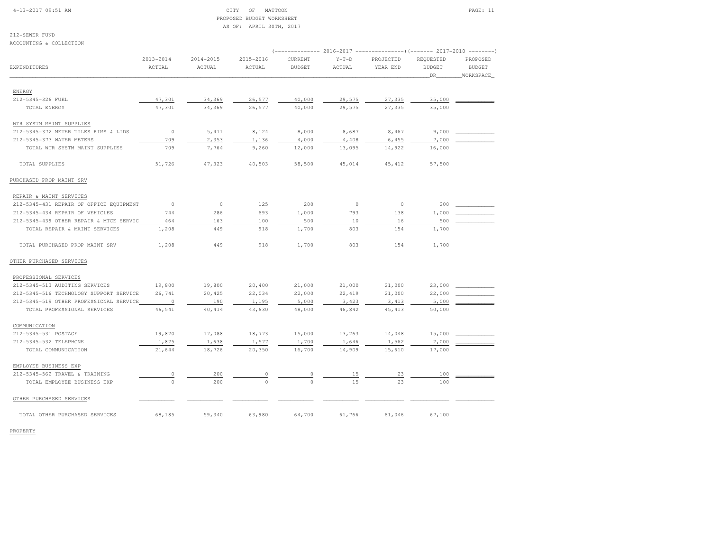### 4-13-2017 09:51 AM CITY OF MATTOON PAGE: 11 PROPOSED BUDGET WORKSHEETAS OF: APRIL 30TH, 2017

212-SEWER FUND

| ACCOUNTING & COLLECTION                 |               |               |               |                |         |                                                                        |               |               |
|-----------------------------------------|---------------|---------------|---------------|----------------|---------|------------------------------------------------------------------------|---------------|---------------|
|                                         |               |               |               |                |         | (------------- 2016-2017 ----------------) (------- 2017-2018 -------- |               |               |
|                                         | $2013 - 2014$ | $2014 - 2015$ | $2015 - 2016$ | <b>CURRENT</b> | $Y-T-D$ | PROJECTED                                                              | REQUESTED     | PROPOSED      |
| EXPENDITURES                            | ACTUAL        | ACTUAL        | ACTUAL        | <b>BUDGET</b>  | ACTUAL  | YEAR END                                                               | <b>BUDGET</b> | <b>BUDGET</b> |
|                                         |               |               |               |                |         |                                                                        | DR            | WORKSPACE     |
|                                         |               |               |               |                |         |                                                                        |               |               |
| ENERGY                                  |               |               |               |                |         |                                                                        |               |               |
| 212-5345-326 FUEL                       | 47,301        | 34,369        | 26,577        | 40,000         | 29,575  | 27,335                                                                 | 35,000        |               |
| TOTAL ENERGY                            | 47,301        | 34,369        | 26,577        | 40,000         | 29,575  | 27,335                                                                 | 35,000        |               |
| WTR SYSTM MAINT SUPPLIES                |               |               |               |                |         |                                                                        |               |               |
| 212-5345-372 METER TILES RIMS & LIDS    | $\circ$       | 5,411         | 8,124         | 8,000          | 8,687   | 8,467                                                                  | 9,000         |               |
| 212-5345-373 WATER METERS               | 709           | 2,353         | 1,136         | 4,000          | 4,408   | 6,455                                                                  | 7,000         |               |
| TOTAL WTR SYSTM MAINT SUPPLIES          | 709           | 7,764         | 9,260         | 12,000         | 13,095  | 14,922                                                                 | 16,000        |               |
| TOTAL SUPPLIES                          | 51,726        | 47,323        | 40,503        | 58,500         | 45,014  | 45, 412                                                                | 57,500        |               |
| PURCHASED PROP MAINT SRV                |               |               |               |                |         |                                                                        |               |               |
| REPAIR & MAINT SERVICES                 |               |               |               |                |         |                                                                        |               |               |
| 212-5345-431 REPAIR OF OFFICE EQUIPMENT | $\circ$       | $\circ$       | 125           | 200            | $\circ$ | $\circ$                                                                | 200           |               |
| 212-5345-434 REPAIR OF VEHICLES         | 744           | 286           | 693           | 1,000          | 793     | 138                                                                    | 1,000         |               |
| 212-5345-439 OTHER REPAIR & MTCE SERVIC | 464           | 163           | 100           | 500            | 10      | 16                                                                     | 500           |               |
| TOTAL REPAIR & MAINT SERVICES           | 1,208         | 449           | 918           | 1,700          | 803     | 154                                                                    | 1,700         |               |
| TOTAL PURCHASED PROP MAINT SRV          | 1,208         | 449           | 918           | 1,700          | 803     | 154                                                                    | 1,700         |               |
| OTHER PURCHASED SERVICES                |               |               |               |                |         |                                                                        |               |               |
| PROFESSIONAL SERVICES                   |               |               |               |                |         |                                                                        |               |               |
| 212-5345-513 AUDITING SERVICES          | 19,800        | 19,800        | 20,400        | 21,000         | 21,000  | 21,000                                                                 | 23,000        |               |
| 212-5345-516 TECHNOLOGY SUPPORT SERVICE | 26,741        | 20,425        | 22,034        | 22,000         | 22,419  | 21,000                                                                 | 22,000        |               |
| 212-5345-519 OTHER PROFESSIONAL SERVICE | $\circ$       | 190           | 1,195         | 5,000          | 3,423   | 3,413                                                                  | 5,000         |               |
| TOTAL PROFESSIONAL SERVICES             | 46,541        | 40, 414       | 43,630        | 48,000         | 46,842  | 45, 413                                                                | 50,000        |               |
| COMMUNICATION                           |               |               |               |                |         |                                                                        |               |               |
| 212-5345-531 POSTAGE                    | 19,820        | 17,088        | 18,773        | 15,000         | 13,263  | 14,048                                                                 | 15,000        |               |
| 212-5345-532 TELEPHONE                  | 1,825         | 1,638         | 1,577         | 1,700          | 1,646   | 1,562                                                                  | 2,000         |               |
| TOTAL COMMUNICATION                     | 21,644        | 18,726        | 20,350        | 16,700         | 14,909  | 15,610                                                                 | 17,000        |               |
|                                         |               |               |               |                |         |                                                                        |               |               |
| EMPLOYEE BUSINESS EXP                   |               |               |               |                |         |                                                                        |               |               |
| 212-5345-562 TRAVEL & TRAINING          | $\circ$       | 200           | $\circ$       | $\Omega$       | 15      | 23                                                                     | 100           |               |
| TOTAL EMPLOYEE BUSINESS EXP             | $\circ$       | 200           | $\Omega$      | $\Omega$       | 1.5     | 23                                                                     | 100           |               |
| OTHER PURCHASED SERVICES                |               |               |               |                |         |                                                                        |               |               |
| TOTAL OTHER PURCHASED SERVICES          | 68,185        | 59,340        | 63,980        | 64,700         | 61,766  | 61,046                                                                 | 67,100        |               |

PROPERTY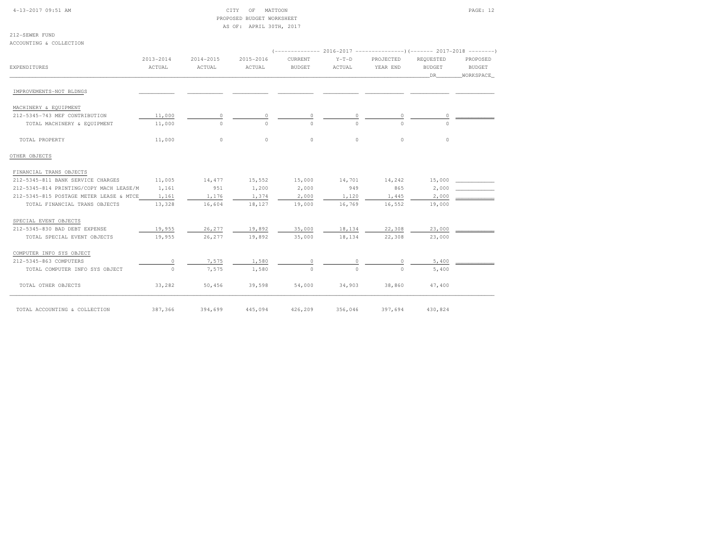| 4-13-2017 09:51 AM |  |
|--------------------|--|
|                    |  |

# CITY OF MATTOON **PAGE: 12**  PROPOSED BUDGET WORKSHEETAS OF: APRIL 30TH, 2017

| 212-SEWER FUND                          |           |           |           |                |          |                                                             |               |               |
|-----------------------------------------|-----------|-----------|-----------|----------------|----------|-------------------------------------------------------------|---------------|---------------|
| ACCOUNTING & COLLECTION                 |           |           |           |                |          |                                                             |               |               |
|                                         |           |           |           |                |          | $(----------2016-2017------------)$ $(----2017-2018------)$ |               |               |
|                                         | 2013-2014 | 2014-2015 | 2015-2016 | <b>CURRENT</b> | $Y-T-D$  | PROJECTED                                                   | REQUESTED     | PROPOSED      |
| EXPENDITURES                            | ACTUAL    | ACTUAL    | ACTUAL    | <b>BUDGET</b>  | ACTUAL   | YEAR END                                                    | <b>BUDGET</b> | <b>BUDGET</b> |
|                                         |           |           |           |                |          |                                                             | DR .          | WORKSPACE     |
| IMPROVEMENTS-NOT BLDNGS                 |           |           |           |                |          |                                                             |               |               |
| MACHINERY & EQUIPMENT                   |           |           |           |                |          |                                                             |               |               |
| 212-5345-743 MEF CONTRIBUTION           | 11,000    | $\circ$   | $\circ$   | 0              | $\circ$  | 0                                                           | $\circ$       |               |
| TOTAL MACHINERY & EQUIPMENT             | 11,000    | $\Omega$  | $\Omega$  | $\Omega$       | $\Omega$ | $\cap$                                                      | $\Omega$      |               |
| TOTAL PROPERTY                          | 11,000    | $\circ$   | $\circ$   | $\circ$        | $\circ$  | $\circ$                                                     | $\circ$       |               |
| OTHER OBJECTS                           |           |           |           |                |          |                                                             |               |               |
| FINANCIAL TRANS OBJECTS                 |           |           |           |                |          |                                                             |               |               |
| 212-5345-811 BANK SERVICE CHARGES       | 11,005    | 14,477    | 15,552    | 15,000         | 14,701   | 14,242                                                      | 15,000        |               |
| 212-5345-814 PRINTING/COPY MACH LEASE/M | 1,161     | 951       | 1,200     | 2,000          | 949      | 865                                                         | 2,000         |               |
| 212-5345-815 POSTAGE METER LEASE & MTCE | 1,161     | 1,176     | 1,374     | 2,000          | 1,120    | 1,445                                                       | 2,000         |               |
| TOTAL FINANCIAL TRANS OBJECTS           | 13,328    | 16,604    | 18,127    | 19,000         | 16,769   | 16,552                                                      | 19,000        |               |
| SPECIAL EVENT OBJECTS                   |           |           |           |                |          |                                                             |               |               |
| 212-5345-830 BAD DEBT EXPENSE           | 19,955    | 26,277    | 19,892    | 35,000         | 18,134   | 22,308                                                      | 23,000        |               |
| TOTAL SPECIAL EVENT OBJECTS             | 19,955    | 26,277    | 19,892    | 35,000         | 18,134   | 22,308                                                      | 23,000        |               |
| COMPUTER INFO SYS OBJECT                |           |           |           |                |          |                                                             |               |               |
| 212-5345-863 COMPUTERS                  | $\circ$   | 7,575     | 1,580     | $\circ$        | $\circ$  | $\circ$                                                     | 5,400         |               |
| TOTAL COMPUTER INFO SYS OBJECT          | $\circ$   | 7,575     | 1,580     | $\Omega$       | $\Omega$ | $\Omega$                                                    | 5,400         |               |
| TOTAL OTHER OBJECTS                     | 33,282    | 50,456    | 39,598    | 54,000         | 34,903   | 38,860                                                      | 47,400        |               |
| TOTAL ACCOUNTING & COLLECTION           | 387,366   | 394,699   | 445,094   | 426,209        | 356,046  | 397,694                                                     | 430,824       |               |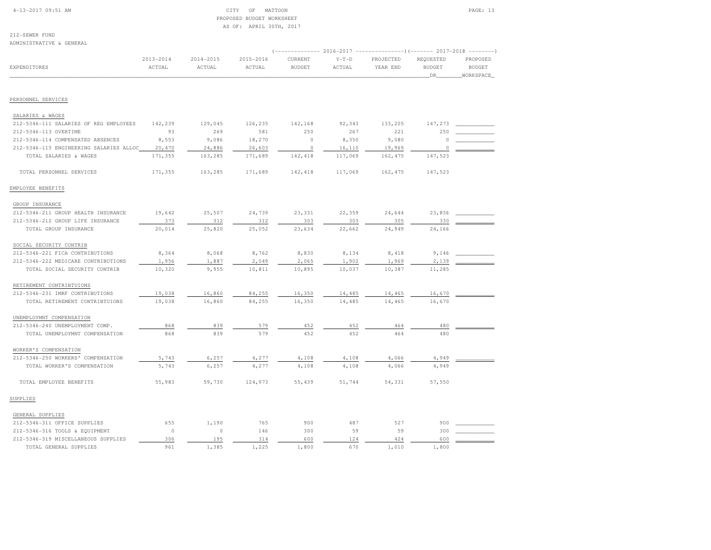# 4-13-2017 09:51 AM CITY OF MATTOON PAGE: 13 PROPOSED BUDGET WORKSHEETAS OF: APRIL 30TH, 2017

| ADMINISTRATIVE & GENERAL                |                     |                     |                     |                          |                   |                       |                                    |                                         |
|-----------------------------------------|---------------------|---------------------|---------------------|--------------------------|-------------------|-----------------------|------------------------------------|-----------------------------------------|
| EXPENDITURES                            | 2013-2014<br>ACTUAL | 2014-2015<br>ACTUAL | 2015-2016<br>ACTUAL | CURRENT<br><b>BUDGET</b> | $Y-T-D$<br>ACTUAL | PROJECTED<br>YEAR END | REQUESTED<br><b>BUDGET</b><br>_DR_ | PROPOSED<br><b>BUDGET</b><br>_WORKSPACE |
|                                         |                     |                     |                     |                          |                   |                       |                                    |                                         |
| PERSONNEL SERVICES                      |                     |                     |                     |                          |                   |                       |                                    |                                         |
| SALARIES & WAGES                        |                     |                     |                     |                          |                   |                       |                                    |                                         |
| 212-5346-111 SALARIES OF REG EMPLOYEES  | 142,239             | 129,045             | 126,235             | 142,168                  | 92,343            | 133,205               | 147,273                            |                                         |
| 212-5346-113 OVERTIME                   | 93                  | 269                 | 581                 | 250                      | 267               | 221                   | 250                                |                                         |
| 212-5346-114 COMPENSATED ABSENCES       | 8,553               | 9,086               | 18,270              | $\circ$                  | 8,350             | 9,080                 | $\Omega$                           |                                         |
| 212-5346-115 ENGINEERING SALARIES ALLOC | 20,470              | 24,886              | 26,603              | $\circ$                  | 16,110            | 19,969                | $\circ$                            |                                         |
| TOTAL SALARIES & WAGES                  | 171,355             | 163,285             | 171,689             | 142,418                  | 117,069           | 162, 475              | 147,523                            |                                         |
| TOTAL PERSONNEL SERVICES                | 171,355             | 163,285             | 171,689             | 142,418                  | 117,069           | 162,475               | 147,523                            |                                         |
| EMPLOYEE BENEFITS                       |                     |                     |                     |                          |                   |                       |                                    |                                         |
| GROUP INSURANCE                         |                     |                     |                     |                          |                   |                       |                                    |                                         |
| 212-5346-211 GROUP HEALTH INSURANCE     | 19,642              | 25,507              | 24,739              | 23,331                   | 22,359            | 24,644                | 23,836                             |                                         |
| 212-5346-212 GROUP LIFE INSURANCE       | 373                 | 312                 | 312                 | 303                      | 303               | 305                   | 330                                |                                         |
| TOTAL GROUP INSURANCE                   | 20,014              | 25,820              | 25,052              | 23,634                   | 22,662            | 24,949                | 24,166                             |                                         |
| SOCIAL SECURITY CONTRIB                 |                     |                     |                     |                          |                   |                       |                                    |                                         |
| 212-5346-221 FICA CONTRIBUTIONS         | 8,364               | 8,068               | 8,762               | 8,830                    | 8,134             | 8,418                 | 9,146                              |                                         |
| 212-5346-222 MEDICARE CONTRIBUTIONS     | 1,956               | 1,887               | 2,049               | 2,065                    | 1,902             | 1,969                 | 2,139                              |                                         |
| TOTAL SOCIAL SECURITY CONTRIB           | 10,320              | 9,955               | 10,811              | 10,895                   | 10,037            | 10,387                | 11,285                             |                                         |
| RETIREMENT CONTRIBTUIONS                |                     |                     |                     |                          |                   |                       |                                    |                                         |
| 212-5346-231 IMRF CONTRIBUTIONS         | 19,038              | 16,860              | 84,255              | 16,350                   | 14,485            | 14,465                | 16,670                             |                                         |
| TOTAL RETIREMENT CONTRIBTUIONS          | 19,038              | 16,860              | 84,255              | 16,350                   | 14,485            | 14,465                | 16,670                             |                                         |
| UNEMPLOYMNT COMPENSATION                |                     |                     |                     |                          |                   |                       |                                    |                                         |
| 212-5346-240 UNEMPLOYMENT COMP.         | 868                 | 839                 | 579                 | 452                      | 452               | 464                   | 480                                |                                         |
| TOTAL UNEMPLOYMNT COMPENSATION          | 868                 | 839                 | 579                 | 452                      | 452               | 464                   | 480                                |                                         |
| WORKER'S COMPENSATION                   |                     |                     |                     |                          |                   |                       |                                    |                                         |
| 212-5346-250 WORKERS' COMPENSATION      | 5,743               | 6,257               | 4,277               | 4,108                    | 4,108             | 4,066                 | 4,949                              |                                         |
| TOTAL WORKER'S COMPENSATION             | 5,743               | 6,257               | 4,277               | 4,108                    | 4,108             | 4,066                 | 4,949                              |                                         |
| TOTAL EMPLOYEE BENEFITS                 | 55,983              | 59,730              | 124,973             | 55,439                   | 51,744            | 54,331                | 57,550                             |                                         |
| SUPPLIES                                |                     |                     |                     |                          |                   |                       |                                    |                                         |
| GENERAL SUPPLIES                        |                     |                     |                     |                          |                   |                       |                                    |                                         |
| 212-5346-311 OFFICE SUPPLIES            | 655                 | 1,190               | 765                 | 900                      | 487               | 527                   | 900                                |                                         |
| 212-5346-316 TOOLS & EQUIPMENT          | $\circ$             | $\circ$             | 146                 | 300                      | 59                | 59                    | 300                                |                                         |
| 212-5346-319 MISCELLANEOUS SUPPLIES     | 306                 | 195                 | 314                 | 600                      | 124               | 424                   | 600                                |                                         |
| TOTAL GENERAL SUPPLIES                  | 961                 | 1,385               | 1,225               | 1,800                    | 670               | 1,010                 | 1,800                              |                                         |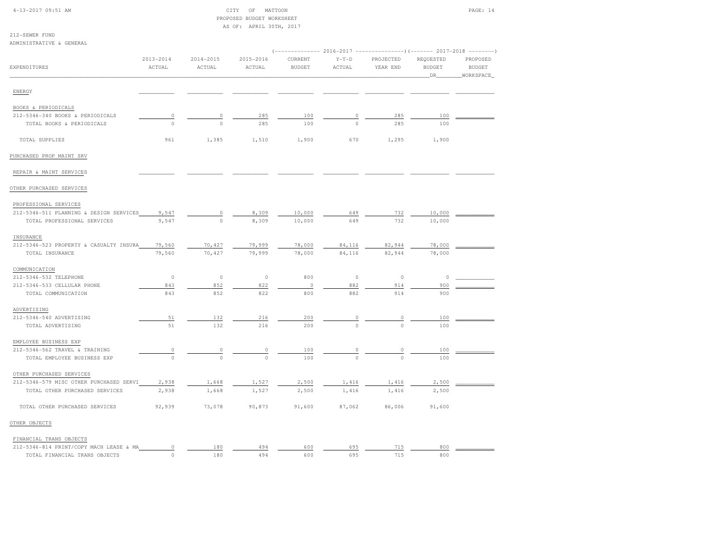| 4-13-2017 09:51 AM |  |  |
|--------------------|--|--|
|--------------------|--|--|

# CITY OF MATTOON PAGE: 14 PROPOSED BUDGET WORKSHEETAS OF: APRIL 30TH, 2017

| 212-SEWER FUND                          |                     |                     | $\sim$ $\sim$ $\sim$<br>$\cdots$ |                                                                   |                   |                       |                                   |                                        |
|-----------------------------------------|---------------------|---------------------|----------------------------------|-------------------------------------------------------------------|-------------------|-----------------------|-----------------------------------|----------------------------------------|
| ADMINISTRATIVE & GENERAL                |                     |                     |                                  |                                                                   |                   |                       |                                   |                                        |
|                                         |                     |                     |                                  | $(----------2016-2017$ ---------------) $(----2017-2018$ -------) |                   |                       |                                   |                                        |
| EXPENDITURES                            | 2013-2014<br>ACTUAL | 2014-2015<br>ACTUAL | 2015-2016<br>ACTUAL              | CURRENT<br><b>BUDGET</b>                                          | $Y-T-D$<br>ACTUAL | PROJECTED<br>YEAR END | REQUESTED<br><b>BUDGET</b><br>DR. | PROPOSED<br><b>BUDGET</b><br>WORKSPACE |
| ENERGY                                  |                     |                     |                                  |                                                                   |                   |                       |                                   |                                        |
| BOOKS & PERIODICALS                     |                     |                     |                                  |                                                                   |                   |                       |                                   |                                        |
| 212-5346-340 BOOKS & PERIODICALS        | $\mathbb O$         | 0                   | 285                              | 100                                                               | 0                 | 285                   | 100                               |                                        |
| TOTAL BOOKS & PERIODICALS               | $\circ$             | $\circ$             | 285                              | 100                                                               | $\circ$           | 285                   | 100                               |                                        |
| TOTAL SUPPLIES                          | 961                 | 1,385               | 1,510                            | 1,900                                                             | 670               | 1,295                 | 1,900                             |                                        |
| PURCHASED PROP MAINT SRV                |                     |                     |                                  |                                                                   |                   |                       |                                   |                                        |
|                                         |                     |                     |                                  |                                                                   |                   |                       |                                   |                                        |
| REPAIR & MAINT SERVICES                 |                     |                     |                                  |                                                                   |                   |                       |                                   |                                        |
| OTHER PURCHASED SERVICES                |                     |                     |                                  |                                                                   |                   |                       |                                   |                                        |
| PROFESSIONAL SERVICES                   |                     |                     |                                  |                                                                   |                   |                       |                                   |                                        |
| 212-5346-511 PLANNING & DESIGN SERVICES | 9,547               | 0                   | 8,309                            | 10,000                                                            | 649               | 732                   | 10,000                            |                                        |
| TOTAL PROFESSIONAL SERVICES             | 9,547               | $\circ$             | 8,309                            | 10,000                                                            | 649               | 732                   | 10,000                            |                                        |
| INSURANCE                               |                     |                     |                                  |                                                                   |                   |                       |                                   |                                        |
| 212-5346-523 PROPERTY & CASUALTY INSURA | 79,560              | 70,427              | 79,999                           | 78,000                                                            | 84,116            | 82,944                | 78,000                            |                                        |
| TOTAL INSURANCE                         | 79,560              | 70,427              | 79,999                           | 78,000                                                            | 84,116            | 82,944                | 78,000                            |                                        |
| COMMUNICATION                           |                     |                     |                                  |                                                                   |                   |                       |                                   |                                        |
| 212-5346-532 TELEPHONE                  | $\circ$             | $\circ$             | $\circ$                          | 800                                                               | $\circ$           | $\circ$               | 0                                 |                                        |
| 212-5346-533 CELLULAR PHONE             | 843                 | 852                 | 822                              | $\circ$                                                           | 882               | 914                   | 900                               |                                        |
| TOTAL COMMUNICATION                     | 843                 | 852                 | 822                              | 800                                                               | 882               | 914                   | 900                               |                                        |
| ADVERTISING                             |                     |                     |                                  |                                                                   |                   |                       |                                   |                                        |
| 212-5346-540 ADVERTISING                | 51                  | 132                 | 216                              | 200                                                               | 0                 | $\circ$               | 100                               |                                        |
| TOTAL ADVERTISING                       | $5\,1$              | 132                 | 216                              | 200                                                               | $\Omega$          | $\Omega$              | 100                               |                                        |
| EMPLOYEE BUSINESS EXP                   |                     |                     |                                  |                                                                   |                   |                       |                                   |                                        |
| 212-5346-562 TRAVEL & TRAINING          | $\overline{0}$      | 0                   | $\circ$                          | 100                                                               | 0                 | $\mathbb O$           | 100                               |                                        |
| TOTAL EMPLOYEE BUSINESS EXP             | $\Omega$            | $\Omega$            | $\Omega$                         | 100                                                               | $\Omega$          | $\Omega$              | 100                               |                                        |
| OTHER PURCHASED SERVICES                |                     |                     |                                  |                                                                   |                   |                       |                                   |                                        |
| 212-5346-579 MISC OTHER PURCHASED SERVI | 2,938               | 1,668               | 1,527                            | 2,500                                                             | 1,416             | 1,416                 | 2,500                             |                                        |
| TOTAL OTHER PURCHASED SERVICES          | 2,938               | 1,668               | 1,527                            | 2,500                                                             | 1,416             | 1,416                 | 2,500                             |                                        |
| TOTAL OTHER PURCHASED SERVICES          | 92,939              | 73,078              | 90,873                           | 91,600                                                            | 87,062            | 86,006                | 91,600                            |                                        |
| OTHER OBJECTS                           |                     |                     |                                  |                                                                   |                   |                       |                                   |                                        |
| FINANCIAL TRANS OBJECTS                 |                     |                     |                                  |                                                                   |                   |                       |                                   |                                        |
| 212-5346-814 PRINT/COPY MACH LEASE & MA | $\circ$             | 180                 | 494                              | 600                                                               | 695               | 715                   | 800                               |                                        |
| TOTAL FINANCIAL TRANS OBJECTS           | $\Omega$            | 180                 | 494                              | 600                                                               | 695               | 715                   | 800                               |                                        |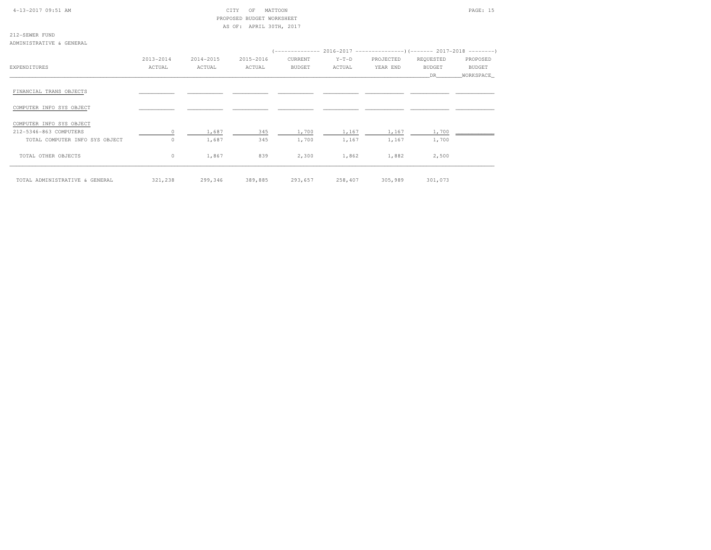### 4-13-2017 09:51 AM CITY OF MATTOON PAGE: 15 PROPOSED BUDGET WORKSHEETAS OF: APRIL 30TH, 2017

212-SEWER FUNDADMINISTRATIVE & GENERAL

|                                | 2013-2014 | 2014-2015 | 2015-2016 | CURRENT       | $Y-T-D$ | PROJECTED | REQUESTED     | PROPOSED  |
|--------------------------------|-----------|-----------|-----------|---------------|---------|-----------|---------------|-----------|
| EXPENDITURES                   | ACTUAL    | ACTUAL    | ACTUAL    | <b>BUDGET</b> | ACTUAL  | YEAR END  | <b>BUDGET</b> | BUDGET    |
|                                |           |           |           |               |         |           | DR            | WORKSPACE |
| FINANCIAL TRANS OBJECTS        |           |           |           |               |         |           |               |           |
| COMPUTER INFO SYS OBJECT       |           |           |           |               |         |           |               |           |
| COMPUTER INFO SYS OBJECT       |           |           |           |               |         |           |               |           |
| 212-5346-863 COMPUTERS         | $\Omega$  | 1,687     | 345       | 1,700         | 1,167   | 1,167     | 1,700         |           |
| TOTAL COMPUTER INFO SYS OBJECT | $\Omega$  | 1,687     | 345       | 1,700         | 1,167   | 1,167     | 1,700         |           |
| TOTAL OTHER OBJECTS            | $\circ$   | 1,867     | 839       | 2,300         | 1,862   | 1,882     | 2,500         |           |
| TOTAL ADMINISTRATIVE & GENERAL | 321,238   | 299,346   | 389,885   | 293,657       | 258,407 | 305,989   | 301,073       |           |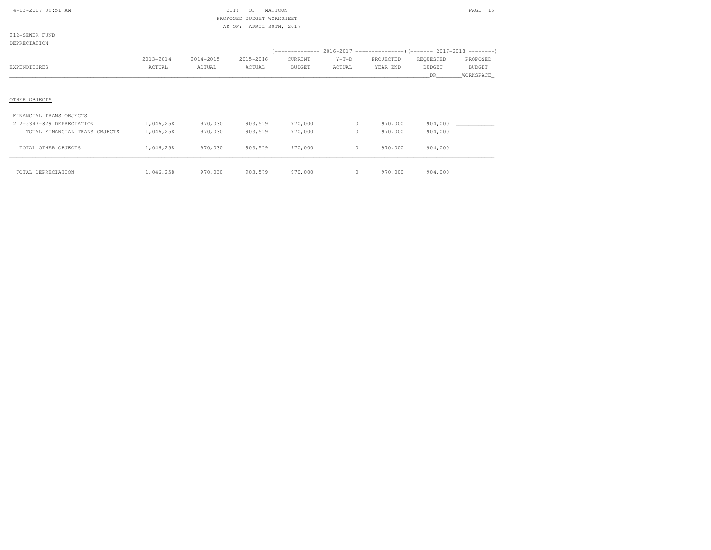|  |  | $4-13-2017$ 09:51 AM |  |
|--|--|----------------------|--|
|  |  |                      |  |

# $CITY$  OF MATTOON PAGE: 16 PROPOSED BUDGET WORKSHEETAS OF: APRIL 30TH, 2017

212-SEWER FUNDDEPRECIATION

| LE INSTRITTE ANN |           |           |           |         |         |                                                                                |               |               |
|------------------|-----------|-----------|-----------|---------|---------|--------------------------------------------------------------------------------|---------------|---------------|
|                  |           |           |           |         |         | (-------------- 2016-2017 -------------------- ) (------- 2017-2018 ---------' |               |               |
|                  | 2013-2014 | 2014-2015 | 2015-2016 | CURRENT | $Y-T-D$ | PROJECTED                                                                      | REQUESTED     | PROPOSED      |
| EXPENDITURES     | ACTUAL    | ACTUAL    | ACTUAL    | BUDGET  | ACTUAL  | YEAR END                                                                       | <b>BUDGET</b> | <b>BUDGET</b> |
|                  |           |           |           |         |         |                                                                                | DR.           | WORKSPACE     |
|                  |           |           |           |         |         |                                                                                |               |               |
|                  |           |           |           |         |         |                                                                                |               |               |
| OTHER OBJECTS    |           |           |           |         |         |                                                                                |               |               |

#### FINANCIAL TRANS OBJECTS

| 212-5347-829 DEPRECIATION     | 1,046,258 | 970,030 | 903,579 | 970,000 | 970,000 | 904,000 |  |
|-------------------------------|-----------|---------|---------|---------|---------|---------|--|
| TOTAL FINANCIAL TRANS OBJECTS | 1,046,258 | 970,030 | 903,579 | 970,000 | 970,000 | 904,000 |  |
|                               |           |         |         |         |         |         |  |
| TOTAL OTHER OBJECTS           | 1,046,258 | 970,030 | 903,579 | 970,000 | 970,000 | 904,000 |  |
|                               |           |         |         |         |         |         |  |
|                               |           |         |         |         |         |         |  |
| TOTAL DEPRECIATION            | 1,046,258 | 970,030 | 903,579 | 970,000 | 970,000 | 904,000 |  |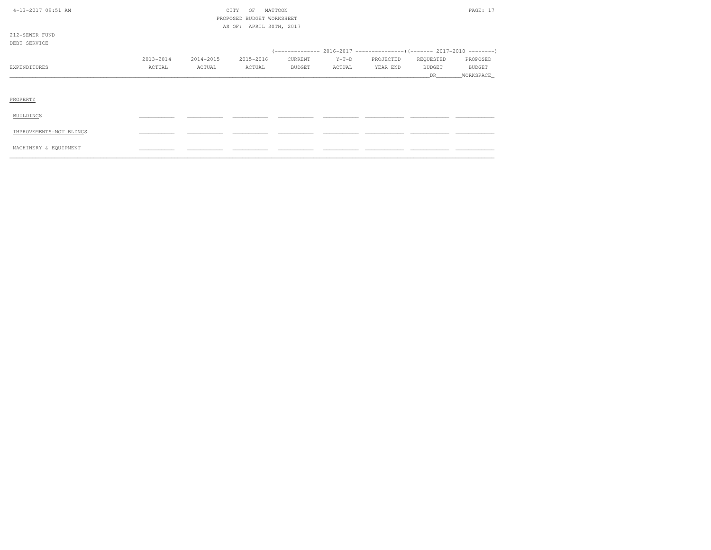| 4-13-2017 09:51 AM      |           |           | CITY<br>OF                | MATTOON       |         |           |               | PAGE: 17      |
|-------------------------|-----------|-----------|---------------------------|---------------|---------|-----------|---------------|---------------|
|                         |           |           | PROPOSED BUDGET WORKSHEET |               |         |           |               |               |
|                         |           |           | AS OF: APRIL 30TH, 2017   |               |         |           |               |               |
| 212-SEWER FUND          |           |           |                           |               |         |           |               |               |
| DEBT SERVICE            |           |           |                           |               |         |           |               |               |
|                         |           |           |                           |               |         |           |               |               |
|                         | 2013-2014 | 2014-2015 | 2015-2016                 | CURRENT       | $Y-T-D$ | PROJECTED | REQUESTED     | PROPOSED      |
| EXPENDITURES            | ACTUAL    | ACTUAL    | ACTUAL                    | <b>BUDGET</b> | ACTUAL  | YEAR END  | <b>BUDGET</b> | <b>BUDGET</b> |
|                         |           |           |                           |               |         |           | DR.           | WORKSPACE_    |
|                         |           |           |                           |               |         |           |               |               |
|                         |           |           |                           |               |         |           |               |               |
| PROPERTY                |           |           |                           |               |         |           |               |               |
|                         |           |           |                           |               |         |           |               |               |
| BUILDINGS               |           |           |                           |               |         |           |               |               |
|                         |           |           |                           |               |         |           |               |               |
| IMPROVEMENTS-NOT BLDNGS |           |           |                           |               |         |           |               |               |
|                         |           |           |                           |               |         |           |               |               |
| MACHINERY & EQUIPMENT   |           |           |                           |               |         |           |               |               |
|                         |           |           |                           |               |         |           |               |               |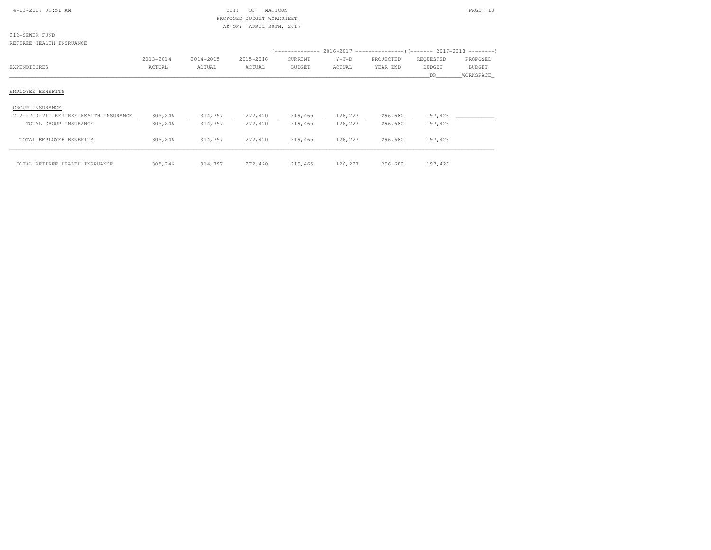| $4-13-2017$ 09:51 AM |  |
|----------------------|--|

# $\begin{array}{ccc} \text{CITY} & \text{OF} & \text{MATTOON} \end{array}$  PROPOSED BUDGET WORKSHEETAS OF: APRIL 30TH, 2017

212-SEWER FUNDRETIREE HEALTH INSRUANCE

| REIIREE MEALIM INGRUANCE              |           |           |           |               |         |                                                                        |               |               |
|---------------------------------------|-----------|-----------|-----------|---------------|---------|------------------------------------------------------------------------|---------------|---------------|
|                                       |           |           |           |               |         | (-------------- 2016-2017 --------------------- 2017-2018 ---------- ) |               |               |
|                                       | 2013-2014 | 2014-2015 | 2015-2016 | CURRENT       | $Y-T-D$ | PROJECTED                                                              | REQUESTED     | PROPOSED      |
| EXPENDITURES                          | ACTUAL    | ACTUAL    | ACTUAL    | <b>BUDGET</b> | ACTUAL  | YEAR END                                                               | <b>BUDGET</b> | <b>BUDGET</b> |
|                                       |           |           |           |               |         |                                                                        | DR.           | WORKSPACE     |
| EMPLOYEE BENEFITS                     |           |           |           |               |         |                                                                        |               |               |
| GROUP INSURANCE                       |           |           |           |               |         |                                                                        |               |               |
| 212-5710-211 RETIREE HEALTH INSURANCE | 305,246   | 314,797   | 272,420   | 219,465       | 126,227 | 296,680                                                                | 197,426       |               |
| TOTAL GROUP INSURANCE                 | 305,246   | 314,797   | 272,420   | 219,465       | 126,227 | 296,680                                                                | 197,426       |               |
| TOTAL EMPLOYEE BENEFITS               | 305,246   | 314,797   | 272,420   | 219,465       | 126,227 | 296,680                                                                | 197,426       |               |
|                                       |           |           |           |               |         |                                                                        |               |               |
| TOTAL RETIREE HEALTH INSRUANCE        | 305,246   | 314,797   | 272,420   | 219,465       | 126,227 | 296,680                                                                | 197,426       |               |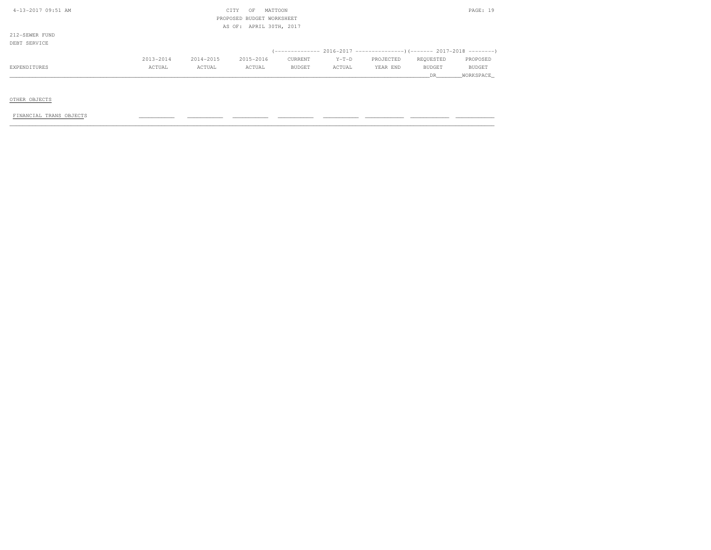| 4-13-2017 09:51 AM |           |           | CITY<br>OF                | MATTOON |         |           |           | PAGE: 19  |
|--------------------|-----------|-----------|---------------------------|---------|---------|-----------|-----------|-----------|
|                    |           |           | PROPOSED BUDGET WORKSHEET |         |         |           |           |           |
|                    |           |           | AS OF: APRIL 30TH, 2017   |         |         |           |           |           |
| 212-SEWER FUND     |           |           |                           |         |         |           |           |           |
| DEBT SERVICE       |           |           |                           |         |         |           |           |           |
|                    |           |           |                           |         |         |           |           |           |
|                    | 2013-2014 | 2014-2015 | 2015-2016                 | CURRENT | $Y-T-D$ | PROJECTED | REQUESTED | PROPOSED  |
| EXPENDITURES       | ACTUAL    | ACTUAL    | ACTUAL                    | BUDGET  | ACTUAL  | YEAR END  | BUDGET    | BUDGET    |
|                    |           |           |                           |         |         |           | DR        | WORKSPACE |
|                    |           |           |                           |         |         |           |           |           |

OTHER OBJECTS

 $FINANCIAL TRANS OBJECTS$  , and the condition of the condition  $\frac{1}{2}$  , and  $\frac{1}{2}$  ,  $\frac{1}{2}$  ,  $\frac{1}{2}$  ,  $\frac{1}{2}$  ,  $\frac{1}{2}$  ,  $\frac{1}{2}$  ,  $\frac{1}{2}$  ,  $\frac{1}{2}$  ,  $\frac{1}{2}$  ,  $\frac{1}{2}$  ,  $\frac{1}{2}$  ,  $\frac{1}{2}$  ,  $\frac{1}{2}$  ,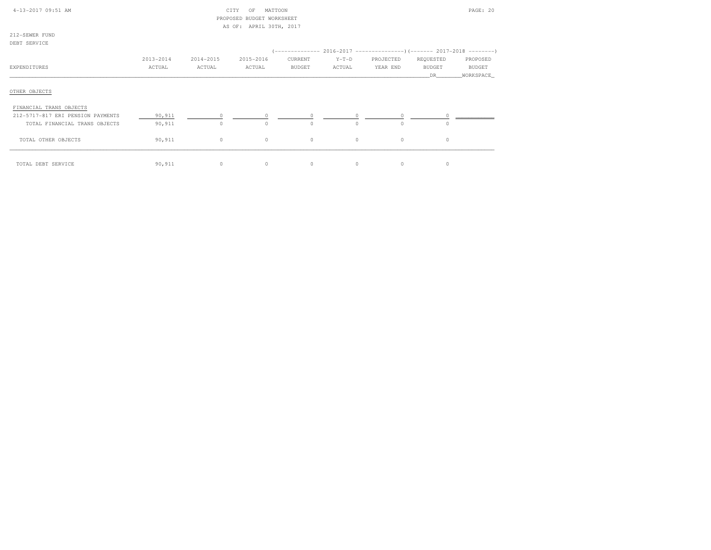| 4-13-2017 09:51 AM                       |           |           | MATTOON<br>CITY<br>OF<br>PROPOSED BUDGET WORKSHEET |               |          |           |           | PAGE: 20      |
|------------------------------------------|-----------|-----------|----------------------------------------------------|---------------|----------|-----------|-----------|---------------|
| 212-SEWER FUND                           |           |           | AS OF: APRIL 30TH, 2017                            |               |          |           |           |               |
| DEBT SERVICE                             |           |           |                                                    |               |          |           |           |               |
|                                          | 2013-2014 | 2014-2015 | 2015-2016                                          | CURRENT       | $Y-T-D$  | PROJECTED | REQUESTED | PROPOSED      |
| EXPENDITURES                             | ACTUAL    | ACTUAL    | ACTUAL                                             | <b>BUDGET</b> | ACTUAL   | YEAR END  | BUDGET    | <b>BUDGET</b> |
|                                          |           |           |                                                    |               |          |           | DR.       | WORKSPACE     |
| OTHER OBJECTS<br>FINANCIAL TRANS OBJECTS |           |           |                                                    |               |          |           |           |               |
| 212-5717-817 ERI PENSION PAYMENTS        | 90,911    |           |                                                    |               |          |           |           |               |
| TOTAL FINANCIAL TRANS OBJECTS            | 90,911    | $\circ$   | $\Omega$                                           | $\Omega$      | $\Omega$ | $\Omega$  | $\cap$    |               |
| TOTAL OTHER OBJECTS                      | 90,911    | $\circ$   | $\circ$                                            | $\circ$       | $\circ$  | $\circ$   | $\circ$   |               |
| TOTAL DEBT SERVICE                       | 90,911    | $\circ$   | $\circ$                                            | $\circ$       | $\circ$  | $\circ$   | $\circ$   |               |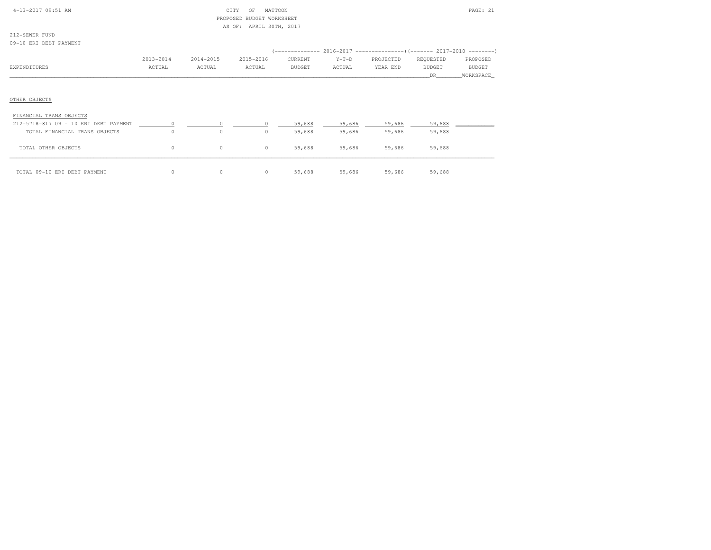| $4-13-2017$ 09:51 AM |  |
|----------------------|--|

# 4-13-21 CF MATTOON PAGE: 21 PROPOSED BUDGET WORKSHEETAS OF: APRIL 30TH, 2017

212-SEWER FUND09-10 ERI DEBT PAYMENT

| VV 1V DILI DODI LIILUILI |           |           |           |         |         |                                                                      |           |           |
|--------------------------|-----------|-----------|-----------|---------|---------|----------------------------------------------------------------------|-----------|-----------|
|                          |           |           |           |         |         | (-------------- 2016-2017 --------------------- 2017-2018 ---------- |           |           |
|                          | 2013-2014 | 2014-2015 | 2015-2016 | CURRENT | $Y-T-D$ | PROJECTED                                                            | REQUESTED | PROPOSED  |
| EXPENDITURES             | ACTUAL    | ACTUAL    | ACTUAL    | BUDGET  | ACTUAL  | YEAR END                                                             | BUDGET    | BUDGET    |
|                          |           |           |           |         |         |                                                                      | DR.       | WORKSPACE |
|                          |           |           |           |         |         |                                                                      |           |           |
|                          |           |           |           |         |         |                                                                      |           |           |
| OTHER OBJECTS            |           |           |           |         |         |                                                                      |           |           |
| FINANCIAL TRANS OBJECTS  |           |           |           |         |         |                                                                      |           |           |

| 212-5718-817 09 - 10 ERI DEBT PAYMENT |    |  | 59,688 | 59,686 | 59,686 | 59,688 |  |
|---------------------------------------|----|--|--------|--------|--------|--------|--|
| TOTAL FINANCIAL TRANS OBJECTS         | 0. |  | 59,688 | 59,686 | 59,686 | 59,688 |  |
| TOTAL OTHER OBJECTS                   | 0  |  | 59,688 | 59,686 | 59,686 | 59,688 |  |
| TOTAL 09-10 ERI DEBT PAYMENT          |    |  | 59,688 | 59,686 | 59,686 | 59,688 |  |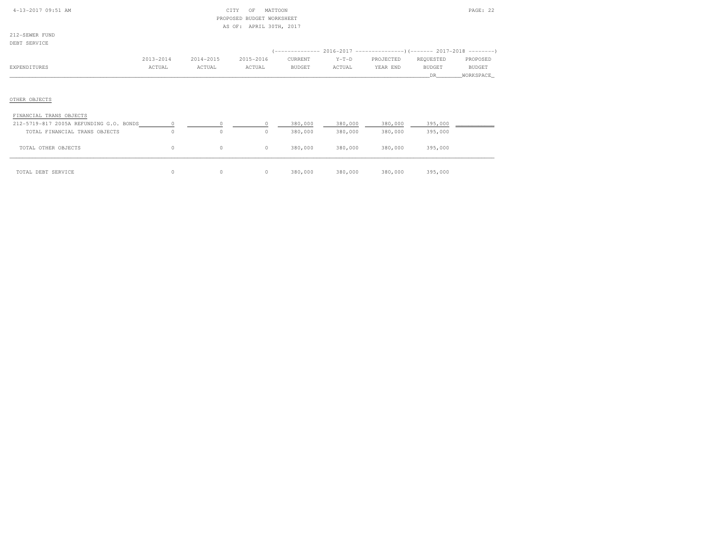| $4 - 13 - 2017$ 09:51 AM |  |  |
|--------------------------|--|--|

### 4-13-2017 OF MATTOON PAGE: 22 PROPOSED BUDGET WORKSHEETAS OF: APRIL 30TH, 2017

| DEBT SERVICE            |           |           |           |         |         |                                                                              |               |             |
|-------------------------|-----------|-----------|-----------|---------|---------|------------------------------------------------------------------------------|---------------|-------------|
|                         |           |           |           |         |         | (-------------- 2016-2017 -------------------) (------- 2017-2018 ---------) |               |             |
|                         | 2013-2014 | 2014-2015 | 2015-2016 | CURRENT | $Y-T-D$ | PROJECTED                                                                    | REQUESTED     | PROPOSED    |
| EXPENDITURES            | ACTUAL    | ACTUAL    | ACTUAL    | BUDGET  | ACTUAL  | YEAR END                                                                     | <b>BUDGET</b> | BUDGET      |
|                         |           |           |           |         |         |                                                                              | DR.           | _WORKSPACE_ |
|                         |           |           |           |         |         |                                                                              |               |             |
|                         |           |           |           |         |         |                                                                              |               |             |
| OTHER OBJECTS           |           |           |           |         |         |                                                                              |               |             |
| FINANCIAL TRANS OBJECTS |           |           |           |         |         |                                                                              |               |             |

| 212-5719-817 2005A REFUNDING G.O. BONDS |          |          |         | 380,000 | 380,000 | 380,000 | 395,000 |  |
|-----------------------------------------|----------|----------|---------|---------|---------|---------|---------|--|
| TOTAL FINANCIAL TRANS OBJECTS           | 0        | $\Omega$ | $\circ$ | 380,000 | 380,000 | 380,000 | 395,000 |  |
| TOTAL OTHER OBJECTS                     | $\Omega$ | $\Omega$ | $\circ$ | 380,000 | 380,000 | 380,000 | 395,000 |  |
|                                         |          |          |         |         |         |         |         |  |
| TOTAL DEBT SERVICE                      | $\Omega$ |          | $\circ$ | 380,000 | 380,000 | 380,000 | 395,000 |  |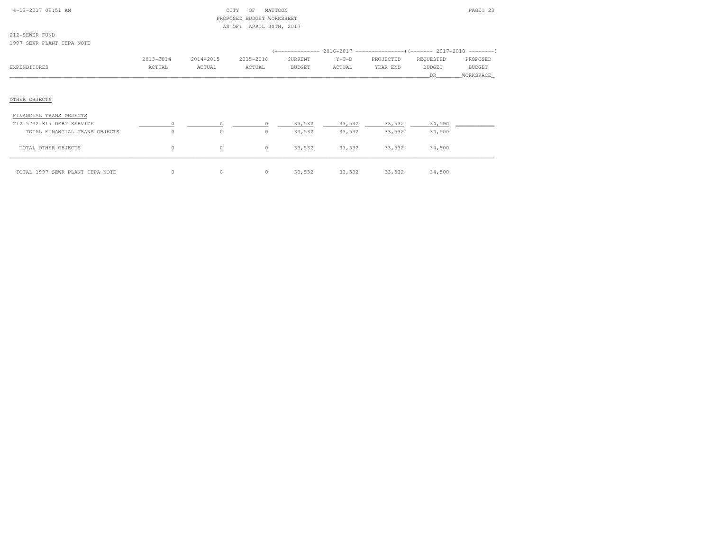| 4-13-2017 09:51 AM              |           |           | CITY<br>MATTOON<br>OF     |               |         |           |               | PAGE: 23      |
|---------------------------------|-----------|-----------|---------------------------|---------------|---------|-----------|---------------|---------------|
|                                 |           |           | PROPOSED BUDGET WORKSHEET |               |         |           |               |               |
|                                 |           |           | AS OF: APRIL 30TH, 2017   |               |         |           |               |               |
| 212-SEWER FUND                  |           |           |                           |               |         |           |               |               |
| 1997 SEWR PLANT IEPA NOTE       |           |           |                           |               |         |           |               |               |
|                                 |           |           |                           |               |         |           |               |               |
|                                 | 2013-2014 | 2014-2015 | 2015-2016                 | CURRENT       | $Y-T-D$ | PROJECTED | REQUESTED     | PROPOSED      |
| EXPENDITURES                    | ACTUAL    | ACTUAL    | ACTUAL                    | <b>BUDGET</b> | ACTUAL  | YEAR END  | <b>BUDGET</b> | <b>BUDGET</b> |
|                                 |           |           |                           |               |         |           | DR.           | _WORKSPACE_   |
|                                 |           |           |                           |               |         |           |               |               |
|                                 |           |           |                           |               |         |           |               |               |
| OTHER OBJECTS                   |           |           |                           |               |         |           |               |               |
|                                 |           |           |                           |               |         |           |               |               |
| FINANCIAL TRANS OBJECTS         |           |           |                           |               |         |           |               |               |
| 212-5732-817 DEBT SERVICE       |           |           |                           | 33,532        | 33,532  | 33,532    | 34,500        |               |
| TOTAL FINANCIAL TRANS OBJECTS   | $\circ$   | $\circ$   | $\circ$                   | 33,532        | 33,532  | 33,532    | 34,500        |               |
|                                 |           |           |                           |               |         |           |               |               |
| TOTAL OTHER OBJECTS             | 0         | $\circ$   | $\circ$                   | 33,532        | 33,532  | 33,532    | 34,500        |               |
|                                 |           |           |                           |               |         |           |               |               |
|                                 |           |           |                           |               |         |           |               |               |
| TOTAL 1997 SEWR PLANT IEPA NOTE | 0         | $\circ$   | $\circ$                   | 33,532        | 33,532  | 33,532    | 34,500        |               |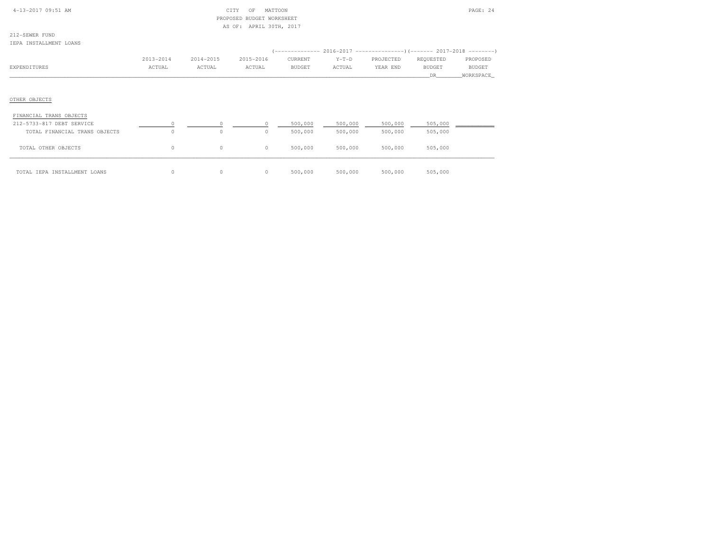| 4-13-2017 09:51 AM                       |           | PROPOSED  | CITY<br>MATTOON<br>OF<br>BUDGET WORKSHEET |               |         |           |                      | PAGE: 24                   |
|------------------------------------------|-----------|-----------|-------------------------------------------|---------------|---------|-----------|----------------------|----------------------------|
| 212-SEWER FUND<br>IEPA INSTALLMENT LOANS |           |           | AS OF: APRIL 30TH, 2017                   |               |         |           |                      |                            |
|                                          | 2013-2014 | 2014-2015 | 2015-2016                                 | CURRENT       | $Y-T-D$ | PROJECTED | REQUESTED            | PROPOSED                   |
| EXPENDITURES                             | ACTUAL    | ACTUAL    | ACTUAL                                    | <b>BUDGET</b> | ACTUAL  | YEAR END  | <b>BUDGET</b><br>DR. | <b>BUDGET</b><br>WORKSPACE |
| OTHER OBJECTS                            |           |           |                                           |               |         |           |                      |                            |
| FINANCIAL TRANS OBJECTS                  |           |           |                                           |               |         |           |                      |                            |
| 212-5733-817 DEBT SERVICE                | $\Omega$  | $\Omega$  | 0                                         | 500,000       | 500,000 | 500,000   | 505,000              |                            |
| TOTAL FINANCIAL TRANS OBJECTS            | $\circ$   | $\circ$   | $\circ$                                   | 500,000       | 500,000 | 500,000   | 505,000              |                            |
| TOTAL OTHER OBJECTS                      | 0         | $\circ$   | $\circ$                                   | 500,000       | 500,000 | 500,000   | 505,000              |                            |
| TOTAL IEPA INSTALLMENT LOANS             | 0         | 0         | $\circ$                                   | 500,000       | 500,000 | 500,000   | 505,000              |                            |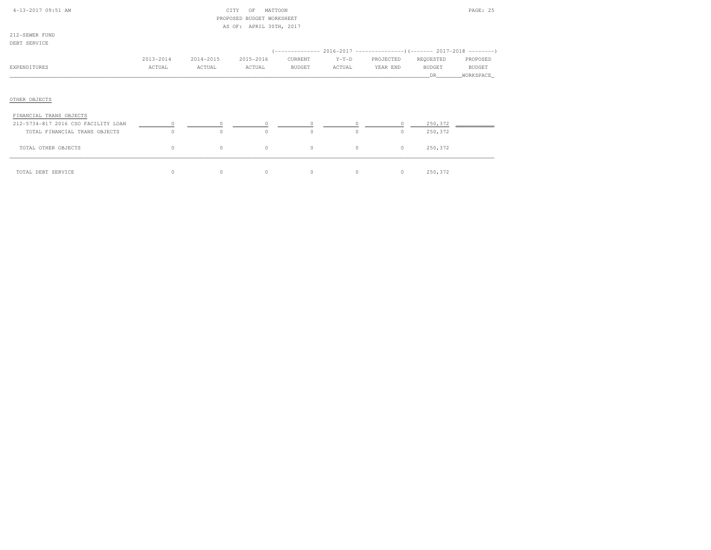| 4-13-2017 09:51 AM                  |           |           | CITY<br>MATTOON<br>OF<br>PROPOSED BUDGET WORKSHEET<br>AS OF: APRIL 30TH, 2017 |               |         |                                                                                                                                                                                                                                                                                                                                                      |               | PAGE: 25  |
|-------------------------------------|-----------|-----------|-------------------------------------------------------------------------------|---------------|---------|------------------------------------------------------------------------------------------------------------------------------------------------------------------------------------------------------------------------------------------------------------------------------------------------------------------------------------------------------|---------------|-----------|
| 212-SEWER FUND                      |           |           |                                                                               |               |         |                                                                                                                                                                                                                                                                                                                                                      |               |           |
| DEBT SERVICE                        |           |           |                                                                               |               |         |                                                                                                                                                                                                                                                                                                                                                      |               |           |
|                                     |           |           |                                                                               |               |         |                                                                                                                                                                                                                                                                                                                                                      |               |           |
|                                     | 2013-2014 | 2014-2015 | 2015-2016                                                                     | CURRENT       | $Y-T-D$ | PROJECTED                                                                                                                                                                                                                                                                                                                                            | REQUESTED     | PROPOSED  |
| EXPENDITURES                        | ACTUAL    | ACTUAL    | ACTUAL                                                                        | <b>BUDGET</b> | ACTUAL  | YEAR END                                                                                                                                                                                                                                                                                                                                             | <b>BUDGET</b> | BUDGET    |
|                                     |           |           |                                                                               |               |         |                                                                                                                                                                                                                                                                                                                                                      | DR            | WORKSPACE |
| OTHER OBJECTS                       |           |           |                                                                               |               |         |                                                                                                                                                                                                                                                                                                                                                      |               |           |
| FINANCIAL TRANS OBJECTS             |           |           |                                                                               |               |         |                                                                                                                                                                                                                                                                                                                                                      |               |           |
| 212-5734-817 2016 CSO FACILITY LOAN | $\circ$   |           | $\begin{array}{ccccccc}\n0 & & & 0 & & & 0\n\end{array}$                      |               |         | $\overline{0}$ and $\overline{0}$ and $\overline{0}$ and $\overline{0}$ and $\overline{0}$ and $\overline{0}$ and $\overline{0}$ and $\overline{0}$ and $\overline{0}$ and $\overline{0}$ and $\overline{0}$ and $\overline{0}$ and $\overline{0}$ and $\overline{0}$ and $\overline{0}$ and $\overline{0}$ and $\overline{0}$ and<br>$\overline{0}$ | 250,372       |           |
| TOTAL FINANCIAL TRANS OBJECTS       | $\circ$   | $\circ$   | $\circ$                                                                       | $\circ$       | $\circ$ | $\circ$                                                                                                                                                                                                                                                                                                                                              | 250,372       |           |
| TOTAL OTHER OBJECTS                 | $\circ$   | $\circ$   | $\circ$                                                                       | $\circ$       | $\circ$ | $\circ$                                                                                                                                                                                                                                                                                                                                              | 250,372       |           |
| TOTAL DEBT SERVICE                  | $\circ$   | $\circ$   | $\circ$                                                                       | $\circ$       | $\circ$ | $\circ$                                                                                                                                                                                                                                                                                                                                              | 250,372       |           |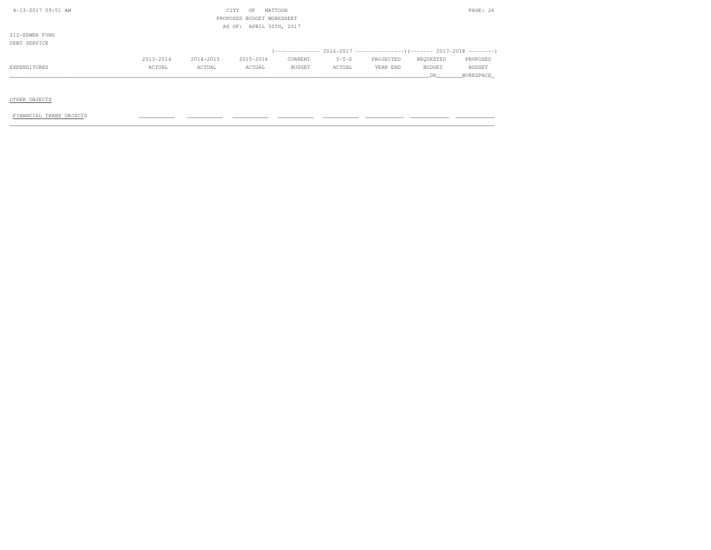| 4-13-2017 09:51 AM     |           | CITY<br>OF                | MATTOON |         |           |           | PAGE: 26  |
|------------------------|-----------|---------------------------|---------|---------|-----------|-----------|-----------|
|                        |           | PROPOSED BUDGET WORKSHEET |         |         |           |           |           |
|                        |           | AS OF: APRIL 30TH, 2017   |         |         |           |           |           |
| 212-SEWER FUND         |           |                           |         |         |           |           |           |
| DEBT SERVICE           |           |                           |         |         |           |           |           |
|                        |           |                           |         |         |           |           |           |
| 2013-2014              | 2014-2015 | 2015-2016                 | CURRENT | $Y-T-D$ | PROJECTED | REQUESTED | PROPOSED  |
| EXPENDITURES<br>ACTUAL | ACTUAL    | ACTUAL                    | BUDGET  | ACTUAL  | YEAR END  | BUDGET    | BUDGET    |
|                        |           |                           |         |         |           | DR        | WORKSPACE |

OTHER OBJECTS

 $FINANCIAL TRANS OBJECTS$  , and the condition of the condition  $\frac{1}{2}$  , and  $\frac{1}{2}$  ,  $\frac{1}{2}$  ,  $\frac{1}{2}$  ,  $\frac{1}{2}$  ,  $\frac{1}{2}$  ,  $\frac{1}{2}$  ,  $\frac{1}{2}$  ,  $\frac{1}{2}$  ,  $\frac{1}{2}$  ,  $\frac{1}{2}$  ,  $\frac{1}{2}$  ,  $\frac{1}{2}$  ,  $\frac{1}{2}$  ,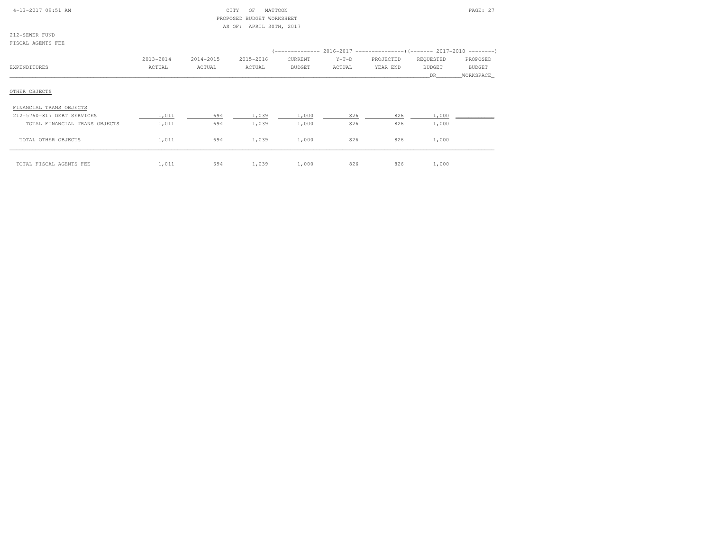| $4-13-2017$ 09:51 AM |  |  |
|----------------------|--|--|

# CITY OF MATTOON PAGE: 27 PROPOSED BUDGET WORKSHEETAS OF: APRIL 30TH, 2017

212-SEWER FUNDFISCAL AGENTS FEE

|                               | 2013-2014 | 2014-2015 | 2015-2016 | CURRENT       | $Y-T-D$ | PROJECTED | REQUESTED     | PROPOSED      |
|-------------------------------|-----------|-----------|-----------|---------------|---------|-----------|---------------|---------------|
| EXPENDITURES                  | ACTUAL    | ACTUAL    | ACTUAL    | <b>BUDGET</b> | ACTUAL  | YEAR END  | <b>BUDGET</b> | <b>BUDGET</b> |
|                               |           |           |           |               |         |           | DR.           | WORKSPACE     |
| OTHER OBJECTS                 |           |           |           |               |         |           |               |               |
| FINANCIAL TRANS OBJECTS       |           |           |           |               |         |           |               |               |
| 212-5760-817 DEBT SERVICES    | 1,011     | 694       | 1,039     | 1,000         | 826     | 826       | 1,000         |               |
| TOTAL FINANCIAL TRANS OBJECTS | 1,011     | 694       | 1,039     | 1,000         | 826     | 826       | 1,000         |               |
| TOTAL OTHER OBJECTS           | 1,011     | 694       | 1,039     | 1,000         | 826     | 826       | 1,000         |               |
| TOTAL FISCAL AGENTS FEE       | 1,011     | 694       | 1,039     | 1,000         | 826     | 826       | 1,000         |               |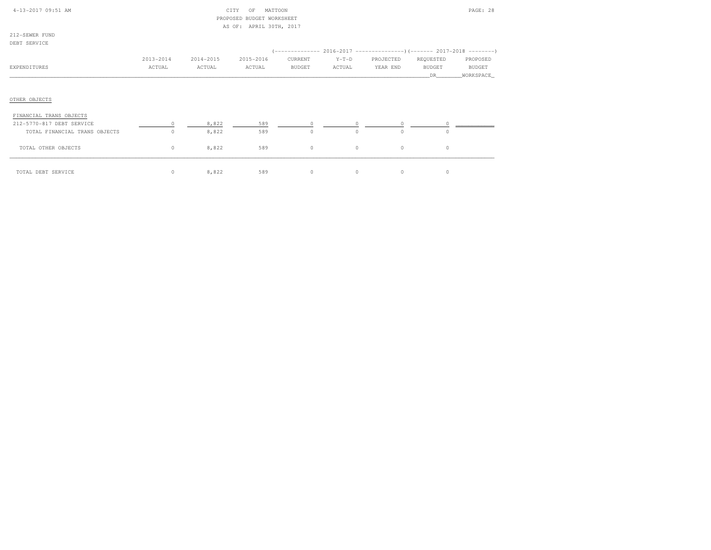| 4-13-2017 09:51 AM |  |
|--------------------|--|

### $CITY$  OF MATTOON PAGE: 28 PROPOSED BUDGET WORKSHEETAS OF: APRIL 30TH, 2017

212-SEWER FUNDDEBT SERVICE

| --------------                |           |           |           |               |          |           |               |               |
|-------------------------------|-----------|-----------|-----------|---------------|----------|-----------|---------------|---------------|
|                               |           |           |           |               |          |           |               |               |
|                               | 2013-2014 | 2014-2015 | 2015-2016 | CURRENT       | $Y-T-D$  | PROJECTED | REQUESTED     | PROPOSED      |
| EXPENDITURES                  | ACTUAL    | ACTUAL    | ACTUAL    | <b>BUDGET</b> | ACTUAL   | YEAR END  | <b>BUDGET</b> | <b>BUDGET</b> |
|                               |           |           |           |               |          |           | DR.           | _WORKSPACE_   |
|                               |           |           |           |               |          |           |               |               |
| OTHER OBJECTS                 |           |           |           |               |          |           |               |               |
| FINANCIAL TRANS OBJECTS       |           |           |           |               |          |           |               |               |
| 212-5770-817 DEBT SERVICE     |           | 8,822     | 589       |               | $\circ$  | $\circ$   |               |               |
| TOTAL FINANCIAL TRANS OBJECTS | $\Omega$  | 8,822     | 589       | $\Omega$      | $\Omega$ | $\Omega$  | $\Omega$      |               |
| TOTAL OTHER OBJECTS           | 0         | 8,822     | 589       | $\circ$       | $\circ$  | $\circ$   | $\circ$       |               |
| TOTAL DEBT SERVICE            | 0         | 8,822     | 589       | $\circ$       | 0        | $\circ$   | 0             |               |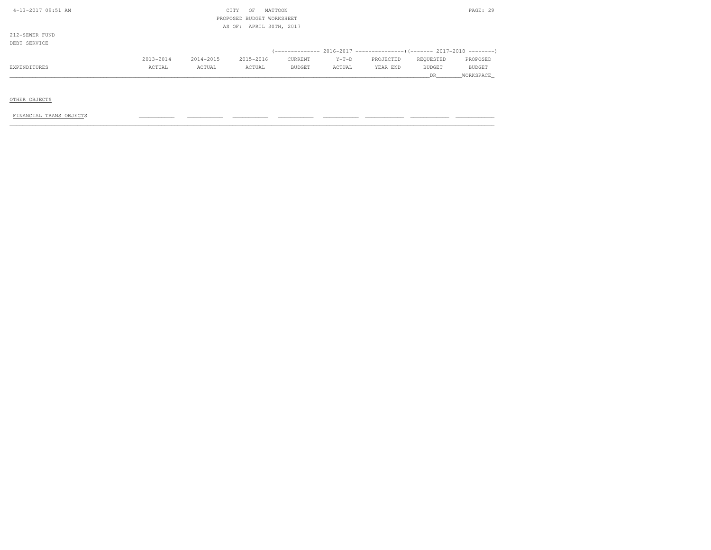| 4-13-2017 09:51 AM     |           | CITY<br>OF                | MATTOON                 |         |           |               | PAGE: 29  |
|------------------------|-----------|---------------------------|-------------------------|---------|-----------|---------------|-----------|
|                        |           | PROPOSED BUDGET WORKSHEET |                         |         |           |               |           |
|                        |           |                           | AS OF: APRIL 30TH, 2017 |         |           |               |           |
| 212-SEWER FUND         |           |                           |                         |         |           |               |           |
| DEBT SERVICE           |           |                           |                         |         |           |               |           |
|                        |           |                           |                         |         |           |               |           |
| 2013-2014              | 2014-2015 | 2015-2016                 | CURRENT                 | $Y-T-D$ | PROJECTED | REQUESTED     | PROPOSED  |
| ACTUAL<br>EXPENDITURES | ACTUAL    | ACTUAL                    | BUDGET                  | ACTUAL  | YEAR END  | <b>BUDGET</b> | BUDGET    |
|                        |           |                           |                         |         |           | DR            | WORKSPACE |

OTHER OBJECTS

 $FINANCIAL TRANS OBJECTS$  , and the condition of the condition  $\frac{1}{2}$  , and  $\frac{1}{2}$  ,  $\frac{1}{2}$  ,  $\frac{1}{2}$  ,  $\frac{1}{2}$  ,  $\frac{1}{2}$  ,  $\frac{1}{2}$  ,  $\frac{1}{2}$  ,  $\frac{1}{2}$  ,  $\frac{1}{2}$  ,  $\frac{1}{2}$  ,  $\frac{1}{2}$  ,  $\frac{1}{2}$  ,  $\frac{1}{2}$  ,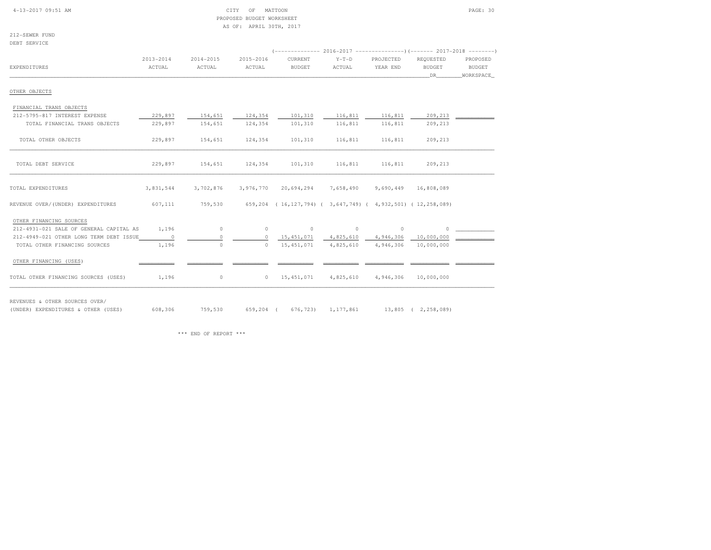#### 4-13-2017 09:51 AM CITY OF MATTOON PAGE: 30 PROPOSED BUDGET WORKSHEETAS OF: APRIL 30TH, 2017

212-SEWER FUNDDEBT SERVICE

| شاب⊥ ∨لمشاب الماشاط                     |               |               |               |                                                                                |           |           |                          |           |
|-----------------------------------------|---------------|---------------|---------------|--------------------------------------------------------------------------------|-----------|-----------|--------------------------|-----------|
|                                         | $2013 - 2014$ | $2014 - 2015$ | $2015 - 2016$ | (-------------- 2016-2017 --------------------- 2017-2018 ---------<br>CURRENT | $Y-T-D$   | PROJECTED | REQUESTED                | PROPOSED  |
| <b>EXPENDITURES</b>                     | ACTUAL        | ACTUAL        | ACTUAL        | <b>BUDGET</b>                                                                  | ACTUAL    | YEAR END  | <b>BUDGET</b>            | BUDGET    |
|                                         |               |               |               |                                                                                |           |           | DR                       | WORKSPACE |
| OTHER OBJECTS                           |               |               |               |                                                                                |           |           |                          |           |
| FINANCIAL TRANS OBJECTS                 |               |               |               |                                                                                |           |           |                          |           |
| 212-5795-817 INTEREST EXPENSE           | 229,897       | 154,651       | 124,354       | 101,310                                                                        | 116,811   | 116,811   | $209, 213$ $\phantom{0}$ |           |
| TOTAL FINANCIAL TRANS OBJECTS           | 229,897       | 154,651       | 124,354       | 101,310                                                                        | 116,811   | 116,811   | 209,213                  |           |
| TOTAL OTHER OBJECTS                     | 229,897       | 154,651       | 124,354       | 101,310                                                                        | 116,811   | 116,811   | 209,213                  |           |
| TOTAL DEBT SERVICE                      | 229,897       | 154,651       | 124,354       | 101,310                                                                        | 116,811   | 116,811   | 209,213                  |           |
| TOTAL EXPENDITURES                      | 3,831,544     | 3,702,876     | 3,976,770     | 20,694,294                                                                     | 7,658,490 | 9,690,449 | 16,808,089               |           |
| REVENUE OVER/(UNDER) EXPENDITURES       | 607,111       | 759,530       |               | 659,204 (16,127,794) (3,647,749) (4,932,501) (12,258,089)                      |           |           |                          |           |
| OTHER FINANCING SOURCES                 |               |               |               |                                                                                |           |           |                          |           |
| 212-4931-021 SALE OF GENERAL CAPITAL AS | 1,196         | $\circ$       |               | $0 \qquad \qquad 0$                                                            | $\sim$ 0  | $\circ$   | $\circ$                  |           |
| 212-4949-021 OTHER LONG TERM DEBT ISSUE | $\sim$ 0      | $\Omega$      | $\circ$       | 15,451,071  4,825,610  4,946,306  10,000,000                                   |           |           |                          |           |
| TOTAL OTHER FINANCING SOURCES           | 1,196         | $\circ$       | $\Omega$      | 15, 451, 071                                                                   | 4,825,610 | 4,946,306 | 10,000,000               |           |
| OTHER FINANCING (USES)                  |               |               |               |                                                                                |           |           |                          |           |
| TOTAL OTHER FINANCING SOURCES (USES)    | 1,196         | $\circ$       | $\circ$       | 15,451,071                                                                     | 4,825,610 | 4,946,306 | 10,000,000               |           |

REVENUES & OTHER SOURCES OVER/

(UNDER) EXPENDITURES & OTHER (USES) 608,306 759,530 659,204 ( 676,723) 1,177,861 13,805 ( 2,258,089)

\*\*\* END OF REPORT \*\*\*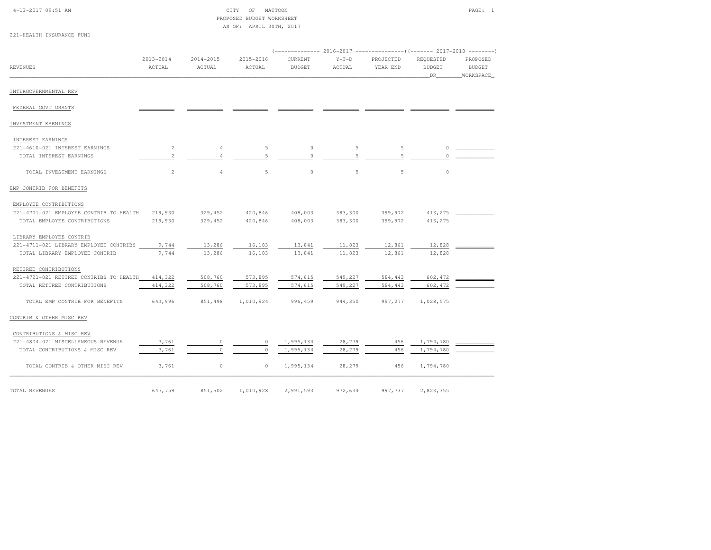|  | $4 - 13 - 2017$ 09:51 AM |  |  |
|--|--------------------------|--|--|
|  |                          |  |  |

| 4-13-2017 09:51 AM        | CITY | OF | MATTOON                   | PAGE: 1 |
|---------------------------|------|----|---------------------------|---------|
|                           |      |    | PROPOSED BUDGET WORKSHEET |         |
|                           |      |    | AS OF: APRIL 30TH, 2017   |         |
| 221-HEALTH INSURANCE FUND |      |    |                           |         |

|                                         | $2013 - 2014$  | 2014-2015      | 2015-2016 | $(----------2016-2017$ ---------------) (------- 2017-2018 -------)<br>CURRENT | $Y-T-D$        | PROJECTED | REQUESTED           | PROPOSED                   |
|-----------------------------------------|----------------|----------------|-----------|--------------------------------------------------------------------------------|----------------|-----------|---------------------|----------------------------|
| <b>REVENUES</b>                         | ACTUAL         | ACTUAL         | ACTUAL    | <b>BUDGET</b>                                                                  | ACTUAL         | YEAR END  | <b>BUDGET</b><br>DR | <b>BUDGET</b><br>WORKSPACE |
| INTERGOVERNMENTAL REV                   |                |                |           |                                                                                |                |           |                     |                            |
| FEDERAL GOVT GRANTS                     |                |                |           |                                                                                |                |           |                     |                            |
| INVESTMENT EARNINGS                     |                |                |           |                                                                                |                |           |                     |                            |
| INTEREST EARNINGS                       |                |                |           |                                                                                |                |           |                     |                            |
| 221-4610-021 INTEREST EARNINGS          | $\overline{c}$ |                | 5         | 0                                                                              | 5              | 5         | 0                   |                            |
| TOTAL INTEREST EARNINGS                 | $\mathbf{2}$   |                | 5         | $\cap$                                                                         | $\overline{5}$ | 5         | $\Omega$            |                            |
| TOTAL INVESTMENT EARNINGS               | $\overline{c}$ | $\overline{4}$ | 5         | $\circ$                                                                        | 5              | 5         | $\circ$             |                            |
| EMP CONTRIB FOR BENEFITS                |                |                |           |                                                                                |                |           |                     |                            |
| EMPLOYEE CONTRIBUTIONS                  |                |                |           |                                                                                |                |           |                     |                            |
| 221-4701-021 EMPLOYEE CONTRIB TO HEALTH | 219,930        | 329,452        | 420,846   | 408,003                                                                        | 383,300        | 399,972   | 413,275             |                            |
| TOTAL EMPLOYEE CONTRIBUTIONS            | 219,930        | 329,452        | 420,846   | 408,003                                                                        | 383,300        | 399,972   | 413,275             |                            |
| LIBRARY EMPLOYEE CONTRIB                |                |                |           |                                                                                |                |           |                     |                            |
| 221-4711-021 LIBRARY EMPLOYEE CONTRIBS  | 9,744          | 13,286         | 16,183    | 13,841                                                                         | 11,823         | 12,861    | 12,828              |                            |
| TOTAL LIBRARY EMPLOYEE CONTRIB          | 9,744          | 13,286         | 16,183    | 13,841                                                                         | 11,823         | 12,861    | 12,828              |                            |
| RETIREE CONTRIBUTIONS                   |                |                |           |                                                                                |                |           |                     |                            |
| 221-4721-021 RETIREE CONTRIBS TO HEALTH | 414,322        | 508,760        | 573,895   | 574,615                                                                        | 549,227        | 584,443   | 602,472             |                            |
| TOTAL RETIREE CONTRIBUTIONS             | 414,322        | 508,760        | 573,895   | 574,615                                                                        | 549,227        | 584,443   | 602,472             |                            |
| TOTAL EMP CONTRIB FOR BENEFITS          | 643,996        | 851,498        | 1,010,924 | 996,459                                                                        | 944,350        | 997,277   | 1,028,575           |                            |
| CONTRIB & OTHER MISC REV                |                |                |           |                                                                                |                |           |                     |                            |
| CONTRIBUTIONS & MISC REV                |                |                |           |                                                                                |                |           |                     |                            |
| 221-4804-021 MISCELLANEOUS REVENUE      | 3,761          | $\circ$        | 0         | 1,995,134                                                                      | 28,279         | 456       | 1,794,780           |                            |
| TOTAL CONTRIBUTIONS & MISC REV          | 3,761          | $\Omega$       | $\circ$   | 1,995,134                                                                      | 28,279         | 456       | 1,794,780           |                            |
| TOTAL CONTRIB & OTHER MISC REV          | 3,761          | $\circ$        | $\circ$   | 1,995,134                                                                      | 28,279         | 456       | 1,794,780           |                            |
|                                         |                |                |           |                                                                                |                |           |                     |                            |
| TOTAL REVENUES                          | 647,759        | 851,502        | 1,010,928 | 2,991,593                                                                      | 972,634        | 997,737   | 2,823,355           |                            |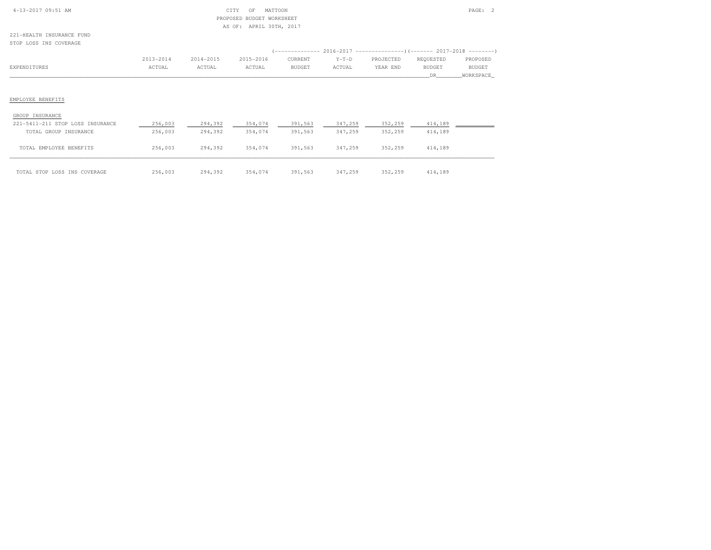| $4-13-2017$ 09:51 AM |  |
|----------------------|--|
|                      |  |

### 4-13-2017 OF MATTOON PAGE: 2 PROPOSED BUDGET WORKSHEETAS OF: APRIL 30TH, 2017

221-HEALTH INSURANCE FUNDSTOP LOSS INS COVERAGE

| (-------------- 2016-2017 ---------------------- 2017-2018 ---------- |
|-----------------------------------------------------------------------|
|                                                                       |
| PROPOSED                                                              |
| BUDGET                                                                |
| WORKSPACE                                                             |
|                                                                       |
|                                                                       |
|                                                                       |
|                                                                       |

#### GROUP INSURANCE

| 221-5411-211 STOP LOSS INSURANCE<br>TOTAL GROUP INSURANCE | 256,003<br>256,003 | 294,392<br>294,392 | 354,074<br>354,074 | 391,563<br>391,563 | 347,259<br>347,259 | 352,259<br>352,259 | 414,189<br>414,189 |  |
|-----------------------------------------------------------|--------------------|--------------------|--------------------|--------------------|--------------------|--------------------|--------------------|--|
|                                                           |                    |                    |                    |                    |                    |                    |                    |  |
| TOTAL EMPLOYEE BENEFITS                                   | 256,003            | 294,392            | 354,074            | 391,563            | 347,259            | 352,259            | 414,189            |  |
| TOTAL STOP LOSS INS COVERAGE                              | 256,003            | 294,392            | 354,074            | 391,563            | 347,259            | 352,259            | 414,189            |  |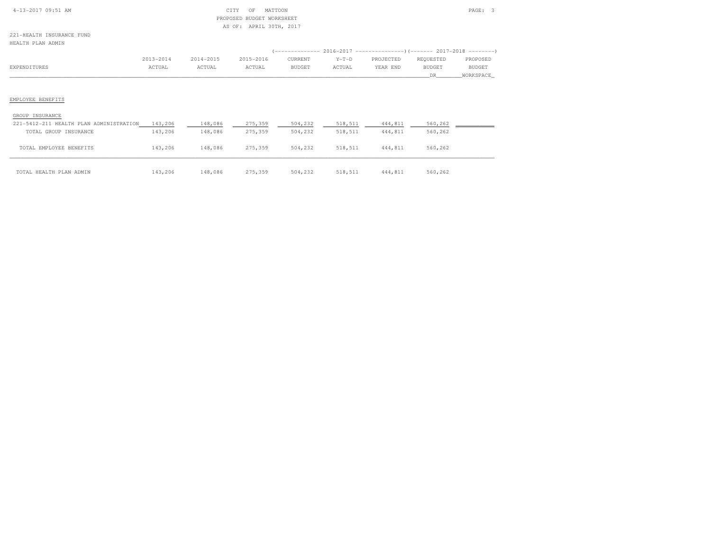| 4-13-2017 09:51 AM |  |
|--------------------|--|
|                    |  |

### $\begin{array}{ccc} \text{CITY} & \text{OF} & \text{MATION} \end{array}$  PROPOSED BUDGET WORKSHEETAS OF: APRIL 30TH, 2017

221-HEALTH INSURANCE FUNDHEALTH PLAN ADMIN

|              | 2013-2014 | 2014-2015 | 2015-2016 | CURRENT | $Y-T-D$ | PROJECTED | REQUESTED | PROPOSED  |
|--------------|-----------|-----------|-----------|---------|---------|-----------|-----------|-----------|
| EXPENDITURES | ACTUAL    | ACTUAL    | ACTUAL    | BUDGET  | ACTUAL  | YEAR END  | BUDGET    | BUDGET    |
|              |           |           |           |         |         |           | DR        | WORKSPACE |
|              |           |           |           |         |         |           |           |           |
|              |           |           |           |         |         |           |           |           |

### EMPLOYEE BENEFITS

#### GROUP INSURANCE

| 221-5412-211 HEALTH PLAN ADMINISTRATION | 143,206 | 148,086 | 275,359 | 504,232 | 518,511 | 444,811 | 560,262 |
|-----------------------------------------|---------|---------|---------|---------|---------|---------|---------|
| TOTAL GROUP INSURANCE                   | 143,206 | 148,086 | 275,359 | 504,232 | 518,511 | 444,811 | 560,262 |
|                                         |         |         |         |         |         |         |         |
| TOTAL EMPLOYEE BENEFITS                 | 143,206 | 148,086 | 275,359 | 504,232 | 518,511 | 444,811 | 560,262 |
|                                         |         |         |         |         |         |         |         |
|                                         |         |         |         |         |         |         |         |
| TOTAL HEALTH PLAN ADMIN                 | 143,206 | 148,086 | 275,359 | 504,232 | 518,511 | 444,811 | 560,262 |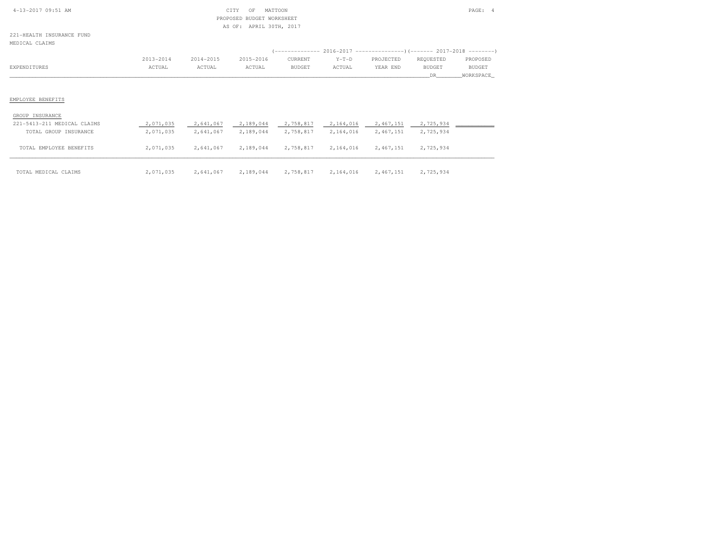| $4-13-2017$ 09:51 AM |  |
|----------------------|--|

### CITY OF MATTOON **PAGE: 4**  PROPOSED BUDGET WORKSHEETAS OF: APRIL 30TH, 2017

221-HEALTH INSURANCE FUNDMEDICAL CLAIMS

|              |           |           |           |         |         | (------------- 2016-2017 --------------------- 2017-2018 --------- |           |               |
|--------------|-----------|-----------|-----------|---------|---------|--------------------------------------------------------------------|-----------|---------------|
|              | 2013-2014 | 2014-2015 | 2015-2016 | CURRENT | $Y-T-D$ | PROJECTED                                                          | REOUESTED | PROPOSED      |
| EXPENDITURES | ACTUAL    | ACTUAL    | ACTUAL    | BUDGET  | ACTUAL  | YEAR END                                                           | BUDGET    | <b>BUDGET</b> |
|              |           |           |           |         |         |                                                                    |           | WORKSPACE     |
|              |           |           |           |         |         |                                                                    |           |               |

# EMPLOYEE BENEFITS

#### GROUP INSURANCE

| 221-5413-211 MEDICAL CLAIMS | 2,071,035 | 2,641,067 | 2,189,044 | 2,758,817 | 2,164,016 | 2,467,151 | 2,725,934 |  |
|-----------------------------|-----------|-----------|-----------|-----------|-----------|-----------|-----------|--|
| TOTAL GROUP INSURANCE       | 2,071,035 | 2,641,067 | 2,189,044 | 2,758,817 | 2,164,016 | 2,467,151 | 2,725,934 |  |
| TOTAL EMPLOYEE BENEFITS     | 2,071,035 | 2,641,067 | 2,189,044 | 2,758,817 | 2,164,016 | 2,467,151 | 2,725,934 |  |
|                             |           |           |           |           |           |           |           |  |
| TOTAL MEDICAL CLAIMS        | 2,071,035 | 2,641,067 | 2,189,044 | 2,758,817 | 2,164,016 | 2,467,151 | 2,725,934 |  |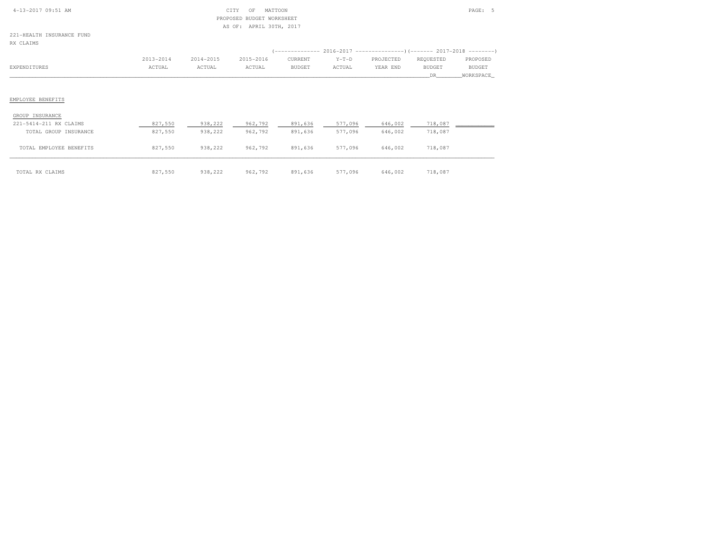| $4-13-2017$ 09:51 AM |  |
|----------------------|--|

# $\text{CITY}$  of MATTOON PAGE: 5 PROPOSED BUDGET WORKSHEETAS OF: APRIL 30TH, 2017

221-HEALTH INSURANCE FUNDRX CLAIMS

| na chaine              |           |           |           |                  |         |                                                          |               |               |
|------------------------|-----------|-----------|-----------|------------------|---------|----------------------------------------------------------|---------------|---------------|
|                        |           |           |           | ( ______________ |         | 2016-2017 ------------------------- 2017-2018 ---------- |               |               |
|                        | 2013-2014 | 2014-2015 | 2015-2016 | CURRENT          | $Y-T-D$ | PROJECTED                                                | REQUESTED     | PROPOSED      |
| EXPENDITURES           | ACTUAL    | ACTUAL    | ACTUAL    | BUDGET           | ACTUAL  | YEAR END                                                 | <b>BUDGET</b> | <b>BUDGET</b> |
|                        |           |           |           |                  |         |                                                          | DR.           | WORKSPACE     |
|                        |           |           |           |                  |         |                                                          |               |               |
|                        |           |           |           |                  |         |                                                          |               |               |
| EMPLOYEE BENEFITS      |           |           |           |                  |         |                                                          |               |               |
|                        |           |           |           |                  |         |                                                          |               |               |
| GROUP INSURANCE        |           |           |           |                  |         |                                                          |               |               |
| 221-5414-211 RX CLAIMS | 827,550   | 938,222   | 962,792   | 891,636          | 577,096 | 646,002                                                  | 718,087       |               |
| TOTAL GROUP INSURANCE  | 827,550   | 938,222   | 962,792   | 891,636          | 577,096 | 646,002                                                  | 718,087       |               |

| TOTAL EMPLOYEE BENEFITS | 827,550 | 938,222 | 962,792 | 891,636 | 577,096 | 646,002 | 718,087 |
|-------------------------|---------|---------|---------|---------|---------|---------|---------|
| TOTAL RX CLAIMS         | 827,550 | 938,222 | 962,792 | 891,636 | 577,096 | 646,002 | 718,087 |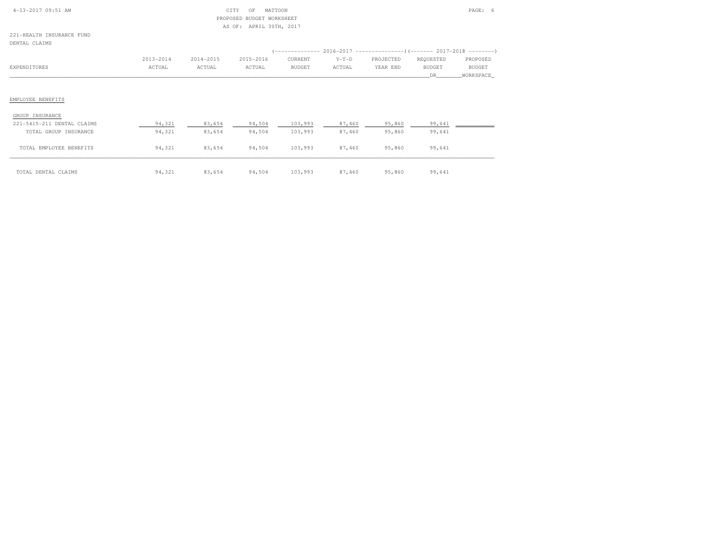| $4-13-2017$ 09:51 AM |  |
|----------------------|--|

# $\begin{array}{ccc} \text{CITY} & \text{OF} & \text{MATTOON} \end{array}$  PROPOSED BUDGET WORKSHEETAS OF: APRIL 30TH, 2017

221-HEALTH INSURANCE FUNDDENTAL CLAIMS

| DENTAL CLAIMS                                       |                     |                     |                     |                                            |                   |                       |                                   |                                        |
|-----------------------------------------------------|---------------------|---------------------|---------------------|--------------------------------------------|-------------------|-----------------------|-----------------------------------|----------------------------------------|
| EXPENDITURES                                        | 2013-2014<br>ACTUAL | 2014-2015<br>ACTUAL | 2015-2016<br>ACTUAL | ( ____________<br>CURRENT<br><b>BUDGET</b> | $Y-T-D$<br>ACTUAL | PROJECTED<br>YEAR END | REQUESTED<br><b>BUDGET</b><br>DR. | PROPOSED<br><b>BUDGET</b><br>WORKSPACE |
|                                                     |                     |                     |                     |                                            |                   |                       |                                   |                                        |
| EMPLOYEE BENEFITS<br>GROUP INSURANCE                |                     |                     |                     |                                            |                   |                       |                                   |                                        |
| 221-5415-211 DENTAL CLAIMS<br>TOTAL GROUP INSURANCE | 94,321<br>94,321    | 83,654<br>83,654    | 94,504<br>94,504    | 103,993<br>103,993                         | 87,460<br>87,460  | 95,860<br>95,860      | 99,641<br>99,641                  |                                        |
|                                                     |                     |                     |                     |                                            |                   |                       |                                   |                                        |

\_\_\_\_\_\_\_\_\_\_\_\_\_\_\_\_\_\_\_\_\_\_\_\_\_\_\_\_\_\_\_\_\_\_\_\_\_\_\_\_\_\_\_\_\_\_\_\_\_\_\_\_\_\_\_\_\_\_\_\_\_\_\_\_\_\_\_\_\_\_\_\_\_\_\_\_\_\_\_\_\_\_\_\_\_\_\_\_\_\_\_\_\_\_\_\_\_\_\_\_\_\_\_\_\_\_\_\_\_\_\_\_\_\_\_\_\_\_\_\_\_\_\_\_\_\_\_\_\_\_\_\_\_\_\_\_\_\_\_\_\_\_\_\_\_\_\_\_\_\_ TOTAL DENTAL CLAIMS 94,321 83,654 94,504 103,993 87,460 95,860 99,641

TOTAL EMPLOYEE BENEFITS 94,321 83,654 94,504 103,993 87,460 95,860 99,641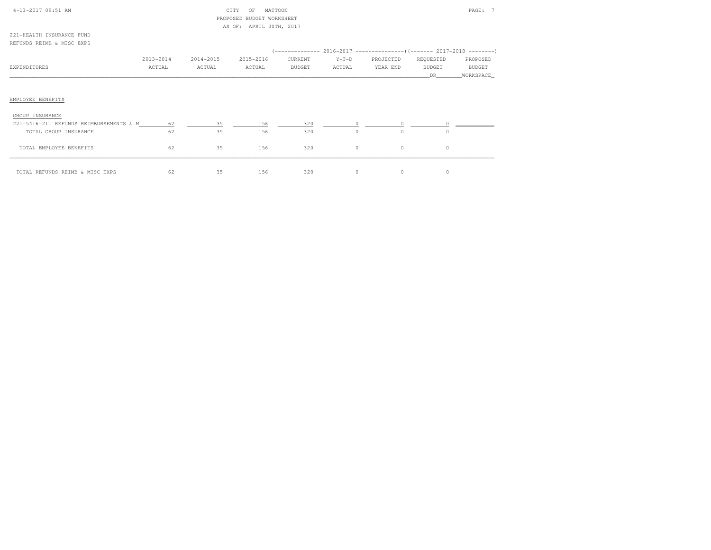| 4-13-2017 09:51 AM                      |           |           | CITY<br>MATTOON<br>OF     |               |         |           |               | PAGE: 7   |
|-----------------------------------------|-----------|-----------|---------------------------|---------------|---------|-----------|---------------|-----------|
|                                         |           |           | PROPOSED BUDGET WORKSHEET |               |         |           |               |           |
|                                         |           |           | AS OF: APRIL 30TH, 2017   |               |         |           |               |           |
| 221-HEALTH INSURANCE FUND               |           |           |                           |               |         |           |               |           |
| REFUNDS REIMB & MISC EXPS               |           |           |                           |               |         |           |               |           |
|                                         |           |           |                           |               |         |           |               |           |
|                                         | 2013-2014 | 2014-2015 | 2015-2016                 | CURRENT       | $Y-T-D$ | PROJECTED | REQUESTED     | PROPOSED  |
| EXPENDITURES                            | ACTUAL    | ACTUAL    | ACTUAL                    | <b>BUDGET</b> | ACTUAL  | YEAR END  | <b>BUDGET</b> | BUDGET    |
|                                         |           |           |                           |               |         |           | DR.           | WORKSPACE |
| EMPLOYEE BENEFITS<br>GROUP INSURANCE    |           |           |                           |               |         |           |               |           |
| 221-5416-211 REFUNDS REIMBURSEMENTS & M | 62        | 35        | 156                       | 320           | 0       | $\circ$   |               |           |
| TOTAL GROUP INSURANCE                   | 62        | 35        | 156                       | 320           | $\circ$ | $\Omega$  | $\Omega$      |           |
| TOTAL EMPLOYEE BENEFITS                 | 62        | 35        | 156                       | 320           | 0       | $\circ$   | $\circ$       |           |
| TOTAL REFUNDS REIMB & MISC EXPS         | 62        | 35        | 156                       | 320           | 0       | $\circ$   | 0             |           |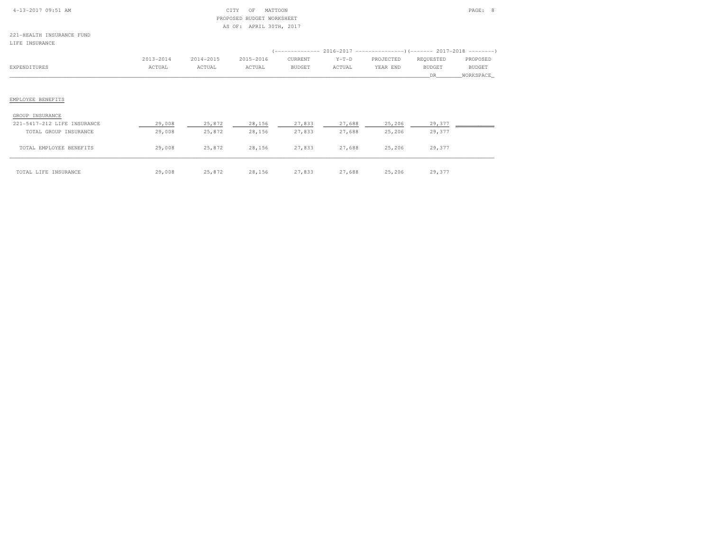| $4 - 13 - 2017$ 09:51 AM |  |
|--------------------------|--|
|                          |  |

### $\begin{array}{ccc} \text{CITY} & \text{OF} & \text{MATTON} \end{array}$  PROPOSED BUDGET WORKSHEETAS OF: APRIL 30TH, 2017

221-HEALTH INSURANCE FUNDLIFE INSURANCE

| ntra thousand               |           |           |           |         |         |                                                                                |               |               |
|-----------------------------|-----------|-----------|-----------|---------|---------|--------------------------------------------------------------------------------|---------------|---------------|
|                             |           |           |           |         |         | (-------------- 2016-2017 -------------------- ) (------- 2017-2018 ---------' |               |               |
|                             | 2013-2014 | 2014-2015 | 2015-2016 | CURRENT | $Y-T-D$ | PROJECTED                                                                      | REQUESTED     | PROPOSED      |
| EXPENDITURES                | ACTUAL    | ACTUAL    | ACTUAL    | BUDGET  | ACTUAL  | YEAR END                                                                       | <b>BUDGET</b> | <b>BUDGET</b> |
|                             |           |           |           |         |         |                                                                                | DR.           | WORKSPACE     |
|                             |           |           |           |         |         |                                                                                |               |               |
| EMPLOYEE BENEFITS           |           |           |           |         |         |                                                                                |               |               |
| GROUP INSURANCE             |           |           |           |         |         |                                                                                |               |               |
| 221-5417-212 LIFE INSURANCE | 29,008    | 25,872    | 28,156    | 27,833  | 27,688  | 25,206                                                                         | 29,377        |               |
| TOTAL GROUP INSURANCE       | 29,008    | 25,872    | 28,156    | 27,833  | 27,688  | 25,206                                                                         | 29,377        |               |
| TOTAL EMPLOYEE BENEFITS     | 29,008    | 25,872    | 28,156    | 27,833  | 27,688  | 25,206                                                                         | 29,377        |               |
|                             |           |           |           |         |         |                                                                                |               |               |

\_\_\_\_\_\_\_\_\_\_\_\_\_\_\_\_\_\_\_\_\_\_\_\_\_\_\_\_\_\_\_\_\_\_\_\_\_\_\_\_\_\_\_\_\_\_\_\_\_\_\_\_\_\_\_\_\_\_\_\_\_\_\_\_\_\_\_\_\_\_\_\_\_\_\_\_\_\_\_\_\_\_\_\_\_\_\_\_\_\_\_\_\_\_\_\_\_\_\_\_\_\_\_\_\_\_\_\_\_\_\_\_\_\_\_\_\_\_\_\_\_\_\_\_\_\_\_\_\_\_\_\_\_\_\_\_\_\_\_\_\_\_\_\_\_\_\_\_\_\_ TOTAL LIFE INSURANCE 29,008 25,872 28,156 27,833 27,688 25,206 29,377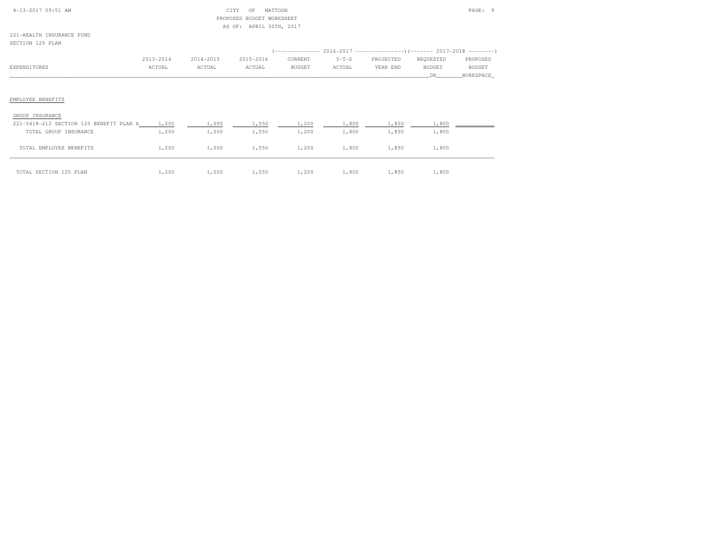| $4-13-2017$ 09:51 AM |  |
|----------------------|--|
|                      |  |

# $\begin{array}{cccccccccc} \text{CITY} & \text{OF} & \text{MATTOON} & & & & \end{array}$  PROPOSED BUDGET WORKSHEETAS OF: APRIL 30TH, 2017

221-HEALTH INSURANCE FUNDSECTION 125 PLAN

| OBULLUN LAU FEMIN                       |           |           |           |               |         |           |               |           |
|-----------------------------------------|-----------|-----------|-----------|---------------|---------|-----------|---------------|-----------|
|                                         |           |           |           |               |         |           |               |           |
|                                         | 2013-2014 | 2014-2015 | 2015-2016 | CURRENT       | $Y-T-D$ | PROJECTED | REQUESTED     | PROPOSED  |
| EXPENDITURES                            | ACTUAL    | ACTUAL    | ACTUAL    | <b>BUDGET</b> | ACTUAL  | YEAR END  | <b>BUDGET</b> | BUDGET    |
|                                         |           |           |           |               |         |           | DR.           | WORKSPACE |
|                                         |           |           |           |               |         |           |               |           |
|                                         |           |           |           |               |         |           |               |           |
| EMPLOYEE BENEFITS                       |           |           |           |               |         |           |               |           |
|                                         |           |           |           |               |         |           |               |           |
| GROUP INSURANCE                         |           |           |           |               |         |           |               |           |
| 221-5418-212 SECTION 125 BENEFIT PLAN A | 1,200     | 1,000     | 1,550     | 1,200         | 1,800   | 1,850     | 1,800         |           |
| TOTAL GROUP INSURANCE                   | 1,200     | 1,000     | 1,550     | 1,200         | 1,800   | 1,850     | 1,800         |           |
|                                         |           |           |           |               |         |           |               |           |
| TOTAL EMPLOYEE BENEFITS                 | 1,200     | 1,000     | 1,550     | 1,200         | 1,800   | 1,850     | 1,800         |           |
|                                         |           |           |           |               |         |           |               |           |
| TOTAL SECTION 125 PLAN                  | 1,200     | 1,000     | 1,550     | 1,200         | 1,800   | 1,850     | 1,800         |           |